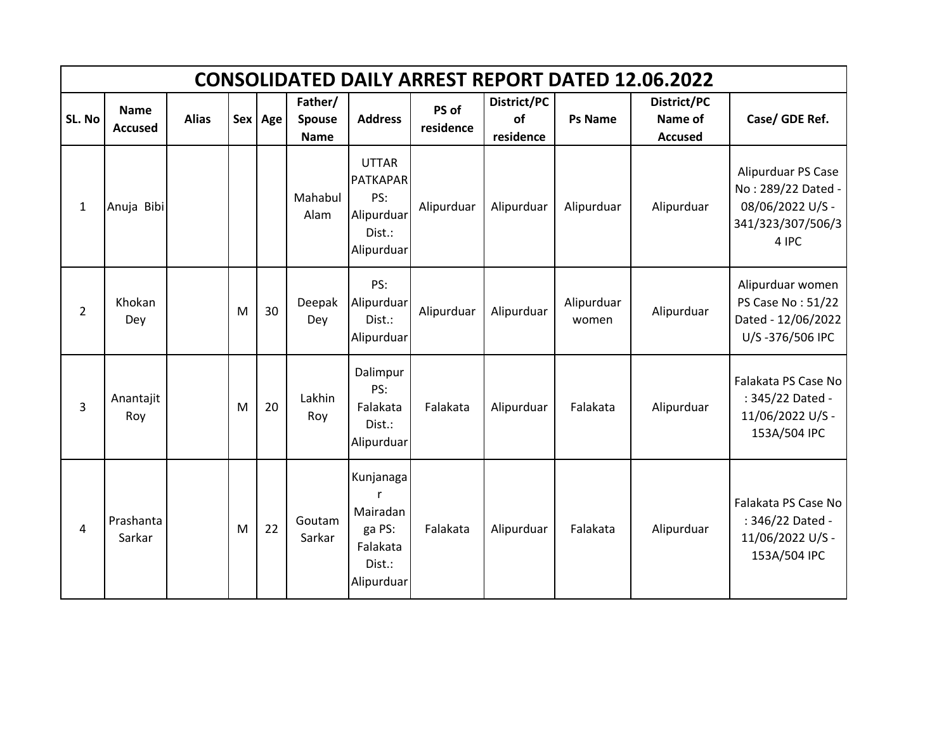|              | <b>CONSOLIDATED DAILY ARREST REPORT DATED 12.06.2022</b> |              |   |         |                                  |                                                                              |                    |                                |                     |                                          |                                                                                            |  |  |  |
|--------------|----------------------------------------------------------|--------------|---|---------|----------------------------------|------------------------------------------------------------------------------|--------------------|--------------------------------|---------------------|------------------------------------------|--------------------------------------------------------------------------------------------|--|--|--|
| SL. No       | <b>Name</b><br><b>Accused</b>                            | <b>Alias</b> |   | Sex Age | Father/<br>Spouse<br><b>Name</b> | <b>Address</b>                                                               | PS of<br>residence | District/PC<br>of<br>residence | <b>Ps Name</b>      | District/PC<br>Name of<br><b>Accused</b> | Case/ GDE Ref.                                                                             |  |  |  |
| $\mathbf{1}$ | Anuja Bibi                                               |              |   |         | Mahabul<br>Alam                  | <b>UTTAR</b><br><b>PATKAPAR</b><br>PS:<br>Alipurduar<br>Dist.:<br>Alipurduar | Alipurduar         | Alipurduar                     | Alipurduar          | Alipurduar                               | Alipurduar PS Case<br>No: 289/22 Dated -<br>08/06/2022 U/S -<br>341/323/307/506/3<br>4 IPC |  |  |  |
| 2            | Khokan<br>Dey                                            |              | M | 30      | Deepak<br>Dey                    | PS:<br>Alipurduar<br>Dist.:<br>Alipurduar                                    | Alipurduar         | Alipurduar                     | Alipurduar<br>women | Alipurduar                               | Alipurduar women<br>PS Case No: 51/22<br>Dated - 12/06/2022<br>U/S-376/506 IPC             |  |  |  |
| 3            | Anantajit<br>Roy                                         |              | M | 20      | Lakhin<br>Roy                    | Dalimpur<br>PS:<br>Falakata<br>Dist.:<br>Alipurduar                          | Falakata           | Alipurduar                     | Falakata            | Alipurduar                               | Falakata PS Case No<br>: 345/22 Dated -<br>11/06/2022 U/S -<br>153A/504 IPC                |  |  |  |
| 4            | Prashanta<br>Sarkar                                      |              | M | 22      | Goutam<br>Sarkar                 | Kunjanaga<br>Mairadan<br>ga PS:<br>Falakata<br>Dist.:<br>Alipurduar          | Falakata           | Alipurduar                     | Falakata            | Alipurduar                               | Falakata PS Case No<br>: 346/22 Dated -<br>11/06/2022 U/S -<br>153A/504 IPC                |  |  |  |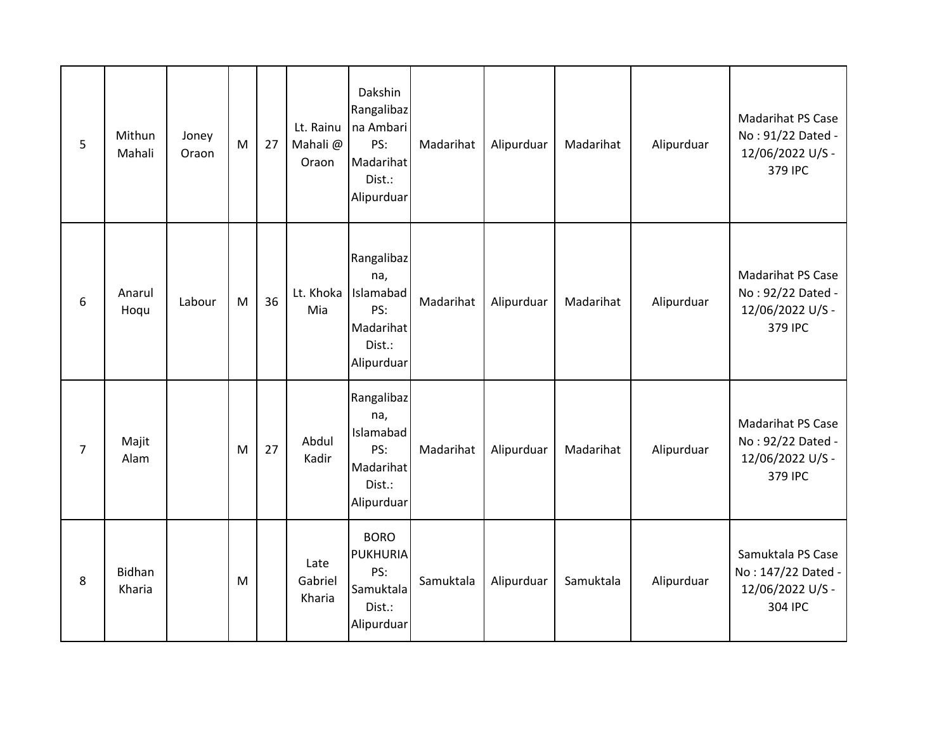| 5              | Mithun<br>Mahali        | Joney<br>Oraon | M | 27 | Lt. Rainu<br>Mahali@<br>Oraon | Dakshin<br>Rangalibaz<br>na Ambari<br>PS:<br>Madarihat<br>Dist.:<br>Alipurduar | Madarihat | Alipurduar | Madarihat | Alipurduar | <b>Madarihat PS Case</b><br>No: 91/22 Dated -<br>12/06/2022 U/S -<br>379 IPC |
|----------------|-------------------------|----------------|---|----|-------------------------------|--------------------------------------------------------------------------------|-----------|------------|-----------|------------|------------------------------------------------------------------------------|
| 6              | Anarul<br>Hoqu          | Labour         | M | 36 | Lt. Khoka<br>Mia              | Rangalibaz<br>na,<br>Islamabad<br>PS:<br>Madarihat<br>Dist.:<br>Alipurduar     | Madarihat | Alipurduar | Madarihat | Alipurduar | <b>Madarihat PS Case</b><br>No: 92/22 Dated -<br>12/06/2022 U/S -<br>379 IPC |
| $\overline{7}$ | Majit<br>Alam           |                | M | 27 | Abdul<br>Kadir                | Rangalibaz<br>na,<br>Islamabad<br>PS:<br>Madarihat<br>Dist.:<br>Alipurduar     | Madarihat | Alipurduar | Madarihat | Alipurduar | <b>Madarihat PS Case</b><br>No: 92/22 Dated -<br>12/06/2022 U/S -<br>379 IPC |
| 8              | <b>Bidhan</b><br>Kharia |                | M |    | Late<br>Gabriel<br>Kharia     | <b>BORO</b><br><b>PUKHURIA</b><br>PS:<br>Samuktala<br>Dist.:<br>Alipurduar     | Samuktala | Alipurduar | Samuktala | Alipurduar | Samuktala PS Case<br>No: 147/22 Dated -<br>12/06/2022 U/S -<br>304 IPC       |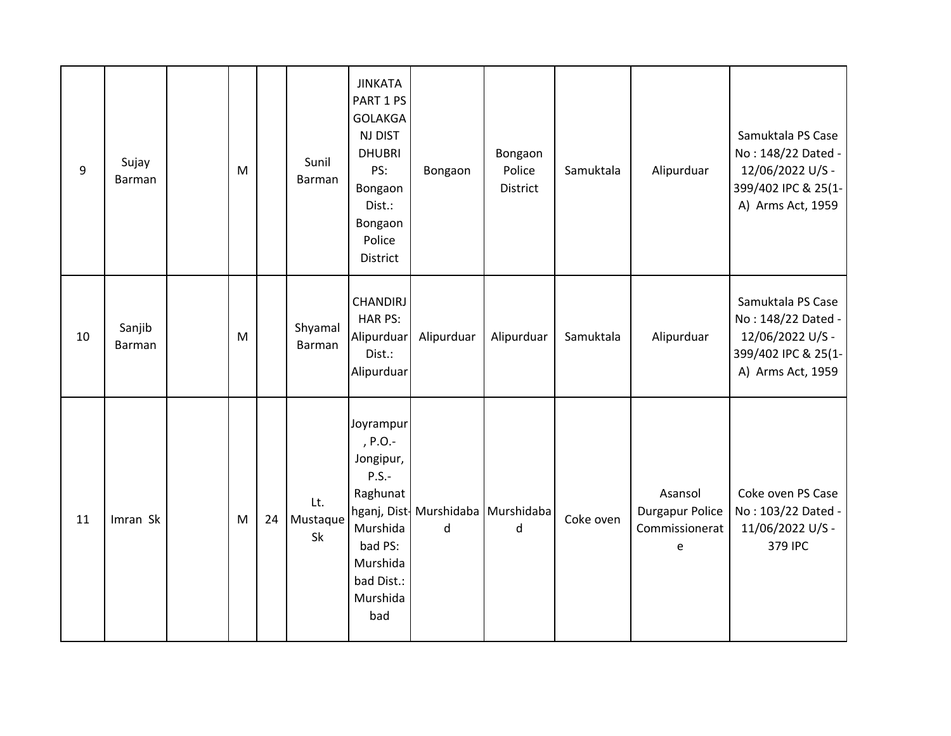| 9  | Sujay<br>Barman  | M |    | Sunil<br>Barman       | <b>JINKATA</b><br>PART 1 PS<br><b>GOLAKGA</b><br>NJ DIST<br><b>DHUBRI</b><br>PS:<br>Bongaon<br>Dist.:<br>Bongaon<br>Police<br>District | Bongaon                                   | Bongaon<br>Police<br>District | Samuktala | Alipurduar                                               | Samuktala PS Case<br>No: 148/22 Dated -<br>12/06/2022 U/S -<br>399/402 IPC & 25(1-<br>A) Arms Act, 1959 |
|----|------------------|---|----|-----------------------|----------------------------------------------------------------------------------------------------------------------------------------|-------------------------------------------|-------------------------------|-----------|----------------------------------------------------------|---------------------------------------------------------------------------------------------------------|
| 10 | Sanjib<br>Barman | M |    | Shyamal<br>Barman     | <b>CHANDIRJ</b><br>HAR PS:<br>Alipurduar<br>Dist.:<br>Alipurduar                                                                       | Alipurduar                                | Alipurduar                    | Samuktala | Alipurduar                                               | Samuktala PS Case<br>No: 148/22 Dated -<br>12/06/2022 U/S -<br>399/402 IPC & 25(1-<br>A) Arms Act, 1959 |
| 11 | Imran Sk         | M | 24 | Lt.<br>Mustaque<br>Sk | Joyrampur<br>, P.O.-<br>Jongipur,<br>$P.S. -$<br>Raghunat<br>Murshida<br>bad PS:<br>Murshida<br>bad Dist.:<br>Murshida<br>bad          | hganj, Dist- Murshidaba   Murshidaba<br>d | d                             | Coke oven | Asansol<br><b>Durgapur Police</b><br>Commissionerat<br>e | Coke oven PS Case<br>No: 103/22 Dated -<br>11/06/2022 U/S -<br>379 IPC                                  |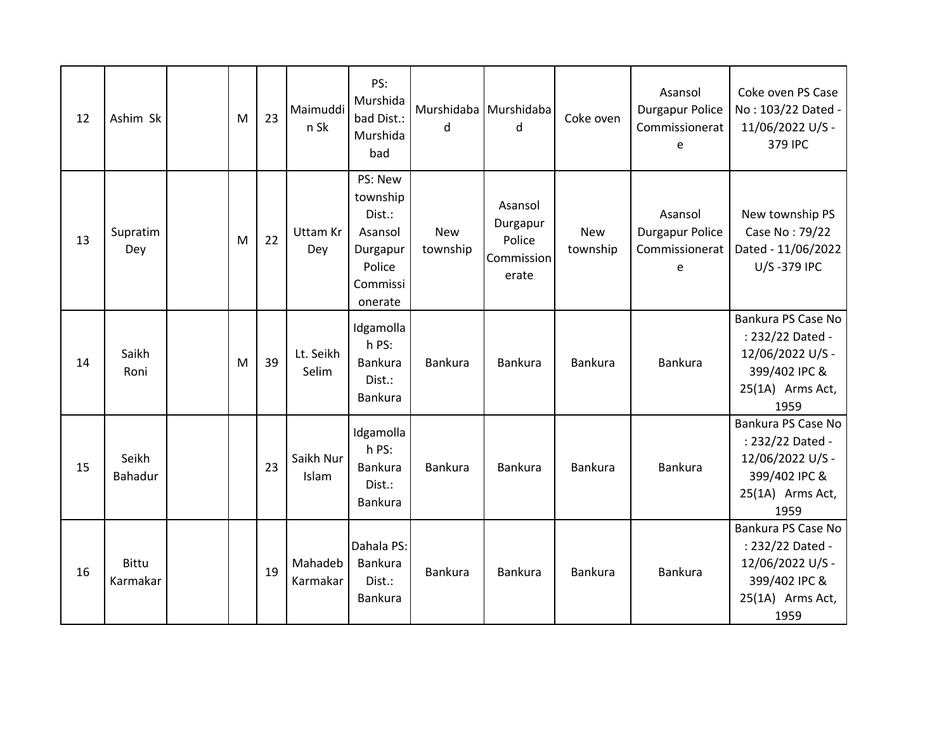| 12 | Ashim Sk                 | M | 23 | Maimuddi<br>n Sk       | PS:<br>Murshida<br>bad Dist.:<br>Murshida<br>bad                                      | Murshidaba Murshidaba<br>d | d                                                    | Coke oven              | Asansol<br><b>Durgapur Police</b><br>Commissionerat<br>e | Coke oven PS Case<br>No: 103/22 Dated -<br>11/06/2022 U/S -<br>379 IPC                                  |
|----|--------------------------|---|----|------------------------|---------------------------------------------------------------------------------------|----------------------------|------------------------------------------------------|------------------------|----------------------------------------------------------|---------------------------------------------------------------------------------------------------------|
| 13 | Supratim<br>Dey          | M | 22 | <b>Uttam Kr</b><br>Dey | PS: New<br>township<br>Dist.:<br>Asansol<br>Durgapur<br>Police<br>Commissi<br>onerate | <b>New</b><br>township     | Asansol<br>Durgapur<br>Police<br>Commission<br>erate | <b>New</b><br>township | Asansol<br><b>Durgapur Police</b><br>Commissionerat<br>e | New township PS<br>Case No: 79/22<br>Dated - 11/06/2022<br>U/S-379 IPC                                  |
| 14 | Saikh<br>Roni            | M | 39 | Lt. Seikh<br>Selim     | Idgamolla<br>h PS:<br>Bankura<br>Dist.:<br>Bankura                                    | Bankura                    | <b>Bankura</b>                                       | Bankura                | Bankura                                                  | Bankura PS Case No<br>: 232/22 Dated -<br>12/06/2022 U/S -<br>399/402 IPC &<br>25(1A) Arms Act,<br>1959 |
| 15 | Seikh<br><b>Bahadur</b>  |   | 23 | Saikh Nur<br>Islam     | Idgamolla<br>h PS:<br><b>Bankura</b><br>Dist.:<br>Bankura                             | Bankura                    | <b>Bankura</b>                                       | Bankura                | Bankura                                                  | Bankura PS Case No<br>: 232/22 Dated -<br>12/06/2022 U/S -<br>399/402 IPC &<br>25(1A) Arms Act,<br>1959 |
| 16 | <b>Bittu</b><br>Karmakar |   | 19 | Mahadeb<br>Karmakar    | Dahala PS:<br><b>Bankura</b><br>Dist.:<br>Bankura                                     | Bankura                    | <b>Bankura</b>                                       | Bankura                | Bankura                                                  | Bankura PS Case No<br>: 232/22 Dated -<br>12/06/2022 U/S -<br>399/402 IPC &<br>25(1A) Arms Act,<br>1959 |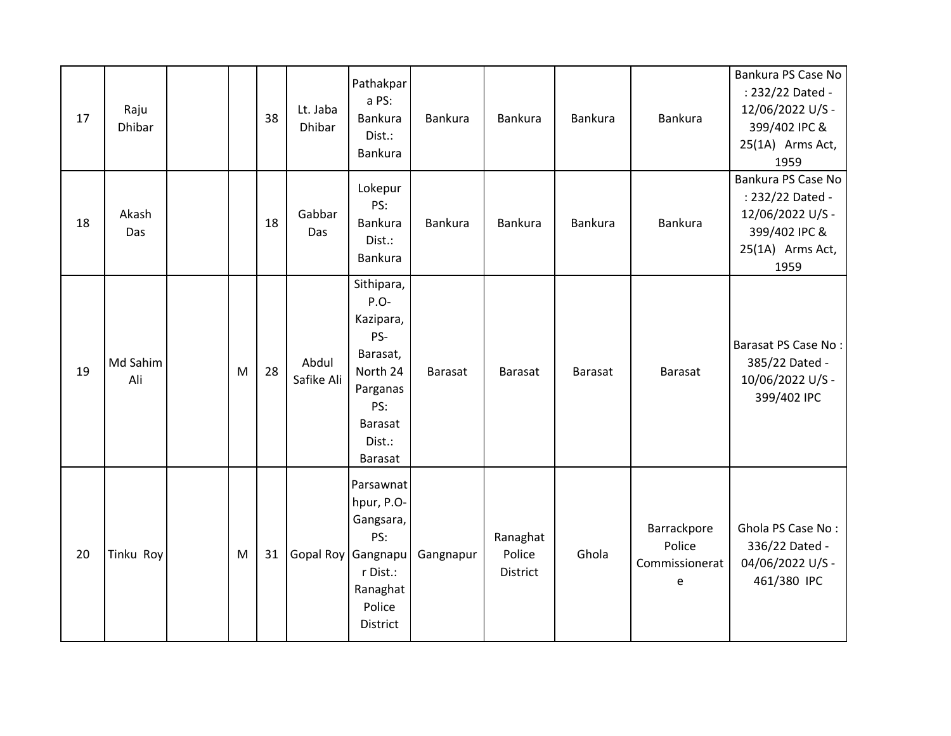| 17 | Raju<br><b>Dhibar</b> |   | 38 | Lt. Jaba<br>Dhibar  | Pathakpar<br>a PS:<br>Bankura<br>Dist.:<br><b>Bankura</b>                                                                | Bankura        | Bankura                        | <b>Bankura</b> | Bankura                                      | Bankura PS Case No<br>: 232/22 Dated -<br>12/06/2022 U/S -<br>399/402 IPC &<br>25(1A) Arms Act,<br>1959 |
|----|-----------------------|---|----|---------------------|--------------------------------------------------------------------------------------------------------------------------|----------------|--------------------------------|----------------|----------------------------------------------|---------------------------------------------------------------------------------------------------------|
| 18 | Akash<br>Das          |   | 18 | Gabbar<br>Das       | Lokepur<br>PS:<br><b>Bankura</b><br>Dist.:<br>Bankura                                                                    | Bankura        | Bankura                        | <b>Bankura</b> | <b>Bankura</b>                               | Bankura PS Case No<br>: 232/22 Dated -<br>12/06/2022 U/S -<br>399/402 IPC &<br>25(1A) Arms Act,<br>1959 |
| 19 | Md Sahim<br>Ali       | M | 28 | Abdul<br>Safike Ali | Sithipara,<br>P.O-<br>Kazipara,<br>PS-<br>Barasat,<br>North 24<br>Parganas<br>PS:<br><b>Barasat</b><br>Dist.:<br>Barasat | <b>Barasat</b> | <b>Barasat</b>                 | <b>Barasat</b> | <b>Barasat</b>                               | Barasat PS Case No:<br>385/22 Dated -<br>10/06/2022 U/S -<br>399/402 IPC                                |
| 20 | Tinku Roy             | M | 31 | Gopal Roy           | Parsawnat<br>hpur, P.O-<br>Gangsara,<br>PS:<br>Gangnapu<br>r Dist.:<br>Ranaghat<br>Police<br>District                    | Gangnapur      | Ranaghat<br>Police<br>District | Ghola          | Barrackpore<br>Police<br>Commissionerat<br>e | Ghola PS Case No:<br>336/22 Dated -<br>04/06/2022 U/S -<br>461/380 IPC                                  |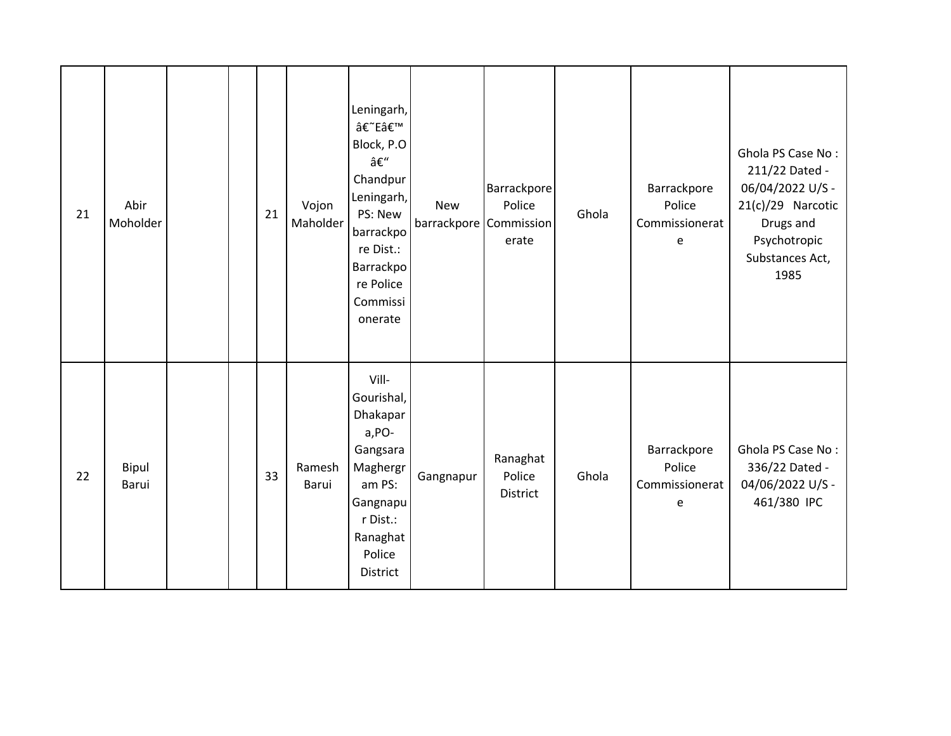| 21 | Abir<br>Moholder |  | 21 | Vojon<br>Maholder | Leningarh,<br>â€~E'<br>Block, P.O<br>–<br>Chandpur<br>Leningarh,<br>PS: New<br>barrackpo<br>re Dist.:<br>Barrackpo<br>re Police<br>Commissi<br>onerate | <b>New</b> | Barrackpore<br>Police<br>barrackpore Commission<br>erate | Ghola | Barrackpore<br>Police<br>Commissionerat<br>e | Ghola PS Case No:<br>211/22 Dated -<br>06/04/2022 U/S -<br>21(c)/29 Narcotic<br>Drugs and<br>Psychotropic<br>Substances Act,<br>1985 |
|----|------------------|--|----|-------------------|--------------------------------------------------------------------------------------------------------------------------------------------------------|------------|----------------------------------------------------------|-------|----------------------------------------------|--------------------------------------------------------------------------------------------------------------------------------------|
| 22 | Bipul<br>Barui   |  | 33 | Ramesh<br>Barui   | Vill-<br>Gourishal,<br>Dhakapar<br>a, PO-<br>Gangsara<br>Maghergr<br>am PS:<br>Gangnapu<br>r Dist.:<br>Ranaghat<br>Police<br><b>District</b>           | Gangnapur  | Ranaghat<br>Police<br>District                           | Ghola | Barrackpore<br>Police<br>Commissionerat<br>e | Ghola PS Case No:<br>336/22 Dated -<br>04/06/2022 U/S -<br>461/380 IPC                                                               |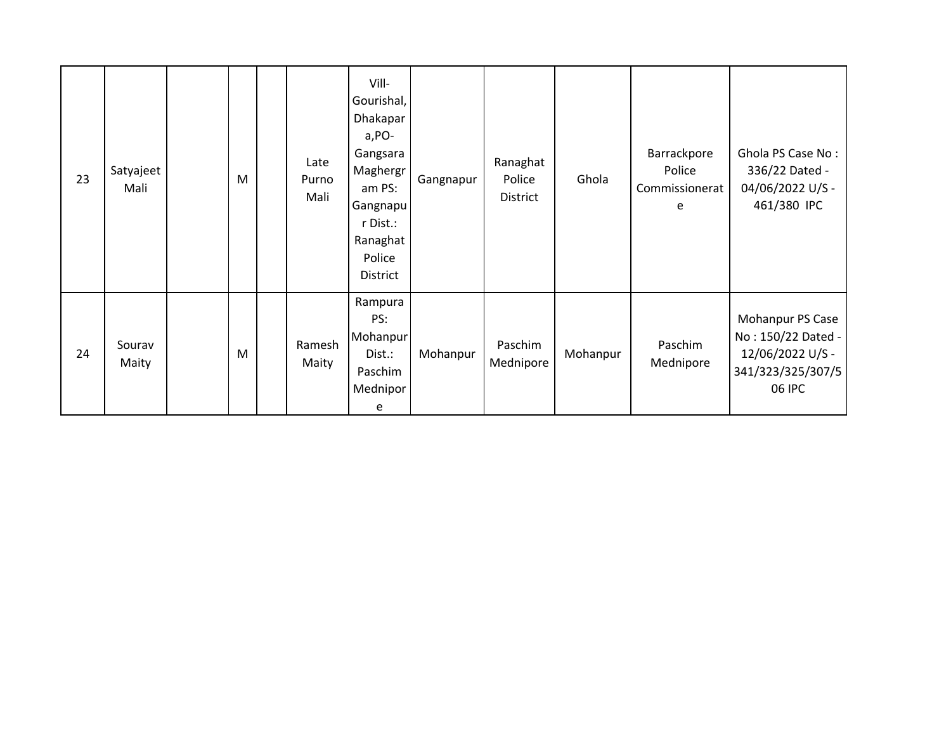| 23 | Satyajeet<br>Mali | M | Late<br>Purno<br>Mali | Vill-<br>Gourishal,<br>Dhakapar<br>$a, PO-$<br>Gangsara<br>Maghergr<br>am PS:<br>Gangnapu<br>r Dist.:<br>Ranaghat<br>Police<br><b>District</b> | Gangnapur | Ranaghat<br>Police<br>District | Ghola    | Barrackpore<br>Police<br>Commissionerat<br>e | Ghola PS Case No:<br>336/22 Dated -<br>04/06/2022 U/S -<br>461/380 IPC                    |
|----|-------------------|---|-----------------------|------------------------------------------------------------------------------------------------------------------------------------------------|-----------|--------------------------------|----------|----------------------------------------------|-------------------------------------------------------------------------------------------|
| 24 | Sourav<br>Maity   | M | Ramesh<br>Maity       | Rampura<br>PS:<br>Mohanpur<br>Dist.:<br>Paschim<br>Mednipor<br>e                                                                               | Mohanpur  | Paschim<br>Mednipore           | Mohanpur | Paschim<br>Mednipore                         | Mohanpur PS Case<br>No: 150/22 Dated -<br>12/06/2022 U/S -<br>341/323/325/307/5<br>06 IPC |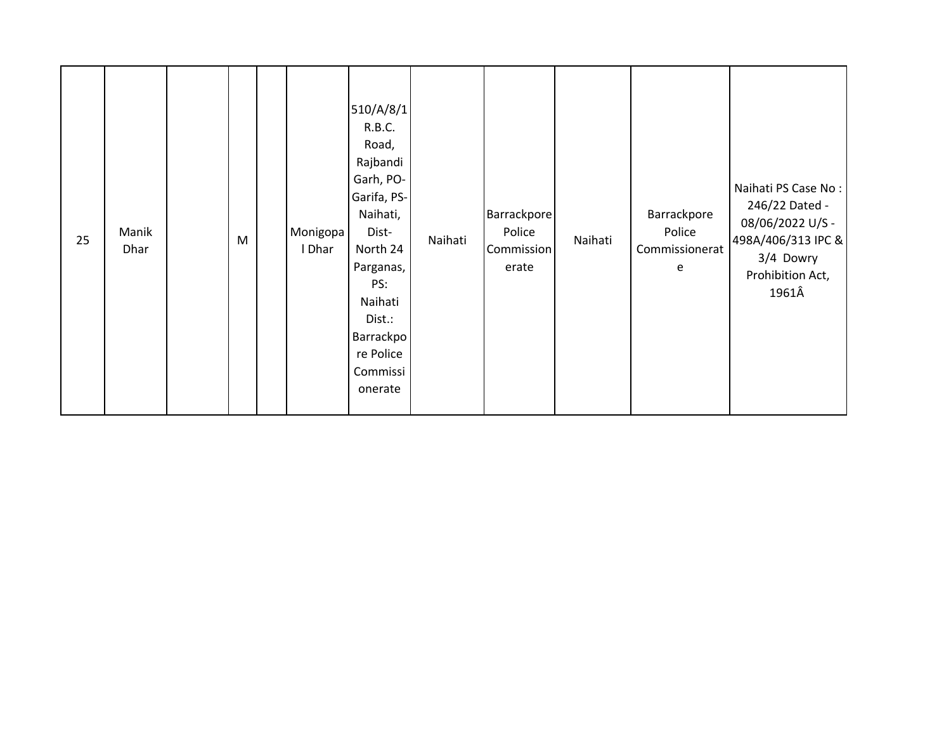| 25 | Manik<br>Dhar |  | M |  | Monigopa<br>I Dhar | 510/A/8/1<br>R.B.C.<br>Road,<br>Rajbandi<br>Garh, PO-<br>Garifa, PS-<br>Naihati,<br>Dist-<br>North 24<br>Parganas,<br>PS:<br>Naihati<br>Dist.:<br>Barrackpo<br>re Police<br>Commissi<br>onerate | Naihati | Barrackpore<br>Police<br>Commission<br>erate | Naihati | Barrackpore<br>Police<br>Commissionerat<br>e | Naihati PS Case No:<br>246/22 Dated -<br>08/06/2022 U/S -<br>498A/406/313 IPC &<br>3/4 Dowry<br>Prohibition Act,<br>1961Â |
|----|---------------|--|---|--|--------------------|-------------------------------------------------------------------------------------------------------------------------------------------------------------------------------------------------|---------|----------------------------------------------|---------|----------------------------------------------|---------------------------------------------------------------------------------------------------------------------------|
|----|---------------|--|---|--|--------------------|-------------------------------------------------------------------------------------------------------------------------------------------------------------------------------------------------|---------|----------------------------------------------|---------|----------------------------------------------|---------------------------------------------------------------------------------------------------------------------------|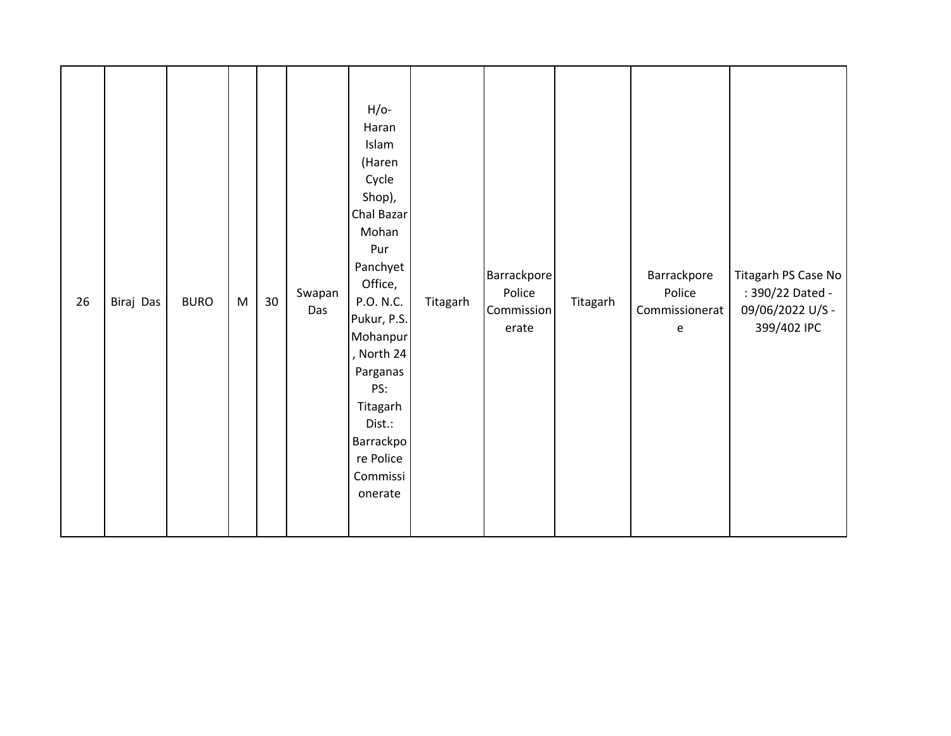| 26 | Biraj Das | <b>BURO</b> | M | 30 | Swapan<br>Das | $H/O-$<br>Haran<br>Islam<br>(Haren<br>Cycle<br>Shop),<br>Chal Bazar<br>Mohan<br>Pur<br>Panchyet<br>Office,<br>P.O. N.C.<br>Pukur, P.S.<br>Mohanpur<br>, North 24<br>Parganas<br>PS:<br>Titagarh<br>Dist.:<br>Barrackpo<br>re Police<br>Commissi<br>onerate | Titagarh | Barrackpore<br>Police<br>Commission<br>erate | Titagarh | Barrackpore<br>Police<br>Commissionerat<br>e | Titagarh PS Case No<br>: 390/22 Dated -<br>09/06/2022 U/S -<br>399/402 IPC |
|----|-----------|-------------|---|----|---------------|------------------------------------------------------------------------------------------------------------------------------------------------------------------------------------------------------------------------------------------------------------|----------|----------------------------------------------|----------|----------------------------------------------|----------------------------------------------------------------------------|
|----|-----------|-------------|---|----|---------------|------------------------------------------------------------------------------------------------------------------------------------------------------------------------------------------------------------------------------------------------------------|----------|----------------------------------------------|----------|----------------------------------------------|----------------------------------------------------------------------------|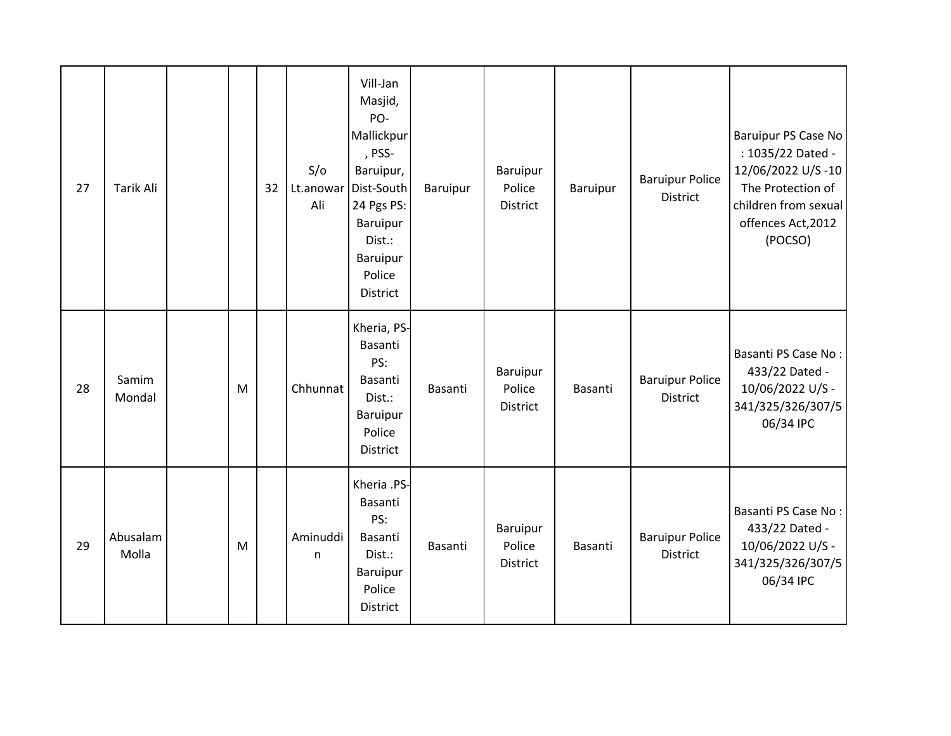| 27 | <b>Tarik Ali</b>  |   | 32 | S/O<br>Lt.anowar<br>Ali  | Vill-Jan<br>Masjid,<br>PO-<br>Mallickpur<br>, PSS-<br>Baruipur,<br>Dist-South<br>24 Pgs PS:<br><b>Baruipur</b><br>Dist.:<br><b>Baruipur</b><br>Police<br><b>District</b> | Baruipur       | Baruipur<br>Police<br>District | Baruipur | <b>Baruipur Police</b><br><b>District</b> | Baruipur PS Case No<br>: 1035/22 Dated -<br>12/06/2022 U/S-10<br>The Protection of<br>children from sexual<br>offences Act, 2012<br>(POCSO) |
|----|-------------------|---|----|--------------------------|--------------------------------------------------------------------------------------------------------------------------------------------------------------------------|----------------|--------------------------------|----------|-------------------------------------------|---------------------------------------------------------------------------------------------------------------------------------------------|
| 28 | Samim<br>Mondal   | M |    | Chhunnat                 | Kheria, PS-<br>Basanti<br>PS:<br>Basanti<br>Dist.:<br>Baruipur<br>Police<br><b>District</b>                                                                              | <b>Basanti</b> | Baruipur<br>Police<br>District | Basanti  | <b>Baruipur Police</b><br><b>District</b> | Basanti PS Case No:<br>433/22 Dated -<br>10/06/2022 U/S -<br>341/325/326/307/5<br>06/34 IPC                                                 |
| 29 | Abusalam<br>Molla | M |    | Aminuddi<br>$\mathsf{n}$ | Kheria .PS-<br>Basanti<br>PS:<br>Basanti<br>Dist.:<br>Baruipur<br>Police<br>District                                                                                     | Basanti        | Baruipur<br>Police<br>District | Basanti  | <b>Baruipur Police</b><br><b>District</b> | Basanti PS Case No:<br>433/22 Dated -<br>10/06/2022 U/S -<br>341/325/326/307/5<br>06/34 IPC                                                 |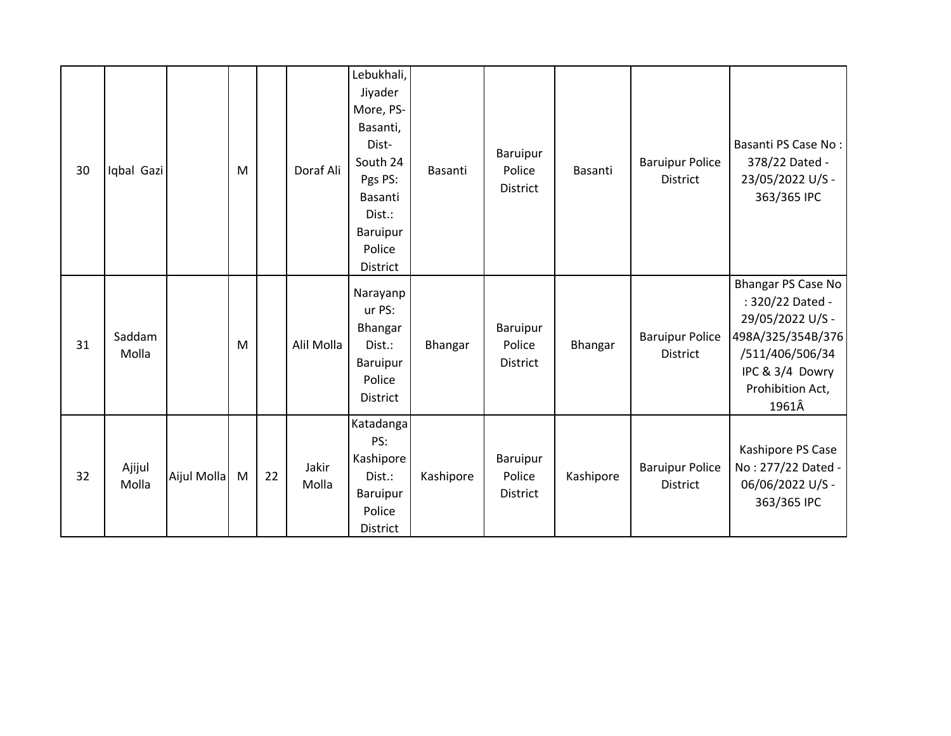| 30 | Iqbal Gazi      |             | M |    | Doraf Ali      | Lebukhali,<br>Jiyader<br>More, PS-<br>Basanti,<br>Dist-<br>South 24<br>Pgs PS:<br><b>Basanti</b><br>Dist.:<br>Baruipur<br>Police<br>District | Basanti   | <b>Baruipur</b><br>Police<br>District | Basanti   | <b>Baruipur Police</b><br>District        | Basanti PS Case No:<br>378/22 Dated -<br>23/05/2022 U/S -<br>363/365 IPC                                                                           |
|----|-----------------|-------------|---|----|----------------|----------------------------------------------------------------------------------------------------------------------------------------------|-----------|---------------------------------------|-----------|-------------------------------------------|----------------------------------------------------------------------------------------------------------------------------------------------------|
| 31 | Saddam<br>Molla |             | M |    | Alil Molla     | Narayanp<br>ur PS:<br>Bhangar<br>Dist.:<br>Baruipur<br>Police<br>District                                                                    | Bhangar   | Baruipur<br>Police<br><b>District</b> | Bhangar   | <b>Baruipur Police</b><br><b>District</b> | Bhangar PS Case No<br>: 320/22 Dated -<br>29/05/2022 U/S -<br>498A/325/354B/376<br>/511/406/506/34<br>IPC & 3/4 Dowry<br>Prohibition Act,<br>1961Â |
| 32 | Ajijul<br>Molla | Aijul Molla | M | 22 | Jakir<br>Molla | Katadanga<br>PS:<br>Kashipore<br>Dist.:<br><b>Baruipur</b><br>Police<br>District                                                             | Kashipore | Baruipur<br>Police<br>District        | Kashipore | <b>Baruipur Police</b><br><b>District</b> | Kashipore PS Case<br>No: 277/22 Dated -<br>06/06/2022 U/S -<br>363/365 IPC                                                                         |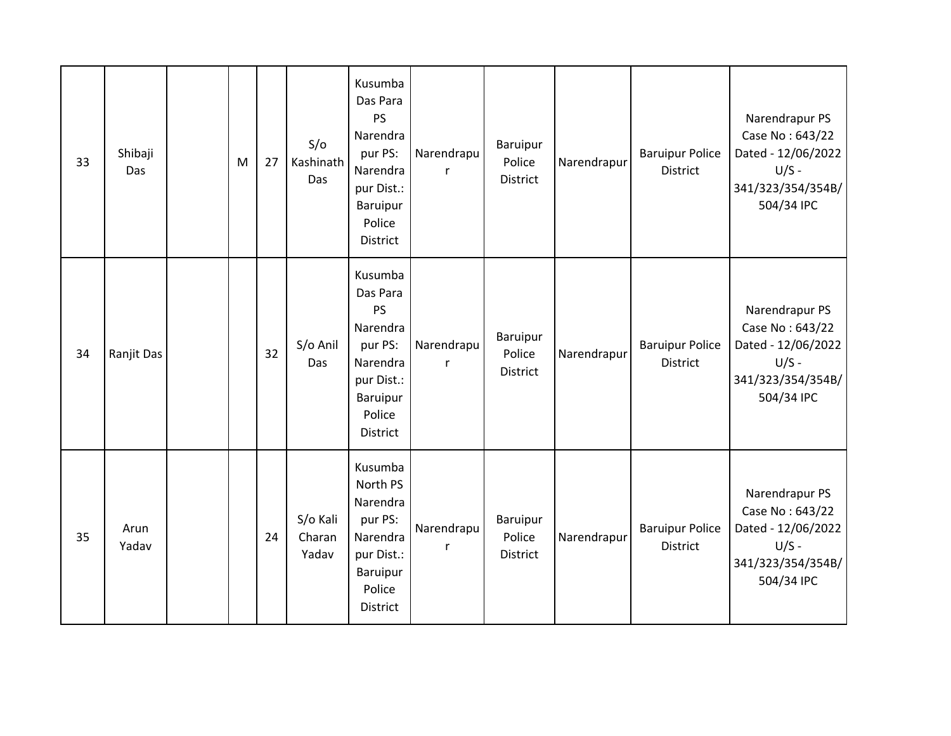| 33 | Shibaji<br>Das | M | 27 | S/O<br>Kashinath<br>Das     | Kusumba<br>Das Para<br>PS<br>Narendra<br>pur PS:<br>Narendra<br>pur Dist.:<br><b>Baruipur</b><br>Police<br><b>District</b> | Narendrapu<br>$\mathsf{r}$ | Baruipur<br>Police<br>District        | Narendrapur | <b>Baruipur Police</b><br><b>District</b> | Narendrapur PS<br>Case No: 643/22<br>Dated - 12/06/2022<br>$U/S -$<br>341/323/354/354B/<br>504/34 IPC |
|----|----------------|---|----|-----------------------------|----------------------------------------------------------------------------------------------------------------------------|----------------------------|---------------------------------------|-------------|-------------------------------------------|-------------------------------------------------------------------------------------------------------|
| 34 | Ranjit Das     |   | 32 | S/o Anil<br>Das             | Kusumba<br>Das Para<br><b>PS</b><br>Narendra<br>pur PS:<br>Narendra<br>pur Dist.:<br><b>Baruipur</b><br>Police<br>District | Narendrapu<br>r            | Baruipur<br>Police<br><b>District</b> | Narendrapur | <b>Baruipur Police</b><br><b>District</b> | Narendrapur PS<br>Case No: 643/22<br>Dated - 12/06/2022<br>$U/S -$<br>341/323/354/354B/<br>504/34 IPC |
| 35 | Arun<br>Yadav  |   | 24 | S/o Kali<br>Charan<br>Yadav | Kusumba<br>North PS<br>Narendra<br>pur PS:<br>Narendra<br>pur Dist.:<br>Baruipur<br>Police<br>District                     | Narendrapu<br>r            | Baruipur<br>Police<br><b>District</b> | Narendrapur | <b>Baruipur Police</b><br>District        | Narendrapur PS<br>Case No: 643/22<br>Dated - 12/06/2022<br>$U/S -$<br>341/323/354/354B/<br>504/34 IPC |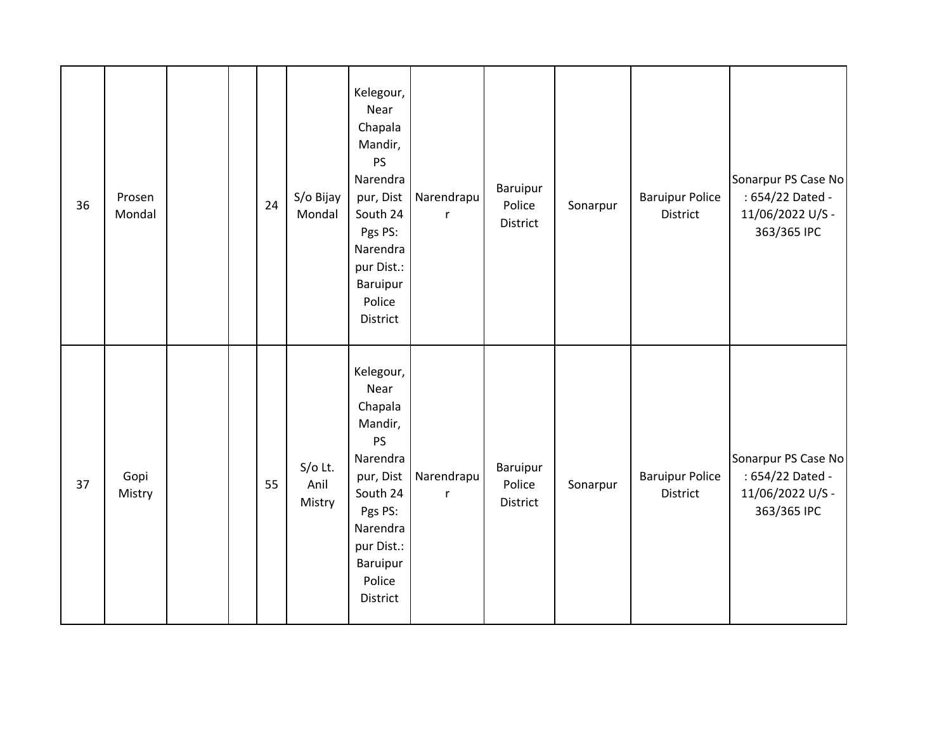| 36 | Prosen<br>Mondal |  | 24 | S/o Bijay<br>Mondal         | Kelegour,<br>Near<br>Chapala<br>Mandir,<br>PS<br>Narendra<br>pur, Dist<br>South 24<br>Pgs PS:<br>Narendra<br>pur Dist.:<br>Baruipur<br>Police<br>District | Narendrapu<br>$\mathsf{r}$ | Baruipur<br>Police<br>District | Sonarpur | <b>Baruipur Police</b><br>District | Sonarpur PS Case No<br>: 654/22 Dated -<br>11/06/2022 U/S -<br>363/365 IPC |
|----|------------------|--|----|-----------------------------|-----------------------------------------------------------------------------------------------------------------------------------------------------------|----------------------------|--------------------------------|----------|------------------------------------|----------------------------------------------------------------------------|
| 37 | Gopi<br>Mistry   |  | 55 | $S/O$ Lt.<br>Anil<br>Mistry | Kelegour,<br>Near<br>Chapala<br>Mandir,<br>PS<br>Narendra<br>pur, Dist<br>South 24<br>Pgs PS:<br>Narendra<br>pur Dist.:<br>Baruipur<br>Police<br>District | Narendrapu<br>$\mathsf{r}$ | Baruipur<br>Police<br>District | Sonarpur | <b>Baruipur Police</b><br>District | Sonarpur PS Case No<br>: 654/22 Dated -<br>11/06/2022 U/S -<br>363/365 IPC |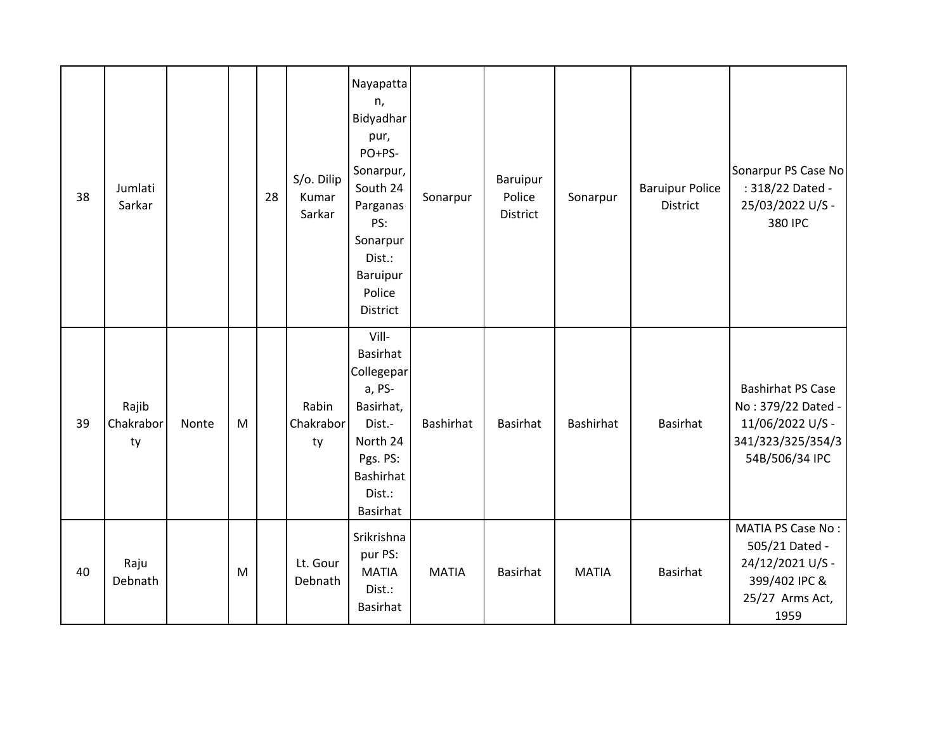| 38 | Jumlati<br>Sarkar        |       |   | 28 | S/o. Dilip<br>Kumar<br>Sarkar | Nayapatta<br>n,<br>Bidyadhar<br>pur,<br>PO+PS-<br>Sonarpur,<br>South 24<br>Parganas<br>PS:<br>Sonarpur<br>Dist.:<br><b>Baruipur</b><br>Police<br>District | Sonarpur     | Baruipur<br>Police<br>District | Sonarpur         | <b>Baruipur Police</b><br><b>District</b> | Sonarpur PS Case No<br>: 318/22 Dated -<br>25/03/2022 U/S -<br>380 IPC                                    |
|----|--------------------------|-------|---|----|-------------------------------|-----------------------------------------------------------------------------------------------------------------------------------------------------------|--------------|--------------------------------|------------------|-------------------------------------------|-----------------------------------------------------------------------------------------------------------|
| 39 | Rajib<br>Chakrabor<br>ty | Nonte | M |    | Rabin<br>Chakrabor<br>ty      | Vill-<br>Basirhat<br>Collegepar<br>a, PS-<br>Basirhat,<br>Dist.-<br>North 24<br>Pgs. PS:<br><b>Bashirhat</b><br>Dist.:<br>Basirhat                        | Bashirhat    | <b>Basirhat</b>                | <b>Bashirhat</b> | <b>Basirhat</b>                           | <b>Bashirhat PS Case</b><br>No: 379/22 Dated -<br>11/06/2022 U/S -<br>341/323/325/354/3<br>54B/506/34 IPC |
| 40 | Raju<br>Debnath          |       | M |    | Lt. Gour<br>Debnath           | Srikrishna<br>pur PS:<br><b>MATIA</b><br>Dist.:<br>Basirhat                                                                                               | <b>MATIA</b> | <b>Basirhat</b>                | <b>MATIA</b>     | <b>Basirhat</b>                           | MATIA PS Case No:<br>505/21 Dated -<br>24/12/2021 U/S -<br>399/402 IPC &<br>25/27 Arms Act,<br>1959       |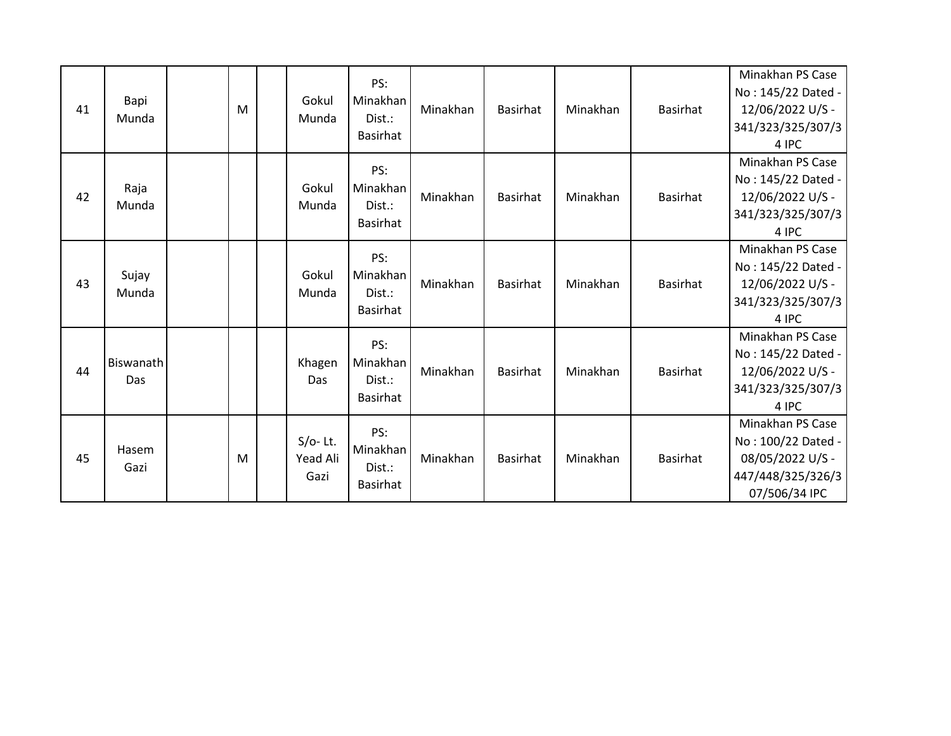| 41 | Bapi<br>Munda     | M | Gokul<br>Munda                 | PS:<br>Minakhan<br>Dist.:<br><b>Basirhat</b> | Minakhan | <b>Basirhat</b> | Minakhan | Basirhat        | Minakhan PS Case<br>No: 145/22 Dated -<br>12/06/2022 U/S -<br>341/323/325/307/3<br>4 IPC         |
|----|-------------------|---|--------------------------------|----------------------------------------------|----------|-----------------|----------|-----------------|--------------------------------------------------------------------------------------------------|
| 42 | Raja<br>Munda     |   | Gokul<br>Munda                 | PS:<br>Minakhan<br>Dist.:<br><b>Basirhat</b> | Minakhan | <b>Basirhat</b> | Minakhan | Basirhat        | Minakhan PS Case<br>No: 145/22 Dated -<br>12/06/2022 U/S -<br>341/323/325/307/3<br>4 IPC         |
| 43 | Sujay<br>Munda    |   | Gokul<br>Munda                 | PS:<br>Minakhan<br>Dist.:<br><b>Basirhat</b> | Minakhan | <b>Basirhat</b> | Minakhan | Basirhat        | Minakhan PS Case<br>No: 145/22 Dated -<br>12/06/2022 U/S -<br>341/323/325/307/3<br>4 IPC         |
| 44 | Biswanath<br>Das. |   | Khagen<br>Das                  | PS:<br>Minakhan<br>Dist.:<br><b>Basirhat</b> | Minakhan | <b>Basirhat</b> | Minakhan | <b>Basirhat</b> | Minakhan PS Case<br>No: 145/22 Dated -<br>12/06/2022 U/S -<br>341/323/325/307/3<br>4 IPC         |
| 45 | Hasem<br>Gazi     | M | $S/O-$ Lt.<br>Yead Ali<br>Gazi | PS:<br>Minakhan<br>Dist.:<br><b>Basirhat</b> | Minakhan | <b>Basirhat</b> | Minakhan | Basirhat        | Minakhan PS Case<br>No: 100/22 Dated -<br>08/05/2022 U/S -<br>447/448/325/326/3<br>07/506/34 IPC |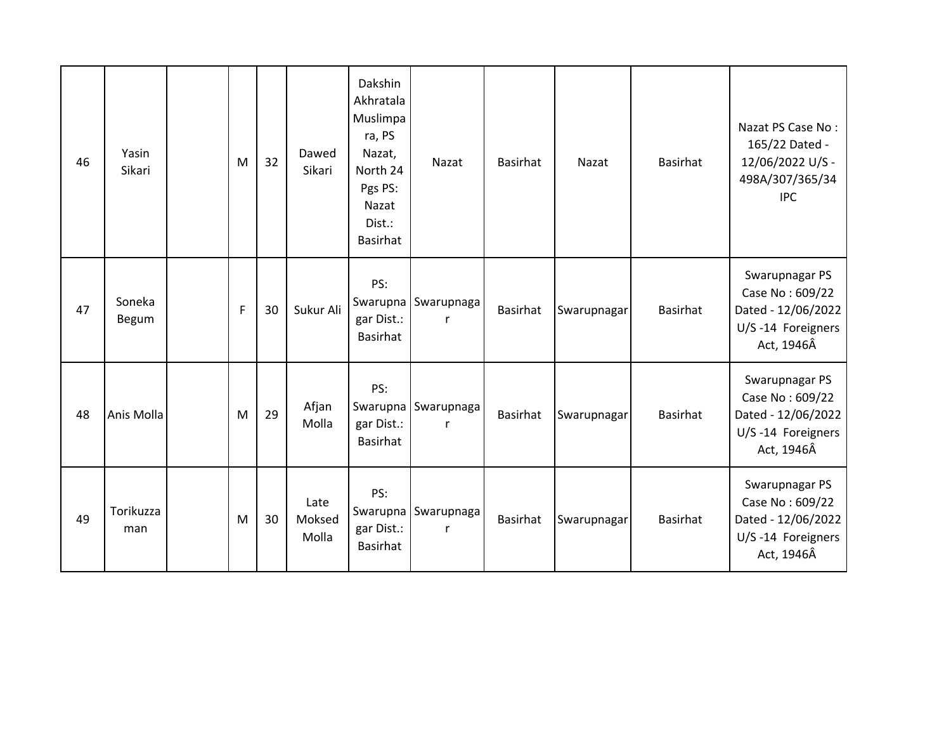| 46 | Yasin<br>Sikari  | M | 32 | Dawed<br>Sikari         | Dakshin<br>Akhratala<br>Muslimpa<br>ra, PS<br>Nazat,<br>North 24<br>Pgs PS:<br>Nazat<br>Dist.:<br>Basirhat | Nazat                               | <b>Basirhat</b> | Nazat       | <b>Basirhat</b> | Nazat PS Case No:<br>165/22 Dated -<br>12/06/2022 U/S -<br>498A/307/365/34<br><b>IPC</b>   |
|----|------------------|---|----|-------------------------|------------------------------------------------------------------------------------------------------------|-------------------------------------|-----------------|-------------|-----------------|--------------------------------------------------------------------------------------------|
| 47 | Soneka<br>Begum  | F | 30 | Sukur Ali               | PS:<br>gar Dist.:<br>Basirhat                                                                              | Swarupna Swarupnaga<br>$\mathsf{r}$ | <b>Basirhat</b> | Swarupnagar | Basirhat        | Swarupnagar PS<br>Case No: 609/22<br>Dated - 12/06/2022<br>U/S-14 Foreigners<br>Act, 1946Â |
| 48 | Anis Molla       | M | 29 | Afjan<br>Molla          | PS:<br>gar Dist.:<br>Basirhat                                                                              | Swarupna Swarupnaga<br>r            | <b>Basirhat</b> | Swarupnagar | Basirhat        | Swarupnagar PS<br>Case No: 609/22<br>Dated - 12/06/2022<br>U/S-14 Foreigners<br>Act, 1946Â |
| 49 | Torikuzza<br>man | M | 30 | Late<br>Moksed<br>Molla | PS:<br>gar Dist.:<br>Basirhat                                                                              | Swarupna Swarupnaga<br>r            | <b>Basirhat</b> | Swarupnagar | Basirhat        | Swarupnagar PS<br>Case No: 609/22<br>Dated - 12/06/2022<br>U/S-14 Foreigners<br>Act, 1946Â |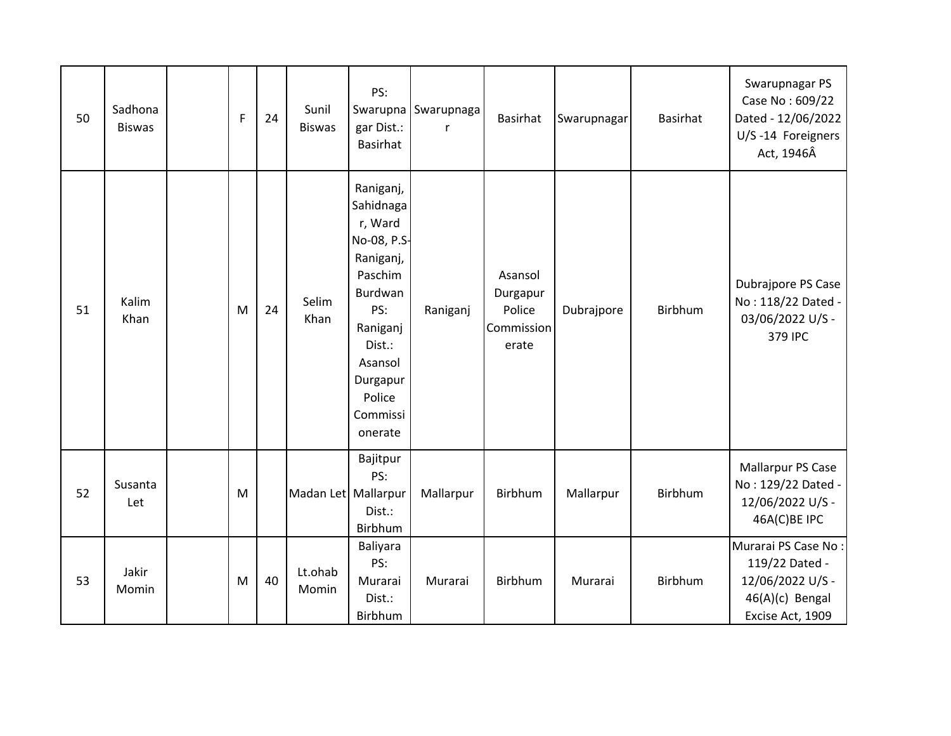| 50 | Sadhona<br><b>Biswas</b> | F | 24 | Sunil<br><b>Biswas</b> | PS:<br>gar Dist.:<br>Basirhat                                                                                                                                            | Swarupna Swarupnaga<br>r | <b>Basirhat</b>                                      | Swarupnagar | <b>Basirhat</b> | Swarupnagar PS<br>Case No: 609/22<br>Dated - 12/06/2022<br>U/S-14 Foreigners<br>Act, 1946Â       |
|----|--------------------------|---|----|------------------------|--------------------------------------------------------------------------------------------------------------------------------------------------------------------------|--------------------------|------------------------------------------------------|-------------|-----------------|--------------------------------------------------------------------------------------------------|
| 51 | Kalim<br>Khan            | M | 24 | Selim<br>Khan          | Raniganj,<br>Sahidnaga<br>r, Ward<br>No-08, P.S-<br>Raniganj,<br>Paschim<br>Burdwan<br>PS:<br>Raniganj<br>Dist.:<br>Asansol<br>Durgapur<br>Police<br>Commissi<br>onerate | Raniganj                 | Asansol<br>Durgapur<br>Police<br>Commission<br>erate | Dubrajpore  | Birbhum         | Dubrajpore PS Case<br>No: 118/22 Dated -<br>03/06/2022 U/S -<br>379 IPC                          |
| 52 | Susanta<br>Let           | M |    | Madan Let Mallarpur    | Bajitpur<br>PS:<br>Dist.:<br>Birbhum                                                                                                                                     | Mallarpur                | Birbhum                                              | Mallarpur   | Birbhum         | Mallarpur PS Case<br>No: 129/22 Dated -<br>12/06/2022 U/S -<br>46A(C)BE IPC                      |
| 53 | Jakir<br>Momin           | M | 40 | Lt.ohab<br>Momin       | Baliyara<br>PS:<br>Murarai<br>Dist.:<br>Birbhum                                                                                                                          | Murarai                  | Birbhum                                              | Murarai     | Birbhum         | Murarai PS Case No:<br>119/22 Dated -<br>12/06/2022 U/S -<br>46(A)(c) Bengal<br>Excise Act, 1909 |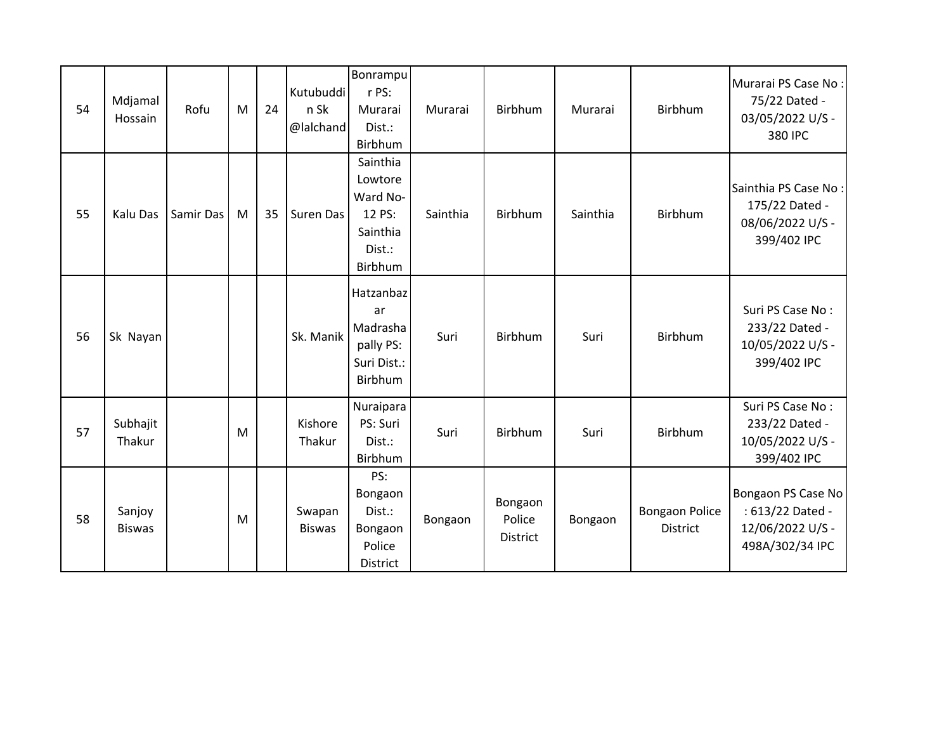| 54 | Mdjamal<br>Hossain      | Rofu      | M | 24 | Kutubuddi<br>n Sk<br>@lalchand | Bonrampu<br>r PS:<br>Murarai<br>Dist.:<br>Birbhum                          | Murarai  | Birbhum                       | Murarai  | <b>Birbhum</b>                           | Murarai PS Case No:<br>75/22 Dated -<br>03/05/2022 U/S -<br>380 IPC           |
|----|-------------------------|-----------|---|----|--------------------------------|----------------------------------------------------------------------------|----------|-------------------------------|----------|------------------------------------------|-------------------------------------------------------------------------------|
| 55 | Kalu Das                | Samir Das | M | 35 | Suren Das                      | Sainthia<br>Lowtore<br>Ward No-<br>12 PS:<br>Sainthia<br>Dist.:<br>Birbhum | Sainthia | Birbhum                       | Sainthia | Birbhum                                  | Sainthia PS Case No:<br>175/22 Dated -<br>08/06/2022 U/S -<br>399/402 IPC     |
| 56 | Sk Nayan                |           |   |    | Sk. Manik                      | Hatzanbaz<br>ar<br>Madrasha<br>pally PS:<br>Suri Dist.:<br>Birbhum         | Suri     | Birbhum                       | Suri     | <b>Birbhum</b>                           | Suri PS Case No:<br>233/22 Dated -<br>10/05/2022 U/S -<br>399/402 IPC         |
| 57 | Subhajit<br>Thakur      |           | M |    | Kishore<br>Thakur              | Nuraipara<br>PS: Suri<br>Dist.:<br>Birbhum                                 | Suri     | Birbhum                       | Suri     | Birbhum                                  | Suri PS Case No:<br>233/22 Dated -<br>10/05/2022 U/S -<br>399/402 IPC         |
| 58 | Sanjoy<br><b>Biswas</b> |           | M |    | Swapan<br><b>Biswas</b>        | PS:<br>Bongaon<br>Dist.:<br>Bongaon<br>Police<br>District                  | Bongaon  | Bongaon<br>Police<br>District | Bongaon  | <b>Bongaon Police</b><br><b>District</b> | Bongaon PS Case No<br>: 613/22 Dated -<br>12/06/2022 U/S -<br>498A/302/34 IPC |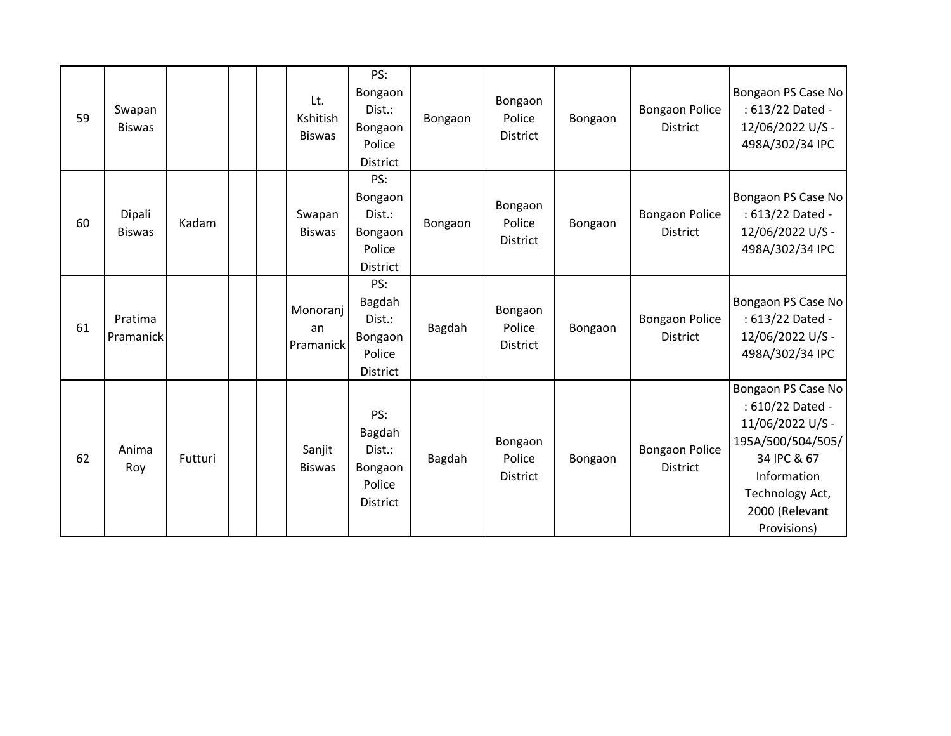| 59 | Swapan<br><b>Biswas</b> |         | Lt.<br>Kshitish<br><b>Biswas</b> | PS:<br>Bongaon<br>Dist.:<br>Bongaon<br>Police<br><b>District</b> | Bongaon | Bongaon<br>Police<br><b>District</b> | Bongaon | <b>Bongaon Police</b><br><b>District</b> | Bongaon PS Case No<br>: 613/22 Dated -<br>12/06/2022 U/S -<br>498A/302/34 IPC                                                                                     |
|----|-------------------------|---------|----------------------------------|------------------------------------------------------------------|---------|--------------------------------------|---------|------------------------------------------|-------------------------------------------------------------------------------------------------------------------------------------------------------------------|
| 60 | Dipali<br><b>Biswas</b> | Kadam   | Swapan<br><b>Biswas</b>          | PS:<br>Bongaon<br>Dist.:<br>Bongaon<br>Police<br>District        | Bongaon | Bongaon<br>Police<br>District        | Bongaon | <b>Bongaon Police</b><br>District        | Bongaon PS Case No<br>: 613/22 Dated -<br>12/06/2022 U/S -<br>498A/302/34 IPC                                                                                     |
| 61 | Pratima<br>Pramanick    |         | Monoranj<br>an<br>Pramanick      | PS:<br>Bagdah<br>Dist.:<br>Bongaon<br>Police<br>District         | Bagdah  | Bongaon<br>Police<br>District        | Bongaon | <b>Bongaon Police</b><br><b>District</b> | Bongaon PS Case No<br>: 613/22 Dated -<br>12/06/2022 U/S -<br>498A/302/34 IPC                                                                                     |
| 62 | Anima<br>Roy            | Futturi | Sanjit<br><b>Biswas</b>          | PS:<br>Bagdah<br>Dist.:<br>Bongaon<br>Police<br>District         | Bagdah  | Bongaon<br>Police<br><b>District</b> | Bongaon | <b>Bongaon Police</b><br><b>District</b> | Bongaon PS Case No<br>: 610/22 Dated -<br>11/06/2022 U/S -<br>195A/500/504/505/<br>34 IPC & 67<br>Information<br>Technology Act,<br>2000 (Relevant<br>Provisions) |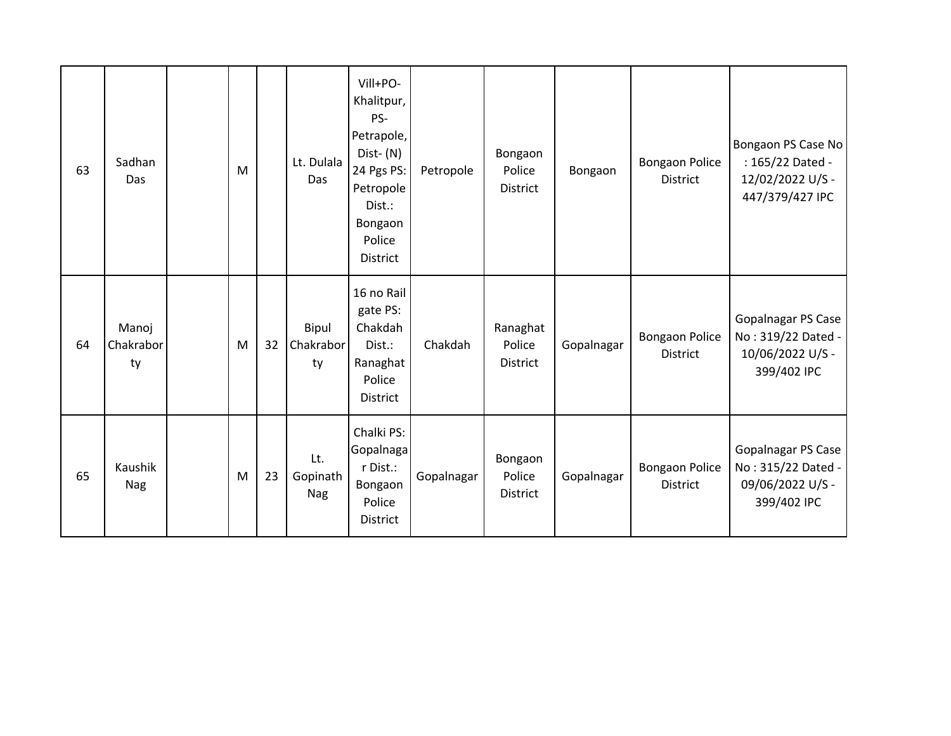| 63 | Sadhan<br>Das            | M |    | Lt. Dulala<br>Das             | Vill+PO-<br>Khalitpur,<br>PS-<br>Petrapole,<br>Dist-(N)<br>24 Pgs PS:<br>Petropole<br>Dist.:<br>Bongaon<br>Police<br><b>District</b> | Petropole  | Bongaon<br>Police<br>District         | Bongaon    | <b>Bongaon Police</b><br>District | Bongaon PS Case No<br>: 165/22 Dated -<br>12/02/2022 U/S -<br>447/379/427 IPC |
|----|--------------------------|---|----|-------------------------------|--------------------------------------------------------------------------------------------------------------------------------------|------------|---------------------------------------|------------|-----------------------------------|-------------------------------------------------------------------------------|
| 64 | Manoj<br>Chakrabor<br>ty | M | 32 | Bipul<br>Chakrabor<br>ty      | 16 no Rail<br>gate PS:<br>Chakdah<br>Dist.:<br>Ranaghat<br>Police<br>District                                                        | Chakdah    | Ranaghat<br>Police<br><b>District</b> | Gopalnagar | <b>Bongaon Police</b><br>District | Gopalnagar PS Case<br>No: 319/22 Dated -<br>10/06/2022 U/S -<br>399/402 IPC   |
| 65 | Kaushik<br><b>Nag</b>    | M | 23 | Lt.<br>Gopinath<br><b>Nag</b> | Chalki PS:<br>Gopalnaga<br>r Dist.:<br>Bongaon<br>Police<br><b>District</b>                                                          | Gopalnagar | Bongaon<br>Police<br>District         | Gopalnagar | <b>Bongaon Police</b><br>District | Gopalnagar PS Case<br>No: 315/22 Dated -<br>09/06/2022 U/S -<br>399/402 IPC   |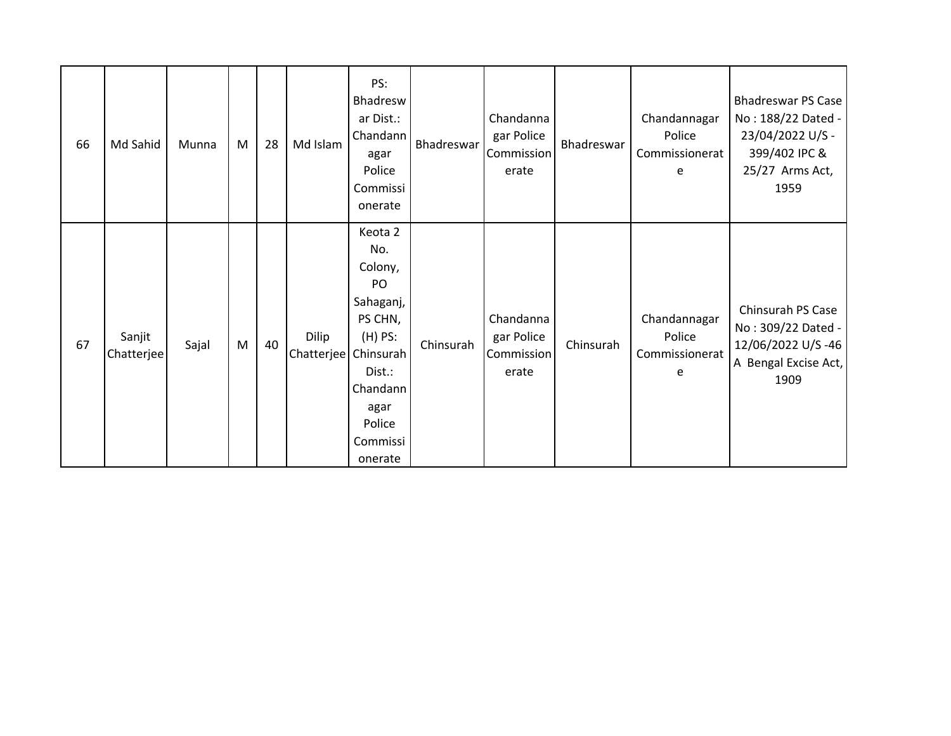| 66 | Md Sahid             | Munna | M | 28 | Md Islam            | PS:<br>Bhadresw<br>ar Dist.:<br>Chandann<br>agar<br>Police<br>Commissi<br>onerate                                                                | Bhadreswar | Chandanna<br>gar Police<br>Commission<br>erate | Bhadreswar | Chandannagar<br>Police<br>Commissionerat<br>e | Bhadreswar PS Case<br>No: 188/22 Dated -<br>23/04/2022 U/S -<br>399/402 IPC &<br>25/27 Arms Act,<br>1959 |
|----|----------------------|-------|---|----|---------------------|--------------------------------------------------------------------------------------------------------------------------------------------------|------------|------------------------------------------------|------------|-----------------------------------------------|----------------------------------------------------------------------------------------------------------|
| 67 | Sanjit<br>Chatterjee | Sajal | M | 40 | Dilip<br>Chatterjee | Keota 2<br>No.<br>Colony,<br>PO<br>Sahaganj,<br>PS CHN,<br>$(H)$ PS:<br>Chinsurah<br>Dist.:<br>Chandann<br>agar<br>Police<br>Commissi<br>onerate | Chinsurah  | Chandanna<br>gar Police<br>Commission<br>erate | Chinsurah  | Chandannagar<br>Police<br>Commissionerat<br>e | Chinsurah PS Case<br>No: 309/22 Dated -<br>12/06/2022 U/S-46<br>A Bengal Excise Act,<br>1909             |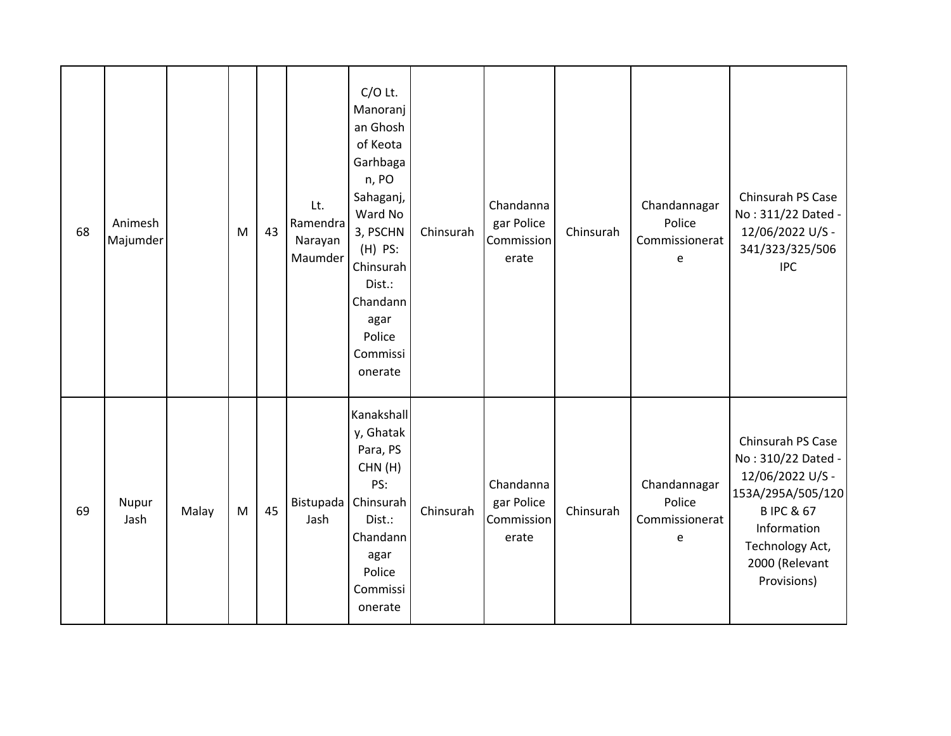| 68 | Animesh<br>Majumder |       | M | 43 | Lt.<br>Ramendra<br>Narayan<br>Maumder | $C/O$ Lt.<br>Manoranj<br>an Ghosh<br>of Keota<br>Garhbaga<br>n, PO<br>Sahaganj,<br>Ward No<br>3, PSCHN<br>$(H)$ PS:<br>Chinsurah<br>Dist.:<br>Chandann<br>agar<br>Police<br>Commissi<br>onerate | Chinsurah | Chandanna<br>gar Police<br>Commission<br>erate | Chinsurah | Chandannagar<br>Police<br>Commissionerat<br>e | Chinsurah PS Case<br>No: 311/22 Dated -<br>12/06/2022 U/S -<br>341/323/325/506<br><b>IPC</b>                                                                                |
|----|---------------------|-------|---|----|---------------------------------------|-------------------------------------------------------------------------------------------------------------------------------------------------------------------------------------------------|-----------|------------------------------------------------|-----------|-----------------------------------------------|-----------------------------------------------------------------------------------------------------------------------------------------------------------------------------|
| 69 | Nupur<br>Jash       | Malay | M | 45 | Bistupada<br>Jash                     | Kanakshall<br>y, Ghatak<br>Para, PS<br>CHN(H)<br>PS:<br>Chinsurah<br>Dist.:<br>Chandann<br>agar<br>Police<br>Commissi<br>onerate                                                                | Chinsurah | Chandanna<br>gar Police<br>Commission<br>erate | Chinsurah | Chandannagar<br>Police<br>Commissionerat<br>e | Chinsurah PS Case<br>No: 310/22 Dated -<br>12/06/2022 U/S -<br>153A/295A/505/120<br><b>BIPC &amp; 67</b><br>Information<br>Technology Act,<br>2000 (Relevant<br>Provisions) |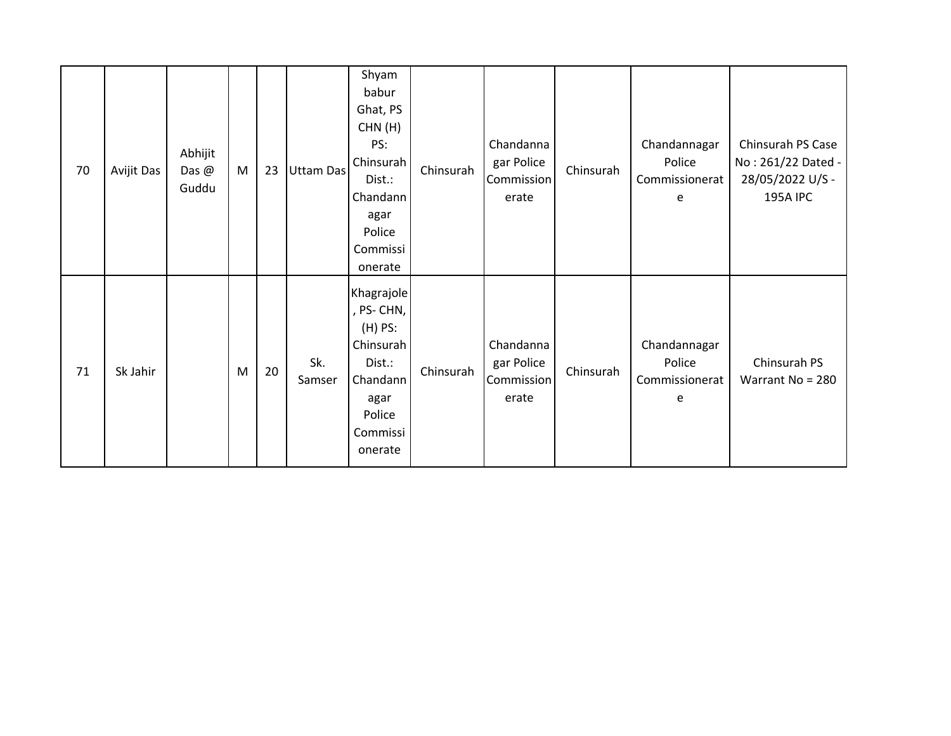| 70 | Avijit Das | Abhijit<br>Das $@$<br>Guddu | M | 23 | Uttam Das     | Shyam<br>babur<br>Ghat, PS<br>CHN(H)<br>PS:<br>Chinsurah<br>Dist.:<br>Chandann<br>agar<br>Police<br>Commissi<br>onerate | Chinsurah | Chandanna<br>gar Police<br>Commission<br>erate | Chinsurah | Chandannagar<br>Police<br>Commissionerat<br>e | Chinsurah PS Case<br>No: 261/22 Dated -<br>28/05/2022 U/S -<br><b>195A IPC</b> |
|----|------------|-----------------------------|---|----|---------------|-------------------------------------------------------------------------------------------------------------------------|-----------|------------------------------------------------|-----------|-----------------------------------------------|--------------------------------------------------------------------------------|
| 71 | Sk Jahir   |                             | M | 20 | Sk.<br>Samser | Khagrajole<br>, PS-CHN,<br>$(H)$ PS:<br>Chinsurah<br>Dist.:<br>Chandann<br>agar<br>Police<br>Commissi<br>onerate        | Chinsurah | Chandanna<br>gar Police<br>Commission<br>erate | Chinsurah | Chandannagar<br>Police<br>Commissionerat<br>e | Chinsurah PS<br>Warrant No = 280                                               |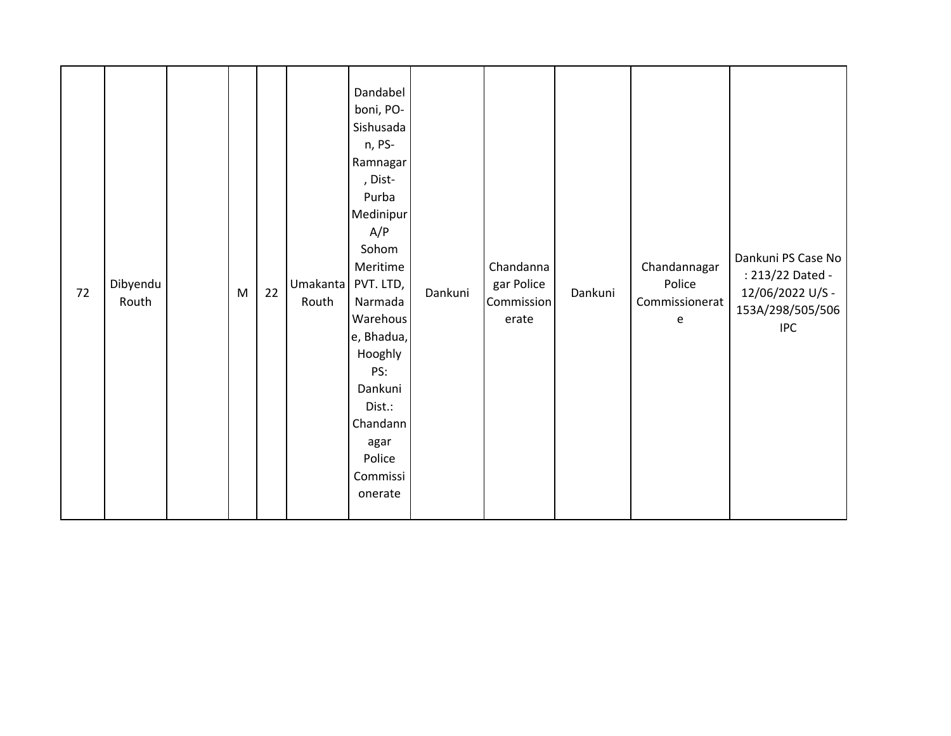| 72 | Dibyendu<br>Routh |  | ${\sf M}$ | 22 | Umakanta<br>Routh | Dandabel<br>boni, PO-<br>Sishusada<br>n, PS-<br>Ramnagar<br>, Dist-<br>Purba<br>Medinipur<br>A/P<br>Sohom<br>Meritime<br>PVT. LTD,<br>Narmada<br>Warehous<br>e, Bhadua,<br>Hooghly<br>PS:<br>Dankuni<br>Dist.:<br>Chandann<br>agar<br>Police<br>Commissi<br>onerate | Dankuni | Chandanna<br>gar Police<br>Commission<br>erate | Dankuni | Chandannagar<br>Police<br>Commissionerat<br>e | Dankuni PS Case No<br>: 213/22 Dated -<br>12/06/2022 U/S -<br>153A/298/505/506<br><b>IPC</b> |
|----|-------------------|--|-----------|----|-------------------|---------------------------------------------------------------------------------------------------------------------------------------------------------------------------------------------------------------------------------------------------------------------|---------|------------------------------------------------|---------|-----------------------------------------------|----------------------------------------------------------------------------------------------|
|----|-------------------|--|-----------|----|-------------------|---------------------------------------------------------------------------------------------------------------------------------------------------------------------------------------------------------------------------------------------------------------------|---------|------------------------------------------------|---------|-----------------------------------------------|----------------------------------------------------------------------------------------------|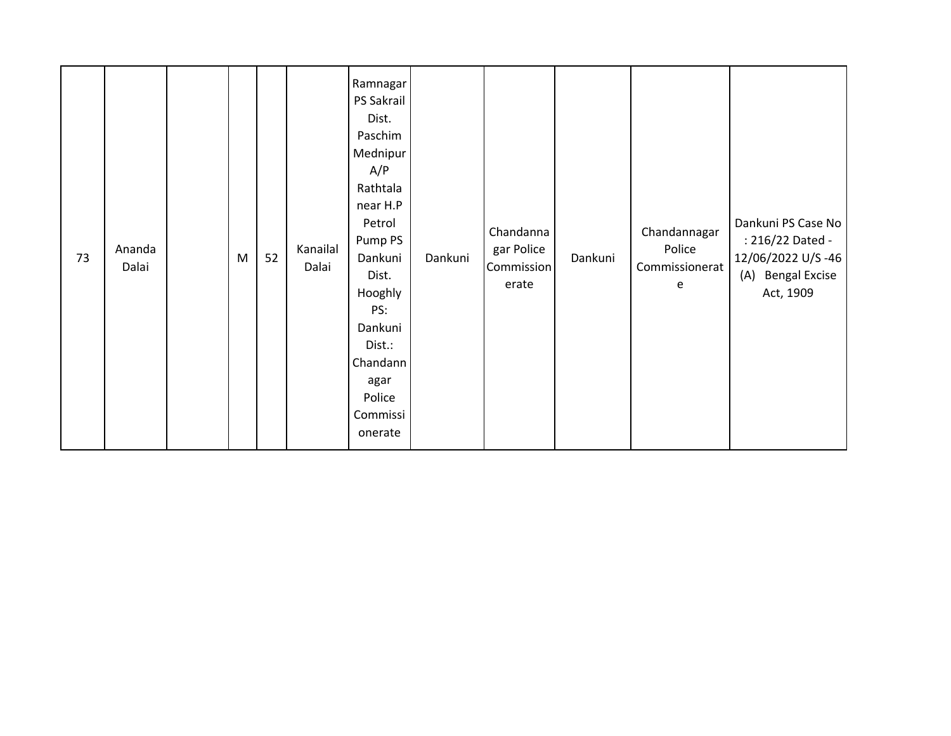| 73 | Ananda<br>Dalai |  | $\mathsf{M}% _{T}=\mathsf{M}_{T}\!\left( a,b\right) ,\ \mathsf{M}_{T}=\mathsf{M}_{T}\!\left( a,b\right) ,$ | 52 | Kanailal<br>Dalai | Ramnagar<br>PS Sakrail<br>Dist.<br>Paschim<br>Mednipur<br>A/P<br>Rathtala<br>near H.P<br>Petrol<br>Pump PS<br>Dankuni<br>Dist.<br>Hooghly<br>PS:<br>Dankuni<br>Dist.:<br>Chandann<br>agar<br>Police<br>Commissi<br>onerate | Dankuni | Chandanna<br>gar Police<br>Commission<br>erate | Dankuni | Chandannagar<br>Police<br>Commissionerat<br>e | Dankuni PS Case No<br>: 216/22 Dated -<br>12/06/2022 U/S-46<br><b>Bengal Excise</b><br>(A)<br>Act, 1909 |
|----|-----------------|--|------------------------------------------------------------------------------------------------------------|----|-------------------|----------------------------------------------------------------------------------------------------------------------------------------------------------------------------------------------------------------------------|---------|------------------------------------------------|---------|-----------------------------------------------|---------------------------------------------------------------------------------------------------------|
|----|-----------------|--|------------------------------------------------------------------------------------------------------------|----|-------------------|----------------------------------------------------------------------------------------------------------------------------------------------------------------------------------------------------------------------------|---------|------------------------------------------------|---------|-----------------------------------------------|---------------------------------------------------------------------------------------------------------|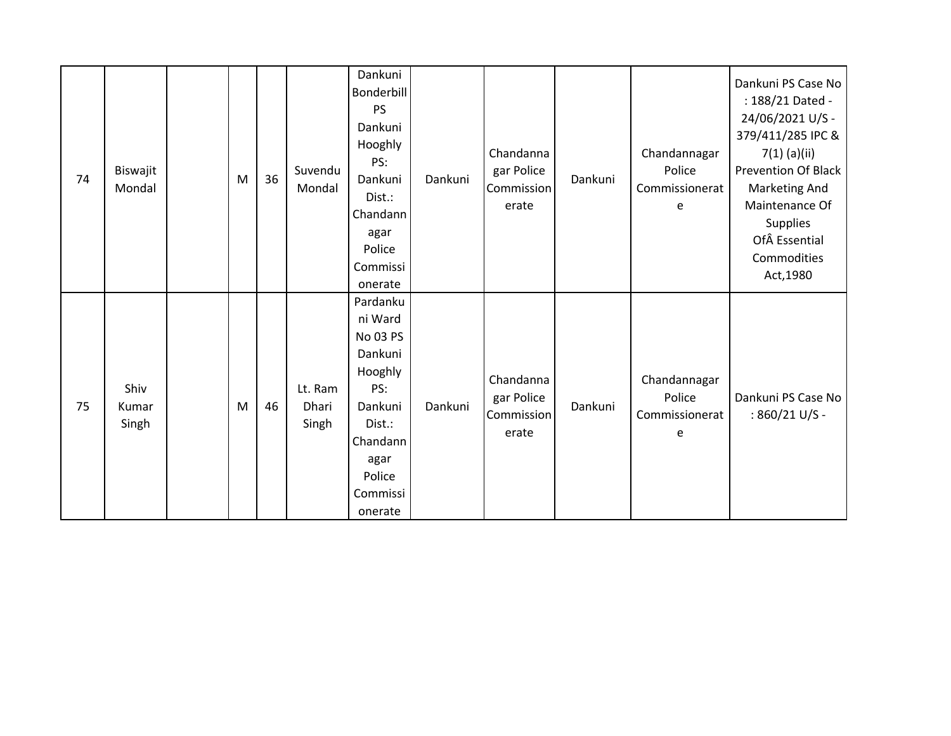| 74 | Biswajit<br>Mondal     | M | 36 | Suvendu<br>Mondal         | Dankuni<br>Bonderbill<br><b>PS</b><br>Dankuni<br>Hooghly<br>PS:<br>Dankuni<br>Dist.:<br>Chandann<br>agar<br>Police<br>Commissi<br>onerate | Dankuni | Chandanna<br>gar Police<br>Commission<br>erate | Dankuni | Chandannagar<br>Police<br>Commissionerat<br>e | Dankuni PS Case No<br>: 188/21 Dated -<br>24/06/2021 U/S -<br>379/411/285 IPC &<br>$7(1)$ (a)(ii)<br><b>Prevention Of Black</b><br><b>Marketing And</b><br>Maintenance Of<br><b>Supplies</b><br>Of Essential<br>Commodities<br>Act, 1980 |
|----|------------------------|---|----|---------------------------|-------------------------------------------------------------------------------------------------------------------------------------------|---------|------------------------------------------------|---------|-----------------------------------------------|------------------------------------------------------------------------------------------------------------------------------------------------------------------------------------------------------------------------------------------|
| 75 | Shiv<br>Kumar<br>Singh | M | 46 | Lt. Ram<br>Dhari<br>Singh | Pardanku<br>ni Ward<br>No 03 PS<br>Dankuni<br>Hooghly<br>PS:<br>Dankuni<br>Dist.:<br>Chandann<br>agar<br>Police<br>Commissi<br>onerate    | Dankuni | Chandanna<br>gar Police<br>Commission<br>erate | Dankuni | Chandannagar<br>Police<br>Commissionerat<br>e | Dankuni PS Case No<br>: 860/21 U/S -                                                                                                                                                                                                     |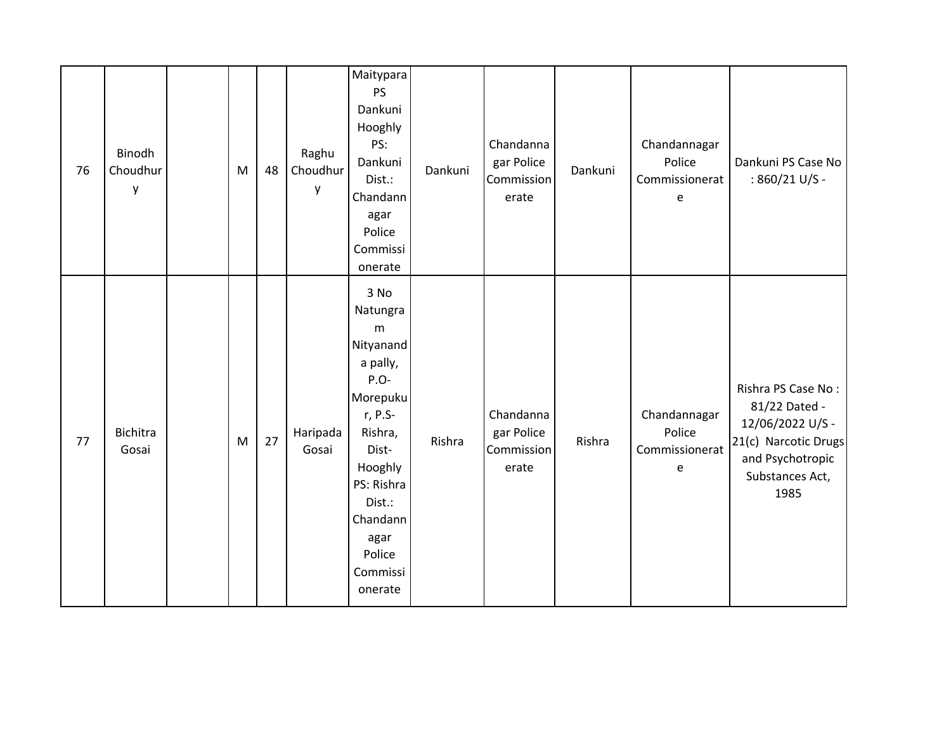| 76 | Binodh<br>Choudhur<br>у | M | 48 | Raghu<br>Choudhur<br>у | Maitypara<br><b>PS</b><br>Dankuni<br>Hooghly<br>PS:<br>Dankuni<br>Dist.:<br>Chandann<br>agar<br>Police<br>Commissi<br>onerate                                                                     | Dankuni | Chandanna<br>gar Police<br>Commission<br>erate | Dankuni | Chandannagar<br>Police<br>Commissionerat<br>e | Dankuni PS Case No<br>: 860/21 U/S -                                                                                           |
|----|-------------------------|---|----|------------------------|---------------------------------------------------------------------------------------------------------------------------------------------------------------------------------------------------|---------|------------------------------------------------|---------|-----------------------------------------------|--------------------------------------------------------------------------------------------------------------------------------|
| 77 | Bichitra<br>Gosai       | M | 27 | Haripada<br>Gosai      | 3 No<br>Natungra<br>${\sf m}$<br>Nityanand<br>a pally,<br>P.O-<br>Morepuku<br>r, P.S-<br>Rishra,<br>Dist-<br>Hooghly<br>PS: Rishra<br>Dist.:<br>Chandann<br>agar<br>Police<br>Commissi<br>onerate | Rishra  | Chandanna<br>gar Police<br>Commission<br>erate | Rishra  | Chandannagar<br>Police<br>Commissionerat<br>e | Rishra PS Case No:<br>81/22 Dated -<br>12/06/2022 U/S -<br>21(c) Narcotic Drugs<br>and Psychotropic<br>Substances Act,<br>1985 |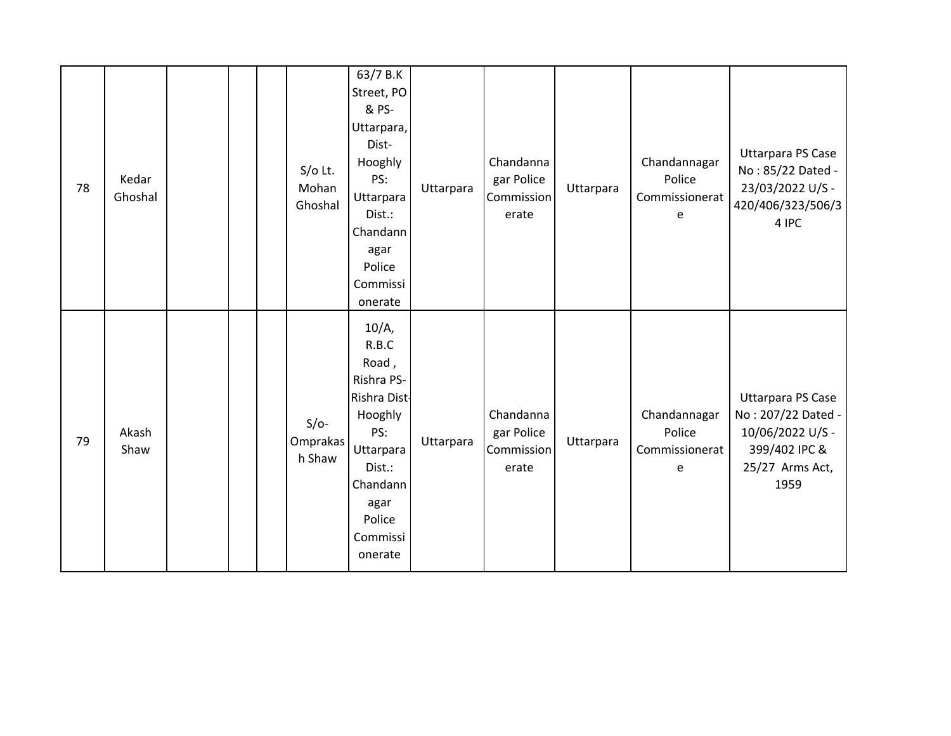| 78 | Kedar<br>Ghoshal |  | $S/O$ Lt.<br>Mohan<br>Ghoshal | 63/7 B.K<br>Street, PO<br>& PS-<br>Uttarpara,<br>Dist-<br>Hooghly<br>PS:<br>Uttarpara<br>Dist.:<br>Chandann<br>agar<br>Police<br>Commissi<br>onerate   | Uttarpara | Chandanna<br>gar Police<br>Commission<br>erate | Uttarpara | Chandannagar<br>Police<br>Commissionerat<br>e | <b>Uttarpara PS Case</b><br>No: 85/22 Dated -<br>23/03/2022 U/S -<br>420/406/323/506/3<br>4 IPC                |
|----|------------------|--|-------------------------------|--------------------------------------------------------------------------------------------------------------------------------------------------------|-----------|------------------------------------------------|-----------|-----------------------------------------------|----------------------------------------------------------------------------------------------------------------|
| 79 | Akash<br>Shaw    |  | $S/O-$<br>Omprakas<br>h Shaw  | $10/A$ ,<br>R.B.C<br>Road,<br>Rishra PS-<br>Rishra Dist-<br>Hooghly<br>PS:<br>Uttarpara<br>Dist.:<br>Chandann<br>agar<br>Police<br>Commissi<br>onerate | Uttarpara | Chandanna<br>gar Police<br>Commission<br>erate | Uttarpara | Chandannagar<br>Police<br>Commissionerat<br>e | <b>Uttarpara PS Case</b><br>No: 207/22 Dated -<br>10/06/2022 U/S -<br>399/402 IPC &<br>25/27 Arms Act,<br>1959 |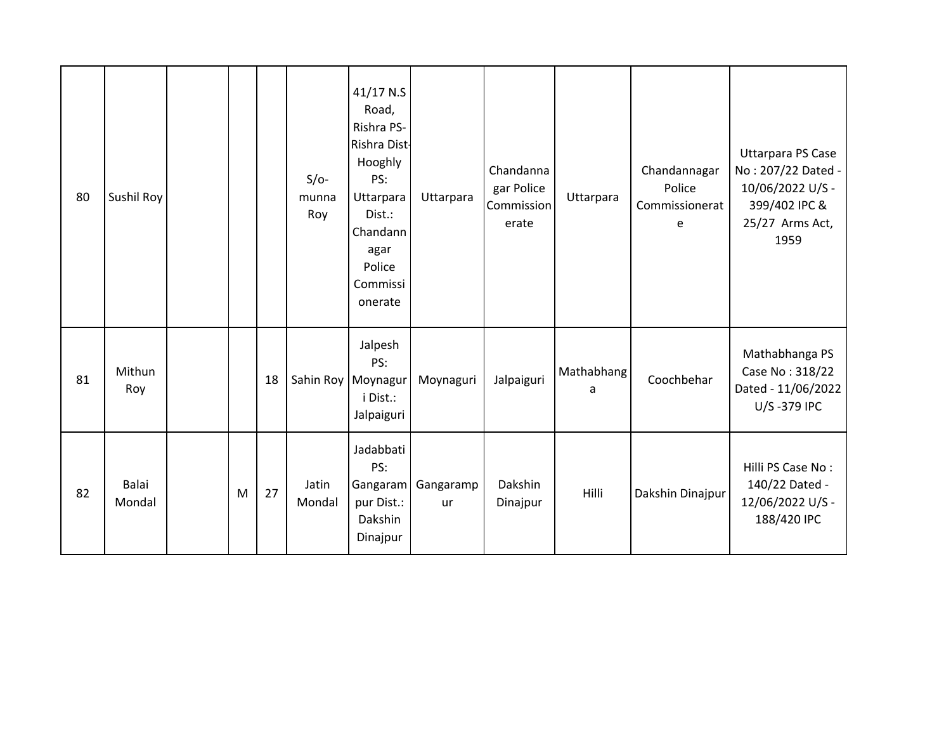| 80 | Sushil Roy      |   |    | $S/O-$<br>munna<br>Roy | $41/17$ N.S<br>Road,<br>Rishra PS-<br>Rishra Dist-<br>Hooghly<br>PS:<br>Uttarpara<br>Dist.:<br>Chandann<br>agar<br>Police<br>Commissi<br>onerate | Uttarpara              | Chandanna<br>gar Police<br>Commission<br>erate | Uttarpara       | Chandannagar<br>Police<br>Commissionerat<br>e | <b>Uttarpara PS Case</b><br>No: 207/22 Dated -<br>10/06/2022 U/S -<br>399/402 IPC &<br>25/27 Arms Act,<br>1959 |
|----|-----------------|---|----|------------------------|--------------------------------------------------------------------------------------------------------------------------------------------------|------------------------|------------------------------------------------|-----------------|-----------------------------------------------|----------------------------------------------------------------------------------------------------------------|
| 81 | Mithun<br>Roy   |   | 18 |                        | Jalpesh<br>PS:<br>Sahin Roy   Moynagur<br>i Dist.:<br>Jalpaiguri                                                                                 | Moynaguri              | Jalpaiguri                                     | Mathabhang<br>a | Coochbehar                                    | Mathabhanga PS<br>Case No: 318/22<br>Dated - 11/06/2022<br>U/S-379 IPC                                         |
| 82 | Balai<br>Mondal | M | 27 | Jatin<br>Mondal        | Jadabbati<br>PS:<br>Gangaram<br>pur Dist.:<br>Dakshin<br>Dinajpur                                                                                | Gangaramp<br><b>ur</b> | Dakshin<br>Dinajpur                            | Hilli           | Dakshin Dinajpur                              | Hilli PS Case No:<br>140/22 Dated -<br>12/06/2022 U/S -<br>188/420 IPC                                         |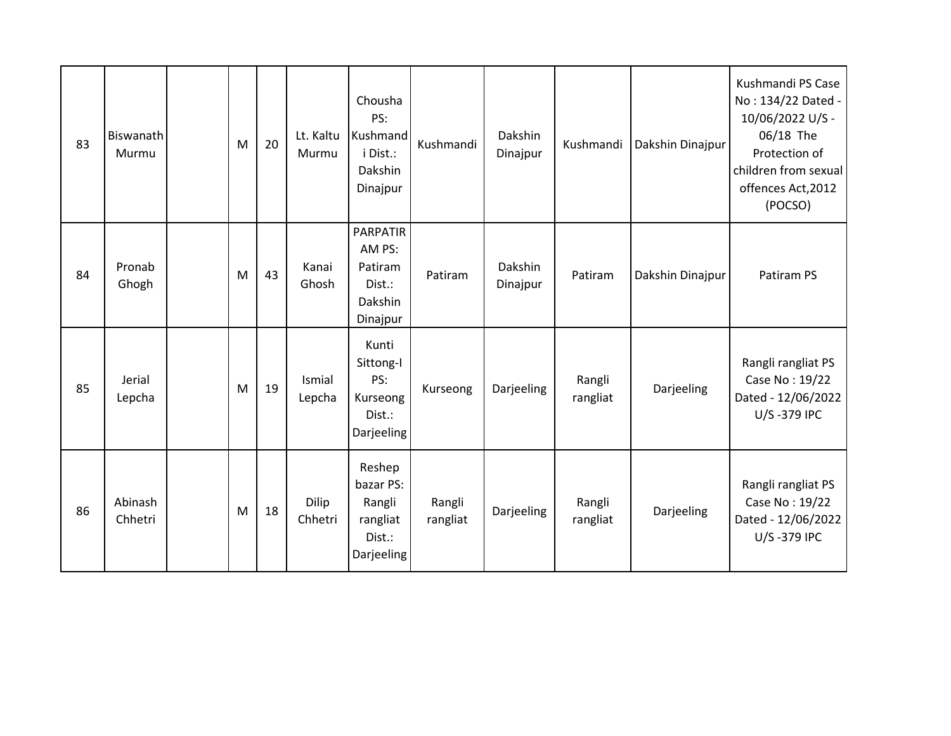| 83 | Biswanath<br>Murmu | M | 20 | Lt. Kaltu<br>Murmu | Chousha<br>PS:<br>Kushmand<br>i Dist.:<br>Dakshin<br>Dinajpur         | Kushmandi          | Dakshin<br>Dinajpur | Kushmandi          | Dakshin Dinajpur | Kushmandi PS Case<br>No: 134/22 Dated -<br>10/06/2022 U/S -<br>06/18 The<br>Protection of<br>children from sexual<br>offences Act, 2012<br>(POCSO) |
|----|--------------------|---|----|--------------------|-----------------------------------------------------------------------|--------------------|---------------------|--------------------|------------------|----------------------------------------------------------------------------------------------------------------------------------------------------|
| 84 | Pronab<br>Ghogh    | M | 43 | Kanai<br>Ghosh     | <b>PARPATIR</b><br>AM PS:<br>Patiram<br>Dist.:<br>Dakshin<br>Dinajpur | Patiram            | Dakshin<br>Dinajpur | Patiram            | Dakshin Dinajpur | Patiram PS                                                                                                                                         |
| 85 | Jerial<br>Lepcha   | M | 19 | Ismial<br>Lepcha   | Kunti<br>Sittong-I<br>PS:<br>Kurseong<br>Dist.:<br>Darjeeling         | Kurseong           | Darjeeling          | Rangli<br>rangliat | Darjeeling       | Rangli rangliat PS<br>Case No: 19/22<br>Dated - 12/06/2022<br>U/S-379 IPC                                                                          |
| 86 | Abinash<br>Chhetri | M | 18 | Dilip<br>Chhetri   | Reshep<br>bazar PS:<br>Rangli<br>rangliat<br>Dist.:<br>Darjeeling     | Rangli<br>rangliat | Darjeeling          | Rangli<br>rangliat | Darjeeling       | Rangli rangliat PS<br>Case No: 19/22<br>Dated - 12/06/2022<br>U/S-379 IPC                                                                          |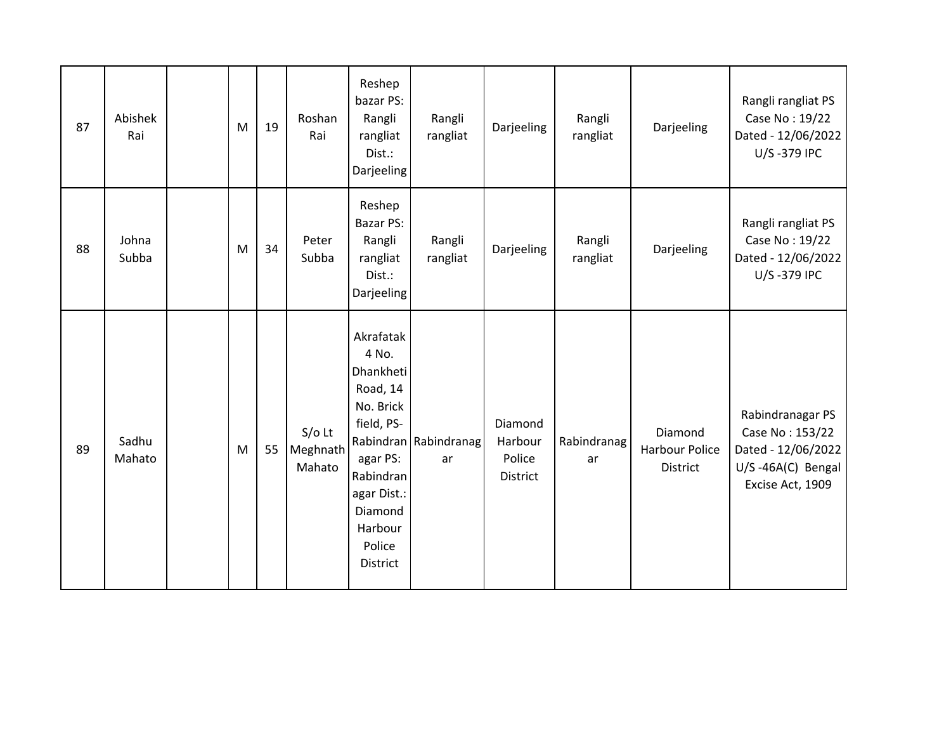| 87 | Abishek<br>Rai  | M | 19 | Roshan<br>Rai                  | Reshep<br>bazar PS:<br>Rangli<br>rangliat<br>Dist.:<br>Darjeeling                                                                                                 | Rangli<br>rangliat          | Darjeeling                               | Rangli<br>rangliat | Darjeeling                                   | Rangli rangliat PS<br>Case No: 19/22<br>Dated - 12/06/2022<br>U/S-379 IPC                          |
|----|-----------------|---|----|--------------------------------|-------------------------------------------------------------------------------------------------------------------------------------------------------------------|-----------------------------|------------------------------------------|--------------------|----------------------------------------------|----------------------------------------------------------------------------------------------------|
| 88 | Johna<br>Subba  | M | 34 | Peter<br>Subba                 | Reshep<br>Bazar PS:<br>Rangli<br>rangliat<br>Dist.:<br>Darjeeling                                                                                                 | Rangli<br>rangliat          | Darjeeling                               | Rangli<br>rangliat | Darjeeling                                   | Rangli rangliat PS<br>Case No: 19/22<br>Dated - 12/06/2022<br>U/S-379 IPC                          |
| 89 | Sadhu<br>Mahato | M | 55 | $S/O$ Lt<br>Meghnath<br>Mahato | Akrafatak<br>4 No.<br>Dhankheti<br>Road, 14<br>No. Brick<br>field, PS-<br>agar PS:<br>Rabindran<br>agar Dist.:<br>Diamond<br>Harbour<br>Police<br><b>District</b> | Rabindran Rabindranag<br>ar | Diamond<br>Harbour<br>Police<br>District | Rabindranag<br>ar  | Diamond<br>Harbour Police<br><b>District</b> | Rabindranagar PS<br>Case No: 153/22<br>Dated - 12/06/2022<br>U/S-46A(C) Bengal<br>Excise Act, 1909 |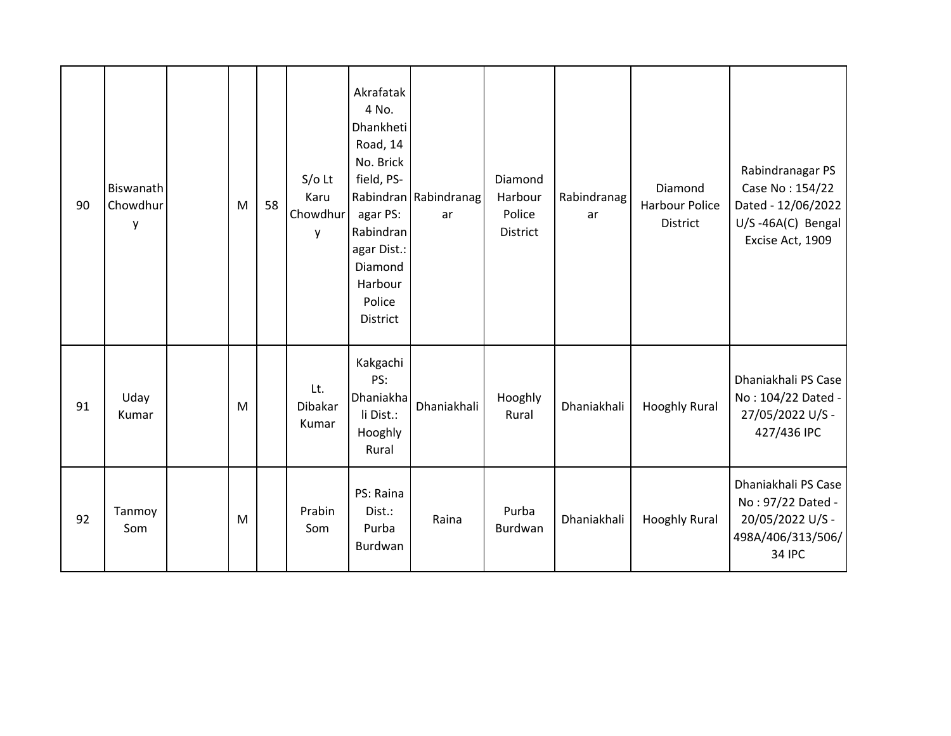| 90 | Biswanath<br>Chowdhur<br>у | M | 58 | $S/O$ Lt<br>Karu<br>Chowdhur<br>у | Akrafatak<br>4 No.<br>Dhankheti<br>Road, 14<br>No. Brick<br>field, PS-<br>agar PS:<br>Rabindran<br>agar Dist.:<br>Diamond<br>Harbour<br>Police<br>District | Rabindran Rabindranag<br>ar | Diamond<br>Harbour<br>Police<br>District | Rabindranag<br>ar | Diamond<br>Harbour Police<br><b>District</b> | Rabindranagar PS<br>Case No: 154/22<br>Dated - 12/06/2022<br>U/S-46A(C) Bengal<br>Excise Act, 1909 |
|----|----------------------------|---|----|-----------------------------------|------------------------------------------------------------------------------------------------------------------------------------------------------------|-----------------------------|------------------------------------------|-------------------|----------------------------------------------|----------------------------------------------------------------------------------------------------|
| 91 | Uday<br>Kumar              | M |    | Lt.<br><b>Dibakar</b><br>Kumar    | Kakgachi<br>PS:<br>Dhaniakha<br>li Dist.:<br>Hooghly<br>Rural                                                                                              | Dhaniakhali                 | Hooghly<br>Rural                         | Dhaniakhali       | <b>Hooghly Rural</b>                         | Dhaniakhali PS Case<br>No: 104/22 Dated -<br>27/05/2022 U/S -<br>427/436 IPC                       |
| 92 | Tanmoy<br>Som              | M |    | Prabin<br>Som                     | PS: Raina<br>Dist.:<br>Purba<br>Burdwan                                                                                                                    | Raina                       | Purba<br>Burdwan                         | Dhaniakhali       | <b>Hooghly Rural</b>                         | Dhaniakhali PS Case<br>No: 97/22 Dated -<br>20/05/2022 U/S -<br>498A/406/313/506/<br><b>34 IPC</b> |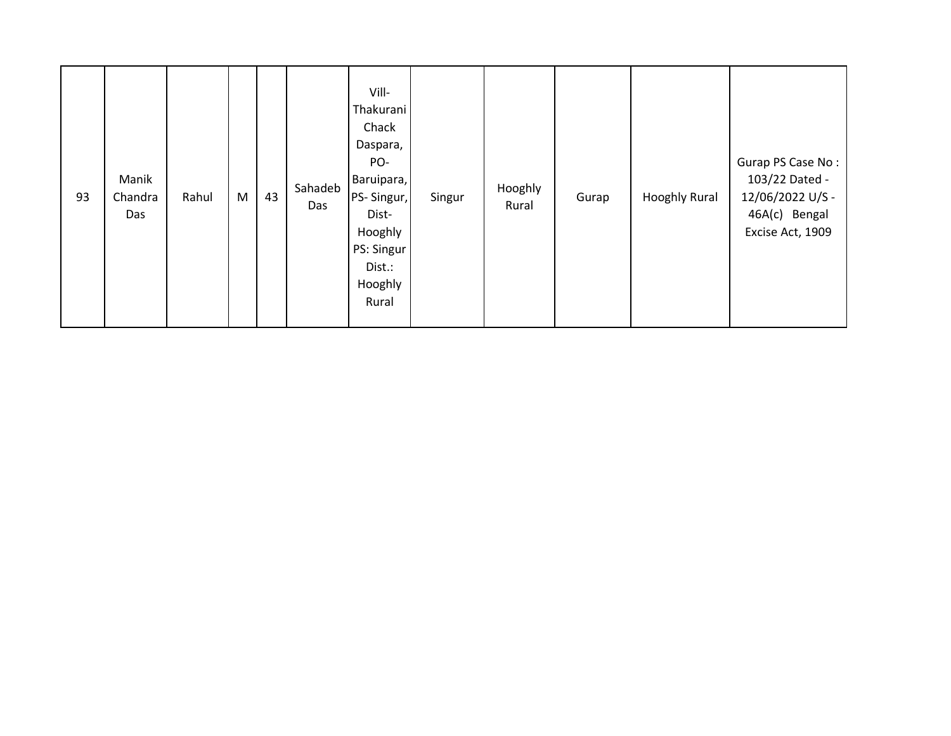| 93 | Manik<br>Chandra<br>Das | Rahul | M | 43 | Sahadeb<br>Das | Vill-<br>Thakurani<br>Chack<br>Daspara,<br>PO-<br>Baruipara,<br><b>PS-Singur,</b><br>Dist-<br>Hooghly<br>PS: Singur<br>Dist.:<br>Hooghly<br>Rural | Singur | Hooghly<br>Rural | Gurap | <b>Hooghly Rural</b> | Gurap PS Case No:<br>103/22 Dated -<br>12/06/2022 U/S -<br>46A(c) Bengal<br>Excise Act, 1909 |
|----|-------------------------|-------|---|----|----------------|---------------------------------------------------------------------------------------------------------------------------------------------------|--------|------------------|-------|----------------------|----------------------------------------------------------------------------------------------|
|----|-------------------------|-------|---|----|----------------|---------------------------------------------------------------------------------------------------------------------------------------------------|--------|------------------|-------|----------------------|----------------------------------------------------------------------------------------------|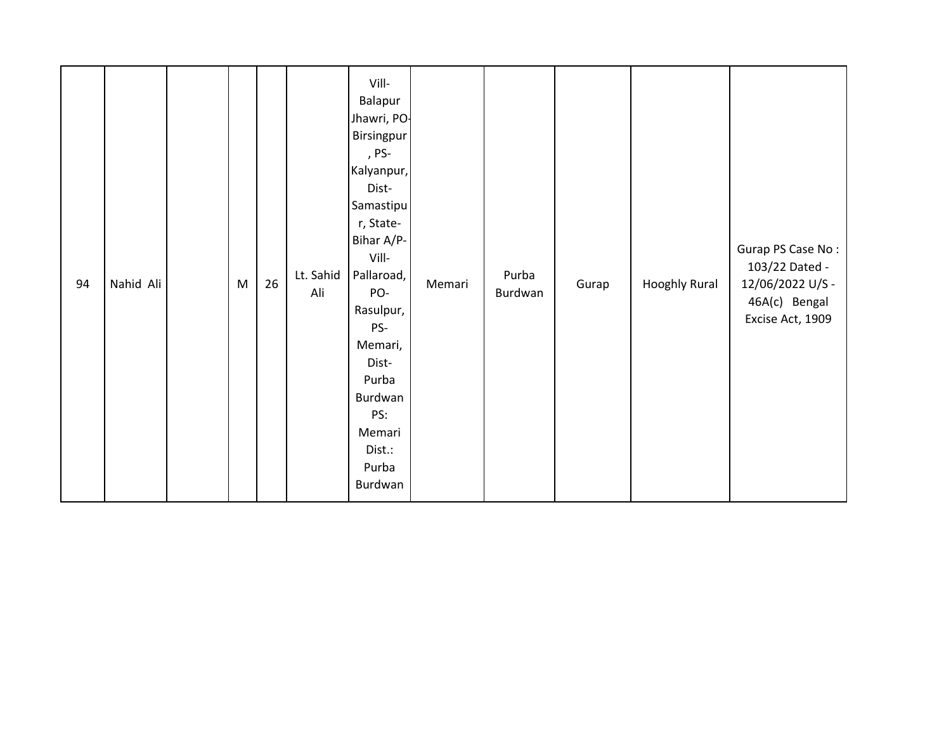| 94 | Nahid Ali |  | ${\sf M}$ | 26 | Lt. Sahid<br>Ali | Vill-<br>Balapur<br>Jhawri, PO-<br>Birsingpur<br>, PS-<br>Kalyanpur,<br>Dist-<br>Samastipu<br>r, State-<br>Bihar A/P-<br>Vill-<br>Pallaroad,<br>PO-<br>Rasulpur,<br>PS-<br>Memari,<br>Dist-<br>Purba<br>Burdwan<br>PS:<br>Memari<br>Dist.:<br>Purba<br>Burdwan | Memari | Purba<br>Burdwan | Gurap | <b>Hooghly Rural</b> | Gurap PS Case No:<br>103/22 Dated -<br>12/06/2022 U/S -<br>46A(c) Bengal<br>Excise Act, 1909 |
|----|-----------|--|-----------|----|------------------|----------------------------------------------------------------------------------------------------------------------------------------------------------------------------------------------------------------------------------------------------------------|--------|------------------|-------|----------------------|----------------------------------------------------------------------------------------------|
|----|-----------|--|-----------|----|------------------|----------------------------------------------------------------------------------------------------------------------------------------------------------------------------------------------------------------------------------------------------------------|--------|------------------|-------|----------------------|----------------------------------------------------------------------------------------------|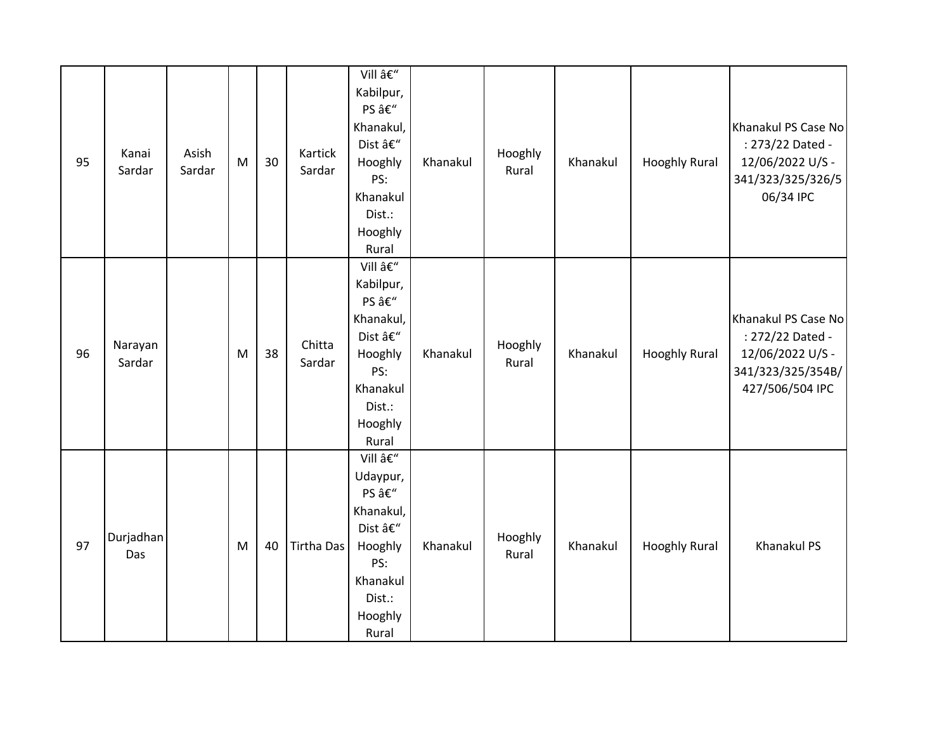| 95 | Kanai<br>Sardar   | Asish<br>Sardar | M | 30 | Kartick<br>Sardar | Vill –<br>Kabilpur,<br>PS –<br>Khanakul,<br>Dist –<br>Hooghly<br>PS:<br>Khanakul<br>Dist.:<br>Hooghly<br>Rural | Khanakul | Hooghly<br>Rural | Khanakul | <b>Hooghly Rural</b> | Khanakul PS Case No<br>: 273/22 Dated -<br>12/06/2022 U/S -<br>341/323/325/326/5<br>06/34 IPC       |
|----|-------------------|-----------------|---|----|-------------------|----------------------------------------------------------------------------------------------------------------|----------|------------------|----------|----------------------|-----------------------------------------------------------------------------------------------------|
| 96 | Narayan<br>Sardar |                 | M | 38 | Chitta<br>Sardar  | Vill –<br>Kabilpur,<br>PS –<br>Khanakul,<br>Dist –<br>Hooghly<br>PS:<br>Khanakul<br>Dist.:<br>Hooghly<br>Rural | Khanakul | Hooghly<br>Rural | Khanakul | <b>Hooghly Rural</b> | Khanakul PS Case No<br>: 272/22 Dated -<br>12/06/2022 U/S -<br>341/323/325/354B/<br>427/506/504 IPC |
| 97 | Durjadhan<br>Das  |                 | M | 40 | <b>Tirtha Das</b> | Vill –<br>Udaypur,<br>PS –<br>Khanakul,<br>Dist –<br>Hooghly<br>PS:<br>Khanakul<br>Dist.:<br>Hooghly<br>Rural  | Khanakul | Hooghly<br>Rural | Khanakul | <b>Hooghly Rural</b> | <b>Khanakul PS</b>                                                                                  |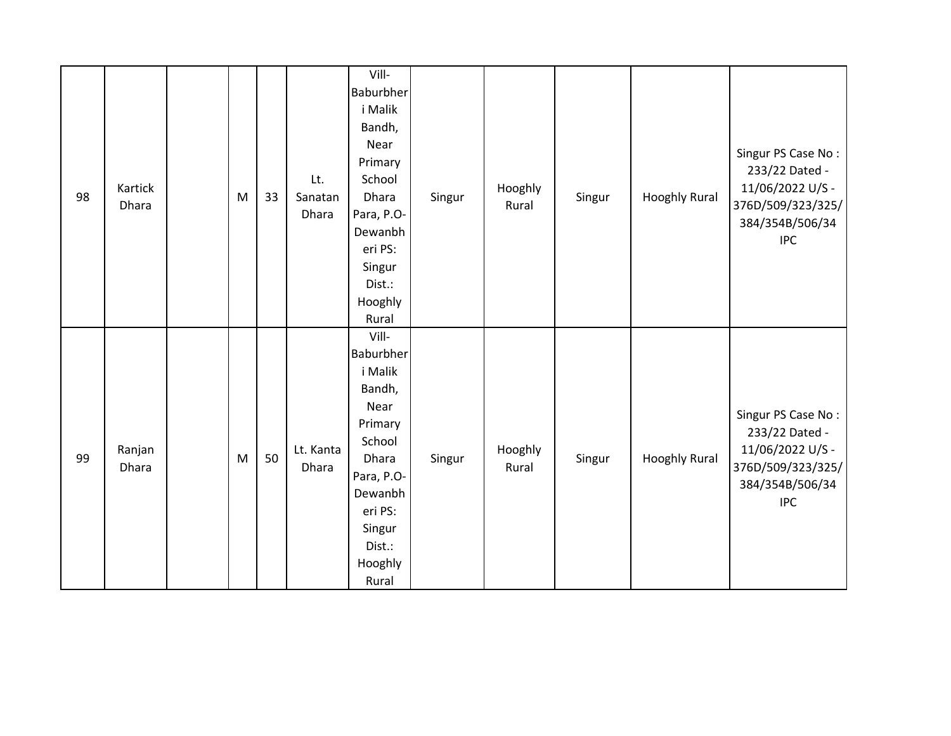| 98 | Kartick<br>Dhara | M | 33 | Lt.<br>Sanatan<br>Dhara | Vill-<br>Baburbher<br>i Malik<br>Bandh,<br>Near<br>Primary<br>School<br>Dhara<br>Para, P.O-<br>Dewanbh<br>eri PS:                                | Singur | Hooghly<br>Rural | Singur | <b>Hooghly Rural</b> | Singur PS Case No:<br>233/22 Dated -<br>11/06/2022 U/S -<br>376D/509/323/325/<br>384/354B/506/34<br><b>IPC</b> |
|----|------------------|---|----|-------------------------|--------------------------------------------------------------------------------------------------------------------------------------------------|--------|------------------|--------|----------------------|----------------------------------------------------------------------------------------------------------------|
|    |                  |   |    |                         | Singur<br>Dist.:<br>Hooghly<br>Rural<br>Vill-                                                                                                    |        |                  |        |                      |                                                                                                                |
| 99 | Ranjan<br>Dhara  | M | 50 | Lt. Kanta<br>Dhara      | Baburbher<br>i Malik<br>Bandh,<br>Near<br>Primary<br>School<br>Dhara<br>Para, P.O-<br>Dewanbh<br>eri PS:<br>Singur<br>Dist.:<br>Hooghly<br>Rural | Singur | Hooghly<br>Rural | Singur | <b>Hooghly Rural</b> | Singur PS Case No:<br>233/22 Dated -<br>11/06/2022 U/S -<br>376D/509/323/325/<br>384/354B/506/34<br><b>IPC</b> |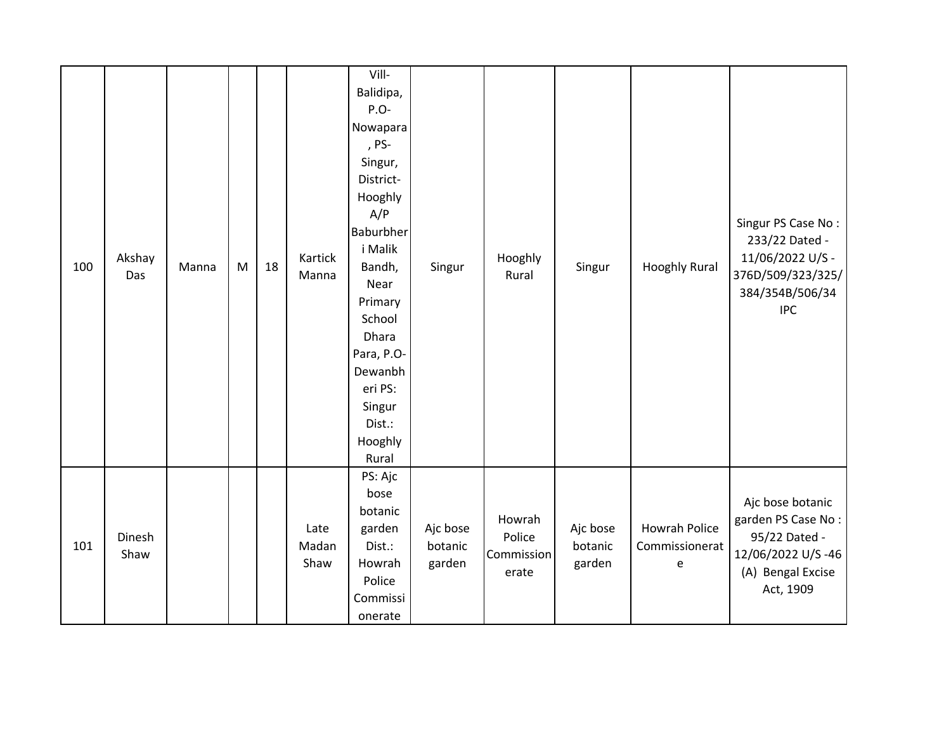| 100 | Akshay<br>Das  | Manna | M | 18 | Kartick<br>Manna      | Vill-<br>Balidipa,<br>P.O-<br>Nowapara<br>, PS-<br>Singur,<br>District-<br>Hooghly<br>A/P<br>Baburbher<br>i Malik<br>Bandh,<br>Near<br>Primary<br>School<br>Dhara<br>Para, P.O-<br>Dewanbh<br>eri PS:<br>Singur<br>Dist.:<br>Hooghly<br>Rural | Singur                        | Hooghly<br>Rural                        | Singur                        | <b>Hooghly Rural</b>                        | Singur PS Case No:<br>233/22 Dated -<br>11/06/2022 U/S -<br>376D/509/323/325/<br>384/354B/506/34<br><b>IPC</b> |
|-----|----------------|-------|---|----|-----------------------|-----------------------------------------------------------------------------------------------------------------------------------------------------------------------------------------------------------------------------------------------|-------------------------------|-----------------------------------------|-------------------------------|---------------------------------------------|----------------------------------------------------------------------------------------------------------------|
| 101 | Dinesh<br>Shaw |       |   |    | Late<br>Madan<br>Shaw | PS: Ajc<br>bose<br>botanic<br>garden<br>Dist.:<br>Howrah<br>Police<br>Commissi<br>onerate                                                                                                                                                     | Ajc bose<br>botanic<br>garden | Howrah<br>Police<br>Commission<br>erate | Ajc bose<br>botanic<br>garden | <b>Howrah Police</b><br>Commissionerat<br>e | Ajc bose botanic<br>garden PS Case No:<br>95/22 Dated -<br>12/06/2022 U/S-46<br>(A) Bengal Excise<br>Act, 1909 |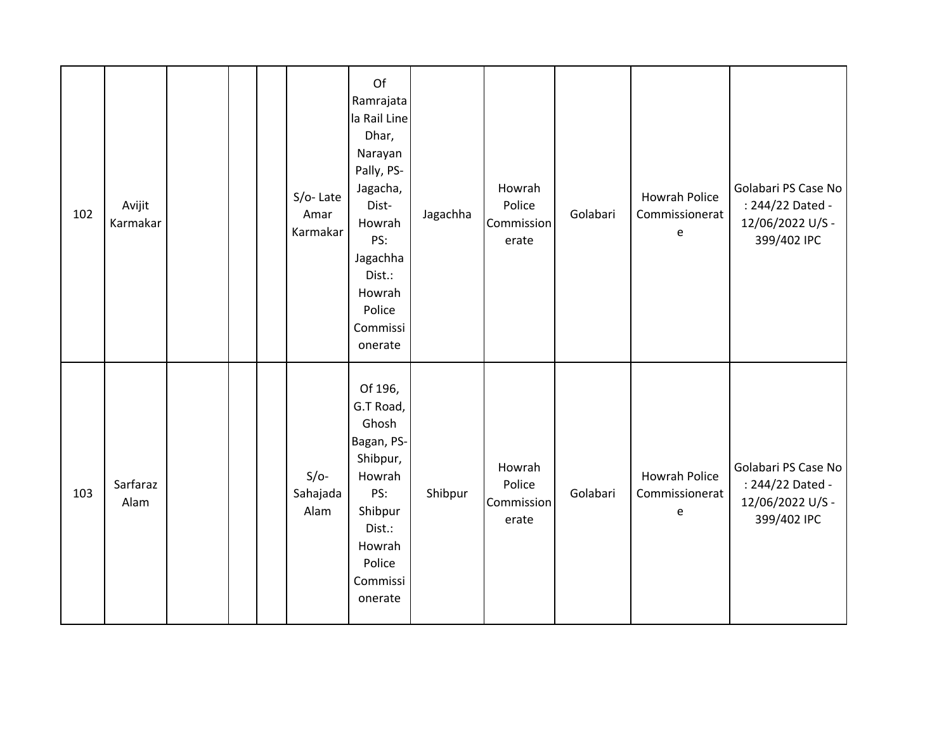| 102 | Avijit<br>Karmakar |  | S/o-Late<br>Amar<br>Karmakar | Of<br>Ramrajata<br>la Rail Line<br>Dhar,<br>Narayan<br>Pally, PS-<br>Jagacha,<br>Dist-<br>Howrah<br>PS:<br>Jagachha<br>Dist.:<br>Howrah<br>Police<br>Commissi<br>onerate | Jagachha | Howrah<br>Police<br>Commission<br>erate | Golabari | <b>Howrah Police</b><br>Commissionerat<br>e | Golabari PS Case No<br>: 244/22 Dated -<br>12/06/2022 U/S -<br>399/402 IPC |
|-----|--------------------|--|------------------------------|--------------------------------------------------------------------------------------------------------------------------------------------------------------------------|----------|-----------------------------------------|----------|---------------------------------------------|----------------------------------------------------------------------------|
| 103 | Sarfaraz<br>Alam   |  | $S/O-$<br>Sahajada<br>Alam   | Of 196,<br>G.T Road,<br>Ghosh<br>Bagan, PS-<br>Shibpur,<br>Howrah<br>PS:<br>Shibpur<br>Dist.:<br>Howrah<br>Police<br>Commissi<br>onerate                                 | Shibpur  | Howrah<br>Police<br>Commission<br>erate | Golabari | <b>Howrah Police</b><br>Commissionerat<br>e | Golabari PS Case No<br>: 244/22 Dated -<br>12/06/2022 U/S -<br>399/402 IPC |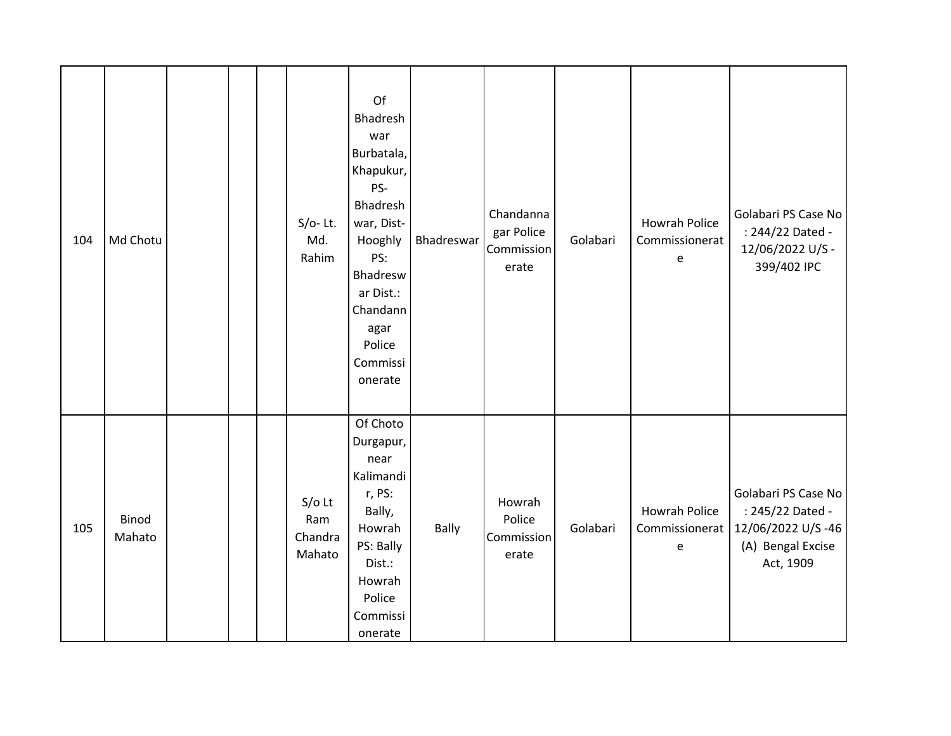| 104 | Md Chotu        |  | $S/O-$ Lt.<br>Md.<br>Rahim           | Of<br>Bhadresh<br>war<br>Burbatala,<br>Khapukur,<br>PS-<br>Bhadresh<br>war, Dist-<br>Hooghly<br>PS:<br>Bhadresw<br>ar Dist.:<br>Chandann<br>agar<br>Police<br>Commissi<br>onerate | Bhadreswar   | Chandanna<br>gar Police<br>Commission<br>erate | Golabari | <b>Howrah Police</b><br>Commissionerat<br>e | Golabari PS Case No<br>: 244/22 Dated -<br>12/06/2022 U/S -<br>399/402 IPC                     |
|-----|-----------------|--|--------------------------------------|-----------------------------------------------------------------------------------------------------------------------------------------------------------------------------------|--------------|------------------------------------------------|----------|---------------------------------------------|------------------------------------------------------------------------------------------------|
| 105 | Binod<br>Mahato |  | $S/O$ Lt<br>Ram<br>Chandra<br>Mahato | Of Choto<br>Durgapur,<br>near<br>Kalimandi<br>r, PS:<br>Bally,<br>Howrah<br>PS: Bally<br>Dist.:<br>Howrah<br>Police<br>Commissi<br>onerate                                        | <b>Bally</b> | Howrah<br>Police<br>Commission<br>erate        | Golabari | Howrah Police<br>Commissionerat<br>e        | Golabari PS Case No<br>: 245/22 Dated -<br>12/06/2022 U/S-46<br>(A) Bengal Excise<br>Act, 1909 |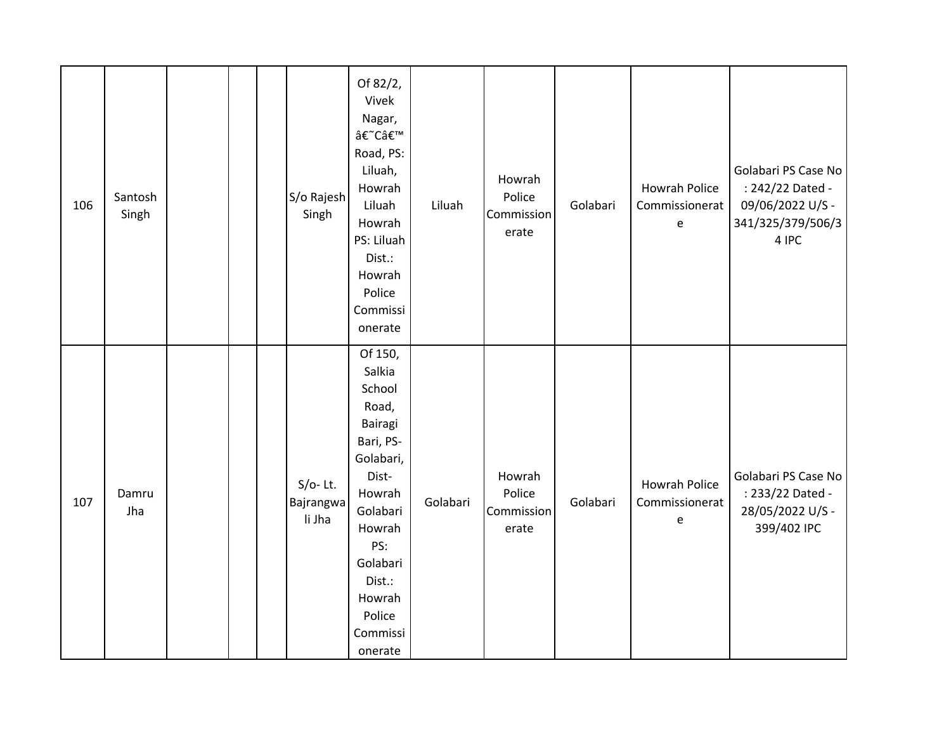| 106 | Santosh<br>Singh |  | S/o Rajesh<br>Singh               | Of 82/2,<br>Vivek<br>Nagar,<br>â€~C'<br>Road, PS:<br>Liluah,<br>Howrah<br>Liluah<br>Howrah<br>PS: Liluah<br>Dist.:<br>Howrah<br>Police<br>Commissi<br>onerate                              | Liluah   | Howrah<br>Police<br>Commission<br>erate | Golabari | Howrah Police<br>Commissionerat<br>$\mathsf{e}% _{t}\left( t\right)$ | Golabari PS Case No<br>: 242/22 Dated -<br>09/06/2022 U/S -<br>341/325/379/506/3<br>4 IPC |
|-----|------------------|--|-----------------------------------|--------------------------------------------------------------------------------------------------------------------------------------------------------------------------------------------|----------|-----------------------------------------|----------|----------------------------------------------------------------------|-------------------------------------------------------------------------------------------|
| 107 | Damru<br>Jha     |  | $S/O-$ Lt.<br>Bajrangwa<br>li Jha | Of 150,<br>Salkia<br>School<br>Road,<br>Bairagi<br>Bari, PS-<br>Golabari,<br>Dist-<br>Howrah<br>Golabari<br>Howrah<br>PS:<br>Golabari<br>Dist.:<br>Howrah<br>Police<br>Commissi<br>onerate | Golabari | Howrah<br>Police<br>Commission<br>erate | Golabari | Howrah Police<br>Commissionerat<br>e                                 | Golabari PS Case No<br>: 233/22 Dated -<br>28/05/2022 U/S -<br>399/402 IPC                |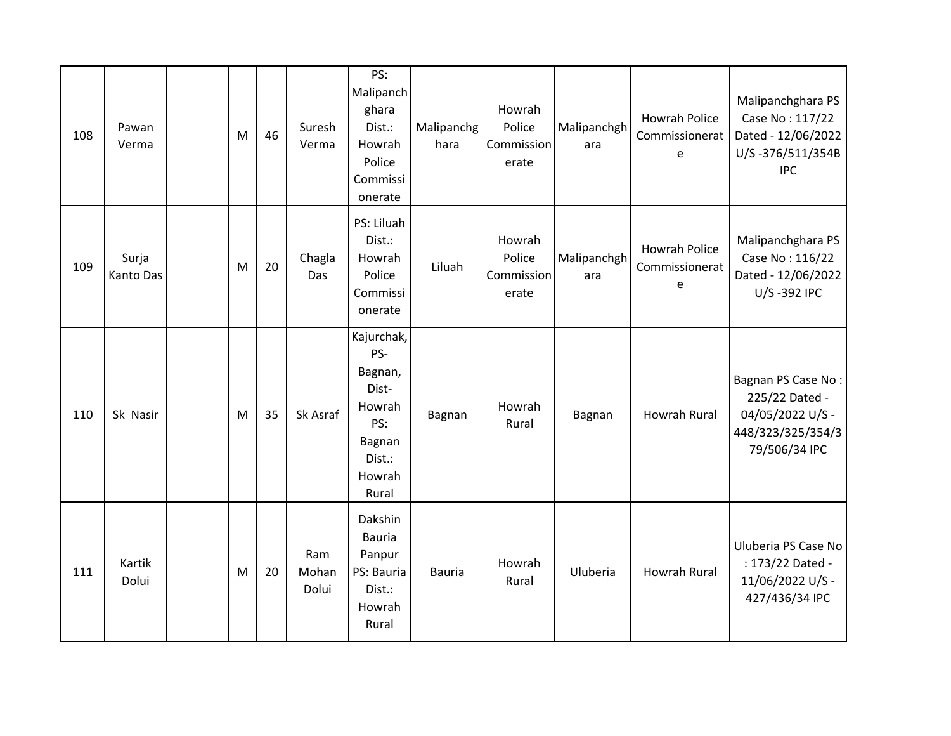| 108 | Pawan<br>Verma     | M | 46 | Suresh<br>Verma       | PS:<br>Malipanch<br>ghara<br>Dist.:<br>Howrah<br>Police<br>Commissi<br>onerate                | Malipanchg<br>hara | Howrah<br>Police<br>Commission<br>erate | Malipanchgh<br>ara | Howrah Police<br>Commissionerat<br>e        | Malipanchghara PS<br>Case No: 117/22<br>Dated - 12/06/2022<br>U/S-376/511/354B<br><b>IPC</b>   |
|-----|--------------------|---|----|-----------------------|-----------------------------------------------------------------------------------------------|--------------------|-----------------------------------------|--------------------|---------------------------------------------|------------------------------------------------------------------------------------------------|
| 109 | Surja<br>Kanto Das | M | 20 | Chagla<br>Das         | PS: Liluah<br>Dist.:<br>Howrah<br>Police<br>Commissi<br>onerate                               | Liluah             | Howrah<br>Police<br>Commission<br>erate | Malipanchgh<br>ara | <b>Howrah Police</b><br>Commissionerat<br>e | Malipanchghara PS<br>Case No: 116/22<br>Dated - 12/06/2022<br>U/S-392 IPC                      |
| 110 | Sk Nasir           | M | 35 | Sk Asraf              | Kajurchak,<br>PS-<br>Bagnan,<br>Dist-<br>Howrah<br>PS:<br>Bagnan<br>Dist.:<br>Howrah<br>Rural | Bagnan             | Howrah<br>Rural                         | Bagnan             | <b>Howrah Rural</b>                         | Bagnan PS Case No:<br>225/22 Dated -<br>04/05/2022 U/S -<br>448/323/325/354/3<br>79/506/34 IPC |
| 111 | Kartik<br>Dolui    | M | 20 | Ram<br>Mohan<br>Dolui | Dakshin<br><b>Bauria</b><br>Panpur<br>PS: Bauria<br>Dist.:<br>Howrah<br>Rural                 | Bauria             | Howrah<br>Rural                         | Uluberia           | <b>Howrah Rural</b>                         | Uluberia PS Case No<br>: 173/22 Dated -<br>11/06/2022 U/S -<br>427/436/34 IPC                  |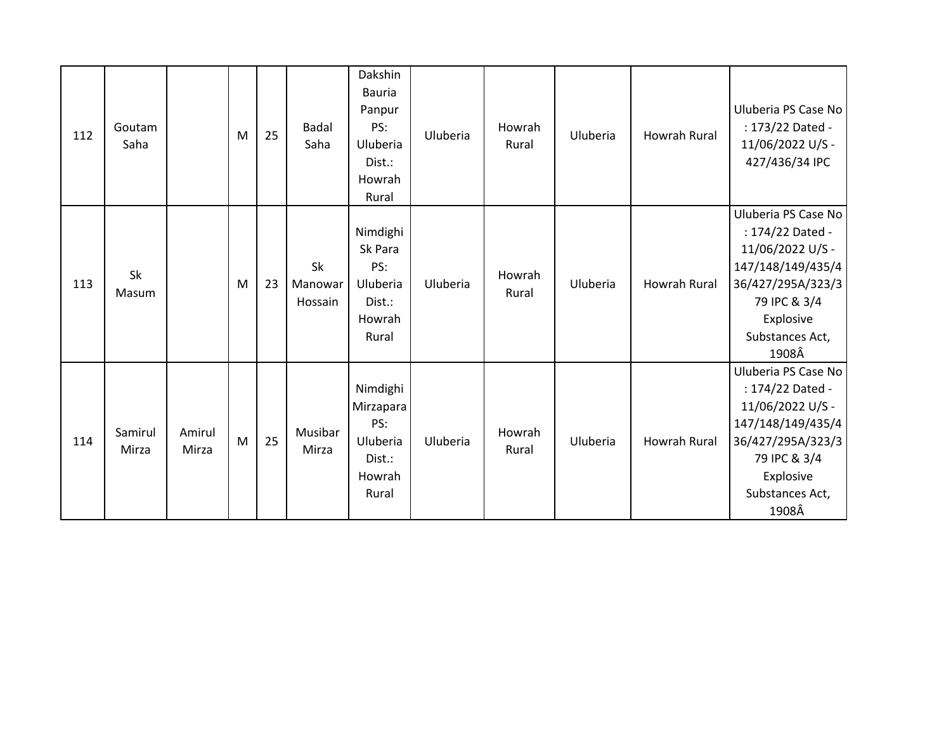| 112 | Goutam<br>Saha   |                 | M | 25 | <b>Badal</b><br>Saha     | Dakshin<br><b>Bauria</b><br>Panpur<br>PS:<br>Uluberia<br>Dist.:<br>Howrah<br>Rural | Uluberia | Howrah<br>Rural | Uluberia | <b>Howrah Rural</b> | Uluberia PS Case No<br>: 173/22 Dated -<br>11/06/2022 U/S -<br>427/436/34 IPC                                                                                  |
|-----|------------------|-----------------|---|----|--------------------------|------------------------------------------------------------------------------------|----------|-----------------|----------|---------------------|----------------------------------------------------------------------------------------------------------------------------------------------------------------|
| 113 | Sk<br>Masum      |                 | M | 23 | Sk<br>Manowar<br>Hossain | Nimdighi<br>Sk Para<br>PS:<br>Uluberia<br>Dist.:<br>Howrah<br>Rural                | Uluberia | Howrah<br>Rural | Uluberia | <b>Howrah Rural</b> | Uluberia PS Case No<br>: 174/22 Dated -<br>11/06/2022 U/S -<br>147/148/149/435/4<br>36/427/295A/323/3<br>79 IPC & 3/4<br>Explosive<br>Substances Act,<br>1908Â |
| 114 | Samirul<br>Mirza | Amirul<br>Mirza | M | 25 | Musibar<br>Mirza         | Nimdighi<br>Mirzapara<br>PS:<br>Uluberia<br>Dist.:<br>Howrah<br>Rural              | Uluberia | Howrah<br>Rural | Uluberia | Howrah Rural        | Uluberia PS Case No<br>: 174/22 Dated -<br>11/06/2022 U/S -<br>147/148/149/435/4<br>36/427/295A/323/3<br>79 IPC & 3/4<br>Explosive<br>Substances Act,<br>1908Â |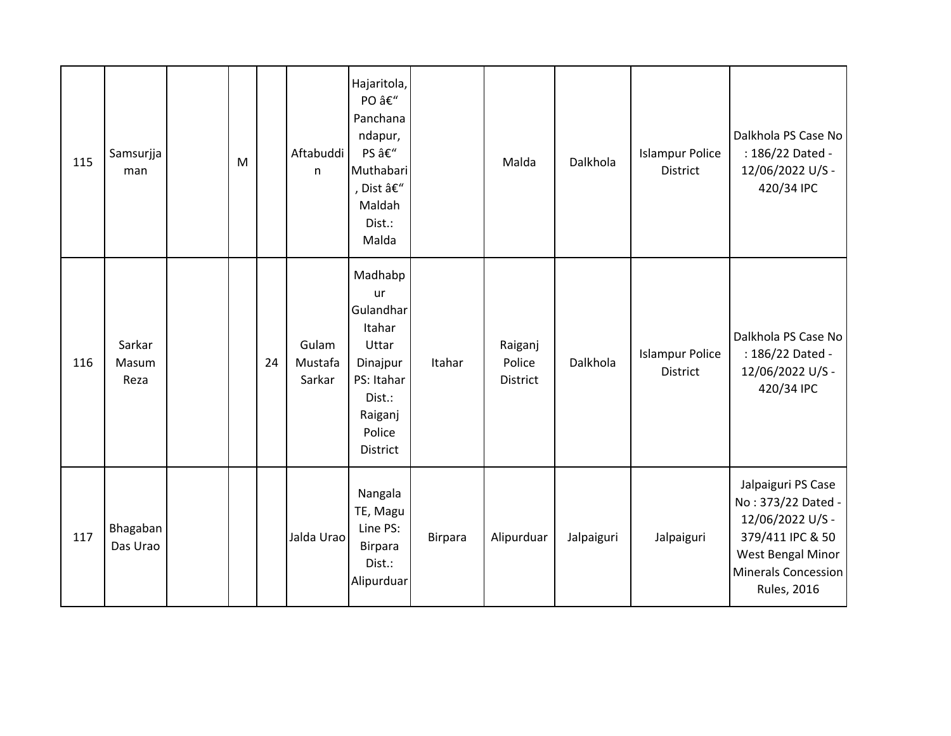| 115 | Samsurjja<br>man        | M |    | Aftabuddi<br>n             | Hajaritola,<br>PO –<br>Panchana<br>ndapur,<br>PS –<br>Muthabari<br>, Dist –<br>Maldah<br>Dist.:<br>Malda           |         | Malda                                | Dalkhola   | <b>Islampur Police</b><br>District        | Dalkhola PS Case No<br>: 186/22 Dated -<br>12/06/2022 U/S -<br>420/34 IPC                                                                          |
|-----|-------------------------|---|----|----------------------------|--------------------------------------------------------------------------------------------------------------------|---------|--------------------------------------|------------|-------------------------------------------|----------------------------------------------------------------------------------------------------------------------------------------------------|
| 116 | Sarkar<br>Masum<br>Reza |   | 24 | Gulam<br>Mustafa<br>Sarkar | Madhabp<br>ur<br>Gulandhar<br>Itahar<br>Uttar<br>Dinajpur<br>PS: Itahar<br>Dist.:<br>Raiganj<br>Police<br>District | Itahar  | Raiganj<br>Police<br><b>District</b> | Dalkhola   | <b>Islampur Police</b><br><b>District</b> | Dalkhola PS Case No<br>: 186/22 Dated -<br>12/06/2022 U/S -<br>420/34 IPC                                                                          |
| 117 | Bhagaban<br>Das Urao    |   |    | Jalda Urao                 | Nangala<br>TE, Magu<br>Line PS:<br>Birpara<br>Dist.:<br>Alipurduar                                                 | Birpara | Alipurduar                           | Jalpaiguri | Jalpaiguri                                | Jalpaiguri PS Case<br>No: 373/22 Dated -<br>12/06/2022 U/S -<br>379/411 IPC & 50<br>West Bengal Minor<br>Minerals Concession<br><b>Rules, 2016</b> |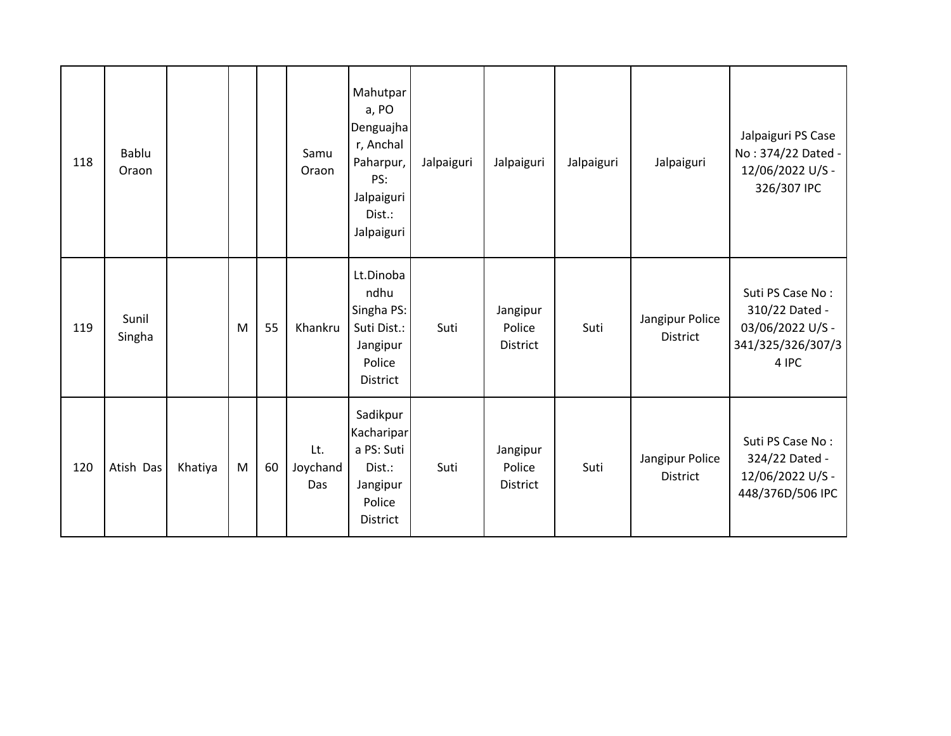| 118 | Bablu<br>Oraon  |         |   |    | Samu<br>Oraon          | Mahutpar<br>a, PO<br>Denguajha<br>r, Anchal<br>Paharpur,<br>PS:<br>Jalpaiguri<br>Dist.:<br>Jalpaiguri | Jalpaiguri | Jalpaiguri                            | Jalpaiguri | Jalpaiguri                         | Jalpaiguri PS Case<br>No: 374/22 Dated -<br>12/06/2022 U/S -<br>326/307 IPC          |
|-----|-----------------|---------|---|----|------------------------|-------------------------------------------------------------------------------------------------------|------------|---------------------------------------|------------|------------------------------------|--------------------------------------------------------------------------------------|
| 119 | Sunil<br>Singha |         | M | 55 | Khankru                | Lt.Dinoba<br>ndhu<br>Singha PS:<br>Suti Dist.:<br>Jangipur<br>Police<br>District                      | Suti       | Jangipur<br>Police<br><b>District</b> | Suti       | Jangipur Police<br><b>District</b> | Suti PS Case No:<br>310/22 Dated -<br>03/06/2022 U/S -<br>341/325/326/307/3<br>4 IPC |
| 120 | Atish Das       | Khatiya | M | 60 | Lt.<br>Joychand<br>Das | Sadikpur<br>Kacharipar<br>a PS: Suti<br>Dist.:<br>Jangipur<br>Police<br>District                      | Suti       | Jangipur<br>Police<br><b>District</b> | Suti       | Jangipur Police<br><b>District</b> | Suti PS Case No:<br>324/22 Dated -<br>12/06/2022 U/S -<br>448/376D/506 IPC           |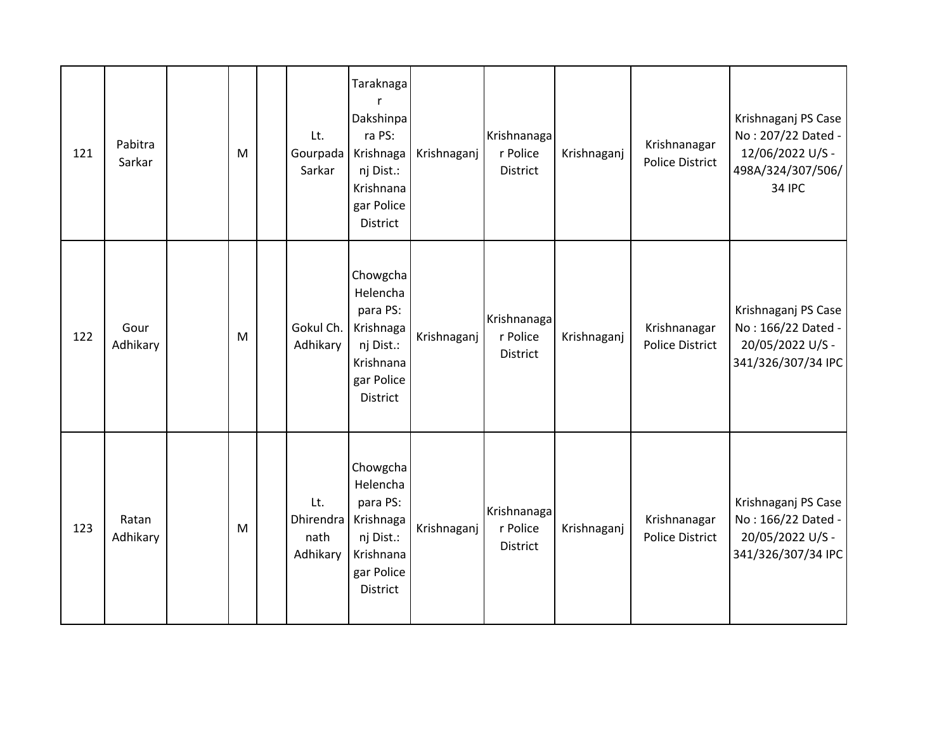| 121 | Pabitra<br>Sarkar | M         | Lt.<br>Gourpada<br>Sarkar            | Taraknaga<br>Dakshinpa<br>ra PS:<br>Krishnaga<br>nj Dist.:<br>Krishnana<br>gar Police<br>District        | Krishnaganj | Krishnanaga<br>r Police<br>District        | Krishnaganj | Krishnanagar<br><b>Police District</b> | Krishnaganj PS Case<br>No: 207/22 Dated -<br>12/06/2022 U/S -<br>498A/324/307/506/<br>34 IPC |
|-----|-------------------|-----------|--------------------------------------|----------------------------------------------------------------------------------------------------------|-------------|--------------------------------------------|-------------|----------------------------------------|----------------------------------------------------------------------------------------------|
| 122 | Gour<br>Adhikary  | M         | Gokul Ch.<br>Adhikary                | Chowgcha<br>Helencha<br>para PS:<br>Krishnaga<br>nj Dist.:<br>Krishnana<br>gar Police<br>District        | Krishnaganj | Krishnanaga<br>r Police<br><b>District</b> | Krishnaganj | Krishnanagar<br><b>Police District</b> | Krishnaganj PS Case<br>No: 166/22 Dated -<br>20/05/2022 U/S -<br>341/326/307/34 IPC          |
| 123 | Ratan<br>Adhikary | ${\sf M}$ | Lt.<br>Dhirendra<br>nath<br>Adhikary | Chowgcha<br>Helencha<br>para PS:<br>Krishnaga<br>nj Dist.:<br>Krishnana<br>gar Police<br><b>District</b> | Krishnaganj | Krishnanaga<br>r Police<br>District        | Krishnaganj | Krishnanagar<br><b>Police District</b> | Krishnaganj PS Case<br>No: 166/22 Dated -<br>20/05/2022 U/S -<br>341/326/307/34 IPC          |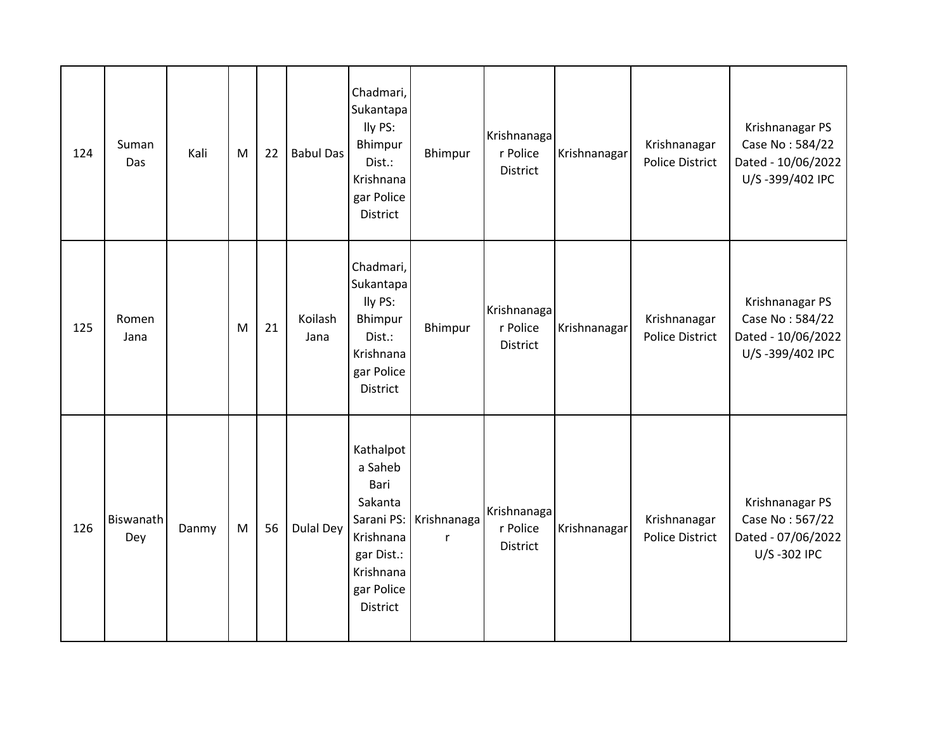| 124 | Suman<br>Das     | Kali  | M | 22 | <b>Babul Das</b> | Chadmari,<br>Sukantapa<br>lly PS:<br>Bhimpur<br>Dist.:<br>Krishnana<br>gar Police<br>District                           | Bhimpur                     | Krishnanaga<br>r Police<br>District        | Krishnanagar | Krishnanagar<br><b>Police District</b> | Krishnanagar PS<br>Case No: 584/22<br>Dated - 10/06/2022<br>U/S-399/402 IPC |
|-----|------------------|-------|---|----|------------------|-------------------------------------------------------------------------------------------------------------------------|-----------------------------|--------------------------------------------|--------------|----------------------------------------|-----------------------------------------------------------------------------|
| 125 | Romen<br>Jana    |       | M | 21 | Koilash<br>Jana  | Chadmari,<br>Sukantapa<br>lly PS:<br>Bhimpur<br>Dist.:<br>Krishnana<br>gar Police<br>District                           | Bhimpur                     | Krishnanaga<br>r Police<br><b>District</b> | Krishnanagar | Krishnanagar<br><b>Police District</b> | Krishnanagar PS<br>Case No: 584/22<br>Dated - 10/06/2022<br>U/S-399/402 IPC |
| 126 | Biswanath<br>Dey | Danmy | M | 56 | <b>Dulal Dey</b> | Kathalpot<br>a Saheb<br>Bari<br>Sakanta<br>Sarani PS:<br>Krishnana<br>gar Dist.:<br>Krishnana<br>gar Police<br>District | Krishnanaga<br>$\mathsf{r}$ | Krishnanaga<br>r Police<br>District        | Krishnanagar | Krishnanagar<br><b>Police District</b> | Krishnanagar PS<br>Case No: 567/22<br>Dated - 07/06/2022<br>U/S-302 IPC     |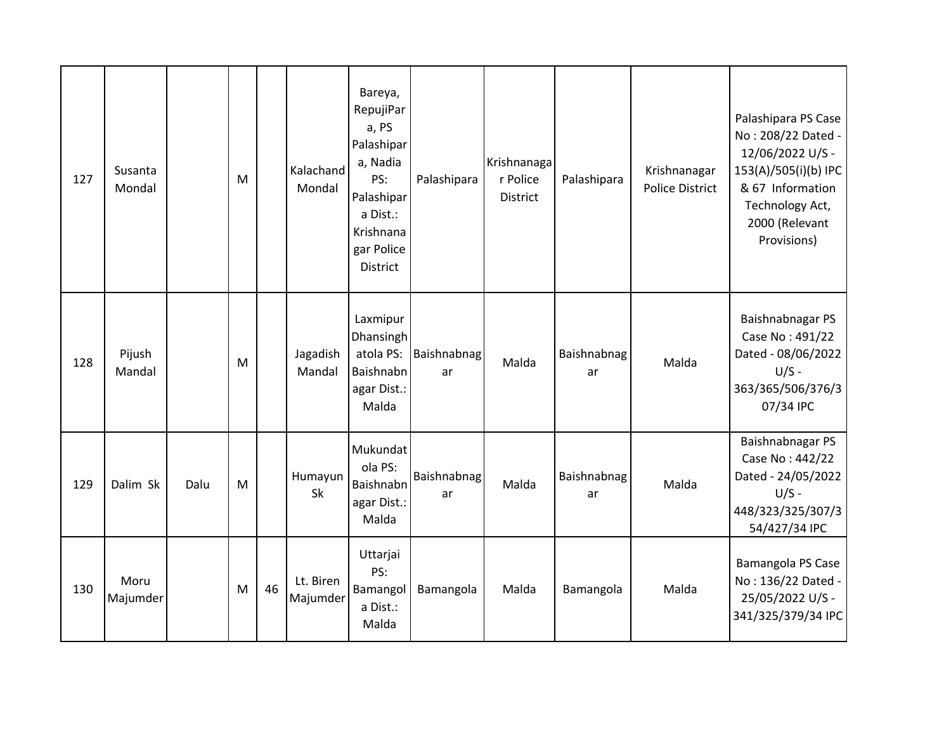| 127 | Susanta<br>Mondal |      | M         |    | Kalachand<br>Mondal   | Bareya,<br>RepujiPar<br>a, PS<br>Palashipar<br>a, Nadia<br>PS:<br>Palashipar<br>a Dist.:<br>Krishnana<br>gar Police<br><b>District</b> | Palashipara       | Krishnanaga<br>r Police<br><b>District</b> | Palashipara       | Krishnanagar<br><b>Police District</b> | Palashipara PS Case<br>No: 208/22 Dated -<br>12/06/2022 U/S -<br>153(A)/505(i)(b) IPC<br>& 67 Information<br>Technology Act,<br>2000 (Relevant<br>Provisions) |
|-----|-------------------|------|-----------|----|-----------------------|----------------------------------------------------------------------------------------------------------------------------------------|-------------------|--------------------------------------------|-------------------|----------------------------------------|---------------------------------------------------------------------------------------------------------------------------------------------------------------|
| 128 | Pijush<br>Mandal  |      | ${\sf M}$ |    | Jagadish<br>Mandal    | Laxmipur<br>Dhansingh<br>atola PS:<br>Baishnabn<br>agar Dist.:<br>Malda                                                                | Baishnabnag<br>ar | Malda                                      | Baishnabnag<br>ar | Malda                                  | Baishnabnagar PS<br>Case No: 491/22<br>Dated - 08/06/2022<br>$U/S -$<br>363/365/506/376/3<br>07/34 IPC                                                        |
| 129 | Dalim Sk          | Dalu | M         |    | Humayun<br>Sk         | Mukundat<br>ola PS:<br>Baishnabn<br>agar Dist.:<br>Malda                                                                               | Baishnabnag<br>ar | Malda                                      | Baishnabnag<br>ar | Malda                                  | Baishnabnagar PS<br>Case No: 442/22<br>Dated - 24/05/2022<br>$U/S -$<br>448/323/325/307/3<br>54/427/34 IPC                                                    |
| 130 | Moru<br>Majumder  |      | M         | 46 | Lt. Biren<br>Majumder | Uttarjai<br>PS:<br>Bamangol<br>a Dist.:<br>Malda                                                                                       | Bamangola         | Malda                                      | Bamangola         | Malda                                  | Bamangola PS Case<br>No: 136/22 Dated -<br>25/05/2022 U/S -<br>341/325/379/34 IPC                                                                             |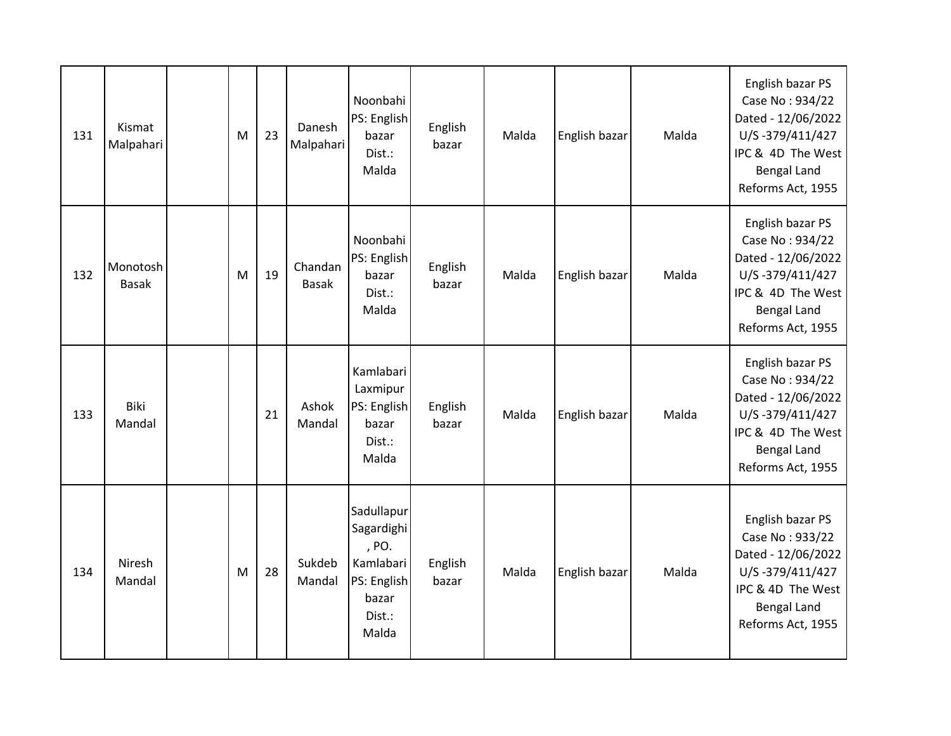| 131 | Kismat<br>Malpahari      | M | 23 | Danesh<br>Malpahari     | Noonbahi<br>PS: English<br>bazar<br>Dist.:<br>Malda                                       | English<br>bazar | Malda | English bazar | Malda | English bazar PS<br>Case No: 934/22<br>Dated - 12/06/2022<br>U/S-379/411/427<br>IPC & 4D The West<br><b>Bengal Land</b><br>Reforms Act, 1955 |
|-----|--------------------------|---|----|-------------------------|-------------------------------------------------------------------------------------------|------------------|-------|---------------|-------|----------------------------------------------------------------------------------------------------------------------------------------------|
| 132 | Monotosh<br><b>Basak</b> | M | 19 | Chandan<br><b>Basak</b> | Noonbahi<br>PS: English<br>bazar<br>Dist.:<br>Malda                                       | English<br>bazar | Malda | English bazar | Malda | English bazar PS<br>Case No: 934/22<br>Dated - 12/06/2022<br>U/S-379/411/427<br>IPC & 4D The West<br><b>Bengal Land</b><br>Reforms Act, 1955 |
| 133 | Biki<br>Mandal           |   | 21 | Ashok<br>Mandal         | Kamlabari<br>Laxmipur<br>PS: English<br>bazar<br>Dist.:<br>Malda                          | English<br>bazar | Malda | English bazar | Malda | English bazar PS<br>Case No: 934/22<br>Dated - 12/06/2022<br>U/S-379/411/427<br>IPC & 4D The West<br><b>Bengal Land</b><br>Reforms Act, 1955 |
| 134 | Niresh<br>Mandal         | M | 28 | Sukdeb<br>Mandal        | Sadullapur<br>Sagardighi<br>, PO.<br>Kamlabari<br>PS: English<br>bazar<br>Dist.:<br>Malda | English<br>bazar | Malda | English bazar | Malda | English bazar PS<br>Case No: 933/22<br>Dated - 12/06/2022<br>U/S-379/411/427<br>IPC & 4D The West<br><b>Bengal Land</b><br>Reforms Act, 1955 |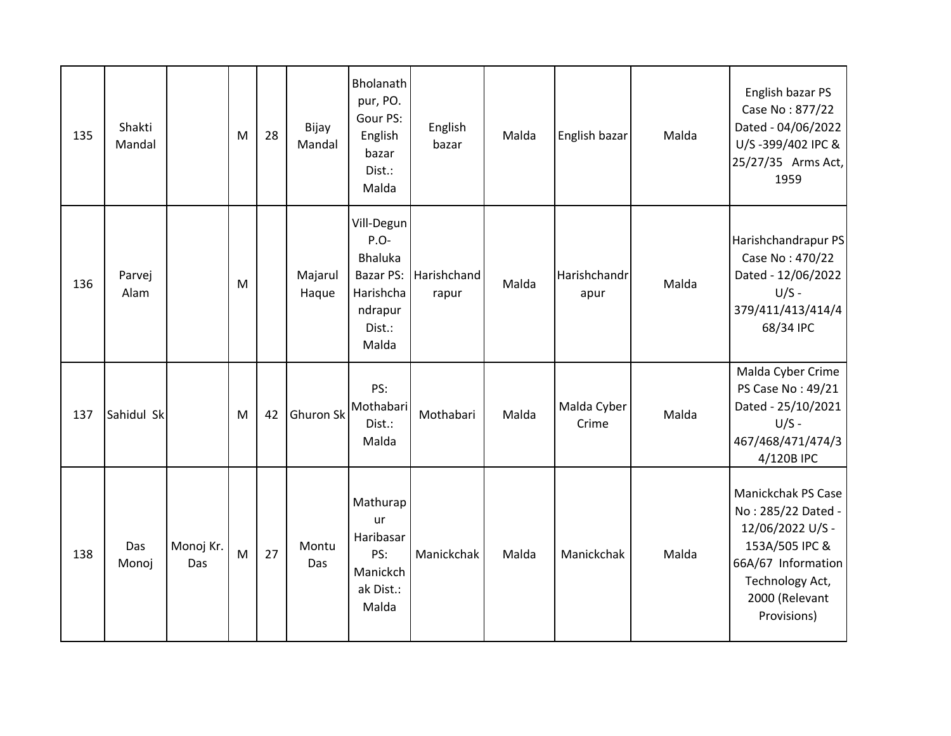| 135 | Shakti<br>Mandal |                  | M | 28 | Bijay<br>Mandal  | Bholanath<br>pur, PO.<br>Gour PS:<br>English<br>bazar<br>Dist.:<br>Malda              | English<br>bazar     | Malda | English bazar        | Malda | English bazar PS<br>Case No: 877/22<br>Dated - 04/06/2022<br>U/S-399/402 IPC &<br>25/27/35 Arms Act,<br>1959                                                    |
|-----|------------------|------------------|---|----|------------------|---------------------------------------------------------------------------------------|----------------------|-------|----------------------|-------|-----------------------------------------------------------------------------------------------------------------------------------------------------------------|
| 136 | Parvej<br>Alam   |                  | M |    | Majarul<br>Haque | Vill-Degun<br>P.O-<br>Bhaluka<br>Bazar PS:<br>Harishcha<br>ndrapur<br>Dist.:<br>Malda | Harishchand<br>rapur | Malda | Harishchandr<br>apur | Malda | Harishchandrapur PS<br>Case No: 470/22<br>Dated - 12/06/2022<br>$U/S -$<br>379/411/413/414/4<br>68/34 IPC                                                       |
| 137 | Sahidul Sk       |                  | M | 42 | Ghuron Sk        | PS:<br>Mothabari<br>Dist.:<br>Malda                                                   | Mothabari            | Malda | Malda Cyber<br>Crime | Malda | Malda Cyber Crime<br>PS Case No: 49/21<br>Dated - 25/10/2021<br>$U/S -$<br>467/468/471/474/3<br>4/120B IPC                                                      |
| 138 | Das<br>Monoj     | Monoj Kr.<br>Das | M | 27 | Montu<br>Das     | Mathurap<br>ur<br>Haribasar<br>PS:<br>Manickch<br>ak Dist.:<br>Malda                  | Manickchak           | Malda | Manickchak           | Malda | <b>Manickchak PS Case</b><br>No: 285/22 Dated -<br>12/06/2022 U/S -<br>153A/505 IPC &<br>66A/67 Information<br>Technology Act,<br>2000 (Relevant<br>Provisions) |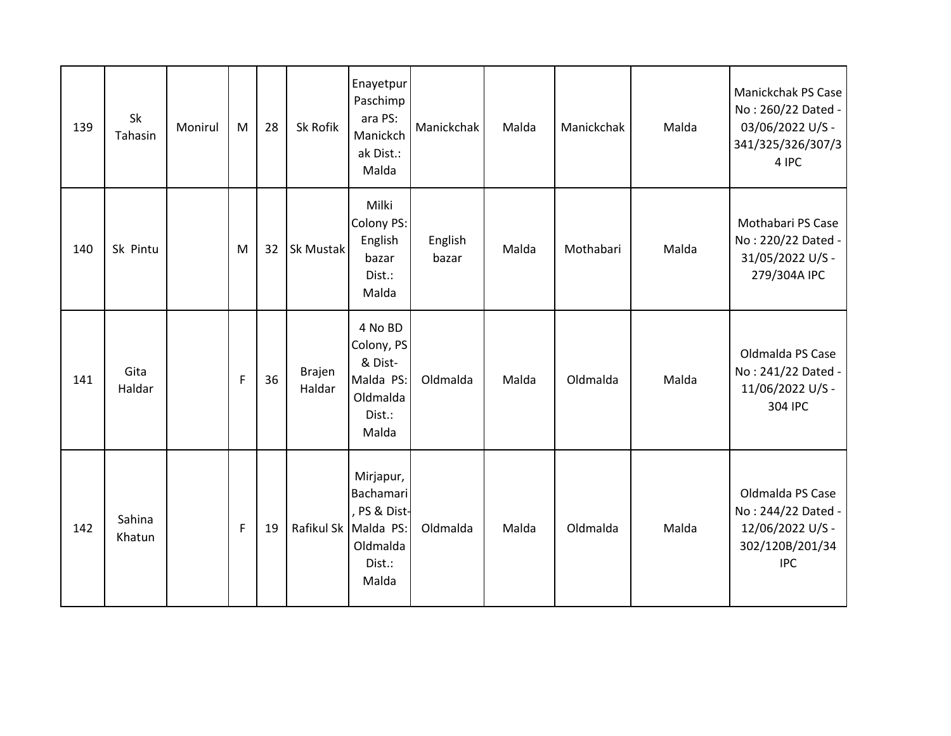| 139 | Sk<br>Tahasin    | Monirul | M | 28 | Sk Rofik         | Enayetpur<br>Paschimp<br>ara PS:<br>Manickch<br>ak Dist.:<br>Malda                          | Manickchak       | Malda | Manickchak | Malda | Manickchak PS Case<br>No: 260/22 Dated -<br>03/06/2022 U/S -<br>341/325/326/307/3<br>4 IPC  |
|-----|------------------|---------|---|----|------------------|---------------------------------------------------------------------------------------------|------------------|-------|------------|-------|---------------------------------------------------------------------------------------------|
| 140 | Sk Pintu         |         | M | 32 | Sk Mustak        | Milki<br>Colony PS:<br>English<br>bazar<br>Dist.:<br>Malda                                  | English<br>bazar | Malda | Mothabari  | Malda | Mothabari PS Case<br>No: 220/22 Dated -<br>31/05/2022 U/S -<br>279/304A IPC                 |
| 141 | Gita<br>Haldar   |         | F | 36 | Brajen<br>Haldar | 4 No BD<br>Colony, PS<br>& Dist-<br>Malda PS:<br>Oldmalda<br>Dist.:<br>Malda                | Oldmalda         | Malda | Oldmalda   | Malda | Oldmalda PS Case<br>No: 241/22 Dated -<br>11/06/2022 U/S -<br>304 IPC                       |
| 142 | Sahina<br>Khatun |         | F | 19 |                  | Mirjapur,<br>Bachamari<br>PS & Dist-<br>Rafikul Sk Malda PS:<br>Oldmalda<br>Dist.:<br>Malda | Oldmalda         | Malda | Oldmalda   | Malda | Oldmalda PS Case<br>No: 244/22 Dated -<br>12/06/2022 U/S -<br>302/120B/201/34<br><b>IPC</b> |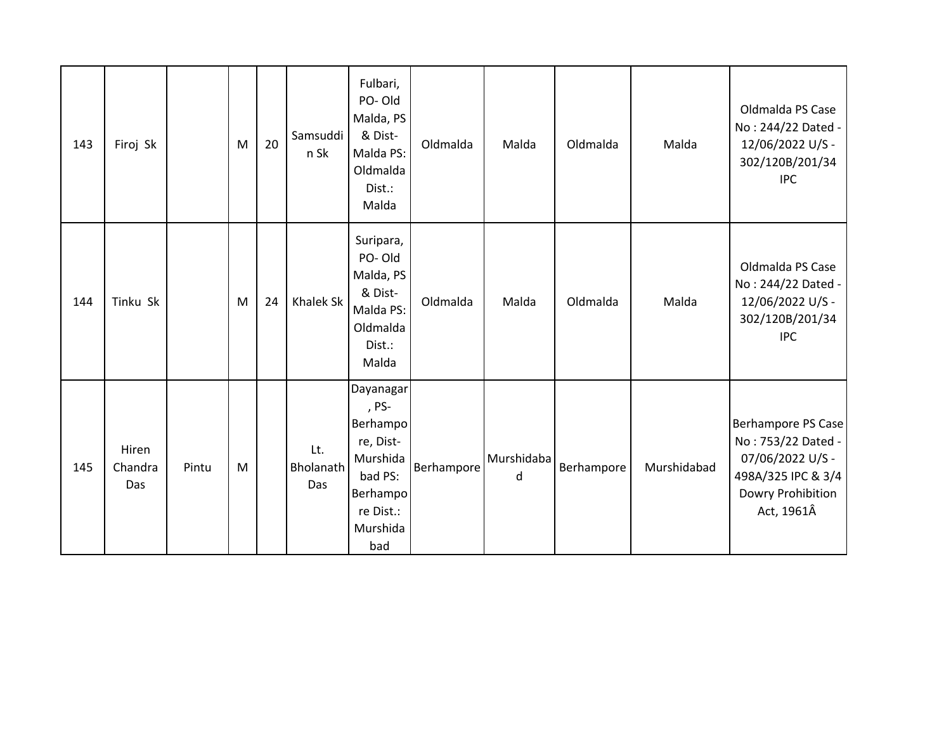| 143 | Firoj Sk                |       | M | 20 | Samsuddi<br>n Sk        | Fulbari,<br>PO-Old<br>Malda, PS<br>& Dist-<br>Malda PS:<br>Oldmalda<br>Dist.:<br>Malda                         | Oldmalda   | Malda           | Oldmalda   | Malda       | Oldmalda PS Case<br>No: 244/22 Dated -<br>12/06/2022 U/S -<br>302/120B/201/34<br><b>IPC</b>                           |
|-----|-------------------------|-------|---|----|-------------------------|----------------------------------------------------------------------------------------------------------------|------------|-----------------|------------|-------------|-----------------------------------------------------------------------------------------------------------------------|
| 144 | Tinku Sk                |       | M | 24 | Khalek Sk               | Suripara,<br>PO-Old<br>Malda, PS<br>& Dist-<br>Malda PS:<br>Oldmalda<br>Dist.:<br>Malda                        | Oldmalda   | Malda           | Oldmalda   | Malda       | Oldmalda PS Case<br>No: 244/22 Dated -<br>12/06/2022 U/S -<br>302/120B/201/34<br><b>IPC</b>                           |
| 145 | Hiren<br>Chandra<br>Das | Pintu | M |    | Lt.<br>Bholanath<br>Das | Dayanagar<br>, PS-<br>Berhampo<br>re, Dist-<br>Murshida<br>bad PS:<br>Berhampo<br>re Dist.:<br>Murshida<br>bad | Berhampore | Murshidaba<br>d | Berhampore | Murshidabad | Berhampore PS Case<br>No: 753/22 Dated -<br>07/06/2022 U/S -<br>498A/325 IPC & 3/4<br>Dowry Prohibition<br>Act, 1961Â |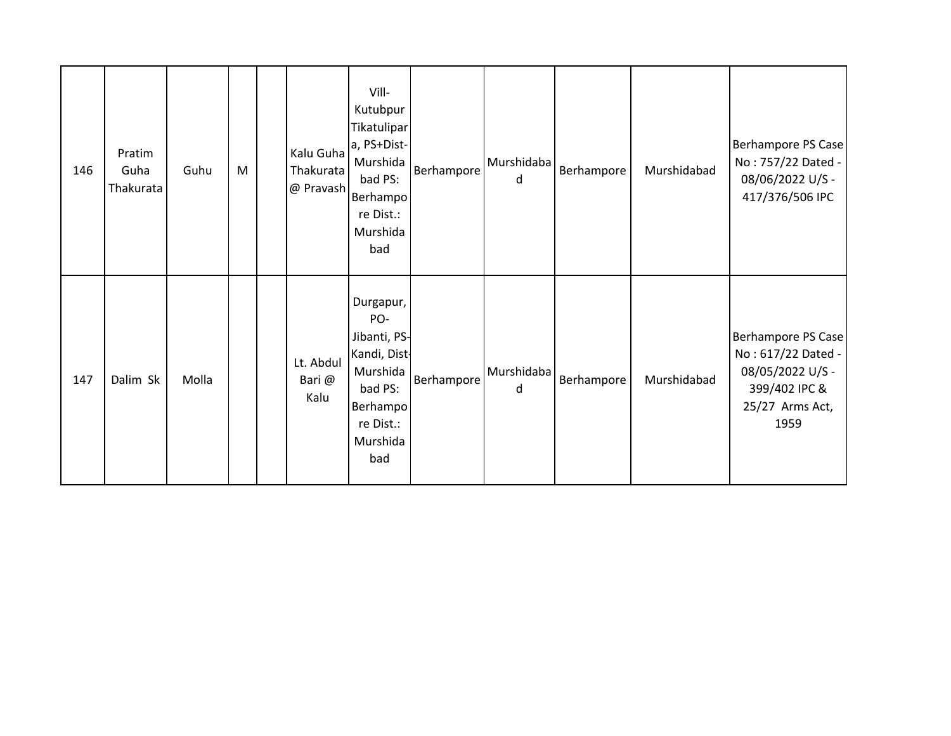| 146 | Pratim<br>Guha<br>Thakurata | Guhu  | M | Kalu Guha<br>Thakurata<br>@ Pravash | Vill-<br>Kutubpur<br>Tikatulipar<br>a, PS+Dist-<br>Murshida<br>bad PS:<br>Berhampo<br>re Dist.:<br>Murshida<br>bad  | Berhampore | Murshidaba<br>d | Berhampore | Murshidabad | Berhampore PS Case<br>No: 757/22 Dated -<br>08/06/2022 U/S -<br>417/376/506 IPC                          |
|-----|-----------------------------|-------|---|-------------------------------------|---------------------------------------------------------------------------------------------------------------------|------------|-----------------|------------|-------------|----------------------------------------------------------------------------------------------------------|
| 147 | Dalim Sk                    | Molla |   | Lt. Abdul<br>Bari @<br>Kalu         | Durgapur,<br>PO-<br>Jibanti, PS-<br>Kandi, Dist-<br>Murshida<br>bad PS:<br>Berhampo<br>re Dist.:<br>Murshida<br>bad | Berhampore | Murshidaba<br>d | Berhampore | Murshidabad | Berhampore PS Case<br>No: 617/22 Dated -<br>08/05/2022 U/S -<br>399/402 IPC &<br>25/27 Arms Act,<br>1959 |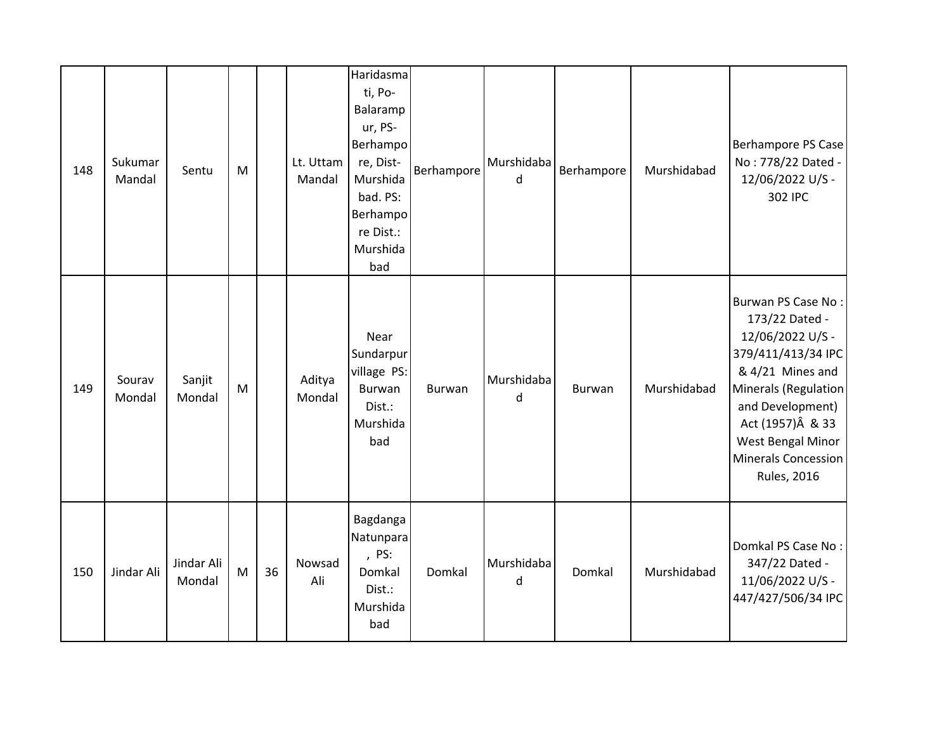| 148 | Sukumar<br>Mandal | Sentu                | M         |    | Lt. Uttam<br>Mandal | Haridasma<br>ti, Po-<br>Balaramp<br>ur, PS-<br>Berhampo<br>re, Dist-<br>Murshida<br>bad. PS:<br>Berhampo<br>re Dist.:<br>Murshida<br>bad | Berhampore    | Murshidaba<br>d | Berhampore | Murshidabad | Berhampore PS Case<br>No: 778/22 Dated -<br>12/06/2022 U/S -<br>302 IPC                                                                                                                                                               |
|-----|-------------------|----------------------|-----------|----|---------------------|------------------------------------------------------------------------------------------------------------------------------------------|---------------|-----------------|------------|-------------|---------------------------------------------------------------------------------------------------------------------------------------------------------------------------------------------------------------------------------------|
| 149 | Sourav<br>Mondal  | Sanjit<br>Mondal     | ${\sf M}$ |    | Aditya<br>Mondal    | Near<br>Sundarpur<br>village PS:<br>Burwan<br>Dist.:<br>Murshida<br>bad                                                                  | <b>Burwan</b> | Murshidaba<br>d | Burwan     | Murshidabad | Burwan PS Case No:<br>173/22 Dated -<br>12/06/2022 U/S -<br>379/411/413/34 IPC<br>& 4/21 Mines and<br>Minerals (Regulation<br>and Development)<br>Act (1957) Â & 33<br>West Bengal Minor<br>Minerals Concession<br><b>Rules, 2016</b> |
| 150 | Jindar Ali        | Jindar Ali<br>Mondal | M         | 36 | Nowsad<br>Ali       | Bagdanga<br>Natunpara<br>, PS:<br>Domkal<br>Dist.:<br>Murshida<br>bad                                                                    | Domkal        | Murshidaba<br>d | Domkal     | Murshidabad | Domkal PS Case No:<br>347/22 Dated -<br>11/06/2022 U/S -<br>447/427/506/34 IPC                                                                                                                                                        |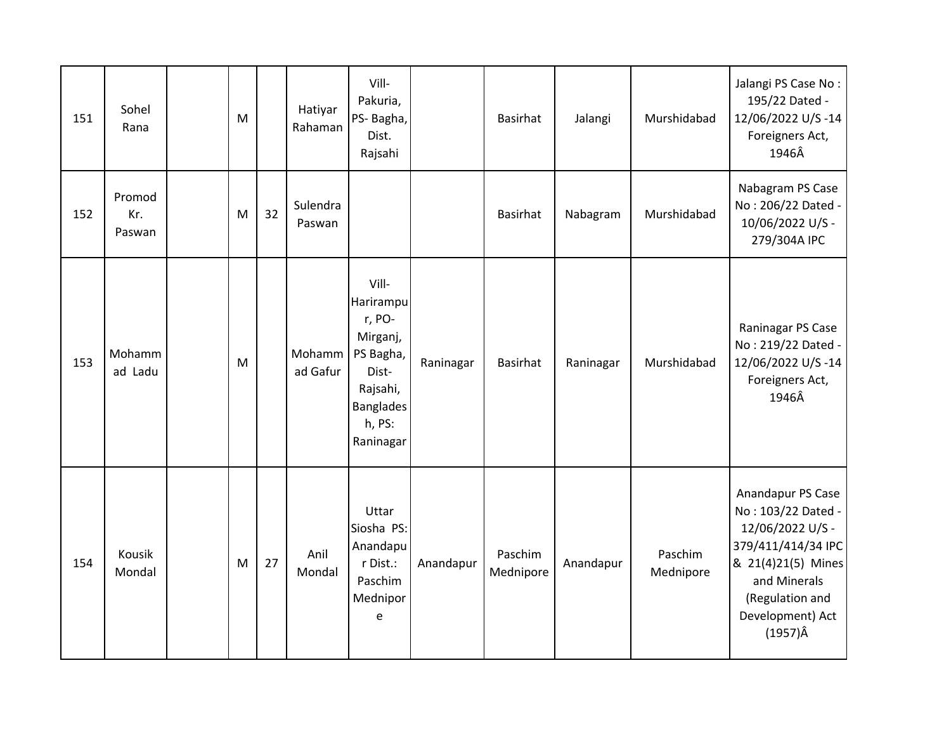| 151 | Sohel<br>Rana           | M |    | Hatiyar<br>Rahaman | Vill-<br>Pakuria,<br>PS- Bagha,<br>Dist.<br>Rajsahi                                                                   |           | <b>Basirhat</b>      | Jalangi   | Murshidabad          | Jalangi PS Case No:<br>195/22 Dated -<br>12/06/2022 U/S-14<br>Foreigners Act,<br>1946Â                                                                                            |
|-----|-------------------------|---|----|--------------------|-----------------------------------------------------------------------------------------------------------------------|-----------|----------------------|-----------|----------------------|-----------------------------------------------------------------------------------------------------------------------------------------------------------------------------------|
| 152 | Promod<br>Kr.<br>Paswan | M | 32 | Sulendra<br>Paswan |                                                                                                                       |           | <b>Basirhat</b>      | Nabagram  | Murshidabad          | Nabagram PS Case<br>No: 206/22 Dated -<br>10/06/2022 U/S -<br>279/304A IPC                                                                                                        |
| 153 | Mohamm<br>ad Ladu       | M |    | Mohamm<br>ad Gafur | Vill-<br>Harirampu<br>r, PO-<br>Mirganj,<br>PS Bagha,<br>Dist-<br>Rajsahi,<br><b>Banglades</b><br>h, PS:<br>Raninagar | Raninagar | <b>Basirhat</b>      | Raninagar | Murshidabad          | Raninagar PS Case<br>No: 219/22 Dated -<br>12/06/2022 U/S-14<br>Foreigners Act,<br>1946Â                                                                                          |
| 154 | Kousik<br>Mondal        | M | 27 | Anil<br>Mondal     | Uttar<br>Siosha PS:<br>Anandapu<br>r Dist.:<br>Paschim<br>Mednipor<br>e                                               | Anandapur | Paschim<br>Mednipore | Anandapur | Paschim<br>Mednipore | Anandapur PS Case<br>No: 103/22 Dated -<br>12/06/2022 U/S -<br>379/411/414/34 IPC<br>& 21(4)21(5) Mines<br>and Minerals<br>(Regulation and<br>Development) Act<br>$(1957)\hat{A}$ |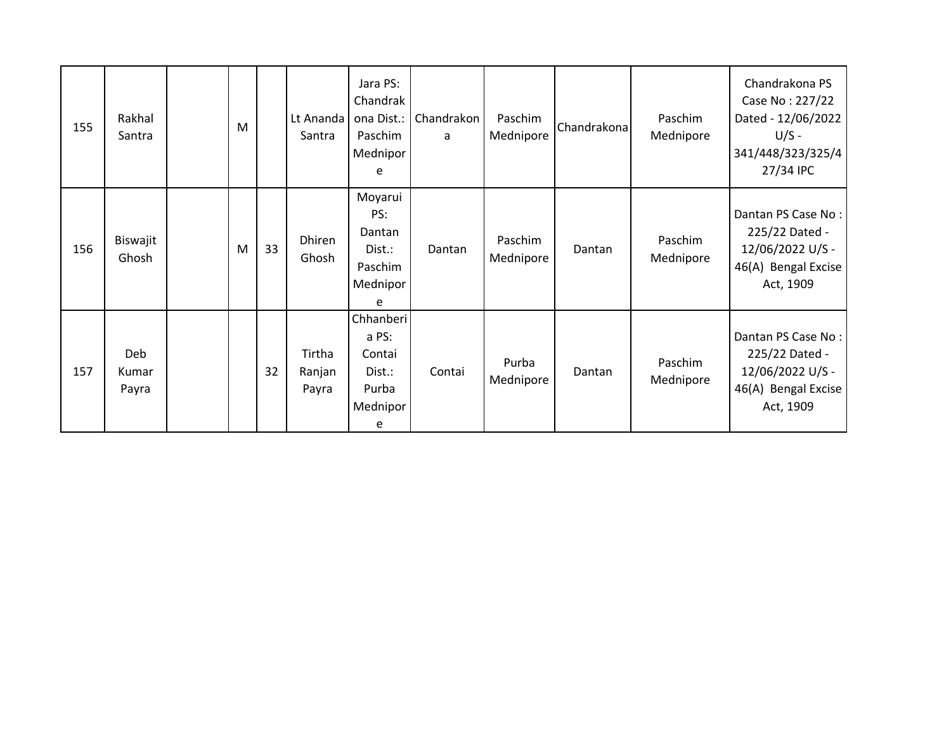| 155 | Rakhal<br>Santra      | M |    | Lt Ananda<br>Santra       | Jara PS:<br>Chandrak<br>ona Dist.:<br>Paschim<br>Mednipor<br>e   | Chandrakon<br>a | Paschim<br>Mednipore | Chandrakona | Paschim<br>Mednipore | Chandrakona PS<br>Case No: 227/22<br>Dated - 12/06/2022<br>$U/S -$<br>341/448/323/325/4<br>27/34 IPC |
|-----|-----------------------|---|----|---------------------------|------------------------------------------------------------------|-----------------|----------------------|-------------|----------------------|------------------------------------------------------------------------------------------------------|
| 156 | Biswajit<br>Ghosh     | M | 33 | Dhiren<br>Ghosh           | Moyarui<br>PS:<br>Dantan<br>Dist.:<br>Paschim<br>Mednipor<br>e   | Dantan          | Paschim<br>Mednipore | Dantan      | Paschim<br>Mednipore | Dantan PS Case No:<br>225/22 Dated -<br>12/06/2022 U/S -<br>46(A) Bengal Excise<br>Act, 1909         |
| 157 | Deb<br>Kumar<br>Payra |   | 32 | Tirtha<br>Ranjan<br>Payra | Chhanberi<br>a PS:<br>Contai<br>Dist.:<br>Purba<br>Mednipor<br>e | Contai          | Purba<br>Mednipore   | Dantan      | Paschim<br>Mednipore | Dantan PS Case No:<br>225/22 Dated -<br>12/06/2022 U/S -<br>46(A) Bengal Excise<br>Act, 1909         |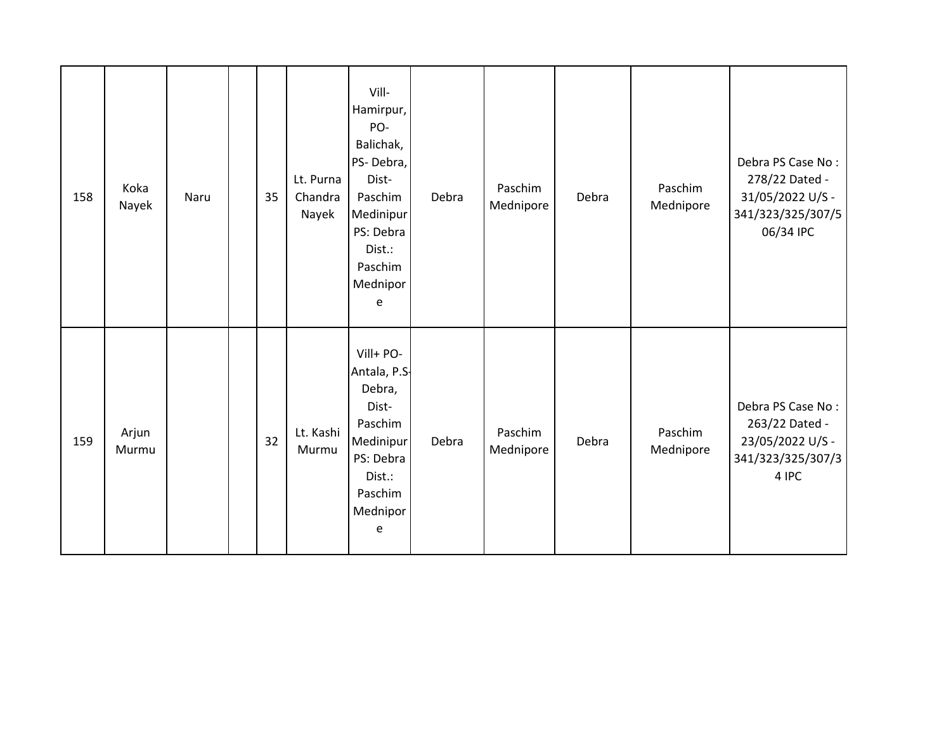| 158 | Koka<br>Nayek  | Naru | 35 | Lt. Purna<br>Chandra<br>Nayek | Vill-<br>Hamirpur,<br>PO-<br>Balichak,<br>PS-Debra,<br>Dist-<br>Paschim<br>Medinipur<br>PS: Debra<br>Dist.:<br>Paschim<br>Mednipor<br>e | Debra | Paschim<br>Mednipore | Debra | Paschim<br>Mednipore | Debra PS Case No:<br>278/22 Dated -<br>31/05/2022 U/S -<br>341/323/325/307/5<br>06/34 IPC |
|-----|----------------|------|----|-------------------------------|-----------------------------------------------------------------------------------------------------------------------------------------|-------|----------------------|-------|----------------------|-------------------------------------------------------------------------------------------|
| 159 | Arjun<br>Murmu |      | 32 | Lt. Kashi<br>Murmu            | Vill+ PO-<br>Antala, P.S.<br>Debra,<br>Dist-<br>Paschim<br>Medinipur<br>PS: Debra<br>Dist.:<br>Paschim<br>Mednipor<br>e                 | Debra | Paschim<br>Mednipore | Debra | Paschim<br>Mednipore | Debra PS Case No:<br>263/22 Dated -<br>23/05/2022 U/S -<br>341/323/325/307/3<br>4 IPC     |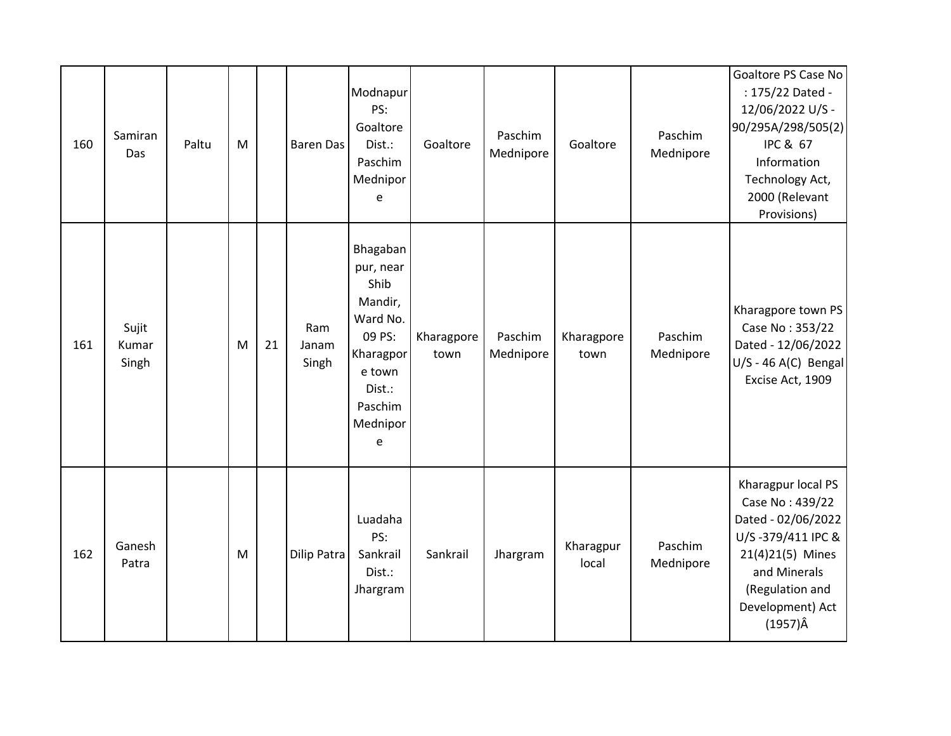| 160 | Samiran<br>Das          | Paltu | M |    | <b>Baren Das</b>      | Modnapur<br>PS:<br>Goaltore<br>Dist.:<br>Paschim<br>Mednipor<br>e                                                           | Goaltore           | Paschim<br>Mednipore | Goaltore           | Paschim<br>Mednipore | Goaltore PS Case No<br>: 175/22 Dated -<br>12/06/2022 U/S -<br>90/295A/298/505(2)<br><b>IPC &amp; 67</b><br>Information<br>Technology Act,<br>2000 (Relevant<br>Provisions)    |
|-----|-------------------------|-------|---|----|-----------------------|-----------------------------------------------------------------------------------------------------------------------------|--------------------|----------------------|--------------------|----------------------|--------------------------------------------------------------------------------------------------------------------------------------------------------------------------------|
| 161 | Sujit<br>Kumar<br>Singh |       | M | 21 | Ram<br>Janam<br>Singh | Bhagaban<br>pur, near<br>Shib<br>Mandir,<br>Ward No.<br>09 PS:<br>Kharagpor<br>e town<br>Dist.:<br>Paschim<br>Mednipor<br>e | Kharagpore<br>town | Paschim<br>Mednipore | Kharagpore<br>town | Paschim<br>Mednipore | Kharagpore town PS<br>Case No: 353/22<br>Dated - 12/06/2022<br>$U/S - 46 A(C)$ Bengal<br>Excise Act, 1909                                                                      |
| 162 | Ganesh<br>Patra         |       | M |    | Dilip Patra           | Luadaha<br>PS:<br>Sankrail<br>Dist.:<br>Jhargram                                                                            | Sankrail           | Jhargram             | Kharagpur<br>local | Paschim<br>Mednipore | Kharagpur local PS<br>Case No: 439/22<br>Dated - 02/06/2022<br>U/S-379/411 IPC &<br>21(4)21(5) Mines<br>and Minerals<br>(Regulation and<br>Development) Act<br>$(1957)\hat{A}$ |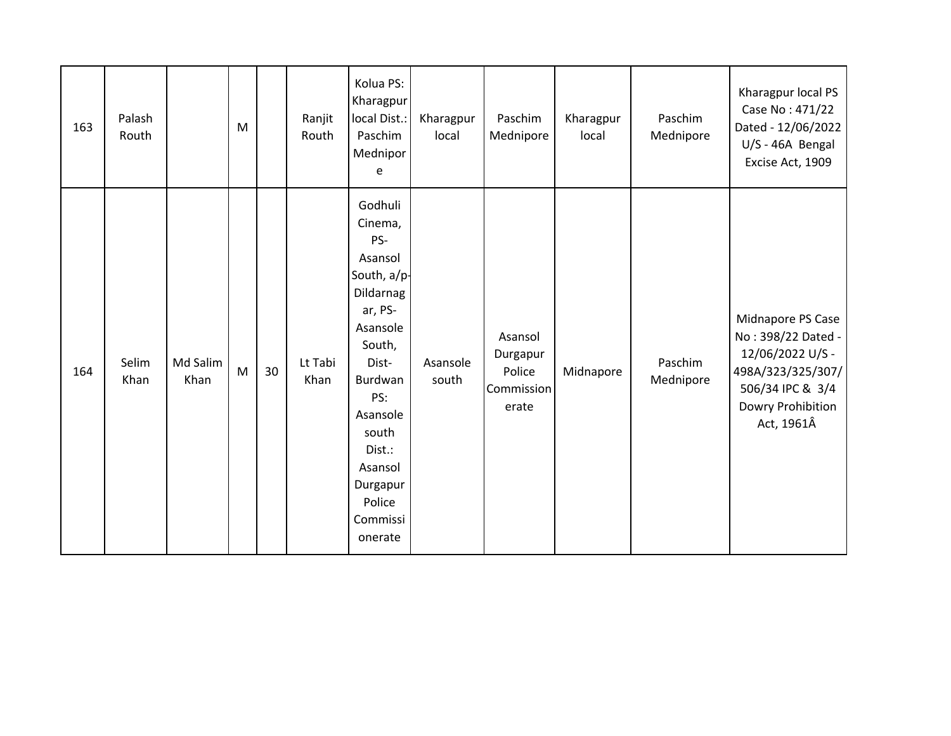| 163 | Palash<br>Routh |                  | M |    | Ranjit<br>Routh | Kolua PS:<br>Kharagpur<br>local Dist.:<br>Paschim<br>Mednipor<br>e                                                                                                                                                  | Kharagpur<br>local | Paschim<br>Mednipore                                 | Kharagpur<br>local | Paschim<br>Mednipore | Kharagpur local PS<br>Case No: 471/22<br>Dated - 12/06/2022<br>U/S - 46A Bengal<br>Excise Act, 1909                                     |
|-----|-----------------|------------------|---|----|-----------------|---------------------------------------------------------------------------------------------------------------------------------------------------------------------------------------------------------------------|--------------------|------------------------------------------------------|--------------------|----------------------|-----------------------------------------------------------------------------------------------------------------------------------------|
| 164 | Selim<br>Khan   | Md Salim<br>Khan | M | 30 | Lt Tabi<br>Khan | Godhuli<br>Cinema,<br>PS-<br>Asansol<br>South, a/p-<br>Dildarnag<br>ar, PS-<br>Asansole<br>South,<br>Dist-<br>Burdwan<br>PS:<br>Asansole<br>south<br>Dist.:<br>Asansol<br>Durgapur<br>Police<br>Commissi<br>onerate | Asansole<br>south  | Asansol<br>Durgapur<br>Police<br>Commission<br>erate | Midnapore          | Paschim<br>Mednipore | Midnapore PS Case<br>No: 398/22 Dated -<br>12/06/2022 U/S -<br>498A/323/325/307/<br>506/34 IPC & 3/4<br>Dowry Prohibition<br>Act, 1961Â |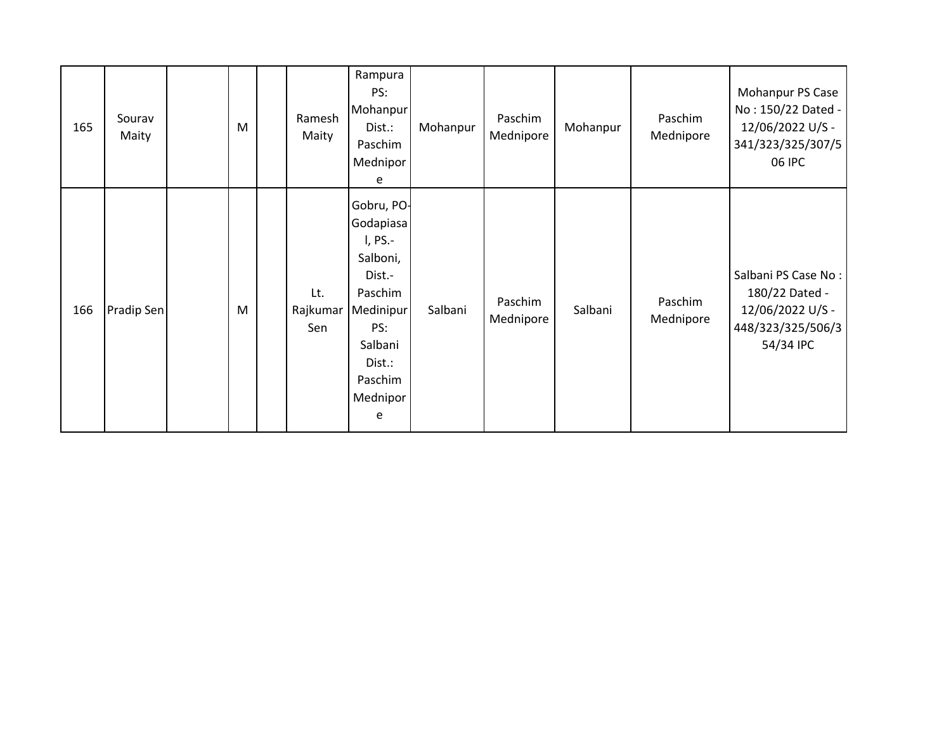| 165 | Sourav<br>Maity | M | Ramesh<br>Maity        | Rampura<br>PS:<br>Mohanpur<br>Dist.:<br>Paschim<br>Mednipor<br>e                                                                         | Mohanpur | Paschim<br>Mednipore | Mohanpur | Paschim<br>Mednipore | Mohanpur PS Case<br>No: 150/22 Dated -<br>12/06/2022 U/S -<br>341/323/325/307/5<br>06 IPC   |
|-----|-----------------|---|------------------------|------------------------------------------------------------------------------------------------------------------------------------------|----------|----------------------|----------|----------------------|---------------------------------------------------------------------------------------------|
| 166 | Pradip Sen      | M | Lt.<br>Rajkumar<br>Sen | Gobru, PO-<br>Godapiasa<br>I, PS.-<br>Salboni,<br>Dist.-<br>Paschim<br>Medinipur<br>PS:<br>Salbani<br>Dist.:<br>Paschim<br>Mednipor<br>e | Salbani  | Paschim<br>Mednipore | Salbani  | Paschim<br>Mednipore | Salbani PS Case No:<br>180/22 Dated -<br>12/06/2022 U/S -<br>448/323/325/506/3<br>54/34 IPC |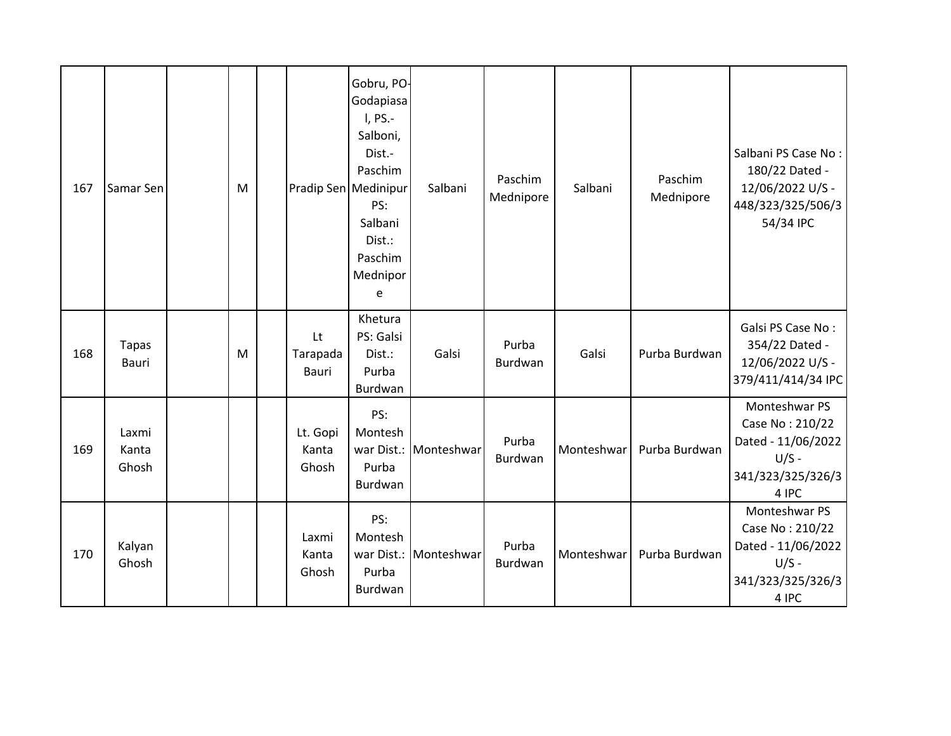| 167 | Samar Sen               | M | Pradip Sen Medinipur       | Gobru, PO-<br>Godapiasa<br>I, PS.-<br>Salboni,<br>Dist.-<br>Paschim<br>PS:<br>Salbani<br>Dist.:<br>Paschim<br>Mednipor<br>e | Salbani               | Paschim<br>Mednipore | Salbani    | Paschim<br>Mednipore | Salbani PS Case No:<br>180/22 Dated -<br>12/06/2022 U/S -<br>448/323/325/506/3<br>54/34 IPC     |
|-----|-------------------------|---|----------------------------|-----------------------------------------------------------------------------------------------------------------------------|-----------------------|----------------------|------------|----------------------|-------------------------------------------------------------------------------------------------|
| 168 | <b>Tapas</b><br>Bauri   | M | Lt<br>Tarapada<br>Bauri    | Khetura<br>PS: Galsi<br>Dist.:<br>Purba<br>Burdwan                                                                          | Galsi                 | Purba<br>Burdwan     | Galsi      | Purba Burdwan        | Galsi PS Case No:<br>354/22 Dated -<br>12/06/2022 U/S -<br>379/411/414/34 IPC                   |
| 169 | Laxmi<br>Kanta<br>Ghosh |   | Lt. Gopi<br>Kanta<br>Ghosh | PS:<br>Montesh<br>Purba<br>Burdwan                                                                                          | war Dist.: Monteshwar | Purba<br>Burdwan     | Monteshwar | Purba Burdwan        | Monteshwar PS<br>Case No: 210/22<br>Dated - 11/06/2022<br>$U/S -$<br>341/323/325/326/3<br>4 IPC |
| 170 | Kalyan<br>Ghosh         |   | Laxmi<br>Kanta<br>Ghosh    | PS:<br>Montesh<br>Purba<br>Burdwan                                                                                          | war Dist.: Monteshwar | Purba<br>Burdwan     | Monteshwar | Purba Burdwan        | Monteshwar PS<br>Case No: 210/22<br>Dated - 11/06/2022<br>$U/S -$<br>341/323/325/326/3<br>4 IPC |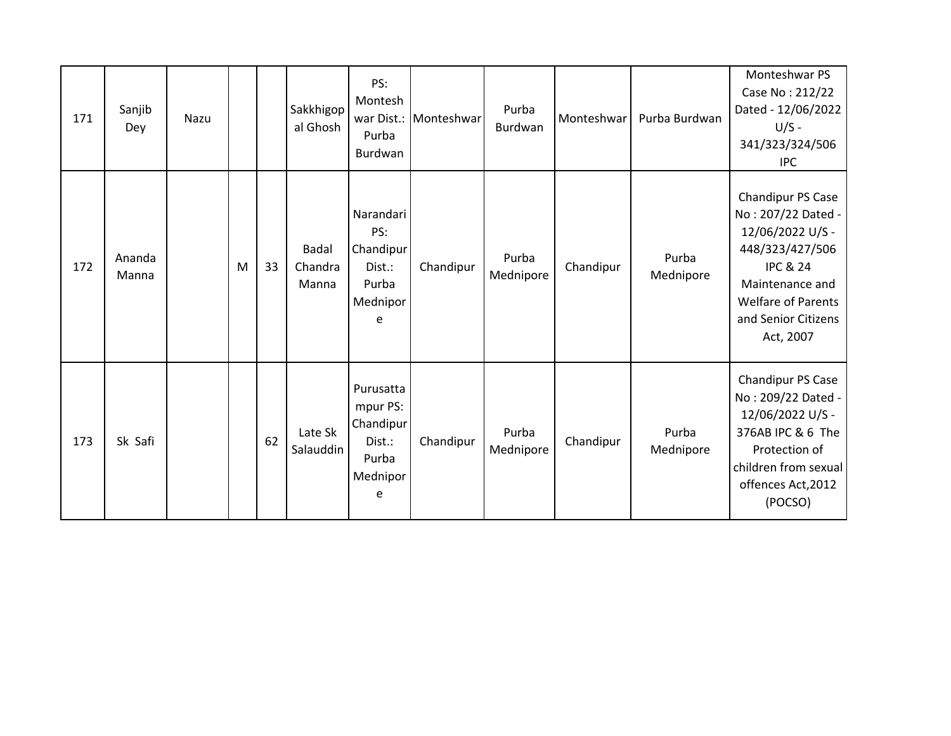| 171 | Sanjib<br>Dey   | Nazu |   |    | Sakkhigop<br>al Ghosh            | PS:<br>Montesh<br>war Dist.:<br>Purba<br>Burdwan                       | Monteshwar | Purba<br>Burdwan   | Monteshwar | Purba Burdwan      | Monteshwar PS<br>Case No: 212/22<br>Dated - 12/06/2022<br>$U/S -$<br>341/323/324/506<br><b>IPC</b>                                                                                        |
|-----|-----------------|------|---|----|----------------------------------|------------------------------------------------------------------------|------------|--------------------|------------|--------------------|-------------------------------------------------------------------------------------------------------------------------------------------------------------------------------------------|
| 172 | Ananda<br>Manna |      | M | 33 | <b>Badal</b><br>Chandra<br>Manna | Narandari<br>PS:<br>Chandipur<br>Dist.:<br>Purba<br>Mednipor<br>e      | Chandipur  | Purba<br>Mednipore | Chandipur  | Purba<br>Mednipore | Chandipur PS Case<br>No: 207/22 Dated -<br>12/06/2022 U/S -<br>448/323/427/506<br><b>IPC &amp; 24</b><br>Maintenance and<br><b>Welfare of Parents</b><br>and Senior Citizens<br>Act, 2007 |
| 173 | Sk Safi         |      |   | 62 | Late Sk<br>Salauddin             | Purusatta<br>mpur PS:<br>Chandipur<br>Dist.:<br>Purba<br>Mednipor<br>e | Chandipur  | Purba<br>Mednipore | Chandipur  | Purba<br>Mednipore | Chandipur PS Case<br>No: 209/22 Dated -<br>12/06/2022 U/S -<br>376AB IPC & 6 The<br>Protection of<br>children from sexual<br>offences Act, 2012<br>(POCSO)                                |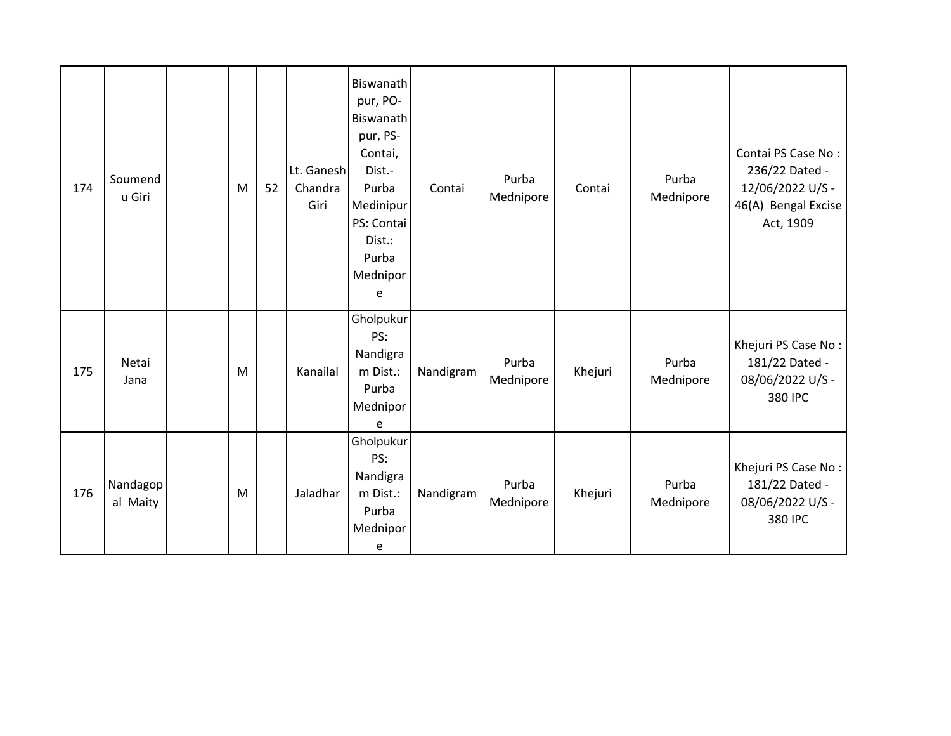| 174 | Soumend<br>u Giri    | M | 52 | Lt. Ganesh<br>Chandra<br>Giri | Biswanath<br>pur, PO-<br>Biswanath<br>pur, PS-<br>Contai,<br>Dist.-<br>Purba<br>Medinipur<br>PS: Contai<br>Dist.:<br>Purba<br>Mednipor<br>e | Contai    | Purba<br>Mednipore | Contai  | Purba<br>Mednipore | Contai PS Case No:<br>236/22 Dated -<br>12/06/2022 U/S -<br>46(A) Bengal Excise<br>Act, 1909 |
|-----|----------------------|---|----|-------------------------------|---------------------------------------------------------------------------------------------------------------------------------------------|-----------|--------------------|---------|--------------------|----------------------------------------------------------------------------------------------|
| 175 | Netai<br>Jana        | M |    | Kanailal                      | Gholpukur<br>PS:<br>Nandigra<br>m Dist.:<br>Purba<br>Mednipor<br>e                                                                          | Nandigram | Purba<br>Mednipore | Khejuri | Purba<br>Mednipore | Khejuri PS Case No:<br>181/22 Dated -<br>08/06/2022 U/S -<br>380 IPC                         |
| 176 | Nandagop<br>al Maity | M |    | Jaladhar                      | Gholpukur<br>PS:<br>Nandigra<br>m Dist.:<br>Purba<br>Mednipor<br>e                                                                          | Nandigram | Purba<br>Mednipore | Khejuri | Purba<br>Mednipore | Khejuri PS Case No:<br>181/22 Dated -<br>08/06/2022 U/S -<br>380 IPC                         |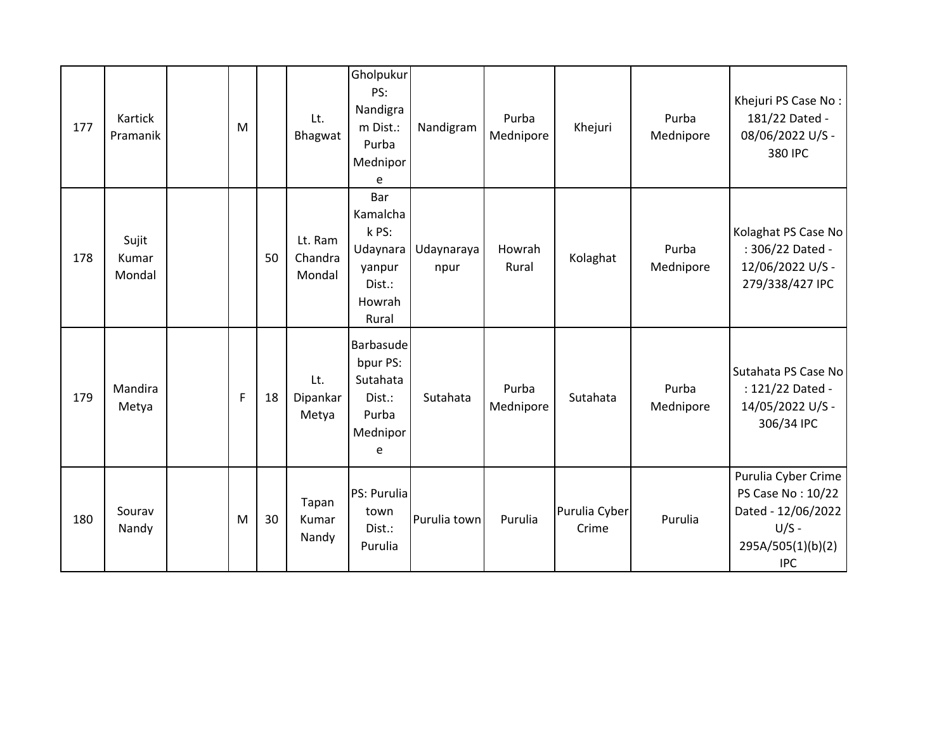| 177 | Kartick<br>Pramanik      | M |    | Lt.<br>Bhagwat               | Gholpukur<br>PS:<br>Nandigra<br>m Dist.:<br>Purba<br>Mednipor<br>e          | Nandigram          | Purba<br>Mednipore | Khejuri                | Purba<br>Mednipore | Khejuri PS Case No:<br>181/22 Dated -<br>08/06/2022 U/S -<br>380 IPC                                         |
|-----|--------------------------|---|----|------------------------------|-----------------------------------------------------------------------------|--------------------|--------------------|------------------------|--------------------|--------------------------------------------------------------------------------------------------------------|
| 178 | Sujit<br>Kumar<br>Mondal |   | 50 | Lt. Ram<br>Chandra<br>Mondal | Bar<br>Kamalcha<br>k PS:<br>Udaynara<br>yanpur<br>Dist.:<br>Howrah<br>Rural | Udaynaraya<br>npur | Howrah<br>Rural    | Kolaghat               | Purba<br>Mednipore | Kolaghat PS Case No<br>: 306/22 Dated -<br>12/06/2022 U/S -<br>279/338/427 IPC                               |
| 179 | Mandira<br>Metya         | F | 18 | Lt.<br>Dipankar<br>Metya     | Barbasude<br>bpur PS:<br>Sutahata<br>Dist.:<br>Purba<br>Mednipor<br>e       | Sutahata           | Purba<br>Mednipore | Sutahata               | Purba<br>Mednipore | Sutahata PS Case No<br>: 121/22 Dated -<br>14/05/2022 U/S -<br>306/34 IPC                                    |
| 180 | Sourav<br>Nandy          | M | 30 | Tapan<br>Kumar<br>Nandy      | PS: Purulia<br>town<br>Dist.:<br>Purulia                                    | Purulia town       | Purulia            | Purulia Cyber<br>Crime | Purulia            | Purulia Cyber Crime<br>PS Case No: 10/22<br>Dated - 12/06/2022<br>$U/S -$<br>295A/505(1)(b)(2)<br><b>IPC</b> |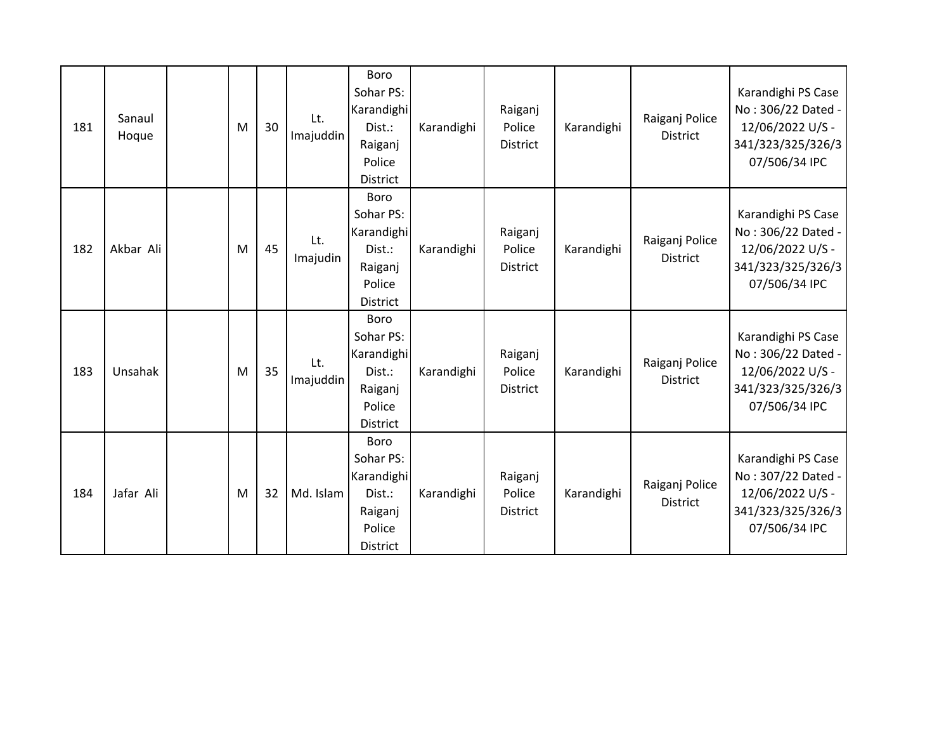| 181 | Sanaul<br>Hoque | M | 30 | Lt.<br>Imajuddin | Boro<br>Sohar PS:<br>Karandighi<br>Dist.:<br>Raiganj<br>Police<br><b>District</b>        | Karandighi | Raiganj<br>Police<br><b>District</b> | Karandighi | Raiganj Police<br><b>District</b> | Karandighi PS Case<br>No: 306/22 Dated -<br>12/06/2022 U/S -<br>341/323/325/326/3<br>07/506/34 IPC |
|-----|-----------------|---|----|------------------|------------------------------------------------------------------------------------------|------------|--------------------------------------|------------|-----------------------------------|----------------------------------------------------------------------------------------------------|
| 182 | Akbar Ali       | M | 45 | Lt.<br>Imajudin  | <b>Boro</b><br>Sohar PS:<br>Karandighi<br>Dist.:<br>Raiganj<br>Police<br><b>District</b> | Karandighi | Raiganj<br>Police<br><b>District</b> | Karandighi | Raiganj Police<br><b>District</b> | Karandighi PS Case<br>No: 306/22 Dated -<br>12/06/2022 U/S -<br>341/323/325/326/3<br>07/506/34 IPC |
| 183 | Unsahak         | M | 35 | Lt.<br>Imajuddin | <b>Boro</b><br>Sohar PS:<br>Karandighi<br>Dist.:<br>Raiganj<br>Police<br><b>District</b> | Karandighi | Raiganj<br>Police<br><b>District</b> | Karandighi | Raiganj Police<br><b>District</b> | Karandighi PS Case<br>No: 306/22 Dated -<br>12/06/2022 U/S -<br>341/323/325/326/3<br>07/506/34 IPC |
| 184 | Jafar Ali       | M | 32 | Md. Islam        | Boro<br>Sohar PS:<br>Karandighi<br>Dist.:<br>Raiganj<br>Police<br><b>District</b>        | Karandighi | Raiganj<br>Police<br><b>District</b> | Karandighi | Raiganj Police<br><b>District</b> | Karandighi PS Case<br>No: 307/22 Dated -<br>12/06/2022 U/S -<br>341/323/325/326/3<br>07/506/34 IPC |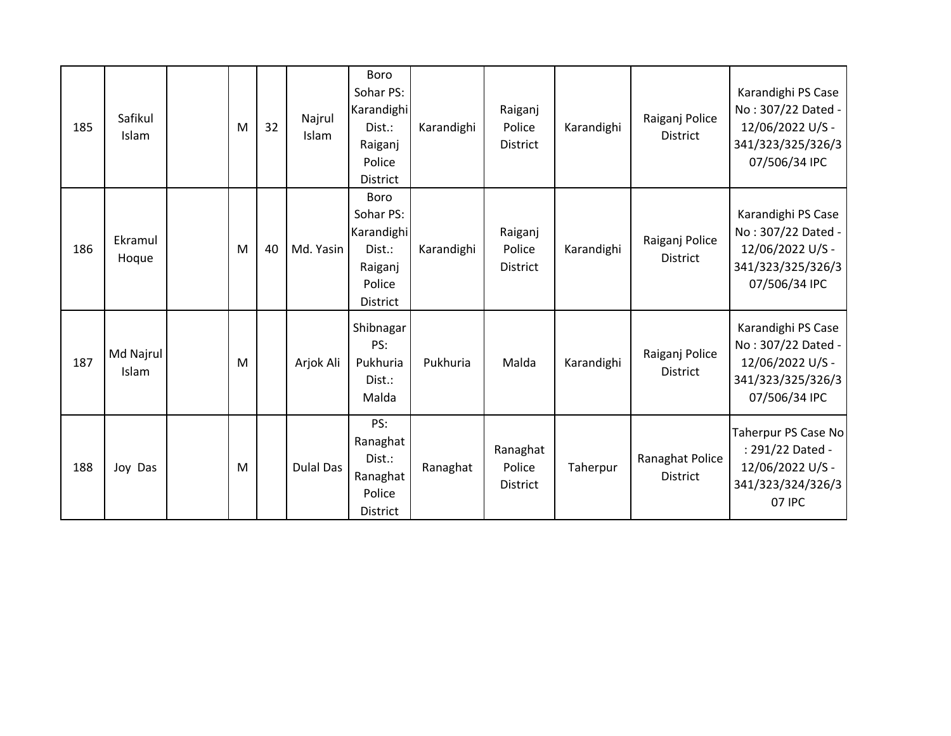| 185 | Safikul<br>Islam   | M | 32 | Najrul<br>Islam  | Boro<br>Sohar PS:<br>Karandighi<br>Dist.:<br>Raiganj<br>Police<br><b>District</b> | Karandighi | Raiganj<br>Police<br><b>District</b>  | Karandighi | Raiganj Police<br><b>District</b>  | Karandighi PS Case<br>No: 307/22 Dated -<br>12/06/2022 U/S -<br>341/323/325/326/3<br>07/506/34 IPC |
|-----|--------------------|---|----|------------------|-----------------------------------------------------------------------------------|------------|---------------------------------------|------------|------------------------------------|----------------------------------------------------------------------------------------------------|
| 186 | Ekramul<br>Hoque   | M | 40 | Md. Yasin        | <b>Boro</b><br>Sohar PS:<br>Karandighi<br>Dist.:<br>Raiganj<br>Police<br>District | Karandighi | Raiganj<br>Police<br><b>District</b>  | Karandighi | Raiganj Police<br><b>District</b>  | Karandighi PS Case<br>No: 307/22 Dated -<br>12/06/2022 U/S -<br>341/323/325/326/3<br>07/506/34 IPC |
| 187 | Md Najrul<br>Islam | M |    | Arjok Ali        | Shibnagar<br>PS:<br>Pukhuria<br>Dist.:<br>Malda                                   | Pukhuria   | Malda                                 | Karandighi | Raiganj Police<br><b>District</b>  | Karandighi PS Case<br>No: 307/22 Dated -<br>12/06/2022 U/S -<br>341/323/325/326/3<br>07/506/34 IPC |
| 188 | Joy Das            | M |    | <b>Dulal Das</b> | PS:<br>Ranaghat<br>Dist.:<br>Ranaghat<br>Police<br><b>District</b>                | Ranaghat   | Ranaghat<br>Police<br><b>District</b> | Taherpur   | Ranaghat Police<br><b>District</b> | Taherpur PS Case No<br>: 291/22 Dated -<br>12/06/2022 U/S -<br>341/323/324/326/3<br>07 IPC         |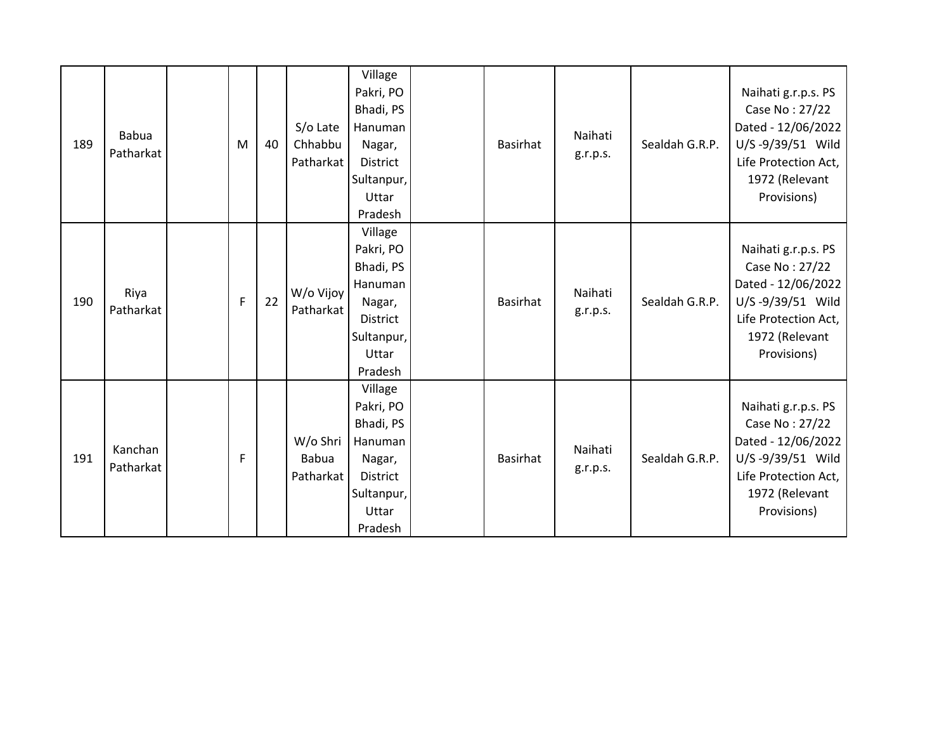| 189 | <b>Babua</b><br>Patharkat | M | 40 | S/o Late<br>Chhabbu<br>Patharkat      | Village<br>Pakri, PO<br>Bhadi, PS<br>Hanuman<br>Nagar,<br>District<br>Sultanpur,<br>Uttar<br>Pradesh        | <b>Basirhat</b> | Naihati<br>g.r.p.s. | Sealdah G.R.P. | Naihati g.r.p.s. PS<br>Case No: 27/22<br>Dated - 12/06/2022<br>U/S-9/39/51 Wild<br>Life Protection Act,<br>1972 (Relevant<br>Provisions) |
|-----|---------------------------|---|----|---------------------------------------|-------------------------------------------------------------------------------------------------------------|-----------------|---------------------|----------------|------------------------------------------------------------------------------------------------------------------------------------------|
| 190 | Riya<br>Patharkat         | F | 22 | W/o Vijoy<br>Patharkat                | Village<br>Pakri, PO<br>Bhadi, PS<br>Hanuman<br>Nagar,<br><b>District</b><br>Sultanpur,<br>Uttar<br>Pradesh | <b>Basirhat</b> | Naihati<br>g.r.p.s. | Sealdah G.R.P. | Naihati g.r.p.s. PS<br>Case No: 27/22<br>Dated - 12/06/2022<br>U/S-9/39/51 Wild<br>Life Protection Act,<br>1972 (Relevant<br>Provisions) |
| 191 | Kanchan<br>Patharkat      | F |    | W/o Shri<br><b>Babua</b><br>Patharkat | Village<br>Pakri, PO<br>Bhadi, PS<br>Hanuman<br>Nagar,<br><b>District</b><br>Sultanpur,<br>Uttar<br>Pradesh | <b>Basirhat</b> | Naihati<br>g.r.p.s. | Sealdah G.R.P. | Naihati g.r.p.s. PS<br>Case No: 27/22<br>Dated - 12/06/2022<br>U/S-9/39/51 Wild<br>Life Protection Act,<br>1972 (Relevant<br>Provisions) |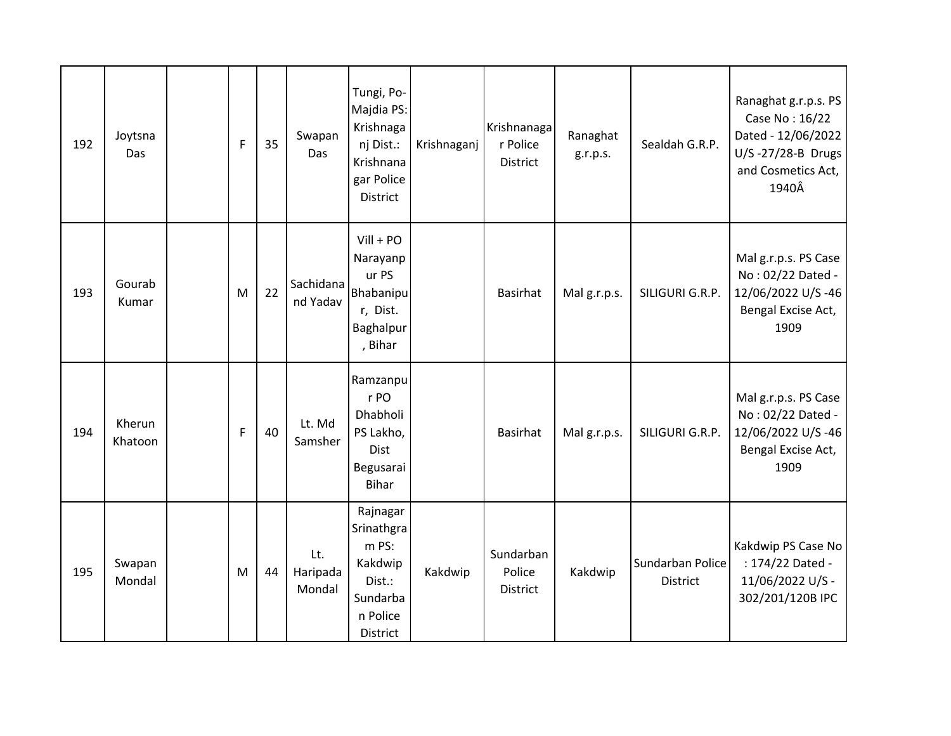| 192 | Joytsna<br>Das    | $\mathsf F$ | 35 | Swapan<br>Das             | Tungi, Po-<br>Majdia PS:<br>Krishnaga<br>nj Dist.:<br>Krishnana<br>gar Police<br>District | Krishnaganj | Krishnanaga<br>r Police<br><b>District</b> | Ranaghat<br>g.r.p.s. | Sealdah G.R.P.                      | Ranaghat g.r.p.s. PS<br>Case No: 16/22<br>Dated - 12/06/2022<br>U/S-27/28-B Drugs<br>and Cosmetics Act,<br>1940Â |
|-----|-------------------|-------------|----|---------------------------|-------------------------------------------------------------------------------------------|-------------|--------------------------------------------|----------------------|-------------------------------------|------------------------------------------------------------------------------------------------------------------|
| 193 | Gourab<br>Kumar   | M           | 22 | Sachidana<br>nd Yadav     | $Vill + PO$<br>Narayanp<br>ur PS<br>Bhabanipul<br>r, Dist.<br>Baghalpur<br>, Bihar        |             | <b>Basirhat</b>                            | Malg.r.p.s.          | SILIGURI G.R.P.                     | Mal g.r.p.s. PS Case<br>No: 02/22 Dated -<br>12/06/2022 U/S-46<br>Bengal Excise Act,<br>1909                     |
| 194 | Kherun<br>Khatoon | $\mathsf F$ | 40 | Lt. Md<br>Samsher         | Ramzanpu<br>r PO<br>Dhabholi<br>PS Lakho,<br><b>Dist</b><br>Begusarai<br><b>Bihar</b>     |             | <b>Basirhat</b>                            | Malg.r.p.s.          | SILIGURI G.R.P.                     | Mal g.r.p.s. PS Case<br>No: 02/22 Dated -<br>12/06/2022 U/S-46<br>Bengal Excise Act,<br>1909                     |
| 195 | Swapan<br>Mondal  | M           | 44 | Lt.<br>Haripada<br>Mondal | Rajnagar<br>Srinathgra<br>m PS:<br>Kakdwip<br>Dist.:<br>Sundarba<br>n Police<br>District  | Kakdwip     | Sundarban<br>Police<br>District            | Kakdwip              | Sundarban Police<br><b>District</b> | Kakdwip PS Case No<br>: 174/22 Dated -<br>11/06/2022 U/S -<br>302/201/120B IPC                                   |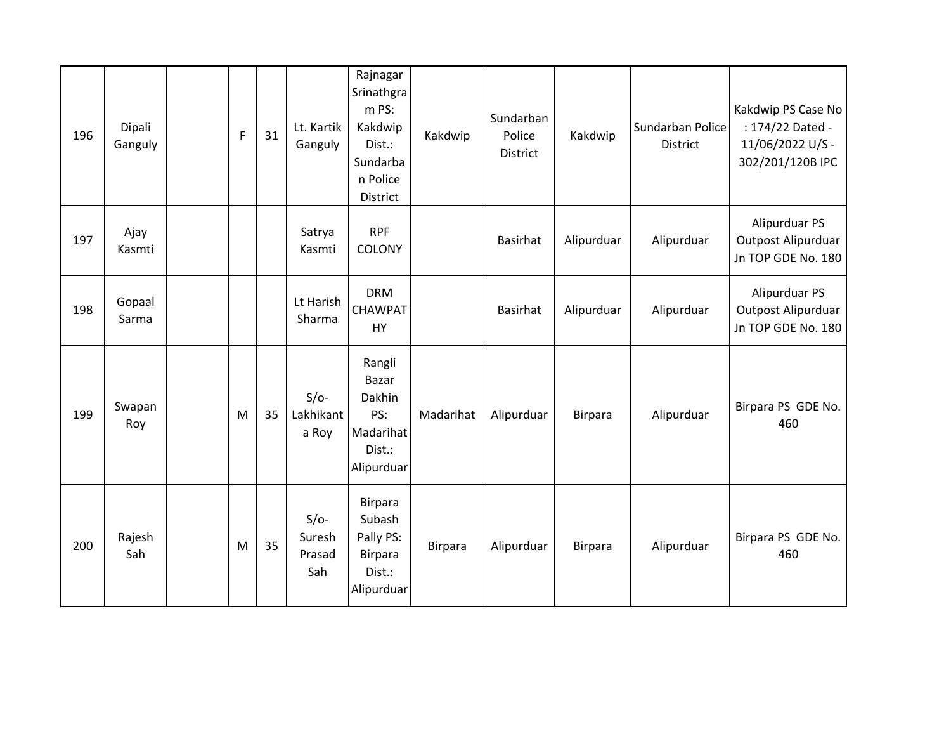| 196 | Dipali<br>Ganguly | F | 31 | Lt. Kartik<br>Ganguly             | Rajnagar<br>Srinathgra<br>m PS:<br>Kakdwip<br>Dist.:<br>Sundarba<br>n Police<br>District | Kakdwip   | Sundarban<br>Police<br>District | Kakdwip    | Sundarban Police<br><b>District</b> | Kakdwip PS Case No<br>: 174/22 Dated -<br>11/06/2022 U/S -<br>302/201/120B IPC |
|-----|-------------------|---|----|-----------------------------------|------------------------------------------------------------------------------------------|-----------|---------------------------------|------------|-------------------------------------|--------------------------------------------------------------------------------|
| 197 | Ajay<br>Kasmti    |   |    | Satrya<br>Kasmti                  | <b>RPF</b><br><b>COLONY</b>                                                              |           | <b>Basirhat</b>                 | Alipurduar | Alipurduar                          | Alipurduar PS<br>Outpost Alipurduar<br>Jn TOP GDE No. 180                      |
| 198 | Gopaal<br>Sarma   |   |    | Lt Harish<br>Sharma               | <b>DRM</b><br><b>CHAWPAT</b><br>HY                                                       |           | <b>Basirhat</b>                 | Alipurduar | Alipurduar                          | Alipurduar PS<br>Outpost Alipurduar<br>Jn TOP GDE No. 180                      |
| 199 | Swapan<br>Roy     | M | 35 | $S/O-$<br>Lakhikant<br>a Roy      | Rangli<br><b>Bazar</b><br>Dakhin<br>PS:<br>Madarihat<br>Dist.:<br>Alipurduar             | Madarihat | Alipurduar                      | Birpara    | Alipurduar                          | Birpara PS GDE No.<br>460                                                      |
| 200 | Rajesh<br>Sah     | M | 35 | $S/O-$<br>Suresh<br>Prasad<br>Sah | <b>Birpara</b><br>Subash<br>Pally PS:<br><b>Birpara</b><br>Dist.:<br>Alipurduar          | Birpara   | Alipurduar                      | Birpara    | Alipurduar                          | Birpara PS GDE No.<br>460                                                      |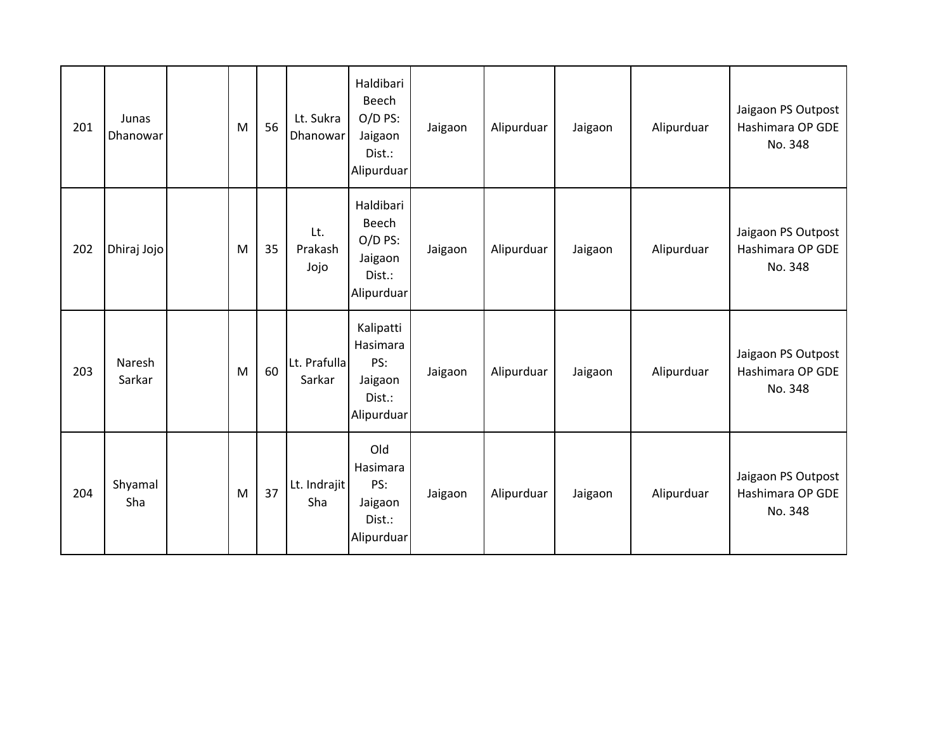| 201 | Junas<br>Dhanowar | M | 56 | Lt. Sukra<br>Dhanowar  | Haldibari<br>Beech<br>$O/D$ PS:<br>Jaigaon<br>Dist.:<br>Alipurduar | Jaigaon | Alipurduar | Jaigaon | Alipurduar | Jaigaon PS Outpost<br>Hashimara OP GDE<br>No. 348 |
|-----|-------------------|---|----|------------------------|--------------------------------------------------------------------|---------|------------|---------|------------|---------------------------------------------------|
| 202 | Dhiraj Jojo       | M | 35 | Lt.<br>Prakash<br>Jojo | Haldibari<br>Beech<br>$O/D$ PS:<br>Jaigaon<br>Dist.:<br>Alipurduar | Jaigaon | Alipurduar | Jaigaon | Alipurduar | Jaigaon PS Outpost<br>Hashimara OP GDE<br>No. 348 |
| 203 | Naresh<br>Sarkar  | M | 60 | Lt. Prafulla<br>Sarkar | Kalipatti<br>Hasimara<br>PS:<br>Jaigaon<br>Dist.:<br>Alipurduar    | Jaigaon | Alipurduar | Jaigaon | Alipurduar | Jaigaon PS Outpost<br>Hashimara OP GDE<br>No. 348 |
| 204 | Shyamal<br>Sha    | M | 37 | Lt. Indrajit<br>Sha    | Old<br>Hasimara<br>PS:<br>Jaigaon<br>Dist.:<br>Alipurduar          | Jaigaon | Alipurduar | Jaigaon | Alipurduar | Jaigaon PS Outpost<br>Hashimara OP GDE<br>No. 348 |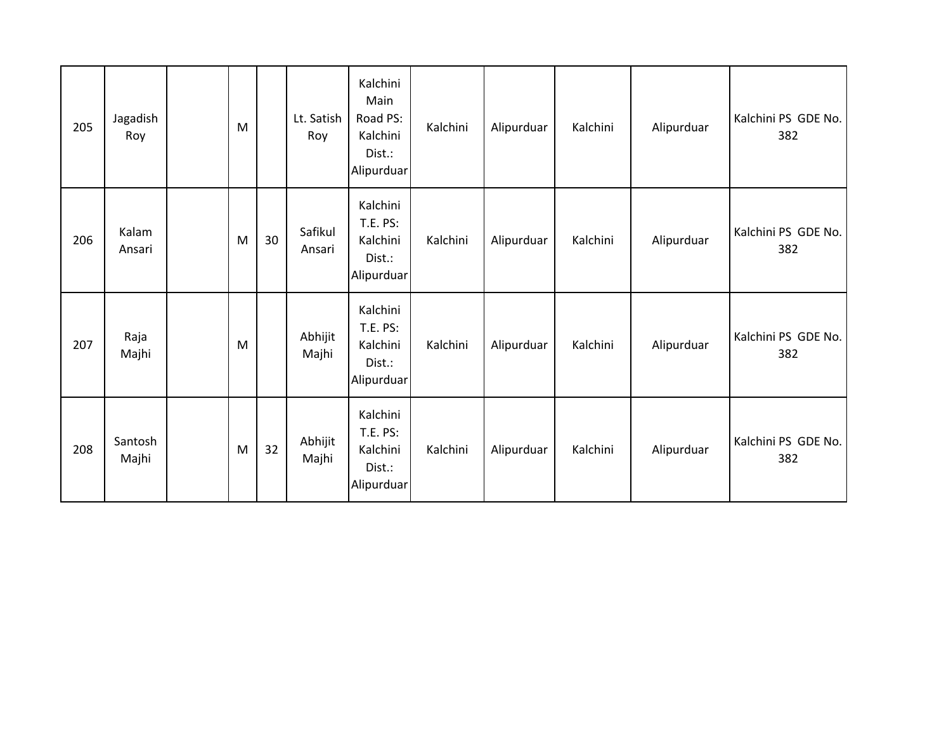| 205 | Jagadish<br>Roy  | M |    | Lt. Satish<br>Roy | Kalchini<br>Main<br>Road PS:<br>Kalchini<br>Dist.:<br>Alipurduar | Kalchini | Alipurduar | Kalchini | Alipurduar | Kalchini PS GDE No.<br>382 |
|-----|------------------|---|----|-------------------|------------------------------------------------------------------|----------|------------|----------|------------|----------------------------|
| 206 | Kalam<br>Ansari  | M | 30 | Safikul<br>Ansari | Kalchini<br><b>T.E. PS:</b><br>Kalchini<br>Dist.:<br>Alipurduar  | Kalchini | Alipurduar | Kalchini | Alipurduar | Kalchini PS GDE No.<br>382 |
| 207 | Raja<br>Majhi    | M |    | Abhijit<br>Majhi  | Kalchini<br><b>T.E. PS:</b><br>Kalchini<br>Dist.:<br>Alipurduar  | Kalchini | Alipurduar | Kalchini | Alipurduar | Kalchini PS GDE No.<br>382 |
| 208 | Santosh<br>Majhi | M | 32 | Abhijit<br>Majhi  | Kalchini<br><b>T.E. PS:</b><br>Kalchini<br>Dist.:<br>Alipurduar  | Kalchini | Alipurduar | Kalchini | Alipurduar | Kalchini PS GDE No.<br>382 |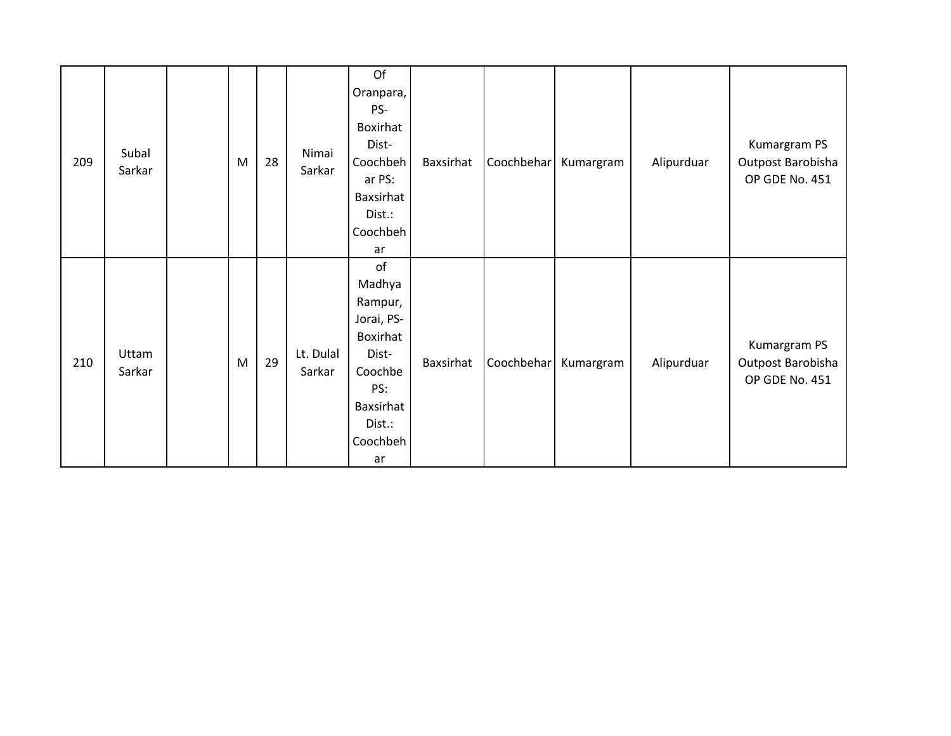| 209 | Subal<br>Sarkar | M         | 28 | Nimai<br>Sarkar     | Of<br>Oranpara,<br>PS-<br>Boxirhat<br>Dist-<br>Coochbeh<br>ar PS:<br>Baxsirhat<br>Dist.:<br>Coochbeh<br>ar            | Baxsirhat | Coochbehar | Kumargram | Alipurduar | Kumargram PS<br>Outpost Barobisha<br>OP GDE No. 451 |
|-----|-----------------|-----------|----|---------------------|-----------------------------------------------------------------------------------------------------------------------|-----------|------------|-----------|------------|-----------------------------------------------------|
| 210 | Uttam<br>Sarkar | ${\sf M}$ | 29 | Lt. Dulal<br>Sarkar | of<br>Madhya<br>Rampur,<br>Jorai, PS-<br>Boxirhat<br>Dist-<br>Coochbe<br>PS:<br>Baxsirhat<br>Dist.:<br>Coochbeh<br>ar | Baxsirhat | Coochbehar | Kumargram | Alipurduar | Kumargram PS<br>Outpost Barobisha<br>OP GDE No. 451 |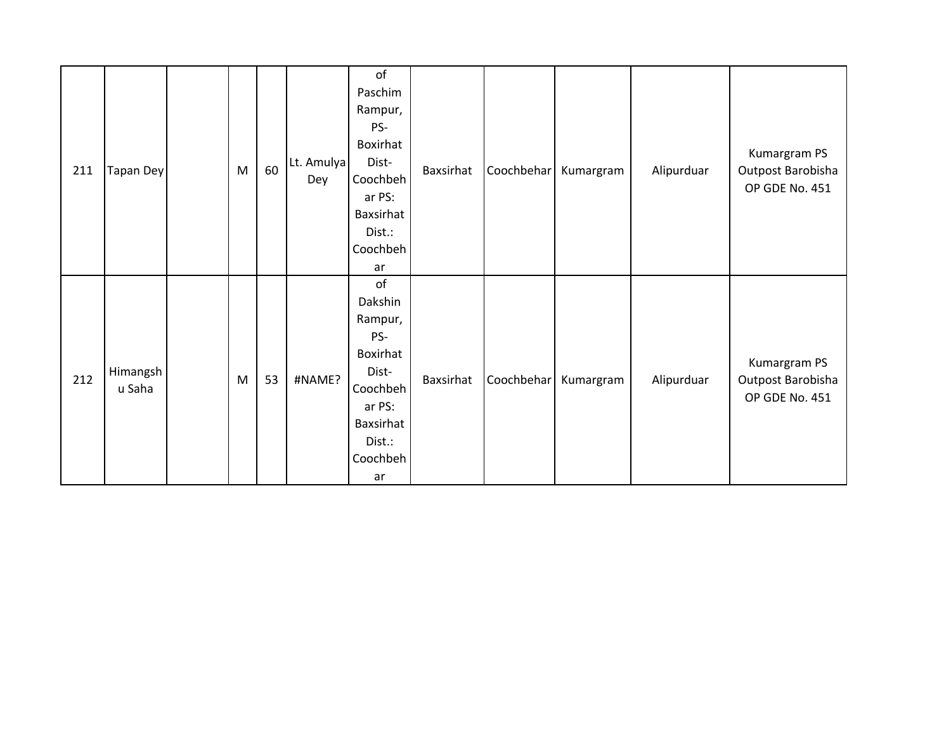| 211 | <b>Tapan Dey</b>   | M | 60 | Lt. Amulya<br>Dey | of<br>Paschim<br>Rampur,<br>PS-<br>Boxirhat<br>Dist-<br>Coochbeh<br>ar PS:<br>Baxsirhat<br>Dist.:<br>Coochbeh<br>ar | Baxsirhat | Coochbehar | Kumargram | Alipurduar | Kumargram PS<br>Outpost Barobisha<br>OP GDE No. 451 |
|-----|--------------------|---|----|-------------------|---------------------------------------------------------------------------------------------------------------------|-----------|------------|-----------|------------|-----------------------------------------------------|
| 212 | Himangsh<br>u Saha | M | 53 | #NAME?            | of<br>Dakshin<br>Rampur,<br>PS-<br>Boxirhat<br>Dist-<br>Coochbeh<br>ar PS:<br>Baxsirhat<br>Dist.:<br>Coochbeh<br>ar | Baxsirhat | Coochbehar | Kumargram | Alipurduar | Kumargram PS<br>Outpost Barobisha<br>OP GDE No. 451 |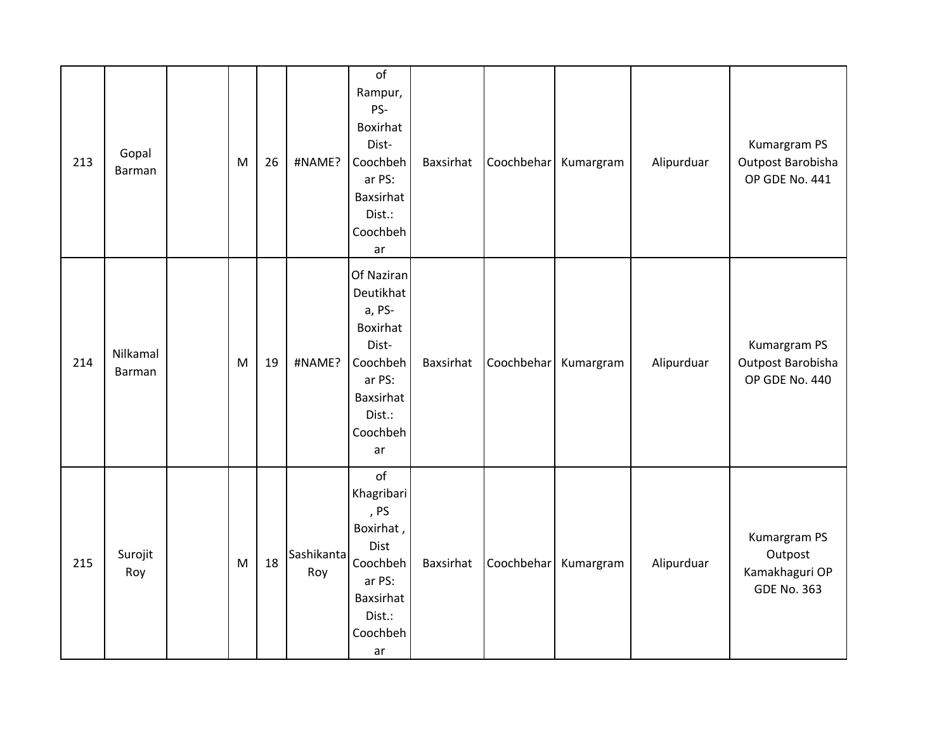| 213 | Gopal<br><b>Barman</b> | M | 26 | #NAME?            | of<br>Rampur,<br>PS-<br>Boxirhat<br>Dist-<br>Coochbeh<br>ar PS:<br>Baxsirhat<br>Dist.:<br>Coochbeh<br>ar              | Baxsirhat | Coochbehar | Kumargram | Alipurduar | Kumargram PS<br>Outpost Barobisha<br>OP GDE No. 441             |
|-----|------------------------|---|----|-------------------|-----------------------------------------------------------------------------------------------------------------------|-----------|------------|-----------|------------|-----------------------------------------------------------------|
| 214 | Nilkamal<br>Barman     | M | 19 | #NAME?            | Of Naziran<br>Deutikhat<br>a, PS-<br>Boxirhat<br>Dist-<br>Coochbeh<br>ar PS:<br>Baxsirhat<br>Dist.:<br>Coochbeh<br>ar | Baxsirhat | Coochbehar | Kumargram | Alipurduar | Kumargram PS<br>Outpost Barobisha<br>OP GDE No. 440             |
| 215 | Surojit<br>Roy         | M | 18 | Sashikanta<br>Roy | of<br>Khagribari<br>, PS<br>Boxirhat,<br>Dist<br>Coochbeh<br>ar PS:<br>Baxsirhat<br>Dist.:<br>Coochbeh<br>ar          | Baxsirhat | Coochbehar | Kumargram | Alipurduar | Kumargram PS<br>Outpost<br>Kamakhaguri OP<br><b>GDE No. 363</b> |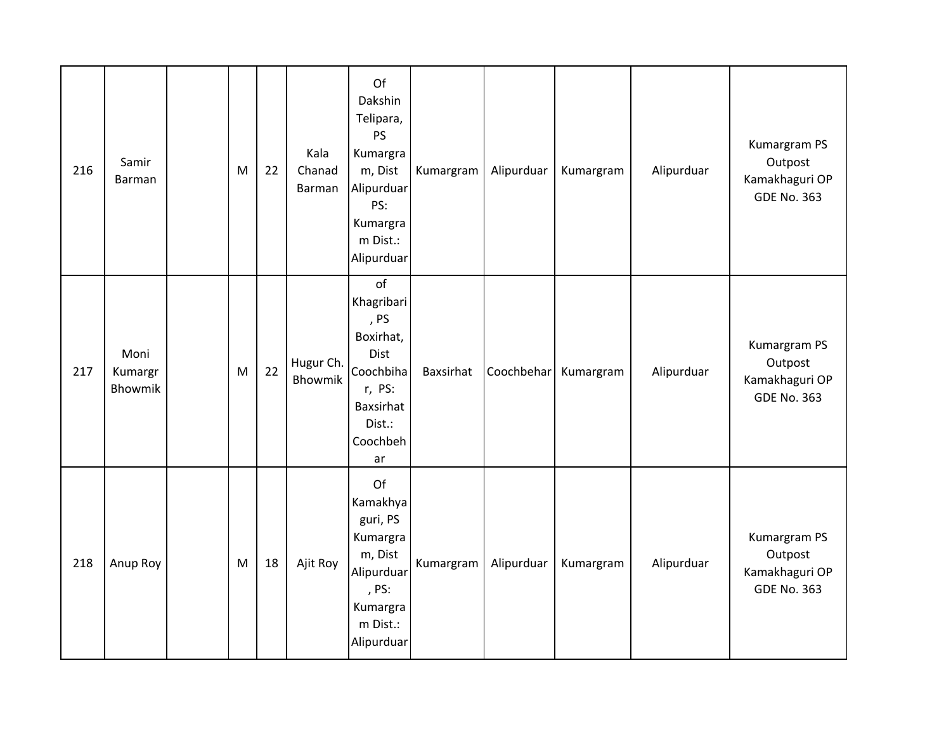| 216 | Samir<br>Barman            | M | 22 | Kala<br>Chanad<br>Barman    | Of<br>Dakshin<br>Telipara,<br>PS<br>Kumargra<br>m, Dist<br>Alipurduar<br>PS:<br>Kumargra<br>m Dist.:<br>Alipurduar | Kumargram | Alipurduar | Kumargram | Alipurduar | Kumargram PS<br>Outpost<br>Kamakhaguri OP<br><b>GDE No. 363</b> |
|-----|----------------------------|---|----|-----------------------------|--------------------------------------------------------------------------------------------------------------------|-----------|------------|-----------|------------|-----------------------------------------------------------------|
| 217 | Moni<br>Kumargr<br>Bhowmik | M | 22 | Hugur Ch.<br><b>Bhowmik</b> | of<br>Khagribari<br>, PS<br>Boxirhat,<br>Dist<br>Coochbiha<br>r, PS:<br>Baxsirhat<br>Dist.:<br>Coochbeh<br>ar      | Baxsirhat | Coochbehar | Kumargram | Alipurduar | Kumargram PS<br>Outpost<br>Kamakhaguri OP<br><b>GDE No. 363</b> |
| 218 | Anup Roy                   | M | 18 | Ajit Roy                    | Of<br>Kamakhya<br>guri, PS<br>Kumargra<br>m, Dist<br>Alipurduar<br>, PS:<br>Kumargra<br>m Dist.:<br>Alipurduar     | Kumargram | Alipurduar | Kumargram | Alipurduar | Kumargram PS<br>Outpost<br>Kamakhaguri OP<br><b>GDE No. 363</b> |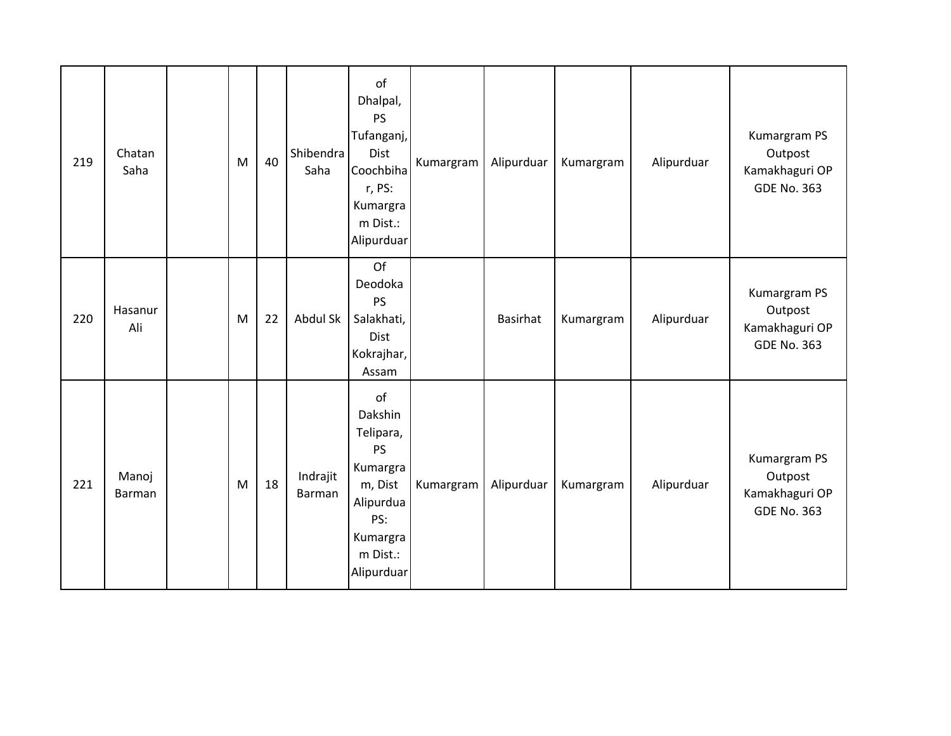| 219 | Chatan<br>Saha         | M | 40 | Shibendra<br>Saha  | of<br>Dhalpal,<br><b>PS</b><br>Tufanganj,<br>Dist<br>Coochbiha<br>r, PS:<br>Kumargra<br>m Dist.:<br>Alipurduar           | Kumargram | Alipurduar | Kumargram | Alipurduar | Kumargram PS<br>Outpost<br>Kamakhaguri OP<br><b>GDE No. 363</b> |
|-----|------------------------|---|----|--------------------|--------------------------------------------------------------------------------------------------------------------------|-----------|------------|-----------|------------|-----------------------------------------------------------------|
| 220 | Hasanur<br>Ali         | M | 22 | Abdul Sk           | Of<br>Deodoka<br><b>PS</b><br>Salakhati,<br><b>Dist</b><br>Kokrajhar,<br>Assam                                           |           | Basirhat   | Kumargram | Alipurduar | Kumargram PS<br>Outpost<br>Kamakhaguri OP<br><b>GDE No. 363</b> |
| 221 | Manoj<br><b>Barman</b> | M | 18 | Indrajit<br>Barman | of<br>Dakshin<br>Telipara,<br><b>PS</b><br>Kumargra<br>m, Dist<br>Alipurdua<br>PS:<br>Kumargra<br>m Dist.:<br>Alipurduar | Kumargram | Alipurduar | Kumargram | Alipurduar | Kumargram PS<br>Outpost<br>Kamakhaguri OP<br><b>GDE No. 363</b> |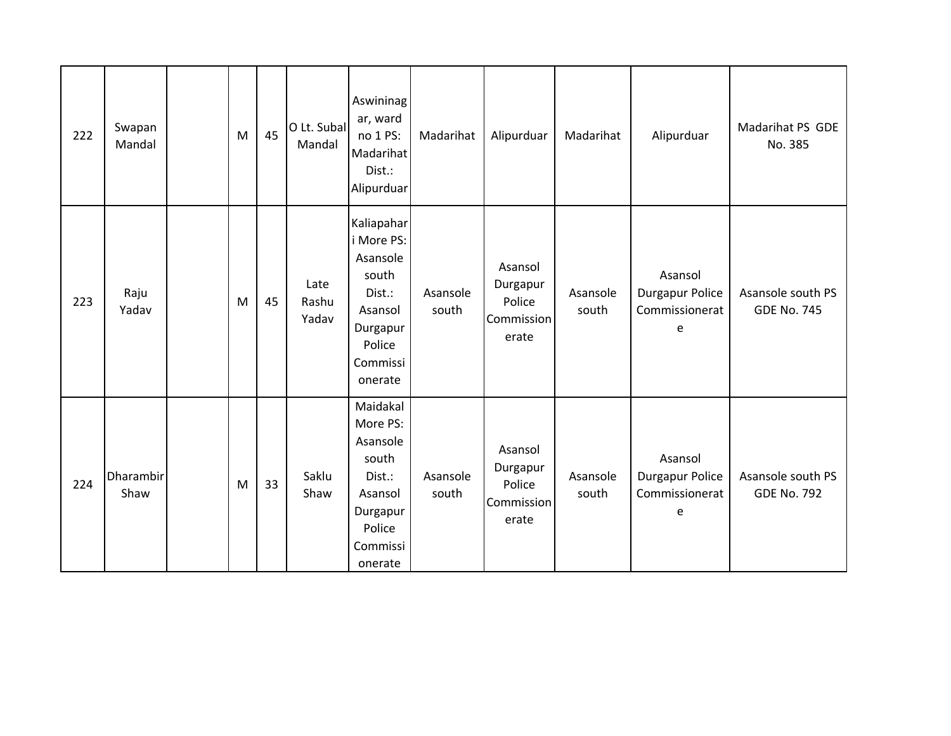| 222 | Swapan<br>Mandal         | M | 45 | O Lt. Subal<br>Mandal  | Aswininag<br>ar, ward<br>no 1 PS:<br>Madarihat<br>Dist.:<br>Alipurduar                                          | Madarihat         | Alipurduar                                           | Madarihat         | Alipurduar                                        | Madarihat PS GDE<br>No. 385             |
|-----|--------------------------|---|----|------------------------|-----------------------------------------------------------------------------------------------------------------|-------------------|------------------------------------------------------|-------------------|---------------------------------------------------|-----------------------------------------|
| 223 | Raju<br>Yadav            | M | 45 | Late<br>Rashu<br>Yadav | Kaliapahar<br>i More PS:<br>Asansole<br>south<br>Dist.:<br>Asansol<br>Durgapur<br>Police<br>Commissi<br>onerate | Asansole<br>south | Asansol<br>Durgapur<br>Police<br>Commission<br>erate | Asansole<br>south | Asansol<br>Durgapur Police<br>Commissionerat<br>e | Asansole south PS<br><b>GDE No. 745</b> |
| 224 | <b>Dharambir</b><br>Shaw | M | 33 | Saklu<br>Shaw          | Maidakal<br>More PS:<br>Asansole<br>south<br>Dist.:<br>Asansol<br>Durgapur<br>Police<br>Commissi<br>onerate     | Asansole<br>south | Asansol<br>Durgapur<br>Police<br>Commission<br>erate | Asansole<br>south | Asansol<br>Durgapur Police<br>Commissionerat<br>e | Asansole south PS<br><b>GDE No. 792</b> |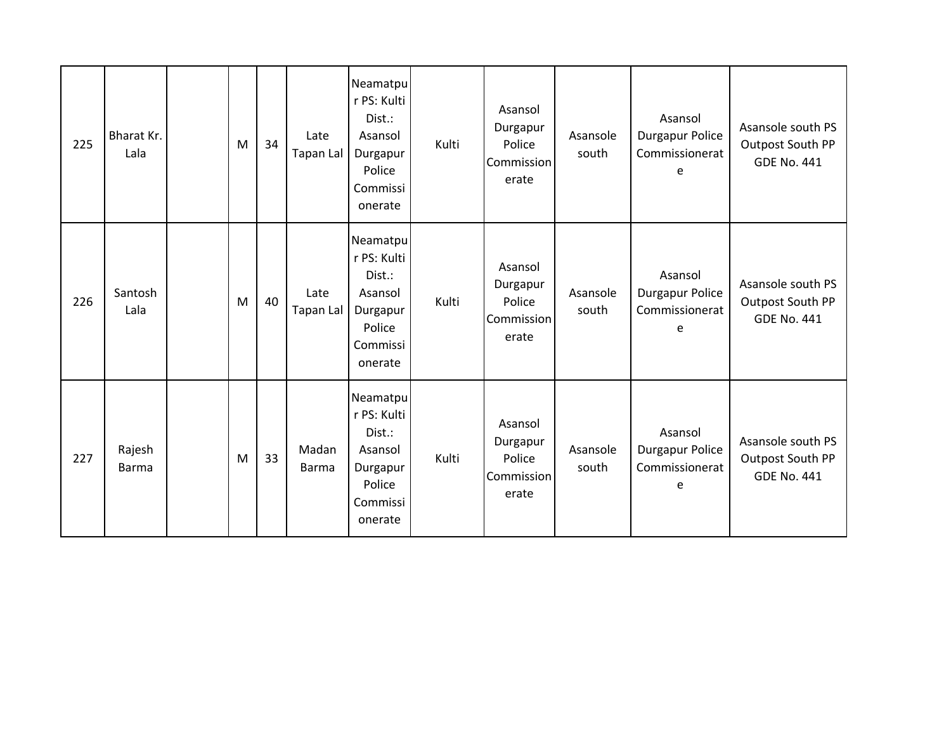| 225 | Bharat Kr.<br>Lala     | M | 34 | Late<br>Tapan Lal     | Neamatpu<br>r PS: Kulti<br>Dist.:<br>Asansol<br>Durgapur<br>Police<br>Commissi<br>onerate | Kulti | Asansol<br>Durgapur<br>Police<br>Commission<br>erate | Asansole<br>south | Asansol<br><b>Durgapur Police</b><br>Commissionerat<br>e | Asansole south PS<br>Outpost South PP<br><b>GDE No. 441</b> |
|-----|------------------------|---|----|-----------------------|-------------------------------------------------------------------------------------------|-------|------------------------------------------------------|-------------------|----------------------------------------------------------|-------------------------------------------------------------|
| 226 | Santosh<br>Lala        | M | 40 | Late<br>Tapan Lal     | Neamatpu<br>r PS: Kulti<br>Dist.:<br>Asansol<br>Durgapur<br>Police<br>Commissi<br>onerate | Kulti | Asansol<br>Durgapur<br>Police<br>Commission<br>erate | Asansole<br>south | Asansol<br><b>Durgapur Police</b><br>Commissionerat<br>e | Asansole south PS<br>Outpost South PP<br><b>GDE No. 441</b> |
| 227 | Rajesh<br><b>Barma</b> | M | 33 | Madan<br><b>Barma</b> | Neamatpu<br>r PS: Kulti<br>Dist.:<br>Asansol<br>Durgapur<br>Police<br>Commissi<br>onerate | Kulti | Asansol<br>Durgapur<br>Police<br>Commission<br>erate | Asansole<br>south | Asansol<br><b>Durgapur Police</b><br>Commissionerat<br>e | Asansole south PS<br>Outpost South PP<br><b>GDE No. 441</b> |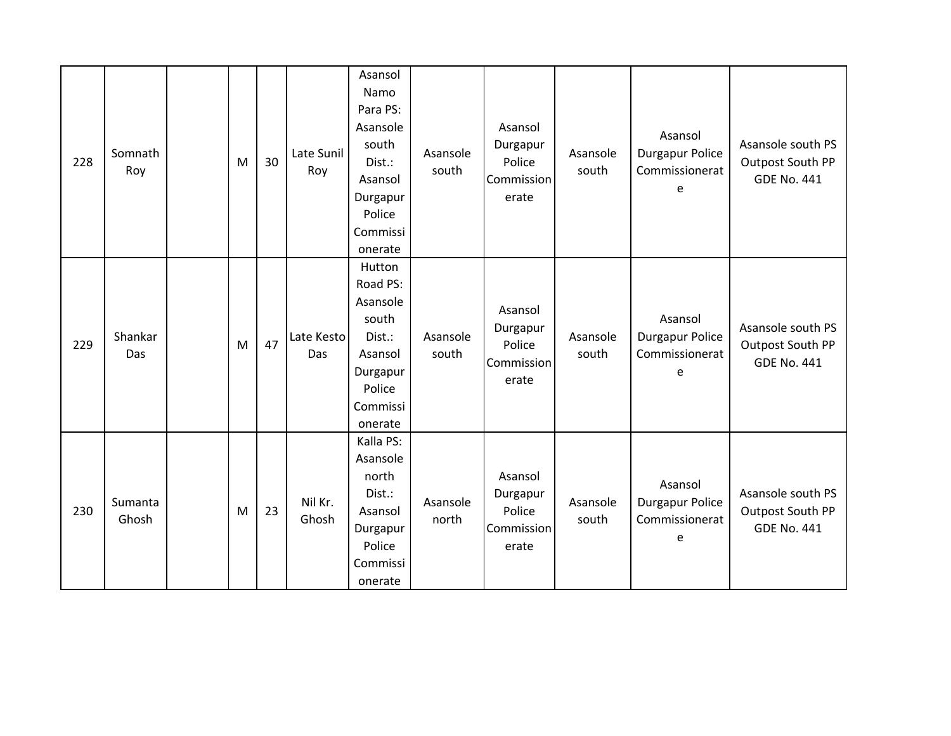| 228 | Somnath<br>Roy   | M | 30 | Late Sunil<br>Roy | Asansol<br>Namo<br>Para PS:<br>Asansole<br>south<br>Dist.:<br>Asansol<br>Durgapur<br>Police<br>Commissi<br>onerate | Asansole<br>south | Asansol<br>Durgapur<br>Police<br>Commission<br>erate | Asansole<br>south | Asansol<br>Durgapur Police<br>Commissionerat<br>e        | Asansole south PS<br>Outpost South PP<br><b>GDE No. 441</b> |
|-----|------------------|---|----|-------------------|--------------------------------------------------------------------------------------------------------------------|-------------------|------------------------------------------------------|-------------------|----------------------------------------------------------|-------------------------------------------------------------|
| 229 | Shankar<br>Das   | M | 47 | Late Kesto<br>Das | Hutton<br>Road PS:<br>Asansole<br>south<br>Dist.:<br>Asansol<br>Durgapur<br>Police<br>Commissi<br>onerate          | Asansole<br>south | Asansol<br>Durgapur<br>Police<br>Commission<br>erate | Asansole<br>south | Asansol<br><b>Durgapur Police</b><br>Commissionerat<br>e | Asansole south PS<br>Outpost South PP<br><b>GDE No. 441</b> |
| 230 | Sumanta<br>Ghosh | M | 23 | Nil Kr.<br>Ghosh  | Kalla PS:<br>Asansole<br>north<br>Dist.:<br>Asansol<br>Durgapur<br>Police<br>Commissi<br>onerate                   | Asansole<br>north | Asansol<br>Durgapur<br>Police<br>Commission<br>erate | Asansole<br>south | Asansol<br><b>Durgapur Police</b><br>Commissionerat<br>e | Asansole south PS<br>Outpost South PP<br><b>GDE No. 441</b> |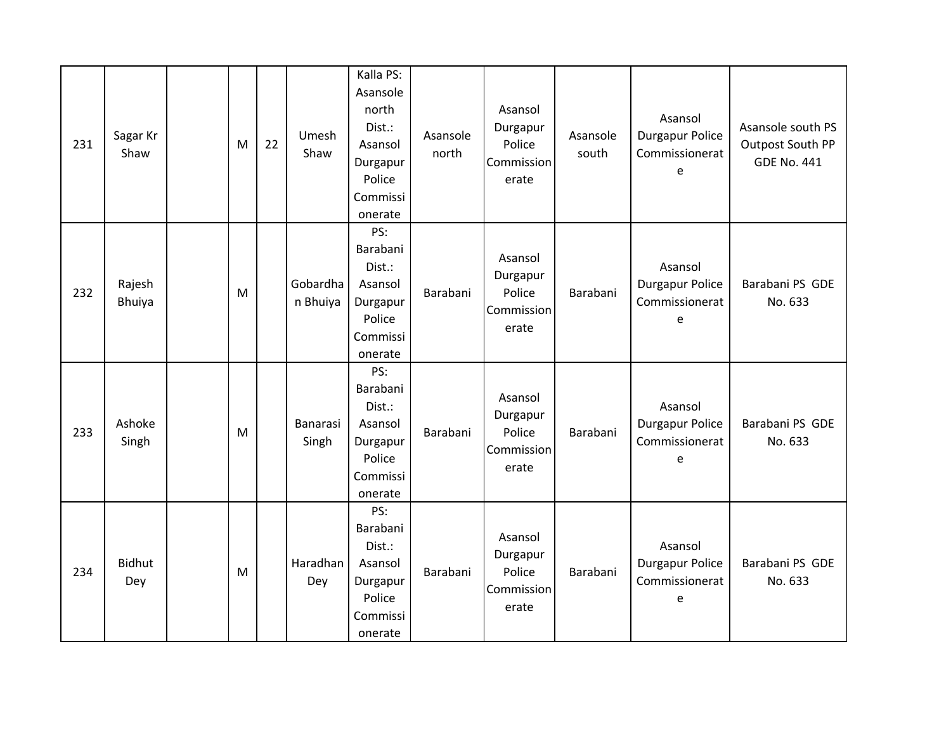| 231 | Sagar Kr<br>Shaw     | M | 22 | Umesh<br>Shaw            | Kalla PS:<br>Asansole<br>north<br>Dist.:<br>Asansol<br>Durgapur<br>Police<br>Commissi<br>onerate | Asansole<br>north | Asansol<br>Durgapur<br>Police<br>Commission<br>erate | Asansole<br>south | Asansol<br><b>Durgapur Police</b><br>Commissionerat<br>e | Asansole south PS<br>Outpost South PP<br><b>GDE No. 441</b> |
|-----|----------------------|---|----|--------------------------|--------------------------------------------------------------------------------------------------|-------------------|------------------------------------------------------|-------------------|----------------------------------------------------------|-------------------------------------------------------------|
| 232 | Rajesh<br>Bhuiya     | M |    | Gobardha<br>n Bhuiya     | PS:<br>Barabani<br>Dist.:<br>Asansol<br>Durgapur<br>Police<br>Commissi<br>onerate                | Barabani          | Asansol<br>Durgapur<br>Police<br>Commission<br>erate | Barabani          | Asansol<br><b>Durgapur Police</b><br>Commissionerat<br>e | Barabani PS GDE<br>No. 633                                  |
| 233 | Ashoke<br>Singh      | M |    | <b>Banarasi</b><br>Singh | PS:<br>Barabani<br>Dist.:<br>Asansol<br>Durgapur<br>Police<br>Commissi<br>onerate                | Barabani          | Asansol<br>Durgapur<br>Police<br>Commission<br>erate | Barabani          | Asansol<br><b>Durgapur Police</b><br>Commissionerat<br>e | Barabani PS GDE<br>No. 633                                  |
| 234 | <b>Bidhut</b><br>Dey | M |    | Haradhan<br>Dey          | PS:<br>Barabani<br>Dist.:<br>Asansol<br>Durgapur<br>Police<br>Commissi<br>onerate                | Barabani          | Asansol<br>Durgapur<br>Police<br>Commission<br>erate | Barabani          | Asansol<br><b>Durgapur Police</b><br>Commissionerat<br>e | Barabani PS GDE<br>No. 633                                  |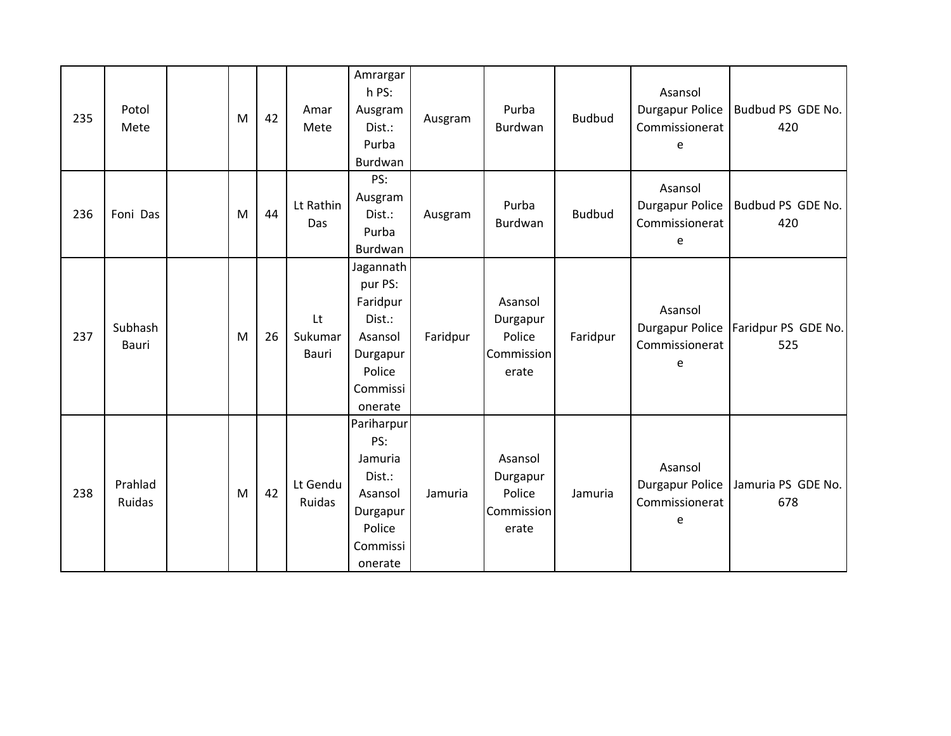| 235 | Potol<br>Mete            | M | 42 | Amar<br>Mete              | Amrargar<br>h PS:<br>Ausgram<br>Dist.:<br>Purba<br>Burdwan                                         | Ausgram  | Purba<br>Burdwan                                     | <b>Budbud</b> | Asansol<br>Durgapur Police<br>Commissionerat<br>e        | Budbud PS GDE No.<br>420   |
|-----|--------------------------|---|----|---------------------------|----------------------------------------------------------------------------------------------------|----------|------------------------------------------------------|---------------|----------------------------------------------------------|----------------------------|
| 236 | Foni Das                 | M | 44 | Lt Rathin<br>Das          | PS:<br>Ausgram<br>Dist.:<br>Purba<br>Burdwan                                                       | Ausgram  | Purba<br>Burdwan                                     | <b>Budbud</b> | Asansol<br><b>Durgapur Police</b><br>Commissionerat<br>e | Budbud PS GDE No.<br>420   |
| 237 | Subhash<br><b>Bauri</b>  | M | 26 | Lt<br>Sukumar<br>Bauri    | Jagannath<br>pur PS:<br>Faridpur<br>Dist.:<br>Asansol<br>Durgapur<br>Police<br>Commissi<br>onerate | Faridpur | Asansol<br>Durgapur<br>Police<br>Commission<br>erate | Faridpur      | Asansol<br><b>Durgapur Police</b><br>Commissionerat<br>e | Faridpur PS GDE No.<br>525 |
| 238 | Prahlad<br><b>Ruidas</b> | M | 42 | Lt Gendu<br><b>Ruidas</b> | Pariharpur<br>PS:<br>Jamuria<br>Dist.:<br>Asansol<br>Durgapur<br>Police<br>Commissi<br>onerate     | Jamuria  | Asansol<br>Durgapur<br>Police<br>Commission<br>erate | Jamuria       | Asansol<br><b>Durgapur Police</b><br>Commissionerat<br>e | Jamuria PS GDE No.<br>678  |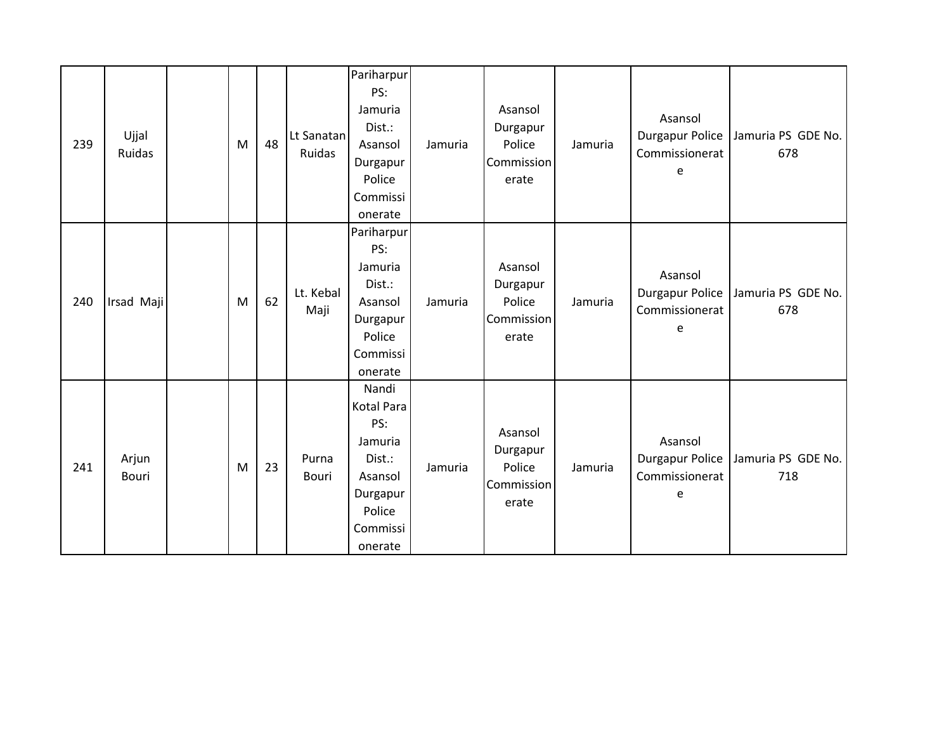| 239 | Ujjal<br>Ruidas | M | 48 | Lt Sanatan<br>Ruidas | Pariharpur<br>PS:<br>Jamuria<br>Dist.:<br>Asansol<br>Durgapur<br>Police<br>Commissi<br>onerate          | Jamuria | Asansol<br>Durgapur<br>Police<br>Commission<br>erate | Jamuria | Asansol<br><b>Durgapur Police</b><br>Commissionerat<br>e | Jamuria PS GDE No.<br>678 |
|-----|-----------------|---|----|----------------------|---------------------------------------------------------------------------------------------------------|---------|------------------------------------------------------|---------|----------------------------------------------------------|---------------------------|
| 240 | Irsad Maji      | M | 62 | Lt. Kebal<br>Maji    | Pariharpur<br>PS:<br>Jamuria<br>Dist.:<br>Asansol<br>Durgapur<br>Police<br>Commissi<br>onerate          | Jamuria | Asansol<br>Durgapur<br>Police<br>Commission<br>erate | Jamuria | Asansol<br>Durgapur Police<br>Commissionerat<br>e        | Jamuria PS GDE No.<br>678 |
| 241 | Arjun<br>Bouri  | M | 23 | Purna<br>Bouri       | Nandi<br>Kotal Para<br>PS:<br>Jamuria<br>Dist.:<br>Asansol<br>Durgapur<br>Police<br>Commissi<br>onerate | Jamuria | Asansol<br>Durgapur<br>Police<br>Commission<br>erate | Jamuria | Asansol<br>Durgapur Police<br>Commissionerat<br>e        | Jamuria PS GDE No.<br>718 |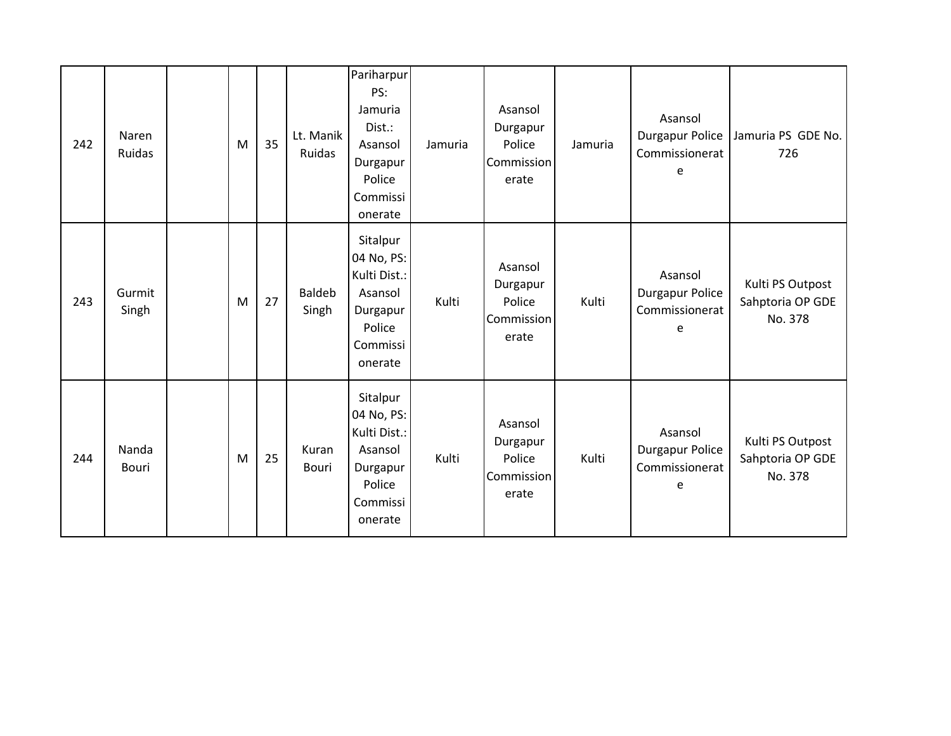| 242 | Naren<br>Ruidas       | M | 35 | Lt. Manik<br>Ruidas    | Pariharpur<br>PS:<br>Jamuria<br>Dist.:<br>Asansol<br>Durgapur<br>Police<br>Commissi<br>onerate | Jamuria | Asansol<br>Durgapur<br>Police<br>Commission<br>erate | Jamuria | Asansol<br>Durgapur Police<br>Commissionerat<br>e | Jamuria PS GDE No.<br>726                       |
|-----|-----------------------|---|----|------------------------|------------------------------------------------------------------------------------------------|---------|------------------------------------------------------|---------|---------------------------------------------------|-------------------------------------------------|
| 243 | Gurmit<br>Singh       | M | 27 | <b>Baldeb</b><br>Singh | Sitalpur<br>04 No, PS:<br>Kulti Dist.:<br>Asansol<br>Durgapur<br>Police<br>Commissi<br>onerate | Kulti   | Asansol<br>Durgapur<br>Police<br>Commission<br>erate | Kulti   | Asansol<br>Durgapur Police<br>Commissionerat<br>e | Kulti PS Outpost<br>Sahptoria OP GDE<br>No. 378 |
| 244 | Nanda<br><b>Bouri</b> | M | 25 | Kuran<br><b>Bouri</b>  | Sitalpur<br>04 No, PS:<br>Kulti Dist.:<br>Asansol<br>Durgapur<br>Police<br>Commissi<br>onerate | Kulti   | Asansol<br>Durgapur<br>Police<br>Commission<br>erate | Kulti   | Asansol<br>Durgapur Police<br>Commissionerat<br>e | Kulti PS Outpost<br>Sahptoria OP GDE<br>No. 378 |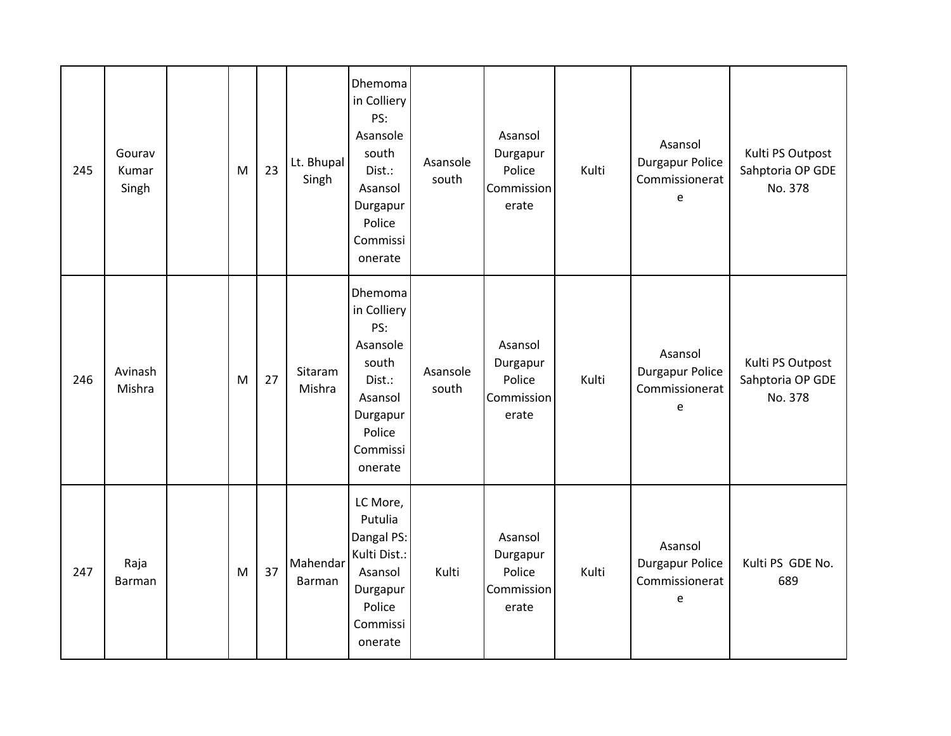| 245 | Gourav<br>Kumar<br>Singh | ${\sf M}$ | 23 | Lt. Bhupal<br>Singh | Dhemoma<br>in Colliery<br>PS:<br>Asansole<br>south<br>Dist.:<br>Asansol<br>Durgapur<br>Police<br>Commissi<br>onerate | Asansole<br>south | Asansol<br>Durgapur<br>Police<br>Commission<br>erate | Kulti | Asansol<br><b>Durgapur Police</b><br>Commissionerat<br>e | Kulti PS Outpost<br>Sahptoria OP GDE<br>No. 378 |
|-----|--------------------------|-----------|----|---------------------|----------------------------------------------------------------------------------------------------------------------|-------------------|------------------------------------------------------|-------|----------------------------------------------------------|-------------------------------------------------|
| 246 | Avinash<br>Mishra        | M         | 27 | Sitaram<br>Mishra   | Dhemoma<br>in Colliery<br>PS:<br>Asansole<br>south<br>Dist.:<br>Asansol<br>Durgapur<br>Police<br>Commissi<br>onerate | Asansole<br>south | Asansol<br>Durgapur<br>Police<br>Commission<br>erate | Kulti | Asansol<br><b>Durgapur Police</b><br>Commissionerat<br>e | Kulti PS Outpost<br>Sahptoria OP GDE<br>No. 378 |
| 247 | Raja<br>Barman           | ${\sf M}$ | 37 | Mahendar<br>Barman  | LC More,<br>Putulia<br>Dangal PS:<br>Kulti Dist.:<br>Asansol<br>Durgapur<br>Police<br>Commissi<br>onerate            | Kulti             | Asansol<br>Durgapur<br>Police<br>Commission<br>erate | Kulti | Asansol<br>Durgapur Police<br>Commissionerat<br>e        | Kulti PS GDE No.<br>689                         |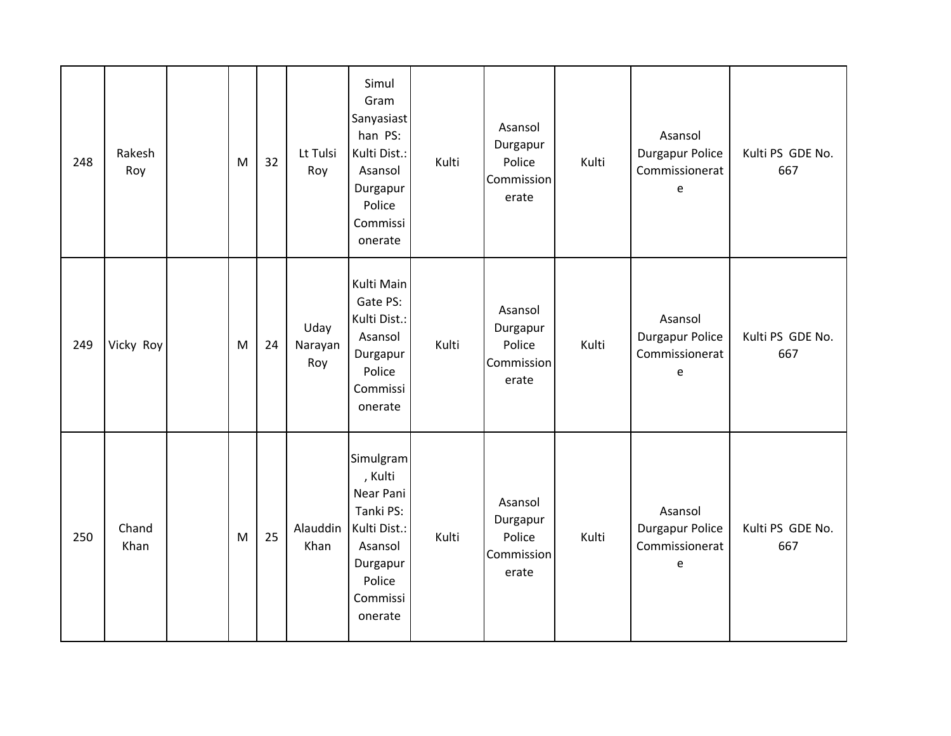| 248 | Rakesh<br>Roy | M         | 32 | Lt Tulsi<br>Roy        | Simul<br>Gram<br>Sanyasiast<br>han PS:<br>Kulti Dist.:<br>Asansol<br>Durgapur<br>Police<br>Commissi<br>onerate         | Kulti | Asansol<br>Durgapur<br>Police<br>Commission<br>erate | Kulti | Asansol<br><b>Durgapur Police</b><br>Commissionerat<br>e                                          | Kulti PS GDE No.<br>667 |
|-----|---------------|-----------|----|------------------------|------------------------------------------------------------------------------------------------------------------------|-------|------------------------------------------------------|-------|---------------------------------------------------------------------------------------------------|-------------------------|
| 249 | Vicky Roy     | M         | 24 | Uday<br>Narayan<br>Roy | Kulti Main<br>Gate PS:<br>Kulti Dist.:<br>Asansol<br>Durgapur<br>Police<br>Commissi<br>onerate                         | Kulti | Asansol<br>Durgapur<br>Police<br>Commission<br>erate | Kulti | Asansol<br><b>Durgapur Police</b><br>Commissionerat<br>e                                          | Kulti PS GDE No.<br>667 |
| 250 | Chand<br>Khan | ${\sf M}$ | 25 | Alauddin<br>Khan       | Simulgram<br>, Kulti<br>Near Pani<br>Tanki PS:<br>Kulti Dist.:<br>Asansol<br>Durgapur<br>Police<br>Commissi<br>onerate | Kulti | Asansol<br>Durgapur<br>Police<br>Commission<br>erate | Kulti | Asansol<br><b>Durgapur Police</b><br>Commissionerat<br>$\mathsf{e}% _{0}\left( \mathsf{e}\right)$ | Kulti PS GDE No.<br>667 |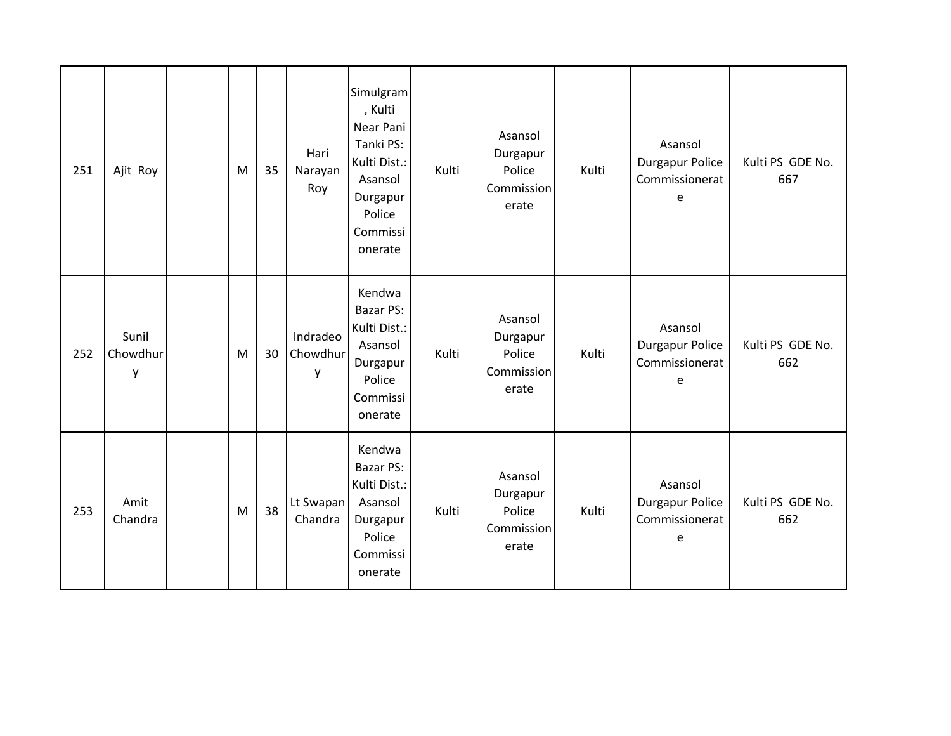| 251 | Ajit Roy               | M | 35 | Hari<br>Narayan<br>Roy    | Simulgram<br>, Kulti<br>Near Pani<br>Tanki PS:<br>Kulti Dist.:<br>Asansol<br>Durgapur<br>Police<br>Commissi<br>onerate | Kulti | Asansol<br>Durgapur<br>Police<br>Commission<br>erate | Kulti | Asansol<br>Durgapur Police<br>Commissionerat<br>e        | Kulti PS GDE No.<br>667 |
|-----|------------------------|---|----|---------------------------|------------------------------------------------------------------------------------------------------------------------|-------|------------------------------------------------------|-------|----------------------------------------------------------|-------------------------|
| 252 | Sunil<br>Chowdhur<br>y | M | 30 | Indradeo<br>Chowdhur<br>у | Kendwa<br><b>Bazar PS:</b><br>Kulti Dist.:<br>Asansol<br>Durgapur<br>Police<br>Commissi<br>onerate                     | Kulti | Asansol<br>Durgapur<br>Police<br>Commission<br>erate | Kulti | Asansol<br><b>Durgapur Police</b><br>Commissionerat<br>e | Kulti PS GDE No.<br>662 |
| 253 | Amit<br>Chandra        | M | 38 | Lt Swapan<br>Chandra      | Kendwa<br>Bazar PS:<br>Kulti Dist.:<br>Asansol<br>Durgapur<br>Police<br>Commissi<br>onerate                            | Kulti | Asansol<br>Durgapur<br>Police<br>Commission<br>erate | Kulti | Asansol<br><b>Durgapur Police</b><br>Commissionerat<br>e | Kulti PS GDE No.<br>662 |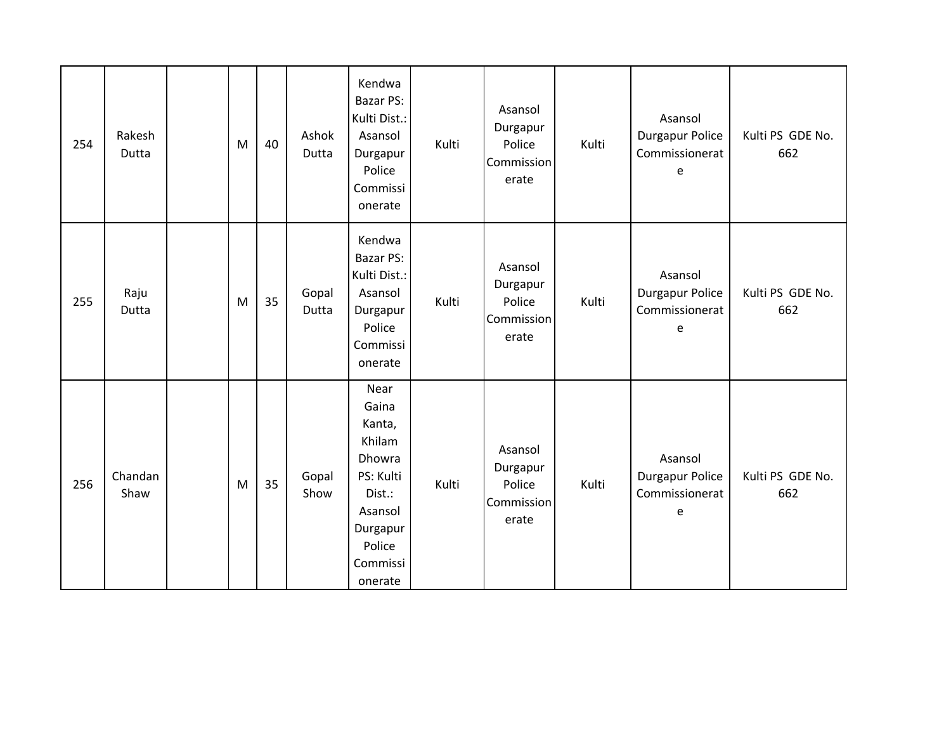| 254 | Rakesh<br>Dutta | ${\sf M}$ | 40 | Ashok<br>Dutta | Kendwa<br>Bazar PS:<br>Kulti Dist.:<br>Asansol<br>Durgapur<br>Police<br>Commissi<br>onerate                                | Kulti | Asansol<br>Durgapur<br>Police<br>Commission<br>erate | Kulti | Asansol<br><b>Durgapur Police</b><br>Commissionerat<br>e | Kulti PS GDE No.<br>662 |
|-----|-----------------|-----------|----|----------------|----------------------------------------------------------------------------------------------------------------------------|-------|------------------------------------------------------|-------|----------------------------------------------------------|-------------------------|
| 255 | Raju<br>Dutta   | M         | 35 | Gopal<br>Dutta | Kendwa<br><b>Bazar PS:</b><br>Kulti Dist.:<br>Asansol<br>Durgapur<br>Police<br>Commissi<br>onerate                         | Kulti | Asansol<br>Durgapur<br>Police<br>Commission<br>erate | Kulti | Asansol<br><b>Durgapur Police</b><br>Commissionerat<br>e | Kulti PS GDE No.<br>662 |
| 256 | Chandan<br>Shaw | ${\sf M}$ | 35 | Gopal<br>Show  | Near<br>Gaina<br>Kanta,<br>Khilam<br>Dhowra<br>PS: Kulti<br>Dist.:<br>Asansol<br>Durgapur<br>Police<br>Commissi<br>onerate | Kulti | Asansol<br>Durgapur<br>Police<br>Commission<br>erate | Kulti | Asansol<br><b>Durgapur Police</b><br>Commissionerat<br>e | Kulti PS GDE No.<br>662 |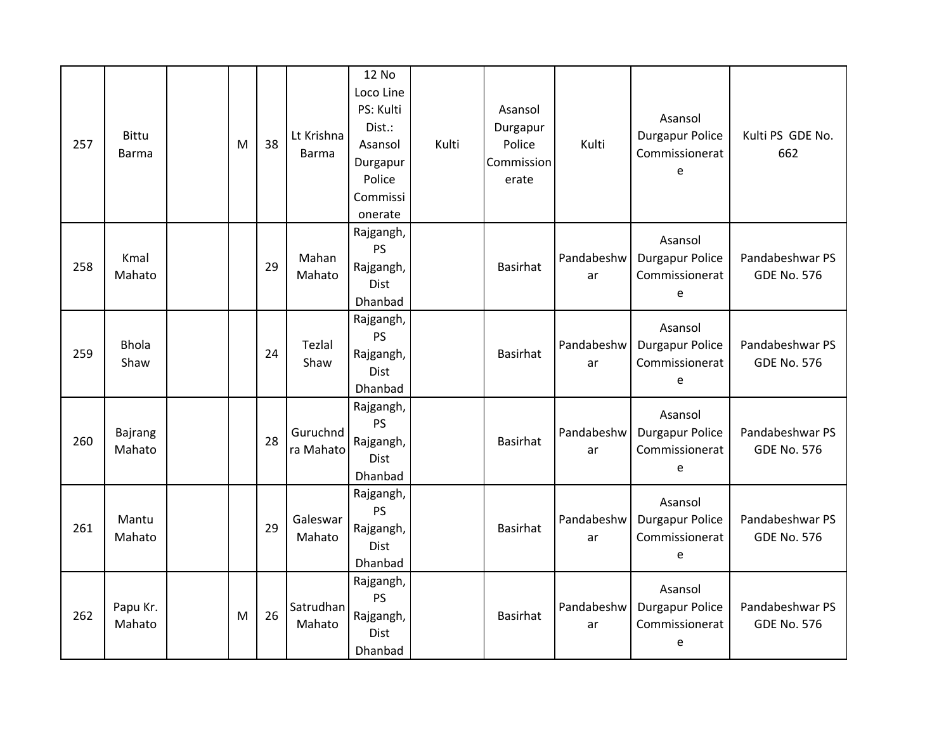| 257 | <b>Bittu</b><br><b>Barma</b> | M | 38 | Lt Krishna<br><b>Barma</b> | 12 No<br>Loco Line<br>PS: Kulti<br>Dist.:<br>Asansol<br>Durgapur<br>Police<br>Commissi<br>onerate | Kulti | Asansol<br>Durgapur<br>Police<br>Commission<br>erate | Kulti            | Asansol<br><b>Durgapur Police</b><br>Commissionerat<br>e | Kulti PS GDE No.<br>662               |
|-----|------------------------------|---|----|----------------------------|---------------------------------------------------------------------------------------------------|-------|------------------------------------------------------|------------------|----------------------------------------------------------|---------------------------------------|
| 258 | Kmal<br>Mahato               |   | 29 | Mahan<br>Mahato            | Rajgangh,<br>PS<br>Rajgangh,<br><b>Dist</b><br>Dhanbad                                            |       | <b>Basirhat</b>                                      | Pandabeshw<br>ar | Asansol<br><b>Durgapur Police</b><br>Commissionerat<br>e | Pandabeshwar PS<br><b>GDE No. 576</b> |
| 259 | <b>Bhola</b><br>Shaw         |   | 24 | Tezlal<br>Shaw             | Rajgangh,<br>PS<br>Rajgangh,<br><b>Dist</b><br>Dhanbad                                            |       | <b>Basirhat</b>                                      | Pandabeshw<br>ar | Asansol<br><b>Durgapur Police</b><br>Commissionerat<br>e | Pandabeshwar PS<br><b>GDE No. 576</b> |
| 260 | <b>Bajrang</b><br>Mahato     |   | 28 | Guruchnd<br>ra Mahato      | Rajgangh,<br><b>PS</b><br>Rajgangh,<br><b>Dist</b><br>Dhanbad                                     |       | <b>Basirhat</b>                                      | Pandabeshw<br>ar | Asansol<br><b>Durgapur Police</b><br>Commissionerat<br>e | Pandabeshwar PS<br><b>GDE No. 576</b> |
| 261 | Mantu<br>Mahato              |   | 29 | Galeswar<br>Mahato         | Rajgangh,<br><b>PS</b><br>Rajgangh,<br><b>Dist</b><br>Dhanbad                                     |       | <b>Basirhat</b>                                      | Pandabeshw<br>ar | Asansol<br><b>Durgapur Police</b><br>Commissionerat<br>e | Pandabeshwar PS<br><b>GDE No. 576</b> |
| 262 | Papu Kr.<br>Mahato           | M | 26 | Satrudhan<br>Mahato        | Rajgangh,<br><b>PS</b><br>Rajgangh,<br>Dist<br>Dhanbad                                            |       | <b>Basirhat</b>                                      | Pandabeshw<br>ar | Asansol<br><b>Durgapur Police</b><br>Commissionerat<br>e | Pandabeshwar PS<br><b>GDE No. 576</b> |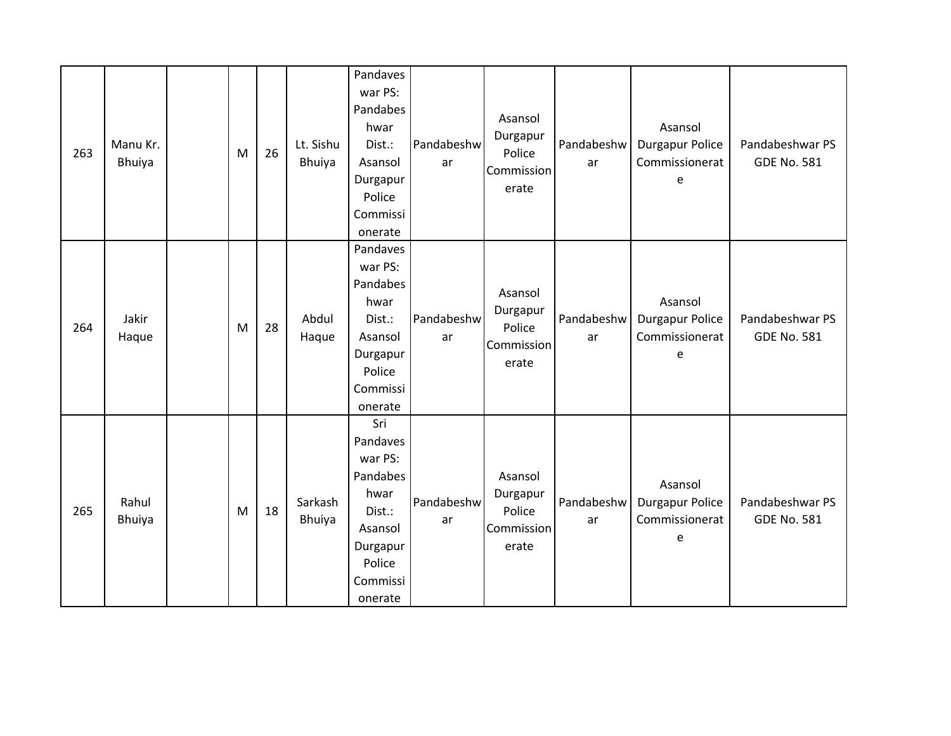| 263 | Manu Kr.<br>Bhuiya     | M         | 26 | Lt. Sishu<br>Bhuiya | Pandaves<br>war PS:<br>Pandabes<br>hwar<br>Dist.:<br>Asansol<br>Durgapur<br>Police<br>Commissi<br>onerate        | Pandabeshw<br>ar | Asansol<br>Durgapur<br>Police<br>Commission<br>erate | Pandabeshw<br>ar | Asansol<br><b>Durgapur Police</b><br>Commissionerat<br>е | Pandabeshwar PS<br><b>GDE No. 581</b> |
|-----|------------------------|-----------|----|---------------------|------------------------------------------------------------------------------------------------------------------|------------------|------------------------------------------------------|------------------|----------------------------------------------------------|---------------------------------------|
| 264 | Jakir<br>Haque         | M         | 28 | Abdul<br>Haque      | Pandaves<br>war PS:<br>Pandabes<br>hwar<br>Dist.:<br>Asansol<br>Durgapur<br>Police<br>Commissi<br>onerate        | Pandabeshw<br>ar | Asansol<br>Durgapur<br>Police<br>Commission<br>erate | Pandabeshw<br>ar | Asansol<br><b>Durgapur Police</b><br>Commissionerat<br>e | Pandabeshwar PS<br><b>GDE No. 581</b> |
| 265 | Rahul<br><b>Bhuiya</b> | ${\sf M}$ | 18 | Sarkash<br>Bhuiya   | Sri<br>Pandaves<br>war PS:<br>Pandabes<br>hwar<br>Dist.:<br>Asansol<br>Durgapur<br>Police<br>Commissi<br>onerate | Pandabeshw<br>ar | Asansol<br>Durgapur<br>Police<br>Commission<br>erate | Pandabeshw<br>ar | Asansol<br>Durgapur Police<br>Commissionerat<br>е        | Pandabeshwar PS<br><b>GDE No. 581</b> |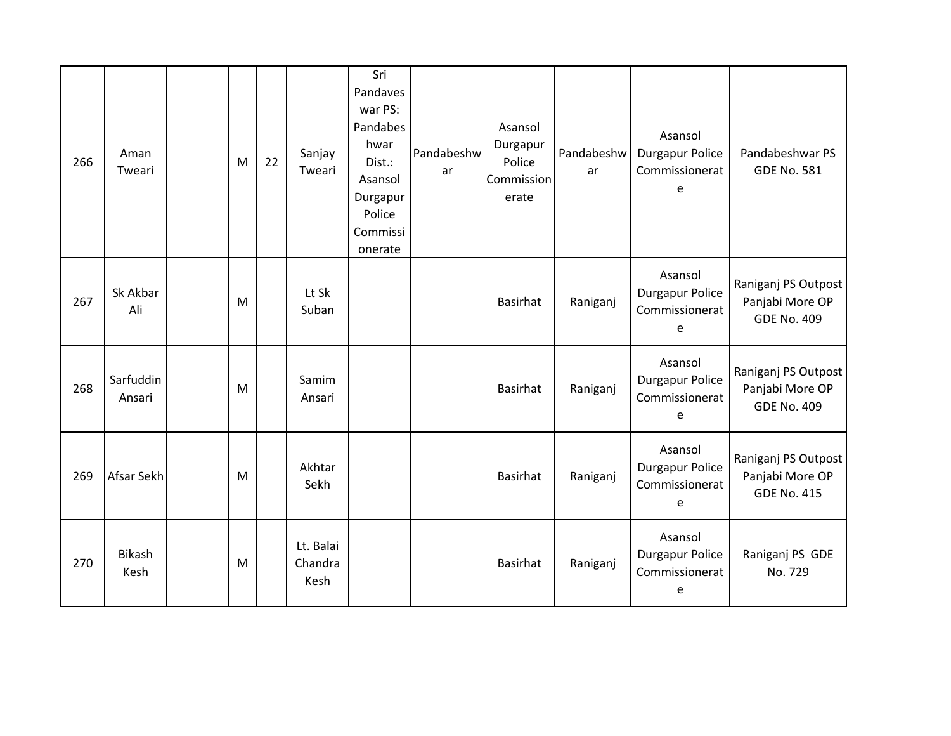| 266 | Aman<br>Tweari        | M         | 22 | Sanjay<br>Tweari             | Sri<br>Pandaves<br>war PS:<br>Pandabes<br>hwar<br>Dist.:<br>Asansol<br>Durgapur<br>Police<br>Commissi<br>onerate | Pandabeshw<br>ar | Asansol<br>Durgapur<br>Police<br><b>Commission</b><br>erate | Pandabeshw<br>ar | Asansol<br>Durgapur Police<br>Commissionerat<br>$\epsilon$ | Pandabeshwar PS<br><b>GDE No. 581</b>                        |
|-----|-----------------------|-----------|----|------------------------------|------------------------------------------------------------------------------------------------------------------|------------------|-------------------------------------------------------------|------------------|------------------------------------------------------------|--------------------------------------------------------------|
| 267 | Sk Akbar<br>Ali       | M         |    | Lt Sk<br>Suban               |                                                                                                                  |                  | Basirhat                                                    | Raniganj         | Asansol<br><b>Durgapur Police</b><br>Commissionerat<br>e   | Raniganj PS Outpost<br>Panjabi More OP<br><b>GDE No. 409</b> |
| 268 | Sarfuddin<br>Ansari   | M         |    | Samim<br>Ansari              |                                                                                                                  |                  | Basirhat                                                    | Raniganj         | Asansol<br><b>Durgapur Police</b><br>Commissionerat<br>e   | Raniganj PS Outpost<br>Panjabi More OP<br><b>GDE No. 409</b> |
| 269 | Afsar Sekh            | ${\sf M}$ |    | Akhtar<br>Sekh               |                                                                                                                  |                  | <b>Basirhat</b>                                             | Raniganj         | Asansol<br><b>Durgapur Police</b><br>Commissionerat<br>e   | Raniganj PS Outpost<br>Panjabi More OP<br><b>GDE No. 415</b> |
| 270 | <b>Bikash</b><br>Kesh | M         |    | Lt. Balai<br>Chandra<br>Kesh |                                                                                                                  |                  | <b>Basirhat</b>                                             | Raniganj         | Asansol<br><b>Durgapur Police</b><br>Commissionerat<br>e   | Raniganj PS GDE<br>No. 729                                   |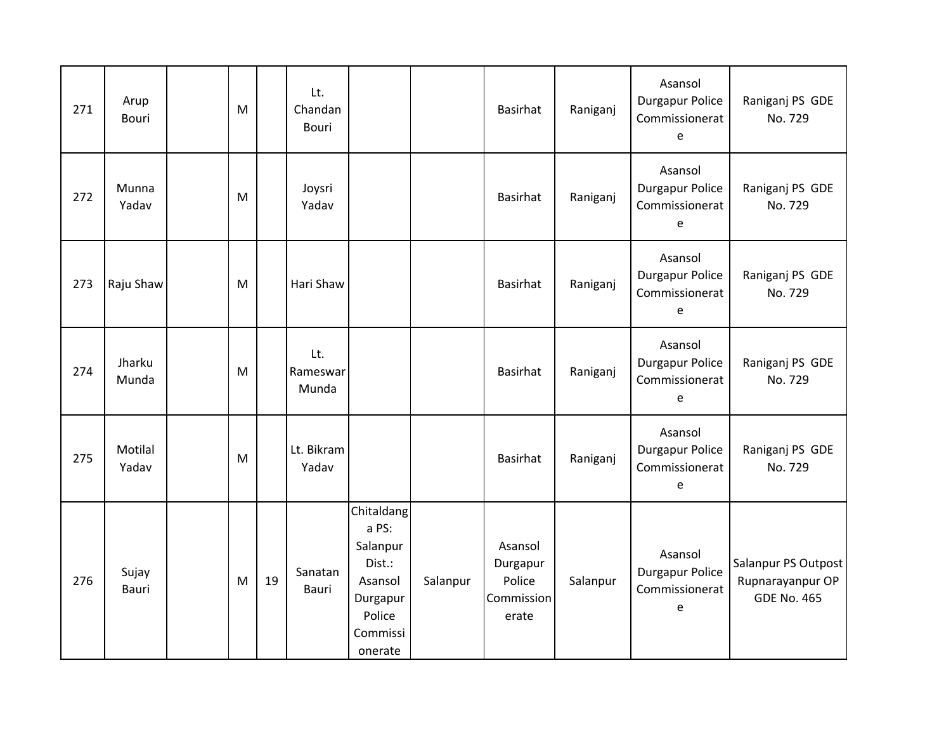| 271 | Arup<br><b>Bouri</b> | M |    | Lt.<br>Chandan<br><b>Bouri</b> |                                                                                                   |          | Basirhat                                             | Raniganj | Asansol<br><b>Durgapur Police</b><br>Commissionerat<br>e | Raniganj PS GDE<br>No. 729                                    |
|-----|----------------------|---|----|--------------------------------|---------------------------------------------------------------------------------------------------|----------|------------------------------------------------------|----------|----------------------------------------------------------|---------------------------------------------------------------|
| 272 | Munna<br>Yadav       | M |    | Joysri<br>Yadav                |                                                                                                   |          | Basirhat                                             | Raniganj | Asansol<br><b>Durgapur Police</b><br>Commissionerat<br>e | Raniganj PS GDE<br>No. 729                                    |
| 273 | Raju Shaw            | M |    | Hari Shaw                      |                                                                                                   |          | Basirhat                                             | Raniganj | Asansol<br><b>Durgapur Police</b><br>Commissionerat<br>e | Raniganj PS GDE<br>No. 729                                    |
| 274 | Jharku<br>Munda      | M |    | Lt.<br>Rameswar<br>Munda       |                                                                                                   |          | Basirhat                                             | Raniganj | Asansol<br><b>Durgapur Police</b><br>Commissionerat<br>e | Raniganj PS GDE<br>No. 729                                    |
| 275 | Motilal<br>Yadav     | M |    | Lt. Bikram<br>Yadav            |                                                                                                   |          | <b>Basirhat</b>                                      | Raniganj | Asansol<br><b>Durgapur Police</b><br>Commissionerat<br>e | Raniganj PS GDE<br>No. 729                                    |
| 276 | Sujay<br>Bauri       | M | 19 | Sanatan<br>Bauri               | Chitaldang<br>a PS:<br>Salanpur<br>Dist.:<br>Asansol<br>Durgapur<br>Police<br>Commissi<br>onerate | Salanpur | Asansol<br>Durgapur<br>Police<br>Commission<br>erate | Salanpur | Asansol<br><b>Durgapur Police</b><br>Commissionerat<br>e | Salanpur PS Outpost<br>Rupnarayanpur OP<br><b>GDE No. 465</b> |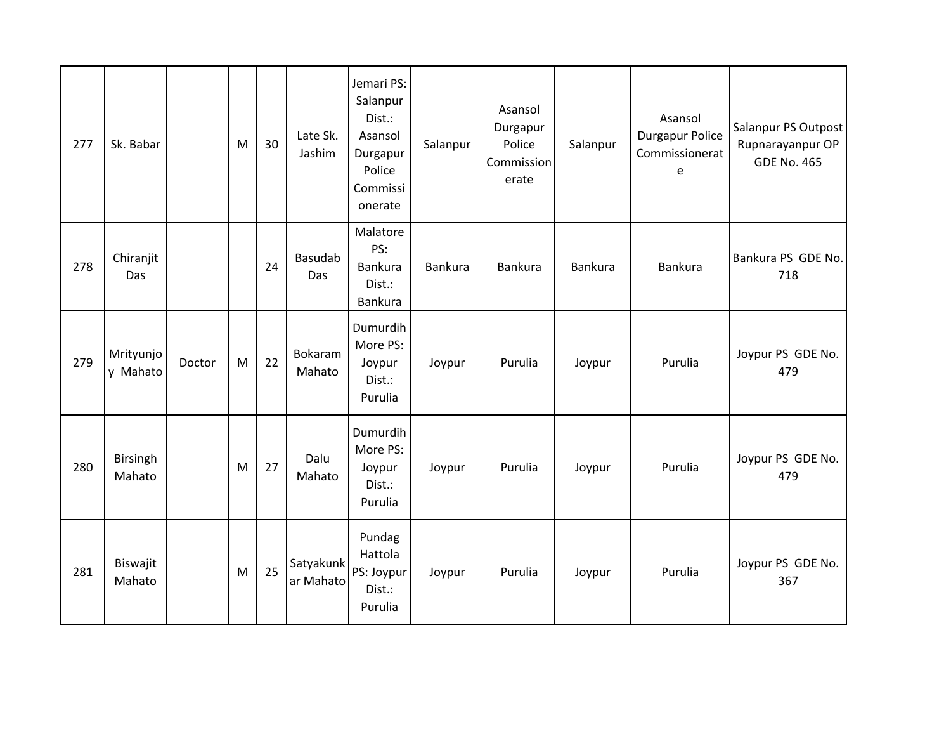| 277 | Sk. Babar             |        | M | 30 | Late Sk.<br>Jashim     | Jemari PS:<br>Salanpur<br>Dist.:<br>Asansol<br>Durgapur<br>Police<br>Commissi<br>onerate | Salanpur | Asansol<br>Durgapur<br>Police<br>Commission<br>erate | Salanpur       | Asansol<br><b>Durgapur Police</b><br>Commissionerat<br>e | Salanpur PS Outpost<br>Rupnarayanpur OP<br><b>GDE No. 465</b> |
|-----|-----------------------|--------|---|----|------------------------|------------------------------------------------------------------------------------------|----------|------------------------------------------------------|----------------|----------------------------------------------------------|---------------------------------------------------------------|
| 278 | Chiranjit<br>Das      |        |   | 24 | <b>Basudab</b><br>Das  | Malatore<br>PS:<br>Bankura<br>Dist.:<br>Bankura                                          | Bankura  | Bankura                                              | <b>Bankura</b> | <b>Bankura</b>                                           | Bankura PS GDE No.<br>718                                     |
| 279 | Mrityunjo<br>y Mahato | Doctor | M | 22 | Bokaram<br>Mahato      | Dumurdih<br>More PS:<br>Joypur<br>Dist.:<br>Purulia                                      | Joypur   | Purulia                                              | Joypur         | Purulia                                                  | Joypur PS GDE No.<br>479                                      |
| 280 | Birsingh<br>Mahato    |        | M | 27 | Dalu<br>Mahato         | Dumurdih<br>More PS:<br>Joypur<br>Dist.:<br>Purulia                                      | Joypur   | Purulia                                              | Joypur         | Purulia                                                  | Joypur PS GDE No.<br>479                                      |
| 281 | Biswajit<br>Mahato    |        | M | 25 | Satyakunk<br>ar Mahato | Pundag<br>Hattola<br>PS: Joypur<br>Dist.:<br>Purulia                                     | Joypur   | Purulia                                              | Joypur         | Purulia                                                  | Joypur PS GDE No.<br>367                                      |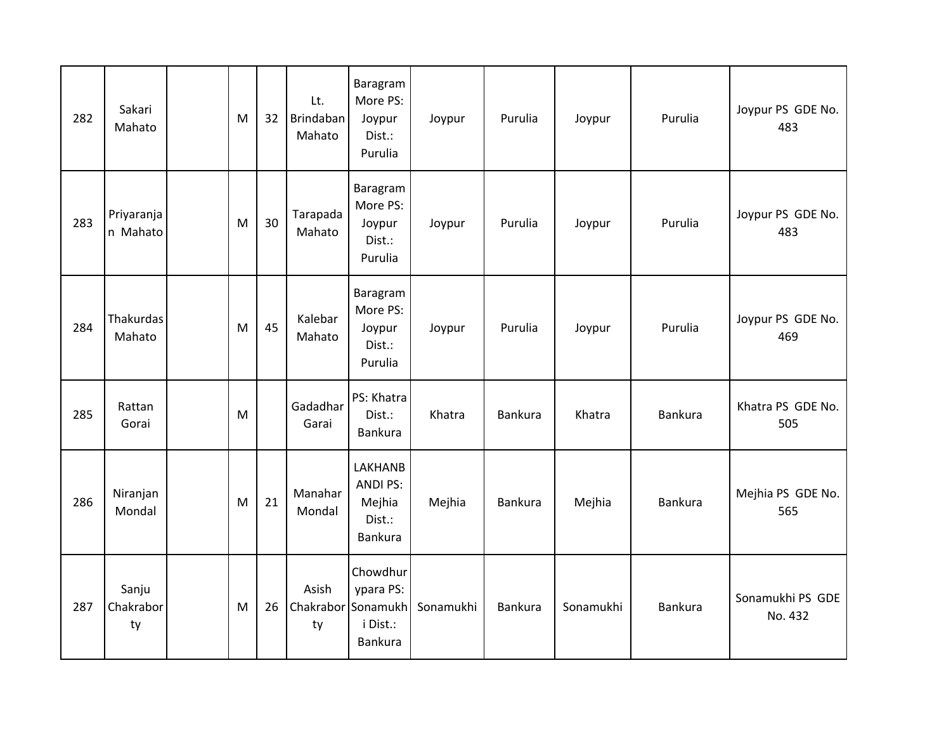| 282 | Sakari<br>Mahato         | M | 32 | Lt.<br><b>Brindaban</b><br>Mahato | Baragram<br>More PS:<br>Joypur<br>Dist.:<br>Purulia                | Joypur    | Purulia | Joypur    | Purulia        | Joypur PS GDE No.<br>483    |
|-----|--------------------------|---|----|-----------------------------------|--------------------------------------------------------------------|-----------|---------|-----------|----------------|-----------------------------|
| 283 | Priyaranja<br>n Mahato   | M | 30 | Tarapada<br>Mahato                | Baragram<br>More PS:<br>Joypur<br>Dist.:<br>Purulia                | Joypur    | Purulia | Joypur    | Purulia        | Joypur PS GDE No.<br>483    |
| 284 | Thakurdas<br>Mahato      | M | 45 | Kalebar<br>Mahato                 | Baragram<br>More PS:<br>Joypur<br>Dist.:<br>Purulia                | Joypur    | Purulia | Joypur    | Purulia        | Joypur PS GDE No.<br>469    |
| 285 | Rattan<br>Gorai          | M |    | Gadadhar<br>Garai                 | PS: Khatra<br>Dist.:<br>Bankura                                    | Khatra    | Bankura | Khatra    | <b>Bankura</b> | Khatra PS GDE No.<br>505    |
| 286 | Niranjan<br>Mondal       | M | 21 | Manahar<br>Mondal                 | <b>LAKHANB</b><br><b>ANDI PS:</b><br>Mejhia<br>Dist.:<br>Bankura   | Mejhia    | Bankura | Mejhia    | Bankura        | Mejhia PS GDE No.<br>565    |
| 287 | Sanju<br>Chakrabor<br>ty | M | 26 | Asish<br>ty                       | Chowdhur<br>ypara PS:<br>Chakrabor Sonamukh<br>i Dist.:<br>Bankura | Sonamukhi | Bankura | Sonamukhi | <b>Bankura</b> | Sonamukhi PS GDE<br>No. 432 |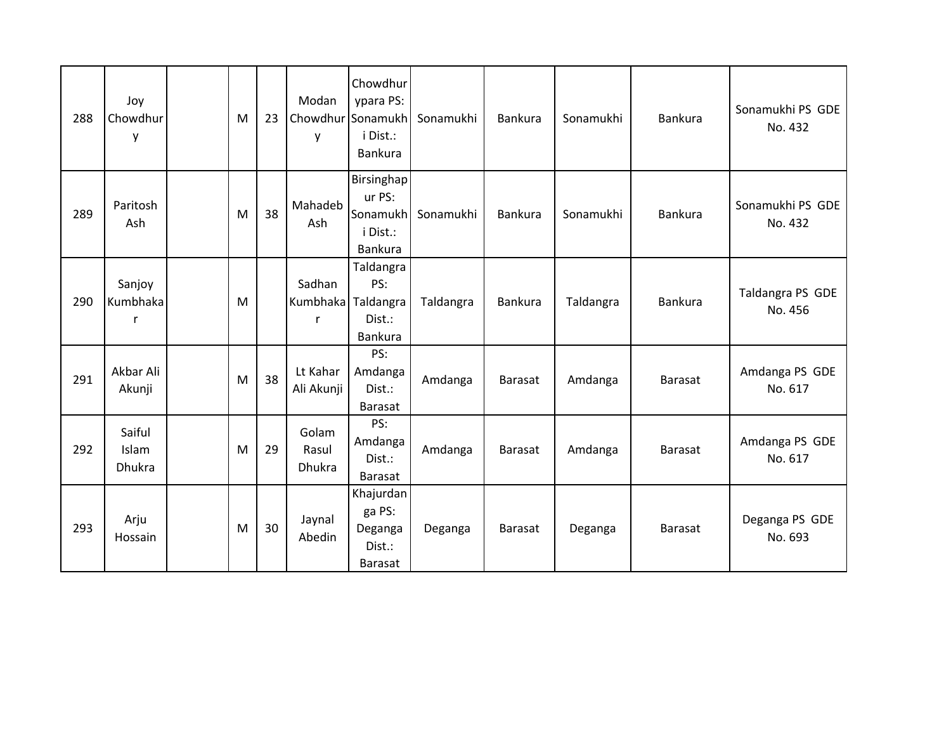| 288 | Joy<br>Chowdhur<br>y             | M | 23 | Modan<br>y                      | Chowdhur<br>ypara PS:<br>Chowdhur Sonamukh<br>i Dist.:<br><b>Bankura</b> | Sonamukhi | <b>Bankura</b> | Sonamukhi | <b>Bankura</b> | Sonamukhi PS GDE<br>No. 432 |
|-----|----------------------------------|---|----|---------------------------------|--------------------------------------------------------------------------|-----------|----------------|-----------|----------------|-----------------------------|
| 289 | Paritosh<br>Ash                  | M | 38 | Mahadeb<br>Ash                  | Birsinghap<br>ur PS:<br>Sonamukh<br>i Dist.:<br>Bankura                  | Sonamukhi | <b>Bankura</b> | Sonamukhi | Bankura        | Sonamukhi PS GDE<br>No. 432 |
| 290 | Sanjoy<br>Kumbhaka<br>r          | M |    | Sadhan<br>Kumbhaka<br>r         | Taldangra<br>PS:<br>Taldangra<br>Dist.:<br>Bankura                       | Taldangra | Bankura        | Taldangra | Bankura        | Taldangra PS GDE<br>No. 456 |
| 291 | Akbar Ali<br>Akunji              | M | 38 | Lt Kahar<br>Ali Akunji          | PS:<br>Amdanga<br>Dist.:<br>Barasat                                      | Amdanga   | <b>Barasat</b> | Amdanga   | <b>Barasat</b> | Amdanga PS GDE<br>No. 617   |
| 292 | Saiful<br>Islam<br><b>Dhukra</b> | M | 29 | Golam<br>Rasul<br><b>Dhukra</b> | PS:<br>Amdanga<br>Dist.:<br>Barasat                                      | Amdanga   | <b>Barasat</b> | Amdanga   | <b>Barasat</b> | Amdanga PS GDE<br>No. 617   |
| 293 | Arju<br>Hossain                  | M | 30 | Jaynal<br>Abedin                | Khajurdan<br>ga PS:<br>Deganga<br>Dist.:<br><b>Barasat</b>               | Deganga   | <b>Barasat</b> | Deganga   | <b>Barasat</b> | Deganga PS GDE<br>No. 693   |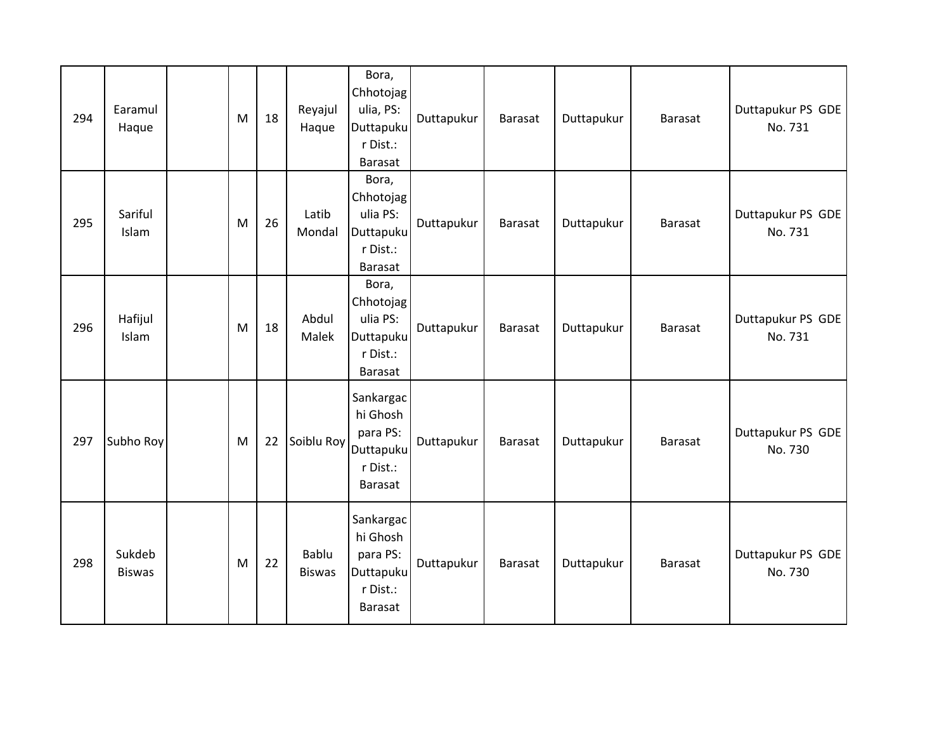| 294 | Earamul<br>Haque        | M | 18 | Reyajul<br>Haque       | Bora,<br>Chhotojag<br>ulia, PS:<br>Duttapuku<br>r Dist.:<br><b>Barasat</b>   | Duttapukur | Barasat | Duttapukur | <b>Barasat</b> | Duttapukur PS GDE<br>No. 731 |
|-----|-------------------------|---|----|------------------------|------------------------------------------------------------------------------|------------|---------|------------|----------------|------------------------------|
| 295 | Sariful<br>Islam        | M | 26 | Latib<br>Mondal        | Bora,<br>Chhotojag<br>ulia PS:<br>Duttapuku<br>r Dist.:<br>Barasat           | Duttapukur | Barasat | Duttapukur | Barasat        | Duttapukur PS GDE<br>No. 731 |
| 296 | Hafijul<br>Islam        | M | 18 | Abdul<br>Malek         | Bora,<br>Chhotojag<br>ulia PS:<br>Duttapuku<br>r Dist.:<br><b>Barasat</b>    | Duttapukur | Barasat | Duttapukur | Barasat        | Duttapukur PS GDE<br>No. 731 |
| 297 | Subho Roy               | M | 22 | Soiblu Roy             | Sankargac<br>hi Ghosh<br>para PS:<br>Duttapuku<br>r Dist.:<br><b>Barasat</b> | Duttapukur | Barasat | Duttapukur | Barasat        | Duttapukur PS GDE<br>No. 730 |
| 298 | Sukdeb<br><b>Biswas</b> | M | 22 | Bablu<br><b>Biswas</b> | Sankargac<br>hi Ghosh<br>para PS:<br>Duttapuku<br>r Dist.:<br>Barasat        | Duttapukur | Barasat | Duttapukur | <b>Barasat</b> | Duttapukur PS GDE<br>No. 730 |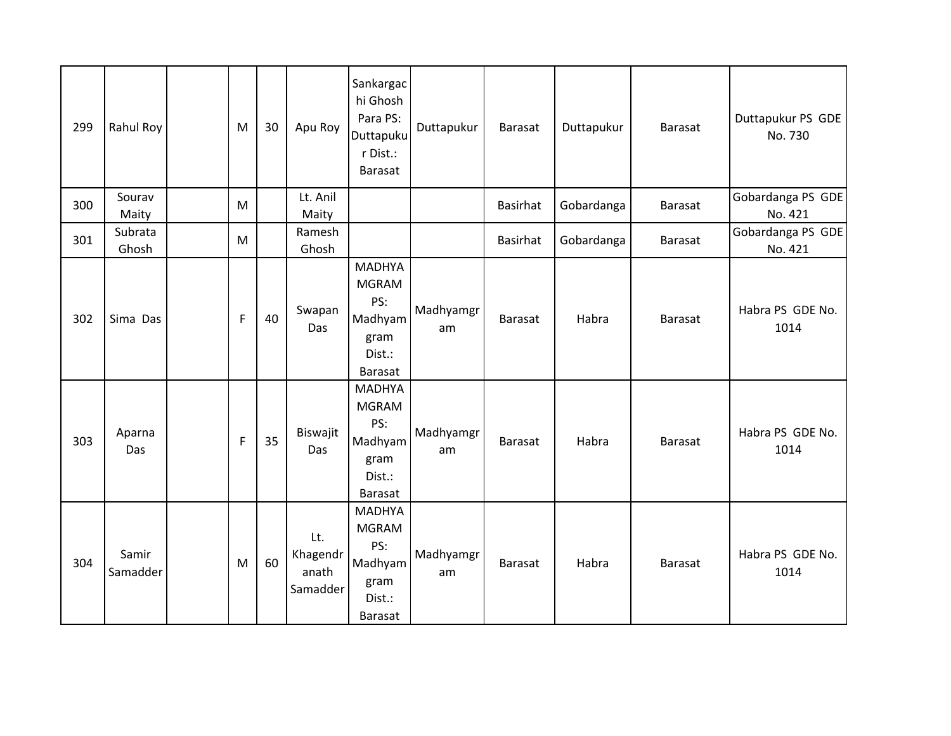| 299 | Rahul Roy         | M            | 30 | Apu Roy                              | Sankargac<br>hi Ghosh<br>Para PS:<br>Duttapuku<br>r Dist.:<br>Barasat               | Duttapukur      | <b>Barasat</b>  | Duttapukur | <b>Barasat</b> | Duttapukur PS GDE<br>No. 730 |
|-----|-------------------|--------------|----|--------------------------------------|-------------------------------------------------------------------------------------|-----------------|-----------------|------------|----------------|------------------------------|
| 300 | Sourav<br>Maity   | M            |    | Lt. Anil<br>Maity                    |                                                                                     |                 | <b>Basirhat</b> | Gobardanga | <b>Barasat</b> | Gobardanga PS GDE<br>No. 421 |
| 301 | Subrata<br>Ghosh  | M            |    | Ramesh<br>Ghosh                      |                                                                                     |                 | <b>Basirhat</b> | Gobardanga | Barasat        | Gobardanga PS GDE<br>No. 421 |
| 302 | Sima Das          | $\mathsf F$  | 40 | Swapan<br>Das                        | <b>MADHYA</b><br><b>MGRAM</b><br>PS:<br>Madhyam<br>gram<br>Dist.:<br><b>Barasat</b> | Madhyamgr<br>am | <b>Barasat</b>  | Habra      | Barasat        | Habra PS GDE No.<br>1014     |
| 303 | Aparna<br>Das     | $\mathsf{F}$ | 35 | Biswajit<br>Das                      | <b>MADHYA</b><br><b>MGRAM</b><br>PS:<br>Madhyam<br>gram<br>Dist.:<br>Barasat        | Madhyamgr<br>am | <b>Barasat</b>  | Habra      | Barasat        | Habra PS GDE No.<br>1014     |
| 304 | Samir<br>Samadder | M            | 60 | Lt.<br>Khagendr<br>anath<br>Samadder | <b>MADHYA</b><br><b>MGRAM</b><br>PS:<br>Madhyam<br>gram<br>Dist.:<br><b>Barasat</b> | Madhyamgr<br>am | <b>Barasat</b>  | Habra      | <b>Barasat</b> | Habra PS GDE No.<br>1014     |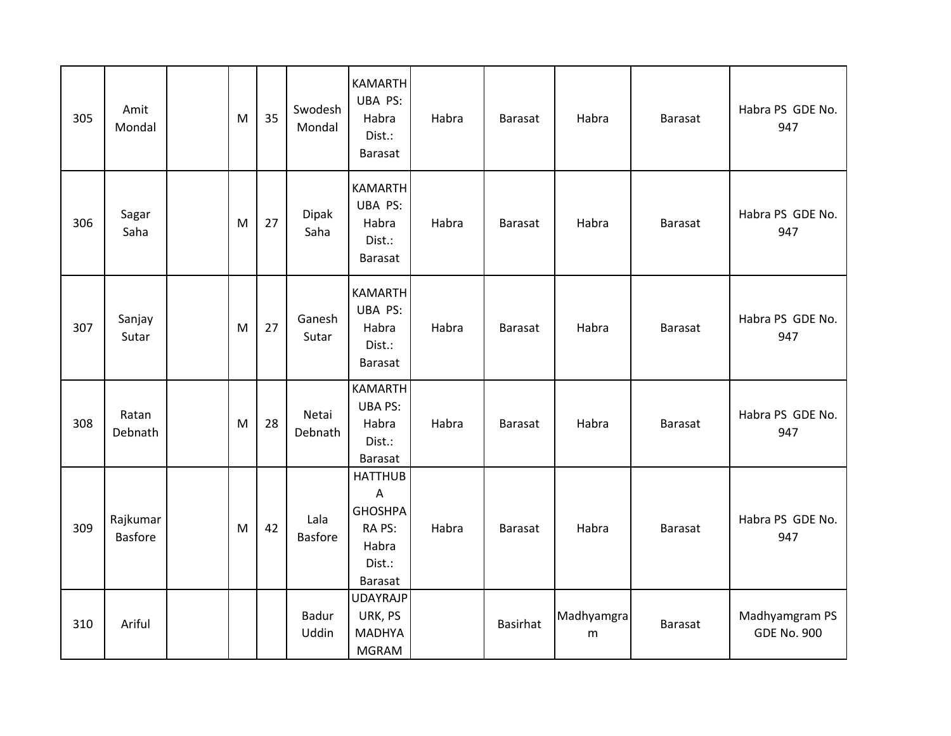| 305 | Amit<br>Mondal             | M         | 35 | Swodesh<br>Mondal      | <b>KAMARTH</b><br>UBA PS:<br>Habra<br>Dist.:<br>Barasat                                           | Habra | Barasat        | Habra           | <b>Barasat</b> | Habra PS GDE No.<br>947              |
|-----|----------------------------|-----------|----|------------------------|---------------------------------------------------------------------------------------------------|-------|----------------|-----------------|----------------|--------------------------------------|
| 306 | Sagar<br>Saha              | M         | 27 | <b>Dipak</b><br>Saha   | <b>KAMARTH</b><br>UBA PS:<br>Habra<br>Dist.:<br>Barasat                                           | Habra | <b>Barasat</b> | Habra           | <b>Barasat</b> | Habra PS GDE No.<br>947              |
| 307 | Sanjay<br>Sutar            | ${\sf M}$ | 27 | Ganesh<br>Sutar        | <b>KAMARTH</b><br>UBA PS:<br>Habra<br>Dist.:<br>Barasat                                           | Habra | <b>Barasat</b> | Habra           | Barasat        | Habra PS GDE No.<br>947              |
| 308 | Ratan<br>Debnath           | M         | 28 | Netai<br>Debnath       | <b>KAMARTH</b><br><b>UBA PS:</b><br>Habra<br>Dist.:<br>Barasat                                    | Habra | <b>Barasat</b> | Habra           | <b>Barasat</b> | Habra PS GDE No.<br>947              |
| 309 | Rajkumar<br><b>Basfore</b> | M         | 42 | Lala<br><b>Basfore</b> | <b>HATTHUB</b><br>$\overline{A}$<br><b>GHOSHPA</b><br>RA PS:<br>Habra<br>Dist.:<br><b>Barasat</b> | Habra | <b>Barasat</b> | Habra           | <b>Barasat</b> | Habra PS GDE No.<br>947              |
| 310 | Ariful                     |           |    | <b>Badur</b><br>Uddin  | <b>UDAYRAJP</b><br>URK, PS<br><b>MADHYA</b><br><b>MGRAM</b>                                       |       | Basirhat       | Madhyamgra<br>m | <b>Barasat</b> | Madhyamgram PS<br><b>GDE No. 900</b> |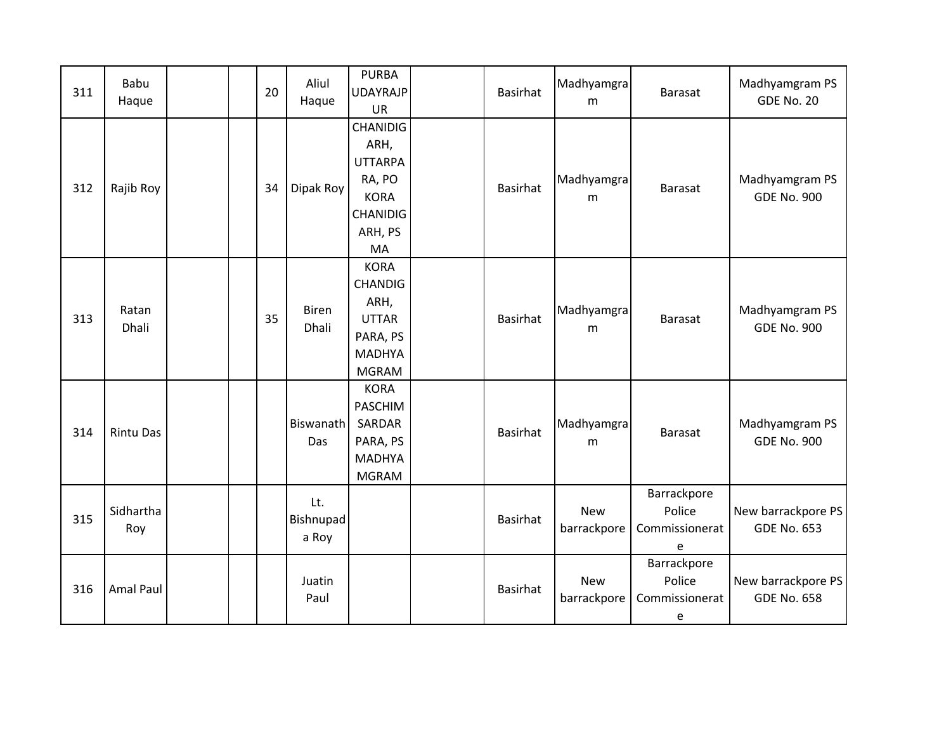| 311 | Babu<br>Haque    | 20 | Aliul<br>Haque            | <b>PURBA</b><br><b>UDAYRAJP</b><br><b>UR</b>                                                           | Basirhat        | Madhyamgra<br>m           | <b>Barasat</b>                               | Madhyamgram PS<br><b>GDE No. 20</b>      |
|-----|------------------|----|---------------------------|--------------------------------------------------------------------------------------------------------|-----------------|---------------------------|----------------------------------------------|------------------------------------------|
| 312 | Rajib Roy        | 34 | Dipak Roy                 | <b>CHANIDIG</b><br>ARH,<br><b>UTTARPA</b><br>RA, PO<br><b>KORA</b><br><b>CHANIDIG</b><br>ARH, PS<br>MA | <b>Basirhat</b> | Madhyamgra<br>m           | <b>Barasat</b>                               | Madhyamgram PS<br><b>GDE No. 900</b>     |
| 313 | Ratan<br>Dhali   | 35 | <b>Biren</b><br>Dhali     | <b>KORA</b><br><b>CHANDIG</b><br>ARH,<br><b>UTTAR</b><br>PARA, PS<br><b>MADHYA</b><br><b>MGRAM</b>     | <b>Basirhat</b> | Madhyamgra<br>m           | <b>Barasat</b>                               | Madhyamgram PS<br><b>GDE No. 900</b>     |
| 314 | <b>Rintu Das</b> |    | Biswanath<br>Das          | <b>KORA</b><br><b>PASCHIM</b><br>SARDAR<br>PARA, PS<br><b>MADHYA</b><br><b>MGRAM</b>                   | <b>Basirhat</b> | Madhyamgra<br>m           | <b>Barasat</b>                               | Madhyamgram PS<br><b>GDE No. 900</b>     |
| 315 | Sidhartha<br>Roy |    | Lt.<br>Bishnupad<br>a Roy |                                                                                                        | Basirhat        | <b>New</b><br>barrackpore | Barrackpore<br>Police<br>Commissionerat<br>e | New barrackpore PS<br><b>GDE No. 653</b> |
| 316 | <b>Amal Paul</b> |    | Juatin<br>Paul            |                                                                                                        | <b>Basirhat</b> | <b>New</b><br>barrackpore | Barrackpore<br>Police<br>Commissionerat<br>e | New barrackpore PS<br><b>GDE No. 658</b> |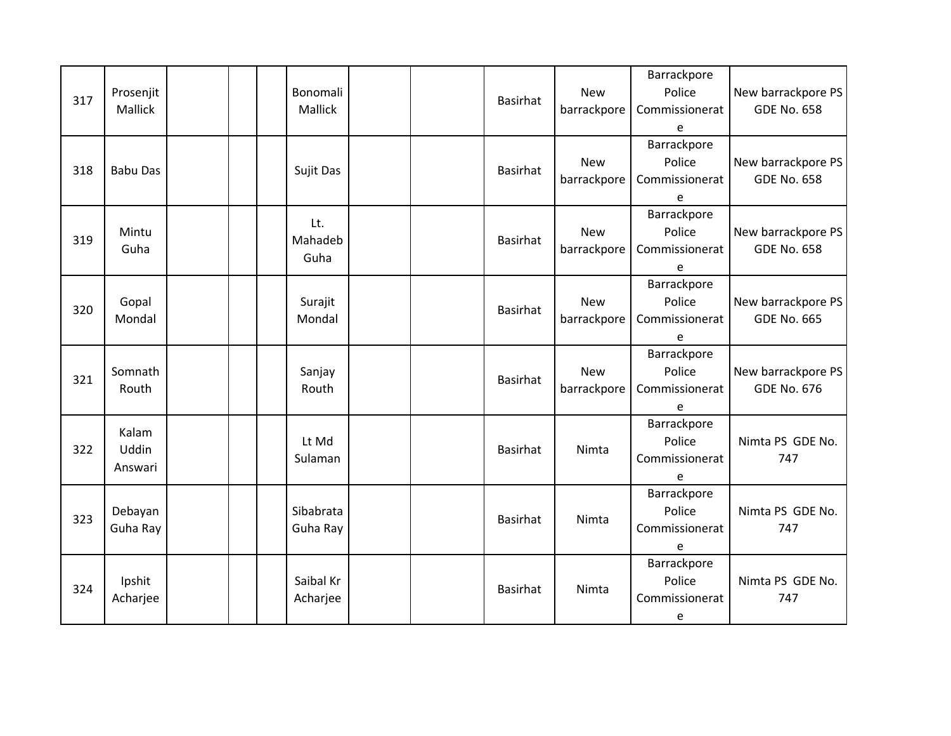| 317 | Prosenjit<br>Mallick             |  | Bonomali<br>Mallick    |  | <b>Basirhat</b> | <b>New</b><br>barrackpore | Barrackpore<br>Police<br>Commissionerat<br>e | New barrackpore PS<br><b>GDE No. 658</b> |
|-----|----------------------------------|--|------------------------|--|-----------------|---------------------------|----------------------------------------------|------------------------------------------|
| 318 | <b>Babu Das</b>                  |  | Sujit Das              |  | <b>Basirhat</b> | <b>New</b><br>barrackpore | Barrackpore<br>Police<br>Commissionerat<br>e | New barrackpore PS<br><b>GDE No. 658</b> |
| 319 | Mintu<br>Guha                    |  | Lt.<br>Mahadeb<br>Guha |  | <b>Basirhat</b> | <b>New</b><br>barrackpore | Barrackpore<br>Police<br>Commissionerat<br>e | New barrackpore PS<br><b>GDE No. 658</b> |
| 320 | Gopal<br>Mondal                  |  | Surajit<br>Mondal      |  | <b>Basirhat</b> | <b>New</b><br>barrackpore | Barrackpore<br>Police<br>Commissionerat<br>e | New barrackpore PS<br><b>GDE No. 665</b> |
| 321 | Somnath<br>Routh                 |  | Sanjay<br>Routh        |  | Basirhat        | <b>New</b><br>barrackpore | Barrackpore<br>Police<br>Commissionerat<br>e | New barrackpore PS<br><b>GDE No. 676</b> |
| 322 | Kalam<br><b>Uddin</b><br>Answari |  | Lt Md<br>Sulaman       |  | <b>Basirhat</b> | Nimta                     | Barrackpore<br>Police<br>Commissionerat<br>e | Nimta PS GDE No.<br>747                  |
| 323 | Debayan<br>Guha Ray              |  | Sibabrata<br>Guha Ray  |  | <b>Basirhat</b> | Nimta                     | Barrackpore<br>Police<br>Commissionerat<br>e | Nimta PS GDE No.<br>747                  |
| 324 | Ipshit<br>Acharjee               |  | Saibal Kr<br>Acharjee  |  | Basirhat        | Nimta                     | Barrackpore<br>Police<br>Commissionerat<br>e | Nimta PS GDE No.<br>747                  |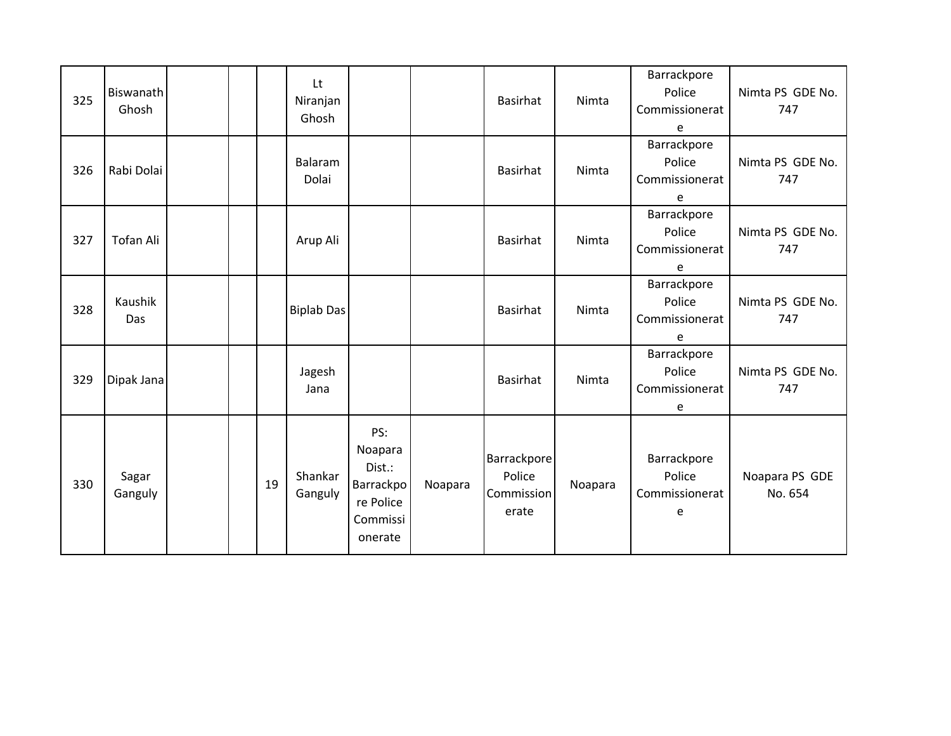| 325 | Biswanath<br>Ghosh |  |    | Lt<br>Niranjan<br>Ghosh |                                                                           |         | Basirhat                                            | Nimta   | Barrackpore<br>Police<br>Commissionerat<br>e | Nimta PS GDE No.<br>747   |
|-----|--------------------|--|----|-------------------------|---------------------------------------------------------------------------|---------|-----------------------------------------------------|---------|----------------------------------------------|---------------------------|
| 326 | Rabi Dolai         |  |    | Balaram<br>Dolai        |                                                                           |         | Basirhat                                            | Nimta   | Barrackpore<br>Police<br>Commissionerat<br>e | Nimta PS GDE No.<br>747   |
| 327 | Tofan Ali          |  |    | Arup Ali                |                                                                           |         | Basirhat                                            | Nimta   | Barrackpore<br>Police<br>Commissionerat<br>e | Nimta PS GDE No.<br>747   |
| 328 | Kaushik<br>Das     |  |    | <b>Biplab Das</b>       |                                                                           |         | Basirhat                                            | Nimta   | Barrackpore<br>Police<br>Commissionerat<br>e | Nimta PS GDE No.<br>747   |
| 329 | Dipak Jana         |  |    | Jagesh<br>Jana          |                                                                           |         | Basirhat                                            | Nimta   | Barrackpore<br>Police<br>Commissionerat<br>e | Nimta PS GDE No.<br>747   |
| 330 | Sagar<br>Ganguly   |  | 19 | Shankar<br>Ganguly      | PS:<br>Noapara<br>Dist.:<br>Barrackpo<br>re Police<br>Commissi<br>onerate | Noapara | <b>Barrackpore</b><br>Police<br>Commission<br>erate | Noapara | Barrackpore<br>Police<br>Commissionerat<br>e | Noapara PS GDE<br>No. 654 |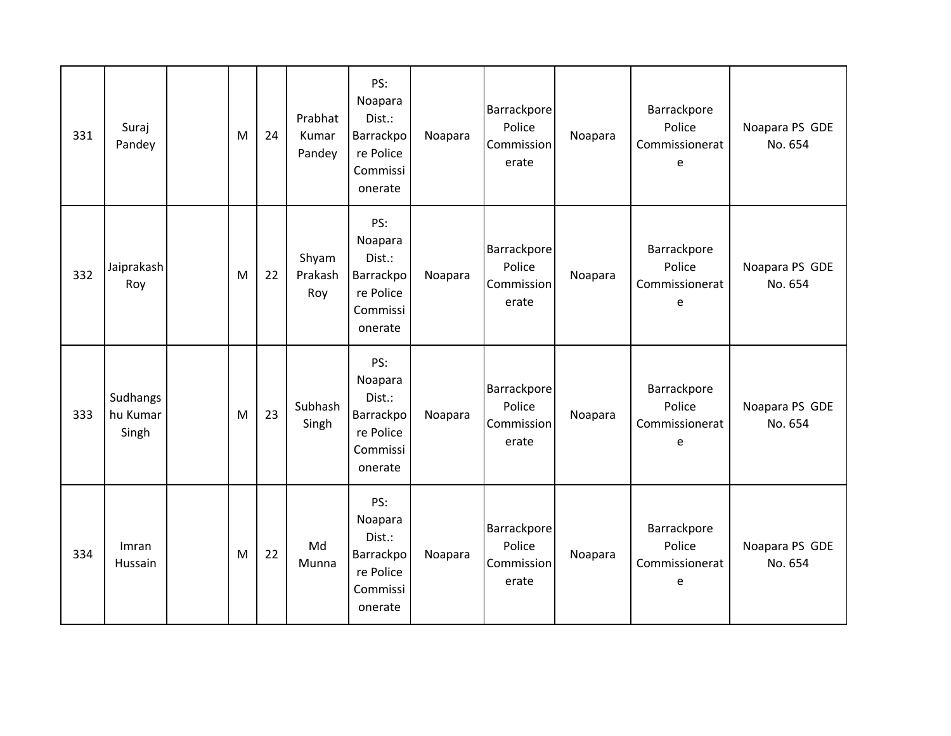| 331 | Suraj<br>Pandey               | M | 24 | Prabhat<br>Kumar<br>Pandey | PS:<br>Noapara<br>Dist.:<br>Barrackpo<br>re Police<br>Commissi<br>onerate | Noapara | <b>Barrackpore</b><br>Police<br>Commission<br>erate | Noapara | Barrackpore<br>Police<br>Commissionerat<br>e | Noapara PS GDE<br>No. 654 |
|-----|-------------------------------|---|----|----------------------------|---------------------------------------------------------------------------|---------|-----------------------------------------------------|---------|----------------------------------------------|---------------------------|
| 332 | Jaiprakash<br>Roy             | M | 22 | Shyam<br>Prakash<br>Roy    | PS:<br>Noapara<br>Dist.:<br>Barrackpo<br>re Police<br>Commissi<br>onerate | Noapara | Barrackpore<br>Police<br>Commission<br>erate        | Noapara | Barrackpore<br>Police<br>Commissionerat<br>e | Noapara PS GDE<br>No. 654 |
| 333 | Sudhangs<br>hu Kumar<br>Singh | M | 23 | Subhash<br>Singh           | PS:<br>Noapara<br>Dist.:<br>Barrackpo<br>re Police<br>Commissi<br>onerate | Noapara | <b>Barrackpore</b><br>Police<br>Commission<br>erate | Noapara | Barrackpore<br>Police<br>Commissionerat<br>e | Noapara PS GDE<br>No. 654 |
| 334 | Imran<br>Hussain              | M | 22 | Md<br>Munna                | PS:<br>Noapara<br>Dist.:<br>Barrackpo<br>re Police<br>Commissi<br>onerate | Noapara | Barrackpore<br>Police<br>Commission<br>erate        | Noapara | Barrackpore<br>Police<br>Commissionerat<br>e | Noapara PS GDE<br>No. 654 |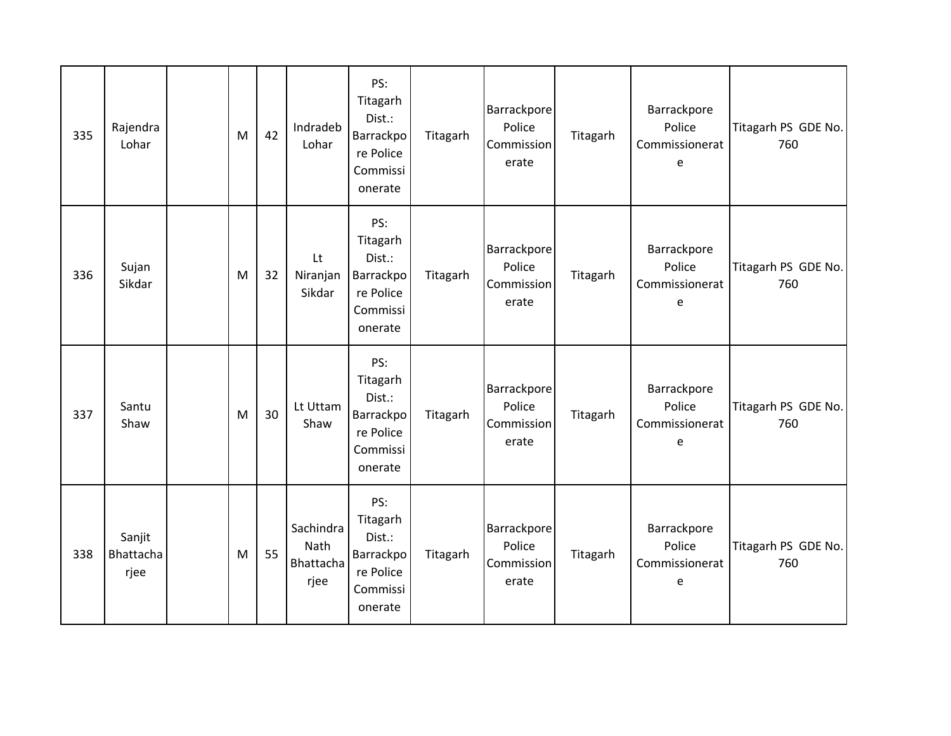| 335 | Rajendra<br>Lohar           | ${\sf M}$ | 42 | Indradeb<br>Lohar                      | PS:<br>Titagarh<br>Dist.:<br>Barrackpo<br>re Police<br>Commissi<br>onerate | Titagarh | <b>Barrackpore</b><br>Police<br><b>Commission</b><br>erate | Titagarh | Barrackpore<br>Police<br>Commissionerat<br>e | Titagarh PS GDE No.<br>760 |
|-----|-----------------------------|-----------|----|----------------------------------------|----------------------------------------------------------------------------|----------|------------------------------------------------------------|----------|----------------------------------------------|----------------------------|
| 336 | Sujan<br>Sikdar             | M         | 32 | Lt<br>Niranjan<br>Sikdar               | PS:<br>Titagarh<br>Dist.:<br>Barrackpo<br>re Police<br>Commissi<br>onerate | Titagarh | <b>Barrackpore</b><br>Police<br>Commission<br>erate        | Titagarh | Barrackpore<br>Police<br>Commissionerat<br>e | Titagarh PS GDE No.<br>760 |
| 337 | Santu<br>Shaw               | M         | 30 | Lt Uttam<br>Shaw                       | PS:<br>Titagarh<br>Dist.:<br>Barrackpo<br>re Police<br>Commissi<br>onerate | Titagarh | <b>Barrackpore</b><br>Police<br>Commission<br>erate        | Titagarh | Barrackpore<br>Police<br>Commissionerat<br>e | Titagarh PS GDE No.<br>760 |
| 338 | Sanjit<br>Bhattacha<br>rjee | M         | 55 | Sachindra<br>Nath<br>Bhattacha<br>rjee | PS:<br>Titagarh<br>Dist.:<br>Barrackpo<br>re Police<br>Commissi<br>onerate | Titagarh | <b>Barrackpore</b><br>Police<br>Commission<br>erate        | Titagarh | Barrackpore<br>Police<br>Commissionerat<br>e | Titagarh PS GDE No.<br>760 |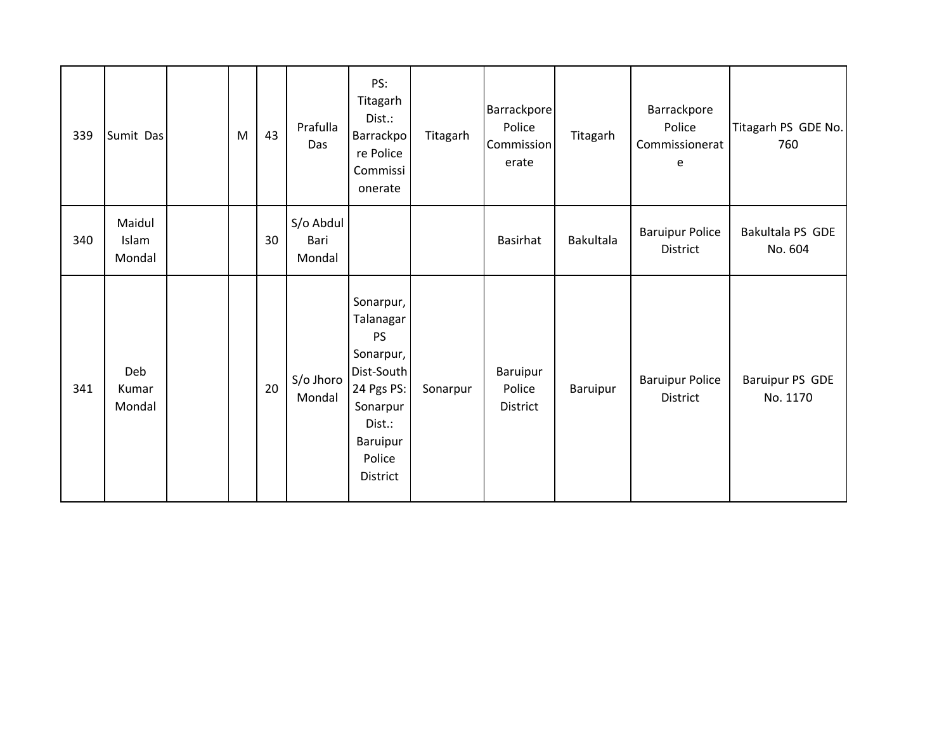| 339 | Sumit Das                 | M | 43 | Prafulla<br>Das             | PS:<br>Titagarh<br>Dist.:<br>Barrackpo<br>re Police<br>Commissi<br>onerate                                                                  | Titagarh | Barrackpore<br>Police<br>Commission<br>erate | Titagarh  | Barrackpore<br>Police<br>Commissionerat<br>e | Titagarh PS GDE No.<br>760  |
|-----|---------------------------|---|----|-----------------------------|---------------------------------------------------------------------------------------------------------------------------------------------|----------|----------------------------------------------|-----------|----------------------------------------------|-----------------------------|
| 340 | Maidul<br>Islam<br>Mondal |   | 30 | S/o Abdul<br>Bari<br>Mondal |                                                                                                                                             |          | <b>Basirhat</b>                              | Bakultala | <b>Baruipur Police</b><br>District           | Bakultala PS GDE<br>No. 604 |
| 341 | Deb<br>Kumar<br>Mondal    |   | 20 | S/o Jhoro<br>Mondal         | Sonarpur,<br>Talanagar<br><b>PS</b><br>Sonarpur,<br>Dist-South<br>24 Pgs PS:<br>Sonarpur<br>Dist.:<br>Baruipur<br>Police<br><b>District</b> | Sonarpur | Baruipur<br>Police<br>District               | Baruipur  | <b>Baruipur Police</b><br>District           | Baruipur PS GDE<br>No. 1170 |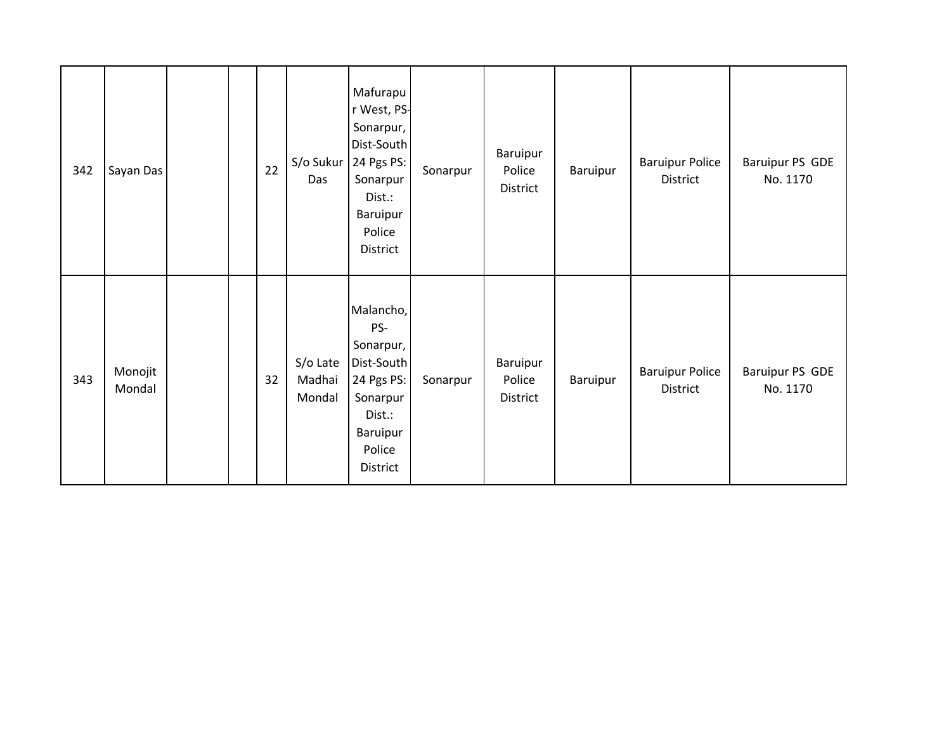| 342 | Sayan Das         |  | 22 | S/o Sukur<br>Das             | Mafurapu<br>r West, PS-<br>Sonarpur,<br>Dist-South<br>24 Pgs PS:<br>Sonarpur<br>Dist.:<br>Baruipur<br>Police<br>District | Sonarpur | Baruipur<br>Police<br>District | Baruipur | <b>Baruipur Police</b><br>District | Baruipur PS GDE<br>No. 1170 |
|-----|-------------------|--|----|------------------------------|--------------------------------------------------------------------------------------------------------------------------|----------|--------------------------------|----------|------------------------------------|-----------------------------|
| 343 | Monojit<br>Mondal |  | 32 | S/o Late<br>Madhai<br>Mondal | Malancho,<br>PS-<br>Sonarpur,<br>Dist-South<br>24 Pgs PS:<br>Sonarpur<br>Dist.:<br>Baruipur<br>Police<br>District        | Sonarpur | Baruipur<br>Police<br>District | Baruipur | <b>Baruipur Police</b><br>District | Baruipur PS GDE<br>No. 1170 |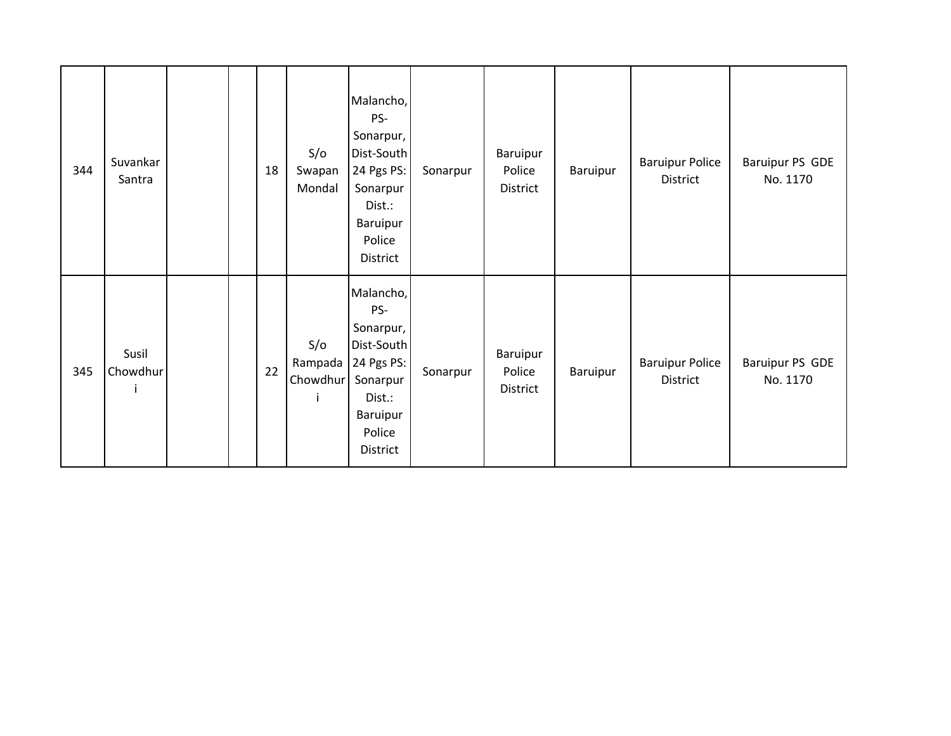| 344 | Suvankar<br>Santra |  | 18 | S/O<br>Swapan<br>Mondal         | Malancho,<br>PS-<br>Sonarpur,<br>Dist-South<br>24 Pgs PS:<br>Sonarpur<br>Dist.:<br>Baruipur<br>Police<br>District | Sonarpur | Baruipur<br>Police<br>District | Baruipur | <b>Baruipur Police</b><br>District | Baruipur PS GDE<br>No. 1170 |
|-----|--------------------|--|----|---------------------------------|-------------------------------------------------------------------------------------------------------------------|----------|--------------------------------|----------|------------------------------------|-----------------------------|
| 345 | Susil<br>Chowdhur  |  | 22 | S/O<br>Rampada<br>Chowdhur<br>j | Malancho,<br>PS-<br>Sonarpur,<br>Dist-South<br>24 Pgs PS:<br>Sonarpur<br>Dist.:<br>Baruipur<br>Police<br>District | Sonarpur | Baruipur<br>Police<br>District | Baruipur | <b>Baruipur Police</b><br>District | Baruipur PS GDE<br>No. 1170 |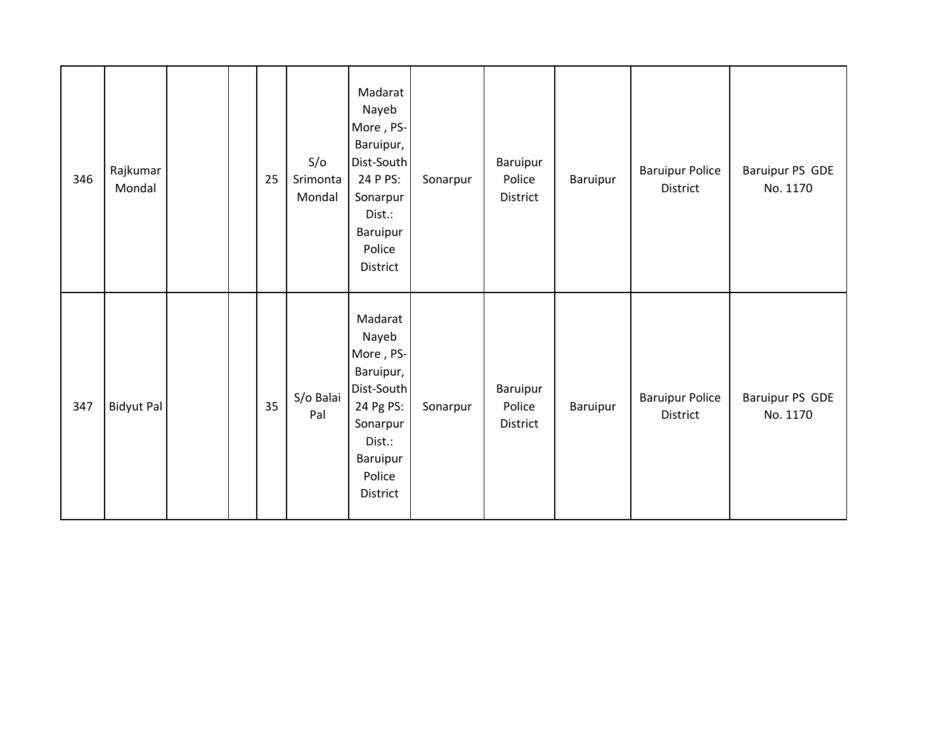| 346 | Rajkumar<br>Mondal |  | 25 | S/O<br>Srimonta<br>Mondal | Madarat<br>Nayeb<br>More, PS-<br>Baruipur,<br>Dist-South<br>24 P PS:<br>Sonarpur<br>Dist.:<br>Baruipur<br>Police<br>District  | Sonarpur | Baruipur<br>Police<br>District | Baruipur | <b>Baruipur Police</b><br>District | Baruipur PS GDE<br>No. 1170 |
|-----|--------------------|--|----|---------------------------|-------------------------------------------------------------------------------------------------------------------------------|----------|--------------------------------|----------|------------------------------------|-----------------------------|
| 347 | <b>Bidyut Pal</b>  |  | 35 | S/o Balai<br>Pal          | Madarat<br>Nayeb<br>More, PS-<br>Baruipur,<br>Dist-South<br>24 Pg PS:<br>Sonarpur<br>Dist.:<br>Baruipur<br>Police<br>District | Sonarpur | Baruipur<br>Police<br>District | Baruipur | <b>Baruipur Police</b><br>District | Baruipur PS GDE<br>No. 1170 |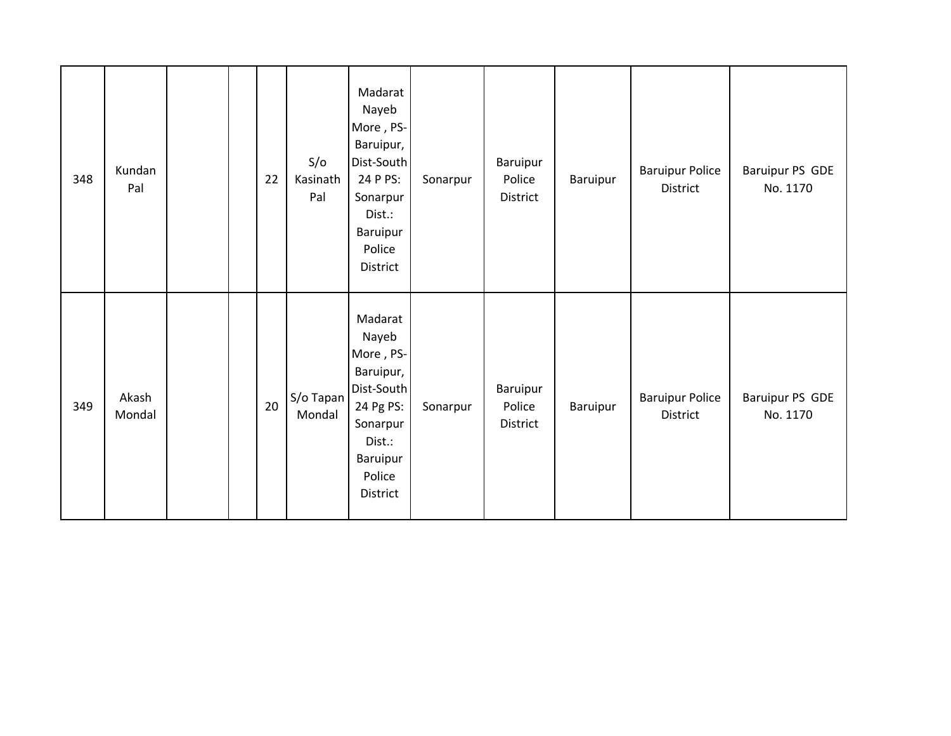| 348 | Kundan<br>Pal   |  | 22 | S/O<br>Kasinath<br>Pal | Madarat<br>Nayeb<br>More, PS-<br>Baruipur,<br>Dist-South<br>24 P PS:<br>Sonarpur<br>Dist.:<br>Baruipur<br>Police<br>District  | Sonarpur | Baruipur<br>Police<br>District | Baruipur | <b>Baruipur Police</b><br>District | Baruipur PS GDE<br>No. 1170 |
|-----|-----------------|--|----|------------------------|-------------------------------------------------------------------------------------------------------------------------------|----------|--------------------------------|----------|------------------------------------|-----------------------------|
| 349 | Akash<br>Mondal |  | 20 | S/o Tapan<br>Mondal    | Madarat<br>Nayeb<br>More, PS-<br>Baruipur,<br>Dist-South<br>24 Pg PS:<br>Sonarpur<br>Dist.:<br>Baruipur<br>Police<br>District | Sonarpur | Baruipur<br>Police<br>District | Baruipur | <b>Baruipur Police</b><br>District | Baruipur PS GDE<br>No. 1170 |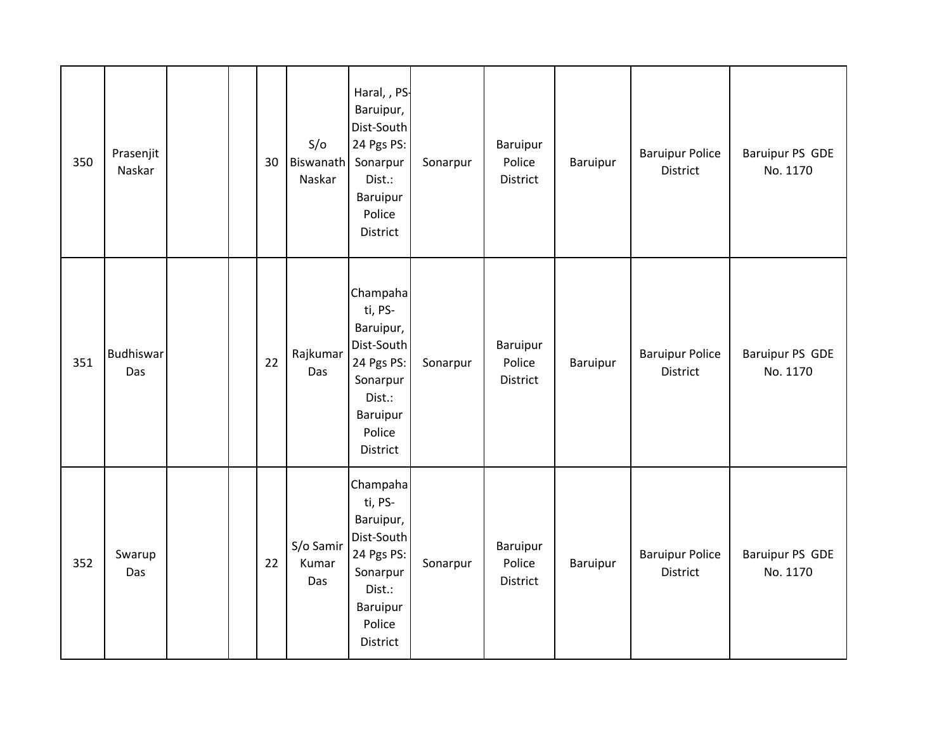| 350 | Prasenjit<br>Naskar     | 30 | S/O<br>Biswanath<br>Naskar | Haral, , PS-<br>Baruipur,<br>Dist-South<br>24 Pgs PS:<br>Sonarpur<br>Dist.:<br>Baruipur<br>Police<br><b>District</b> | Sonarpur | Baruipur<br>Police<br>District        | Baruipur | <b>Baruipur Police</b><br><b>District</b> | Baruipur PS GDE<br>No. 1170        |
|-----|-------------------------|----|----------------------------|----------------------------------------------------------------------------------------------------------------------|----------|---------------------------------------|----------|-------------------------------------------|------------------------------------|
| 351 | <b>Budhiswar</b><br>Das | 22 | Rajkumar<br>Das            | Champaha<br>ti, PS-<br>Baruipur,<br>Dist-South<br>24 Pgs PS:<br>Sonarpur<br>Dist.:<br>Baruipur<br>Police<br>District | Sonarpur | Baruipur<br>Police<br>District        | Baruipur | <b>Baruipur Police</b><br><b>District</b> | <b>Baruipur PS GDE</b><br>No. 1170 |
| 352 | Swarup<br>Das           | 22 | S/o Samir<br>Kumar<br>Das  | Champaha<br>ti, PS-<br>Baruipur,<br>Dist-South<br>24 Pgs PS:<br>Sonarpur<br>Dist.:<br>Baruipur<br>Police<br>District | Sonarpur | <b>Baruipur</b><br>Police<br>District | Baruipur | <b>Baruipur Police</b><br><b>District</b> | Baruipur PS GDE<br>No. 1170        |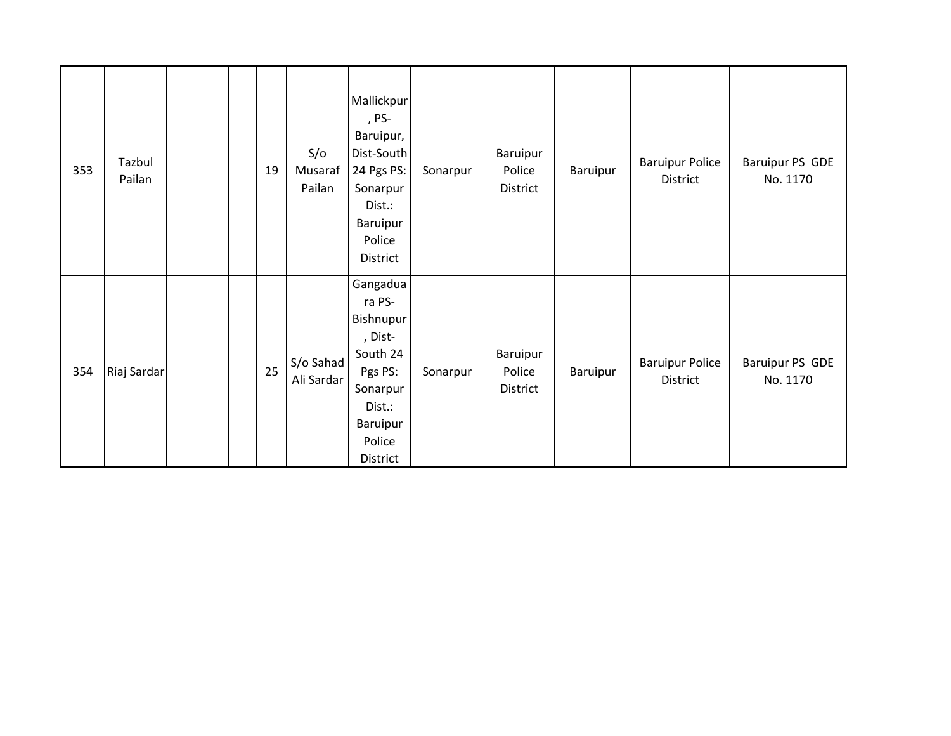| 353 | Tazbul<br>Pailan |  | 19 | S/O<br>Musaraf<br>Pailan | Mallickpur<br>, PS-<br>Baruipur,<br>Dist-South<br>24 Pgs PS:<br>Sonarpur<br>Dist.:<br>Baruipur<br>Police<br>District      | Sonarpur | Baruipur<br>Police<br>District | Baruipur | <b>Baruipur Police</b><br>District | Baruipur PS GDE<br>No. 1170 |
|-----|------------------|--|----|--------------------------|---------------------------------------------------------------------------------------------------------------------------|----------|--------------------------------|----------|------------------------------------|-----------------------------|
| 354 | Riaj Sardar      |  | 25 | S/o Sahad<br>Ali Sardar  | Gangadua<br>ra PS-<br>Bishnupur<br>, Dist-<br>South 24<br>Pgs PS:<br>Sonarpur<br>Dist.:<br>Baruipur<br>Police<br>District | Sonarpur | Baruipur<br>Police<br>District | Baruipur | <b>Baruipur Police</b><br>District | Baruipur PS GDE<br>No. 1170 |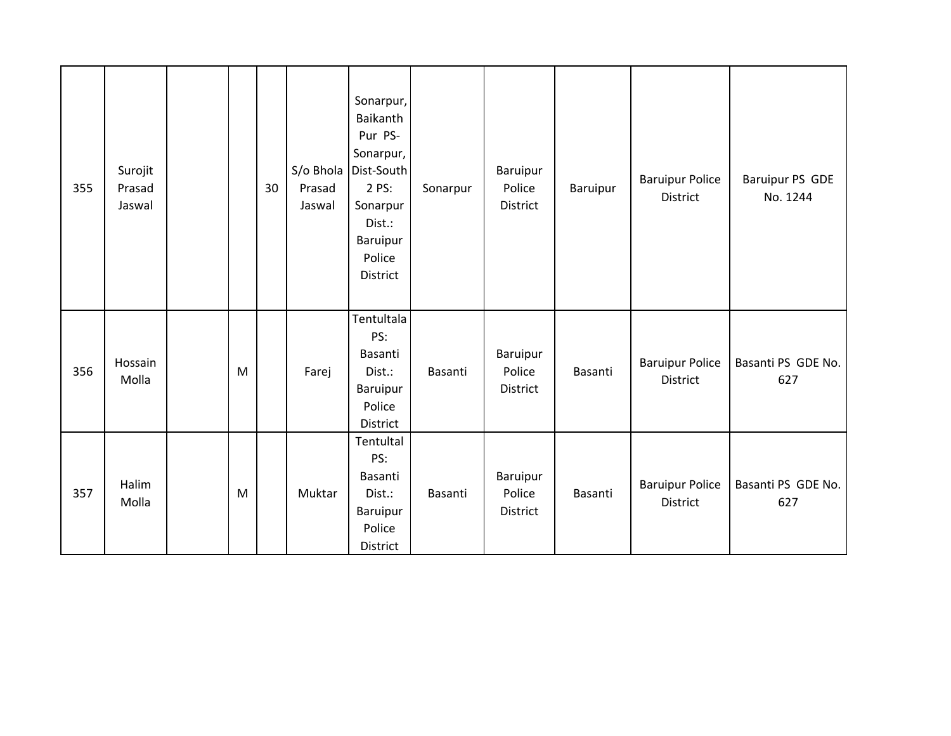| 355 | Surojit<br>Prasad<br>Jaswal |   | 30 | S/o Bhola<br>Prasad<br>Jaswal | Sonarpur,<br><b>Baikanth</b><br>Pur PS-<br>Sonarpur,<br>Dist-South<br>2 PS:<br>Sonarpur<br>Dist.:<br>Baruipur<br>Police<br>District | Sonarpur | Baruipur<br>Police<br>District | Baruipur | <b>Baruipur Police</b><br><b>District</b> | Baruipur PS GDE<br>No. 1244 |
|-----|-----------------------------|---|----|-------------------------------|-------------------------------------------------------------------------------------------------------------------------------------|----------|--------------------------------|----------|-------------------------------------------|-----------------------------|
| 356 | Hossain<br>Molla            | M |    | Farej                         | Tentultala<br>PS:<br>Basanti<br>Dist.:<br>Baruipur<br>Police<br>District                                                            | Basanti  | Baruipur<br>Police<br>District | Basanti  | <b>Baruipur Police</b><br>District        | Basanti PS GDE No.<br>627   |
| 357 | Halim<br>Molla              | M |    | Muktar                        | Tentultal<br>PS:<br>Basanti<br>Dist.:<br>Baruipur<br>Police<br>District                                                             | Basanti  | Baruipur<br>Police<br>District | Basanti  | <b>Baruipur Police</b><br><b>District</b> | Basanti PS GDE No.<br>627   |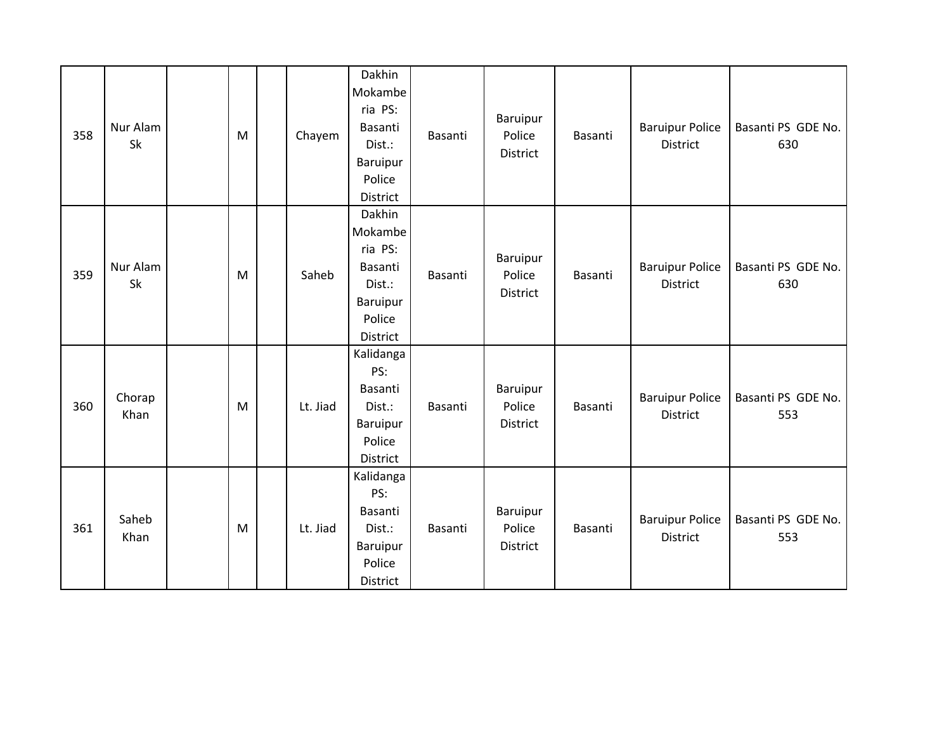| 358 | Nur Alam<br>Sk | ${\sf M}$ | Chayem   | Dakhin<br>Mokambe<br>ria PS:<br>Basanti<br>Dist.:<br>Baruipur<br>Police<br>District | Basanti | Baruipur<br>Police<br>District | Basanti | <b>Baruipur Police</b><br><b>District</b> | Basanti PS GDE No.<br>630 |
|-----|----------------|-----------|----------|-------------------------------------------------------------------------------------|---------|--------------------------------|---------|-------------------------------------------|---------------------------|
| 359 | Nur Alam<br>Sk | M         | Saheb    | Dakhin<br>Mokambe<br>ria PS:<br>Basanti<br>Dist.:<br>Baruipur<br>Police<br>District | Basanti | Baruipur<br>Police<br>District | Basanti | <b>Baruipur Police</b><br><b>District</b> | Basanti PS GDE No.<br>630 |
| 360 | Chorap<br>Khan | M         | Lt. Jiad | Kalidanga<br>PS:<br>Basanti<br>Dist.:<br>Baruipur<br>Police<br>District             | Basanti | Baruipur<br>Police<br>District | Basanti | <b>Baruipur Police</b><br>District        | Basanti PS GDE No.<br>553 |
| 361 | Saheb<br>Khan  | M         | Lt. Jiad | Kalidanga<br>PS:<br>Basanti<br>Dist.:<br>Baruipur<br>Police<br>District             | Basanti | Baruipur<br>Police<br>District | Basanti | <b>Baruipur Police</b><br><b>District</b> | Basanti PS GDE No.<br>553 |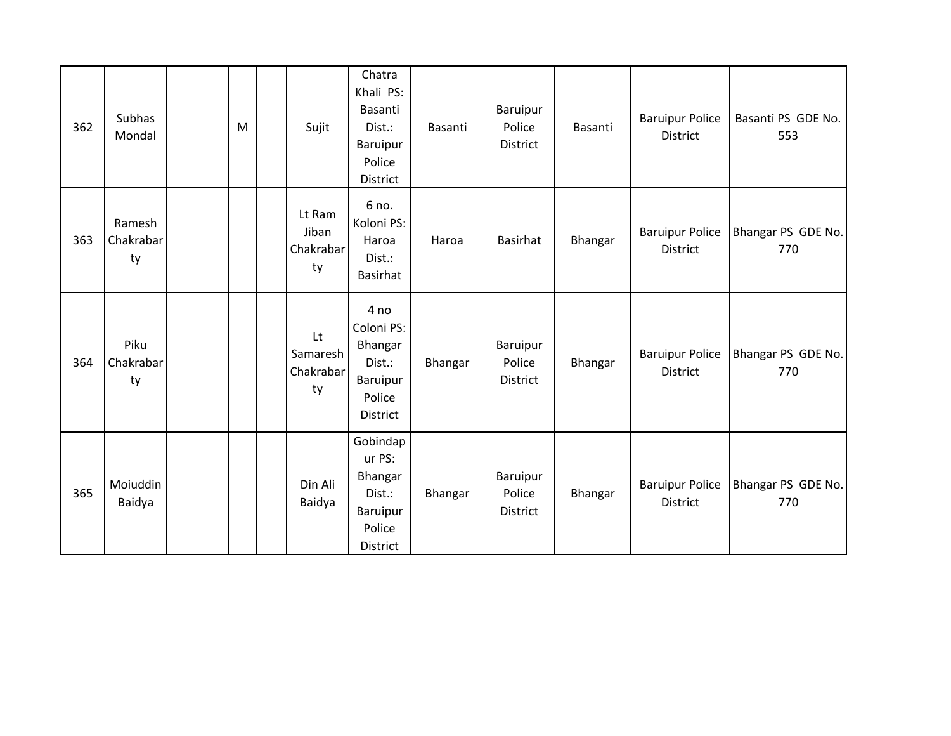| 362 | Subhas<br>Mondal          | M | Sujit                              | Chatra<br>Khali PS:<br>Basanti<br>Dist.:<br>Baruipur<br>Police<br>District       | Basanti | Baruipur<br>Police<br>District | Basanti | <b>Baruipur Police</b><br>District        | Basanti PS GDE No.<br>553 |
|-----|---------------------------|---|------------------------------------|----------------------------------------------------------------------------------|---------|--------------------------------|---------|-------------------------------------------|---------------------------|
| 363 | Ramesh<br>Chakrabar<br>ty |   | Lt Ram<br>Jiban<br>Chakrabar<br>ty | 6 no.<br>Koloni PS:<br>Haroa<br>Dist.:<br>Basirhat                               | Haroa   | <b>Basirhat</b>                | Bhangar | <b>Baruipur Police</b><br>District        | Bhangar PS GDE No.<br>770 |
| 364 | Piku<br>Chakrabar<br>ty   |   | Lt<br>Samaresh<br>Chakrabar<br>ty  | 4 no<br>Coloni PS:<br>Bhangar<br>Dist.:<br>Baruipur<br>Police<br>District        | Bhangar | Baruipur<br>Police<br>District | Bhangar | <b>Baruipur Police</b><br><b>District</b> | Bhangar PS GDE No.<br>770 |
| 365 | Moiuddin<br>Baidya        |   | Din Ali<br>Baidya                  | Gobindap<br>ur PS:<br>Bhangar<br>Dist.:<br>Baruipur<br>Police<br><b>District</b> | Bhangar | Baruipur<br>Police<br>District | Bhangar | <b>Baruipur Police</b><br><b>District</b> | Bhangar PS GDE No.<br>770 |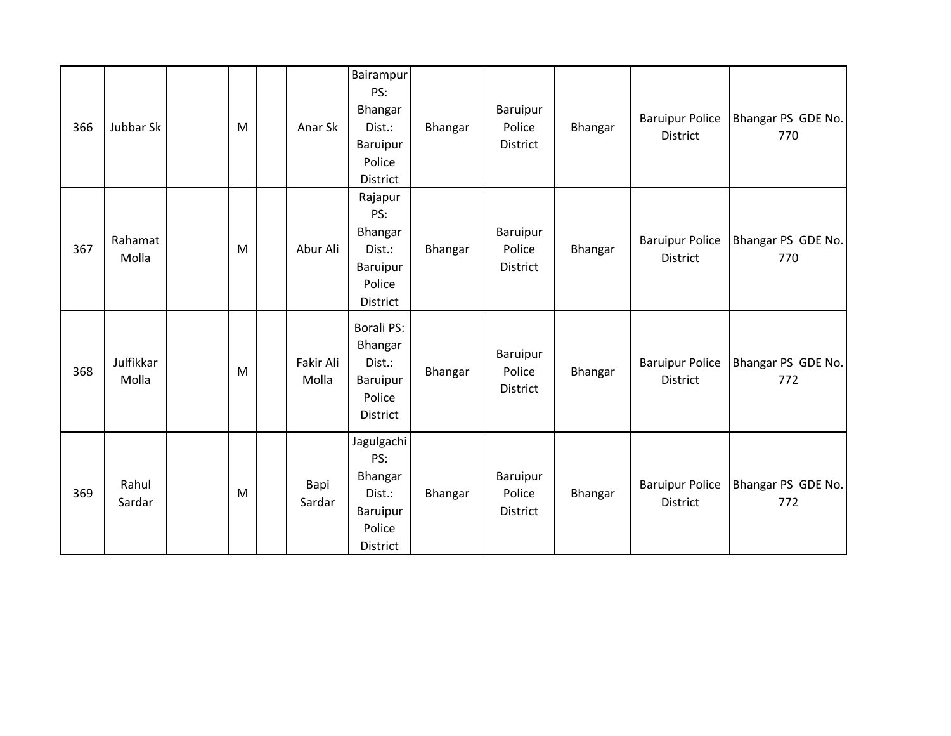| 366 | Jubbar Sk          | M | Anar Sk            | Bairampur<br>PS:<br>Bhangar<br>Dist.:<br>Baruipur<br>Police<br>District  | Bhangar | Baruipur<br>Police<br>District | Bhangar | <b>Baruipur Police</b><br>District | Bhangar PS GDE No.<br>770 |
|-----|--------------------|---|--------------------|--------------------------------------------------------------------------|---------|--------------------------------|---------|------------------------------------|---------------------------|
| 367 | Rahamat<br>Molla   | M | Abur Ali           | Rajapur<br>PS:<br>Bhangar<br>Dist.:<br>Baruipur<br>Police<br>District    | Bhangar | Baruipur<br>Police<br>District | Bhangar | <b>Baruipur Police</b><br>District | Bhangar PS GDE No.<br>770 |
| 368 | Julfikkar<br>Molla | M | Fakir Ali<br>Molla | <b>Borali PS:</b><br>Bhangar<br>Dist.:<br>Baruipur<br>Police<br>District | Bhangar | Baruipur<br>Police<br>District | Bhangar | <b>Baruipur Police</b><br>District | Bhangar PS GDE No.<br>772 |
| 369 | Rahul<br>Sardar    | M | Bapi<br>Sardar     | Jagulgachi<br>PS:<br>Bhangar<br>Dist.:<br>Baruipur<br>Police<br>District | Bhangar | Baruipur<br>Police<br>District | Bhangar | <b>Baruipur Police</b><br>District | Bhangar PS GDE No.<br>772 |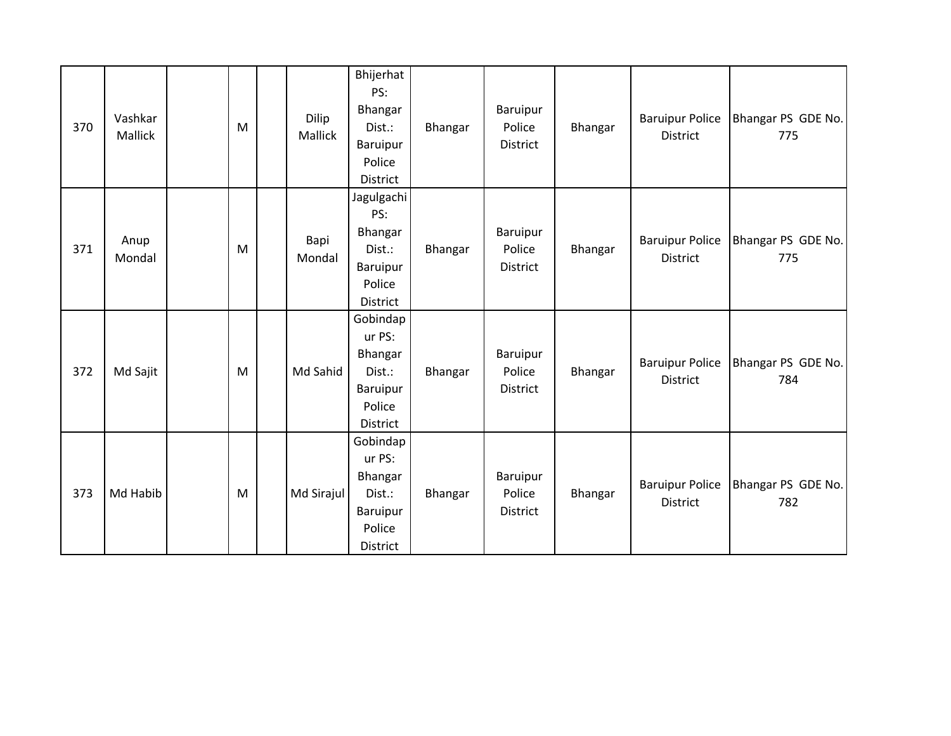| 370 | Vashkar<br>Mallick | M | Dilip<br>Mallick | Bhijerhat<br>PS:<br>Bhangar<br>Dist.:<br>Baruipur<br>Police<br>District          | Bhangar | Baruipur<br>Police<br>District        | Bhangar | <b>Baruipur Police</b><br>District        | Bhangar PS GDE No.<br>775 |
|-----|--------------------|---|------------------|----------------------------------------------------------------------------------|---------|---------------------------------------|---------|-------------------------------------------|---------------------------|
| 371 | Anup<br>Mondal     | M | Bapi<br>Mondal   | Jagulgachi<br>PS:<br>Bhangar<br>Dist.:<br>Baruipur<br>Police<br>District         | Bhangar | Baruipur<br>Police<br><b>District</b> | Bhangar | <b>Baruipur Police</b><br><b>District</b> | Bhangar PS GDE No.<br>775 |
| 372 | Md Sajit           | M | Md Sahid         | Gobindap<br>ur PS:<br>Bhangar<br>Dist.:<br><b>Baruipur</b><br>Police<br>District | Bhangar | Baruipur<br>Police<br>District        | Bhangar | <b>Baruipur Police</b><br>District        | Bhangar PS GDE No.<br>784 |
| 373 | Md Habib           | M | Md Sirajul       | Gobindap<br>ur PS:<br>Bhangar<br>Dist.:<br>Baruipur<br>Police<br>District        | Bhangar | Baruipur<br>Police<br>District        | Bhangar | <b>Baruipur Police</b><br><b>District</b> | Bhangar PS GDE No.<br>782 |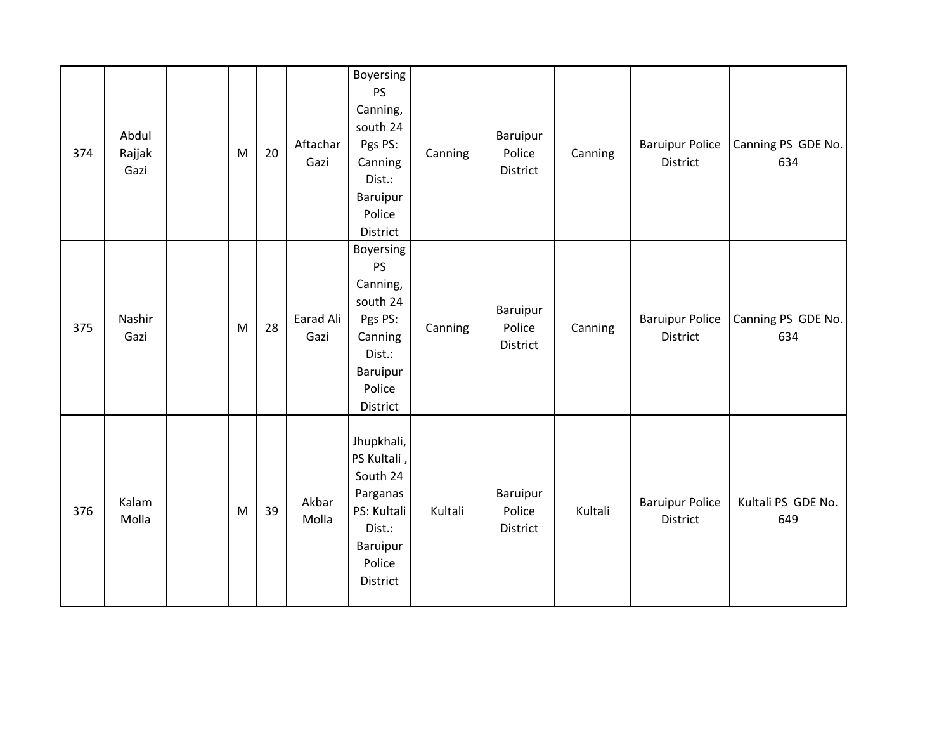| 374 | Abdul<br>Rajjak<br>Gazi | M         | 20 | Aftachar<br>Gazi  | Boyersing<br><b>PS</b><br>Canning,<br>south 24<br>Pgs PS:<br>Canning<br>Dist.:<br><b>Baruipur</b><br>Police<br>District | Canning | Baruipur<br>Police<br>District | Canning | <b>Baruipur Police</b><br>District        | Canning PS GDE No.<br>634 |
|-----|-------------------------|-----------|----|-------------------|-------------------------------------------------------------------------------------------------------------------------|---------|--------------------------------|---------|-------------------------------------------|---------------------------|
| 375 | Nashir<br>Gazi          | M         | 28 | Earad Ali<br>Gazi | <b>Boyersing</b><br>PS<br>Canning,<br>south 24<br>Pgs PS:<br>Canning<br>Dist.:<br>Baruipur<br>Police<br>District        | Canning | Baruipur<br>Police<br>District | Canning | <b>Baruipur Police</b><br><b>District</b> | Canning PS GDE No.<br>634 |
| 376 | Kalam<br>Molla          | ${\sf M}$ | 39 | Akbar<br>Molla    | Jhupkhali,<br>PS Kultali<br>South 24<br>Parganas<br>PS: Kultali<br>Dist.:<br>Baruipur<br>Police<br>District             | Kultali | Baruipur<br>Police<br>District | Kultali | <b>Baruipur Police</b><br><b>District</b> | Kultali PS GDE No.<br>649 |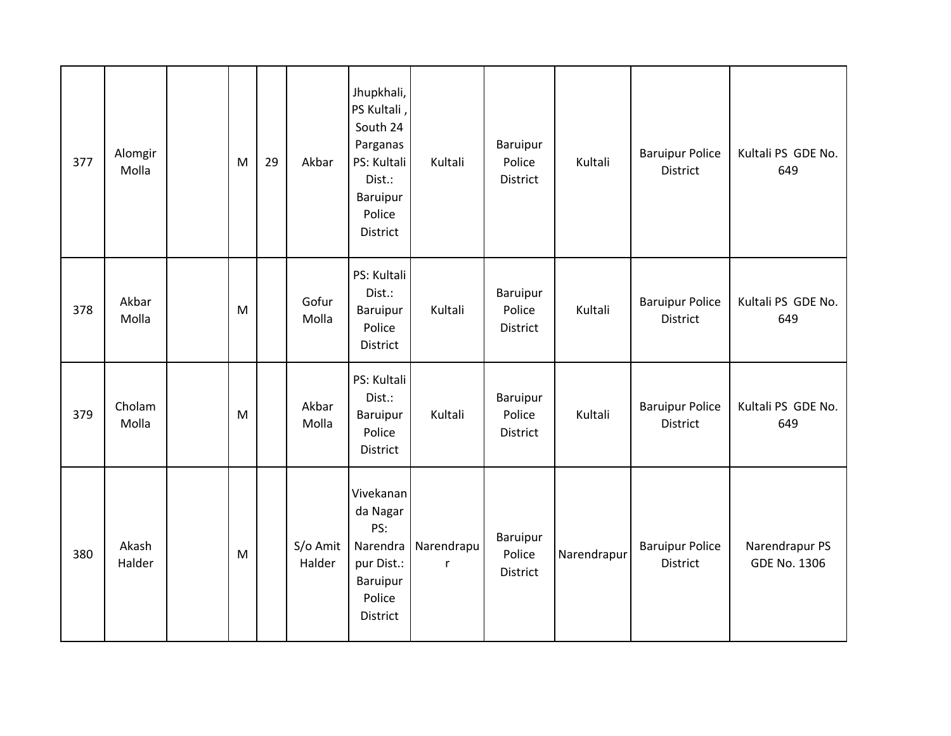| 377 | Alomgir<br>Molla | M         | 29 | Akbar              | Jhupkhali,<br>PS Kultali,<br>South 24<br>Parganas<br>PS: Kultali<br>Dist.:<br><b>Baruipur</b><br>Police<br><b>District</b> | Kultali                    | Baruipur<br>Police<br>District | Kultali     | <b>Baruipur Police</b><br>District | Kultali PS GDE No.<br>649             |
|-----|------------------|-----------|----|--------------------|----------------------------------------------------------------------------------------------------------------------------|----------------------------|--------------------------------|-------------|------------------------------------|---------------------------------------|
| 378 | Akbar<br>Molla   | ${\sf M}$ |    | Gofur<br>Molla     | PS: Kultali<br>Dist.:<br><b>Baruipur</b><br>Police<br>District                                                             | Kultali                    | Baruipur<br>Police<br>District | Kultali     | <b>Baruipur Police</b><br>District | Kultali PS GDE No.<br>649             |
| 379 | Cholam<br>Molla  | M         |    | Akbar<br>Molla     | PS: Kultali<br>Dist.:<br>Baruipur<br>Police<br>District                                                                    | Kultali                    | Baruipur<br>Police<br>District | Kultali     | <b>Baruipur Police</b><br>District | Kultali PS GDE No.<br>649             |
| 380 | Akash<br>Halder  | ${\sf M}$ |    | S/o Amit<br>Halder | Vivekanan<br>da Nagar<br>PS:<br>Narendra<br>pur Dist.:<br><b>Baruipur</b><br>Police<br>District                            | Narendrapu<br>$\mathsf{r}$ | Baruipur<br>Police<br>District | Narendrapur | <b>Baruipur Police</b><br>District | Narendrapur PS<br><b>GDE No. 1306</b> |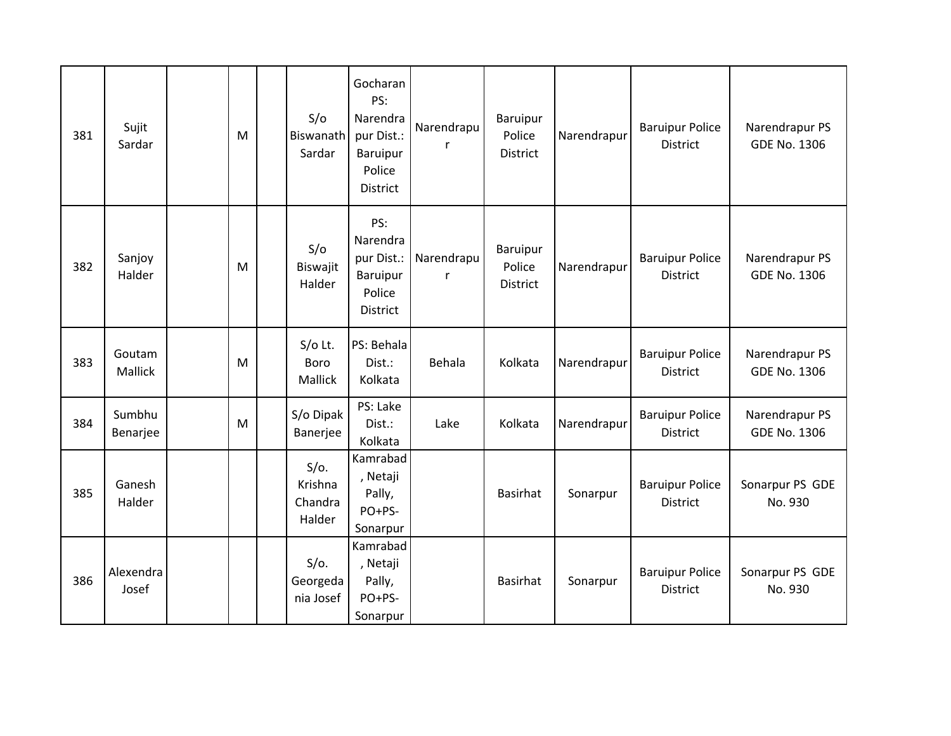| 381 | Sujit<br>Sardar    | M | S/O<br>Biswanath<br>Sardar              | Gocharan<br>PS:<br>Narendra<br>pur Dist.:<br>Baruipur<br>Police<br>District | Narendrapu                 | Baruipur<br>Police<br>District        | Narendrapur | <b>Baruipur Police</b><br><b>District</b> | Narendrapur PS<br><b>GDE No. 1306</b> |
|-----|--------------------|---|-----------------------------------------|-----------------------------------------------------------------------------|----------------------------|---------------------------------------|-------------|-------------------------------------------|---------------------------------------|
| 382 | Sanjoy<br>Halder   | M | S/O<br>Biswajit<br>Halder               | PS:<br>Narendra<br>pur Dist.:<br>Baruipur<br>Police<br>District             | Narendrapu<br>$\mathsf{r}$ | Baruipur<br>Police<br><b>District</b> | Narendrapur | <b>Baruipur Police</b><br><b>District</b> | Narendrapur PS<br><b>GDE No. 1306</b> |
| 383 | Goutam<br>Mallick  | M | $S/O$ Lt.<br>Boro<br>Mallick            | PS: Behala<br>Dist.:<br>Kolkata                                             | Behala                     | Kolkata                               | Narendrapur | <b>Baruipur Police</b><br>District        | Narendrapur PS<br><b>GDE No. 1306</b> |
| 384 | Sumbhu<br>Benarjee | M | S/o Dipak<br>Banerjee                   | PS: Lake<br>Dist.:<br>Kolkata                                               | Lake                       | Kolkata                               | Narendrapur | <b>Baruipur Police</b><br><b>District</b> | Narendrapur PS<br><b>GDE No. 1306</b> |
| 385 | Ganesh<br>Halder   |   | $S/O$ .<br>Krishna<br>Chandra<br>Halder | Kamrabad<br>, Netaji<br>Pally,<br>PO+PS-<br>Sonarpur                        |                            | <b>Basirhat</b>                       | Sonarpur    | <b>Baruipur Police</b><br><b>District</b> | Sonarpur PS GDE<br>No. 930            |
| 386 | Alexendra<br>Josef |   | $S/O$ .<br>Georgeda<br>nia Josef        | Kamrabad<br>, Netaji<br>Pally,<br>PO+PS-<br>Sonarpur                        |                            | <b>Basirhat</b>                       | Sonarpur    | <b>Baruipur Police</b><br><b>District</b> | Sonarpur PS GDE<br>No. 930            |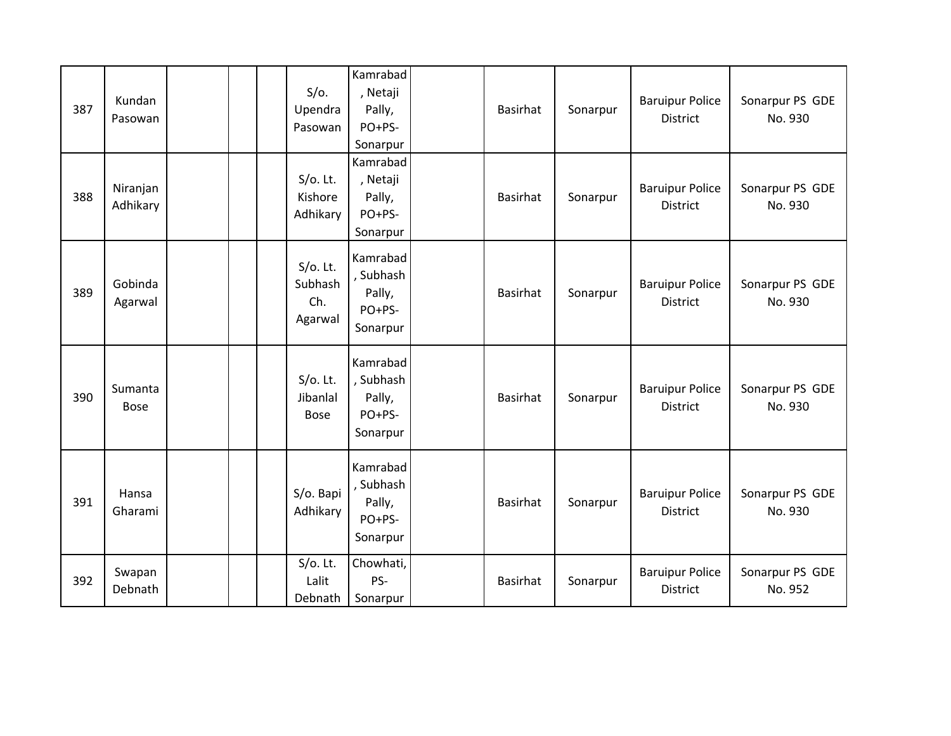| 387 | Kundan<br>Pasowan      | $S/O$ .<br>Upendra<br>Pasowan            | Kamrabad<br>, Netaji<br>Pally,<br>PO+PS-<br>Sonarpur  | <b>Basirhat</b> | Sonarpur | <b>Baruipur Police</b><br>District        | Sonarpur PS GDE<br>No. 930 |
|-----|------------------------|------------------------------------------|-------------------------------------------------------|-----------------|----------|-------------------------------------------|----------------------------|
| 388 | Niranjan<br>Adhikary   | $S/O$ . Lt.<br>Kishore<br>Adhikary       | Kamrabad<br>, Netaji<br>Pally,<br>PO+PS-<br>Sonarpur  | Basirhat        | Sonarpur | <b>Baruipur Police</b><br>District        | Sonarpur PS GDE<br>No. 930 |
| 389 | Gobinda<br>Agarwal     | $S/O$ . Lt.<br>Subhash<br>Ch.<br>Agarwal | Kamrabad<br>, Subhash<br>Pally,<br>PO+PS-<br>Sonarpur | <b>Basirhat</b> | Sonarpur | <b>Baruipur Police</b><br><b>District</b> | Sonarpur PS GDE<br>No. 930 |
| 390 | Sumanta<br><b>Bose</b> | $S/O$ . Lt.<br>Jibanlal<br><b>Bose</b>   | Kamrabad<br>, Subhash<br>Pally,<br>PO+PS-<br>Sonarpur | <b>Basirhat</b> | Sonarpur | <b>Baruipur Police</b><br><b>District</b> | Sonarpur PS GDE<br>No. 930 |
| 391 | Hansa<br>Gharami       | S/o. Bapi<br>Adhikary                    | Kamrabad<br>, Subhash<br>Pally,<br>PO+PS-<br>Sonarpur | <b>Basirhat</b> | Sonarpur | <b>Baruipur Police</b><br>District        | Sonarpur PS GDE<br>No. 930 |
| 392 | Swapan<br>Debnath      | $S/O$ . Lt.<br>Lalit<br>Debnath          | Chowhati,<br>PS-<br>Sonarpur                          | <b>Basirhat</b> | Sonarpur | <b>Baruipur Police</b><br><b>District</b> | Sonarpur PS GDE<br>No. 952 |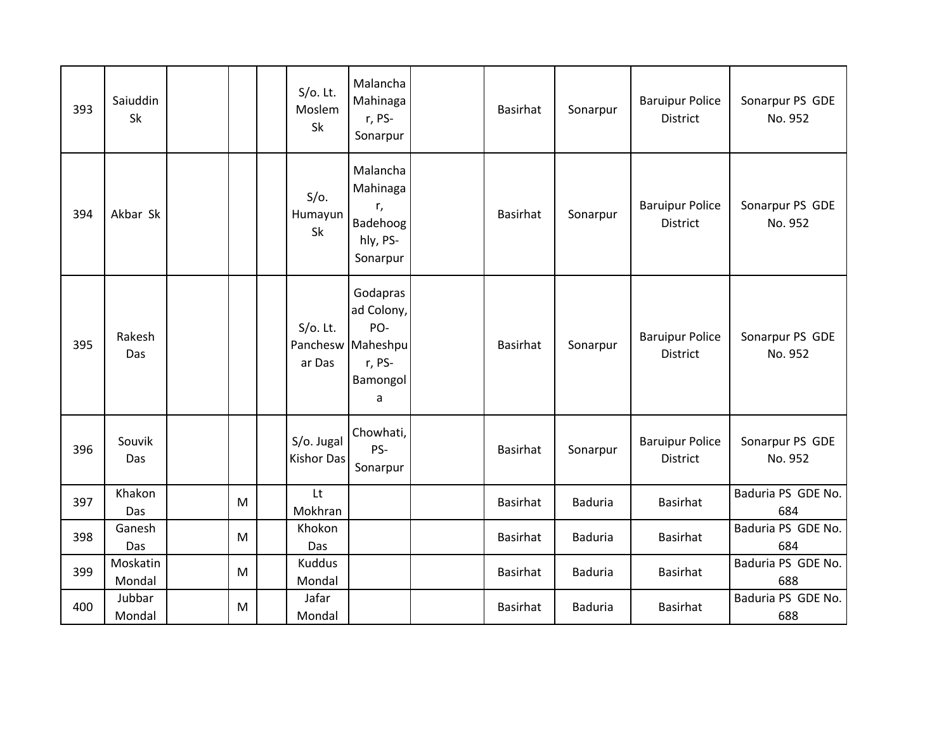| 393 | Saiuddin<br>Sk     |   | $S/O$ . Lt.<br>Moslem<br>Sk     | Malancha<br>Mahinaga<br>r, PS-<br>Sonarpur                                    | Basirhat        | Sonarpur       | <b>Baruipur Police</b><br><b>District</b> | Sonarpur PS GDE<br>No. 952 |
|-----|--------------------|---|---------------------------------|-------------------------------------------------------------------------------|-----------------|----------------|-------------------------------------------|----------------------------|
| 394 | Akbar Sk           |   | $S/O$ .<br>Humayun<br>Sk        | Malancha<br>Mahinaga<br>r,<br>Badehoog<br>hly, PS-<br>Sonarpur                | <b>Basirhat</b> | Sonarpur       | <b>Baruipur Police</b><br><b>District</b> | Sonarpur PS GDE<br>No. 952 |
| 395 | Rakesh<br>Das      |   | $S/O$ . Lt.<br>ar Das           | Godapras<br>ad Colony,<br>PO-<br>Panchesw Maheshpu<br>r, PS-<br>Bamongol<br>a | <b>Basirhat</b> | Sonarpur       | <b>Baruipur Police</b><br><b>District</b> | Sonarpur PS GDE<br>No. 952 |
| 396 | Souvik<br>Das      |   | S/o. Jugal<br><b>Kishor Das</b> | Chowhati,<br>PS-<br>Sonarpur                                                  | <b>Basirhat</b> | Sonarpur       | <b>Baruipur Police</b><br><b>District</b> | Sonarpur PS GDE<br>No. 952 |
| 397 | Khakon<br>Das      | M | Lt<br>Mokhran                   |                                                                               | <b>Basirhat</b> | <b>Baduria</b> | Basirhat                                  | Baduria PS GDE No.<br>684  |
| 398 | Ganesh<br>Das      | M | Khokon<br>Das                   |                                                                               | <b>Basirhat</b> | <b>Baduria</b> | Basirhat                                  | Baduria PS GDE No.<br>684  |
| 399 | Moskatin<br>Mondal | M | <b>Kuddus</b><br>Mondal         |                                                                               | <b>Basirhat</b> | <b>Baduria</b> | <b>Basirhat</b>                           | Baduria PS GDE No.<br>688  |
| 400 | Jubbar<br>Mondal   | M | Jafar<br>Mondal                 |                                                                               | <b>Basirhat</b> | <b>Baduria</b> | <b>Basirhat</b>                           | Baduria PS GDE No.<br>688  |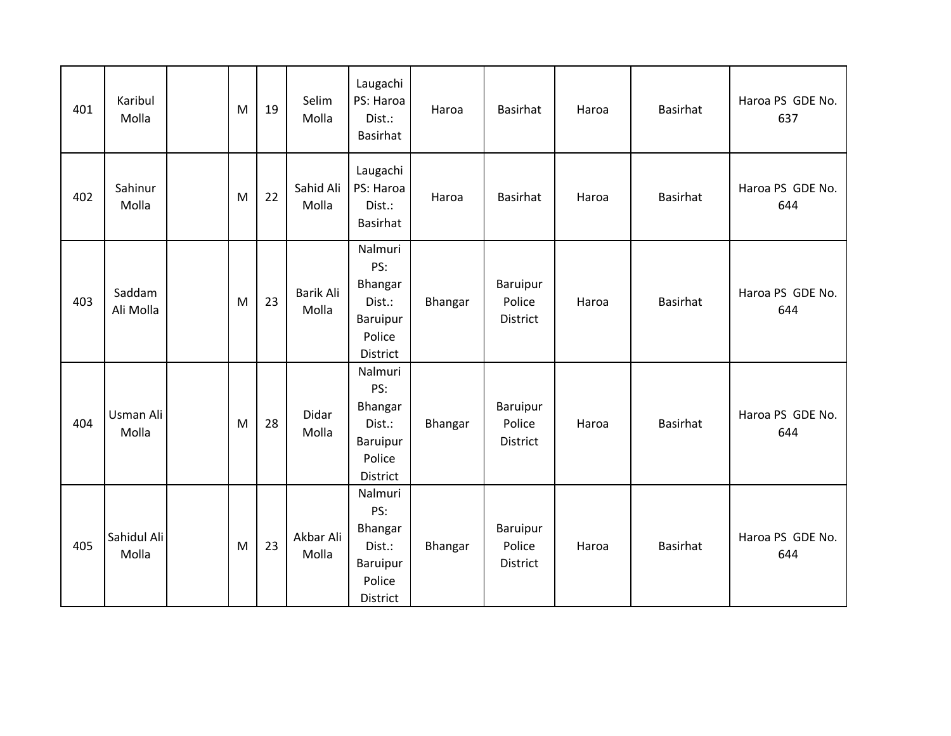| 401 | Karibul<br>Molla     | M | 19 | Selim<br>Molla     | Laugachi<br>PS: Haroa<br>Dist.:<br>Basirhat                           | Haroa   | <b>Basirhat</b>                | Haroa | <b>Basirhat</b> | Haroa PS GDE No.<br>637 |
|-----|----------------------|---|----|--------------------|-----------------------------------------------------------------------|---------|--------------------------------|-------|-----------------|-------------------------|
| 402 | Sahinur<br>Molla     | M | 22 | Sahid Ali<br>Molla | Laugachi<br>PS: Haroa<br>Dist.:<br>Basirhat                           | Haroa   | <b>Basirhat</b>                | Haroa | Basirhat        | Haroa PS GDE No.<br>644 |
| 403 | Saddam<br>Ali Molla  | M | 23 | Barik Ali<br>Molla | Nalmuri<br>PS:<br>Bhangar<br>Dist.:<br>Baruipur<br>Police<br>District | Bhangar | Baruipur<br>Police<br>District | Haroa | <b>Basirhat</b> | Haroa PS GDE No.<br>644 |
| 404 | Usman Ali<br>Molla   | M | 28 | Didar<br>Molla     | Nalmuri<br>PS:<br>Bhangar<br>Dist.:<br>Baruipur<br>Police<br>District | Bhangar | Baruipur<br>Police<br>District | Haroa | Basirhat        | Haroa PS GDE No.<br>644 |
| 405 | Sahidul Ali<br>Molla | M | 23 | Akbar Ali<br>Molla | Nalmuri<br>PS:<br>Bhangar<br>Dist.:<br>Baruipur<br>Police<br>District | Bhangar | Baruipur<br>Police<br>District | Haroa | <b>Basirhat</b> | Haroa PS GDE No.<br>644 |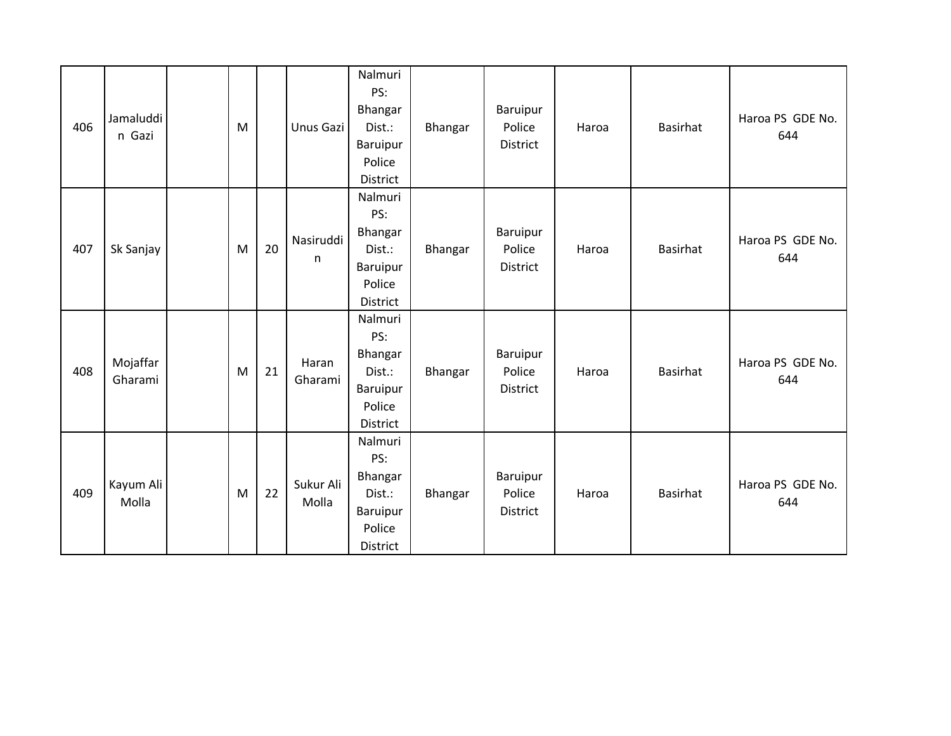| 406 | Jamaluddi<br>n Gazi | M |    | Unus Gazi          | Nalmuri<br>PS:<br>Bhangar<br>Dist.:<br>Baruipur<br>Police<br>District | Bhangar | Baruipur<br>Police<br>District | Haroa | Basirhat        | Haroa PS GDE No.<br>644 |
|-----|---------------------|---|----|--------------------|-----------------------------------------------------------------------|---------|--------------------------------|-------|-----------------|-------------------------|
| 407 | Sk Sanjay           | M | 20 | Nasiruddi<br>n     | Nalmuri<br>PS:<br>Bhangar<br>Dist.:<br>Baruipur<br>Police<br>District | Bhangar | Baruipur<br>Police<br>District | Haroa | <b>Basirhat</b> | Haroa PS GDE No.<br>644 |
| 408 | Mojaffar<br>Gharami | M | 21 | Haran<br>Gharami   | Nalmuri<br>PS:<br>Bhangar<br>Dist.:<br>Baruipur<br>Police<br>District | Bhangar | Baruipur<br>Police<br>District | Haroa | Basirhat        | Haroa PS GDE No.<br>644 |
| 409 | Kayum Ali<br>Molla  | M | 22 | Sukur Ali<br>Molla | Nalmuri<br>PS:<br>Bhangar<br>Dist.:<br>Baruipur<br>Police<br>District | Bhangar | Baruipur<br>Police<br>District | Haroa | Basirhat        | Haroa PS GDE No.<br>644 |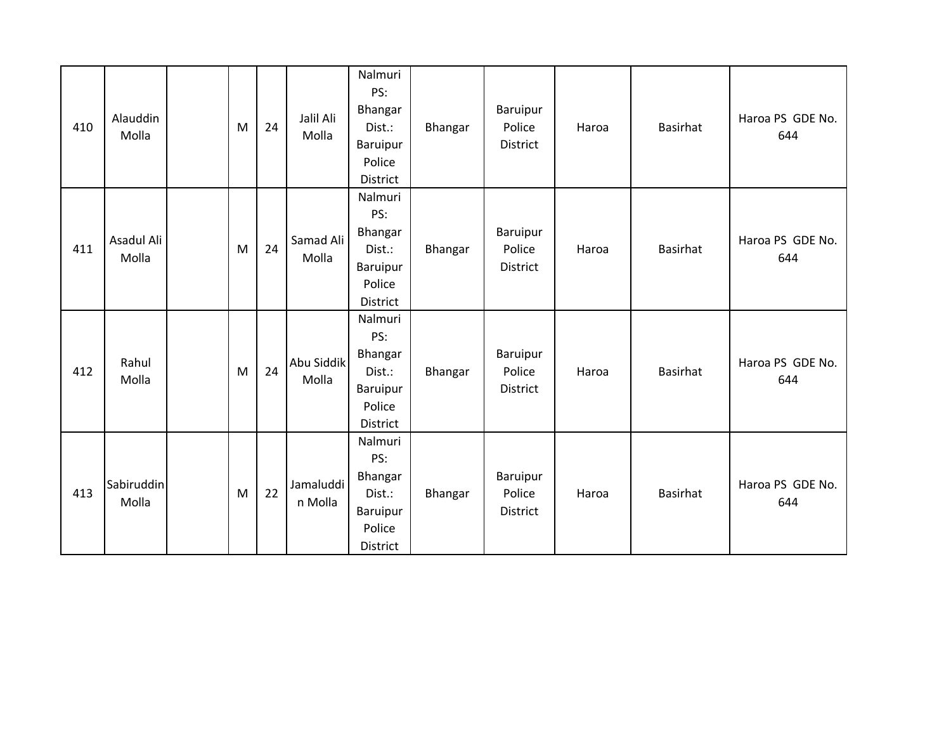| 410 | Alauddin<br>Molla   | M | 24 | Jalil Ali<br>Molla   | Nalmuri<br>PS:<br>Bhangar<br>Dist.:<br>Baruipur<br>Police<br>District | Bhangar | Baruipur<br>Police<br>District | Haroa | Basirhat        | Haroa PS GDE No.<br>644 |
|-----|---------------------|---|----|----------------------|-----------------------------------------------------------------------|---------|--------------------------------|-------|-----------------|-------------------------|
| 411 | Asadul Ali<br>Molla | M | 24 | Samad Ali<br>Molla   | Nalmuri<br>PS:<br>Bhangar<br>Dist.:<br>Baruipur<br>Police<br>District | Bhangar | Baruipur<br>Police<br>District | Haroa | <b>Basirhat</b> | Haroa PS GDE No.<br>644 |
| 412 | Rahul<br>Molla      | M | 24 | Abu Siddik<br>Molla  | Nalmuri<br>PS:<br>Bhangar<br>Dist.:<br>Baruipur<br>Police<br>District | Bhangar | Baruipur<br>Police<br>District | Haroa | <b>Basirhat</b> | Haroa PS GDE No.<br>644 |
| 413 | Sabiruddin<br>Molla | M | 22 | Jamaluddi<br>n Molla | Nalmuri<br>PS:<br>Bhangar<br>Dist.:<br>Baruipur<br>Police<br>District | Bhangar | Baruipur<br>Police<br>District | Haroa | <b>Basirhat</b> | Haroa PS GDE No.<br>644 |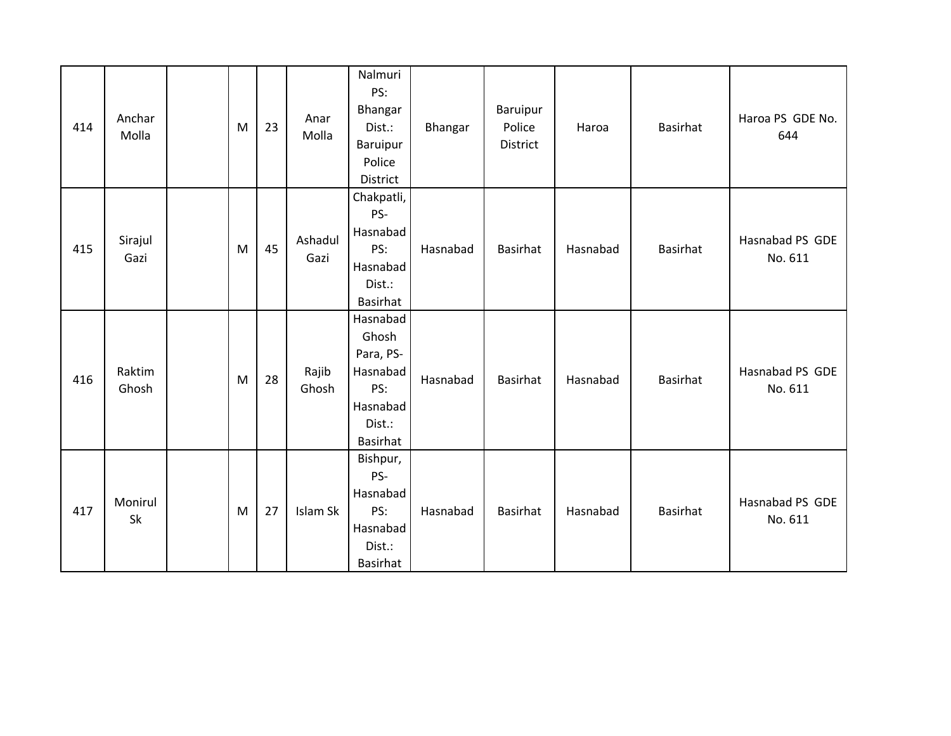| 414 | Anchar<br>Molla | ${\sf M}$ | 23 | Anar<br>Molla   | Nalmuri<br>PS:<br>Bhangar<br>Dist.:<br>Baruipur<br>Police<br>District               | Bhangar  | Baruipur<br>Police<br>District | Haroa    | Basirhat        | Haroa PS GDE No.<br>644    |
|-----|-----------------|-----------|----|-----------------|-------------------------------------------------------------------------------------|----------|--------------------------------|----------|-----------------|----------------------------|
| 415 | Sirajul<br>Gazi | ${\sf M}$ | 45 | Ashadul<br>Gazi | Chakpatli,<br>PS-<br>Hasnabad<br>PS:<br>Hasnabad<br>Dist.:<br>Basirhat              | Hasnabad | <b>Basirhat</b>                | Hasnabad | Basirhat        | Hasnabad PS GDE<br>No. 611 |
| 416 | Raktim<br>Ghosh | M         | 28 | Rajib<br>Ghosh  | Hasnabad<br>Ghosh<br>Para, PS-<br>Hasnabad<br>PS:<br>Hasnabad<br>Dist.:<br>Basirhat | Hasnabad | Basirhat                       | Hasnabad | Basirhat        | Hasnabad PS GDE<br>No. 611 |
| 417 | Monirul<br>Sk   | M         | 27 | Islam Sk        | Bishpur,<br>PS-<br>Hasnabad<br>PS:<br>Hasnabad<br>Dist.:<br>Basirhat                | Hasnabad | <b>Basirhat</b>                | Hasnabad | <b>Basirhat</b> | Hasnabad PS GDE<br>No. 611 |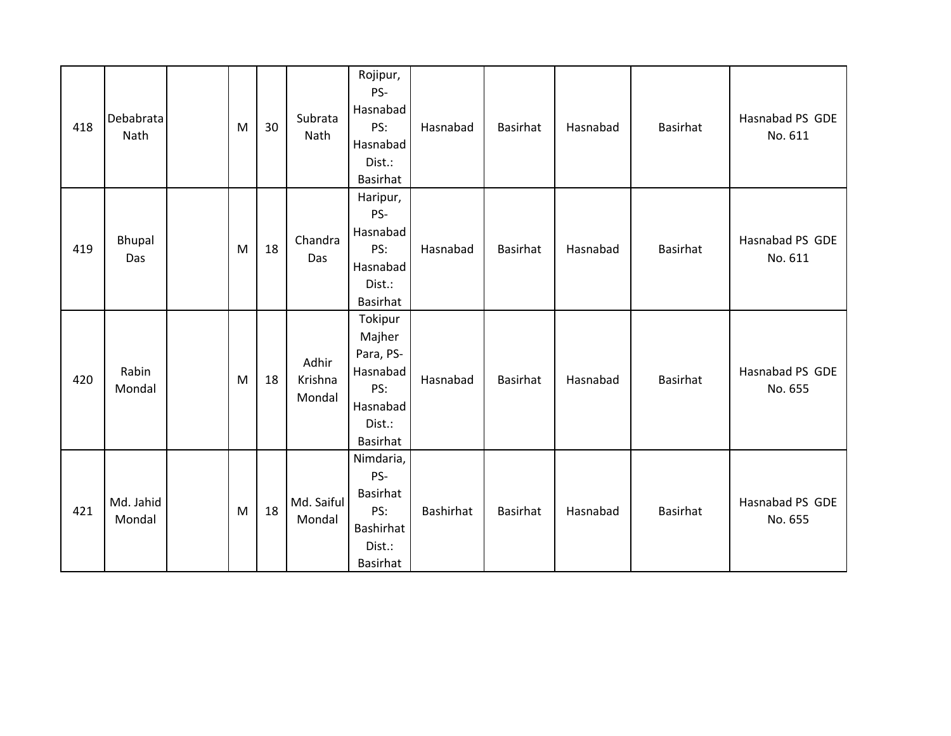| 418 | Debabrata<br>Nath   | M | 30 | Subrata<br>Nath            | Rojipur,<br>PS-<br>Hasnabad<br>PS:<br>Hasnabad<br>Dist.:<br><b>Basirhat</b>                | Hasnabad  | <b>Basirhat</b> | Hasnabad | Basirhat        | Hasnabad PS GDE<br>No. 611 |
|-----|---------------------|---|----|----------------------------|--------------------------------------------------------------------------------------------|-----------|-----------------|----------|-----------------|----------------------------|
| 419 | Bhupal<br>Das       | M | 18 | Chandra<br>Das             | Haripur,<br>PS-<br>Hasnabad<br>PS:<br>Hasnabad<br>Dist.:<br>Basirhat                       | Hasnabad  | <b>Basirhat</b> | Hasnabad | Basirhat        | Hasnabad PS GDE<br>No. 611 |
| 420 | Rabin<br>Mondal     | M | 18 | Adhir<br>Krishna<br>Mondal | Tokipur<br>Majher<br>Para, PS-<br>Hasnabad<br>PS:<br>Hasnabad<br>Dist.:<br><b>Basirhat</b> | Hasnabad  | <b>Basirhat</b> | Hasnabad | <b>Basirhat</b> | Hasnabad PS GDE<br>No. 655 |
| 421 | Md. Jahid<br>Mondal | M | 18 | Md. Saiful<br>Mondal       | Nimdaria,<br>PS-<br>Basirhat<br>PS:<br><b>Bashirhat</b><br>Dist.:<br><b>Basirhat</b>       | Bashirhat | <b>Basirhat</b> | Hasnabad | Basirhat        | Hasnabad PS GDE<br>No. 655 |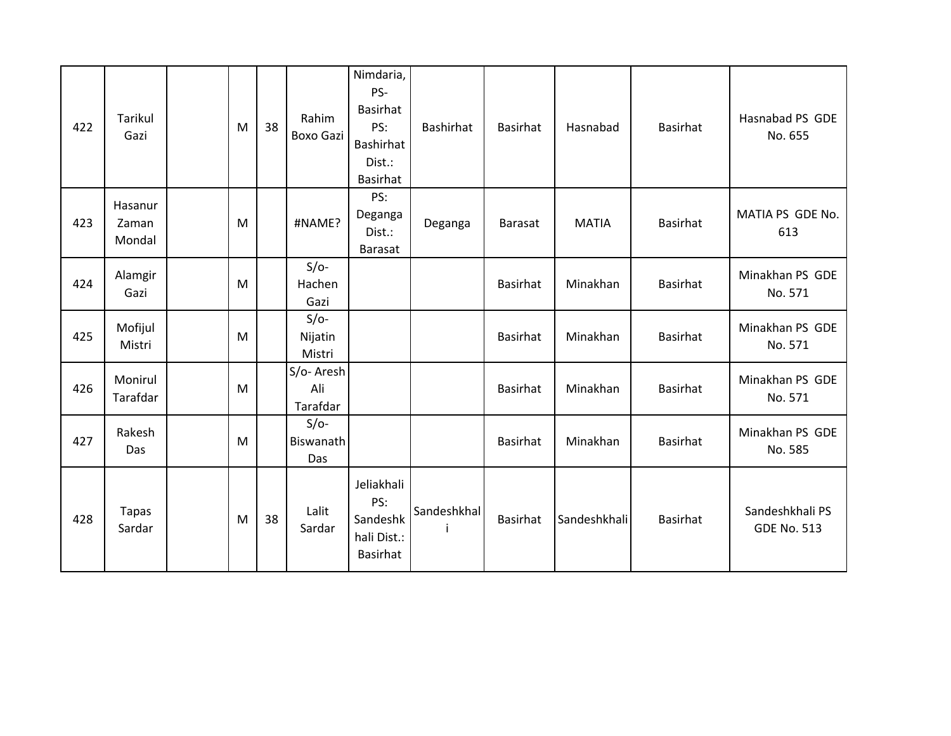| 422 | Tarikul<br>Gazi            | M | 38 | Rahim<br><b>Boxo Gazi</b>    | Nimdaria,<br>PS-<br>Basirhat<br>PS:<br>Bashirhat<br>Dist.:<br>Basirhat | Bashirhat   | <b>Basirhat</b> | Hasnabad     | Basirhat        | Hasnabad PS GDE<br>No. 655            |
|-----|----------------------------|---|----|------------------------------|------------------------------------------------------------------------|-------------|-----------------|--------------|-----------------|---------------------------------------|
| 423 | Hasanur<br>Zaman<br>Mondal | M |    | #NAME?                       | PS:<br>Deganga<br>Dist.:<br><b>Barasat</b>                             | Deganga     | <b>Barasat</b>  | <b>MATIA</b> | <b>Basirhat</b> | MATIA PS GDE No.<br>613               |
| 424 | Alamgir<br>Gazi            | M |    | $S/O-$<br>Hachen<br>Gazi     |                                                                        |             | <b>Basirhat</b> | Minakhan     | Basirhat        | Minakhan PS GDE<br>No. 571            |
| 425 | Mofijul<br>Mistri          | M |    | $S/O-$<br>Nijatin<br>Mistri  |                                                                        |             | <b>Basirhat</b> | Minakhan     | Basirhat        | Minakhan PS GDE<br>No. 571            |
| 426 | Monirul<br>Tarafdar        | M |    | S/o-Aresh<br>Ali<br>Tarafdar |                                                                        |             | Basirhat        | Minakhan     | <b>Basirhat</b> | Minakhan PS GDE<br>No. 571            |
| 427 | Rakesh<br>Das              | M |    | $S/O-$<br>Biswanath<br>Das   |                                                                        |             | Basirhat        | Minakhan     | <b>Basirhat</b> | Minakhan PS GDE<br>No. 585            |
| 428 | <b>Tapas</b><br>Sardar     | M | 38 | Lalit<br>Sardar              | Jeliakhali<br>PS:<br>Sandeshk<br>hali Dist.:<br>Basirhat               | Sandeshkhal | <b>Basirhat</b> | Sandeshkhali | <b>Basirhat</b> | Sandeshkhali PS<br><b>GDE No. 513</b> |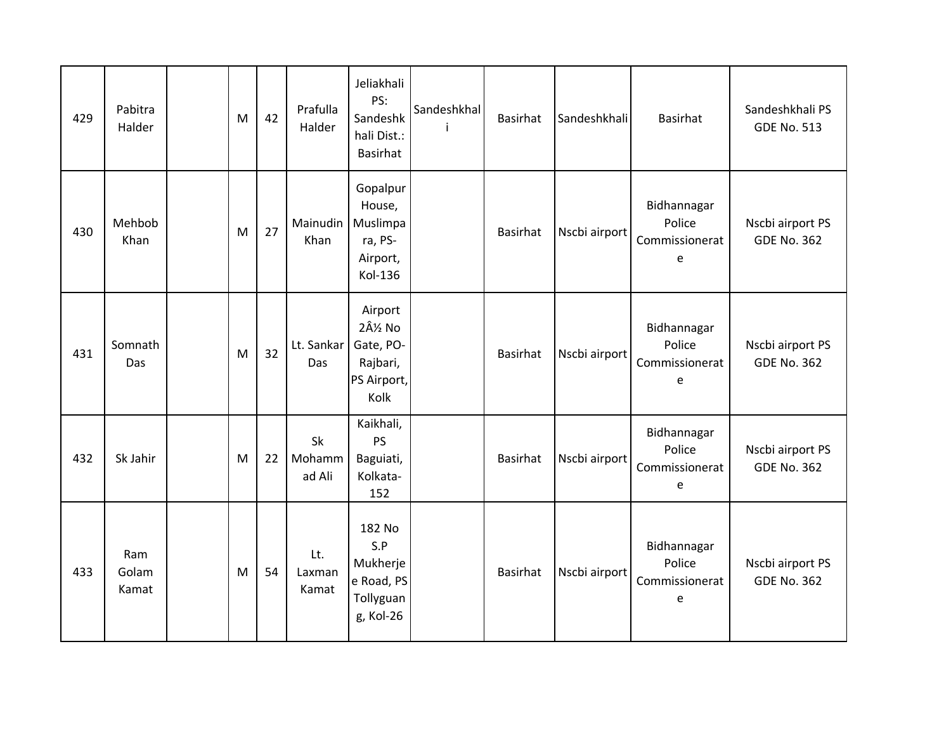| 429 | Pabitra<br>Halder     | M | 42 | Prafulla<br>Halder     | Jeliakhali<br>PS:<br>Sandeshk<br>hali Dist.:<br>Basirhat          | Sandeshkhal | <b>Basirhat</b> | Sandeshkhali  | Basirhat                                     | Sandeshkhali PS<br><b>GDE No. 513</b>  |
|-----|-----------------------|---|----|------------------------|-------------------------------------------------------------------|-------------|-----------------|---------------|----------------------------------------------|----------------------------------------|
| 430 | Mehbob<br>Khan        | M | 27 | Mainudin<br>Khan       | Gopalpur<br>House,<br>Muslimpa<br>ra, PS-<br>Airport,<br>Kol-136  |             | <b>Basirhat</b> | Nscbi airport | Bidhannagar<br>Police<br>Commissionerat<br>e | Nscbi airport PS<br><b>GDE No. 362</b> |
| 431 | Somnath<br>Das        | M | 32 | Lt. Sankar<br>Das      | Airport<br>2½ No<br>Gate, PO-<br>Rajbari,<br>PS Airport,<br>Kolk  |             | <b>Basirhat</b> | Nscbi airport | Bidhannagar<br>Police<br>Commissionerat<br>e | Nscbi airport PS<br><b>GDE No. 362</b> |
| 432 | Sk Jahir              | M | 22 | Sk<br>Mohamm<br>ad Ali | Kaikhali,<br><b>PS</b><br>Baguiati,<br>Kolkata-<br>152            |             | Basirhat        | Nscbi airport | Bidhannagar<br>Police<br>Commissionerat<br>e | Nscbi airport PS<br><b>GDE No. 362</b> |
| 433 | Ram<br>Golam<br>Kamat | M | 54 | Lt.<br>Laxman<br>Kamat | 182 No<br>S.P<br>Mukherje<br>e Road, PS<br>Tollyguan<br>g, Kol-26 |             | <b>Basirhat</b> | Nscbi airport | Bidhannagar<br>Police<br>Commissionerat<br>e | Nscbi airport PS<br><b>GDE No. 362</b> |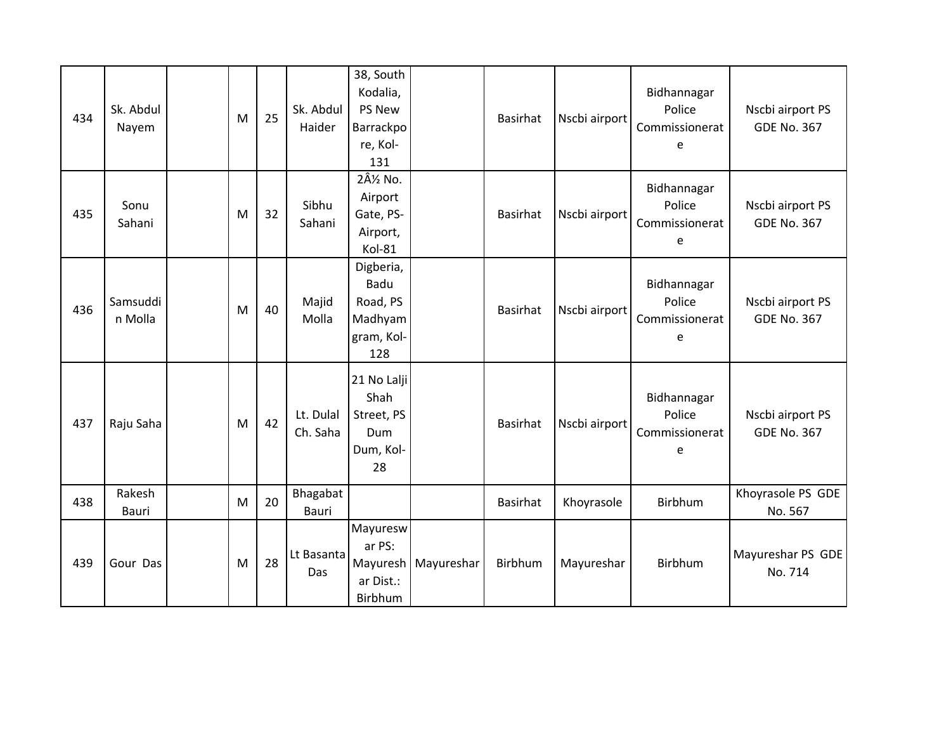| 434 | Sk. Abdul<br>Nayem  | M | 25 | Sk. Abdul<br>Haider      | 38, South<br>Kodalia,<br>PS New<br>Barrackpo<br>re, Kol-<br>131     |            | Basirhat        | Nscbi airport | Bidhannagar<br>Police<br>Commissionerat<br>e | Nscbi airport PS<br><b>GDE No. 367</b> |
|-----|---------------------|---|----|--------------------------|---------------------------------------------------------------------|------------|-----------------|---------------|----------------------------------------------|----------------------------------------|
| 435 | Sonu<br>Sahani      | M | 32 | Sibhu<br>Sahani          | 2Â <sup>1/2</sup> No.<br>Airport<br>Gate, PS-<br>Airport,<br>Kol-81 |            | <b>Basirhat</b> | Nscbi airport | Bidhannagar<br>Police<br>Commissionerat<br>e | Nscbi airport PS<br><b>GDE No. 367</b> |
| 436 | Samsuddi<br>n Molla | M | 40 | Majid<br>Molla           | Digberia,<br>Badu<br>Road, PS<br>Madhyam<br>gram, Kol-<br>128       |            | Basirhat        | Nscbi airport | Bidhannagar<br>Police<br>Commissionerat<br>e | Nscbi airport PS<br><b>GDE No. 367</b> |
| 437 | Raju Saha           | M | 42 | Lt. Dulal<br>Ch. Saha    | 21 No Lalji<br>Shah<br>Street, PS<br>Dum<br>Dum, Kol-<br>28         |            | <b>Basirhat</b> | Nscbi airport | Bidhannagar<br>Police<br>Commissionerat<br>e | Nscbi airport PS<br><b>GDE No. 367</b> |
| 438 | Rakesh<br>Bauri     | M | 20 | Bhagabat<br><b>Bauri</b> |                                                                     |            | <b>Basirhat</b> | Khoyrasole    | Birbhum                                      | Khoyrasole PS GDE<br>No. 567           |
| 439 | Gour Das            | M | 28 | Lt Basanta<br>Das        | Mayuresw<br>ar PS:<br>Mayuresh<br>ar Dist.:<br>Birbhum              | Mayureshar | Birbhum         | Mayureshar    | Birbhum                                      | Mayureshar PS GDE<br>No. 714           |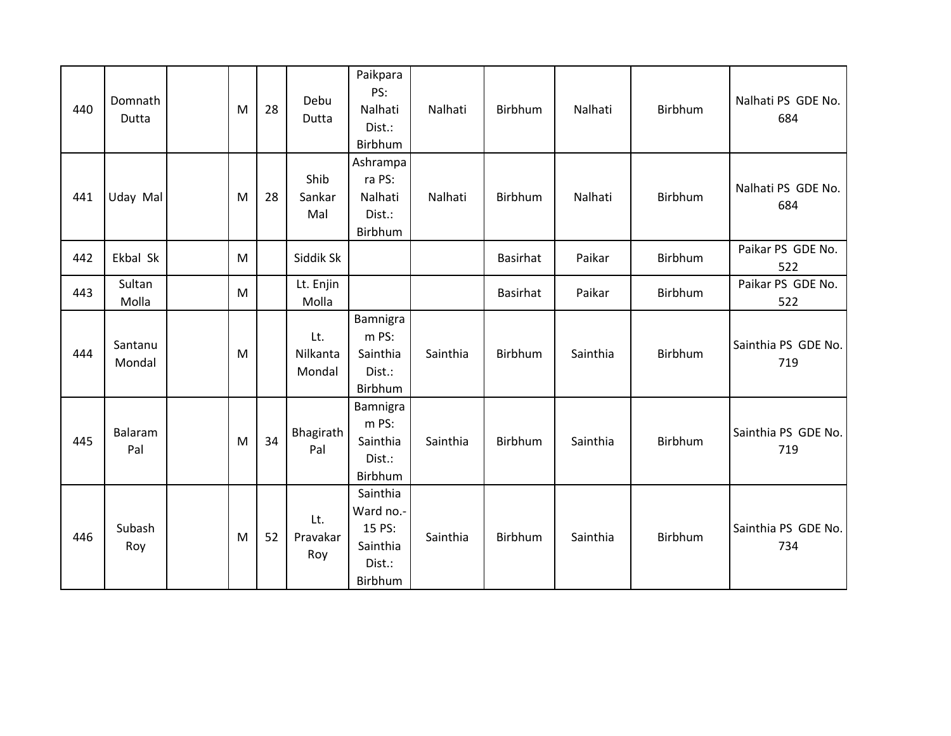| 440 | Domnath<br>Dutta  | M | 28 | Debu<br>Dutta             | Paikpara<br>PS:<br>Nalhati<br>Dist.:<br>Birbhum                  | Nalhati  | Birbhum         | Nalhati  | Birbhum | Nalhati PS GDE No.<br>684  |
|-----|-------------------|---|----|---------------------------|------------------------------------------------------------------|----------|-----------------|----------|---------|----------------------------|
| 441 | Uday Mal          | M | 28 | Shib<br>Sankar<br>Mal     | Ashrampa<br>ra PS:<br>Nalhati<br>Dist.:<br>Birbhum               | Nalhati  | Birbhum         | Nalhati  | Birbhum | Nalhati PS GDE No.<br>684  |
| 442 | Ekbal Sk          | M |    | Siddik Sk                 |                                                                  |          | <b>Basirhat</b> | Paikar   | Birbhum | Paikar PS GDE No.<br>522   |
| 443 | Sultan<br>Molla   | M |    | Lt. Enjin<br>Molla        |                                                                  |          | <b>Basirhat</b> | Paikar   | Birbhum | Paikar PS GDE No.<br>522   |
| 444 | Santanu<br>Mondal | M |    | Lt.<br>Nilkanta<br>Mondal | Bamnigra<br>m PS:<br>Sainthia<br>Dist.:<br>Birbhum               | Sainthia | Birbhum         | Sainthia | Birbhum | Sainthia PS GDE No.<br>719 |
| 445 | Balaram<br>Pal    | M | 34 | Bhagirath<br>Pal          | Bamnigra<br>m PS:<br>Sainthia<br>Dist.:<br>Birbhum               | Sainthia | Birbhum         | Sainthia | Birbhum | Sainthia PS GDE No.<br>719 |
| 446 | Subash<br>Roy     | M | 52 | Lt.<br>Pravakar<br>Roy    | Sainthia<br>Ward no.-<br>15 PS:<br>Sainthia<br>Dist.:<br>Birbhum | Sainthia | Birbhum         | Sainthia | Birbhum | Sainthia PS GDE No.<br>734 |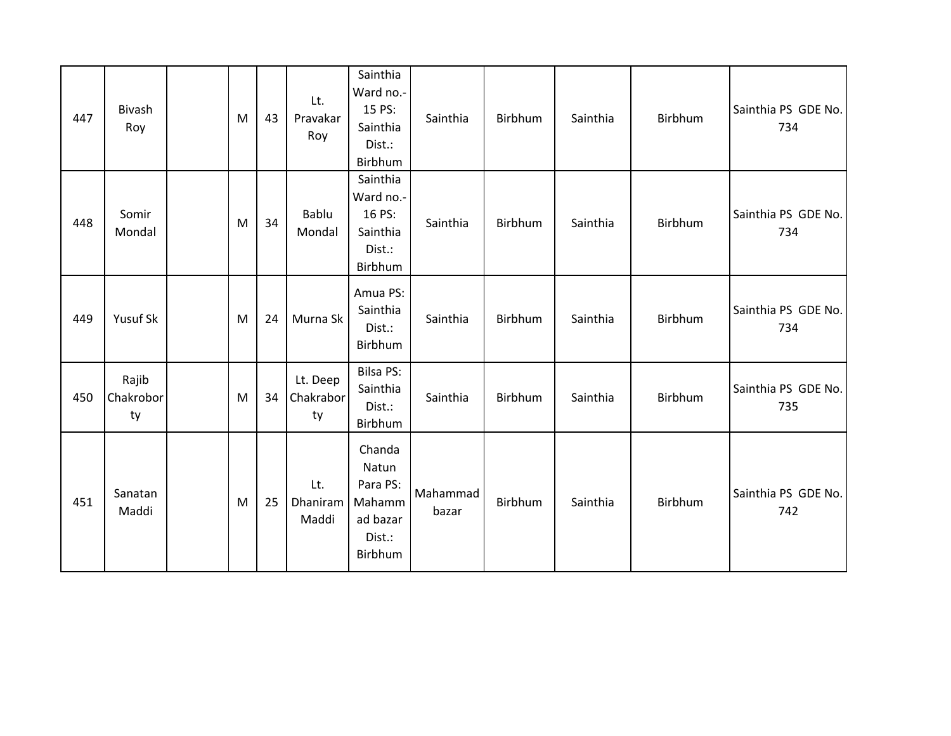| 447 | Bivash<br>Roy            | M | 43 | Lt.<br>Pravakar<br>Roy      | Sainthia<br>Ward no.-<br>15 PS:<br>Sainthia<br>Dist.:<br>Birbhum       | Sainthia          | Birbhum | Sainthia | Birbhum        | Sainthia PS GDE No.<br>734 |
|-----|--------------------------|---|----|-----------------------------|------------------------------------------------------------------------|-------------------|---------|----------|----------------|----------------------------|
| 448 | Somir<br>Mondal          | M | 34 | Bablu<br>Mondal             | Sainthia<br>Ward no.-<br>16 PS:<br>Sainthia<br>Dist.:<br>Birbhum       | Sainthia          | Birbhum | Sainthia | Birbhum        | Sainthia PS GDE No.<br>734 |
| 449 | Yusuf Sk                 | M | 24 | Murna Sk                    | Amua PS:<br>Sainthia<br>Dist.:<br>Birbhum                              | Sainthia          | Birbhum | Sainthia | Birbhum        | Sainthia PS GDE No.<br>734 |
| 450 | Rajib<br>Chakrobor<br>ty | M | 34 | Lt. Deep<br>Chakrabor<br>ty | Bilsa PS:<br>Sainthia<br>Dist.:<br>Birbhum                             | Sainthia          | Birbhum | Sainthia | Birbhum        | Sainthia PS GDE No.<br>735 |
| 451 | Sanatan<br>Maddi         | M | 25 | Lt.<br>Dhaniram<br>Maddi    | Chanda<br>Natun<br>Para PS:<br>Mahamm<br>ad bazar<br>Dist.:<br>Birbhum | Mahammad<br>bazar | Birbhum | Sainthia | <b>Birbhum</b> | Sainthia PS GDE No.<br>742 |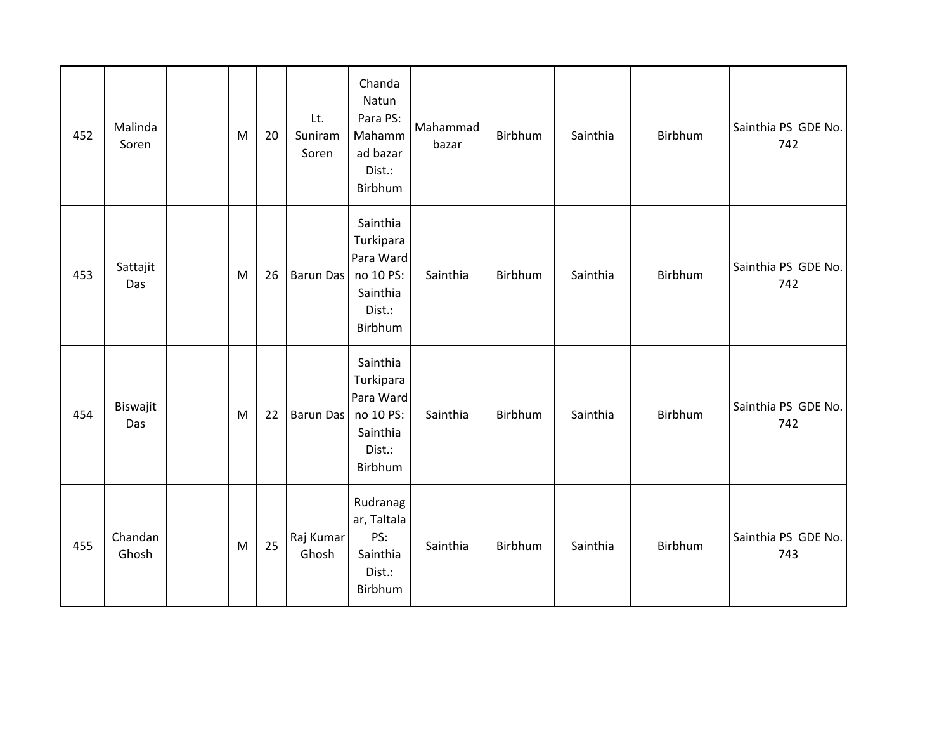| 452 | Malinda<br>Soren | M | 20 | Lt.<br>Suniram<br>Soren | Chanda<br>Natun<br>Para PS:<br>Mahamm<br>ad bazar<br>Dist.:<br>Birbhum           | Mahammad<br>bazar | Birbhum | Sainthia | Birbhum | Sainthia PS GDE No.<br>742 |
|-----|------------------|---|----|-------------------------|----------------------------------------------------------------------------------|-------------------|---------|----------|---------|----------------------------|
| 453 | Sattajit<br>Das  | M | 26 | <b>Barun Das</b>        | Sainthia<br>Turkipara<br>Para Ward<br>no 10 PS:<br>Sainthia<br>Dist.:<br>Birbhum | Sainthia          | Birbhum | Sainthia | Birbhum | Sainthia PS GDE No.<br>742 |
| 454 | Biswajit<br>Das  | M | 22 | <b>Barun Das</b>        | Sainthia<br>Turkipara<br>Para Ward<br>no 10 PS:<br>Sainthia<br>Dist.:<br>Birbhum | Sainthia          | Birbhum | Sainthia | Birbhum | Sainthia PS GDE No.<br>742 |
| 455 | Chandan<br>Ghosh | M | 25 | Raj Kumar<br>Ghosh      | Rudranag<br>ar, Taltala<br>PS:<br>Sainthia<br>Dist.:<br>Birbhum                  | Sainthia          | Birbhum | Sainthia | Birbhum | Sainthia PS GDE No.<br>743 |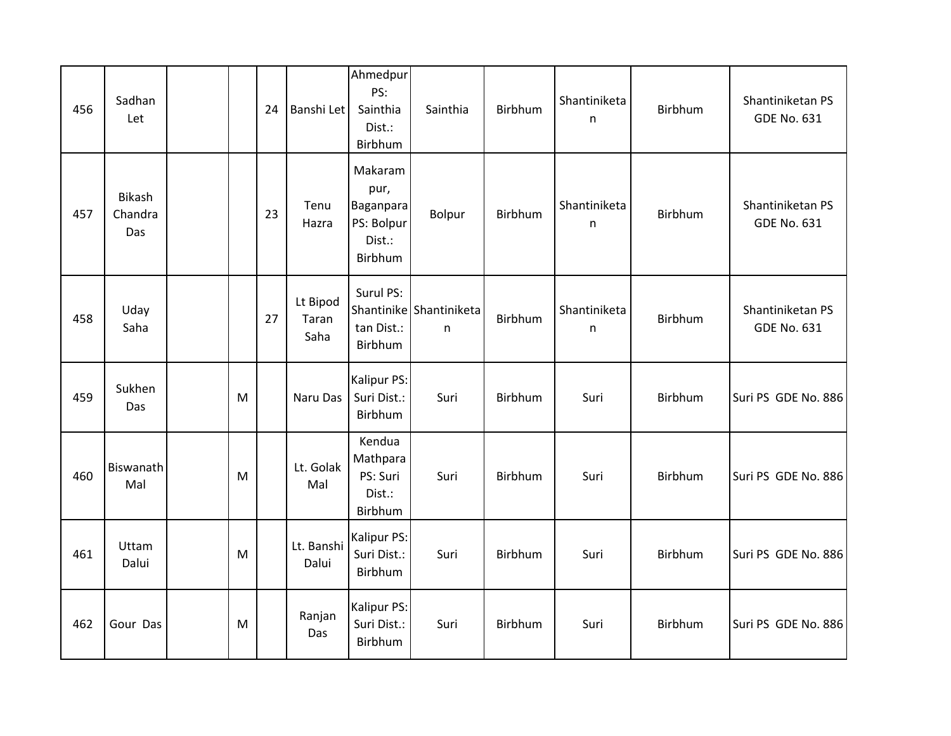| 456 | Sadhan<br>Let                   |           | 24 | Banshi Let                | Ahmedpur<br>PS:<br>Sainthia<br>Dist.:<br>Birbhum                | Sainthia                     | Birbhum | Shantiniketa<br>n | Birbhum | Shantiniketan PS<br><b>GDE No. 631</b> |
|-----|---------------------------------|-----------|----|---------------------------|-----------------------------------------------------------------|------------------------------|---------|-------------------|---------|----------------------------------------|
| 457 | <b>Bikash</b><br>Chandra<br>Das |           | 23 | Tenu<br>Hazra             | Makaram<br>pur,<br>Baganpara<br>PS: Bolpur<br>Dist.:<br>Birbhum | Bolpur                       | Birbhum | Shantiniketa<br>n | Birbhum | Shantiniketan PS<br><b>GDE No. 631</b> |
| 458 | Uday<br>Saha                    |           | 27 | Lt Bipod<br>Taran<br>Saha | Surul PS:<br>tan Dist.:<br>Birbhum                              | Shantinike Shantiniketa<br>n | Birbhum | Shantiniketa<br>n | Birbhum | Shantiniketan PS<br><b>GDE No. 631</b> |
| 459 | Sukhen<br>Das                   | M         |    | Naru Das                  | Kalipur PS:<br>Suri Dist.:<br>Birbhum                           | Suri                         | Birbhum | Suri              | Birbhum | Suri PS GDE No. 886                    |
| 460 | Biswanath<br>Mal                | M         |    | Lt. Golak<br>Mal          | Kendua<br>Mathpara<br>PS: Suri<br>Dist.:<br>Birbhum             | Suri                         | Birbhum | Suri              | Birbhum | Suri PS GDE No. 886                    |
| 461 | Uttam<br>Dalui                  | M         |    | Lt. Banshi<br>Dalui       | Kalipur PS:<br>Suri Dist.:<br>Birbhum                           | Suri                         | Birbhum | Suri              | Birbhum | Suri PS GDE No. 886                    |
| 462 | Gour Das                        | ${\sf M}$ |    | Ranjan<br>Das             | Kalipur PS:<br>Suri Dist.:<br>Birbhum                           | Suri                         | Birbhum | Suri              | Birbhum | Suri PS GDE No. 886                    |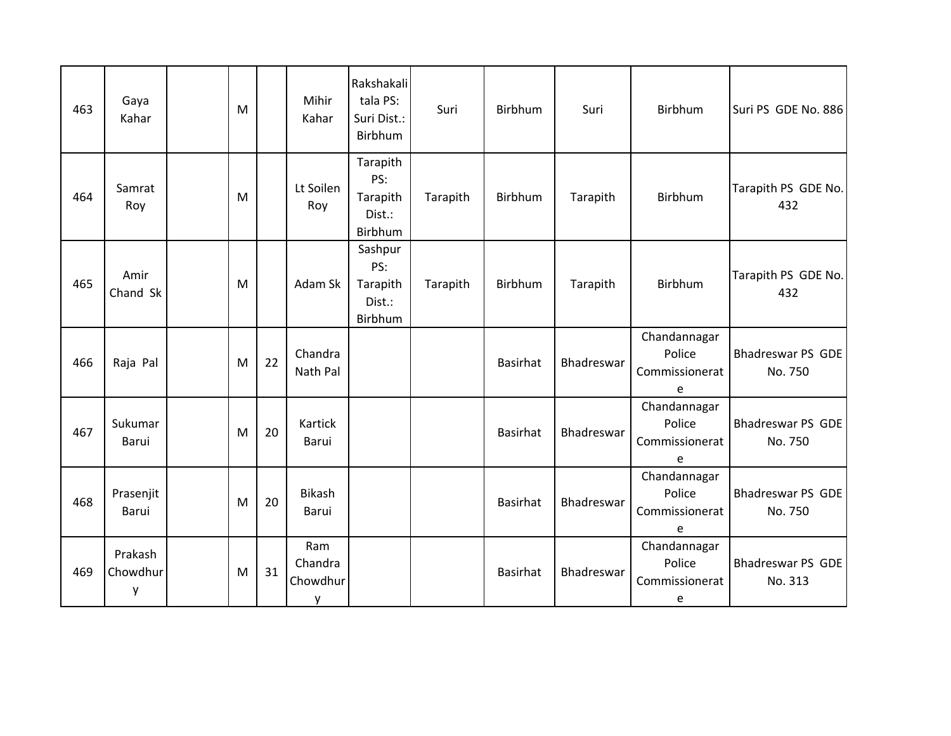| 463 | Gaya<br>Kahar            | M |    | Mihir<br>Kahar                  | Rakshakali<br>tala PS:<br>Suri Dist.:<br>Birbhum | Suri     | Birbhum         | Suri       | Birbhum                                       | Suri PS GDE No. 886                 |
|-----|--------------------------|---|----|---------------------------------|--------------------------------------------------|----------|-----------------|------------|-----------------------------------------------|-------------------------------------|
| 464 | Samrat<br>Roy            | M |    | Lt Soilen<br>Roy                | Tarapith<br>PS:<br>Tarapith<br>Dist.:<br>Birbhum | Tarapith | Birbhum         | Tarapith   | Birbhum                                       | Tarapith PS GDE No.<br>432          |
| 465 | Amir<br>Chand Sk         | M |    | Adam Sk                         | Sashpur<br>PS:<br>Tarapith<br>Dist.:<br>Birbhum  | Tarapith | Birbhum         | Tarapith   | Birbhum                                       | Tarapith PS GDE No.<br>432          |
| 466 | Raja Pal                 | M | 22 | Chandra<br>Nath Pal             |                                                  |          | <b>Basirhat</b> | Bhadreswar | Chandannagar<br>Police<br>Commissionerat<br>e | Bhadreswar PS GDE<br>No. 750        |
| 467 | Sukumar<br>Barui         | M | 20 | Kartick<br>Barui                |                                                  |          | <b>Basirhat</b> | Bhadreswar | Chandannagar<br>Police<br>Commissionerat<br>e | <b>Bhadreswar PS GDE</b><br>No. 750 |
| 468 | Prasenjit<br>Barui       | M | 20 | <b>Bikash</b><br>Barui          |                                                  |          | <b>Basirhat</b> | Bhadreswar | Chandannagar<br>Police<br>Commissionerat<br>e | Bhadreswar PS GDE<br>No. 750        |
| 469 | Prakash<br>Chowdhur<br>y | M | 31 | Ram<br>Chandra<br>Chowdhur<br>y |                                                  |          | <b>Basirhat</b> | Bhadreswar | Chandannagar<br>Police<br>Commissionerat<br>e | Bhadreswar PS GDE<br>No. 313        |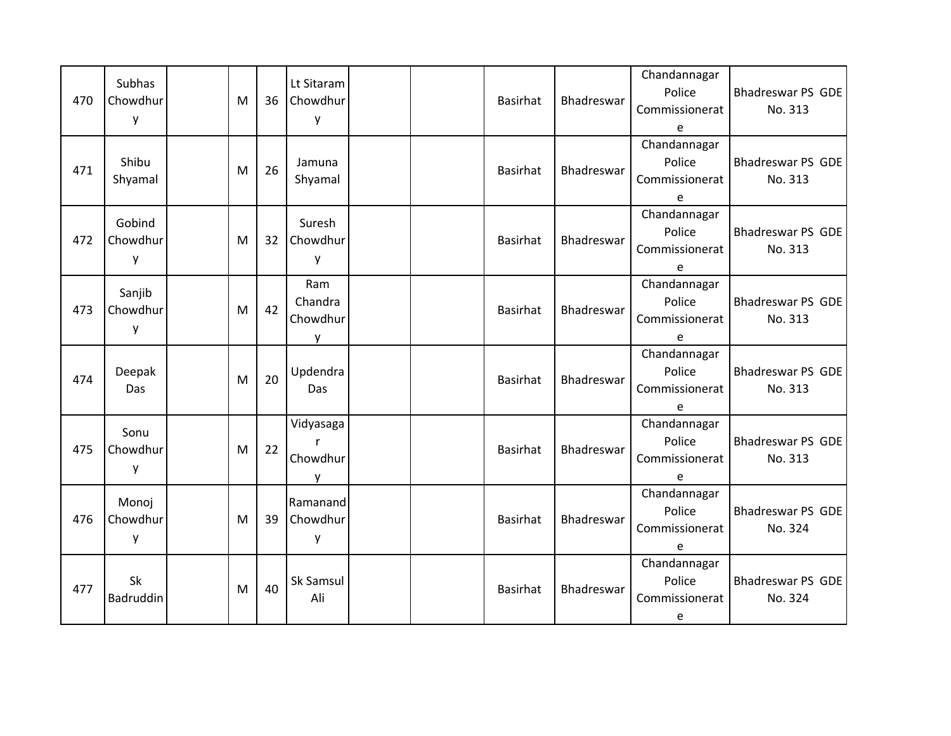| 470 | <b>Subhas</b><br>Chowdhur<br>y | M | 36 | Lt Sitaram<br>Chowdhur<br>y     |  | <b>Basirhat</b> | Bhadreswar        | Chandannagar<br>Police<br>Commissionerat<br>e | Bhadreswar PS GDE<br>No. 313 |
|-----|--------------------------------|---|----|---------------------------------|--|-----------------|-------------------|-----------------------------------------------|------------------------------|
| 471 | Shibu<br>Shyamal               | M | 26 | Jamuna<br>Shyamal               |  | Basirhat        | <b>Bhadreswar</b> | Chandannagar<br>Police<br>Commissionerat<br>e | Bhadreswar PS GDE<br>No. 313 |
| 472 | Gobind<br>Chowdhur<br>у        | M | 32 | Suresh<br>Chowdhur<br>y         |  | Basirhat        | Bhadreswar        | Chandannagar<br>Police<br>Commissionerat<br>e | Bhadreswar PS GDE<br>No. 313 |
| 473 | Sanjib<br>Chowdhur<br>у        | M | 42 | Ram<br>Chandra<br>Chowdhur<br>y |  | <b>Basirhat</b> | Bhadreswar        | Chandannagar<br>Police<br>Commissionerat<br>e | Bhadreswar PS GDE<br>No. 313 |
| 474 | Deepak<br>Das                  | M | 20 | Updendra<br><b>Das</b>          |  | <b>Basirhat</b> | Bhadreswar        | Chandannagar<br>Police<br>Commissionerat<br>e | Bhadreswar PS GDE<br>No. 313 |
| 475 | Sonu<br>Chowdhur<br>у          | M | 22 | Vidyasaga<br>Chowdhur<br>y      |  | Basirhat        | Bhadreswar        | Chandannagar<br>Police<br>Commissionerat<br>e | Bhadreswar PS GDE<br>No. 313 |
| 476 | Monoj<br>Chowdhur<br>y         | M | 39 | Ramanand<br>Chowdhur<br>y       |  | <b>Basirhat</b> | Bhadreswar        | Chandannagar<br>Police<br>Commissionerat<br>e | Bhadreswar PS GDE<br>No. 324 |
| 477 | Sk<br>Badruddin                | M | 40 | Sk Samsul<br>Ali                |  | <b>Basirhat</b> | Bhadreswar        | Chandannagar<br>Police<br>Commissionerat<br>e | Bhadreswar PS GDE<br>No. 324 |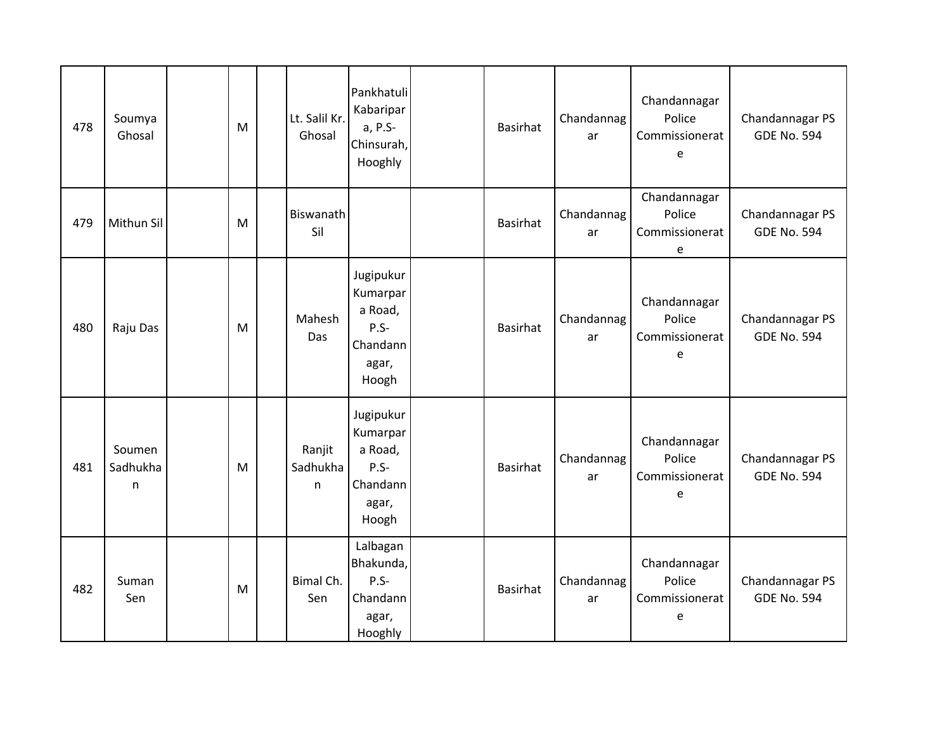| 478 | Soumya<br>Ghosal         | M | Lt. Salil Kr.<br>Ghosal | Pankhatuli<br>Kabaripar<br>a, P.S-<br>Chinsurah,<br>Hooghly               | <b>Basirhat</b> | Chandannag<br>ar | Chandannagar<br>Police<br>Commissionerat<br>e | Chandannagar PS<br><b>GDE No. 594</b> |
|-----|--------------------------|---|-------------------------|---------------------------------------------------------------------------|-----------------|------------------|-----------------------------------------------|---------------------------------------|
| 479 | Mithun Sil               | M | Biswanath<br>Sil        |                                                                           | <b>Basirhat</b> | Chandannag<br>ar | Chandannagar<br>Police<br>Commissionerat<br>e | Chandannagar PS<br><b>GDE No. 594</b> |
| 480 | Raju Das                 | M | Mahesh<br>Das           | Jugipukur<br>Kumarpar<br>a Road,<br>P.S-<br>Chandann<br>agar,<br>Hoogh    | Basirhat        | Chandannag<br>ar | Chandannagar<br>Police<br>Commissionerat<br>e | Chandannagar PS<br><b>GDE No. 594</b> |
| 481 | Soumen<br>Sadhukha<br>n. | M | Ranjit<br>Sadhukha<br>n | Jugipukur<br>Kumarpar<br>a Road,<br>$P.S -$<br>Chandann<br>agar,<br>Hoogh | <b>Basirhat</b> | Chandannag<br>ar | Chandannagar<br>Police<br>Commissionerat<br>e | Chandannagar PS<br><b>GDE No. 594</b> |
| 482 | Suman<br>Sen             | M | Bimal Ch.<br>Sen        | Lalbagan<br>Bhakunda,<br>$P.S -$<br>Chandann<br>agar,<br>Hooghly          | <b>Basirhat</b> | Chandannag<br>ar | Chandannagar<br>Police<br>Commissionerat<br>e | Chandannagar PS<br><b>GDE No. 594</b> |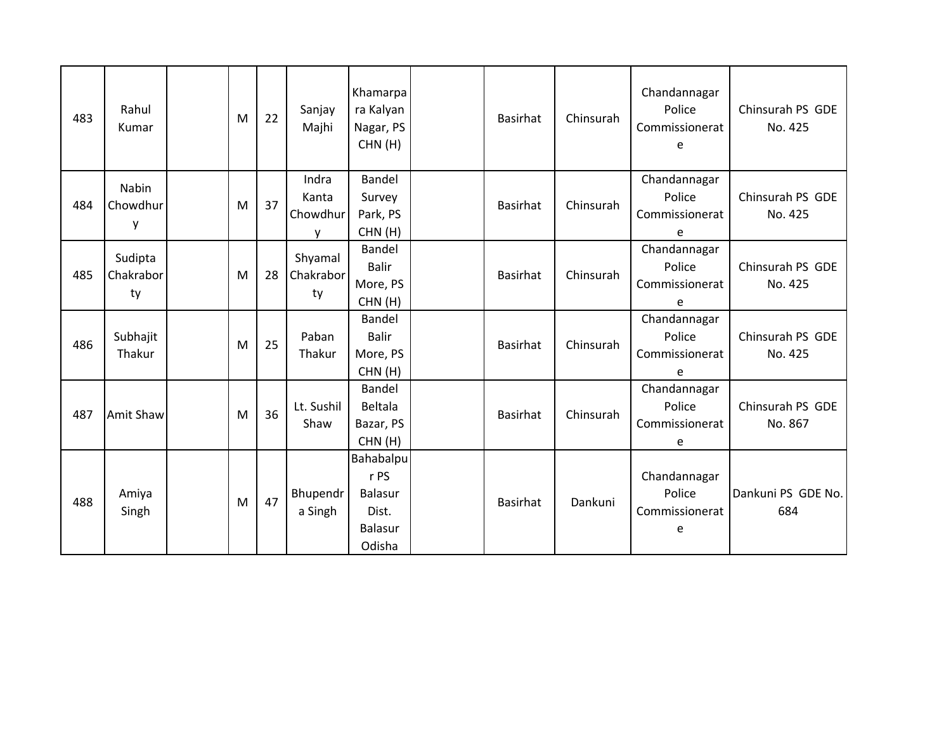| 483 | Rahul<br>Kumar             | M | 22 | Sanjay<br>Majhi                 | Khamarpa<br>ra Kalyan<br>Nagar, PS<br>CHN(H)                             | <b>Basirhat</b> | Chinsurah | Chandannagar<br>Police<br>Commissionerat<br>e | Chinsurah PS GDE<br>No. 425 |
|-----|----------------------------|---|----|---------------------------------|--------------------------------------------------------------------------|-----------------|-----------|-----------------------------------------------|-----------------------------|
| 484 | Nabin<br>Chowdhur<br>у     | M | 37 | Indra<br>Kanta<br>Chowdhur<br>y | Bandel<br>Survey<br>Park, PS<br>CHN(H)                                   | <b>Basirhat</b> | Chinsurah | Chandannagar<br>Police<br>Commissionerat<br>e | Chinsurah PS GDE<br>No. 425 |
| 485 | Sudipta<br>Chakrabor<br>ty | M | 28 | Shyamal<br>Chakrabor<br>ty      | Bandel<br><b>Balir</b><br>More, PS<br>CHN(H)                             | <b>Basirhat</b> | Chinsurah | Chandannagar<br>Police<br>Commissionerat<br>e | Chinsurah PS GDE<br>No. 425 |
| 486 | Subhajit<br>Thakur         | M | 25 | Paban<br>Thakur                 | Bandel<br><b>Balir</b><br>More, PS<br>CHN(H)                             | <b>Basirhat</b> | Chinsurah | Chandannagar<br>Police<br>Commissionerat<br>e | Chinsurah PS GDE<br>No. 425 |
| 487 | <b>Amit Shaw</b>           | M | 36 | Lt. Sushil<br>Shaw              | Bandel<br>Beltala<br>Bazar, PS<br>CHN(H)                                 | <b>Basirhat</b> | Chinsurah | Chandannagar<br>Police<br>Commissionerat<br>e | Chinsurah PS GDE<br>No. 867 |
| 488 | Amiya<br>Singh             | M | 47 | Bhupendr<br>a Singh             | Bahabalpu<br>r PS<br><b>Balasur</b><br>Dist.<br><b>Balasur</b><br>Odisha | <b>Basirhat</b> | Dankuni   | Chandannagar<br>Police<br>Commissionerat<br>e | Dankuni PS GDE No.<br>684   |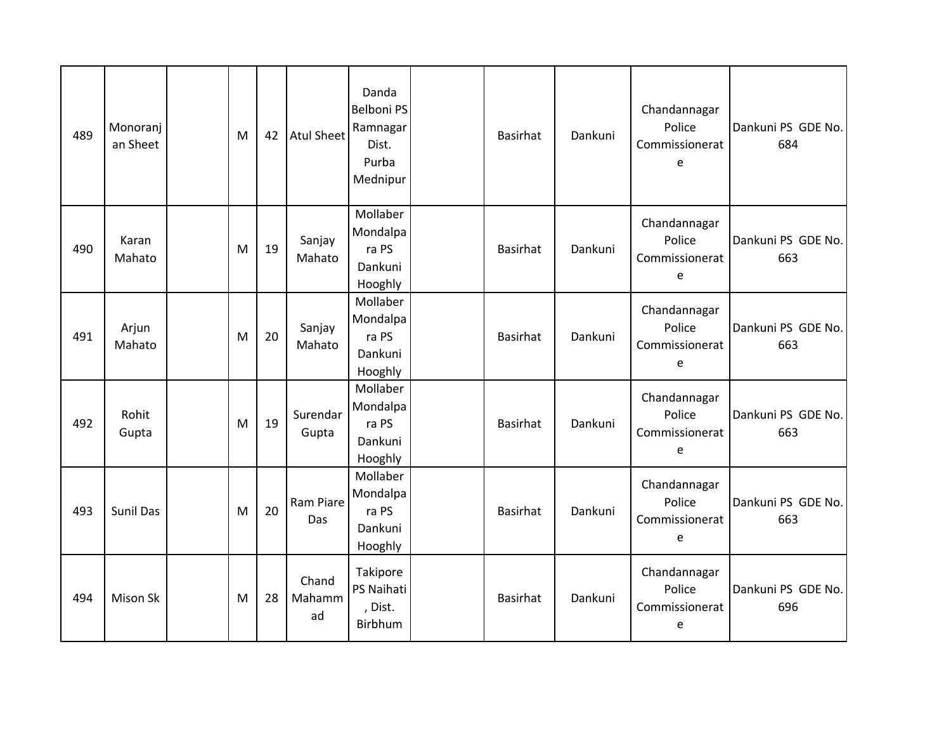| 489 | Monoranj<br>an Sheet | M | 42 | <b>Atul Sheet</b>     | Danda<br>Belboni PS<br>Ramnagar<br>Dist.<br>Purba<br>Mednipur | <b>Basirhat</b> | Dankuni | Chandannagar<br>Police<br>Commissionerat<br>e | Dankuni PS GDE No.<br>684 |
|-----|----------------------|---|----|-----------------------|---------------------------------------------------------------|-----------------|---------|-----------------------------------------------|---------------------------|
| 490 | Karan<br>Mahato      | M | 19 | Sanjay<br>Mahato      | Mollaber<br>Mondalpa<br>ra PS<br>Dankuni<br>Hooghly           | <b>Basirhat</b> | Dankuni | Chandannagar<br>Police<br>Commissionerat<br>e | Dankuni PS GDE No.<br>663 |
| 491 | Arjun<br>Mahato      | M | 20 | Sanjay<br>Mahato      | Mollaber<br>Mondalpa<br>ra PS<br>Dankuni<br>Hooghly           | Basirhat        | Dankuni | Chandannagar<br>Police<br>Commissionerat<br>e | Dankuni PS GDE No.<br>663 |
| 492 | Rohit<br>Gupta       | M | 19 | Surendar<br>Gupta     | Mollaber<br>Mondalpa<br>ra PS<br>Dankuni<br>Hooghly           | <b>Basirhat</b> | Dankuni | Chandannagar<br>Police<br>Commissionerat<br>e | Dankuni PS GDE No.<br>663 |
| 493 | Sunil Das            | M | 20 | Ram Piare<br>Das      | Mollaber<br>Mondalpa<br>ra PS<br>Dankuni<br>Hooghly           | Basirhat        | Dankuni | Chandannagar<br>Police<br>Commissionerat<br>e | Dankuni PS GDE No.<br>663 |
| 494 | Mison Sk             | M | 28 | Chand<br>Mahamm<br>ad | Takipore<br>PS Naihati<br>, Dist.<br>Birbhum                  | <b>Basirhat</b> | Dankuni | Chandannagar<br>Police<br>Commissionerat<br>e | Dankuni PS GDE No.<br>696 |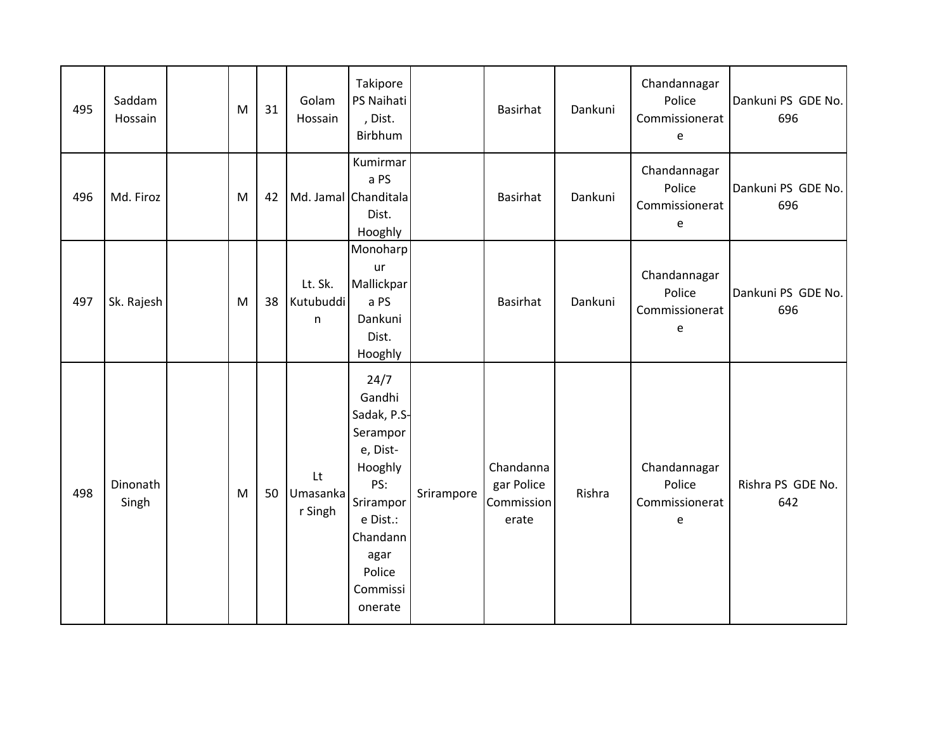| 495 | Saddam<br>Hossain | M | 31 | Golam<br>Hossain          | Takipore<br>PS Naihati<br>, Dist.<br>Birbhum                                                                                                          |            | <b>Basirhat</b>                                | Dankuni | Chandannagar<br>Police<br>Commissionerat<br>e | Dankuni PS GDE No.<br>696 |
|-----|-------------------|---|----|---------------------------|-------------------------------------------------------------------------------------------------------------------------------------------------------|------------|------------------------------------------------|---------|-----------------------------------------------|---------------------------|
| 496 | Md. Firoz         | M | 42 | Md. Jamal Chanditala      | Kumirmar<br>a PS<br>Dist.<br>Hooghly                                                                                                                  |            | <b>Basirhat</b>                                | Dankuni | Chandannagar<br>Police<br>Commissionerat<br>e | Dankuni PS GDE No.<br>696 |
| 497 | Sk. Rajesh        | M | 38 | Lt. Sk.<br>Kutubuddi<br>n | Monoharp<br>ur<br>Mallickpar<br>a PS<br>Dankuni<br>Dist.<br>Hooghly                                                                                   |            | <b>Basirhat</b>                                | Dankuni | Chandannagar<br>Police<br>Commissionerat<br>e | Dankuni PS GDE No.<br>696 |
| 498 | Dinonath<br>Singh | M | 50 | Lt<br>Umasanka<br>r Singh | 24/7<br>Gandhi<br>Sadak, P.S-<br>Serampor<br>e, Dist-<br>Hooghly<br>PS:<br>Srirampor<br>e Dist.:<br>Chandann<br>agar<br>Police<br>Commissi<br>onerate | Srirampore | Chandanna<br>gar Police<br>Commission<br>erate | Rishra  | Chandannagar<br>Police<br>Commissionerat<br>e | Rishra PS GDE No.<br>642  |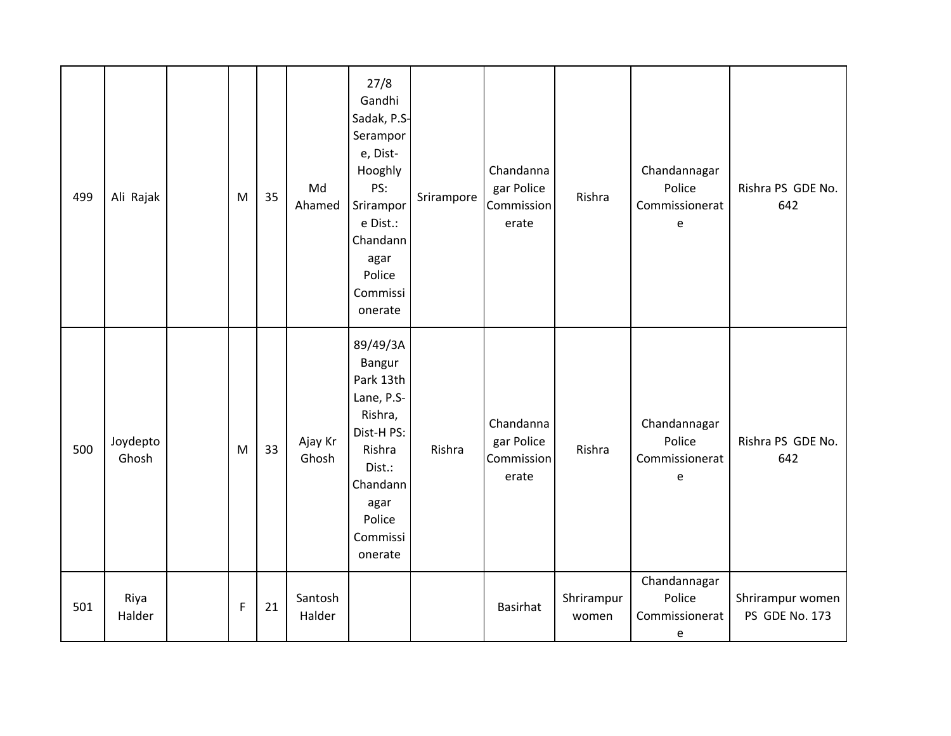| 499 | Ali Rajak         | M           | 35 | Md<br>Ahamed      | 27/8<br>Gandhi<br>Sadak, P.S-<br>Serampor<br>e, Dist-<br>Hooghly<br>PS:<br>Srirampor<br>e Dist.:<br>Chandann<br>agar<br>Police<br>Commissi<br>onerate | Srirampore | Chandanna<br>gar Police<br>Commission<br>erate | Rishra              | Chandannagar<br>Police<br>Commissionerat<br>e | Rishra PS GDE No.<br>642           |
|-----|-------------------|-------------|----|-------------------|-------------------------------------------------------------------------------------------------------------------------------------------------------|------------|------------------------------------------------|---------------------|-----------------------------------------------|------------------------------------|
| 500 | Joydepto<br>Ghosh | M           | 33 | Ajay Kr<br>Ghosh  | 89/49/3A<br>Bangur<br>Park 13th<br>Lane, P.S-<br>Rishra,<br>Dist-H PS:<br>Rishra<br>Dist.:<br>Chandann<br>agar<br>Police<br>Commissi<br>onerate       | Rishra     | Chandanna<br>gar Police<br>Commission<br>erate | Rishra              | Chandannagar<br>Police<br>Commissionerat<br>e | Rishra PS GDE No.<br>642           |
| 501 | Riya<br>Halder    | $\mathsf F$ | 21 | Santosh<br>Halder |                                                                                                                                                       |            | <b>Basirhat</b>                                | Shrirampur<br>women | Chandannagar<br>Police<br>Commissionerat<br>e | Shrirampur women<br>PS GDE No. 173 |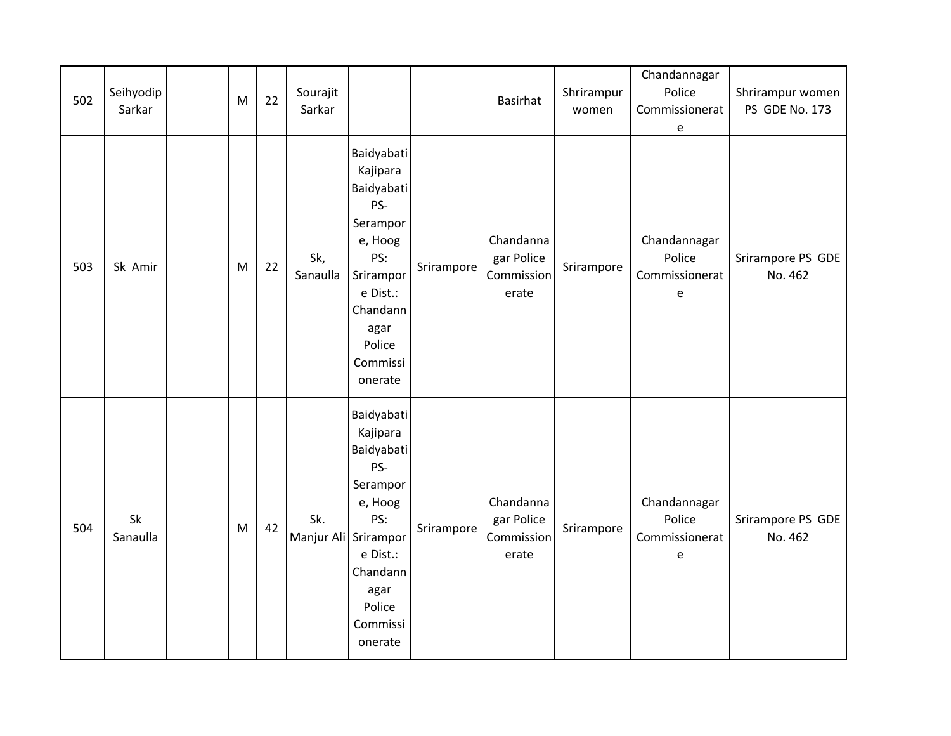| 502 | Seihyodip<br>Sarkar | M | 22 | Sourajit<br>Sarkar          |                                                                                                                                                         |            | <b>Basirhat</b>                                | Shrirampur<br>women | Chandannagar<br>Police<br>Commissionerat<br>e | Shrirampur women<br>PS GDE No. 173 |
|-----|---------------------|---|----|-----------------------------|---------------------------------------------------------------------------------------------------------------------------------------------------------|------------|------------------------------------------------|---------------------|-----------------------------------------------|------------------------------------|
| 503 | Sk Amir             | M | 22 | Sk,<br>Sanaulla             | Baidyabati<br>Kajipara<br>Baidyabati<br>PS-<br>Serampor<br>e, Hoog<br>PS:<br>Srirampor<br>e Dist.:<br>Chandann<br>agar<br>Police<br>Commissi<br>onerate | Srirampore | Chandanna<br>gar Police<br>Commission<br>erate | Srirampore          | Chandannagar<br>Police<br>Commissionerat<br>e | Srirampore PS GDE<br>No. 462       |
| 504 | Sk<br>Sanaulla      | M | 42 | Sk.<br>Manjur Ali Srirampor | Baidyabati<br>Kajipara<br>Baidyabati<br>PS-<br>Serampor<br>e, Hoog<br>PS:<br>e Dist.:<br>Chandann<br>agar<br>Police<br>Commissi<br>onerate              | Srirampore | Chandanna<br>gar Police<br>Commission<br>erate | Srirampore          | Chandannagar<br>Police<br>Commissionerat<br>e | Srirampore PS GDE<br>No. 462       |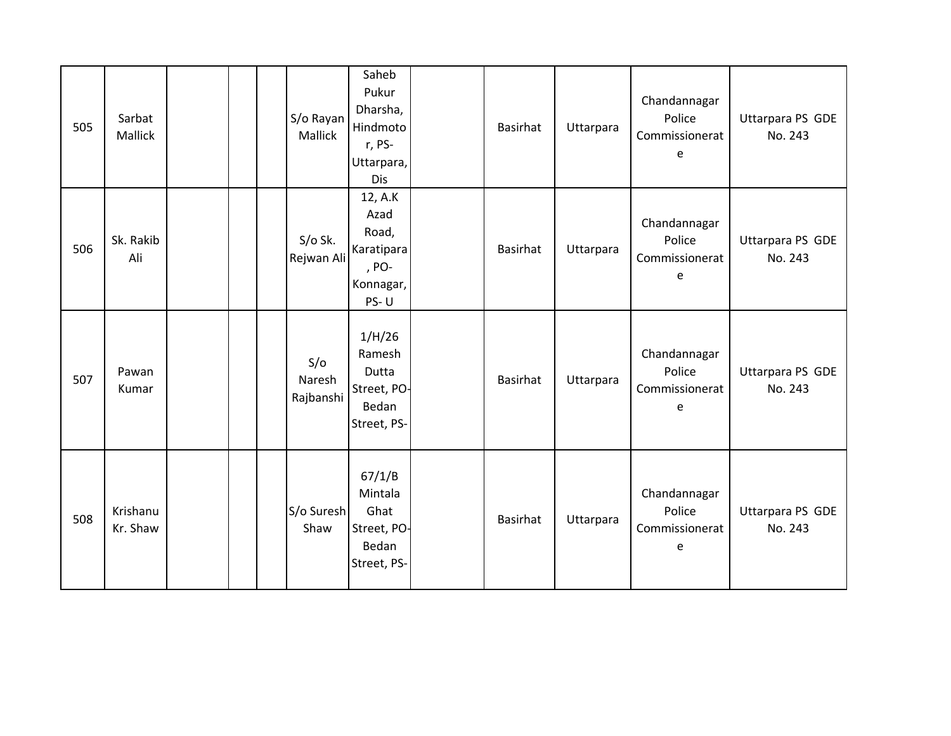| 505 | Sarbat<br>Mallick    |  | S/o Rayan<br>Mallick       | Saheb<br>Pukur<br>Dharsha,<br>Hindmoto<br>r, PS-<br>Uttarpara,<br><b>Dis</b> | <b>Basirhat</b> | Uttarpara | Chandannagar<br>Police<br>Commissionerat<br>e | Uttarpara PS GDE<br>No. 243 |
|-----|----------------------|--|----------------------------|------------------------------------------------------------------------------|-----------------|-----------|-----------------------------------------------|-----------------------------|
| 506 | Sk. Rakib<br>Ali     |  | $S/O$ Sk.<br>Rejwan Ali    | 12, A.K<br>Azad<br>Road,<br>Karatipara<br>, PO-<br>Konnagar,<br>PS-U         | <b>Basirhat</b> | Uttarpara | Chandannagar<br>Police<br>Commissionerat<br>е | Uttarpara PS GDE<br>No. 243 |
| 507 | Pawan<br>Kumar       |  | S/O<br>Naresh<br>Rajbanshi | 1/H/26<br>Ramesh<br>Dutta<br>Street, PO-<br>Bedan<br>Street, PS-             | <b>Basirhat</b> | Uttarpara | Chandannagar<br>Police<br>Commissionerat<br>e | Uttarpara PS GDE<br>No. 243 |
| 508 | Krishanu<br>Kr. Shaw |  | S/o Suresh<br>Shaw         | 67/1/B<br>Mintala<br>Ghat<br>Street, PO-<br>Bedan<br>Street, PS-             | <b>Basirhat</b> | Uttarpara | Chandannagar<br>Police<br>Commissionerat<br>e | Uttarpara PS GDE<br>No. 243 |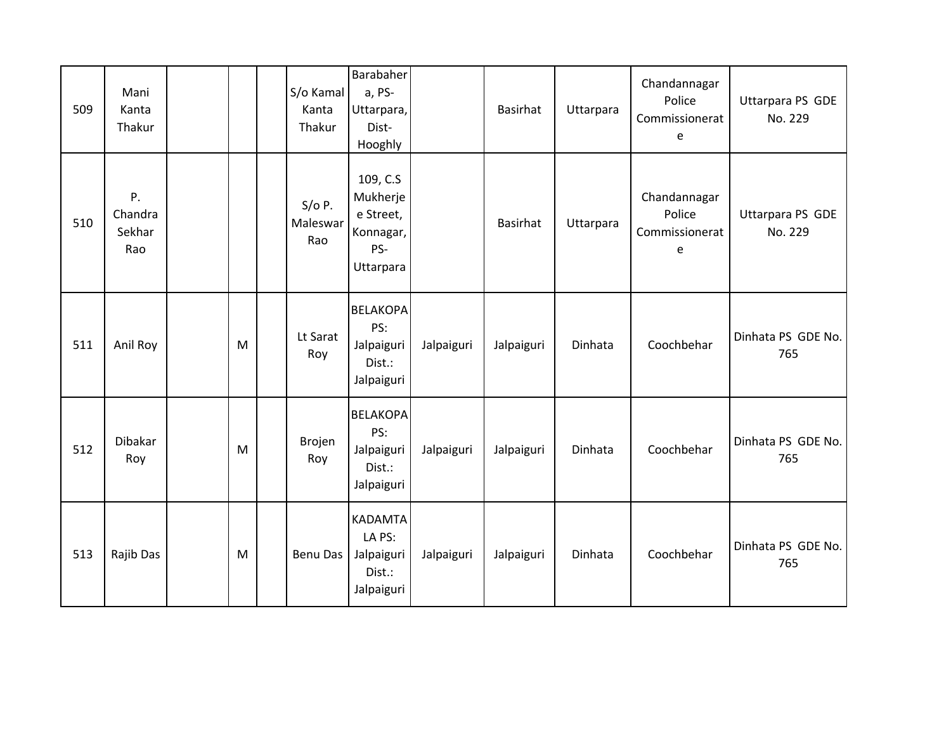| 509 | Mani<br>Kanta<br>Thakur        |           | S/o Kamal<br>Kanta<br>Thakur | Barabaher<br>a, PS-<br>Uttarpara,<br>Dist-<br>Hooghly              |            | <b>Basirhat</b> | Uttarpara | Chandannagar<br>Police<br>Commissionerat<br>e | Uttarpara PS GDE<br>No. 229 |
|-----|--------------------------------|-----------|------------------------------|--------------------------------------------------------------------|------------|-----------------|-----------|-----------------------------------------------|-----------------------------|
| 510 | P.<br>Chandra<br>Sekhar<br>Rao |           | $S/O$ P.<br>Maleswar<br>Rao  | 109, C.S<br>Mukherje<br>e Street,<br>Konnagar,<br>PS-<br>Uttarpara |            | Basirhat        | Uttarpara | Chandannagar<br>Police<br>Commissionerat<br>e | Uttarpara PS GDE<br>No. 229 |
| 511 | Anil Roy                       | M         | Lt Sarat<br>Roy              | <b>BELAKOPA</b><br>PS:<br>Jalpaiguri<br>Dist.:<br>Jalpaiguri       | Jalpaiguri | Jalpaiguri      | Dinhata   | Coochbehar                                    | Dinhata PS GDE No.<br>765   |
| 512 | Dibakar<br>Roy                 | ${\sf M}$ | Brojen<br>Roy                | <b>BELAKOPA</b><br>PS:<br>Jalpaiguri<br>Dist.:<br>Jalpaiguri       | Jalpaiguri | Jalpaiguri      | Dinhata   | Coochbehar                                    | Dinhata PS GDE No.<br>765   |
| 513 | Rajib Das                      | M         | Benu Das                     | <b>KADAMTA</b><br>LA PS:<br>Jalpaiguri<br>Dist.:<br>Jalpaiguri     | Jalpaiguri | Jalpaiguri      | Dinhata   | Coochbehar                                    | Dinhata PS GDE No.<br>765   |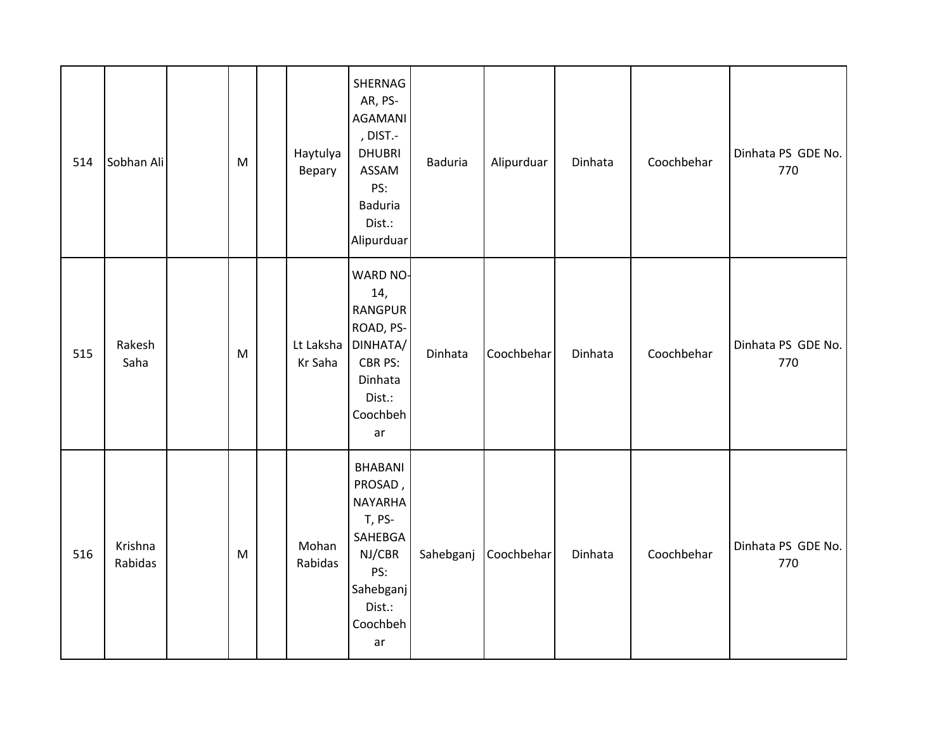| 514 | Sobhan Ali         | M | Haytulya<br>Bepary   | SHERNAG<br>AR, PS-<br><b>AGAMANI</b><br>, DIST.-<br><b>DHUBRI</b><br>ASSAM<br>PS:<br><b>Baduria</b><br>Dist.:<br>Alipurduar | Baduria   | Alipurduar | Dinhata | Coochbehar | Dinhata PS GDE No.<br>770 |
|-----|--------------------|---|----------------------|-----------------------------------------------------------------------------------------------------------------------------|-----------|------------|---------|------------|---------------------------|
| 515 | Rakesh<br>Saha     | M | Lt Laksha<br>Kr Saha | <b>WARD NO-</b><br>14,<br><b>RANGPUR</b><br>ROAD, PS-<br>DINHATA/<br>CBR PS:<br>Dinhata<br>Dist.:<br>Coochbeh<br>ar         | Dinhata   | Coochbehar | Dinhata | Coochbehar | Dinhata PS GDE No.<br>770 |
| 516 | Krishna<br>Rabidas | M | Mohan<br>Rabidas     | <b>BHABANI</b><br>PROSAD,<br><b>NAYARHA</b><br>T, PS-<br>SAHEBGA<br>NJ/CBR<br>PS:<br>Sahebganj<br>Dist.:<br>Coochbeh<br>ar  | Sahebganj | Coochbehar | Dinhata | Coochbehar | Dinhata PS GDE No.<br>770 |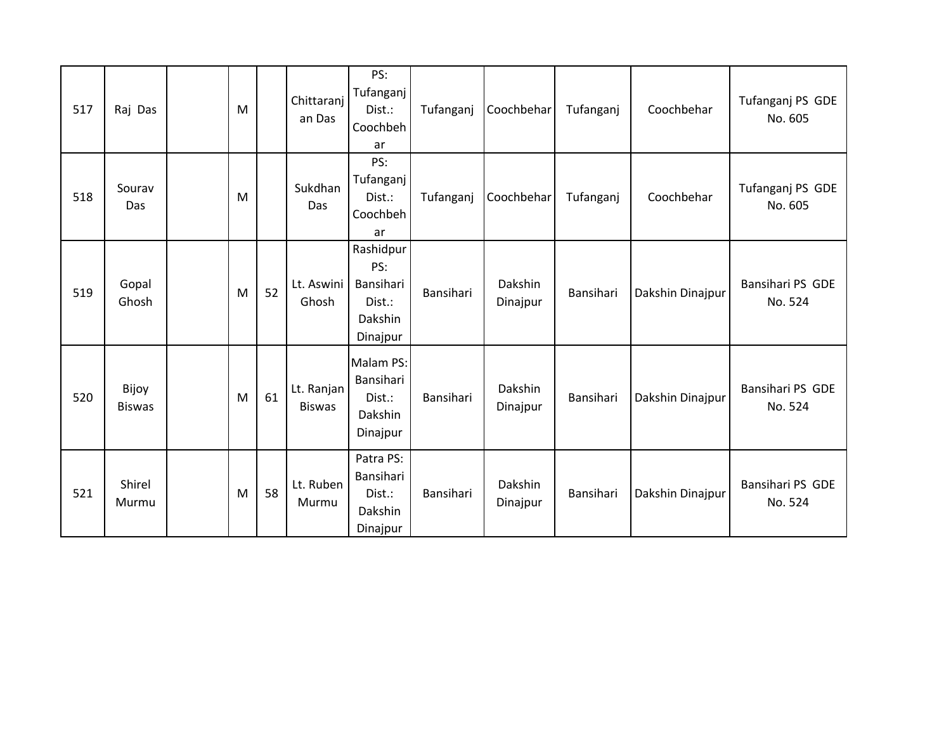| 517 | Raj Das                | M |    | Chittaranj<br>an Das        | PS:<br>Tufanganj<br>Dist.:<br>Coochbeh<br>ar                   | Tufanganj | Coochbehar          | Tufanganj | Coochbehar       | Tufanganj PS GDE<br>No. 605 |
|-----|------------------------|---|----|-----------------------------|----------------------------------------------------------------|-----------|---------------------|-----------|------------------|-----------------------------|
| 518 | Sourav<br>Das          | M |    | Sukdhan<br>Das              | PS:<br>Tufanganj<br>Dist.:<br>Coochbeh<br>ar                   | Tufanganj | Coochbehar          | Tufanganj | Coochbehar       | Tufanganj PS GDE<br>No. 605 |
| 519 | Gopal<br>Ghosh         | M | 52 | Lt. Aswini<br>Ghosh         | Rashidpur<br>PS:<br>Bansihari<br>Dist.:<br>Dakshin<br>Dinajpur | Bansihari | Dakshin<br>Dinajpur | Bansihari | Dakshin Dinajpur | Bansihari PS GDE<br>No. 524 |
| 520 | Bijoy<br><b>Biswas</b> | M | 61 | Lt. Ranjan<br><b>Biswas</b> | Malam PS:<br>Bansihari<br>Dist.:<br>Dakshin<br>Dinajpur        | Bansihari | Dakshin<br>Dinajpur | Bansihari | Dakshin Dinajpur | Bansihari PS GDE<br>No. 524 |
| 521 | Shirel<br>Murmu        | M | 58 | Lt. Ruben<br>Murmu          | Patra PS:<br>Bansihari<br>Dist.:<br>Dakshin<br>Dinajpur        | Bansihari | Dakshin<br>Dinajpur | Bansihari | Dakshin Dinajpur | Bansihari PS GDE<br>No. 524 |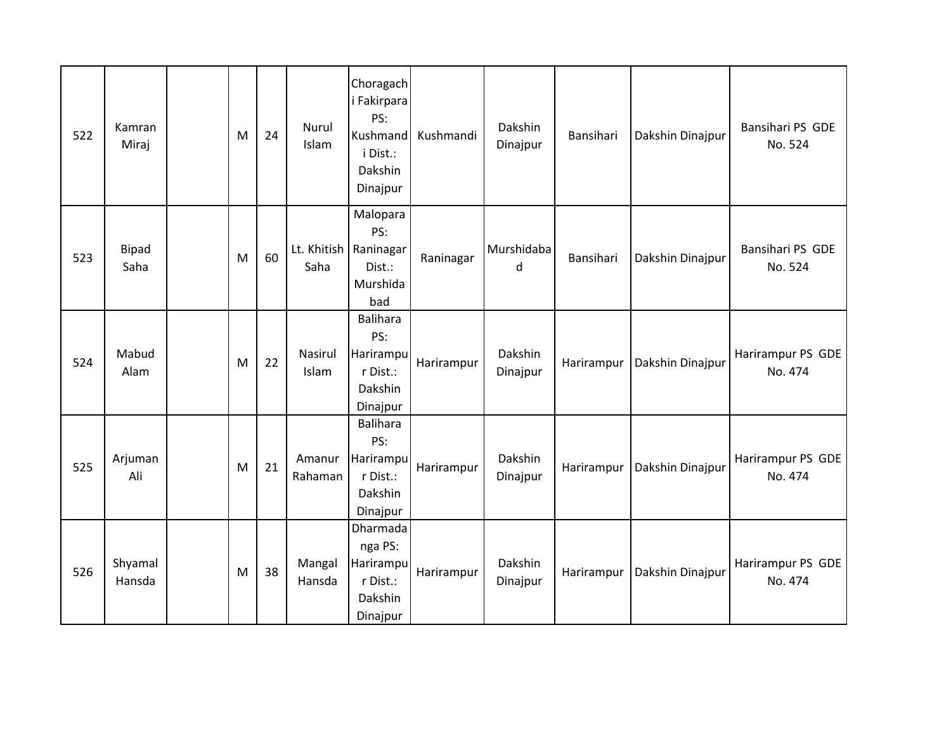| 522 | Kamran<br>Miraj      | M | 24 | Nurul<br>Islam    | Choragach<br>i Fakirpara<br>PS:<br>Kushmand<br>i Dist.:<br>Dakshin<br>Dinajpur | Kushmandi  | Dakshin<br>Dinajpur | Bansihari  | Dakshin Dinajpur | Bansihari PS GDE<br>No. 524  |
|-----|----------------------|---|----|-------------------|--------------------------------------------------------------------------------|------------|---------------------|------------|------------------|------------------------------|
| 523 | <b>Bipad</b><br>Saha | M | 60 | Saha              | Malopara<br>PS:<br>Lt. Khitish   Raninagar<br>Dist.:<br>Murshida<br>bad        | Raninagar  | Murshidaba<br>d     | Bansihari  | Dakshin Dinajpur | Bansihari PS GDE<br>No. 524  |
| 524 | Mabud<br>Alam        | M | 22 | Nasirul<br>Islam  | <b>Balihara</b><br>PS:<br>Harirampu<br>r Dist.:<br>Dakshin<br>Dinajpur         | Harirampur | Dakshin<br>Dinajpur | Harirampur | Dakshin Dinajpur | Harirampur PS GDE<br>No. 474 |
| 525 | Arjuman<br>Ali       | M | 21 | Amanur<br>Rahaman | <b>Balihara</b><br>PS:<br>Harirampu<br>r Dist.:<br>Dakshin<br>Dinajpur         | Harirampur | Dakshin<br>Dinajpur | Harirampur | Dakshin Dinajpur | Harirampur PS GDE<br>No. 474 |
| 526 | Shyamal<br>Hansda    | M | 38 | Mangal<br>Hansda  | Dharmada<br>nga PS:<br>Harirampu<br>r Dist.:<br>Dakshin<br>Dinajpur            | Harirampur | Dakshin<br>Dinajpur | Harirampur | Dakshin Dinajpur | Harirampur PS GDE<br>No. 474 |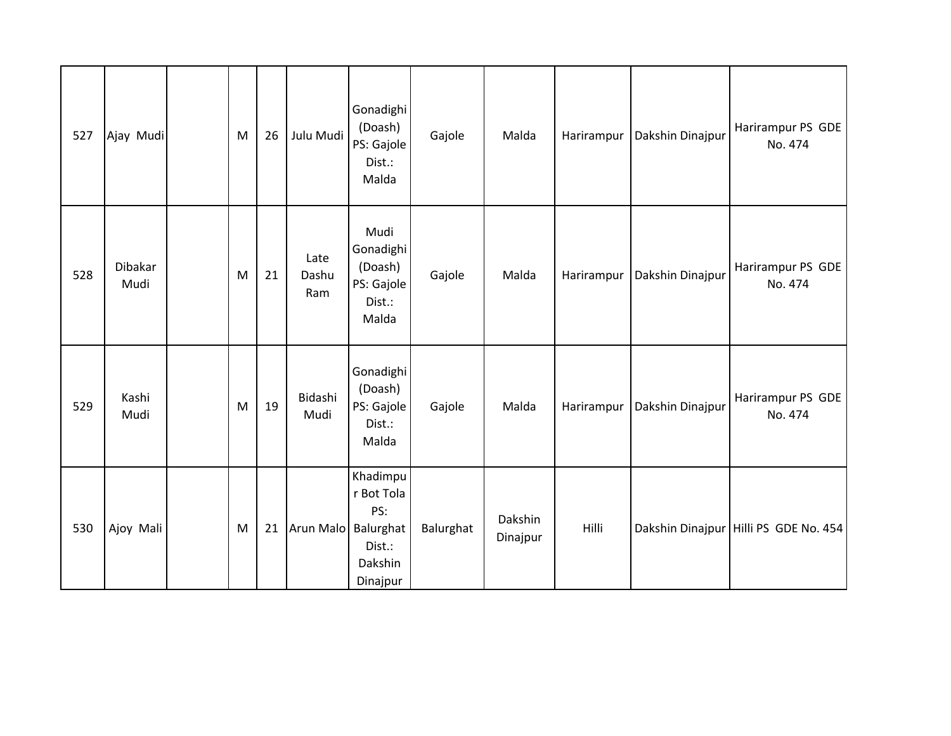| 527 | Ajay Mudi       | M | 26 | Julu Mudi            | Gonadighi<br>(Doash)<br>PS: Gajole<br>Dist.:<br>Malda          | Gajole    | Malda               | Harirampur | Dakshin Dinajpur | Harirampur PS GDE<br>No. 474          |
|-----|-----------------|---|----|----------------------|----------------------------------------------------------------|-----------|---------------------|------------|------------------|---------------------------------------|
| 528 | Dibakar<br>Mudi | M | 21 | Late<br>Dashu<br>Ram | Mudi<br>Gonadighi<br>(Doash)<br>PS: Gajole<br>Dist.:<br>Malda  | Gajole    | Malda               | Harirampur | Dakshin Dinajpur | Harirampur PS GDE<br>No. 474          |
| 529 | Kashi<br>Mudi   | M | 19 | Bidashi<br>Mudi      | Gonadighi<br>(Doash)<br>PS: Gajole<br>Dist.:<br>Malda          | Gajole    | Malda               | Harirampur | Dakshin Dinajpur | Harirampur PS GDE<br>No. 474          |
| 530 | Ajoy Mali       | M | 21 | Arun Malo Balurghat  | Khadimpu<br>r Bot Tola<br>PS:<br>Dist.:<br>Dakshin<br>Dinajpur | Balurghat | Dakshin<br>Dinajpur | Hilli      |                  | Dakshin Dinajpur Hilli PS GDE No. 454 |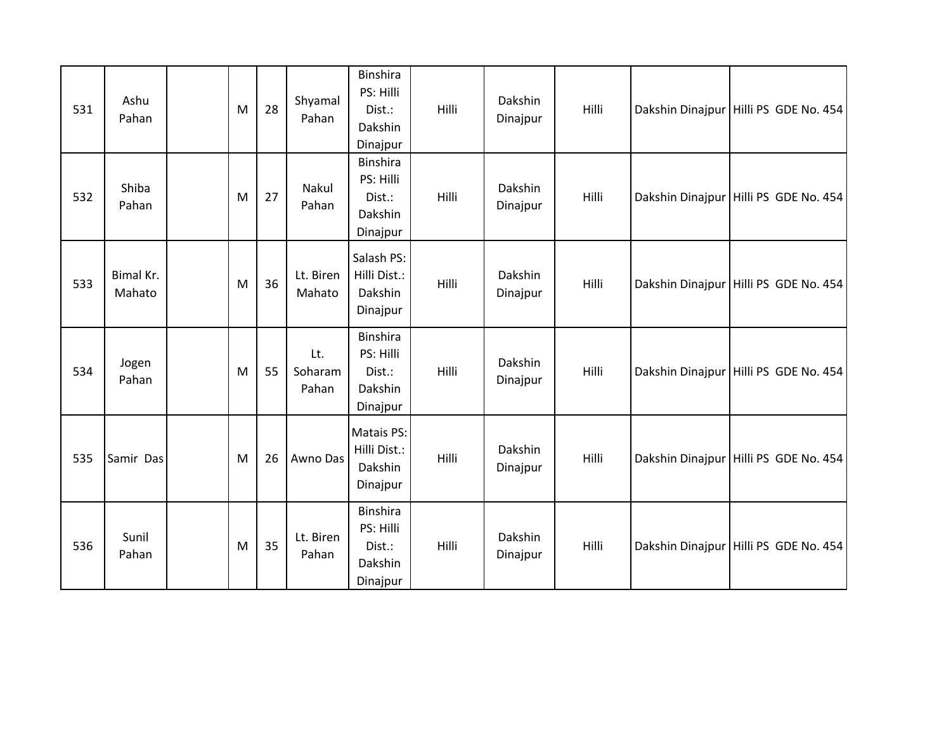| 531 | Ashu<br>Pahan       | M | 28 | Shyamal<br>Pahan        | <b>Binshira</b><br>PS: Hilli<br>Dist.:<br>Dakshin<br>Dinajpur | Hilli | Dakshin<br>Dinajpur | Hilli | Dakshin Dinajpur Hilli PS GDE No. 454   |
|-----|---------------------|---|----|-------------------------|---------------------------------------------------------------|-------|---------------------|-------|-----------------------------------------|
| 532 | Shiba<br>Pahan      | M | 27 | Nakul<br>Pahan          | Binshira<br>PS: Hilli<br>Dist.:<br>Dakshin<br>Dinajpur        | Hilli | Dakshin<br>Dinajpur | Hilli | Dakshin Dinajpur Hilli PS GDE No. 454   |
| 533 | Bimal Kr.<br>Mahato | M | 36 | Lt. Biren<br>Mahato     | Salash PS:<br>Hilli Dist.:<br>Dakshin<br>Dinajpur             | Hilli | Dakshin<br>Dinajpur | Hilli | Dakshin Dinajpur Hilli PS GDE No. 454   |
| 534 | Jogen<br>Pahan      | M | 55 | Lt.<br>Soharam<br>Pahan | <b>Binshira</b><br>PS: Hilli<br>Dist.:<br>Dakshin<br>Dinajpur | Hilli | Dakshin<br>Dinajpur | Hilli | Dakshin Dinajpur   Hilli PS GDE No. 454 |
| 535 | Samir Das           | M | 26 | Awno Das                | <b>Matais PS:</b><br>Hilli Dist.:<br>Dakshin<br>Dinajpur      | Hilli | Dakshin<br>Dinajpur | Hilli | Dakshin Dinajpur Hilli PS GDE No. 454   |
| 536 | Sunil<br>Pahan      | M | 35 | Lt. Biren<br>Pahan      | <b>Binshira</b><br>PS: Hilli<br>Dist.:<br>Dakshin<br>Dinajpur | Hilli | Dakshin<br>Dinajpur | Hilli | Dakshin Dinajpur Hilli PS GDE No. 454   |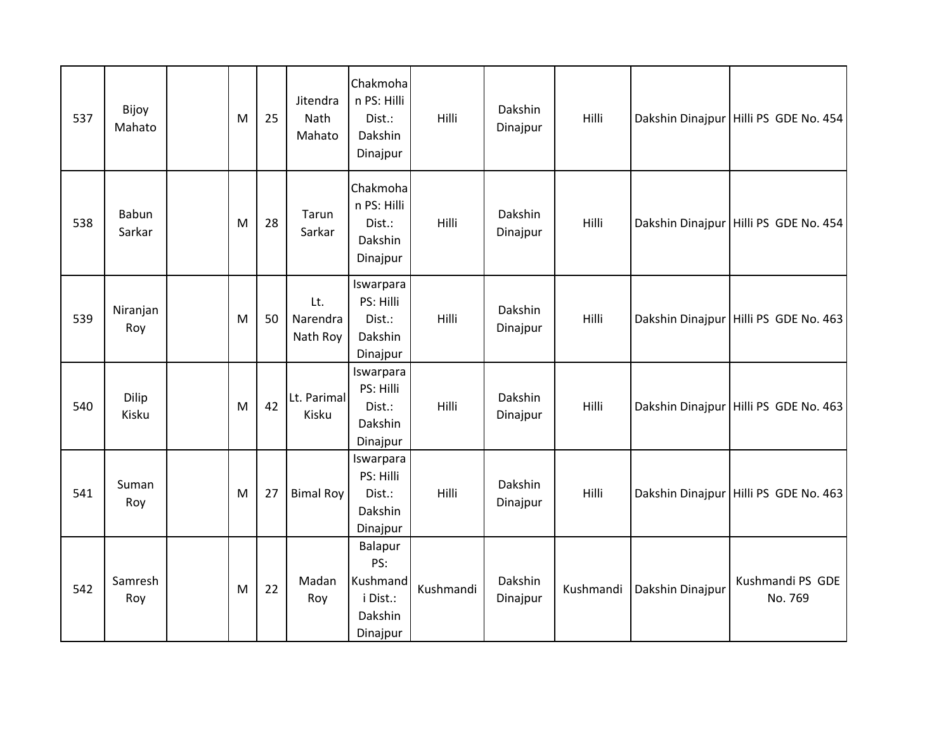| 537 | Bijoy<br>Mahato | M | 25 | Jitendra<br>Nath<br>Mahato  | Chakmoha<br>n PS: Hilli<br>Dist.:<br>Dakshin<br>Dinajpur      | Hilli     | Dakshin<br>Dinajpur | Hilli     |                  | Dakshin Dinajpur Hilli PS GDE No. 454 |
|-----|-----------------|---|----|-----------------------------|---------------------------------------------------------------|-----------|---------------------|-----------|------------------|---------------------------------------|
| 538 | Babun<br>Sarkar | M | 28 | Tarun<br>Sarkar             | Chakmoha<br>n PS: Hilli<br>Dist.:<br>Dakshin<br>Dinajpur      | Hilli     | Dakshin<br>Dinajpur | Hilli     |                  | Dakshin Dinajpur Hilli PS GDE No. 454 |
| 539 | Niranjan<br>Roy | M | 50 | Lt.<br>Narendra<br>Nath Roy | Iswarpara<br>PS: Hilli<br>Dist.:<br>Dakshin<br>Dinajpur       | Hilli     | Dakshin<br>Dinajpur | Hilli     |                  | Dakshin Dinajpur Hilli PS GDE No. 463 |
| 540 | Dilip<br>Kisku  | M | 42 | Lt. Parimal<br>Kisku        | Iswarpara<br>PS: Hilli<br>Dist.:<br>Dakshin<br>Dinajpur       | Hilli     | Dakshin<br>Dinajpur | Hilli     |                  | Dakshin Dinajpur Hilli PS GDE No. 463 |
| 541 | Suman<br>Roy    | M | 27 | <b>Bimal Roy</b>            | Iswarpara<br>PS: Hilli<br>Dist.:<br>Dakshin<br>Dinajpur       | Hilli     | Dakshin<br>Dinajpur | Hilli     |                  | Dakshin Dinajpur Hilli PS GDE No. 463 |
| 542 | Samresh<br>Roy  | M | 22 | Madan<br>Roy                | Balapur<br>PS:<br>Kushmand<br>i Dist.:<br>Dakshin<br>Dinajpur | Kushmandi | Dakshin<br>Dinajpur | Kushmandi | Dakshin Dinajpur | Kushmandi PS GDE<br>No. 769           |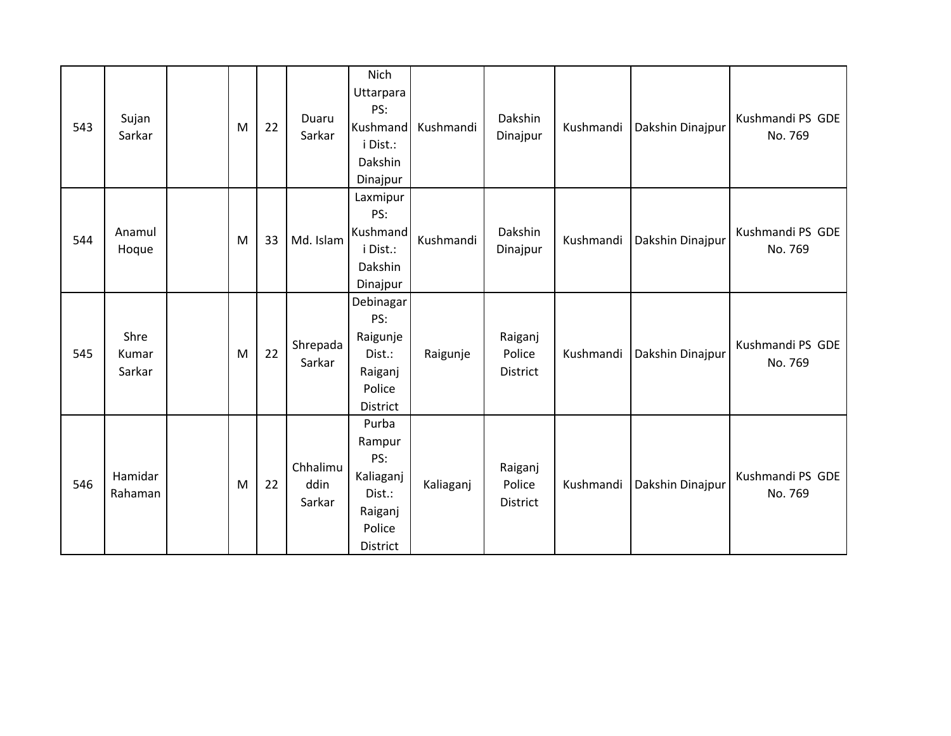| 543 | Sujan<br>Sarkar         | M | 22 | Duaru<br>Sarkar            | Nich<br>Uttarpara<br>PS:<br>Kushmand<br>i Dist.:<br>Dakshin<br>Dinajpur        | Kushmandi | Dakshin<br>Dinajpur                  | Kushmandi | Dakshin Dinajpur | Kushmandi PS GDE<br>No. 769 |
|-----|-------------------------|---|----|----------------------------|--------------------------------------------------------------------------------|-----------|--------------------------------------|-----------|------------------|-----------------------------|
| 544 | Anamul<br>Hoque         | M | 33 | Md. Islam                  | Laxmipur<br>PS:<br>Kushmand<br>i Dist.:<br>Dakshin<br>Dinajpur                 | Kushmandi | Dakshin<br>Dinajpur                  | Kushmandi | Dakshin Dinajpur | Kushmandi PS GDE<br>No. 769 |
| 545 | Shre<br>Kumar<br>Sarkar | M | 22 | Shrepada<br>Sarkar         | Debinagar<br>PS:<br>Raigunje<br>Dist.:<br>Raiganj<br>Police<br>District        | Raigunje  | Raiganj<br>Police<br><b>District</b> | Kushmandi | Dakshin Dinajpur | Kushmandi PS GDE<br>No. 769 |
| 546 | Hamidar<br>Rahaman      | M | 22 | Chhalimu<br>ddin<br>Sarkar | Purba<br>Rampur<br>PS:<br>Kaliaganj<br>Dist.:<br>Raiganj<br>Police<br>District | Kaliaganj | Raiganj<br>Police<br>District        | Kushmandi | Dakshin Dinajpur | Kushmandi PS GDE<br>No. 769 |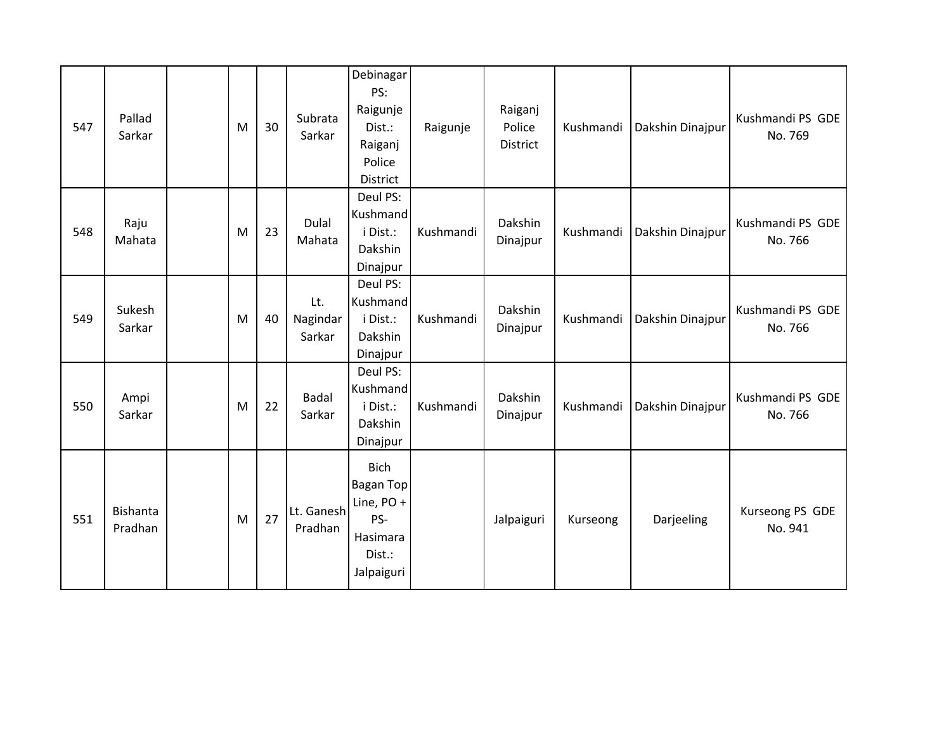| 547 | Pallad<br>Sarkar           | M | 30 | Subrata<br>Sarkar         | Debinagar<br>PS:<br>Raigunje<br>Dist.:<br>Raiganj<br>Police<br>District                  | Raigunje  | Raiganj<br>Police<br><b>District</b> | Kushmandi | Dakshin Dinajpur | Kushmandi PS GDE<br>No. 769 |
|-----|----------------------------|---|----|---------------------------|------------------------------------------------------------------------------------------|-----------|--------------------------------------|-----------|------------------|-----------------------------|
| 548 | Raju<br>Mahata             | M | 23 | Dulal<br>Mahata           | Deul PS:<br>Kushmand<br>i Dist.:<br>Dakshin<br>Dinajpur                                  | Kushmandi | Dakshin<br>Dinajpur                  | Kushmandi | Dakshin Dinajpur | Kushmandi PS GDE<br>No. 766 |
| 549 | Sukesh<br>Sarkar           | M | 40 | Lt.<br>Nagindar<br>Sarkar | Deul PS:<br>Kushmand<br>i Dist.:<br>Dakshin<br>Dinajpur                                  | Kushmandi | Dakshin<br>Dinajpur                  | Kushmandi | Dakshin Dinajpur | Kushmandi PS GDE<br>No. 766 |
| 550 | Ampi<br>Sarkar             | M | 22 | <b>Badal</b><br>Sarkar    | Deul PS:<br>Kushmand<br>i Dist.:<br>Dakshin<br>Dinajpur                                  | Kushmandi | Dakshin<br>Dinajpur                  | Kushmandi | Dakshin Dinajpur | Kushmandi PS GDE<br>No. 766 |
| 551 | <b>Bishanta</b><br>Pradhan | M | 27 | Lt. Ganesh<br>Pradhan     | <b>Bich</b><br><b>Bagan Top</b><br>Line, PO +<br>PS-<br>Hasimara<br>Dist.:<br>Jalpaiguri |           | Jalpaiguri                           | Kurseong  | Darjeeling       | Kurseong PS GDE<br>No. 941  |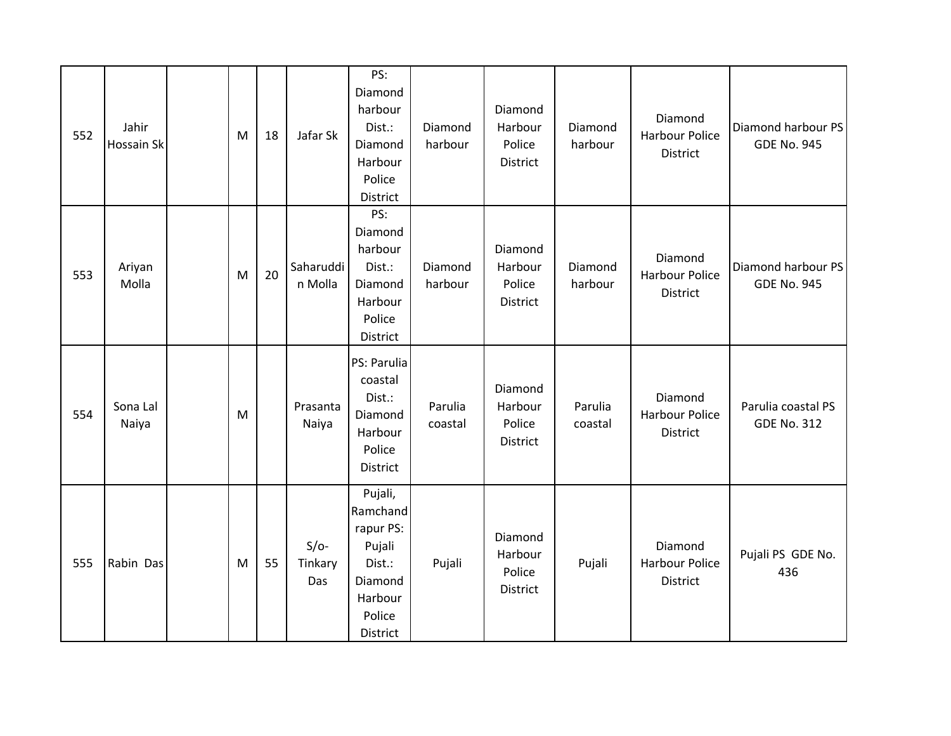| 552 | Jahir<br><b>Hossain Sk</b> | M | 18 | Jafar Sk                 | PS:<br>Diamond<br>harbour<br>Dist.:<br>Diamond<br>Harbour<br>Police<br>District                  | Diamond<br>harbour | Diamond<br>Harbour<br>Police<br><b>District</b> | Diamond<br>harbour | Diamond<br><b>Harbour Police</b><br>District        | Diamond harbour PS<br><b>GDE No. 945</b> |
|-----|----------------------------|---|----|--------------------------|--------------------------------------------------------------------------------------------------|--------------------|-------------------------------------------------|--------------------|-----------------------------------------------------|------------------------------------------|
| 553 | Ariyan<br>Molla            | M | 20 | Saharuddi<br>n Molla     | PS:<br>Diamond<br>harbour<br>Dist.:<br>Diamond<br>Harbour<br>Police<br>District                  | Diamond<br>harbour | Diamond<br>Harbour<br>Police<br>District        | Diamond<br>harbour | Diamond<br><b>Harbour Police</b><br><b>District</b> | Diamond harbour PS<br><b>GDE No. 945</b> |
| 554 | Sona Lal<br>Naiya          | M |    | Prasanta<br>Naiya        | PS: Parulia<br>coastal<br>Dist.:<br>Diamond<br>Harbour<br>Police<br>District                     | Parulia<br>coastal | Diamond<br>Harbour<br>Police<br><b>District</b> | Parulia<br>coastal | Diamond<br><b>Harbour Police</b><br>District        | Parulia coastal PS<br><b>GDE No. 312</b> |
| 555 | Rabin Das                  | M | 55 | $S/O-$<br>Tinkary<br>Das | Pujali,<br>Ramchand<br>rapur PS:<br>Pujali<br>Dist.:<br>Diamond<br>Harbour<br>Police<br>District | Pujali             | Diamond<br>Harbour<br>Police<br>District        | Pujali             | Diamond<br><b>Harbour Police</b><br><b>District</b> | Pujali PS GDE No.<br>436                 |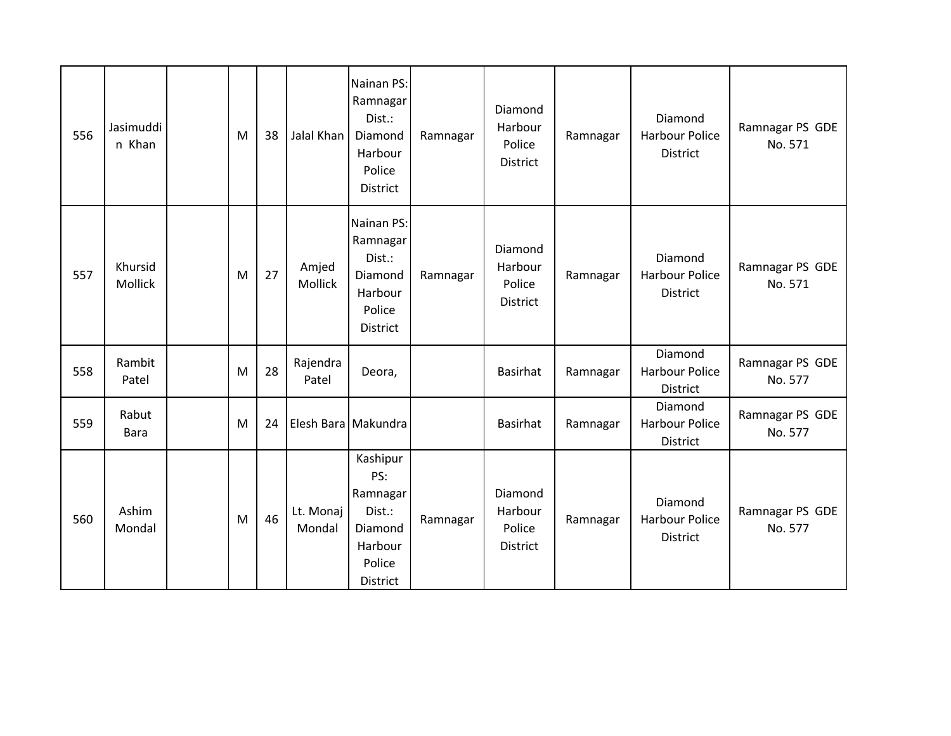| 556 | Jasimuddi<br>n Khan  | M | 38 | Jalal Khan          | Nainan PS:<br>Ramnagar<br>Dist.:<br>Diamond<br>Harbour<br>Police<br>District      | Ramnagar | Diamond<br>Harbour<br>Police<br>District | Ramnagar | Diamond<br><b>Harbour Police</b><br>District        | Ramnagar PS GDE<br>No. 571 |
|-----|----------------------|---|----|---------------------|-----------------------------------------------------------------------------------|----------|------------------------------------------|----------|-----------------------------------------------------|----------------------------|
| 557 | Khursid<br>Mollick   | M | 27 | Amjed<br>Mollick    | Nainan PS:<br>Ramnagar<br>Dist.:<br>Diamond<br>Harbour<br>Police<br>District      | Ramnagar | Diamond<br>Harbour<br>Police<br>District | Ramnagar | Diamond<br><b>Harbour Police</b><br>District        | Ramnagar PS GDE<br>No. 571 |
| 558 | Rambit<br>Patel      | M | 28 | Rajendra<br>Patel   | Deora,                                                                            |          | <b>Basirhat</b>                          | Ramnagar | Diamond<br><b>Harbour Police</b><br>District        | Ramnagar PS GDE<br>No. 577 |
| 559 | Rabut<br><b>Bara</b> | M | 24 |                     | Elesh Bara Makundra                                                               |          | <b>Basirhat</b>                          | Ramnagar | Diamond<br><b>Harbour Police</b><br>District        | Ramnagar PS GDE<br>No. 577 |
| 560 | Ashim<br>Mondal      | M | 46 | Lt. Monaj<br>Mondal | Kashipur<br>PS:<br>Ramnagar<br>Dist.:<br>Diamond<br>Harbour<br>Police<br>District | Ramnagar | Diamond<br>Harbour<br>Police<br>District | Ramnagar | Diamond<br><b>Harbour Police</b><br><b>District</b> | Ramnagar PS GDE<br>No. 577 |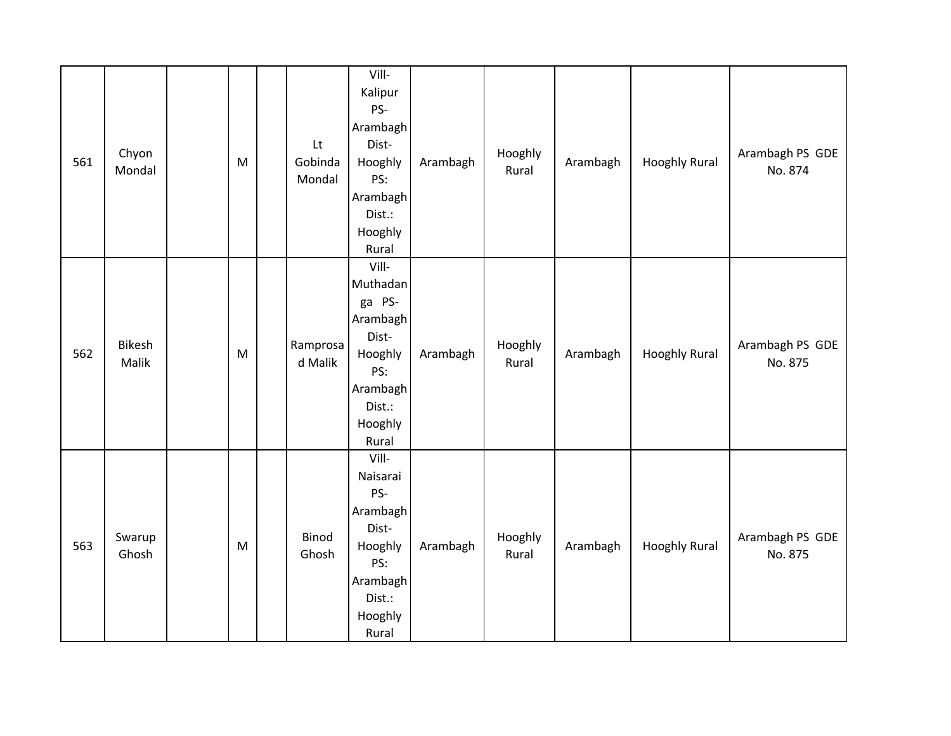| 561 | Chyon<br>Mondal        | M         | Lt<br>Gobinda<br>Mondal | Vill-<br>Kalipur<br>PS-<br>Arambagh<br>Dist-<br>Hooghly<br>PS:<br>Arambagh<br>Dist.:<br>Hooghly                       | Arambagh | Hooghly<br>Rural | Arambagh | <b>Hooghly Rural</b> | Arambagh PS GDE<br>No. 874 |
|-----|------------------------|-----------|-------------------------|-----------------------------------------------------------------------------------------------------------------------|----------|------------------|----------|----------------------|----------------------------|
| 562 | <b>Bikesh</b><br>Malik | M         | Ramprosa<br>d Malik     | Rural<br>Vill-<br>Muthadan<br>ga PS-<br>Arambagh<br>Dist-<br>Hooghly<br>PS:<br>Arambagh<br>Dist.:<br>Hooghly<br>Rural | Arambagh | Hooghly<br>Rural | Arambagh | <b>Hooghly Rural</b> | Arambagh PS GDE<br>No. 875 |
| 563 | Swarup<br>Ghosh        | ${\sf M}$ | <b>Binod</b><br>Ghosh   | Vill-<br>Naisarai<br>PS-<br>Arambagh<br>Dist-<br>Hooghly<br>PS:<br>Arambagh<br>Dist.:<br>Hooghly<br>Rural             | Arambagh | Hooghly<br>Rural | Arambagh | <b>Hooghly Rural</b> | Arambagh PS GDE<br>No. 875 |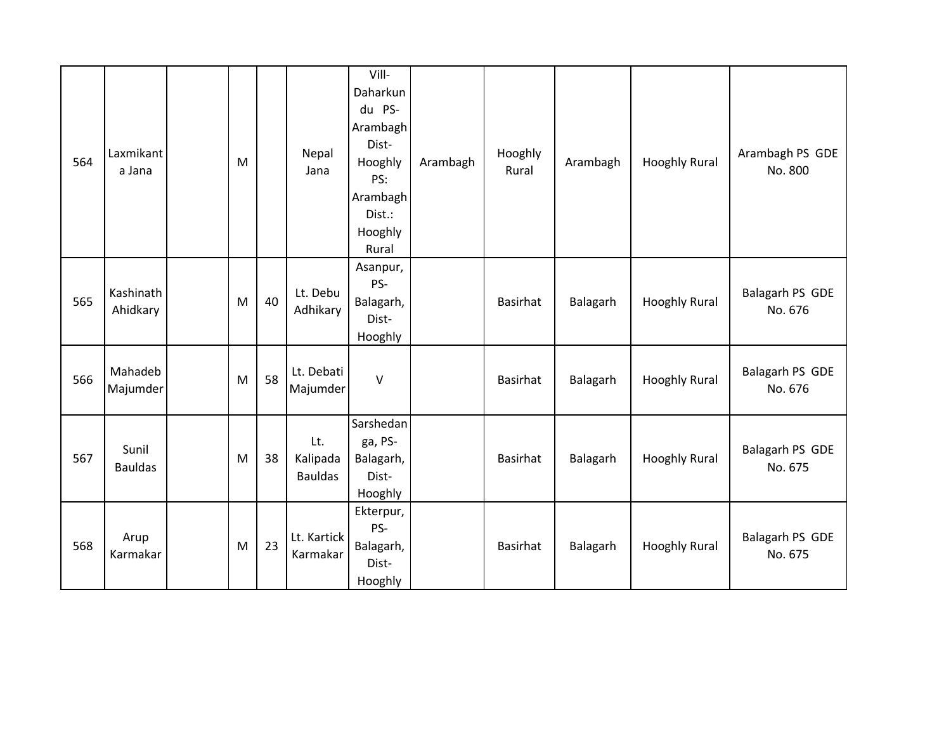| 564 | Laxmikant<br>a Jana     | M |    | Nepal<br>Jana                     | Vill-<br>Daharkun<br>du PS-<br>Arambagh<br>Dist-<br>Hooghly<br>PS:<br>Arambagh<br>Dist.:<br>Hooghly<br>Rural | Arambagh | Hooghly<br>Rural | Arambagh | <b>Hooghly Rural</b> | Arambagh PS GDE<br>No. 800 |
|-----|-------------------------|---|----|-----------------------------------|--------------------------------------------------------------------------------------------------------------|----------|------------------|----------|----------------------|----------------------------|
| 565 | Kashinath<br>Ahidkary   | M | 40 | Lt. Debu<br>Adhikary              | Asanpur,<br>PS-<br>Balagarh,<br>Dist-<br>Hooghly                                                             |          | <b>Basirhat</b>  | Balagarh | <b>Hooghly Rural</b> | Balagarh PS GDE<br>No. 676 |
| 566 | Mahadeb<br>Majumder     | M | 58 | Lt. Debati<br>Majumder            | $\vee$                                                                                                       |          | <b>Basirhat</b>  | Balagarh | <b>Hooghly Rural</b> | Balagarh PS GDE<br>No. 676 |
| 567 | Sunil<br><b>Bauldas</b> | M | 38 | Lt.<br>Kalipada<br><b>Bauldas</b> | Sarshedan<br>ga, PS-<br>Balagarh,<br>Dist-<br>Hooghly                                                        |          | Basirhat         | Balagarh | <b>Hooghly Rural</b> | Balagarh PS GDE<br>No. 675 |
| 568 | Arup<br>Karmakar        | M | 23 | Lt. Kartick<br>Karmakar           | Ekterpur,<br>PS-<br>Balagarh,<br>Dist-<br>Hooghly                                                            |          | <b>Basirhat</b>  | Balagarh | <b>Hooghly Rural</b> | Balagarh PS GDE<br>No. 675 |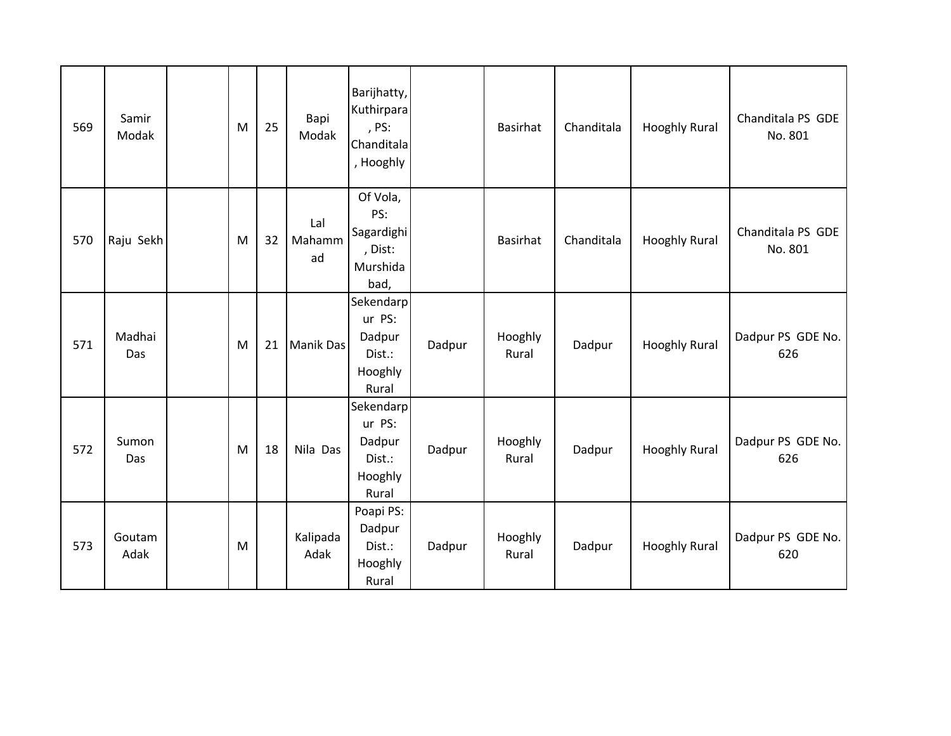| 569 | Samir<br>Modak | M | 25 | Bapi<br>Modak       | Barijhatty,<br>Kuthirpara<br>, PS:<br>Chanditala<br>, Hooghly |        | <b>Basirhat</b>  | Chanditala | <b>Hooghly Rural</b> | Chanditala PS GDE<br>No. 801 |
|-----|----------------|---|----|---------------------|---------------------------------------------------------------|--------|------------------|------------|----------------------|------------------------------|
| 570 | Raju Sekh      | M | 32 | Lal<br>Mahamm<br>ad | Of Vola,<br>PS:<br>Sagardighi<br>, Dist:<br>Murshida<br>bad,  |        | <b>Basirhat</b>  | Chanditala | <b>Hooghly Rural</b> | Chanditala PS GDE<br>No. 801 |
| 571 | Madhai<br>Das  | M | 21 | <b>Manik Das</b>    | Sekendarp<br>ur PS:<br>Dadpur<br>Dist.:<br>Hooghly<br>Rural   | Dadpur | Hooghly<br>Rural | Dadpur     | <b>Hooghly Rural</b> | Dadpur PS GDE No.<br>626     |
| 572 | Sumon<br>Das   | M | 18 | Nila Das            | Sekendarp<br>ur PS:<br>Dadpur<br>Dist.:<br>Hooghly<br>Rural   | Dadpur | Hooghly<br>Rural | Dadpur     | <b>Hooghly Rural</b> | Dadpur PS GDE No.<br>626     |
| 573 | Goutam<br>Adak | M |    | Kalipada<br>Adak    | Poapi PS:<br>Dadpur<br>Dist.:<br>Hooghly<br>Rural             | Dadpur | Hooghly<br>Rural | Dadpur     | <b>Hooghly Rural</b> | Dadpur PS GDE No.<br>620     |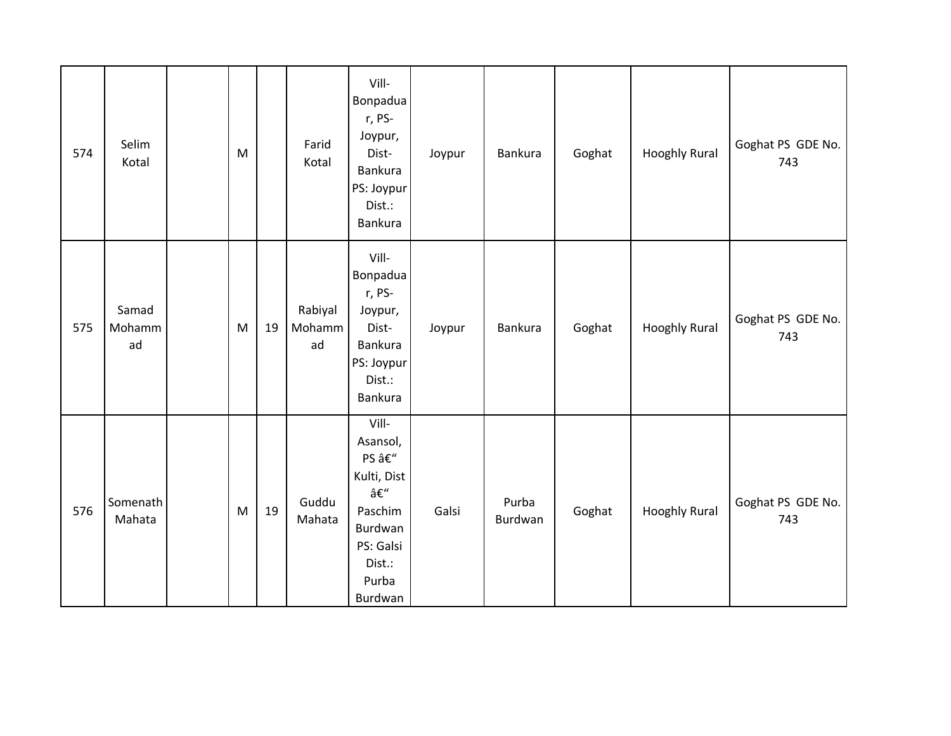| 574 | Selim<br>Kotal        | M         |    | Farid<br>Kotal          | Vill-<br>Bonpadua<br>r, PS-<br>Joypur,<br>Dist-<br>Bankura<br>PS: Joypur<br>Dist.:<br>Bankura                  | Joypur | Bankura          | Goghat | <b>Hooghly Rural</b> | Goghat PS GDE No.<br>743 |
|-----|-----------------------|-----------|----|-------------------------|----------------------------------------------------------------------------------------------------------------|--------|------------------|--------|----------------------|--------------------------|
| 575 | Samad<br>Mohamm<br>ad | M         | 19 | Rabiyal<br>Mohamm<br>ad | Vill-<br>Bonpadua<br>r, PS-<br>Joypur,<br>Dist-<br>Bankura<br>PS: Joypur<br>Dist.:<br>Bankura                  | Joypur | <b>Bankura</b>   | Goghat | <b>Hooghly Rural</b> | Goghat PS GDE No.<br>743 |
| 576 | Somenath<br>Mahata    | ${\sf M}$ | 19 | Guddu<br>Mahata         | Vill-<br>Asansol,<br>PS –<br>Kulti, Dist<br>–<br>Paschim<br>Burdwan<br>PS: Galsi<br>Dist.:<br>Purba<br>Burdwan | Galsi  | Purba<br>Burdwan | Goghat | <b>Hooghly Rural</b> | Goghat PS GDE No.<br>743 |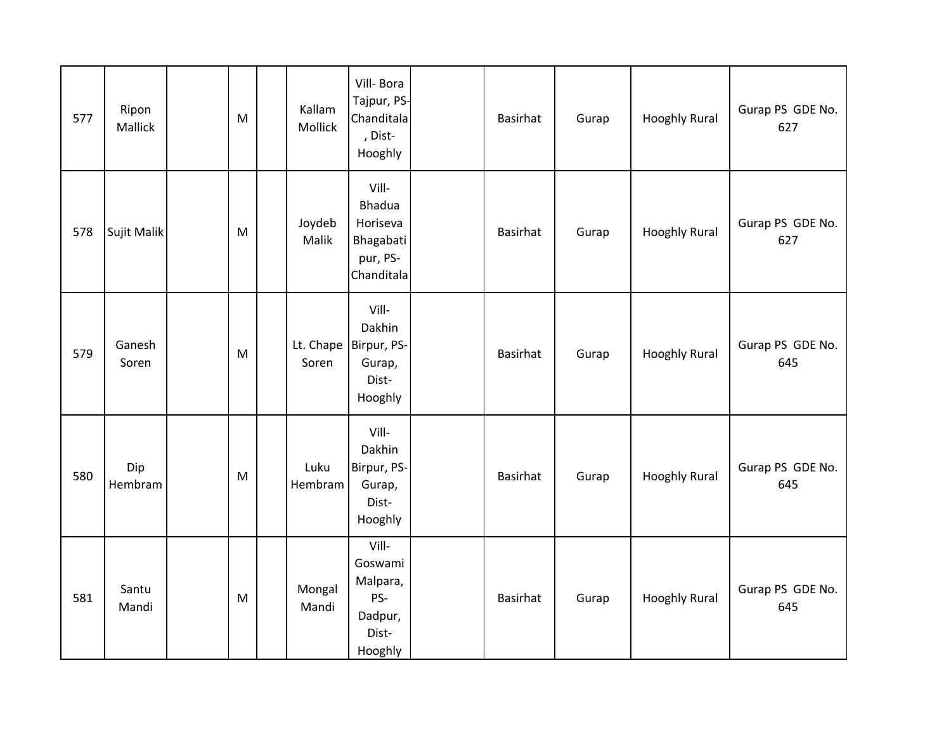| 577 | Ripon<br>Mallick | M         | Kallam<br>Mollick | Vill-Bora<br>Tajpur, PS-<br>Chanditala<br>, Dist-<br>Hooghly              | Basirhat        | Gurap | <b>Hooghly Rural</b> | Gurap PS GDE No.<br>627 |
|-----|------------------|-----------|-------------------|---------------------------------------------------------------------------|-----------------|-------|----------------------|-------------------------|
| 578 | Sujit Malik      | M         | Joydeb<br>Malik   | Vill-<br><b>Bhadua</b><br>Horiseva<br>Bhagabati<br>pur, PS-<br>Chanditala | <b>Basirhat</b> | Gurap | <b>Hooghly Rural</b> | Gurap PS GDE No.<br>627 |
| 579 | Ganesh<br>Soren  | M         | Soren             | Vill-<br>Dakhin<br>Lt. Chape   Birpur, PS-<br>Gurap,<br>Dist-<br>Hooghly  | Basirhat        | Gurap | <b>Hooghly Rural</b> | Gurap PS GDE No.<br>645 |
| 580 | Dip<br>Hembram   | ${\sf M}$ | Luku<br>Hembram   | Vill-<br>Dakhin<br>Birpur, PS-<br>Gurap,<br>Dist-<br>Hooghly              | Basirhat        | Gurap | <b>Hooghly Rural</b> | Gurap PS GDE No.<br>645 |
| 581 | Santu<br>Mandi   | M         | Mongal<br>Mandi   | Vill-<br>Goswami<br>Malpara,<br>PS-<br>Dadpur,<br>Dist-<br>Hooghly        | <b>Basirhat</b> | Gurap | <b>Hooghly Rural</b> | Gurap PS GDE No.<br>645 |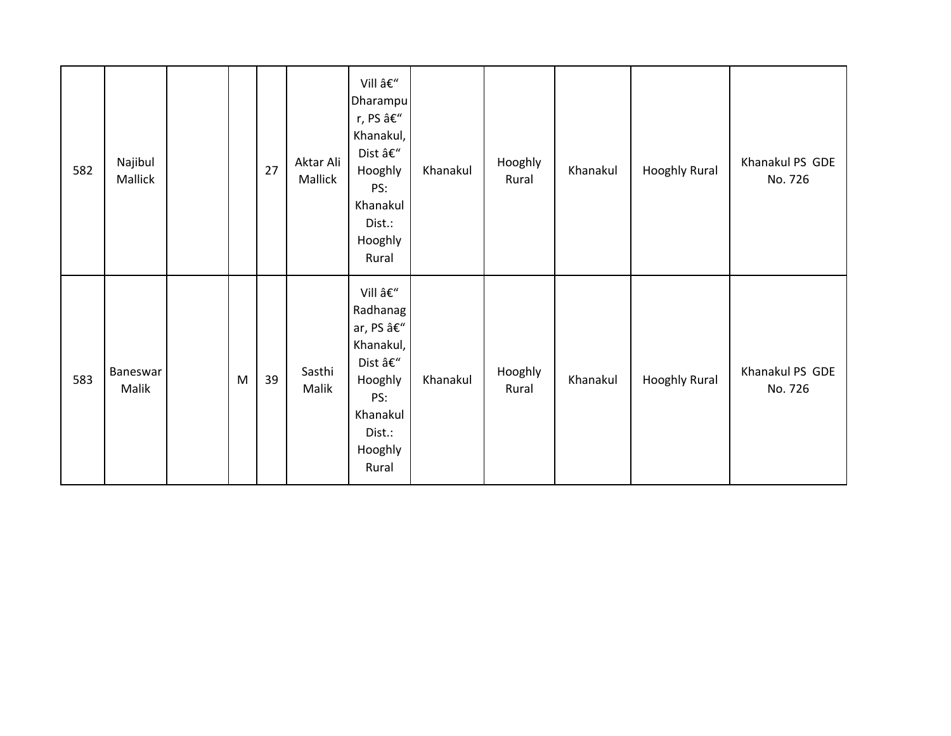| 582 | Najibul<br>Mallick |   | 27 | Aktar Ali<br>Mallick | Vill –<br>Dharampu<br>r, PS –<br>Khanakul,<br>Dist –<br>Hooghly<br>PS:<br>Khanakul<br>Dist.:<br>Hooghly<br>Rural               | Khanakul | Hooghly<br>Rural | Khanakul | <b>Hooghly Rural</b> | Khanakul PS GDE<br>No. 726 |
|-----|--------------------|---|----|----------------------|--------------------------------------------------------------------------------------------------------------------------------|----------|------------------|----------|----------------------|----------------------------|
| 583 | Baneswar<br>Malik  | M | 39 | Sasthi<br>Malik      | Vill –<br>Radhanag<br>ar, PS â $\epsilon$ "<br>Khanakul,<br>Dist –<br>Hooghly<br>PS:<br>Khanakul<br>Dist.:<br>Hooghly<br>Rural | Khanakul | Hooghly<br>Rural | Khanakul | Hooghly Rural        | Khanakul PS GDE<br>No. 726 |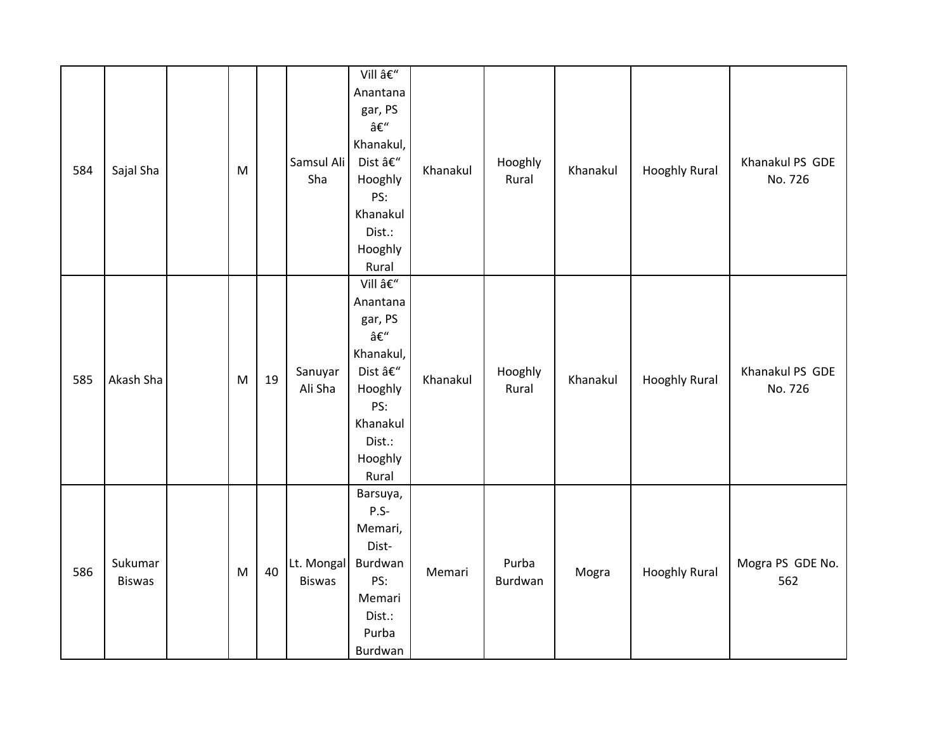| 584 | Sajal Sha                | $\mathsf{M}% _{T}=\mathsf{M}_{T}\!\left( a,b\right) ,\ \mathsf{M}_{T}=\mathsf{M}_{T}\!\left( a,b\right) ,$ |    | Samsul Ali<br>Sha           | Vill –<br>Anantana<br>gar, PS<br>–<br>Khanakul,<br>Dist –<br>Hooghly<br>PS:<br>Khanakul<br>Dist.:<br>Hooghly<br>Rural | Khanakul | Hooghly<br>Rural | Khanakul | <b>Hooghly Rural</b> | Khanakul PS GDE<br>No. 726 |
|-----|--------------------------|------------------------------------------------------------------------------------------------------------|----|-----------------------------|-----------------------------------------------------------------------------------------------------------------------|----------|------------------|----------|----------------------|----------------------------|
| 585 | Akash Sha                | M                                                                                                          | 19 | Sanuyar<br>Ali Sha          | Vill –<br>Anantana<br>gar, PS<br>–<br>Khanakul,<br>Dist –<br>Hooghly<br>PS:<br>Khanakul<br>Dist.:<br>Hooghly<br>Rural | Khanakul | Hooghly<br>Rural | Khanakul | <b>Hooghly Rural</b> | Khanakul PS GDE<br>No. 726 |
| 586 | Sukumar<br><b>Biswas</b> | M                                                                                                          | 40 | Lt. Mongal<br><b>Biswas</b> | Barsuya,<br>$P.S-$<br>Memari,<br>Dist-<br>Burdwan<br>PS:<br>Memari<br>Dist.:<br>Purba<br>Burdwan                      | Memari   | Purba<br>Burdwan | Mogra    | <b>Hooghly Rural</b> | Mogra PS GDE No.<br>562    |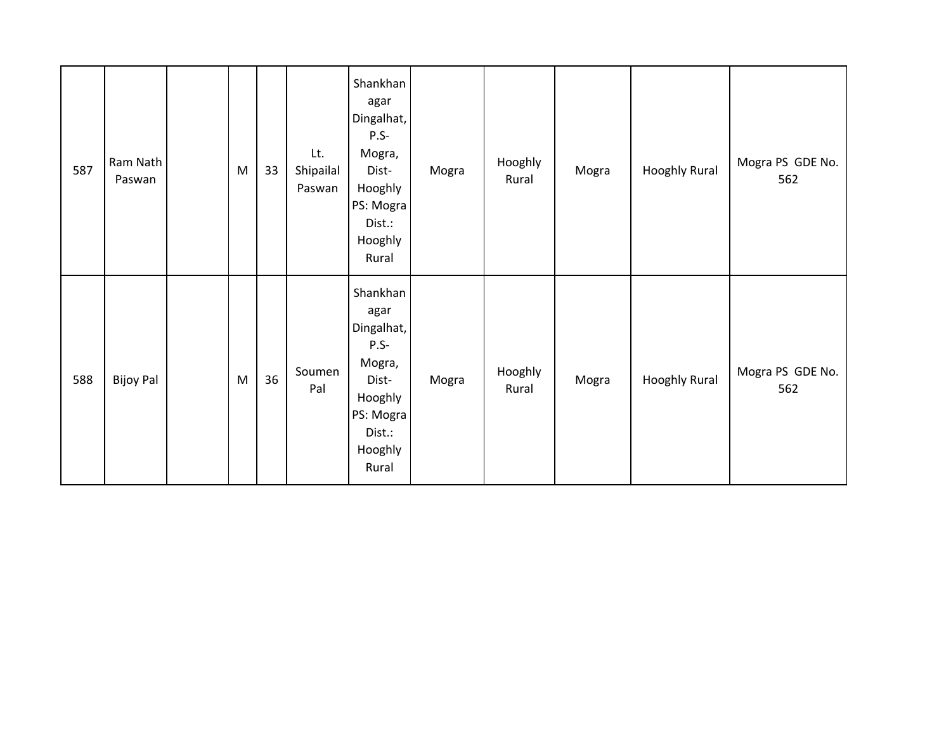| 587 | Ram Nath<br>Paswan | M | 33 | Lt.<br>Shipailal<br>Paswan | Shankhan<br>agar<br>Dingalhat,<br>$P.S-$<br>Mogra,<br>Dist-<br>Hooghly<br>PS: Mogra<br>Dist.:<br>Hooghly<br>Rural | Mogra | Hooghly<br>Rural | Mogra | <b>Hooghly Rural</b> | Mogra PS GDE No.<br>562 |
|-----|--------------------|---|----|----------------------------|-------------------------------------------------------------------------------------------------------------------|-------|------------------|-------|----------------------|-------------------------|
| 588 | <b>Bijoy Pal</b>   | M | 36 | Soumen<br>Pal              | Shankhan<br>agar<br>Dingalhat,<br>$P.S-$<br>Mogra,<br>Dist-<br>Hooghly<br>PS: Mogra<br>Dist.:<br>Hooghly<br>Rural | Mogra | Hooghly<br>Rural | Mogra | <b>Hooghly Rural</b> | Mogra PS GDE No.<br>562 |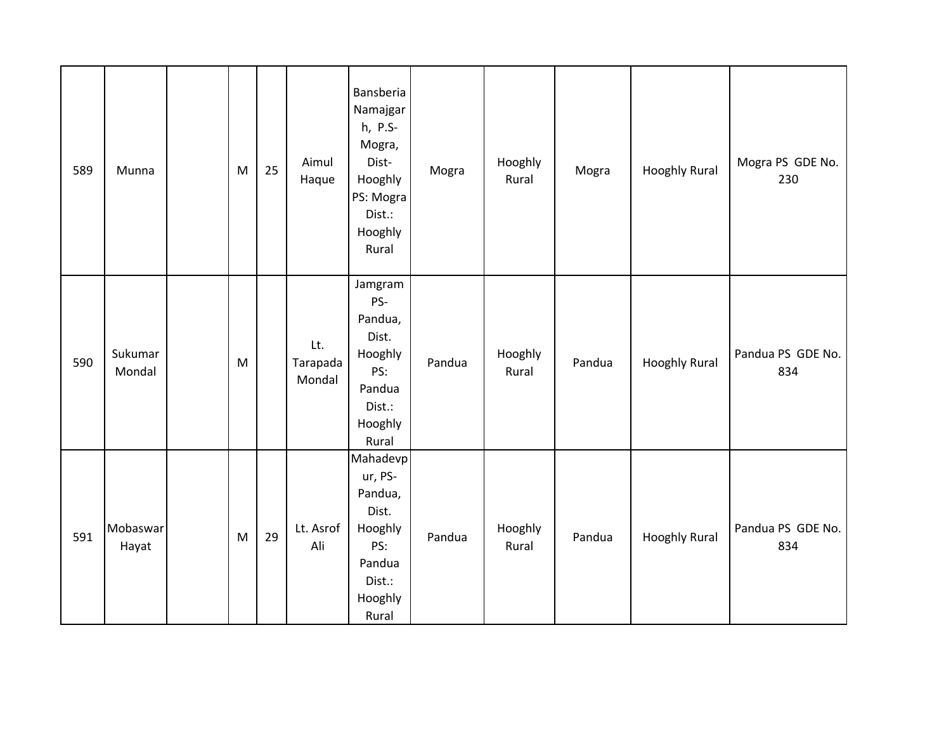| 589 | Munna             | M | 25 | Aimul<br>Haque            | Bansberia<br>Namajgar<br>h, P.S-<br>Mogra,<br>Dist-<br>Hooghly<br>PS: Mogra<br>Dist.:<br>Hooghly<br>Rural | Mogra  | Hooghly<br>Rural | Mogra  | <b>Hooghly Rural</b> | Mogra PS GDE No.<br>230  |
|-----|-------------------|---|----|---------------------------|-----------------------------------------------------------------------------------------------------------|--------|------------------|--------|----------------------|--------------------------|
| 590 | Sukumar<br>Mondal | M |    | Lt.<br>Tarapada<br>Mondal | Jamgram<br>PS-<br>Pandua,<br>Dist.<br>Hooghly<br>PS:<br>Pandua<br>Dist.:<br>Hooghly<br>Rural              | Pandua | Hooghly<br>Rural | Pandua | <b>Hooghly Rural</b> | Pandua PS GDE No.<br>834 |
| 591 | Mobaswar<br>Hayat | M | 29 | Lt. Asrof<br>Ali          | Mahadevp<br>ur, PS-<br>Pandua,<br>Dist.<br>Hooghly<br>PS:<br>Pandua<br>Dist.:<br>Hooghly<br>Rural         | Pandua | Hooghly<br>Rural | Pandua | <b>Hooghly Rural</b> | Pandua PS GDE No.<br>834 |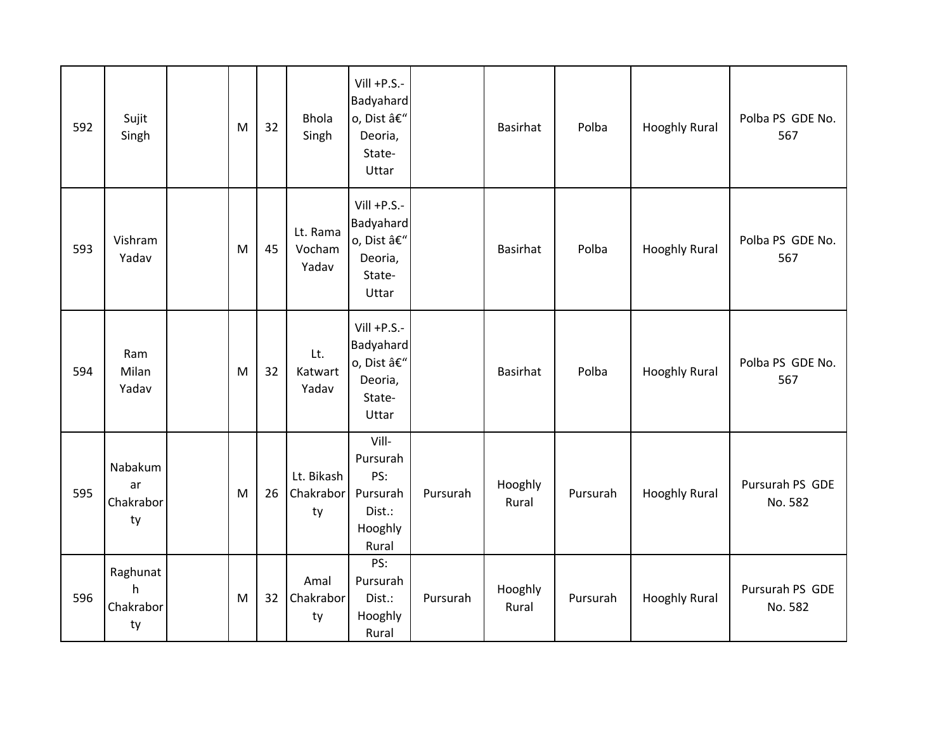| 592 | Sujit<br>Singh                   | M | 32 | <b>Bhola</b><br>Singh         | $Vill + P.S. -$<br>Badyahard<br>o, Dist –<br>Deoria,<br>State-<br>Uttar |          | <b>Basirhat</b>  | Polba    | <b>Hooghly Rural</b> | Polba PS GDE No.<br>567    |
|-----|----------------------------------|---|----|-------------------------------|-------------------------------------------------------------------------|----------|------------------|----------|----------------------|----------------------------|
| 593 | Vishram<br>Yadav                 | M | 45 | Lt. Rama<br>Vocham<br>Yadav   | $Vill + P.S. -$<br>Badyahard<br>o, Dist –<br>Deoria,<br>State-<br>Uttar |          | <b>Basirhat</b>  | Polba    | <b>Hooghly Rural</b> | Polba PS GDE No.<br>567    |
| 594 | Ram<br>Milan<br>Yadav            | M | 32 | Lt.<br>Katwart<br>Yadav       | $Vill + P.S. -$<br>Badyahard<br>o, Dist –<br>Deoria,<br>State-<br>Uttar |          | <b>Basirhat</b>  | Polba    | <b>Hooghly Rural</b> | Polba PS GDE No.<br>567    |
| 595 | Nabakum<br>ar<br>Chakrabor<br>ty | M | 26 | Lt. Bikash<br>Chakrabor<br>ty | Vill-<br>Pursurah<br>PS:<br>Pursurah<br>Dist.:<br>Hooghly<br>Rural      | Pursurah | Hooghly<br>Rural | Pursurah | <b>Hooghly Rural</b> | Pursurah PS GDE<br>No. 582 |
| 596 | Raghunat<br>h<br>Chakrabor<br>ty | M | 32 | Amal<br>Chakrabor<br>ty       | PS:<br>Pursurah<br>Dist.:<br>Hooghly<br>Rural                           | Pursurah | Hooghly<br>Rural | Pursurah | <b>Hooghly Rural</b> | Pursurah PS GDE<br>No. 582 |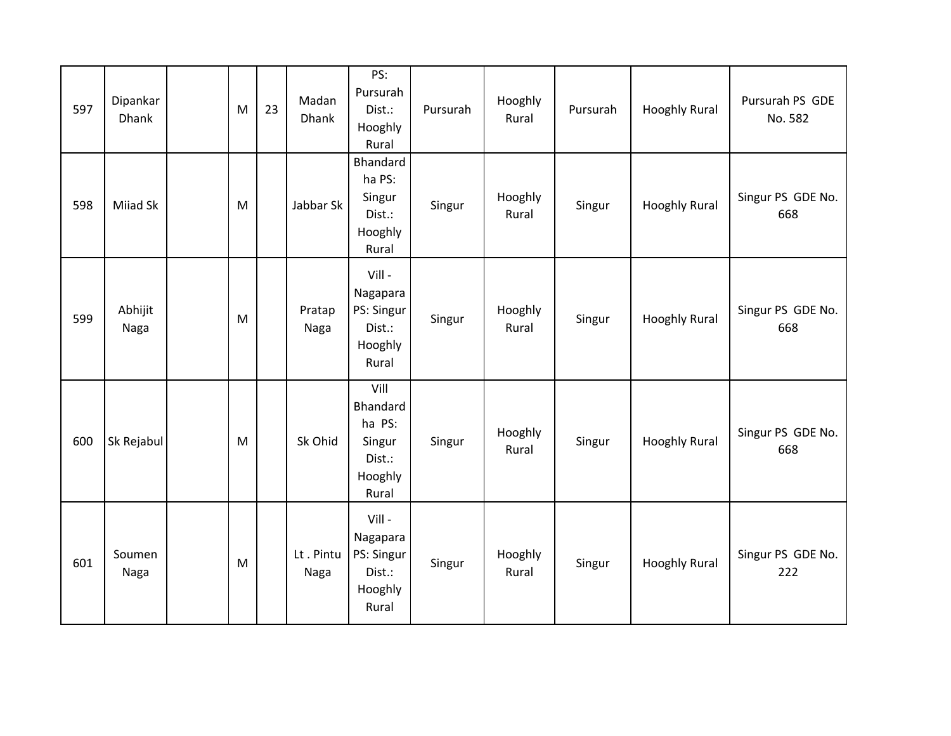| 597 | Dipankar<br>Dhank | M         | 23 | Madan<br><b>Dhank</b> | PS:<br>Pursurah<br>Dist.:<br>Hooghly<br>Rural                      | Pursurah | Hooghly<br>Rural | Pursurah | <b>Hooghly Rural</b> | Pursurah PS GDE<br>No. 582 |
|-----|-------------------|-----------|----|-----------------------|--------------------------------------------------------------------|----------|------------------|----------|----------------------|----------------------------|
| 598 | Miiad Sk          | M         |    | Jabbar Sk             | Bhandard<br>ha PS:<br>Singur<br>Dist.:<br>Hooghly<br>Rural         | Singur   | Hooghly<br>Rural | Singur   | <b>Hooghly Rural</b> | Singur PS GDE No.<br>668   |
| 599 | Abhijit<br>Naga   | M         |    | Pratap<br>Naga        | Vill-<br>Nagapara<br>PS: Singur<br>Dist.:<br>Hooghly<br>Rural      | Singur   | Hooghly<br>Rural | Singur   | <b>Hooghly Rural</b> | Singur PS GDE No.<br>668   |
| 600 | Sk Rejabul        | M         |    | Sk Ohid               | Vill<br>Bhandard<br>ha PS:<br>Singur<br>Dist.:<br>Hooghly<br>Rural | Singur   | Hooghly<br>Rural | Singur   | <b>Hooghly Rural</b> | Singur PS GDE No.<br>668   |
| 601 | Soumen<br>Naga    | ${\sf M}$ |    | Lt. Pintu<br>Naga     | Vill -<br>Nagapara<br>PS: Singur<br>Dist.:<br>Hooghly<br>Rural     | Singur   | Hooghly<br>Rural | Singur   | <b>Hooghly Rural</b> | Singur PS GDE No.<br>222   |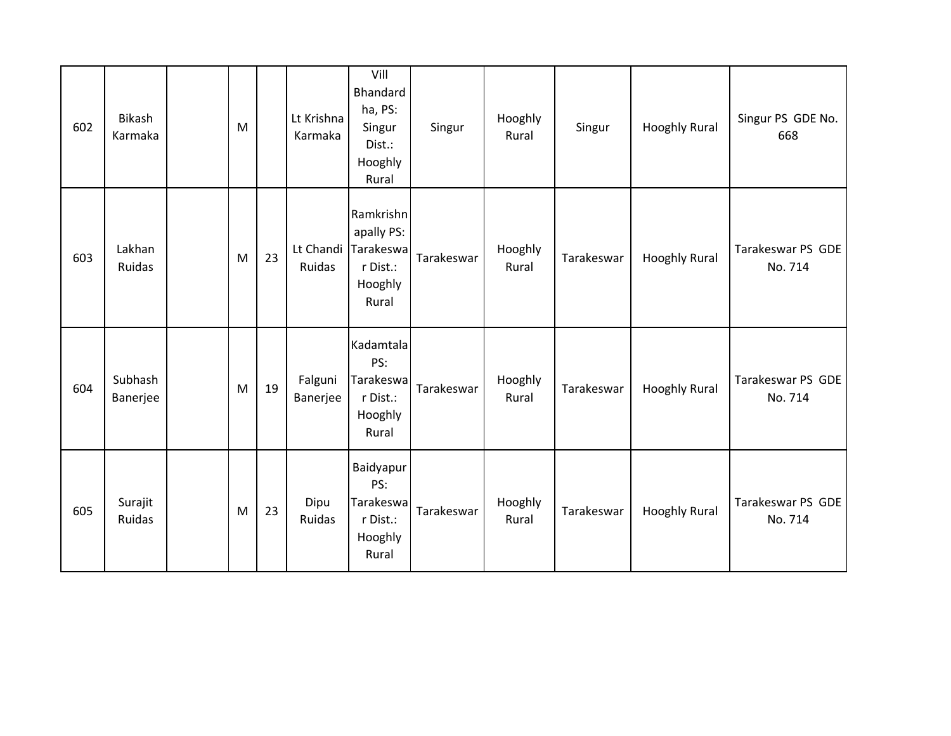| 602 | Bikash<br>Karmaka   | M |    | Lt Krishna<br>Karmaka | Vill<br>Bhandard<br>ha, PS:<br>Singur<br>Dist.:<br>Hooghly<br>Rural  | Singur     | Hooghly<br>Rural | Singur     | <b>Hooghly Rural</b> | Singur PS GDE No.<br>668     |
|-----|---------------------|---|----|-----------------------|----------------------------------------------------------------------|------------|------------------|------------|----------------------|------------------------------|
| 603 | Lakhan<br>Ruidas    | M | 23 | Lt Chandi<br>Ruidas   | Ramkrishn<br>apally PS:<br>Tarakeswa<br>r Dist.:<br>Hooghly<br>Rural | Tarakeswar | Hooghly<br>Rural | Tarakeswar | <b>Hooghly Rural</b> | Tarakeswar PS GDE<br>No. 714 |
| 604 | Subhash<br>Banerjee | M | 19 | Falguni<br>Banerjee   | Kadamtala<br>PS:<br>Tarakeswa<br>r Dist.:<br>Hooghly<br>Rural        | Tarakeswar | Hooghly<br>Rural | Tarakeswar | <b>Hooghly Rural</b> | Tarakeswar PS GDE<br>No. 714 |
| 605 | Surajit<br>Ruidas   | M | 23 | Dipu<br>Ruidas        | Baidyapur<br>PS:<br>Tarakeswa<br>r Dist.:<br>Hooghly<br>Rural        | Tarakeswar | Hooghly<br>Rural | Tarakeswar | <b>Hooghly Rural</b> | Tarakeswar PS GDE<br>No. 714 |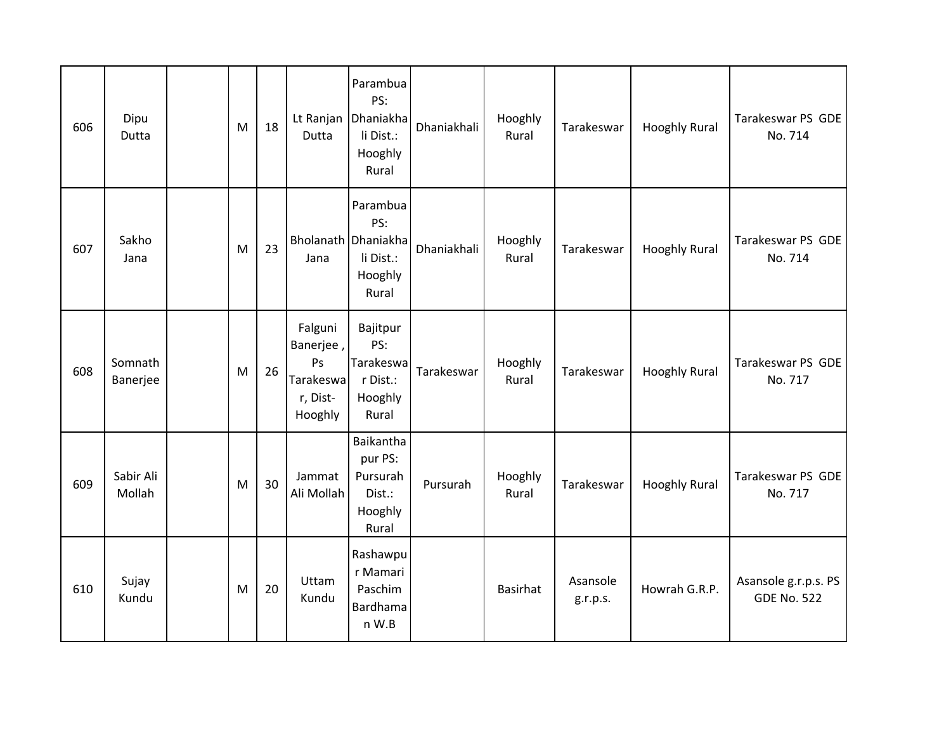| 606 | Dipu<br>Dutta       | M | 18 | Dutta                                                          | Parambua<br>PS:<br>Lt Ranjan Dhaniakha<br>li Dist.:<br>Hooghly<br>Rural | Dhaniakhali | Hooghly<br>Rural | Tarakeswar           | <b>Hooghly Rural</b> | Tarakeswar PS GDE<br>No. 714               |
|-----|---------------------|---|----|----------------------------------------------------------------|-------------------------------------------------------------------------|-------------|------------------|----------------------|----------------------|--------------------------------------------|
| 607 | Sakho<br>Jana       | M | 23 | Jana                                                           | Parambua<br>PS:<br>Bholanath Dhaniakha<br>li Dist.:<br>Hooghly<br>Rural | Dhaniakhali | Hooghly<br>Rural | Tarakeswar           | <b>Hooghly Rural</b> | Tarakeswar PS GDE<br>No. 714               |
| 608 | Somnath<br>Banerjee | M | 26 | Falguni<br>Banerjee,<br>Ps<br>Tarakeswa<br>r, Dist-<br>Hooghly | Bajitpur<br>PS:<br>Tarakeswa<br>r Dist.:<br>Hooghly<br>Rural            | Tarakeswar  | Hooghly<br>Rural | Tarakeswar           | <b>Hooghly Rural</b> | Tarakeswar PS GDE<br>No. 717               |
| 609 | Sabir Ali<br>Mollah | M | 30 | Jammat<br>Ali Mollah                                           | Baikantha<br>pur PS:<br>Pursurah<br>Dist.:<br>Hooghly<br>Rural          | Pursurah    | Hooghly<br>Rural | Tarakeswar           | <b>Hooghly Rural</b> | Tarakeswar PS GDE<br>No. 717               |
| 610 | Sujay<br>Kundu      | M | 20 | Uttam<br>Kundu                                                 | Rashawpu<br>r Mamari<br>Paschim<br>Bardhama<br>n W.B                    |             | <b>Basirhat</b>  | Asansole<br>g.r.p.s. | Howrah G.R.P.        | Asansole g.r.p.s. PS<br><b>GDE No. 522</b> |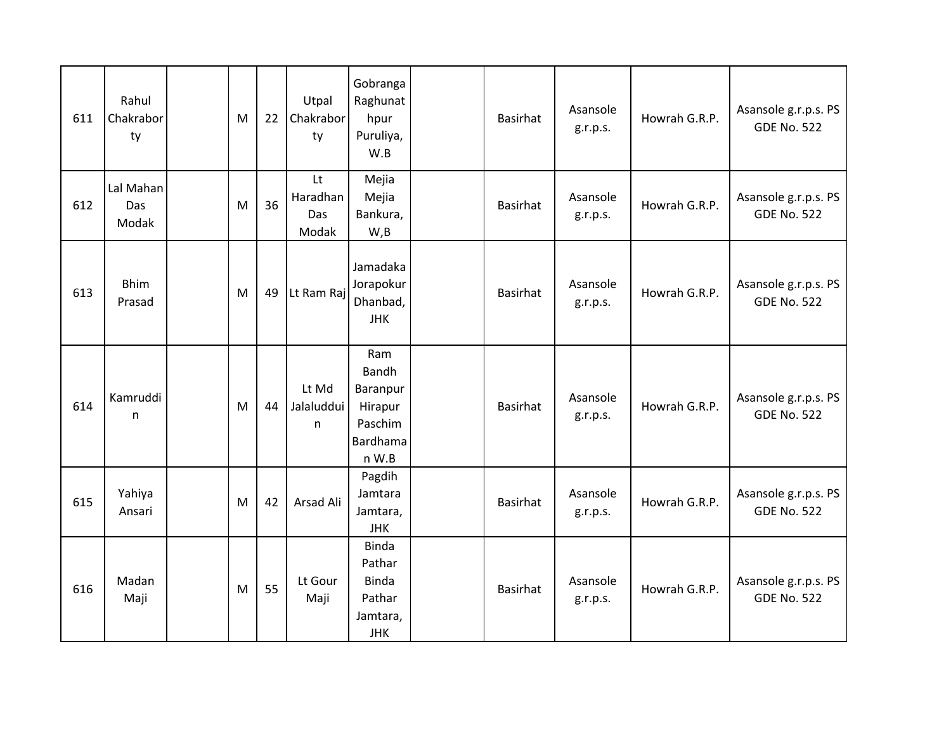| 611 | Rahul<br>Chakrabor<br>ty  | M | 22 | Utpal<br>Chakrabor<br>ty       | Gobranga<br>Raghunat<br>hpur<br>Puruliya,<br>W.B                           | Basirhat        | Asansole<br>g.r.p.s. | Howrah G.R.P. | Asansole g.r.p.s. PS<br><b>GDE No. 522</b> |
|-----|---------------------------|---|----|--------------------------------|----------------------------------------------------------------------------|-----------------|----------------------|---------------|--------------------------------------------|
| 612 | Lal Mahan<br>Das<br>Modak | M | 36 | Lt<br>Haradhan<br>Das<br>Modak | Mejia<br>Mejia<br>Bankura,<br>W, B                                         | <b>Basirhat</b> | Asansole<br>g.r.p.s. | Howrah G.R.P. | Asansole g.r.p.s. PS<br><b>GDE No. 522</b> |
| 613 | <b>Bhim</b><br>Prasad     | M | 49 | Lt Ram Raj                     | Jamadaka<br>Jorapokur<br>Dhanbad,<br><b>JHK</b>                            | Basirhat        | Asansole<br>g.r.p.s. | Howrah G.R.P. | Asansole g.r.p.s. PS<br><b>GDE No. 522</b> |
| 614 | Kamruddi<br>n             | M | 44 | Lt Md<br>Jalaluddui<br>n       | Ram<br>Bandh<br>Baranpur<br>Hirapur<br>Paschim<br>Bardhama<br>n W.B        | <b>Basirhat</b> | Asansole<br>g.r.p.s. | Howrah G.R.P. | Asansole g.r.p.s. PS<br><b>GDE No. 522</b> |
| 615 | Yahiya<br>Ansari          | M | 42 | Arsad Ali                      | Pagdih<br>Jamtara<br>Jamtara,<br><b>JHK</b>                                | Basirhat        | Asansole<br>g.r.p.s. | Howrah G.R.P. | Asansole g.r.p.s. PS<br><b>GDE No. 522</b> |
| 616 | Madan<br>Maji             | M | 55 | Lt Gour<br>Maji                | <b>Binda</b><br>Pathar<br><b>Binda</b><br>Pathar<br>Jamtara,<br><b>JHK</b> | Basirhat        | Asansole<br>g.r.p.s. | Howrah G.R.P. | Asansole g.r.p.s. PS<br><b>GDE No. 522</b> |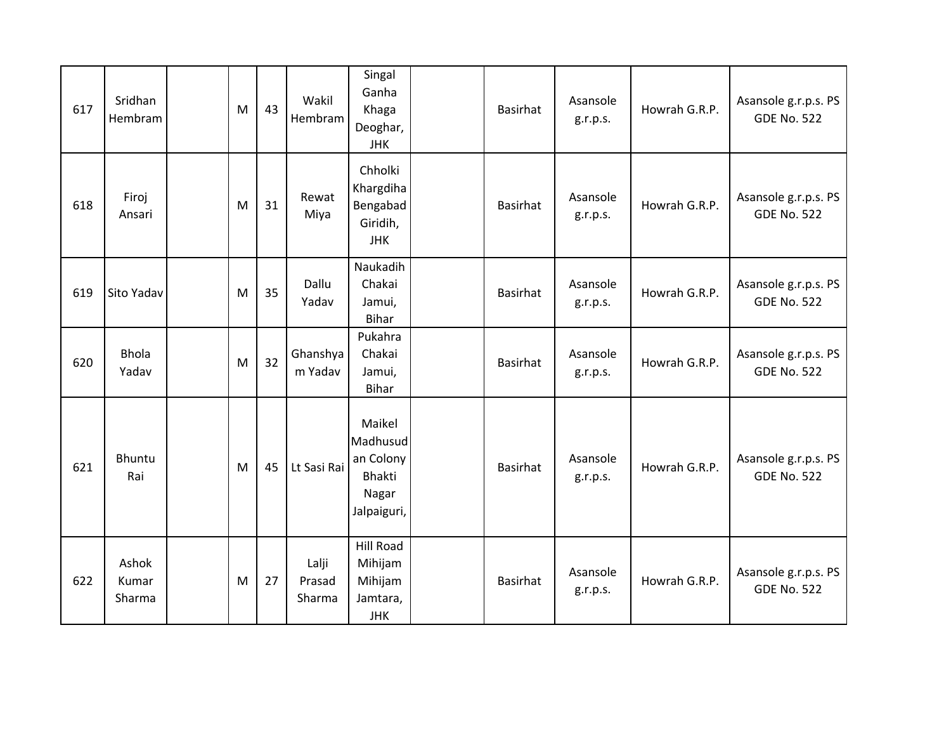| 617 | Sridhan<br>Hembram       | M | 43 | Wakil<br>Hembram          | Singal<br>Ganha<br>Khaga<br>Deoghar,<br><b>JHK</b>                       | <b>Basirhat</b> | Asansole<br>g.r.p.s. | Howrah G.R.P. | Asansole g.r.p.s. PS<br><b>GDE No. 522</b> |
|-----|--------------------------|---|----|---------------------------|--------------------------------------------------------------------------|-----------------|----------------------|---------------|--------------------------------------------|
| 618 | Firoj<br>Ansari          | M | 31 | Rewat<br>Miya             | Chholki<br>Khargdiha<br>Bengabad<br>Giridih,<br><b>JHK</b>               | <b>Basirhat</b> | Asansole<br>g.r.p.s. | Howrah G.R.P. | Asansole g.r.p.s. PS<br><b>GDE No. 522</b> |
| 619 | Sito Yadav               | M | 35 | Dallu<br>Yadav            | Naukadih<br>Chakai<br>Jamui,<br>Bihar                                    | <b>Basirhat</b> | Asansole<br>g.r.p.s. | Howrah G.R.P. | Asansole g.r.p.s. PS<br><b>GDE No. 522</b> |
| 620 | <b>Bhola</b><br>Yadav    | M | 32 | Ghanshya<br>m Yadav       | Pukahra<br>Chakai<br>Jamui,<br>Bihar                                     | <b>Basirhat</b> | Asansole<br>g.r.p.s. | Howrah G.R.P. | Asansole g.r.p.s. PS<br><b>GDE No. 522</b> |
| 621 | Bhuntu<br>Rai            | M | 45 | Lt Sasi Rai               | Maikel<br>Madhusud<br>an Colony<br><b>Bhakti</b><br>Nagar<br>Jalpaiguri, | <b>Basirhat</b> | Asansole<br>g.r.p.s. | Howrah G.R.P. | Asansole g.r.p.s. PS<br><b>GDE No. 522</b> |
| 622 | Ashok<br>Kumar<br>Sharma | M | 27 | Lalji<br>Prasad<br>Sharma | <b>Hill Road</b><br>Mihijam<br>Mihijam<br>Jamtara,<br><b>JHK</b>         | <b>Basirhat</b> | Asansole<br>g.r.p.s. | Howrah G.R.P. | Asansole g.r.p.s. PS<br><b>GDE No. 522</b> |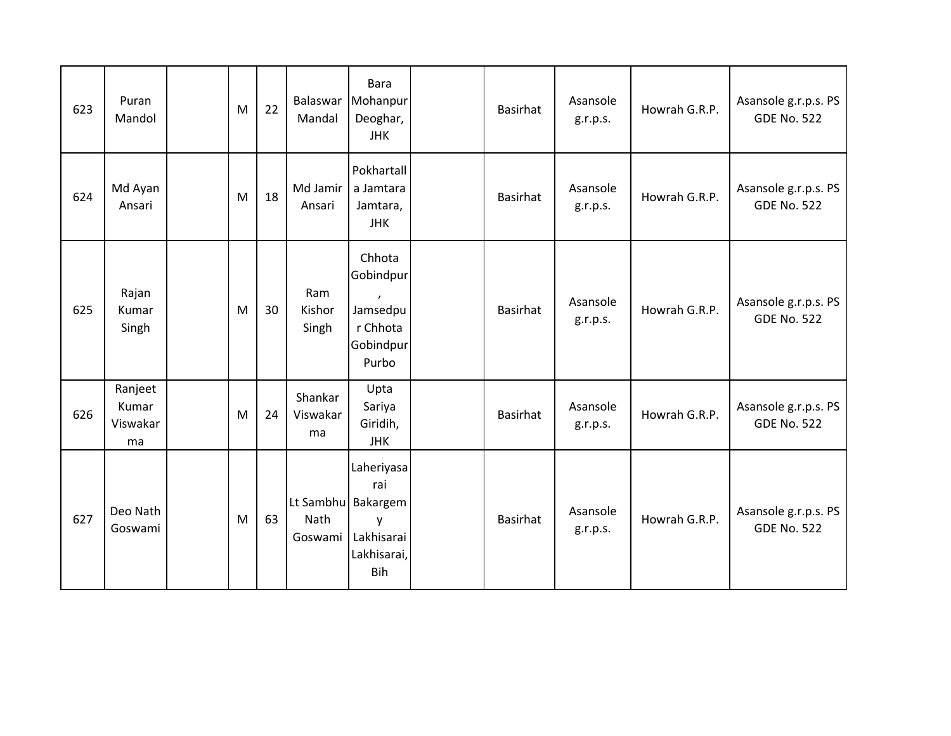| 623 | Puran<br>Mandol                    | M | 22 | Balaswar<br>Mandal        | Bara<br>Mohanpur<br>Deoghar,<br><b>JHK</b>                                              | <b>Basirhat</b> | Asansole<br>g.r.p.s. | Howrah G.R.P. | Asansole g.r.p.s. PS<br><b>GDE No. 522</b> |
|-----|------------------------------------|---|----|---------------------------|-----------------------------------------------------------------------------------------|-----------------|----------------------|---------------|--------------------------------------------|
| 624 | Md Ayan<br>Ansari                  | M | 18 | Md Jamir<br>Ansari        | Pokhartall<br>a Jamtara<br>Jamtara,<br><b>JHK</b>                                       | <b>Basirhat</b> | Asansole<br>g.r.p.s. | Howrah G.R.P. | Asansole g.r.p.s. PS<br><b>GDE No. 522</b> |
| 625 | Rajan<br>Kumar<br>Singh            | M | 30 | Ram<br>Kishor<br>Singh    | Chhota<br>Gobindpur<br>Jamsedpu<br>r Chhota<br>Gobindpur<br>Purbo                       | <b>Basirhat</b> | Asansole<br>g.r.p.s. | Howrah G.R.P. | Asansole g.r.p.s. PS<br><b>GDE No. 522</b> |
| 626 | Ranjeet<br>Kumar<br>Viswakar<br>ma | M | 24 | Shankar<br>Viswakar<br>ma | Upta<br>Sariya<br>Giridih,<br><b>JHK</b>                                                | <b>Basirhat</b> | Asansole<br>g.r.p.s. | Howrah G.R.P. | Asansole g.r.p.s. PS<br><b>GDE No. 522</b> |
| 627 | Deo Nath<br>Goswami                | M | 63 | Nath<br>Goswami           | Laheriyasa<br>rai<br>Lt Sambhu Bakargem<br>y<br>Lakhisarai<br>Lakhisarai,<br><b>Bih</b> | <b>Basirhat</b> | Asansole<br>g.r.p.s. | Howrah G.R.P. | Asansole g.r.p.s. PS<br><b>GDE No. 522</b> |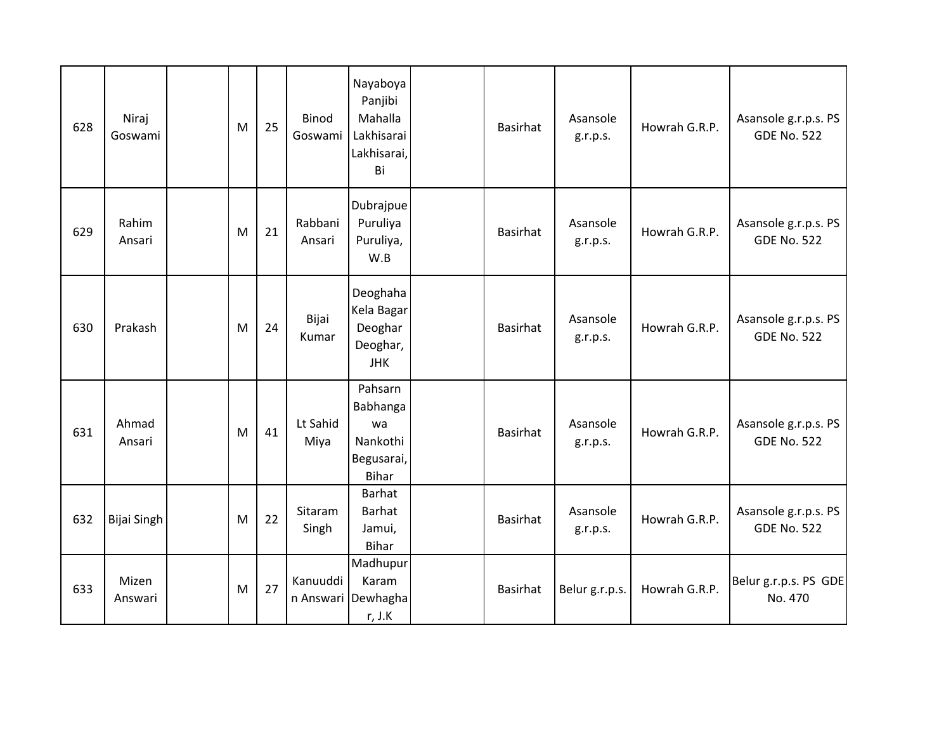| 628 | Niraj<br>Goswami   | M | 25 | <b>Binod</b><br>Goswami | Nayaboya<br>Panjibi<br>Mahalla<br>Lakhisarai<br>Lakhisarai,<br>Bi   | <b>Basirhat</b> | Asansole<br>g.r.p.s. | Howrah G.R.P. | Asansole g.r.p.s. PS<br><b>GDE No. 522</b> |
|-----|--------------------|---|----|-------------------------|---------------------------------------------------------------------|-----------------|----------------------|---------------|--------------------------------------------|
| 629 | Rahim<br>Ansari    | M | 21 | Rabbani<br>Ansari       | Dubrajpue<br>Puruliya<br>Puruliya,<br>W.B                           | <b>Basirhat</b> | Asansole<br>g.r.p.s. | Howrah G.R.P. | Asansole g.r.p.s. PS<br><b>GDE No. 522</b> |
| 630 | Prakash            | M | 24 | Bijai<br>Kumar          | Deoghaha<br>Kela Bagar<br>Deoghar<br>Deoghar,<br><b>JHK</b>         | <b>Basirhat</b> | Asansole<br>g.r.p.s. | Howrah G.R.P. | Asansole g.r.p.s. PS<br><b>GDE No. 522</b> |
| 631 | Ahmad<br>Ansari    | M | 41 | Lt Sahid<br>Miya        | Pahsarn<br>Babhanga<br>wa<br>Nankothi<br>Begusarai,<br><b>Bihar</b> | <b>Basirhat</b> | Asansole<br>g.r.p.s. | Howrah G.R.P. | Asansole g.r.p.s. PS<br><b>GDE No. 522</b> |
| 632 | <b>Bijai Singh</b> | M | 22 | Sitaram<br>Singh        | <b>Barhat</b><br><b>Barhat</b><br>Jamui,<br>Bihar                   | <b>Basirhat</b> | Asansole<br>g.r.p.s. | Howrah G.R.P. | Asansole g.r.p.s. PS<br><b>GDE No. 522</b> |
| 633 | Mizen<br>Answari   | M | 27 | Kanuuddi<br>n Answari   | Madhupur<br>Karam<br>Dewhagha<br>r, J.K                             | <b>Basirhat</b> | Belur g.r.p.s.       | Howrah G.R.P. | Belur g.r.p.s. PS GDE<br>No. 470           |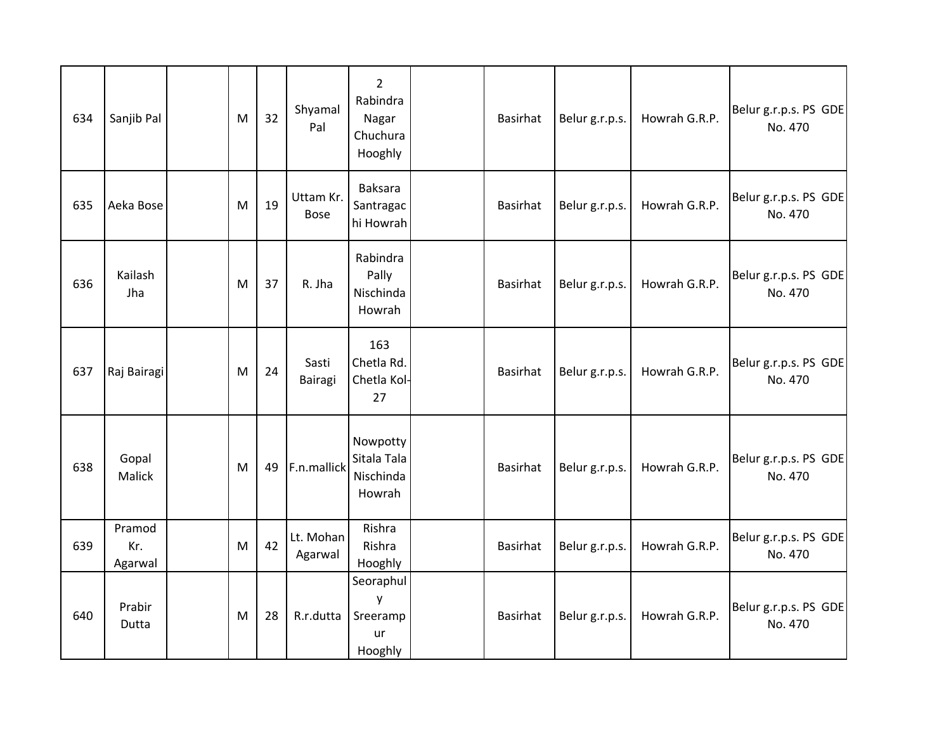| 634 | Sanjib Pal               | M | 32 | Shyamal<br>Pal           | $\overline{2}$<br>Rabindra<br>Nagar<br>Chuchura<br>Hooghly | Basirhat        | Belur g.r.p.s. | Howrah G.R.P. | Belur g.r.p.s. PS GDE<br>No. 470 |
|-----|--------------------------|---|----|--------------------------|------------------------------------------------------------|-----------------|----------------|---------------|----------------------------------|
| 635 | Aeka Bose                | M | 19 | Uttam Kr.<br><b>Bose</b> | <b>Baksara</b><br>Santragac<br>hi Howrah                   | Basirhat        | Belur g.r.p.s. | Howrah G.R.P. | Belur g.r.p.s. PS GDE<br>No. 470 |
| 636 | Kailash<br>Jha           | M | 37 | R. Jha                   | Rabindra<br>Pally<br>Nischinda<br>Howrah                   | Basirhat        | Belur g.r.p.s. | Howrah G.R.P. | Belur g.r.p.s. PS GDE<br>No. 470 |
| 637 | Raj Bairagi              | M | 24 | Sasti<br>Bairagi         | 163<br>Chetla Rd.<br>Chetla Kol-<br>27                     | <b>Basirhat</b> | Belur g.r.p.s. | Howrah G.R.P. | Belur g.r.p.s. PS GDE<br>No. 470 |
| 638 | Gopal<br><b>Malick</b>   | M | 49 | F.n.mallick              | Nowpotty<br>Sitala Tala<br>Nischinda<br>Howrah             | <b>Basirhat</b> | Belur g.r.p.s. | Howrah G.R.P. | Belur g.r.p.s. PS GDE<br>No. 470 |
| 639 | Pramod<br>Kr.<br>Agarwal | M | 42 | Lt. Mohan<br>Agarwal     | Rishra<br>Rishra<br>Hooghly                                | Basirhat        | Belur g.r.p.s. | Howrah G.R.P. | Belur g.r.p.s. PS GDE<br>No. 470 |
| 640 | Prabir<br>Dutta          | M | 28 | R.r.dutta                | Seoraphul<br>y<br>Sreeramp<br>ur<br>Hooghly                | Basirhat        | Belur g.r.p.s. | Howrah G.R.P. | Belur g.r.p.s. PS GDE<br>No. 470 |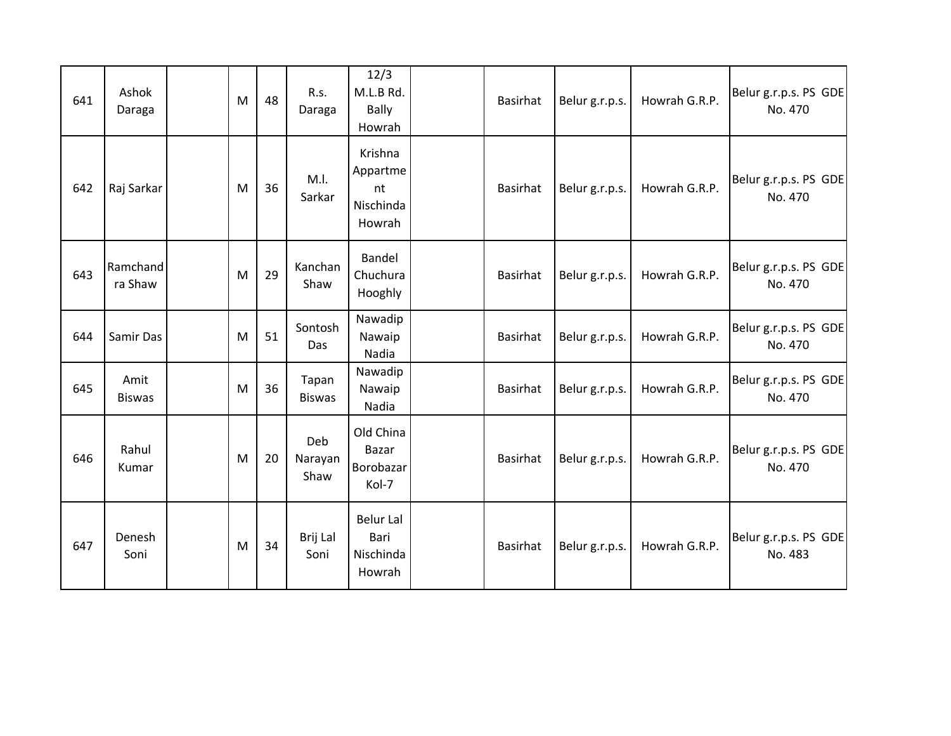| 641 | Ashok<br>Daraga       | M | 48 | R.s.<br>Daraga         | 12/3<br>M.L.B Rd.<br><b>Bally</b><br>Howrah      | Basirhat        | Belur g.r.p.s. | Howrah G.R.P. | Belur g.r.p.s. PS GDE<br>No. 470 |
|-----|-----------------------|---|----|------------------------|--------------------------------------------------|-----------------|----------------|---------------|----------------------------------|
| 642 | Raj Sarkar            | M | 36 | M.I.<br>Sarkar         | Krishna<br>Appartme<br>nt<br>Nischinda<br>Howrah | Basirhat        | Belur g.r.p.s. | Howrah G.R.P. | Belur g.r.p.s. PS GDE<br>No. 470 |
| 643 | Ramchand<br>ra Shaw   | M | 29 | Kanchan<br>Shaw        | Bandel<br>Chuchura<br>Hooghly                    | Basirhat        | Belur g.r.p.s. | Howrah G.R.P. | Belur g.r.p.s. PS GDE<br>No. 470 |
| 644 | Samir Das             | M | 51 | Sontosh<br>Das         | Nawadip<br>Nawaip<br>Nadia                       | <b>Basirhat</b> | Belur g.r.p.s. | Howrah G.R.P. | Belur g.r.p.s. PS GDE<br>No. 470 |
| 645 | Amit<br><b>Biswas</b> | M | 36 | Tapan<br><b>Biswas</b> | Nawadip<br>Nawaip<br>Nadia                       | Basirhat        | Belur g.r.p.s. | Howrah G.R.P. | Belur g.r.p.s. PS GDE<br>No. 470 |
| 646 | Rahul<br>Kumar        | M | 20 | Deb<br>Narayan<br>Shaw | Old China<br>Bazar<br>Borobazar<br>Kol-7         | Basirhat        | Belur g.r.p.s. | Howrah G.R.P. | Belur g.r.p.s. PS GDE<br>No. 470 |
| 647 | Denesh<br>Soni        | M | 34 | Brij Lal<br>Soni       | <b>Belur Lal</b><br>Bari<br>Nischinda<br>Howrah  | Basirhat        | Belur g.r.p.s. | Howrah G.R.P. | Belur g.r.p.s. PS GDE<br>No. 483 |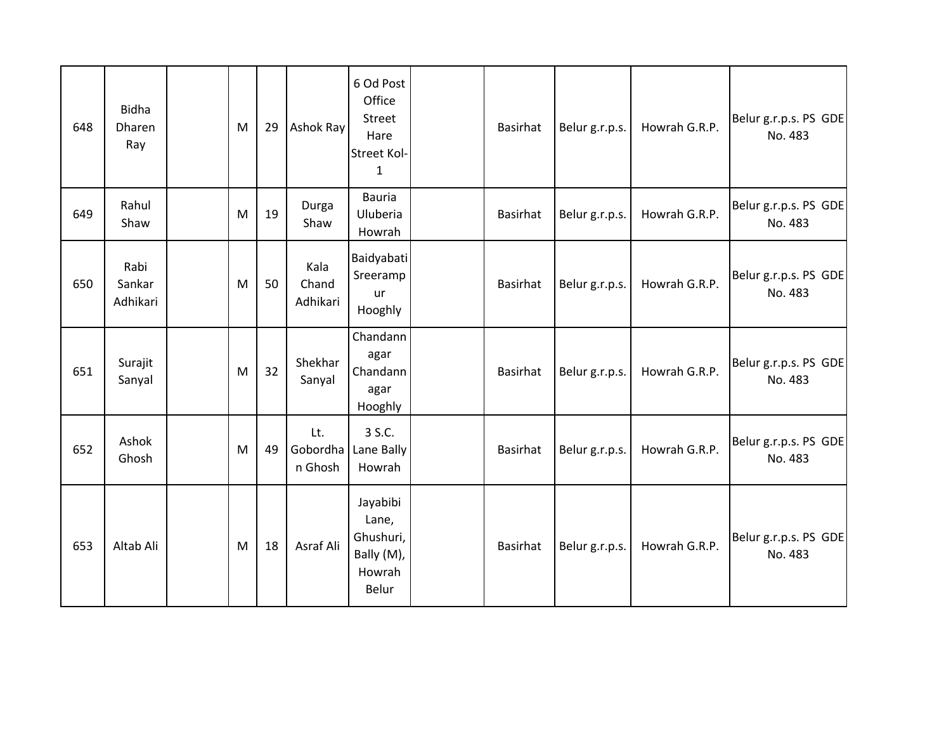| 648 | <b>Bidha</b><br>Dharen<br>Ray | M | 29 | <b>Ashok Ray</b>          | 6 Od Post<br>Office<br><b>Street</b><br>Hare<br><b>Street Kol-</b><br>$\mathbf{1}$ | <b>Basirhat</b> | Belur g.r.p.s. | Howrah G.R.P. | Belur g.r.p.s. PS GDE<br>No. 483 |
|-----|-------------------------------|---|----|---------------------------|------------------------------------------------------------------------------------|-----------------|----------------|---------------|----------------------------------|
| 649 | Rahul<br>Shaw                 | M | 19 | Durga<br>Shaw             | Bauria<br>Uluberia<br>Howrah                                                       | Basirhat        | Belur g.r.p.s. | Howrah G.R.P. | Belur g.r.p.s. PS GDE<br>No. 483 |
| 650 | Rabi<br>Sankar<br>Adhikari    | M | 50 | Kala<br>Chand<br>Adhikari | Baidyabati<br>Sreeramp<br>ur<br>Hooghly                                            | Basirhat        | Belur g.r.p.s. | Howrah G.R.P. | Belur g.r.p.s. PS GDE<br>No. 483 |
| 651 | Surajit<br>Sanyal             | M | 32 | Shekhar<br>Sanyal         | Chandann<br>agar<br>Chandann<br>agar<br>Hooghly                                    | Basirhat        | Belur g.r.p.s. | Howrah G.R.P. | Belur g.r.p.s. PS GDE<br>No. 483 |
| 652 | Ashok<br>Ghosh                | M | 49 | Lt.<br>n Ghosh            | 3 S.C.<br>Gobordha Lane Bally<br>Howrah                                            | Basirhat        | Belur g.r.p.s. | Howrah G.R.P. | Belur g.r.p.s. PS GDE<br>No. 483 |
| 653 | Altab Ali                     | M | 18 | Asraf Ali                 | Jayabibi<br>Lane,<br>Ghushuri,<br>Bally (M),<br>Howrah<br>Belur                    | Basirhat        | Belur g.r.p.s. | Howrah G.R.P. | Belur g.r.p.s. PS GDE<br>No. 483 |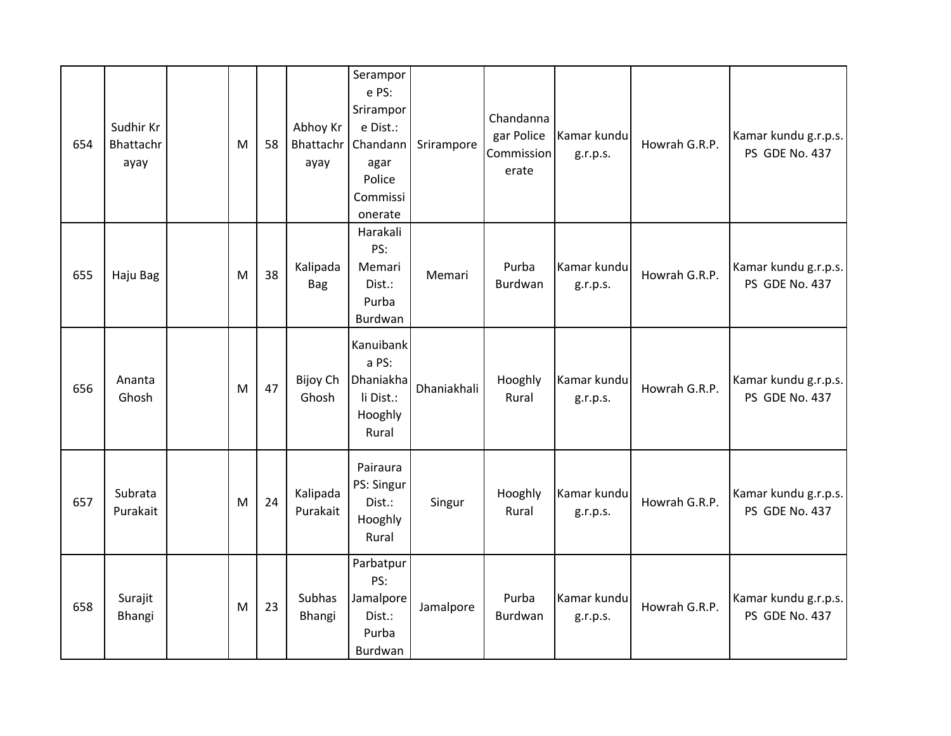| 654 | Sudhir Kr<br>Bhattachr<br>ayay | М         | 58 | Abhoy Kr<br>Bhattachr<br>ayay | Serampor<br>e PS:<br>Srirampor<br>e Dist.:<br>Chandann<br>agar<br>Police<br>Commissi<br>onerate | Srirampore  | Chandanna<br>gar Police<br>Commission<br>erate | Kamar kundu<br>g.r.p.s. | Howrah G.R.P. | Kamar kundu g.r.p.s.<br>PS GDE No. 437 |
|-----|--------------------------------|-----------|----|-------------------------------|-------------------------------------------------------------------------------------------------|-------------|------------------------------------------------|-------------------------|---------------|----------------------------------------|
| 655 | Haju Bag                       | M         | 38 | Kalipada<br><b>Bag</b>        | Harakali<br>PS:<br>Memari<br>Dist.:<br>Purba<br>Burdwan                                         | Memari      | Purba<br>Burdwan                               | Kamar kundu<br>g.r.p.s. | Howrah G.R.P. | Kamar kundu g.r.p.s.<br>PS GDE No. 437 |
| 656 | Ananta<br>Ghosh                | M         | 47 | Bijoy Ch<br>Ghosh             | Kanuibank<br>a PS:<br>Dhaniakha<br>li Dist.:<br>Hooghly<br>Rural                                | Dhaniakhali | Hooghly<br>Rural                               | Kamar kundu<br>g.r.p.s. | Howrah G.R.P. | Kamar kundu g.r.p.s.<br>PS GDE No. 437 |
| 657 | Subrata<br>Purakait            | ${\sf M}$ | 24 | Kalipada<br>Purakait          | Pairaura<br>PS: Singur<br>Dist.:<br>Hooghly<br>Rural                                            | Singur      | Hooghly<br>Rural                               | Kamar kundu<br>g.r.p.s. | Howrah G.R.P. | Kamar kundu g.r.p.s.<br>PS GDE No. 437 |
| 658 | Surajit<br>Bhangi              | M         | 23 | Subhas<br>Bhangi              | Parbatpur<br>PS:<br>Jamalpore<br>Dist.:<br>Purba<br>Burdwan                                     | Jamalpore   | Purba<br>Burdwan                               | Kamar kundu<br>g.r.p.s. | Howrah G.R.P. | Kamar kundu g.r.p.s.<br>PS GDE No. 437 |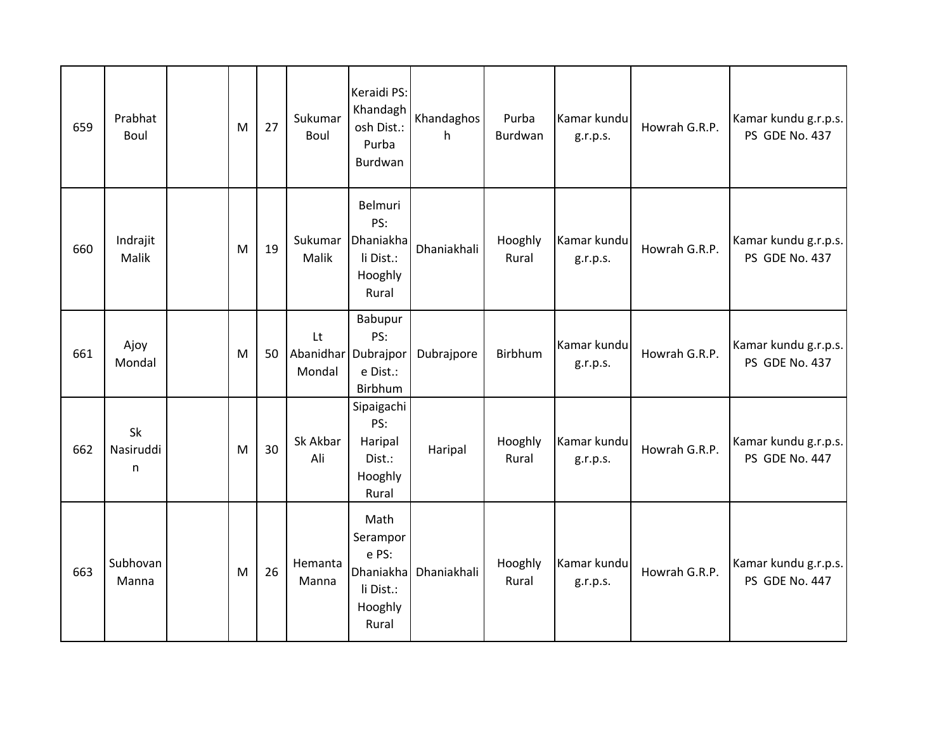| 659 | Prabhat<br>Boul      | M | 27 | Sukumar<br>Boul  | Keraidi PS:<br>Khandagh<br>osh Dist.:<br>Purba<br>Burdwan               | Khandaghos<br>h | Purba<br>Burdwan | Kamar kundu<br>g.r.p.s. | Howrah G.R.P. | Kamar kundu g.r.p.s.<br>PS GDE No. 437 |
|-----|----------------------|---|----|------------------|-------------------------------------------------------------------------|-----------------|------------------|-------------------------|---------------|----------------------------------------|
| 660 | Indrajit<br>Malik    | M | 19 | Sukumar<br>Malik | Belmuri<br>PS:<br>Dhaniakha<br>li Dist.:<br>Hooghly<br>Rural            | Dhaniakhali     | Hooghly<br>Rural | Kamar kundu<br>g.r.p.s. | Howrah G.R.P. | Kamar kundu g.r.p.s.<br>PS GDE No. 437 |
| 661 | Ajoy<br>Mondal       | M | 50 | Lt<br>Mondal     | Babupur<br>PS:<br>Abanidhar Dubrajpor<br>e Dist.:<br>Birbhum            | Dubrajpore      | Birbhum          | Kamar kundu<br>g.r.p.s. | Howrah G.R.P. | Kamar kundu g.r.p.s.<br>PS GDE No. 437 |
| 662 | Sk<br>Nasiruddi<br>n | M | 30 | Sk Akbar<br>Ali  | Sipaigachi<br>PS:<br>Haripal<br>Dist.:<br>Hooghly<br>Rural              | Haripal         | Hooghly<br>Rural | Kamar kundu<br>g.r.p.s. | Howrah G.R.P. | Kamar kundu g.r.p.s.<br>PS GDE No. 447 |
| 663 | Subhovan<br>Manna    | M | 26 | Hemanta<br>Manna | Math<br>Serampor<br>e PS:<br>Dhaniakha<br>li Dist.:<br>Hooghly<br>Rural | Dhaniakhali     | Hooghly<br>Rural | Kamar kundu<br>g.r.p.s. | Howrah G.R.P. | Kamar kundu g.r.p.s.<br>PS GDE No. 447 |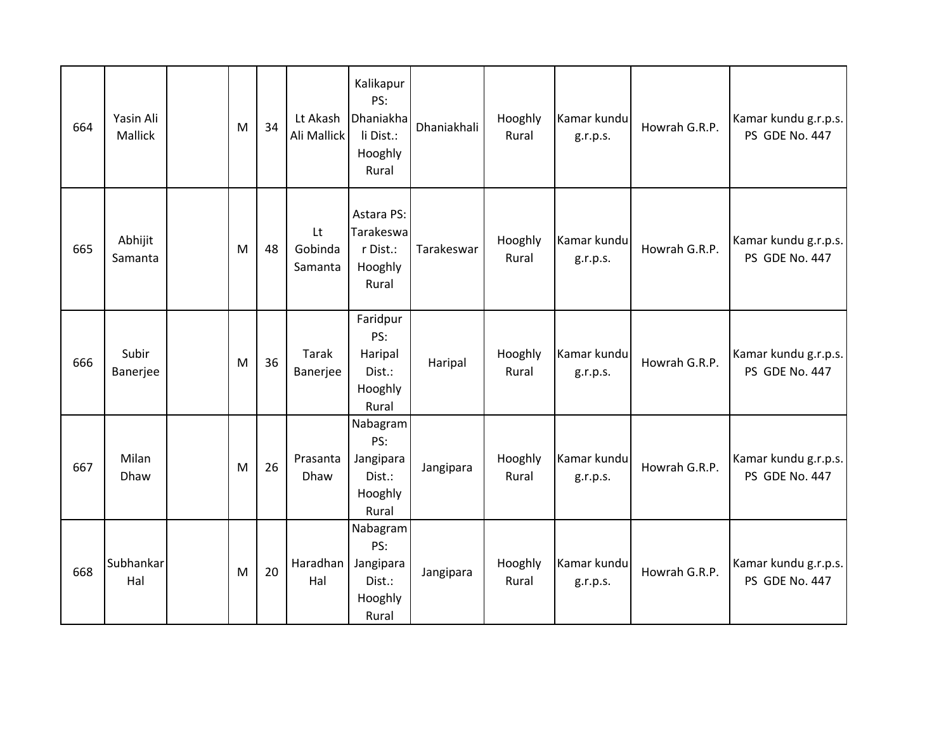| 664 | Yasin Ali<br>Mallick | M | 34 | Lt Akash<br>Ali Mallick  | Kalikapur<br>PS:<br>Dhaniakha<br>li Dist.:<br>Hooghly<br>Rural | Dhaniakhali | Hooghly<br>Rural | Kamar kundu<br>g.r.p.s. | Howrah G.R.P. | Kamar kundu g.r.p.s.<br>PS GDE No. 447 |
|-----|----------------------|---|----|--------------------------|----------------------------------------------------------------|-------------|------------------|-------------------------|---------------|----------------------------------------|
| 665 | Abhijit<br>Samanta   | M | 48 | Lt<br>Gobinda<br>Samanta | Astara PS:<br>Tarakeswa<br>r Dist.:<br>Hooghly<br>Rural        | Tarakeswar  | Hooghly<br>Rural | Kamar kundu<br>g.r.p.s. | Howrah G.R.P. | Kamar kundu g.r.p.s.<br>PS GDE No. 447 |
| 666 | Subir<br>Banerjee    | M | 36 | Tarak<br>Banerjee        | Faridpur<br>PS:<br>Haripal<br>Dist.:<br>Hooghly<br>Rural       | Haripal     | Hooghly<br>Rural | Kamar kundu<br>g.r.p.s. | Howrah G.R.P. | Kamar kundu g.r.p.s.<br>PS GDE No. 447 |
| 667 | Milan<br>Dhaw        | M | 26 | Prasanta<br>Dhaw         | Nabagram<br>PS:<br>Jangipara<br>Dist.:<br>Hooghly<br>Rural     | Jangipara   | Hooghly<br>Rural | Kamar kundu<br>g.r.p.s. | Howrah G.R.P. | Kamar kundu g.r.p.s.<br>PS GDE No. 447 |
| 668 | Subhankar<br>Hal     | M | 20 | Haradhan<br>Hal          | Nabagram<br>PS:<br>Jangipara<br>Dist.:<br>Hooghly<br>Rural     | Jangipara   | Hooghly<br>Rural | Kamar kundu<br>g.r.p.s. | Howrah G.R.P. | Kamar kundu g.r.p.s.<br>PS GDE No. 447 |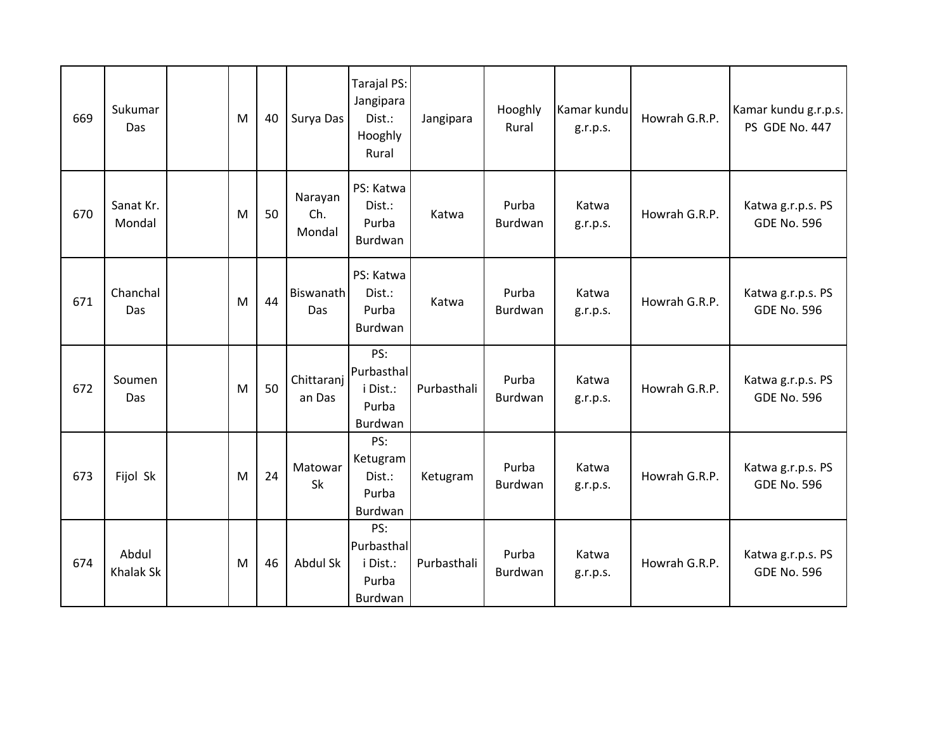| 669 | Sukumar<br>Das      | M | 40 | Surya Das                | Tarajal PS:<br>Jangipara<br>Dist.:<br>Hooghly<br>Rural | Jangipara   | Hooghly<br>Rural        | Kamar kundu<br>g.r.p.s. | Howrah G.R.P. | Kamar kundu g.r.p.s.<br>PS GDE No. 447  |
|-----|---------------------|---|----|--------------------------|--------------------------------------------------------|-------------|-------------------------|-------------------------|---------------|-----------------------------------------|
| 670 | Sanat Kr.<br>Mondal | M | 50 | Narayan<br>Ch.<br>Mondal | PS: Katwa<br>Dist.:<br>Purba<br>Burdwan                | Katwa       | Purba<br>Burdwan        | Katwa<br>g.r.p.s.       | Howrah G.R.P. | Katwa g.r.p.s. PS<br><b>GDE No. 596</b> |
| 671 | Chanchal<br>Das     | M | 44 | Biswanath<br>Das         | PS: Katwa<br>Dist.:<br>Purba<br>Burdwan                | Katwa       | Purba<br>Burdwan        | Katwa<br>g.r.p.s.       | Howrah G.R.P. | Katwa g.r.p.s. PS<br><b>GDE No. 596</b> |
| 672 | Soumen<br>Das       | M | 50 | Chittaranj<br>an Das     | PS:<br>Purbasthal<br>i Dist.:<br>Purba<br>Burdwan      | Purbasthali | Purba<br>Burdwan        | Katwa<br>g.r.p.s.       | Howrah G.R.P. | Katwa g.r.p.s. PS<br><b>GDE No. 596</b> |
| 673 | Fijol Sk            | M | 24 | Matowar<br>Sk            | PS:<br>Ketugram<br>Dist.:<br>Purba<br>Burdwan          | Ketugram    | Purba<br>Burdwan        | Katwa<br>g.r.p.s.       | Howrah G.R.P. | Katwa g.r.p.s. PS<br><b>GDE No. 596</b> |
| 674 | Abdul<br>Khalak Sk  | M | 46 | Abdul Sk                 | PS:<br>Purbasthal<br>i Dist.:<br>Purba<br>Burdwan      | Purbasthali | Purba<br><b>Burdwan</b> | Katwa<br>g.r.p.s.       | Howrah G.R.P. | Katwa g.r.p.s. PS<br><b>GDE No. 596</b> |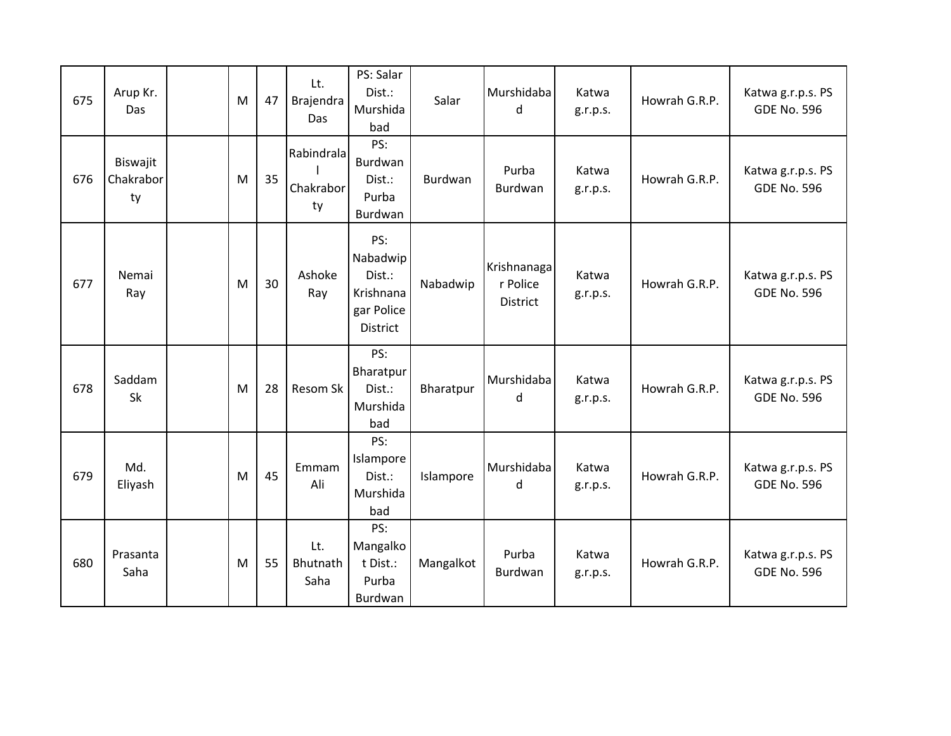| 675 | Arup Kr.<br>Das             | M | 47 | Lt.<br>Brajendra<br><b>Das</b> | PS: Salar<br>Dist.:<br>Murshida<br>bad                                  | Salar     | Murshidaba<br>d                            | Katwa<br>g.r.p.s. | Howrah G.R.P. | Katwa g.r.p.s. PS<br><b>GDE No. 596</b> |
|-----|-----------------------------|---|----|--------------------------------|-------------------------------------------------------------------------|-----------|--------------------------------------------|-------------------|---------------|-----------------------------------------|
| 676 | Biswajit<br>Chakrabor<br>ty | M | 35 | Rabindrala<br>Chakrabor<br>ty  | PS:<br>Burdwan<br>Dist.:<br>Purba<br>Burdwan                            | Burdwan   | Purba<br>Burdwan                           | Katwa<br>g.r.p.s. | Howrah G.R.P. | Katwa g.r.p.s. PS<br><b>GDE No. 596</b> |
| 677 | Nemai<br>Ray                | M | 30 | Ashoke<br>Ray                  | PS:<br>Nabadwip<br>Dist.:<br>Krishnana<br>gar Police<br><b>District</b> | Nabadwip  | Krishnanaga<br>r Police<br><b>District</b> | Katwa<br>g.r.p.s. | Howrah G.R.P. | Katwa g.r.p.s. PS<br><b>GDE No. 596</b> |
| 678 | Saddam<br>Sk                | M | 28 | Resom Sk                       | PS:<br>Bharatpur<br>Dist.:<br>Murshida<br>bad                           | Bharatpur | Murshidaba<br>d                            | Katwa<br>g.r.p.s. | Howrah G.R.P. | Katwa g.r.p.s. PS<br><b>GDE No. 596</b> |
| 679 | Md.<br>Eliyash              | M | 45 | Emmam<br>Ali                   | PS:<br>Islampore<br>Dist.:<br>Murshida<br>bad                           | Islampore | Murshidaba<br>d                            | Katwa<br>g.r.p.s. | Howrah G.R.P. | Katwa g.r.p.s. PS<br><b>GDE No. 596</b> |
| 680 | Prasanta<br>Saha            | M | 55 | Lt.<br>Bhutnath<br>Saha        | PS:<br>Mangalko<br>t Dist.:<br>Purba<br>Burdwan                         | Mangalkot | Purba<br>Burdwan                           | Katwa<br>g.r.p.s. | Howrah G.R.P. | Katwa g.r.p.s. PS<br><b>GDE No. 596</b> |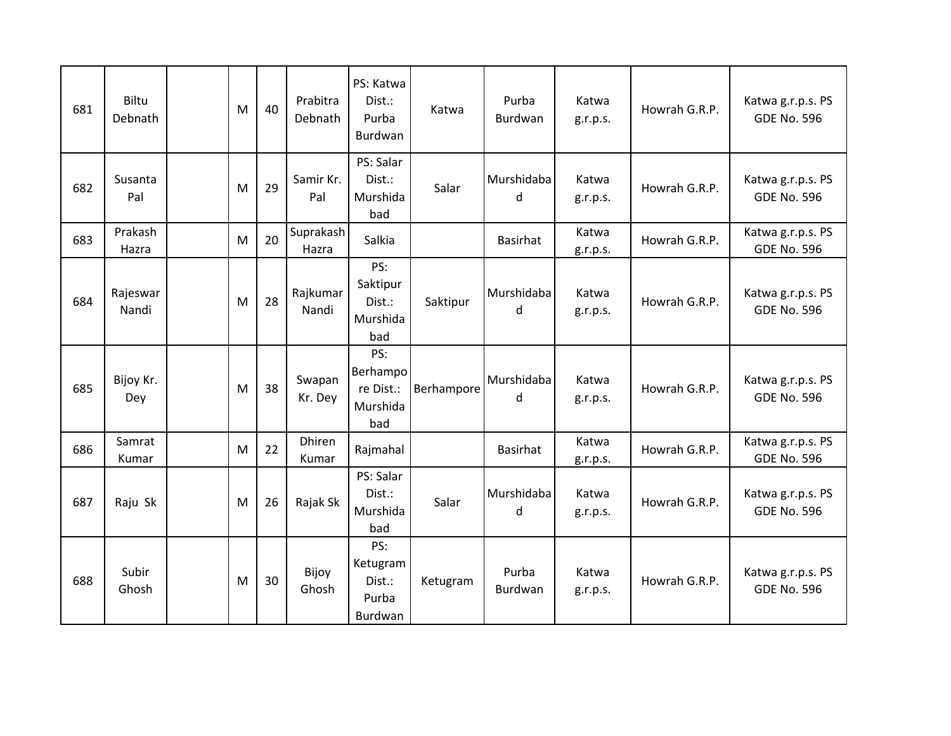| 681 | Biltu<br>Debnath  | M | 40 | Prabitra<br>Debnath | PS: Katwa<br>Dist.:<br>Purba<br>Burdwan         | Katwa      | Purba<br>Burdwan | Katwa<br>g.r.p.s. | Howrah G.R.P. | Katwa g.r.p.s. PS<br><b>GDE No. 596</b> |
|-----|-------------------|---|----|---------------------|-------------------------------------------------|------------|------------------|-------------------|---------------|-----------------------------------------|
| 682 | Susanta<br>Pal    | M | 29 | Samir Kr.<br>Pal    | PS: Salar<br>Dist.:<br>Murshida<br>bad          | Salar      | Murshidaba<br>d  | Katwa<br>g.r.p.s. | Howrah G.R.P. | Katwa g.r.p.s. PS<br><b>GDE No. 596</b> |
| 683 | Prakash<br>Hazra  | M | 20 | Suprakash<br>Hazra  | Salkia                                          |            | <b>Basirhat</b>  | Katwa<br>g.r.p.s. | Howrah G.R.P. | Katwa g.r.p.s. PS<br><b>GDE No. 596</b> |
| 684 | Rajeswar<br>Nandi | M | 28 | Rajkumar<br>Nandi   | PS:<br>Saktipur<br>Dist.:<br>Murshida<br>bad    | Saktipur   | Murshidaba<br>d  | Katwa<br>g.r.p.s. | Howrah G.R.P. | Katwa g.r.p.s. PS<br><b>GDE No. 596</b> |
| 685 | Bijoy Kr.<br>Dey  | M | 38 | Swapan<br>Kr. Dey   | PS:<br>Berhampo<br>re Dist.:<br>Murshida<br>bad | Berhampore | Murshidaba<br>d  | Katwa<br>g.r.p.s. | Howrah G.R.P. | Katwa g.r.p.s. PS<br><b>GDE No. 596</b> |
| 686 | Samrat<br>Kumar   | M | 22 | Dhiren<br>Kumar     | Rajmahal                                        |            | <b>Basirhat</b>  | Katwa<br>g.r.p.s. | Howrah G.R.P. | Katwa g.r.p.s. PS<br><b>GDE No. 596</b> |
| 687 | Raju Sk           | M | 26 | Rajak Sk            | PS: Salar<br>Dist.:<br>Murshida<br>bad          | Salar      | Murshidaba<br>d  | Katwa<br>g.r.p.s. | Howrah G.R.P. | Katwa g.r.p.s. PS<br><b>GDE No. 596</b> |
| 688 | Subir<br>Ghosh    | M | 30 | Bijoy<br>Ghosh      | PS:<br>Ketugram<br>Dist.:<br>Purba<br>Burdwan   | Ketugram   | Purba<br>Burdwan | Katwa<br>g.r.p.s. | Howrah G.R.P. | Katwa g.r.p.s. PS<br><b>GDE No. 596</b> |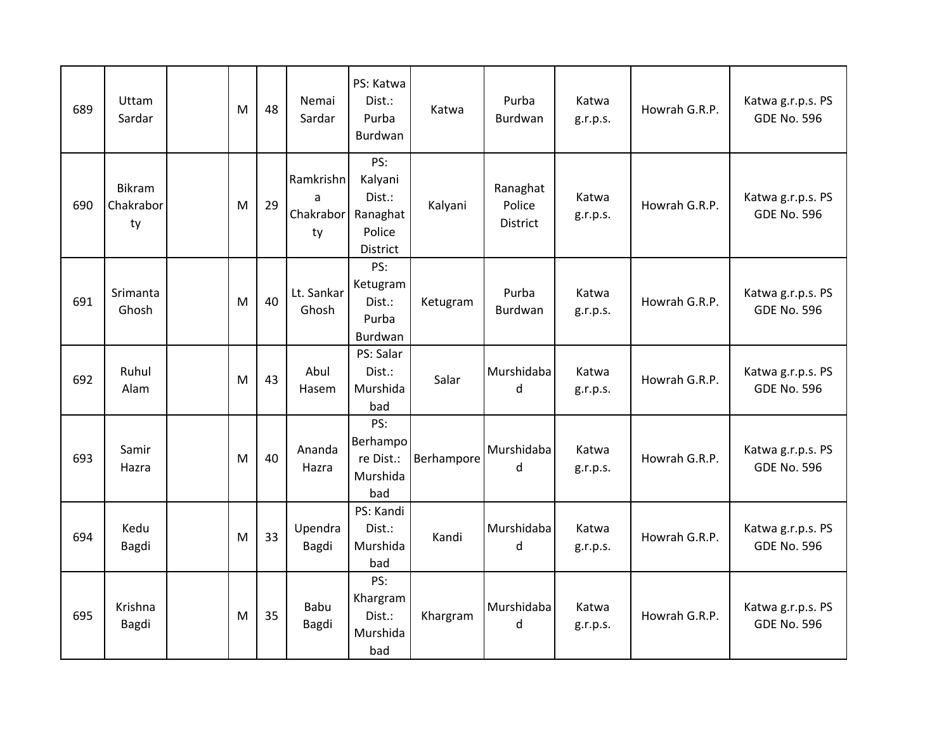| 689 | Uttam<br>Sardar           | M | 48 | Nemai<br>Sardar                   | PS: Katwa<br>Dist.:<br>Purba<br>Burdwan                    | Katwa      | Purba<br>Burdwan                      | Katwa<br>g.r.p.s. | Howrah G.R.P. | Katwa g.r.p.s. PS<br><b>GDE No. 596</b> |
|-----|---------------------------|---|----|-----------------------------------|------------------------------------------------------------|------------|---------------------------------------|-------------------|---------------|-----------------------------------------|
| 690 | Bikram<br>Chakrabor<br>ty | M | 29 | Ramkrishn<br>a<br>Chakrabor<br>ty | PS:<br>Kalyani<br>Dist.:<br>Ranaghat<br>Police<br>District | Kalyani    | Ranaghat<br>Police<br><b>District</b> | Katwa<br>g.r.p.s. | Howrah G.R.P. | Katwa g.r.p.s. PS<br><b>GDE No. 596</b> |
| 691 | Srimanta<br>Ghosh         | M | 40 | Lt. Sankar<br>Ghosh               | PS:<br>Ketugram<br>Dist.:<br>Purba<br>Burdwan              | Ketugram   | Purba<br>Burdwan                      | Katwa<br>g.r.p.s. | Howrah G.R.P. | Katwa g.r.p.s. PS<br><b>GDE No. 596</b> |
| 692 | Ruhul<br>Alam             | M | 43 | Abul<br>Hasem                     | PS: Salar<br>Dist.:<br>Murshida<br>bad                     | Salar      | Murshidaba<br>d                       | Katwa<br>g.r.p.s. | Howrah G.R.P. | Katwa g.r.p.s. PS<br><b>GDE No. 596</b> |
| 693 | Samir<br>Hazra            | M | 40 | Ananda<br>Hazra                   | PS:<br>Berhampo<br>re Dist.:<br>Murshida<br>bad            | Berhampore | Murshidaba<br>d                       | Katwa<br>g.r.p.s. | Howrah G.R.P. | Katwa g.r.p.s. PS<br><b>GDE No. 596</b> |
| 694 | Kedu<br>Bagdi             | M | 33 | Upendra<br>Bagdi                  | PS: Kandi<br>Dist.:<br>Murshida<br>bad                     | Kandi      | Murshidaba<br>d                       | Katwa<br>g.r.p.s. | Howrah G.R.P. | Katwa g.r.p.s. PS<br><b>GDE No. 596</b> |
| 695 | Krishna<br>Bagdi          | M | 35 | Babu<br>Bagdi                     | PS:<br>Khargram<br>Dist.:<br>Murshida<br>bad               | Khargram   | Murshidaba<br>d                       | Katwa<br>g.r.p.s. | Howrah G.R.P. | Katwa g.r.p.s. PS<br><b>GDE No. 596</b> |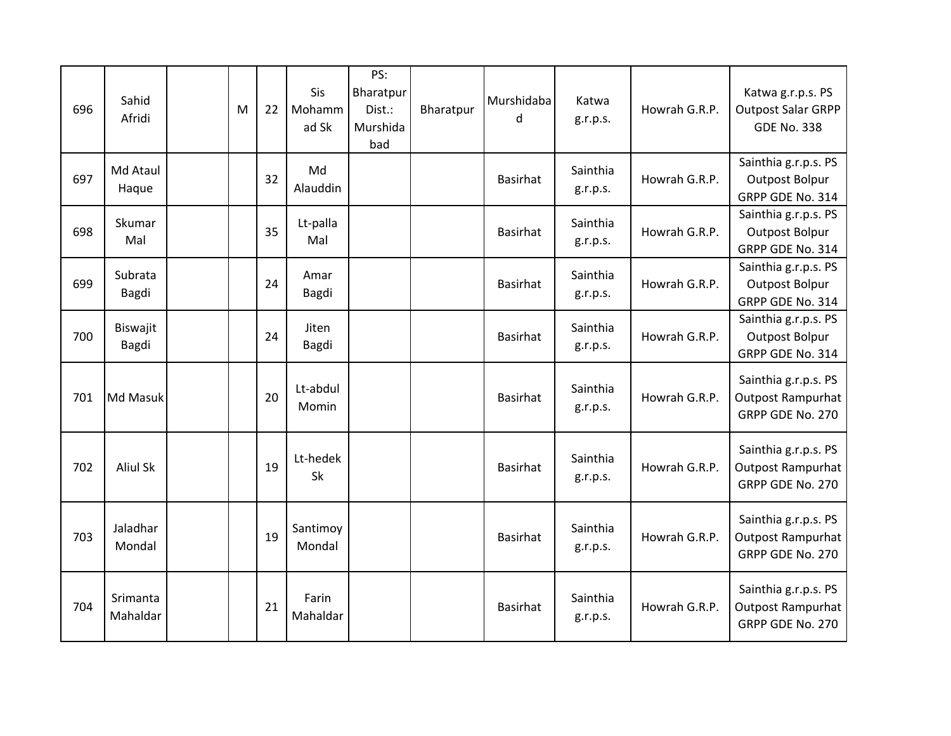| 696 | Sahid<br>Afridi      | M | 22 | Sis<br>Mohamm<br>ad Sk | PS:<br>Bharatpur<br>Dist.:<br>Murshida<br>bad | Bharatpur | Murshidaba<br>d | Katwa<br>g.r.p.s.    | Howrah G.R.P. | Katwa g.r.p.s. PS<br><b>Outpost Salar GRPP</b><br><b>GDE No. 338</b> |
|-----|----------------------|---|----|------------------------|-----------------------------------------------|-----------|-----------------|----------------------|---------------|----------------------------------------------------------------------|
| 697 | Md Ataul<br>Haque    |   | 32 | Md<br>Alauddin         |                                               |           | <b>Basirhat</b> | Sainthia<br>g.r.p.s. | Howrah G.R.P. | Sainthia g.r.p.s. PS<br>Outpost Bolpur<br>GRPP GDE No. 314           |
| 698 | Skumar<br>Mal        |   | 35 | Lt-palla<br>Mal        |                                               |           | <b>Basirhat</b> | Sainthia<br>g.r.p.s. | Howrah G.R.P. | Sainthia g.r.p.s. PS<br><b>Outpost Bolpur</b><br>GRPP GDE No. 314    |
| 699 | Subrata<br>Bagdi     |   | 24 | Amar<br>Bagdi          |                                               |           | <b>Basirhat</b> | Sainthia<br>g.r.p.s. | Howrah G.R.P. | Sainthia g.r.p.s. PS<br>Outpost Bolpur<br>GRPP GDE No. 314           |
| 700 | Biswajit<br>Bagdi    |   | 24 | Jiten<br>Bagdi         |                                               |           | <b>Basirhat</b> | Sainthia<br>g.r.p.s. | Howrah G.R.P. | Sainthia g.r.p.s. PS<br>Outpost Bolpur<br>GRPP GDE No. 314           |
| 701 | Md Masuk             |   | 20 | Lt-abdul<br>Momin      |                                               |           | <b>Basirhat</b> | Sainthia<br>g.r.p.s. | Howrah G.R.P. | Sainthia g.r.p.s. PS<br><b>Outpost Rampurhat</b><br>GRPP GDE No. 270 |
| 702 | <b>Aliul Sk</b>      |   | 19 | Lt-hedek<br>Sk         |                                               |           | <b>Basirhat</b> | Sainthia<br>g.r.p.s. | Howrah G.R.P. | Sainthia g.r.p.s. PS<br><b>Outpost Rampurhat</b><br>GRPP GDE No. 270 |
| 703 | Jaladhar<br>Mondal   |   | 19 | Santimoy<br>Mondal     |                                               |           | <b>Basirhat</b> | Sainthia<br>g.r.p.s. | Howrah G.R.P. | Sainthia g.r.p.s. PS<br><b>Outpost Rampurhat</b><br>GRPP GDE No. 270 |
| 704 | Srimanta<br>Mahaldar |   | 21 | Farin<br>Mahaldar      |                                               |           | <b>Basirhat</b> | Sainthia<br>g.r.p.s. | Howrah G.R.P. | Sainthia g.r.p.s. PS<br><b>Outpost Rampurhat</b><br>GRPP GDE No. 270 |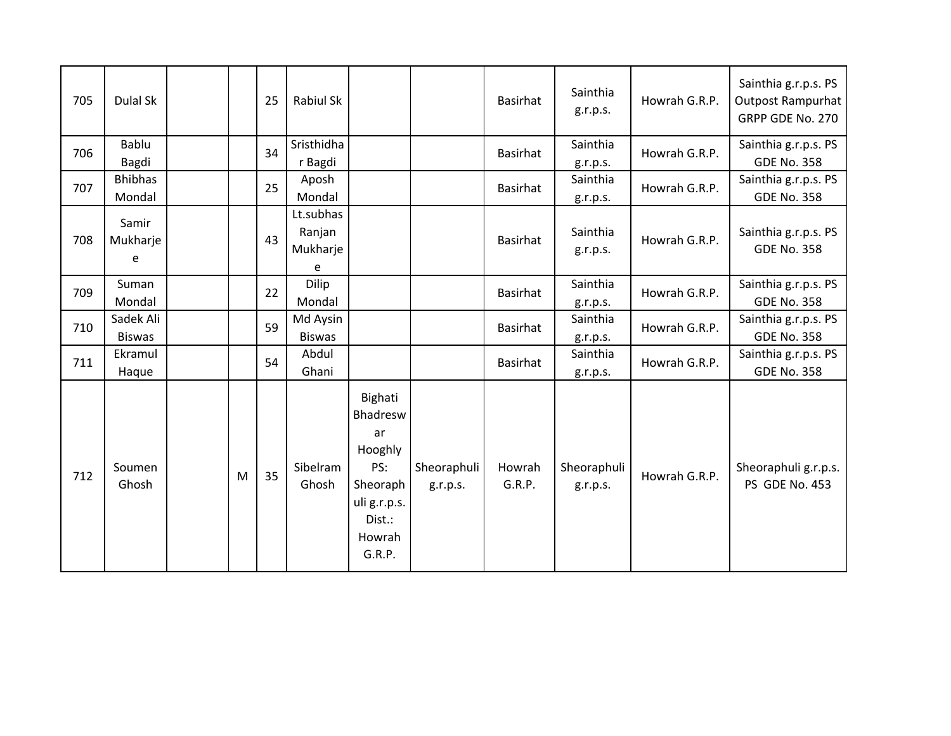| 705 | Dulal Sk                   |   | 25 | Rabiul Sk                            |                                                                                                       |                         | <b>Basirhat</b>  | Sainthia<br>g.r.p.s.    | Howrah G.R.P. | Sainthia g.r.p.s. PS<br><b>Outpost Rampurhat</b><br>GRPP GDE No. 270 |
|-----|----------------------------|---|----|--------------------------------------|-------------------------------------------------------------------------------------------------------|-------------------------|------------------|-------------------------|---------------|----------------------------------------------------------------------|
| 706 | Bablu<br>Bagdi             |   | 34 | Sristhidha<br>r Bagdi                |                                                                                                       |                         | <b>Basirhat</b>  | Sainthia<br>g.r.p.s.    | Howrah G.R.P. | Sainthia g.r.p.s. PS<br><b>GDE No. 358</b>                           |
| 707 | <b>Bhibhas</b><br>Mondal   |   | 25 | Aposh<br>Mondal                      |                                                                                                       |                         | <b>Basirhat</b>  | Sainthia<br>g.r.p.s.    | Howrah G.R.P. | Sainthia g.r.p.s. PS<br><b>GDE No. 358</b>                           |
| 708 | Samir<br>Mukharje<br>e     |   | 43 | Lt.subhas<br>Ranjan<br>Mukharje<br>e |                                                                                                       |                         | <b>Basirhat</b>  | Sainthia<br>g.r.p.s.    | Howrah G.R.P. | Sainthia g.r.p.s. PS<br><b>GDE No. 358</b>                           |
| 709 | Suman<br>Mondal            |   | 22 | <b>Dilip</b><br>Mondal               |                                                                                                       |                         | <b>Basirhat</b>  | Sainthia<br>g.r.p.s.    | Howrah G.R.P. | Sainthia g.r.p.s. PS<br><b>GDE No. 358</b>                           |
| 710 | Sadek Ali<br><b>Biswas</b> |   | 59 | Md Aysin<br><b>Biswas</b>            |                                                                                                       |                         | <b>Basirhat</b>  | Sainthia<br>g.r.p.s.    | Howrah G.R.P. | Sainthia g.r.p.s. PS<br><b>GDE No. 358</b>                           |
| 711 | Ekramul<br>Haque           |   | 54 | Abdul<br>Ghani                       |                                                                                                       |                         | <b>Basirhat</b>  | Sainthia<br>g.r.p.s.    | Howrah G.R.P. | Sainthia g.r.p.s. PS<br><b>GDE No. 358</b>                           |
| 712 | Soumen<br>Ghosh            | M | 35 | Sibelram<br>Ghosh                    | Bighati<br>Bhadresw<br>ar<br>Hooghly<br>PS:<br>Sheoraph<br>uli g.r.p.s.<br>Dist.:<br>Howrah<br>G.R.P. | Sheoraphuli<br>g.r.p.s. | Howrah<br>G.R.P. | Sheoraphuli<br>g.r.p.s. | Howrah G.R.P. | Sheoraphuli g.r.p.s.<br>PS GDE No. 453                               |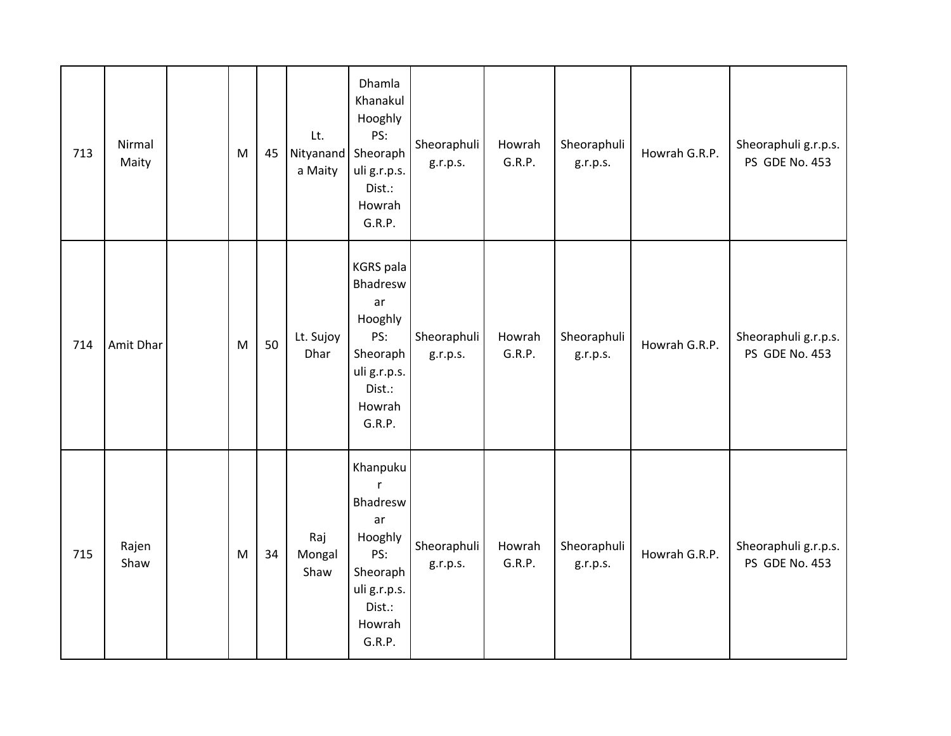| 713 | Nirmal<br>Maity | ${\sf M}$                                                                             | 45 | Lt.<br>Nityanand Sheoraph<br>a Maity | Dhamla<br>Khanakul<br>Hooghly<br>PS:<br>uli g.r.p.s.<br>Dist.:<br>Howrah<br>G.R.P.                             | Sheoraphuli<br>g.r.p.s. | Howrah<br>G.R.P. | Sheoraphuli<br>g.r.p.s. | Howrah G.R.P. | Sheoraphuli g.r.p.s.<br>PS GDE No. 453 |
|-----|-----------------|---------------------------------------------------------------------------------------|----|--------------------------------------|----------------------------------------------------------------------------------------------------------------|-------------------------|------------------|-------------------------|---------------|----------------------------------------|
| 714 | Amit Dhar       | $\mathsf{M}% _{T}=\mathsf{M}_{T}\!\left( a,b\right) ,\ \mathsf{M}_{T}=\mathsf{M}_{T}$ | 50 | Lt. Sujoy<br>Dhar                    | <b>KGRS</b> pala<br>Bhadresw<br>ar<br>Hooghly<br>PS:<br>Sheoraph<br>uli g.r.p.s.<br>Dist.:<br>Howrah<br>G.R.P. | Sheoraphuli<br>g.r.p.s. | Howrah<br>G.R.P. | Sheoraphuli<br>g.r.p.s. | Howrah G.R.P. | Sheoraphuli g.r.p.s.<br>PS GDE No. 453 |
| 715 | Rajen<br>Shaw   | M                                                                                     | 34 | Raj<br>Mongal<br>Shaw                | Khanpuku<br>r<br>Bhadresw<br>ar<br>Hooghly<br>PS:<br>Sheoraph<br>uli g.r.p.s.<br>Dist.:<br>Howrah<br>G.R.P.    | Sheoraphuli<br>g.r.p.s. | Howrah<br>G.R.P. | Sheoraphuli<br>g.r.p.s. | Howrah G.R.P. | Sheoraphuli g.r.p.s.<br>PS GDE No. 453 |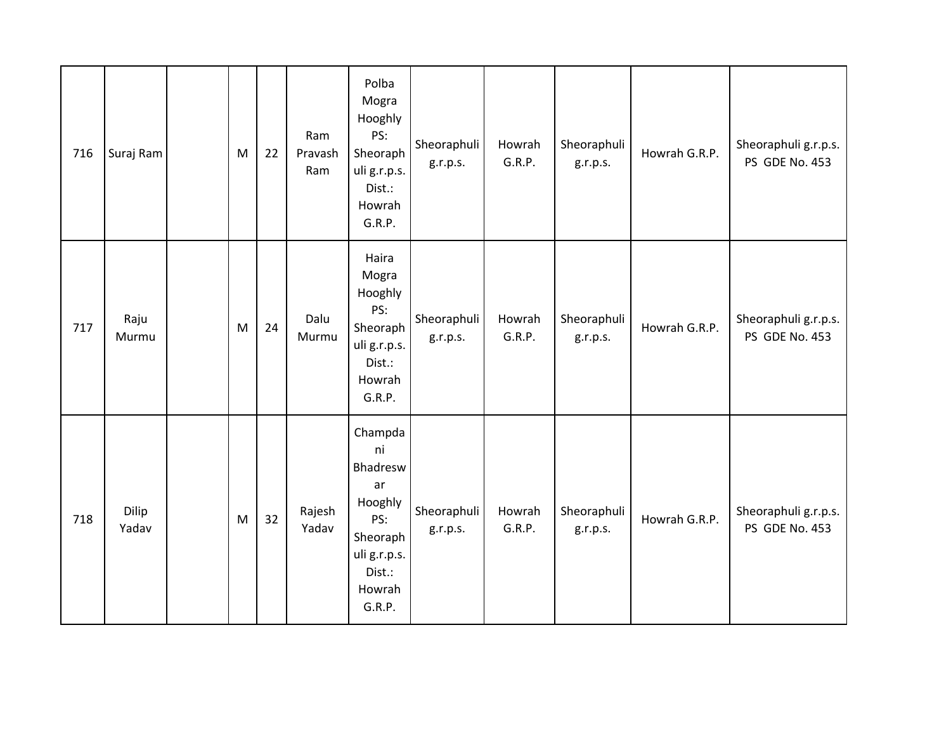| 716 | Suraj Ram      | M         | 22 | Ram<br>Pravash<br>Ram | Polba<br>Mogra<br>Hooghly<br>PS:<br>Sheoraph<br>uli g.r.p.s.<br>Dist.:<br>Howrah<br>G.R.P.                  | Sheoraphuli<br>g.r.p.s. | Howrah<br>G.R.P. | Sheoraphuli<br>g.r.p.s. | Howrah G.R.P. | Sheoraphuli g.r.p.s.<br>PS GDE No. 453 |
|-----|----------------|-----------|----|-----------------------|-------------------------------------------------------------------------------------------------------------|-------------------------|------------------|-------------------------|---------------|----------------------------------------|
| 717 | Raju<br>Murmu  | ${\sf M}$ | 24 | Dalu<br>Murmu         | Haira<br>Mogra<br>Hooghly<br>PS:<br>Sheoraph<br>uli g.r.p.s.<br>Dist.:<br>Howrah<br>G.R.P.                  | Sheoraphuli<br>g.r.p.s. | Howrah<br>G.R.P. | Sheoraphuli<br>g.r.p.s. | Howrah G.R.P. | Sheoraphuli g.r.p.s.<br>PS GDE No. 453 |
| 718 | Dilip<br>Yadav | M         | 32 | Rajesh<br>Yadav       | Champda<br>ni<br>Bhadresw<br>ar<br>Hooghly<br>PS:<br>Sheoraph<br>uli g.r.p.s.<br>Dist.:<br>Howrah<br>G.R.P. | Sheoraphuli<br>g.r.p.s. | Howrah<br>G.R.P. | Sheoraphuli<br>g.r.p.s. | Howrah G.R.P. | Sheoraphuli g.r.p.s.<br>PS GDE No. 453 |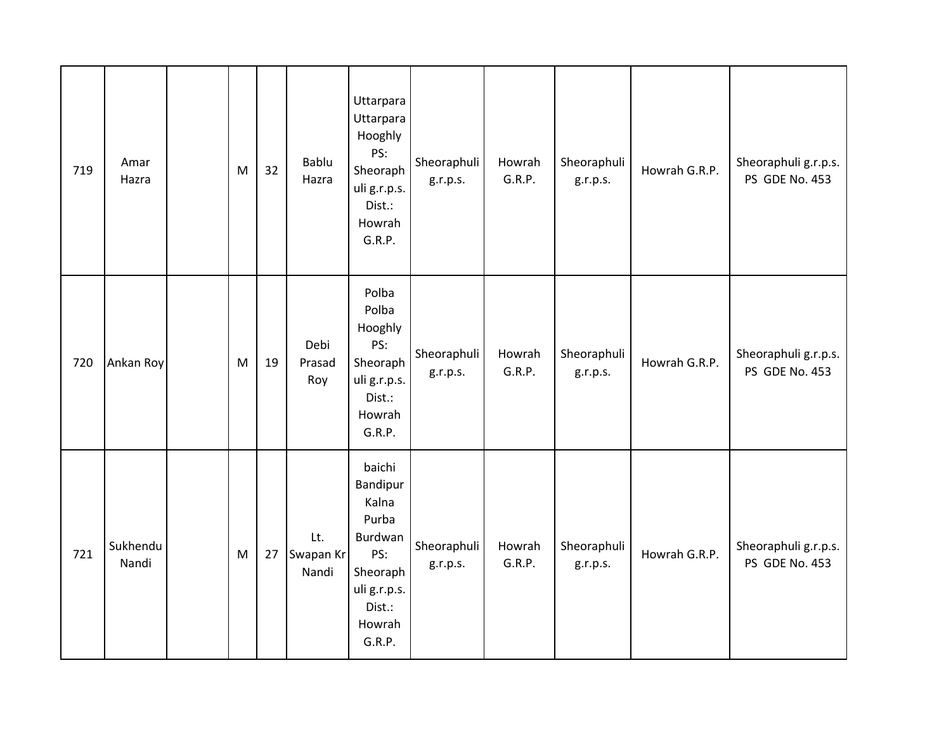| 719 | Amar<br>Hazra     | ${\sf M}$ | 32 | Bablu<br>Hazra            | Uttarpara<br>Uttarpara<br>Hooghly<br>PS:<br>Sheoraph<br>uli g.r.p.s.<br>Dist.:<br>Howrah<br>G.R.P.               | Sheoraphuli<br>g.r.p.s. | Howrah<br>G.R.P. | Sheoraphuli<br>g.r.p.s. | Howrah G.R.P. | Sheoraphuli g.r.p.s.<br>PS GDE No. 453 |
|-----|-------------------|-----------|----|---------------------------|------------------------------------------------------------------------------------------------------------------|-------------------------|------------------|-------------------------|---------------|----------------------------------------|
| 720 | Ankan Roy         | M         | 19 | Debi<br>Prasad<br>Roy     | Polba<br>Polba<br>Hooghly<br>PS:<br>Sheoraph<br>uli g.r.p.s.<br>Dist.:<br>Howrah<br>G.R.P.                       | Sheoraphuli<br>g.r.p.s. | Howrah<br>G.R.P. | Sheoraphuli<br>g.r.p.s. | Howrah G.R.P. | Sheoraphuli g.r.p.s.<br>PS GDE No. 453 |
| 721 | Sukhendu<br>Nandi | ${\sf M}$ | 27 | Lt.<br>Swapan Kr<br>Nandi | baichi<br>Bandipur<br>Kalna<br>Purba<br>Burdwan<br>PS:<br>Sheoraph<br>uli g.r.p.s.<br>Dist.:<br>Howrah<br>G.R.P. | Sheoraphuli<br>g.r.p.s. | Howrah<br>G.R.P. | Sheoraphuli<br>g.r.p.s. | Howrah G.R.P. | Sheoraphuli g.r.p.s.<br>PS GDE No. 453 |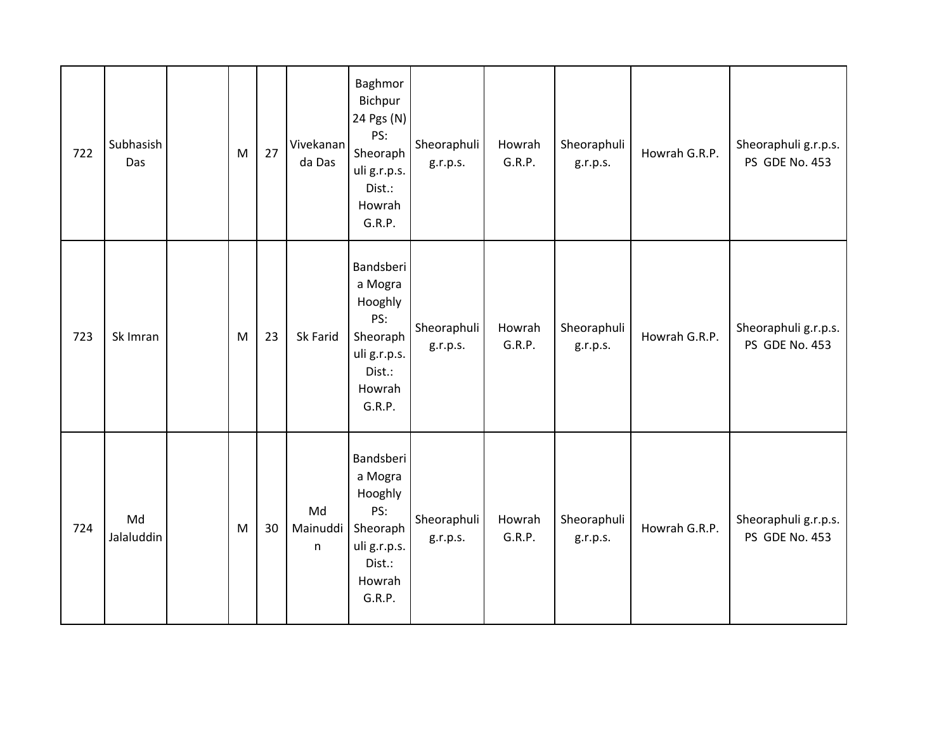| 722 | Subhasish<br>Das | M | 27 | Vivekanan<br>da Das | Baghmor<br>Bichpur<br>24 Pgs (N)<br>PS:<br>Sheoraph<br>uli g.r.p.s.<br>Dist.:<br>Howrah<br>G.R.P. | Sheoraphuli<br>g.r.p.s. | Howrah<br>G.R.P. | Sheoraphuli<br>g.r.p.s. | Howrah G.R.P. | Sheoraphuli g.r.p.s.<br>PS GDE No. 453 |
|-----|------------------|---|----|---------------------|---------------------------------------------------------------------------------------------------|-------------------------|------------------|-------------------------|---------------|----------------------------------------|
| 723 | Sk Imran         | M | 23 | Sk Farid            | Bandsberi<br>a Mogra<br>Hooghly<br>PS:<br>Sheoraph<br>uli g.r.p.s.<br>Dist.:<br>Howrah<br>G.R.P.  | Sheoraphuli<br>g.r.p.s. | Howrah<br>G.R.P. | Sheoraphuli<br>g.r.p.s. | Howrah G.R.P. | Sheoraphuli g.r.p.s.<br>PS GDE No. 453 |
| 724 | Md<br>Jalaluddin | M | 30 | Md<br>Mainuddi<br>n | Bandsberi<br>a Mogra<br>Hooghly<br>PS:<br>Sheoraph<br>uli g.r.p.s.<br>Dist.:<br>Howrah<br>G.R.P.  | Sheoraphuli<br>g.r.p.s. | Howrah<br>G.R.P. | Sheoraphuli<br>g.r.p.s. | Howrah G.R.P. | Sheoraphuli g.r.p.s.<br>PS GDE No. 453 |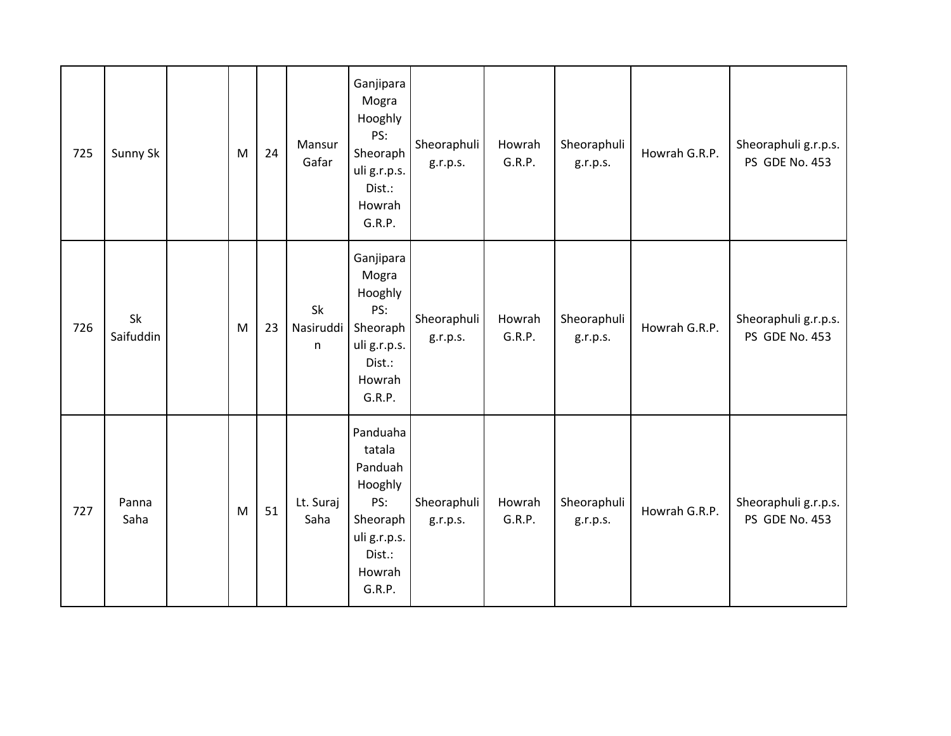| 725 | Sunny Sk        | M | 24 | Mansur<br>Gafar      | Ganjipara<br>Mogra<br>Hooghly<br>PS:<br>Sheoraph<br>uli g.r.p.s.<br>Dist.:<br>Howrah<br>G.R.P.            | Sheoraphuli<br>g.r.p.s. | Howrah<br>G.R.P. | Sheoraphuli<br>g.r.p.s. | Howrah G.R.P. | Sheoraphuli g.r.p.s.<br>PS GDE No. 453 |
|-----|-----------------|---|----|----------------------|-----------------------------------------------------------------------------------------------------------|-------------------------|------------------|-------------------------|---------------|----------------------------------------|
| 726 | Sk<br>Saifuddin | M | 23 | Sk<br>Nasiruddi<br>n | Ganjipara<br>Mogra<br>Hooghly<br>PS:<br>Sheoraph<br>uli g.r.p.s.<br>Dist.:<br>Howrah<br>G.R.P.            | Sheoraphuli<br>g.r.p.s. | Howrah<br>G.R.P. | Sheoraphuli<br>g.r.p.s. | Howrah G.R.P. | Sheoraphuli g.r.p.s.<br>PS GDE No. 453 |
| 727 | Panna<br>Saha   | M | 51 | Lt. Suraj<br>Saha    | Panduaha<br>tatala<br>Panduah<br>Hooghly<br>PS:<br>Sheoraph<br>uli g.r.p.s.<br>Dist.:<br>Howrah<br>G.R.P. | Sheoraphuli<br>g.r.p.s. | Howrah<br>G.R.P. | Sheoraphuli<br>g.r.p.s. | Howrah G.R.P. | Sheoraphuli g.r.p.s.<br>PS GDE No. 453 |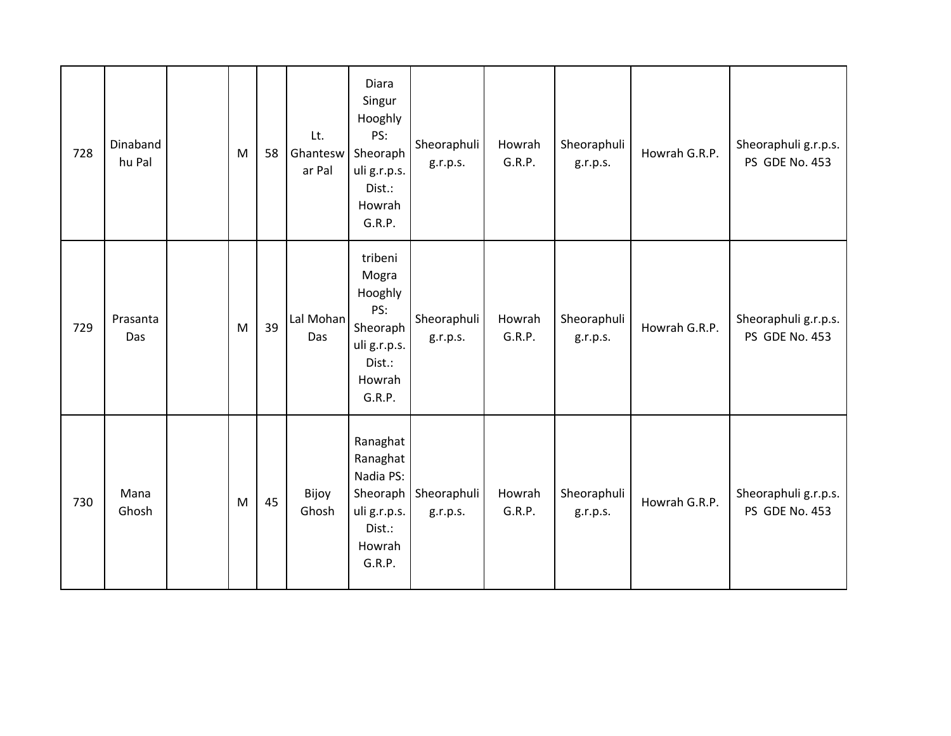| 728 | Dinaband<br>hu Pal | M         | 58 | Lt.<br>Ghantesw<br>ar Pal | Diara<br>Singur<br>Hooghly<br>PS:<br>Sheoraph<br>uli g.r.p.s.<br>Dist.:<br>Howrah<br>G.R.P.  | Sheoraphuli<br>g.r.p.s. | Howrah<br>G.R.P. | Sheoraphuli<br>g.r.p.s. | Howrah G.R.P. | Sheoraphuli g.r.p.s.<br>PS GDE No. 453 |
|-----|--------------------|-----------|----|---------------------------|----------------------------------------------------------------------------------------------|-------------------------|------------------|-------------------------|---------------|----------------------------------------|
| 729 | Prasanta<br>Das    | ${\sf M}$ | 39 | Lal Mohan<br>Das          | tribeni<br>Mogra<br>Hooghly<br>PS:<br>Sheoraph<br>uli g.r.p.s.<br>Dist.:<br>Howrah<br>G.R.P. | Sheoraphuli<br>g.r.p.s. | Howrah<br>G.R.P. | Sheoraphuli<br>g.r.p.s. | Howrah G.R.P. | Sheoraphuli g.r.p.s.<br>PS GDE No. 453 |
| 730 | Mana<br>Ghosh      | M         | 45 | Bijoy<br>Ghosh            | Ranaghat<br>Ranaghat<br>Nadia PS:<br>Sheoraph<br>uli g.r.p.s.<br>Dist.:<br>Howrah<br>G.R.P.  | Sheoraphuli<br>g.r.p.s. | Howrah<br>G.R.P. | Sheoraphuli<br>g.r.p.s. | Howrah G.R.P. | Sheoraphuli g.r.p.s.<br>PS GDE No. 453 |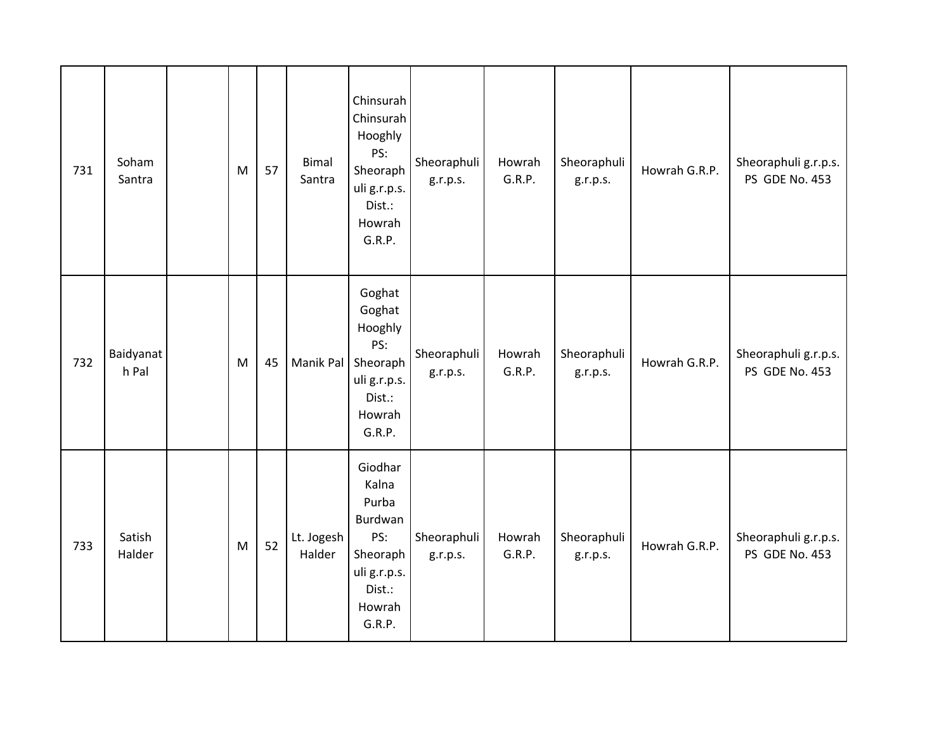| 731 | Soham<br>Santra    | M | 57 | <b>Bimal</b><br>Santra | Chinsurah<br>Chinsurah<br>Hooghly<br>PS:<br>Sheoraph<br>uli g.r.p.s.<br>Dist.:<br>Howrah<br>G.R.P.    | Sheoraphuli<br>g.r.p.s. | Howrah<br>G.R.P. | Sheoraphuli<br>g.r.p.s. | Howrah G.R.P. | Sheoraphuli g.r.p.s.<br>PS GDE No. 453 |
|-----|--------------------|---|----|------------------------|-------------------------------------------------------------------------------------------------------|-------------------------|------------------|-------------------------|---------------|----------------------------------------|
| 732 | Baidyanat<br>h Pal | M | 45 | Manik Pal Sheoraph     | Goghat<br>Goghat<br>Hooghly<br>PS:<br>uli g.r.p.s.<br>Dist.:<br>Howrah<br>G.R.P.                      | Sheoraphuli<br>g.r.p.s. | Howrah<br>G.R.P. | Sheoraphuli<br>g.r.p.s. | Howrah G.R.P. | Sheoraphuli g.r.p.s.<br>PS GDE No. 453 |
| 733 | Satish<br>Halder   | M | 52 | Lt. Jogesh<br>Halder   | Giodhar<br>Kalna<br>Purba<br>Burdwan<br>PS:<br>Sheoraph<br>uli g.r.p.s.<br>Dist.:<br>Howrah<br>G.R.P. | Sheoraphuli<br>g.r.p.s. | Howrah<br>G.R.P. | Sheoraphuli<br>g.r.p.s. | Howrah G.R.P. | Sheoraphuli g.r.p.s.<br>PS GDE No. 453 |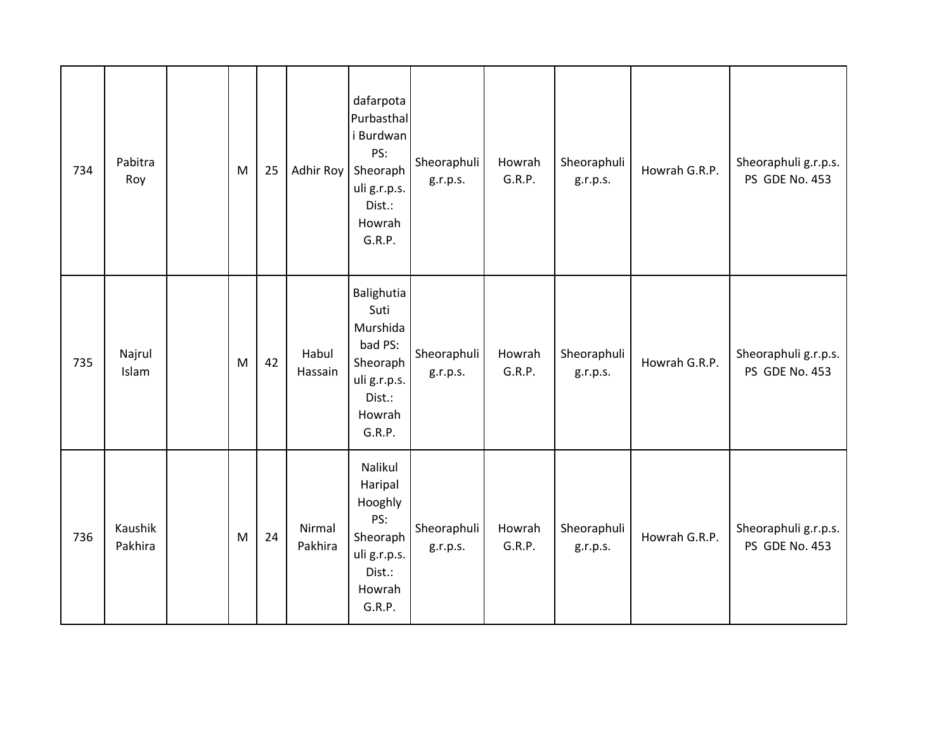| 734 | Pabitra<br>Roy     | ${\sf M}$                                                                             | 25 | Adhir Roy         | dafarpota<br>Purbasthal<br>i Burdwan<br>PS:<br>Sheoraph<br>uli g.r.p.s.<br>Dist.:<br>Howrah<br>G.R.P. | Sheoraphuli<br>g.r.p.s. | Howrah<br>G.R.P. | Sheoraphuli<br>g.r.p.s. | Howrah G.R.P. | Sheoraphuli g.r.p.s.<br>PS GDE No. 453 |
|-----|--------------------|---------------------------------------------------------------------------------------|----|-------------------|-------------------------------------------------------------------------------------------------------|-------------------------|------------------|-------------------------|---------------|----------------------------------------|
| 735 | Najrul<br>Islam    | M                                                                                     | 42 | Habul<br>Hassain  | Balighutia<br>Suti<br>Murshida<br>bad PS:<br>Sheoraph<br>uli g.r.p.s.<br>Dist.:<br>Howrah<br>G.R.P.   | Sheoraphuli<br>g.r.p.s. | Howrah<br>G.R.P. | Sheoraphuli<br>g.r.p.s. | Howrah G.R.P. | Sheoraphuli g.r.p.s.<br>PS GDE No. 453 |
| 736 | Kaushik<br>Pakhira | $\mathsf{M}% _{T}=\mathsf{M}_{T}\!\left( a,b\right) ,\ \mathsf{M}_{T}=\mathsf{M}_{T}$ | 24 | Nirmal<br>Pakhira | Nalikul<br>Haripal<br>Hooghly<br>PS:<br>Sheoraph<br>uli g.r.p.s.<br>Dist.:<br>Howrah<br>G.R.P.        | Sheoraphuli<br>g.r.p.s. | Howrah<br>G.R.P. | Sheoraphuli<br>g.r.p.s. | Howrah G.R.P. | Sheoraphuli g.r.p.s.<br>PS GDE No. 453 |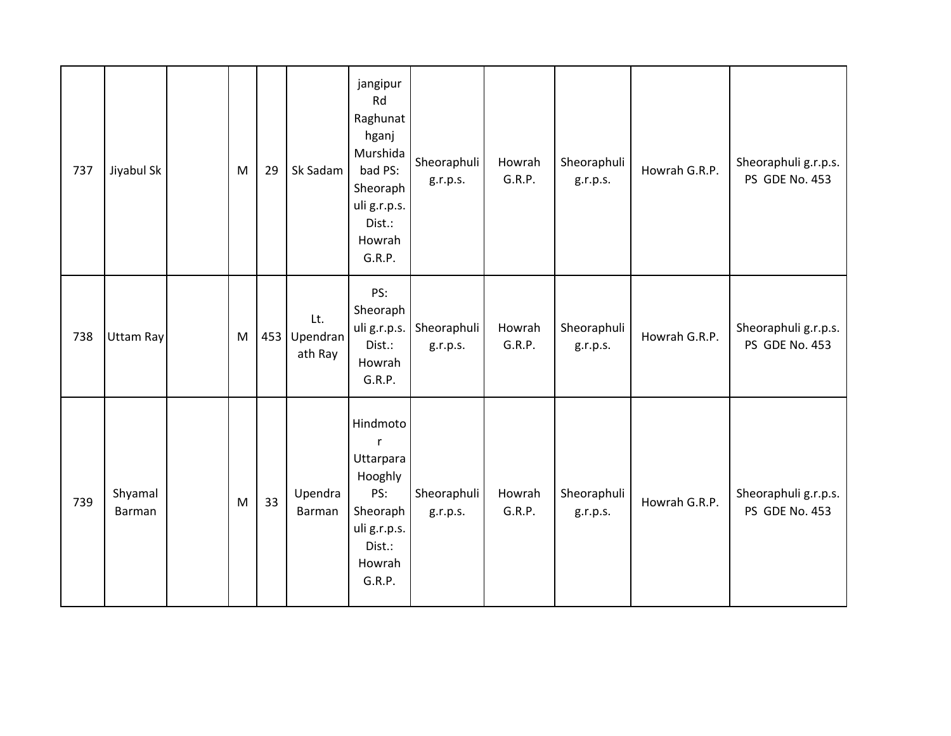| 737 | Jiyabul Sk               | M | 29 | Sk Sadam                       | jangipur<br>Rd<br>Raghunat<br>hganj<br>Murshida<br>bad PS:<br>Sheoraph<br>uli g.r.p.s.<br>Dist.:<br>Howrah<br>G.R.P. | Sheoraphuli<br>g.r.p.s. | Howrah<br>G.R.P. | Sheoraphuli<br>g.r.p.s. | Howrah G.R.P. | Sheoraphuli g.r.p.s.<br>PS GDE No. 453 |
|-----|--------------------------|---|----|--------------------------------|----------------------------------------------------------------------------------------------------------------------|-------------------------|------------------|-------------------------|---------------|----------------------------------------|
| 738 | Uttam Ray                | M |    | Lt.<br>453 Upendran<br>ath Ray | PS:<br>Sheoraph<br>uli g.r.p.s.<br>Dist.:<br>Howrah<br>G.R.P.                                                        | Sheoraphuli<br>g.r.p.s. | Howrah<br>G.R.P. | Sheoraphuli<br>g.r.p.s. | Howrah G.R.P. | Sheoraphuli g.r.p.s.<br>PS GDE No. 453 |
| 739 | Shyamal<br><b>Barman</b> | M | 33 | Upendra<br>Barman              | Hindmoto<br>$\mathsf{r}$<br>Uttarpara<br>Hooghly<br>PS:<br>Sheoraph<br>uli g.r.p.s.<br>Dist.:<br>Howrah<br>G.R.P.    | Sheoraphuli<br>g.r.p.s. | Howrah<br>G.R.P. | Sheoraphuli<br>g.r.p.s. | Howrah G.R.P. | Sheoraphuli g.r.p.s.<br>PS GDE No. 453 |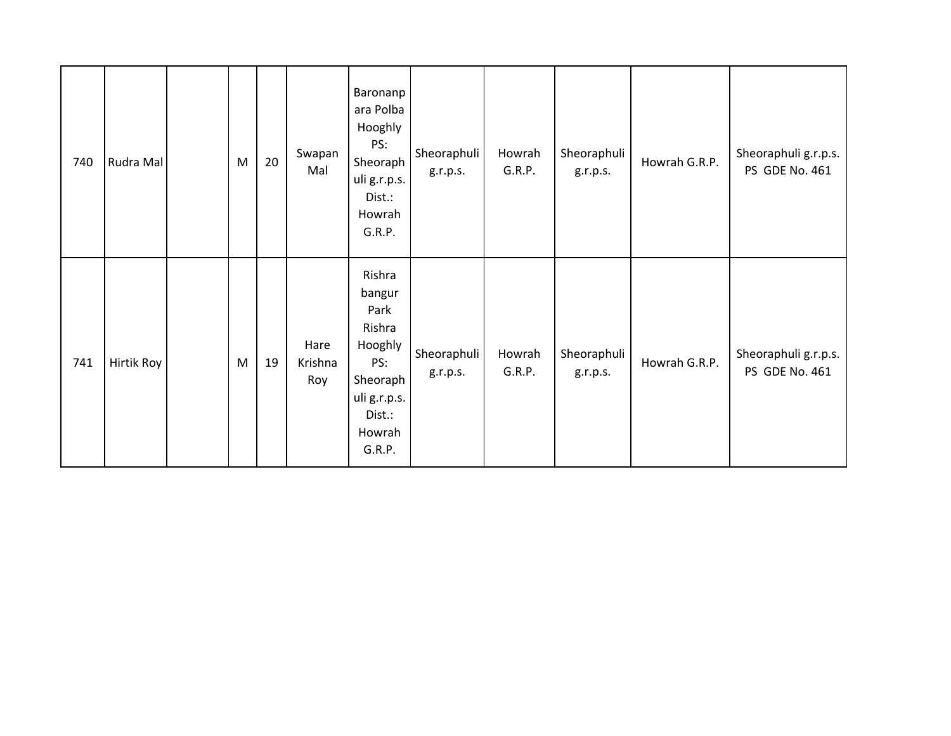| 740 | Rudra Mal  | M | 20 | Swapan<br>Mal          | Baronanp<br>ara Polba<br>Hooghly<br>PS:<br>Sheoraph<br>uli g.r.p.s.<br>Dist.:<br>Howrah<br>G.R.P.              | Sheoraphuli<br>g.r.p.s. | Howrah<br>G.R.P. | Sheoraphuli<br>g.r.p.s. | Howrah G.R.P. | Sheoraphuli g.r.p.s.<br>PS GDE No. 461 |
|-----|------------|---|----|------------------------|----------------------------------------------------------------------------------------------------------------|-------------------------|------------------|-------------------------|---------------|----------------------------------------|
| 741 | Hirtik Roy | M | 19 | Hare<br>Krishna<br>Roy | Rishra<br>bangur<br>Park<br>Rishra<br>Hooghly<br>PS:<br>Sheoraph<br>uli g.r.p.s.<br>Dist.:<br>Howrah<br>G.R.P. | Sheoraphuli<br>g.r.p.s. | Howrah<br>G.R.P. | Sheoraphuli<br>g.r.p.s. | Howrah G.R.P. | Sheoraphuli g.r.p.s.<br>PS GDE No. 461 |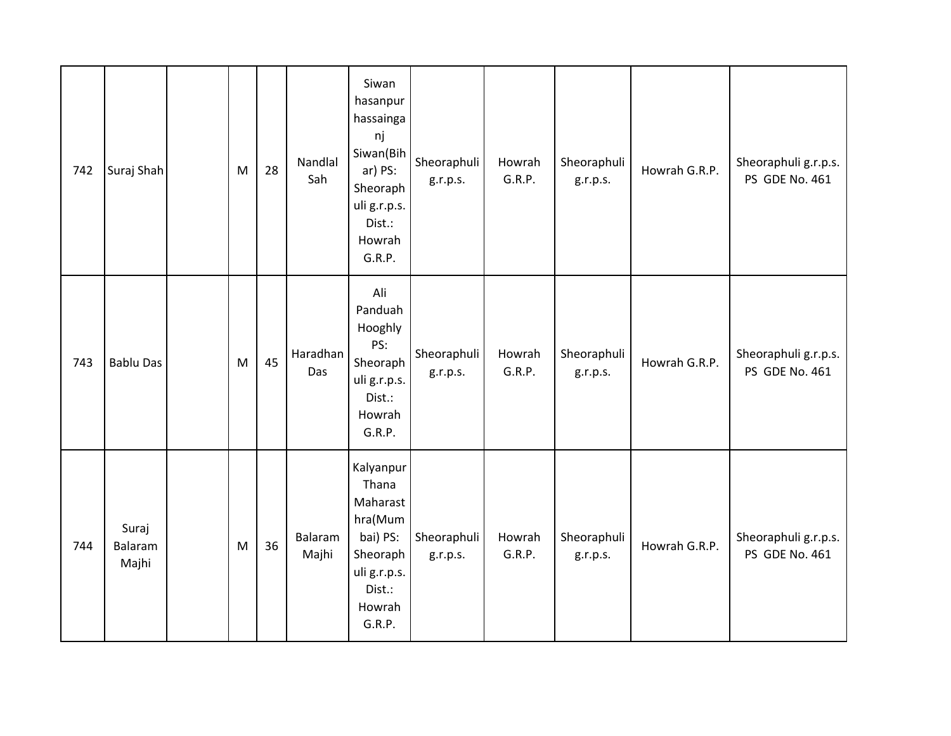| 742 | Suraj Shah                | M | 28 | Nandlal<br>Sah   | Siwan<br>hasanpur<br>hassainga<br>nj<br>Siwan(Bih<br>ar) PS:<br>Sheoraph<br>uli g.r.p.s.<br>Dist.:<br>Howrah<br>G.R.P. | Sheoraphuli<br>g.r.p.s. | Howrah<br>G.R.P. | Sheoraphuli<br>g.r.p.s. | Howrah G.R.P. | Sheoraphuli g.r.p.s.<br>PS GDE No. 461 |
|-----|---------------------------|---|----|------------------|------------------------------------------------------------------------------------------------------------------------|-------------------------|------------------|-------------------------|---------------|----------------------------------------|
| 743 | <b>Bablu Das</b>          | M | 45 | Haradhan<br>Das  | Ali<br>Panduah<br>Hooghly<br>PS:<br>Sheoraph<br>uli g.r.p.s.<br>Dist.:<br>Howrah<br>G.R.P.                             | Sheoraphuli<br>g.r.p.s. | Howrah<br>G.R.P. | Sheoraphuli<br>g.r.p.s. | Howrah G.R.P. | Sheoraphuli g.r.p.s.<br>PS GDE No. 461 |
| 744 | Suraj<br>Balaram<br>Majhi | M | 36 | Balaram<br>Majhi | Kalyanpur<br>Thana<br>Maharast<br>hra(Mum<br>bai) PS:<br>Sheoraph<br>uli g.r.p.s.<br>Dist.:<br>Howrah<br>G.R.P.        | Sheoraphuli<br>g.r.p.s. | Howrah<br>G.R.P. | Sheoraphuli<br>g.r.p.s. | Howrah G.R.P. | Sheoraphuli g.r.p.s.<br>PS GDE No. 461 |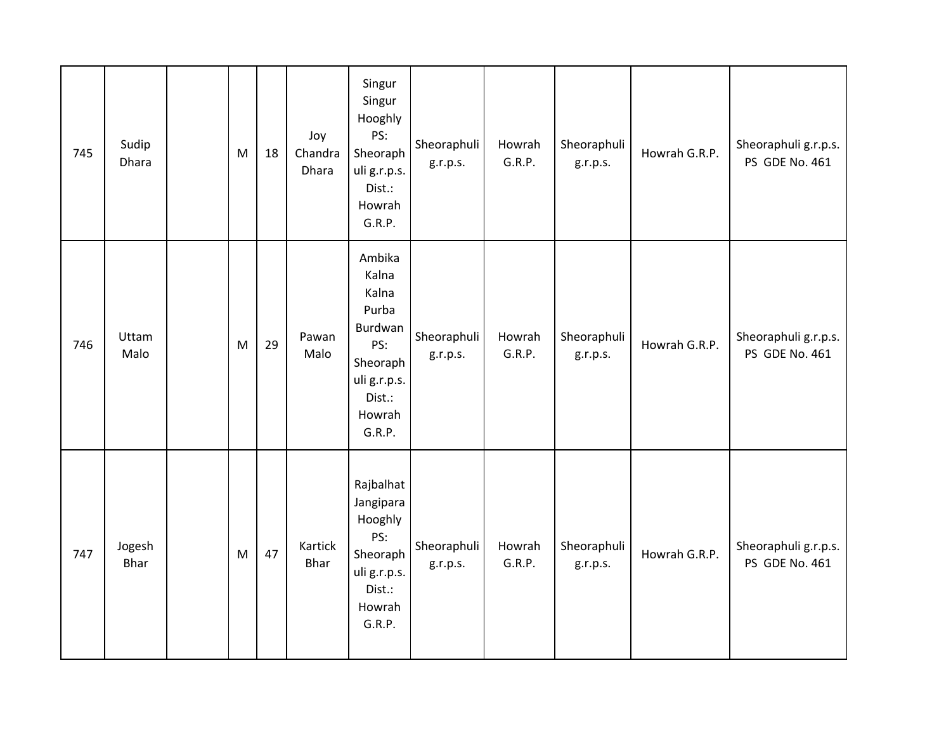| 745 | Sudip<br>Dhara        | M         | 18 | Joy<br>Chandra<br>Dhara | Singur<br>Singur<br>Hooghly<br>PS:<br>Sheoraph<br>uli g.r.p.s.<br>Dist.:<br>Howrah<br>G.R.P.                  | Sheoraphuli<br>g.r.p.s. | Howrah<br>G.R.P. | Sheoraphuli<br>g.r.p.s. | Howrah G.R.P. | Sheoraphuli g.r.p.s.<br>PS GDE No. 461 |
|-----|-----------------------|-----------|----|-------------------------|---------------------------------------------------------------------------------------------------------------|-------------------------|------------------|-------------------------|---------------|----------------------------------------|
| 746 | Uttam<br>Malo         | M         | 29 | Pawan<br>Malo           | Ambika<br>Kalna<br>Kalna<br>Purba<br>Burdwan<br>PS:<br>Sheoraph<br>uli g.r.p.s.<br>Dist.:<br>Howrah<br>G.R.P. | Sheoraphuli<br>g.r.p.s. | Howrah<br>G.R.P. | Sheoraphuli<br>g.r.p.s. | Howrah G.R.P. | Sheoraphuli g.r.p.s.<br>PS GDE No. 461 |
| 747 | Jogesh<br><b>Bhar</b> | ${\sf M}$ | 47 | Kartick<br>Bhar         | Rajbalhat<br>Jangipara<br>Hooghly<br>PS:<br>Sheoraph<br>uli g.r.p.s.<br>Dist.:<br>Howrah<br>G.R.P.            | Sheoraphuli<br>g.r.p.s. | Howrah<br>G.R.P. | Sheoraphuli<br>g.r.p.s. | Howrah G.R.P. | Sheoraphuli g.r.p.s.<br>PS GDE No. 461 |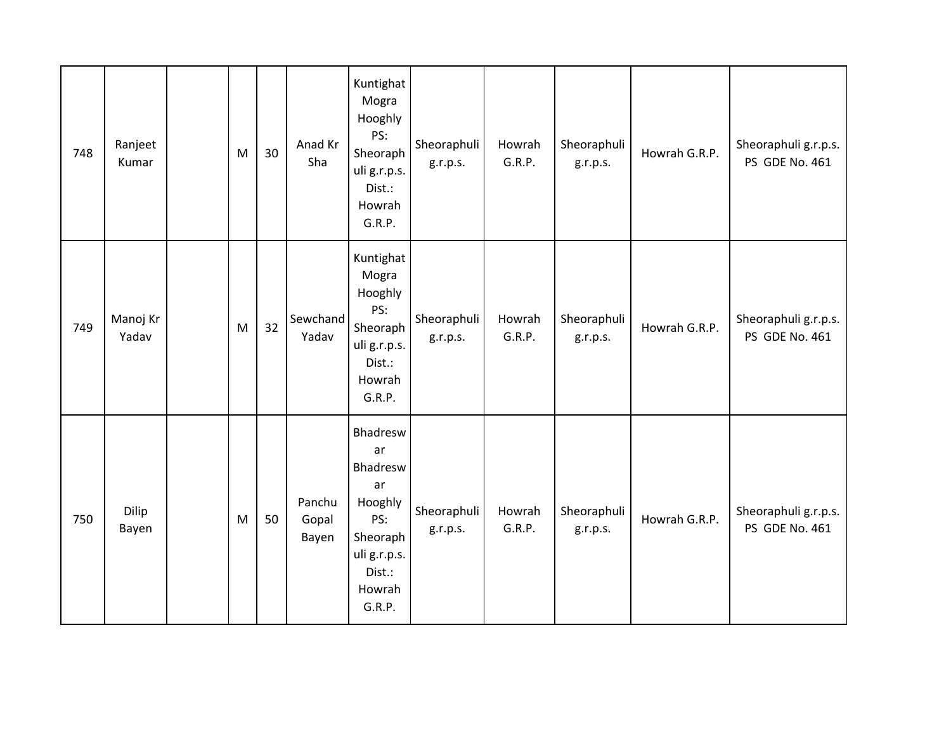| 748 | Ranjeet<br>Kumar  | M | 30 | Anad Kr<br>Sha           | Kuntighat<br>Mogra<br>Hooghly<br>PS:<br>Sheoraph<br>uli g.r.p.s.<br>Dist.:<br>Howrah<br>G.R.P.               | Sheoraphuli<br>g.r.p.s. | Howrah<br>G.R.P. | Sheoraphuli<br>g.r.p.s. | Howrah G.R.P. | Sheoraphuli g.r.p.s.<br>PS GDE No. 461 |
|-----|-------------------|---|----|--------------------------|--------------------------------------------------------------------------------------------------------------|-------------------------|------------------|-------------------------|---------------|----------------------------------------|
| 749 | Manoj Kr<br>Yadav | M | 32 | Sewchand<br>Yadav        | Kuntighat<br>Mogra<br>Hooghly<br>PS:<br>Sheoraph<br>uli g.r.p.s.<br>Dist.:<br>Howrah<br>G.R.P.               | Sheoraphuli<br>g.r.p.s. | Howrah<br>G.R.P. | Sheoraphuli<br>g.r.p.s. | Howrah G.R.P. | Sheoraphuli g.r.p.s.<br>PS GDE No. 461 |
| 750 | Dilip<br>Bayen    | M | 50 | Panchu<br>Gopal<br>Bayen | Bhadresw<br>ar<br>Bhadresw<br>ar<br>Hooghly<br>PS:<br>Sheoraph<br>uli g.r.p.s.<br>Dist.:<br>Howrah<br>G.R.P. | Sheoraphuli<br>g.r.p.s. | Howrah<br>G.R.P. | Sheoraphuli<br>g.r.p.s. | Howrah G.R.P. | Sheoraphuli g.r.p.s.<br>PS GDE No. 461 |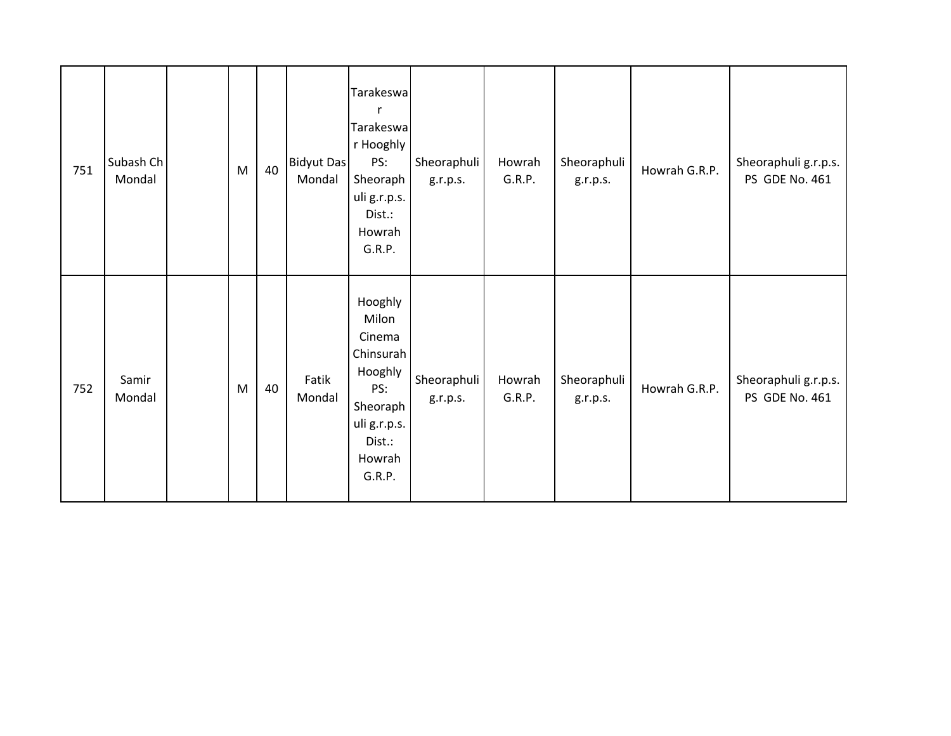| 751 | Subash Ch<br>Mondal | $\mathsf{M}% _{T}=\mathsf{M}_{T}\!\left( a,b\right) ,\ \mathsf{M}_{T}=\mathsf{M}_{T}$ | 40 | <b>Bidyut Das</b><br>Mondal | Tarakeswa<br>$\mathsf{r}$<br>Tarakeswa<br>r Hooghly<br>PS:<br>Sheoraph<br>uli g.r.p.s.<br>Dist.:<br>Howrah<br>G.R.P. | Sheoraphuli<br>g.r.p.s. | Howrah<br>G.R.P. | Sheoraphuli<br>g.r.p.s. | Howrah G.R.P. | Sheoraphuli g.r.p.s.<br>PS GDE No. 461 |
|-----|---------------------|---------------------------------------------------------------------------------------|----|-----------------------------|----------------------------------------------------------------------------------------------------------------------|-------------------------|------------------|-------------------------|---------------|----------------------------------------|
| 752 | Samir<br>Mondal     | M                                                                                     | 40 | Fatik<br>Mondal             | Hooghly<br>Milon<br>Cinema<br>Chinsurah<br>Hooghly<br>PS:<br>Sheoraph<br>uli g.r.p.s.<br>Dist.:<br>Howrah<br>G.R.P.  | Sheoraphuli<br>g.r.p.s. | Howrah<br>G.R.P. | Sheoraphuli<br>g.r.p.s. | Howrah G.R.P. | Sheoraphuli g.r.p.s.<br>PS GDE No. 461 |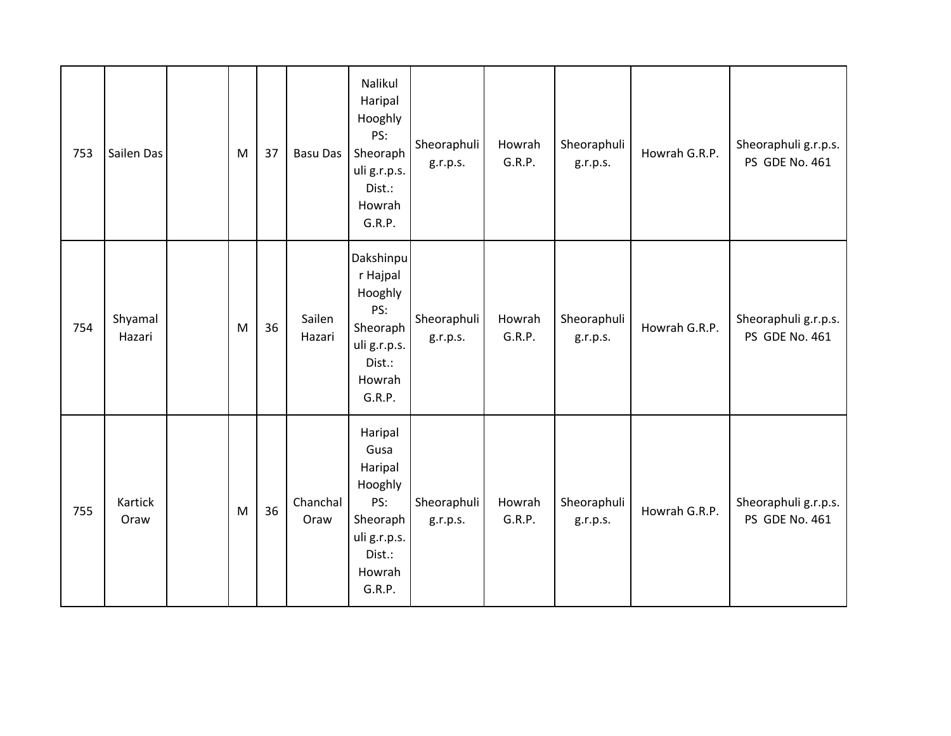| 753 | Sailen Das        | M | 37 | <b>Basu Das</b>  | Nalikul<br>Haripal<br>Hooghly<br>PS:<br>Sheoraph<br>uli g.r.p.s.<br>Dist.:<br>Howrah<br>G.R.P.         | Sheoraphuli<br>g.r.p.s. | Howrah<br>G.R.P. | Sheoraphuli<br>g.r.p.s. | Howrah G.R.P. | Sheoraphuli g.r.p.s.<br>PS GDE No. 461 |
|-----|-------------------|---|----|------------------|--------------------------------------------------------------------------------------------------------|-------------------------|------------------|-------------------------|---------------|----------------------------------------|
| 754 | Shyamal<br>Hazari | M | 36 | Sailen<br>Hazari | Dakshinpu<br>r Hajpal<br>Hooghly<br>PS:<br>Sheoraph<br>uli g.r.p.s.<br>Dist.:<br>Howrah<br>G.R.P.      | Sheoraphuli<br>g.r.p.s. | Howrah<br>G.R.P. | Sheoraphuli<br>g.r.p.s. | Howrah G.R.P. | Sheoraphuli g.r.p.s.<br>PS GDE No. 461 |
| 755 | Kartick<br>Oraw   | M | 36 | Chanchal<br>Oraw | Haripal<br>Gusa<br>Haripal<br>Hooghly<br>PS:<br>Sheoraph<br>uli g.r.p.s.<br>Dist.:<br>Howrah<br>G.R.P. | Sheoraphuli<br>g.r.p.s. | Howrah<br>G.R.P. | Sheoraphuli<br>g.r.p.s. | Howrah G.R.P. | Sheoraphuli g.r.p.s.<br>PS GDE No. 461 |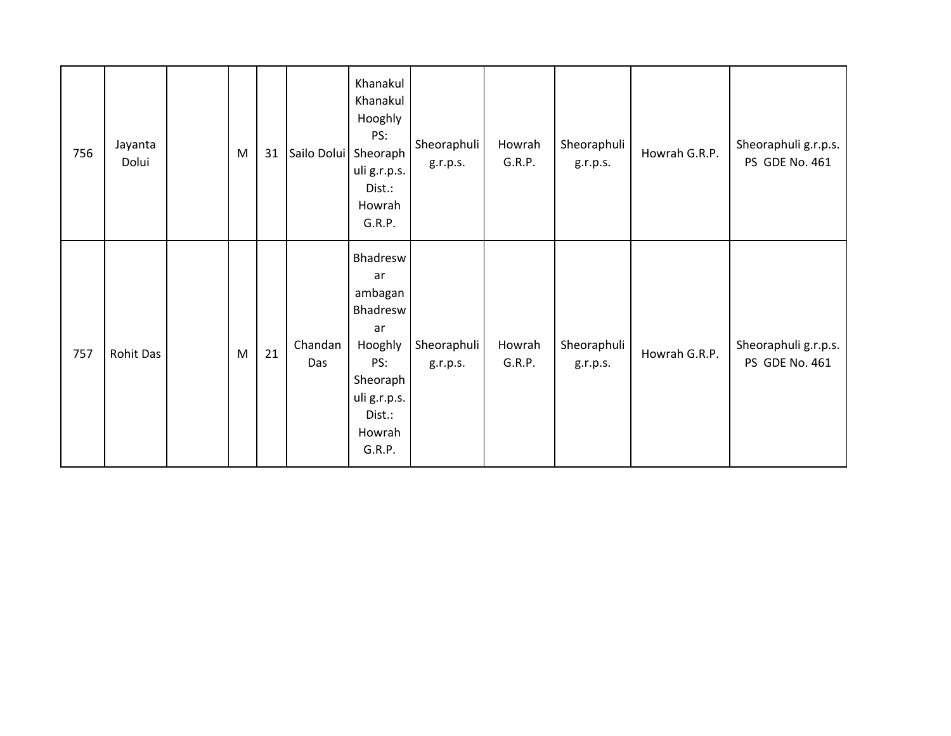| 756 | Jayanta<br>Dolui | ${\sf M}$ | 31 | Sailo Dolui Sheoraph | Khanakul<br>Khanakul<br>Hooghly<br>PS:<br>uli g.r.p.s.<br>Dist.:<br>Howrah<br>G.R.P.                                    | Sheoraphuli<br>g.r.p.s. | Howrah<br>G.R.P. | Sheoraphuli<br>g.r.p.s. | Howrah G.R.P. | Sheoraphuli g.r.p.s.<br>PS GDE No. 461 |
|-----|------------------|-----------|----|----------------------|-------------------------------------------------------------------------------------------------------------------------|-------------------------|------------------|-------------------------|---------------|----------------------------------------|
| 757 | Rohit Das        | M         | 21 | Chandan<br>Das       | Bhadresw<br>ar<br>ambagan<br>Bhadresw<br>ar<br>Hooghly<br>PS:<br>Sheoraph<br>uli g.r.p.s.<br>Dist.:<br>Howrah<br>G.R.P. | Sheoraphuli<br>g.r.p.s. | Howrah<br>G.R.P. | Sheoraphuli<br>g.r.p.s. | Howrah G.R.P. | Sheoraphuli g.r.p.s.<br>PS GDE No. 461 |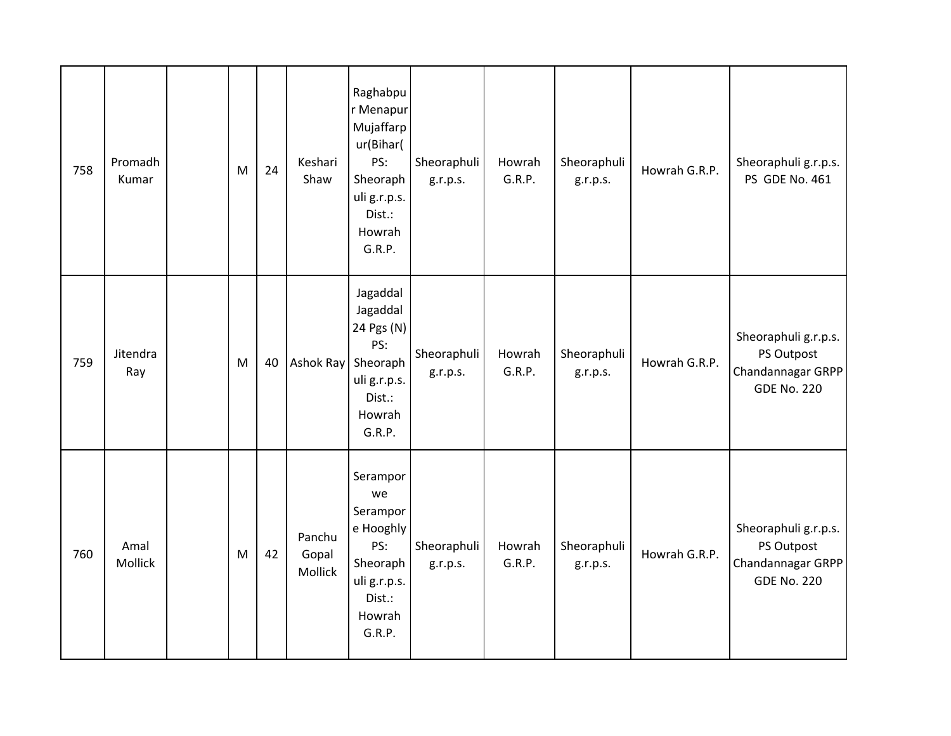| 758 | Promadh<br>Kumar | M | 24 | Keshari<br>Shaw            | Raghabpu<br>r Menapur<br>Mujaffarp<br>ur(Bihar(<br>PS:<br>Sheoraph<br>uli g.r.p.s.<br>Dist.:<br>Howrah<br>G.R.P. | Sheoraphuli<br>g.r.p.s. | Howrah<br>G.R.P. | Sheoraphuli<br>g.r.p.s. | Howrah G.R.P. | Sheoraphuli g.r.p.s.<br>PS GDE No. 461                                        |
|-----|------------------|---|----|----------------------------|------------------------------------------------------------------------------------------------------------------|-------------------------|------------------|-------------------------|---------------|-------------------------------------------------------------------------------|
| 759 | Jitendra<br>Ray  | M | 40 | Ashok Ray                  | Jagaddal<br>Jagaddal<br>24 Pgs (N)<br>PS:<br>Sheoraph<br>uli g.r.p.s.<br>Dist.:<br>Howrah<br>G.R.P.              | Sheoraphuli<br>g.r.p.s. | Howrah<br>G.R.P. | Sheoraphuli<br>g.r.p.s. | Howrah G.R.P. | Sheoraphuli g.r.p.s.<br>PS Outpost<br>Chandannagar GRPP<br><b>GDE No. 220</b> |
| 760 | Amal<br>Mollick  | M | 42 | Panchu<br>Gopal<br>Mollick | Serampor<br>we<br>Serampor<br>e Hooghly<br>PS:<br>Sheoraph<br>uli g.r.p.s.<br>Dist.:<br>Howrah<br>G.R.P.         | Sheoraphuli<br>g.r.p.s. | Howrah<br>G.R.P. | Sheoraphuli<br>g.r.p.s. | Howrah G.R.P. | Sheoraphuli g.r.p.s.<br>PS Outpost<br>Chandannagar GRPP<br><b>GDE No. 220</b> |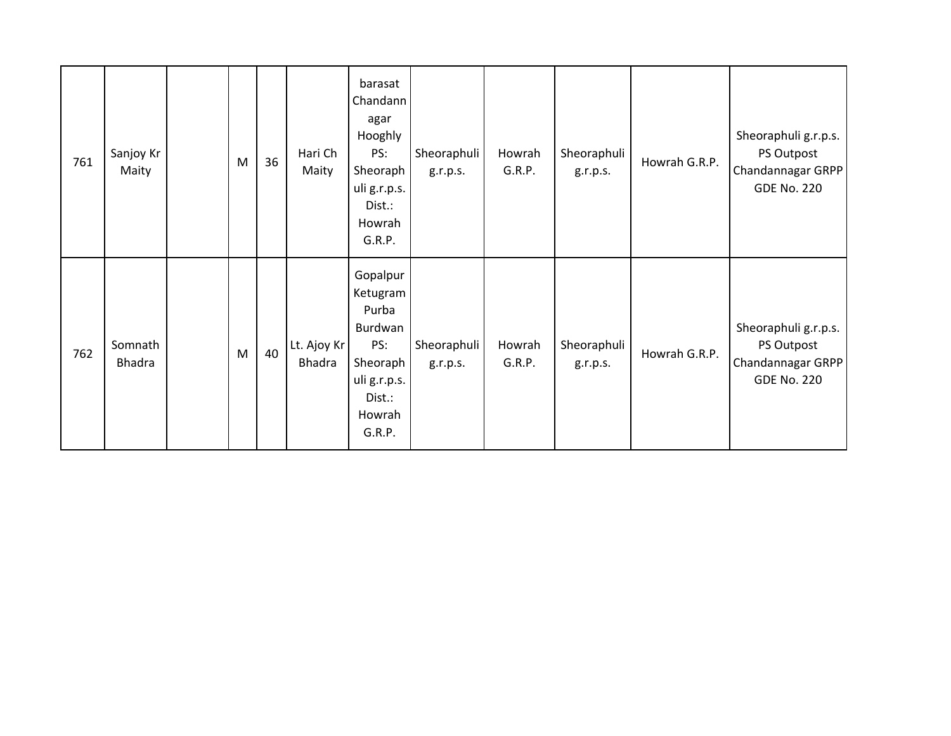| 761 | Sanjoy Kr<br>Maity       | M | 36 | Hari Ch<br>Maity             | barasat<br>Chandann<br>agar<br>Hooghly<br>PS:<br>Sheoraph<br>uli g.r.p.s.<br>Dist.:<br>Howrah<br>G.R.P.   | Sheoraphuli<br>g.r.p.s. | Howrah<br>G.R.P. | Sheoraphuli<br>g.r.p.s. | Howrah G.R.P. | Sheoraphuli g.r.p.s.<br>PS Outpost<br>Chandannagar GRPP<br><b>GDE No. 220</b> |
|-----|--------------------------|---|----|------------------------------|-----------------------------------------------------------------------------------------------------------|-------------------------|------------------|-------------------------|---------------|-------------------------------------------------------------------------------|
| 762 | Somnath<br><b>Bhadra</b> | M | 40 | Lt. Ajoy Kr<br><b>Bhadra</b> | Gopalpur<br>Ketugram<br>Purba<br>Burdwan<br>PS:<br>Sheoraph<br>uli g.r.p.s.<br>Dist.:<br>Howrah<br>G.R.P. | Sheoraphuli<br>g.r.p.s. | Howrah<br>G.R.P. | Sheoraphuli<br>g.r.p.s. | Howrah G.R.P. | Sheoraphuli g.r.p.s.<br>PS Outpost<br>Chandannagar GRPP<br><b>GDE No. 220</b> |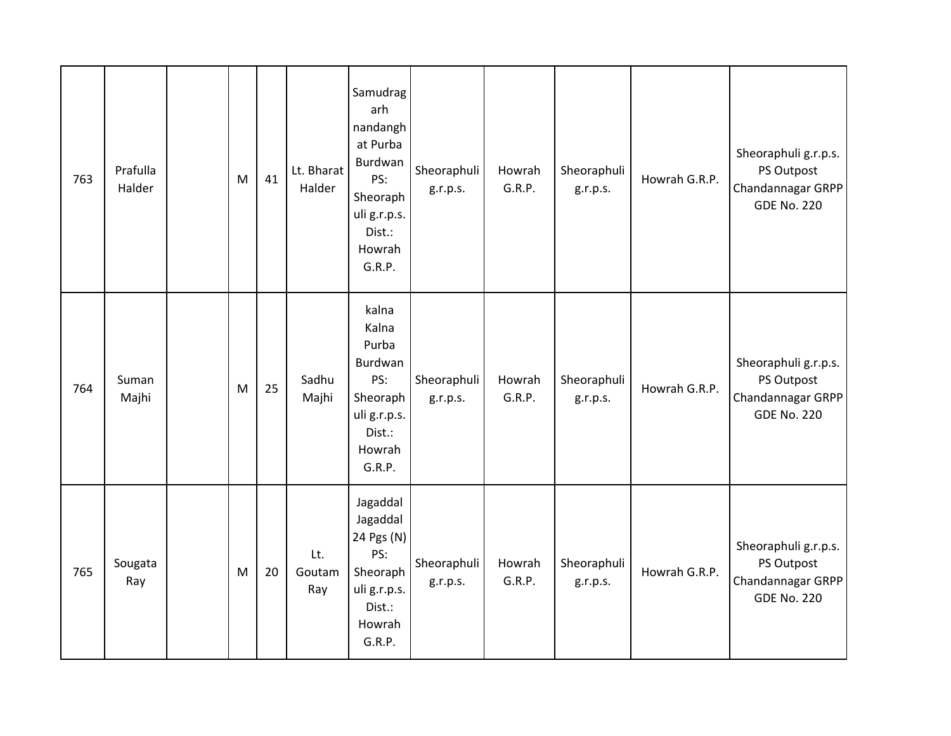| 763 | Prafulla<br>Halder | M | 41 | Lt. Bharat<br>Halder | Samudrag<br>arh<br>nandangh<br>at Purba<br>Burdwan<br>PS:<br>Sheoraph<br>uli g.r.p.s.<br>Dist.:<br>Howrah<br>G.R.P. | Sheoraphuli<br>g.r.p.s. | Howrah<br>G.R.P. | Sheoraphuli<br>g.r.p.s. | Howrah G.R.P. | Sheoraphuli g.r.p.s.<br>PS Outpost<br>Chandannagar GRPP<br><b>GDE No. 220</b> |
|-----|--------------------|---|----|----------------------|---------------------------------------------------------------------------------------------------------------------|-------------------------|------------------|-------------------------|---------------|-------------------------------------------------------------------------------|
| 764 | Suman<br>Majhi     | M | 25 | Sadhu<br>Majhi       | kalna<br>Kalna<br>Purba<br>Burdwan<br>PS:<br>Sheoraph<br>uli g.r.p.s.<br>Dist.:<br>Howrah<br>G.R.P.                 | Sheoraphuli<br>g.r.p.s. | Howrah<br>G.R.P. | Sheoraphuli<br>g.r.p.s. | Howrah G.R.P. | Sheoraphuli g.r.p.s.<br>PS Outpost<br>Chandannagar GRPP<br><b>GDE No. 220</b> |
| 765 | Sougata<br>Ray     | M | 20 | Lt.<br>Goutam<br>Ray | Jagaddal<br>Jagaddal<br>24 Pgs (N)<br>PS:<br>Sheoraph<br>uli g.r.p.s.<br>Dist.:<br>Howrah<br>G.R.P.                 | Sheoraphuli<br>g.r.p.s. | Howrah<br>G.R.P. | Sheoraphuli<br>g.r.p.s. | Howrah G.R.P. | Sheoraphuli g.r.p.s.<br>PS Outpost<br>Chandannagar GRPP<br><b>GDE No. 220</b> |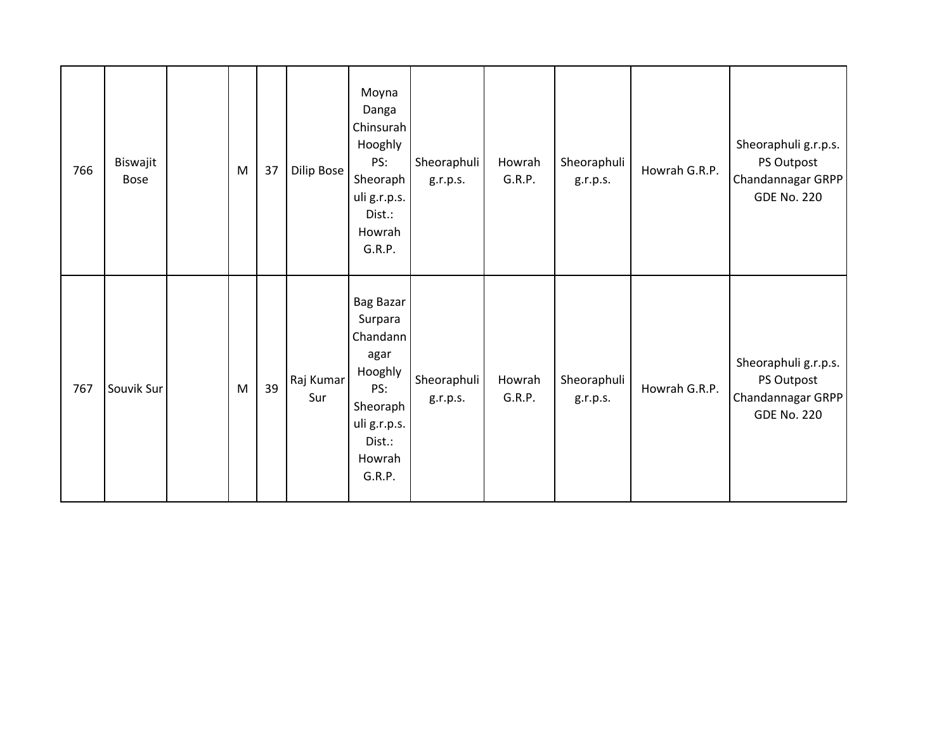| 766 | Biswajit<br><b>Bose</b> | M | 37 | Dilip Bose       | Moyna<br>Danga<br>Chinsurah<br>Hooghly<br>PS:<br>Sheoraph<br>uli g.r.p.s.<br>Dist.:<br>Howrah<br>G.R.P.                     | Sheoraphuli<br>g.r.p.s. | Howrah<br>G.R.P. | Sheoraphuli<br>g.r.p.s. | Howrah G.R.P. | Sheoraphuli g.r.p.s.<br>PS Outpost<br>Chandannagar GRPP<br><b>GDE No. 220</b> |
|-----|-------------------------|---|----|------------------|-----------------------------------------------------------------------------------------------------------------------------|-------------------------|------------------|-------------------------|---------------|-------------------------------------------------------------------------------|
| 767 | Souvik Sur              | M | 39 | Raj Kumar<br>Sur | <b>Bag Bazar</b><br>Surpara<br>Chandann<br>agar<br>Hooghly<br>PS:<br>Sheoraph<br>uli g.r.p.s.<br>Dist.:<br>Howrah<br>G.R.P. | Sheoraphuli<br>g.r.p.s. | Howrah<br>G.R.P. | Sheoraphuli<br>g.r.p.s. | Howrah G.R.P. | Sheoraphuli g.r.p.s.<br>PS Outpost<br>Chandannagar GRPP<br><b>GDE No. 220</b> |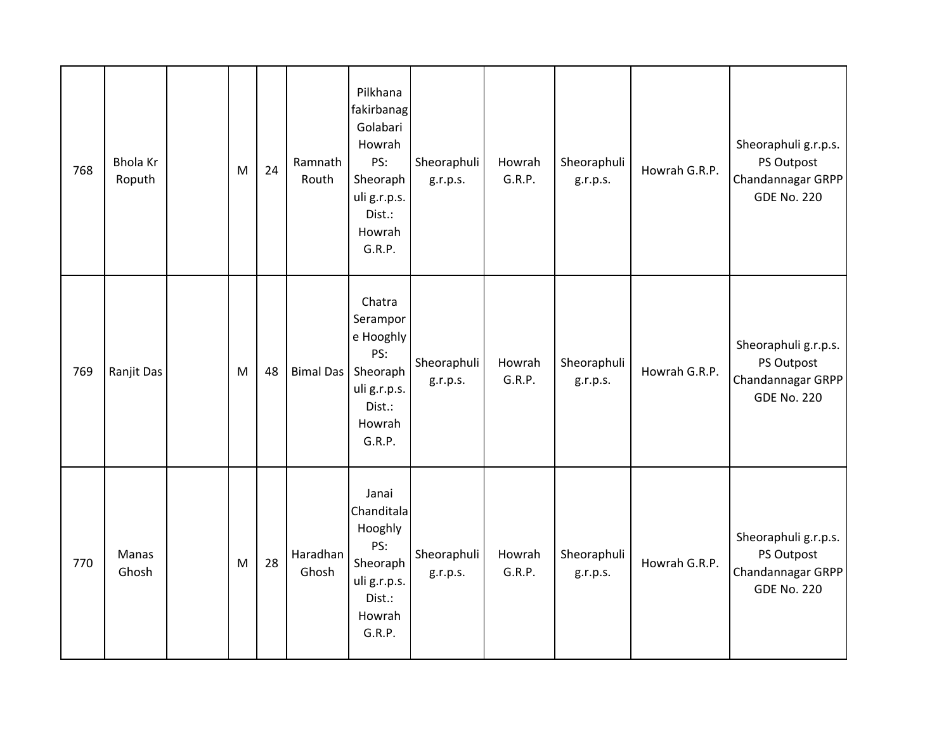| 768 | <b>Bhola Kr</b><br>Roputh | M | 24 | Ramnath<br>Routh  | Pilkhana<br>fakirbanag<br>Golabari<br>Howrah<br>PS:<br>Sheoraph<br>uli g.r.p.s.<br>Dist.:<br>Howrah<br>G.R.P. | Sheoraphuli<br>g.r.p.s. | Howrah<br>G.R.P. | Sheoraphuli<br>g.r.p.s. | Howrah G.R.P. | Sheoraphuli g.r.p.s.<br>PS Outpost<br>Chandannagar GRPP<br><b>GDE No. 220</b> |
|-----|---------------------------|---|----|-------------------|---------------------------------------------------------------------------------------------------------------|-------------------------|------------------|-------------------------|---------------|-------------------------------------------------------------------------------|
| 769 | Ranjit Das                | M | 48 | <b>Bimal Das</b>  | Chatra<br>Serampor<br>e Hooghly<br>PS:<br>Sheoraph<br>uli g.r.p.s.<br>Dist.:<br>Howrah<br>G.R.P.              | Sheoraphuli<br>g.r.p.s. | Howrah<br>G.R.P. | Sheoraphuli<br>g.r.p.s. | Howrah G.R.P. | Sheoraphuli g.r.p.s.<br>PS Outpost<br>Chandannagar GRPP<br><b>GDE No. 220</b> |
| 770 | Manas<br>Ghosh            | M | 28 | Haradhan<br>Ghosh | Janai<br>Chanditala<br>Hooghly<br>PS:<br>Sheoraph<br>uli g.r.p.s.<br>Dist.:<br>Howrah<br>G.R.P.               | Sheoraphuli<br>g.r.p.s. | Howrah<br>G.R.P. | Sheoraphuli<br>g.r.p.s. | Howrah G.R.P. | Sheoraphuli g.r.p.s.<br>PS Outpost<br>Chandannagar GRPP<br><b>GDE No. 220</b> |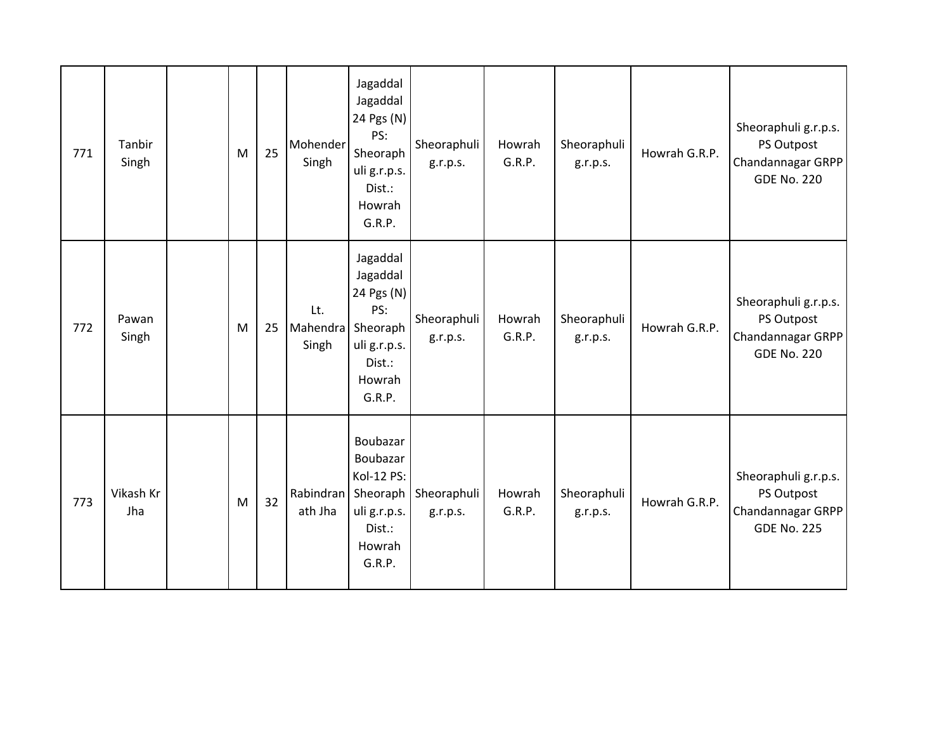| 771 | Tanbir<br>Singh  | M | 25 | Mohender<br>Singh        | Jagaddal<br>Jagaddal<br>24 Pgs (N)<br>PS:<br>Sheoraph<br>uli g.r.p.s.<br>Dist.:<br>Howrah<br>G.R.P.      | Sheoraphuli<br>g.r.p.s. | Howrah<br>G.R.P. | Sheoraphuli<br>g.r.p.s. | Howrah G.R.P. | Sheoraphuli g.r.p.s.<br>PS Outpost<br>Chandannagar GRPP<br><b>GDE No. 220</b> |
|-----|------------------|---|----|--------------------------|----------------------------------------------------------------------------------------------------------|-------------------------|------------------|-------------------------|---------------|-------------------------------------------------------------------------------|
| 772 | Pawan<br>Singh   | M | 25 | Lt.<br>Mahendra<br>Singh | Jagaddal<br>Jagaddal<br>24 Pgs (N)<br>PS:<br>Sheoraph<br>uli g.r.p.s.<br>Dist.:<br>Howrah<br>G.R.P.      | Sheoraphuli<br>g.r.p.s. | Howrah<br>G.R.P. | Sheoraphuli<br>g.r.p.s. | Howrah G.R.P. | Sheoraphuli g.r.p.s.<br>PS Outpost<br>Chandannagar GRPP<br><b>GDE No. 220</b> |
| 773 | Vikash Kr<br>Jha | M | 32 | ath Jha                  | Boubazar<br>Boubazar<br>Kol-12 PS:<br>Rabindran   Sheoraph<br>uli g.r.p.s.<br>Dist.:<br>Howrah<br>G.R.P. | Sheoraphuli<br>g.r.p.s. | Howrah<br>G.R.P. | Sheoraphuli<br>g.r.p.s. | Howrah G.R.P. | Sheoraphuli g.r.p.s.<br>PS Outpost<br>Chandannagar GRPP<br><b>GDE No. 225</b> |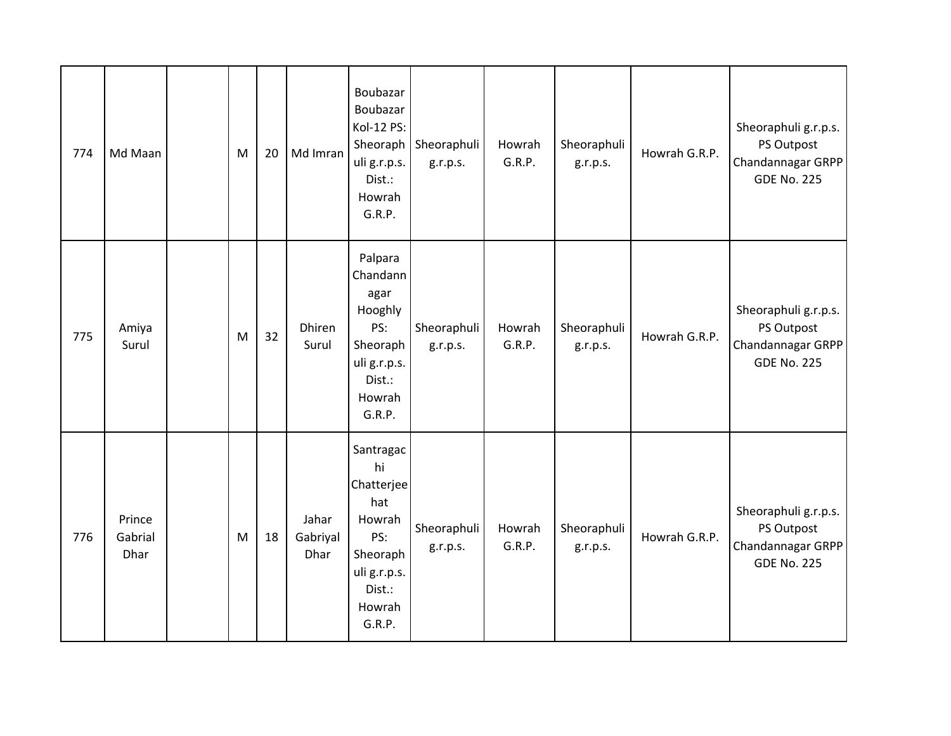| 774 | Md Maan                   | M | 20 | Md Imran                  | Boubazar<br>Boubazar<br>Kol-12 PS:<br>Sheoraph<br>uli g.r.p.s.<br>Dist.:<br>Howrah<br>G.R.P.                    | Sheoraphuli<br>g.r.p.s. | Howrah<br>G.R.P. | Sheoraphuli<br>g.r.p.s. | Howrah G.R.P. | Sheoraphuli g.r.p.s.<br>PS Outpost<br>Chandannagar GRPP<br><b>GDE No. 225</b> |
|-----|---------------------------|---|----|---------------------------|-----------------------------------------------------------------------------------------------------------------|-------------------------|------------------|-------------------------|---------------|-------------------------------------------------------------------------------|
| 775 | Amiya<br>Surul            | M | 32 | Dhiren<br>Surul           | Palpara<br>Chandann<br>agar<br>Hooghly<br>PS:<br>Sheoraph<br>uli g.r.p.s.<br>Dist.:<br>Howrah<br>G.R.P.         | Sheoraphuli<br>g.r.p.s. | Howrah<br>G.R.P. | Sheoraphuli<br>g.r.p.s. | Howrah G.R.P. | Sheoraphuli g.r.p.s.<br>PS Outpost<br>Chandannagar GRPP<br><b>GDE No. 225</b> |
| 776 | Prince<br>Gabrial<br>Dhar | M | 18 | Jahar<br>Gabriyal<br>Dhar | Santragac<br>hi<br>Chatterjee<br>hat<br>Howrah<br>PS:<br>Sheoraph<br>uli g.r.p.s.<br>Dist.:<br>Howrah<br>G.R.P. | Sheoraphuli<br>g.r.p.s. | Howrah<br>G.R.P. | Sheoraphuli<br>g.r.p.s. | Howrah G.R.P. | Sheoraphuli g.r.p.s.<br>PS Outpost<br>Chandannagar GRPP<br><b>GDE No. 225</b> |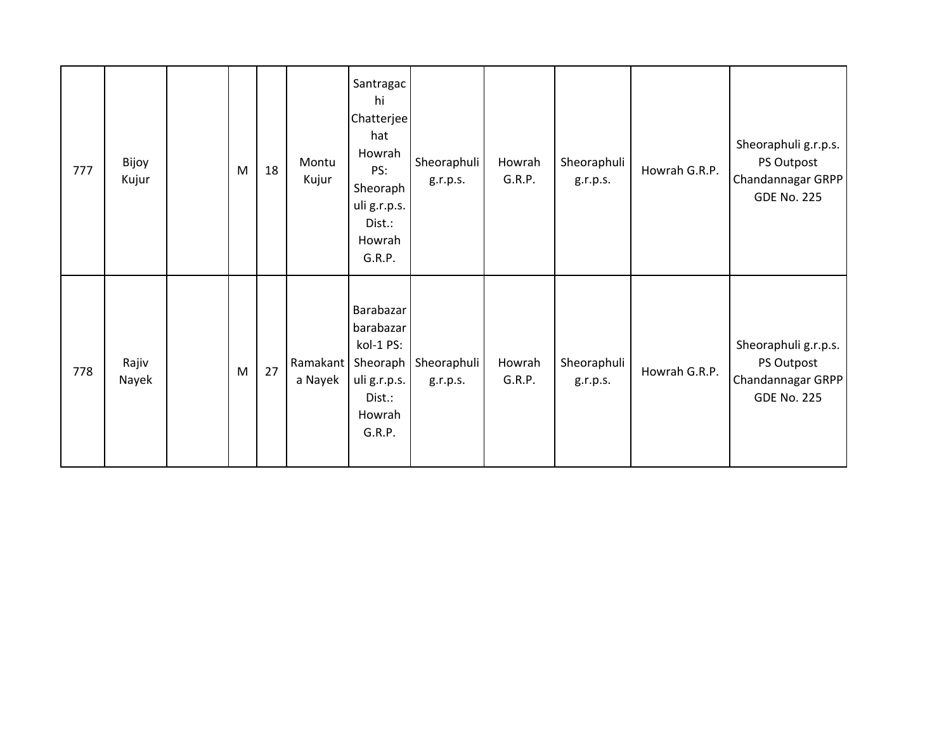| 777 | Bijoy<br>Kujur | M         | 18 | Montu<br>Kujur      | Santragac<br>hi<br>Chatterjee<br>hat<br>Howrah<br>PS:<br>Sheoraph<br>uli g.r.p.s.<br>Dist.:<br>Howrah<br>G.R.P. | Sheoraphuli<br>g.r.p.s. | Howrah<br>G.R.P. | Sheoraphuli<br>g.r.p.s. | Howrah G.R.P. | Sheoraphuli g.r.p.s.<br>PS Outpost<br>Chandannagar GRPP<br><b>GDE No. 225</b> |
|-----|----------------|-----------|----|---------------------|-----------------------------------------------------------------------------------------------------------------|-------------------------|------------------|-------------------------|---------------|-------------------------------------------------------------------------------|
| 778 | Rajiv<br>Nayek | ${\sf M}$ | 27 | Ramakant<br>a Nayek | Barabazar<br>barabazar<br>kol-1 PS:<br>Sheoraph<br>uli g.r.p.s.<br>Dist.:<br>Howrah<br>G.R.P.                   | Sheoraphuli<br>g.r.p.s. | Howrah<br>G.R.P. | Sheoraphuli<br>g.r.p.s. | Howrah G.R.P. | Sheoraphuli g.r.p.s.<br>PS Outpost<br>Chandannagar GRPP<br><b>GDE No. 225</b> |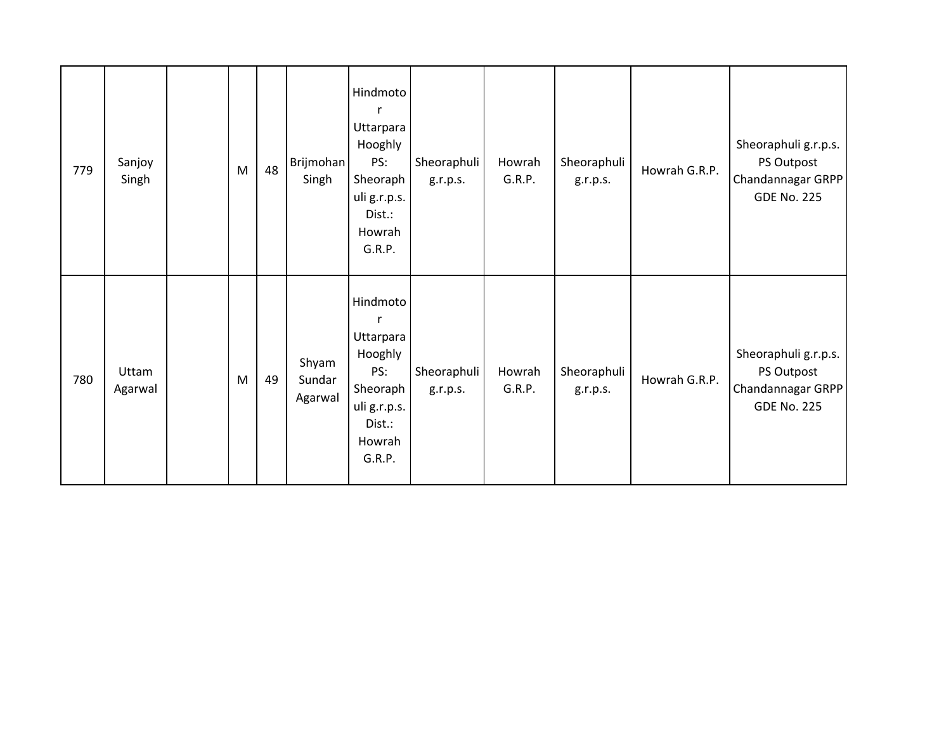| 779 | Sanjoy<br>Singh  | M | 48 | Brijmohan<br>Singh         | Hindmoto<br>r<br>Uttarpara<br>Hooghly<br>PS:<br>Sheoraph<br>uli g.r.p.s.<br>Dist.:<br>Howrah<br>G.R.P. | Sheoraphuli<br>g.r.p.s. | Howrah<br>G.R.P. | Sheoraphuli<br>g.r.p.s. | Howrah G.R.P. | Sheoraphuli g.r.p.s.<br>PS Outpost<br>Chandannagar GRPP<br><b>GDE No. 225</b> |
|-----|------------------|---|----|----------------------------|--------------------------------------------------------------------------------------------------------|-------------------------|------------------|-------------------------|---------------|-------------------------------------------------------------------------------|
| 780 | Uttam<br>Agarwal | M | 49 | Shyam<br>Sundar<br>Agarwal | Hindmoto<br>r<br>Uttarpara<br>Hooghly<br>PS:<br>Sheoraph<br>uli g.r.p.s.<br>Dist.:<br>Howrah<br>G.R.P. | Sheoraphuli<br>g.r.p.s. | Howrah<br>G.R.P. | Sheoraphuli<br>g.r.p.s. | Howrah G.R.P. | Sheoraphuli g.r.p.s.<br>PS Outpost<br>Chandannagar GRPP<br><b>GDE No. 225</b> |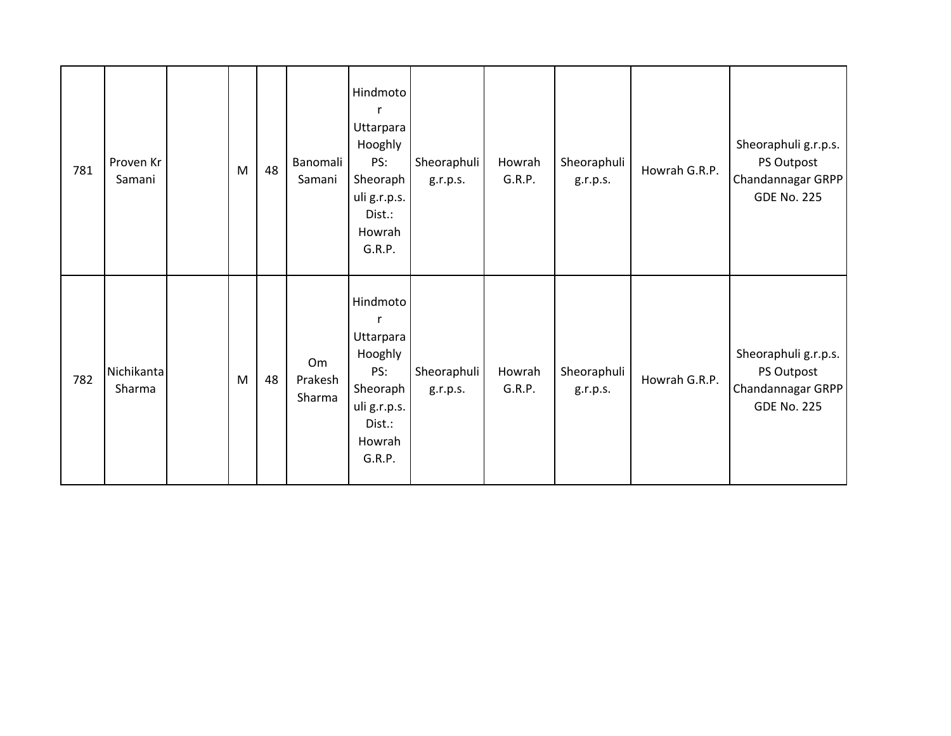| 781 | Proven Kr<br>Samani  | M | 48 | Banomali<br>Samani      | Hindmoto<br>r<br>Uttarpara<br>Hooghly<br>PS:<br>Sheoraph<br>uli g.r.p.s.<br>Dist.:<br>Howrah<br>G.R.P. | Sheoraphuli<br>g.r.p.s. | Howrah<br>G.R.P. | Sheoraphuli<br>g.r.p.s. | Howrah G.R.P. | Sheoraphuli g.r.p.s.<br>PS Outpost<br>Chandannagar GRPP<br><b>GDE No. 225</b> |
|-----|----------------------|---|----|-------------------------|--------------------------------------------------------------------------------------------------------|-------------------------|------------------|-------------------------|---------------|-------------------------------------------------------------------------------|
| 782 | Nichikanta<br>Sharma | M | 48 | Om<br>Prakesh<br>Sharma | Hindmoto<br>r<br>Uttarpara<br>Hooghly<br>PS:<br>Sheoraph<br>uli g.r.p.s.<br>Dist.:<br>Howrah<br>G.R.P. | Sheoraphuli<br>g.r.p.s. | Howrah<br>G.R.P. | Sheoraphuli<br>g.r.p.s. | Howrah G.R.P. | Sheoraphuli g.r.p.s.<br>PS Outpost<br>Chandannagar GRPP<br><b>GDE No. 225</b> |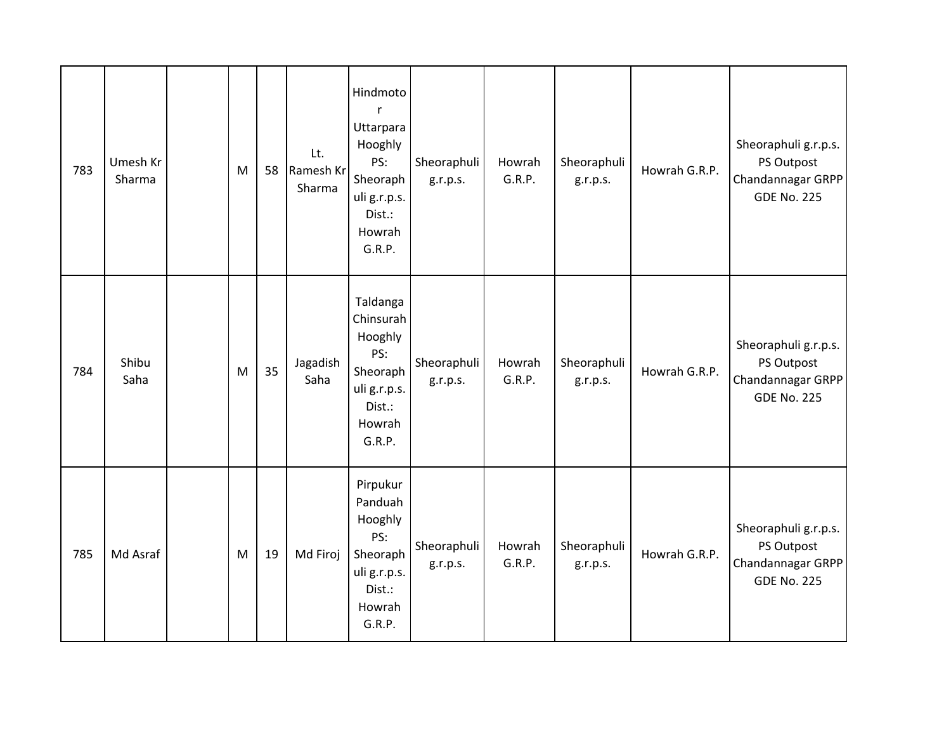| 783 | Umesh Kr<br>Sharma | M | 58 | Lt.<br>Ramesh Kr<br>Sharma | Hindmoto<br>$\mathsf{r}$<br>Uttarpara<br>Hooghly<br>PS:<br>Sheoraph<br>uli g.r.p.s.<br>Dist.:<br>Howrah<br>G.R.P. | Sheoraphuli<br>g.r.p.s. | Howrah<br>G.R.P. | Sheoraphuli<br>g.r.p.s. | Howrah G.R.P. | Sheoraphuli g.r.p.s.<br>PS Outpost<br>Chandannagar GRPP<br><b>GDE No. 225</b> |
|-----|--------------------|---|----|----------------------------|-------------------------------------------------------------------------------------------------------------------|-------------------------|------------------|-------------------------|---------------|-------------------------------------------------------------------------------|
| 784 | Shibu<br>Saha      | M | 35 | Jagadish<br>Saha           | Taldanga<br>Chinsurah<br>Hooghly<br>PS:<br>Sheoraph<br>uli g.r.p.s.<br>Dist.:<br>Howrah<br>G.R.P.                 | Sheoraphuli<br>g.r.p.s. | Howrah<br>G.R.P. | Sheoraphuli<br>g.r.p.s. | Howrah G.R.P. | Sheoraphuli g.r.p.s.<br>PS Outpost<br>Chandannagar GRPP<br><b>GDE No. 225</b> |
| 785 | Md Asraf           | M | 19 | Md Firoj                   | Pirpukur<br>Panduah<br>Hooghly<br>PS:<br>Sheoraph<br>uli g.r.p.s.<br>Dist.:<br>Howrah<br>G.R.P.                   | Sheoraphuli<br>g.r.p.s. | Howrah<br>G.R.P. | Sheoraphuli<br>g.r.p.s. | Howrah G.R.P. | Sheoraphuli g.r.p.s.<br>PS Outpost<br>Chandannagar GRPP<br><b>GDE No. 225</b> |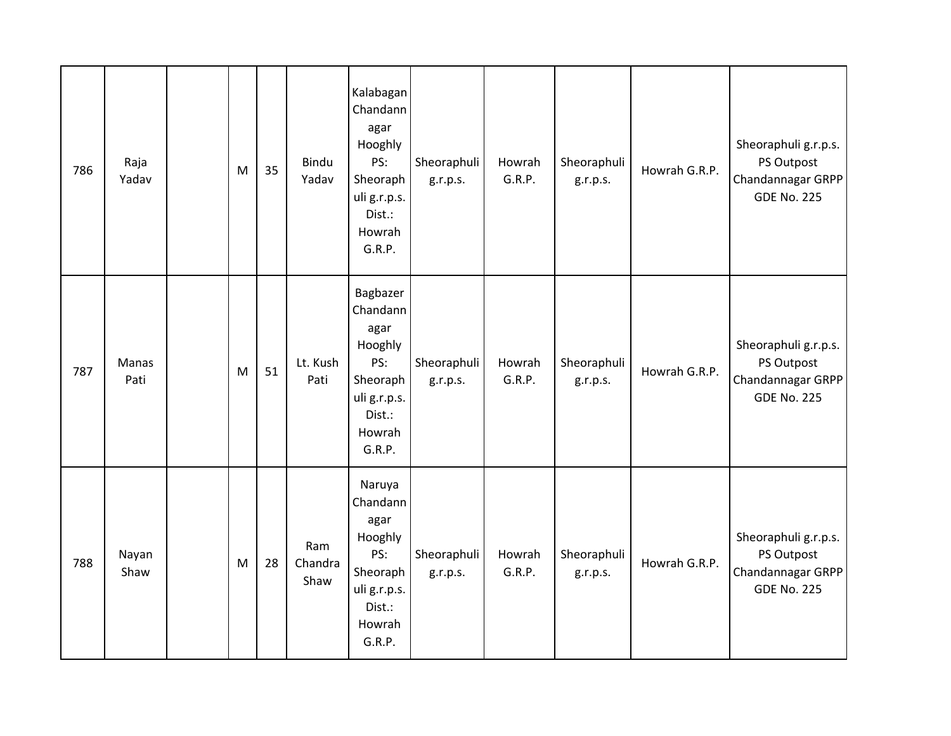| 786 | Raja<br>Yadav | M | 35 | Bindu<br>Yadav         | Kalabagan<br>Chandann<br>agar<br>Hooghly<br>PS:<br>Sheoraph<br>uli g.r.p.s.<br>Dist.:<br>Howrah<br>G.R.P. | Sheoraphuli<br>g.r.p.s. | Howrah<br>G.R.P. | Sheoraphuli<br>g.r.p.s. | Howrah G.R.P. | Sheoraphuli g.r.p.s.<br>PS Outpost<br>Chandannagar GRPP<br><b>GDE No. 225</b> |
|-----|---------------|---|----|------------------------|-----------------------------------------------------------------------------------------------------------|-------------------------|------------------|-------------------------|---------------|-------------------------------------------------------------------------------|
| 787 | Manas<br>Pati | M | 51 | Lt. Kush<br>Pati       | Bagbazer<br>Chandann<br>agar<br>Hooghly<br>PS:<br>Sheoraph<br>uli g.r.p.s.<br>Dist.:<br>Howrah<br>G.R.P.  | Sheoraphuli<br>g.r.p.s. | Howrah<br>G.R.P. | Sheoraphuli<br>g.r.p.s. | Howrah G.R.P. | Sheoraphuli g.r.p.s.<br>PS Outpost<br>Chandannagar GRPP<br><b>GDE No. 225</b> |
| 788 | Nayan<br>Shaw | M | 28 | Ram<br>Chandra<br>Shaw | Naruya<br>Chandann<br>agar<br>Hooghly<br>PS:<br>Sheoraph<br>uli g.r.p.s.<br>Dist.:<br>Howrah<br>G.R.P.    | Sheoraphuli<br>g.r.p.s. | Howrah<br>G.R.P. | Sheoraphuli<br>g.r.p.s. | Howrah G.R.P. | Sheoraphuli g.r.p.s.<br>PS Outpost<br>Chandannagar GRPP<br><b>GDE No. 225</b> |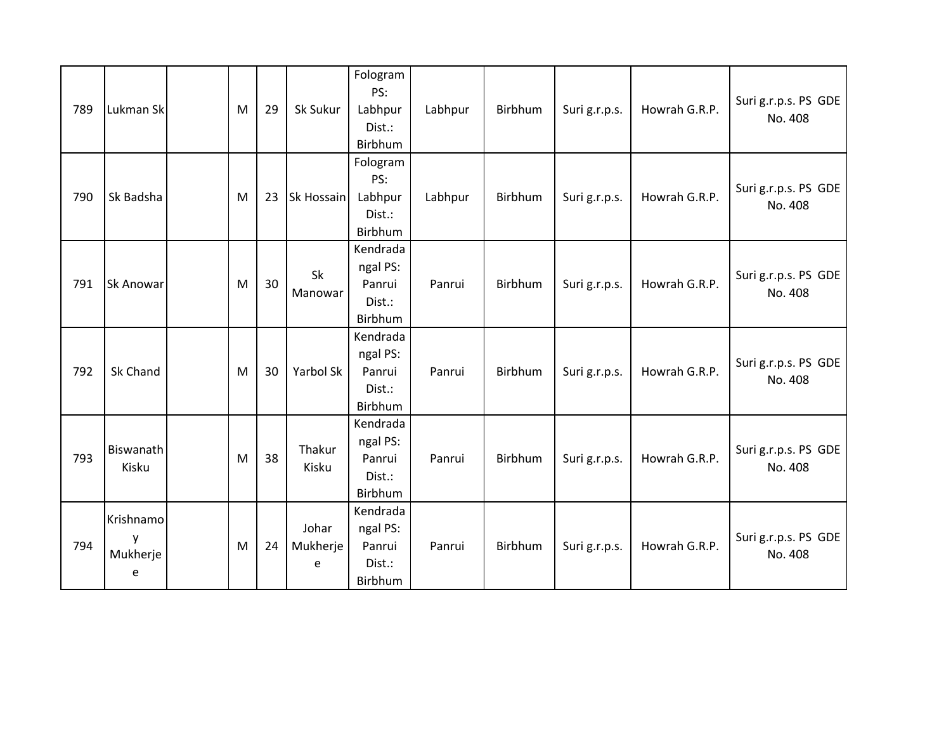| 789 | Lukman Sk                       | M | 29 | Sk Sukur               | Fologram<br>PS:<br>Labhpur<br>Dist.:<br>Birbhum     | Labhpur | Birbhum | Suri g.r.p.s. | Howrah G.R.P. | Suri g.r.p.s. PS GDE<br>No. 408 |
|-----|---------------------------------|---|----|------------------------|-----------------------------------------------------|---------|---------|---------------|---------------|---------------------------------|
| 790 | Sk Badsha                       | M | 23 | Sk Hossain             | Fologram<br>PS:<br>Labhpur<br>Dist.:<br>Birbhum     | Labhpur | Birbhum | Suri g.r.p.s. | Howrah G.R.P. | Suri g.r.p.s. PS GDE<br>No. 408 |
| 791 | <b>Sk Anowar</b>                | M | 30 | Sk<br>Manowar          | Kendrada<br>ngal PS:<br>Panrui<br>Dist.:<br>Birbhum | Panrui  | Birbhum | Suri g.r.p.s. | Howrah G.R.P. | Suri g.r.p.s. PS GDE<br>No. 408 |
| 792 | Sk Chand                        | M | 30 | Yarbol Sk              | Kendrada<br>ngal PS:<br>Panrui<br>Dist.:<br>Birbhum | Panrui  | Birbhum | Suri g.r.p.s. | Howrah G.R.P. | Suri g.r.p.s. PS GDE<br>No. 408 |
| 793 | Biswanath<br>Kisku              | M | 38 | Thakur<br>Kisku        | Kendrada<br>ngal PS:<br>Panrui<br>Dist.:<br>Birbhum | Panrui  | Birbhum | Suri g.r.p.s. | Howrah G.R.P. | Suri g.r.p.s. PS GDE<br>No. 408 |
| 794 | Krishnamo<br>V<br>Mukherje<br>e | M | 24 | Johar<br>Mukherje<br>e | Kendrada<br>ngal PS:<br>Panrui<br>Dist.:<br>Birbhum | Panrui  | Birbhum | Suri g.r.p.s. | Howrah G.R.P. | Suri g.r.p.s. PS GDE<br>No. 408 |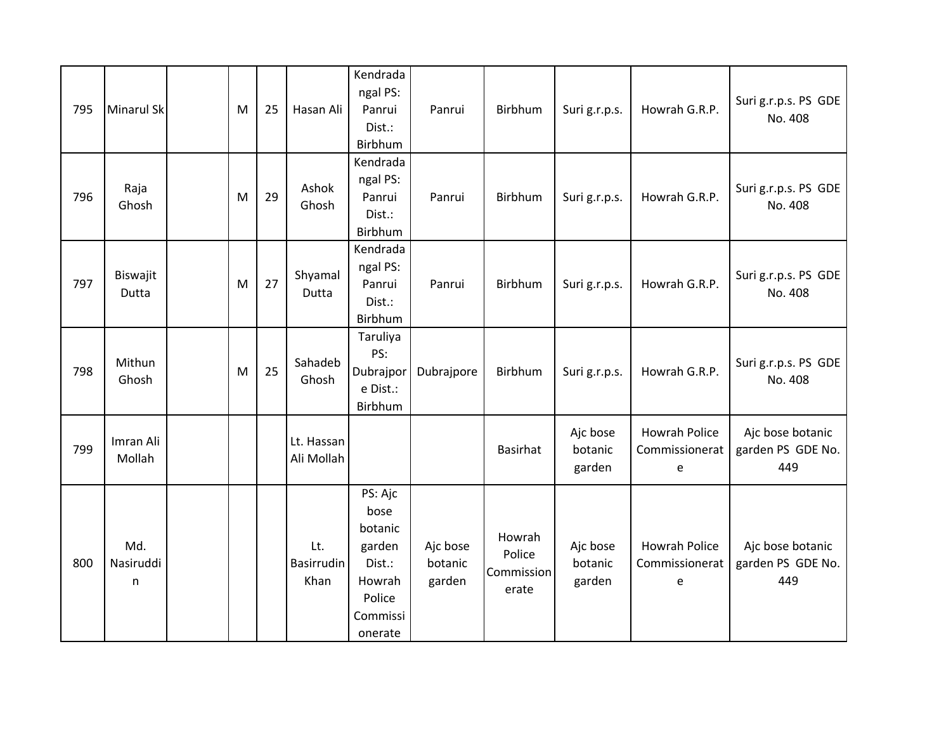| 795 | <b>Minarul Sk</b>     | M | 25 | Hasan Ali                        | Kendrada<br>ngal PS:<br>Panrui<br>Dist.:<br>Birbhum                                       | Panrui                        | Birbhum                                 | Suri g.r.p.s.                 | Howrah G.R.P.                               | Suri g.r.p.s. PS GDE<br>No. 408              |
|-----|-----------------------|---|----|----------------------------------|-------------------------------------------------------------------------------------------|-------------------------------|-----------------------------------------|-------------------------------|---------------------------------------------|----------------------------------------------|
| 796 | Raja<br>Ghosh         | M | 29 | Ashok<br>Ghosh                   | Kendrada<br>ngal PS:<br>Panrui<br>Dist.:<br>Birbhum                                       | Panrui                        | Birbhum                                 | Suri g.r.p.s.                 | Howrah G.R.P.                               | Suri g.r.p.s. PS GDE<br>No. 408              |
| 797 | Biswajit<br>Dutta     | M | 27 | Shyamal<br>Dutta                 | Kendrada<br>ngal PS:<br>Panrui<br>Dist.:<br>Birbhum                                       | Panrui                        | Birbhum                                 | Suri g.r.p.s.                 | Howrah G.R.P.                               | Suri g.r.p.s. PS GDE<br>No. 408              |
| 798 | Mithun<br>Ghosh       | M | 25 | Sahadeb<br>Ghosh                 | Taruliya<br>PS:<br>Dubrajpor<br>e Dist.:<br>Birbhum                                       | Dubrajpore                    | Birbhum                                 | Suri g.r.p.s.                 | Howrah G.R.P.                               | Suri g.r.p.s. PS GDE<br>No. 408              |
| 799 | Imran Ali<br>Mollah   |   |    | Lt. Hassan<br>Ali Mollah         |                                                                                           |                               | <b>Basirhat</b>                         | Ajc bose<br>botanic<br>garden | <b>Howrah Police</b><br>Commissionerat<br>e | Ajc bose botanic<br>garden PS GDE No.<br>449 |
| 800 | Md.<br>Nasiruddi<br>n |   |    | Lt.<br><b>Basirrudin</b><br>Khan | PS: Ajc<br>bose<br>botanic<br>garden<br>Dist.:<br>Howrah<br>Police<br>Commissi<br>onerate | Ajc bose<br>botanic<br>garden | Howrah<br>Police<br>Commission<br>erate | Ajc bose<br>botanic<br>garden | Howrah Police<br>Commissionerat<br>e        | Ajc bose botanic<br>garden PS GDE No.<br>449 |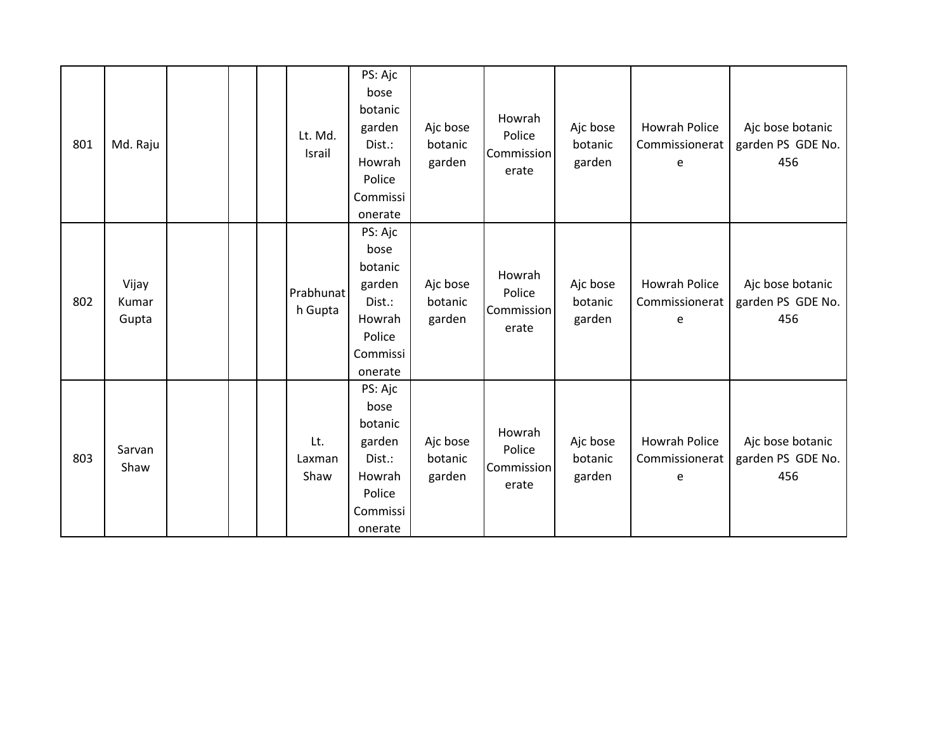| 801 | Md. Raju                |  | Lt. Md.<br>Israil     | PS: Ajc<br>bose<br>botanic<br>garden<br>Dist.:<br>Howrah<br>Police<br>Commissi<br>onerate | Ajc bose<br>botanic<br>garden | Howrah<br>Police<br>Commission<br>erate | Ajc bose<br>botanic<br>garden | <b>Howrah Police</b><br>Commissionerat<br>e | Ajc bose botanic<br>garden PS GDE No.<br>456 |
|-----|-------------------------|--|-----------------------|-------------------------------------------------------------------------------------------|-------------------------------|-----------------------------------------|-------------------------------|---------------------------------------------|----------------------------------------------|
| 802 | Vijay<br>Kumar<br>Gupta |  | Prabhunat<br>h Gupta  | PS: Ajc<br>bose<br>botanic<br>garden<br>Dist.:<br>Howrah<br>Police<br>Commissi<br>onerate | Ajc bose<br>botanic<br>garden | Howrah<br>Police<br>Commission<br>erate | Ajc bose<br>botanic<br>garden | <b>Howrah Police</b><br>Commissionerat<br>e | Ajc bose botanic<br>garden PS GDE No.<br>456 |
| 803 | Sarvan<br>Shaw          |  | Lt.<br>Laxman<br>Shaw | PS: Ajc<br>bose<br>botanic<br>garden<br>Dist.:<br>Howrah<br>Police<br>Commissi<br>onerate | Ajc bose<br>botanic<br>garden | Howrah<br>Police<br>Commission<br>erate | Ajc bose<br>botanic<br>garden | Howrah Police<br>Commissionerat<br>e        | Ajc bose botanic<br>garden PS GDE No.<br>456 |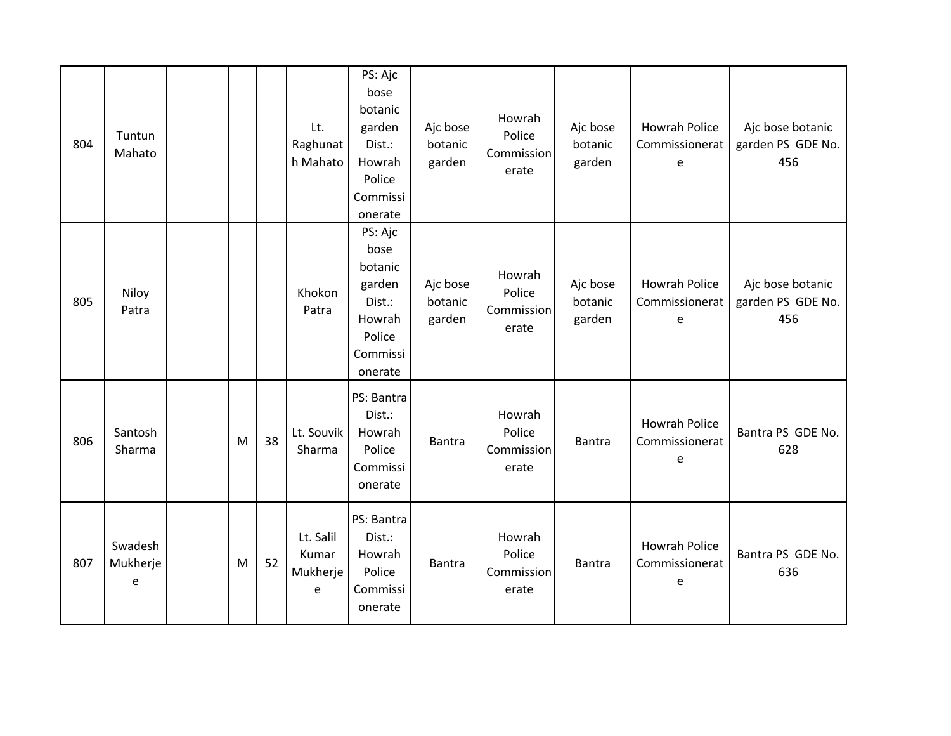| 804 | Tuntun<br>Mahato         |           |    | Lt.<br>Raghunat<br>h Mahato         | PS: Ajc<br>bose<br>botanic<br>garden<br>Dist.:<br>Howrah<br>Police<br>Commissi<br>onerate | Ajc bose<br>botanic<br>garden | Howrah<br>Police<br>Commission<br>erate | Ajc bose<br>botanic<br>garden | Howrah Police<br>Commissionerat<br>e        | Ajc bose botanic<br>garden PS GDE No.<br>456 |
|-----|--------------------------|-----------|----|-------------------------------------|-------------------------------------------------------------------------------------------|-------------------------------|-----------------------------------------|-------------------------------|---------------------------------------------|----------------------------------------------|
| 805 | Niloy<br>Patra           |           |    | Khokon<br>Patra                     | PS: Ajc<br>bose<br>botanic<br>garden<br>Dist.:<br>Howrah<br>Police<br>Commissi<br>onerate | Ajc bose<br>botanic<br>garden | Howrah<br>Police<br>Commission<br>erate | Ajc bose<br>botanic<br>garden | Howrah Police<br>Commissionerat<br>e        | Ajc bose botanic<br>garden PS GDE No.<br>456 |
| 806 | Santosh<br>Sharma        | M         | 38 | Lt. Souvik<br>Sharma                | PS: Bantra<br>Dist.:<br>Howrah<br>Police<br>Commissi<br>onerate                           | Bantra                        | Howrah<br>Police<br>Commission<br>erate | Bantra                        | <b>Howrah Police</b><br>Commissionerat<br>e | Bantra PS GDE No.<br>628                     |
| 807 | Swadesh<br>Mukherje<br>e | ${\sf M}$ | 52 | Lt. Salil<br>Kumar<br>Mukherje<br>e | PS: Bantra<br>Dist.:<br>Howrah<br>Police<br>Commissi<br>onerate                           | <b>Bantra</b>                 | Howrah<br>Police<br>Commission<br>erate | <b>Bantra</b>                 | Howrah Police<br>Commissionerat<br>e        | Bantra PS GDE No.<br>636                     |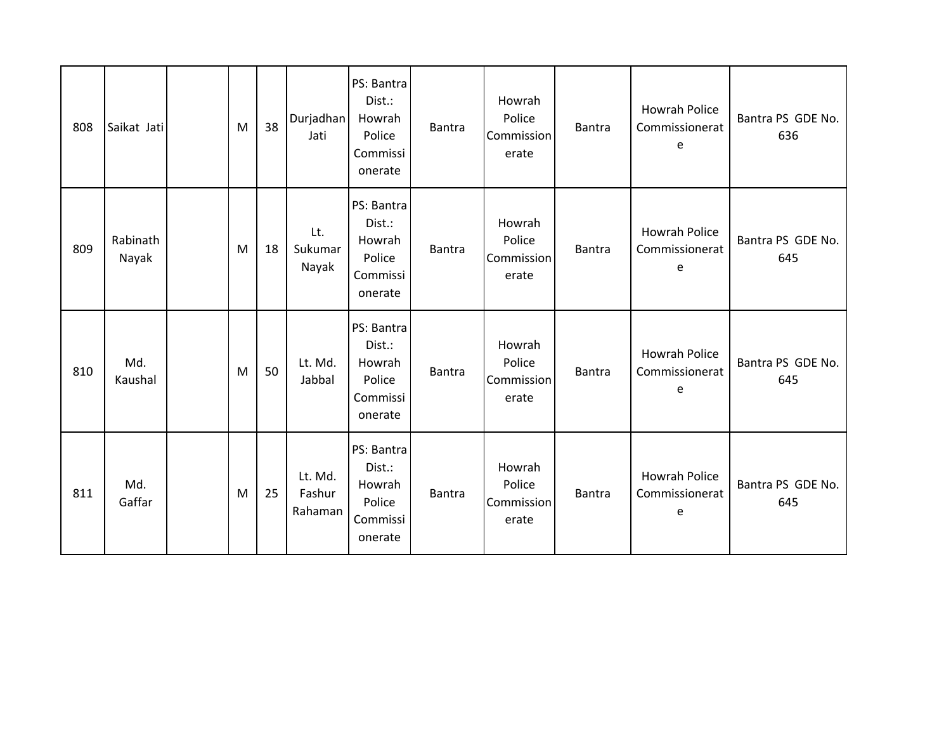| 808 | Saikat Jati       | M | 38 | Durjadhan<br>Jati            | PS: Bantra<br>Dist.:<br>Howrah<br>Police<br>Commissi<br>onerate | Bantra        | Howrah<br>Police<br>Commission<br>erate | <b>Bantra</b> | <b>Howrah Police</b><br>Commissionerat<br>e | Bantra PS GDE No.<br>636 |
|-----|-------------------|---|----|------------------------------|-----------------------------------------------------------------|---------------|-----------------------------------------|---------------|---------------------------------------------|--------------------------|
| 809 | Rabinath<br>Nayak | M | 18 | Lt.<br>Sukumar<br>Nayak      | PS: Bantra<br>Dist.:<br>Howrah<br>Police<br>Commissi<br>onerate | Bantra        | Howrah<br>Police<br>Commission<br>erate | <b>Bantra</b> | Howrah Police<br>Commissionerat<br>e        | Bantra PS GDE No.<br>645 |
| 810 | Md.<br>Kaushal    | M | 50 | Lt. Md.<br>Jabbal            | PS: Bantra<br>Dist.:<br>Howrah<br>Police<br>Commissi<br>onerate | Bantra        | Howrah<br>Police<br>Commission<br>erate | Bantra        | <b>Howrah Police</b><br>Commissionerat<br>e | Bantra PS GDE No.<br>645 |
| 811 | Md.<br>Gaffar     | M | 25 | Lt. Md.<br>Fashur<br>Rahaman | PS: Bantra<br>Dist.:<br>Howrah<br>Police<br>Commissi<br>onerate | <b>Bantra</b> | Howrah<br>Police<br>Commission<br>erate | <b>Bantra</b> | Howrah Police<br>Commissionerat<br>e        | Bantra PS GDE No.<br>645 |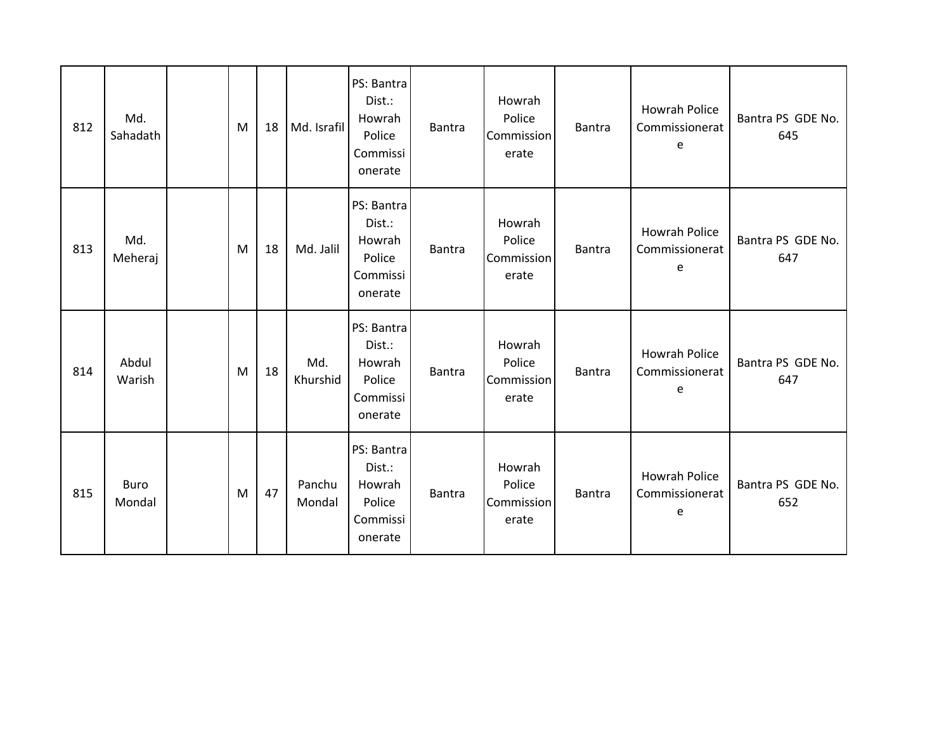| 812 | Md.<br>Sahadath | M | 18 | Md. Israfil      | PS: Bantra<br>Dist.:<br>Howrah<br>Police<br>Commissi<br>onerate | <b>Bantra</b> | Howrah<br>Police<br>Commission<br>erate | <b>Bantra</b> | <b>Howrah Police</b><br>Commissionerat<br>e | Bantra PS GDE No.<br>645 |
|-----|-----------------|---|----|------------------|-----------------------------------------------------------------|---------------|-----------------------------------------|---------------|---------------------------------------------|--------------------------|
| 813 | Md.<br>Meheraj  | M | 18 | Md. Jalil        | PS: Bantra<br>Dist.:<br>Howrah<br>Police<br>Commissi<br>onerate | <b>Bantra</b> | Howrah<br>Police<br>Commission<br>erate | <b>Bantra</b> | <b>Howrah Police</b><br>Commissionerat<br>e | Bantra PS GDE No.<br>647 |
| 814 | Abdul<br>Warish | M | 18 | Md.<br>Khurshid  | PS: Bantra<br>Dist.:<br>Howrah<br>Police<br>Commissi<br>onerate | <b>Bantra</b> | Howrah<br>Police<br>Commission<br>erate | <b>Bantra</b> | <b>Howrah Police</b><br>Commissionerat<br>e | Bantra PS GDE No.<br>647 |
| 815 | Buro<br>Mondal  | M | 47 | Panchu<br>Mondal | PS: Bantra<br>Dist.:<br>Howrah<br>Police<br>Commissi<br>onerate | <b>Bantra</b> | Howrah<br>Police<br>Commission<br>erate | <b>Bantra</b> | <b>Howrah Police</b><br>Commissionerat<br>e | Bantra PS GDE No.<br>652 |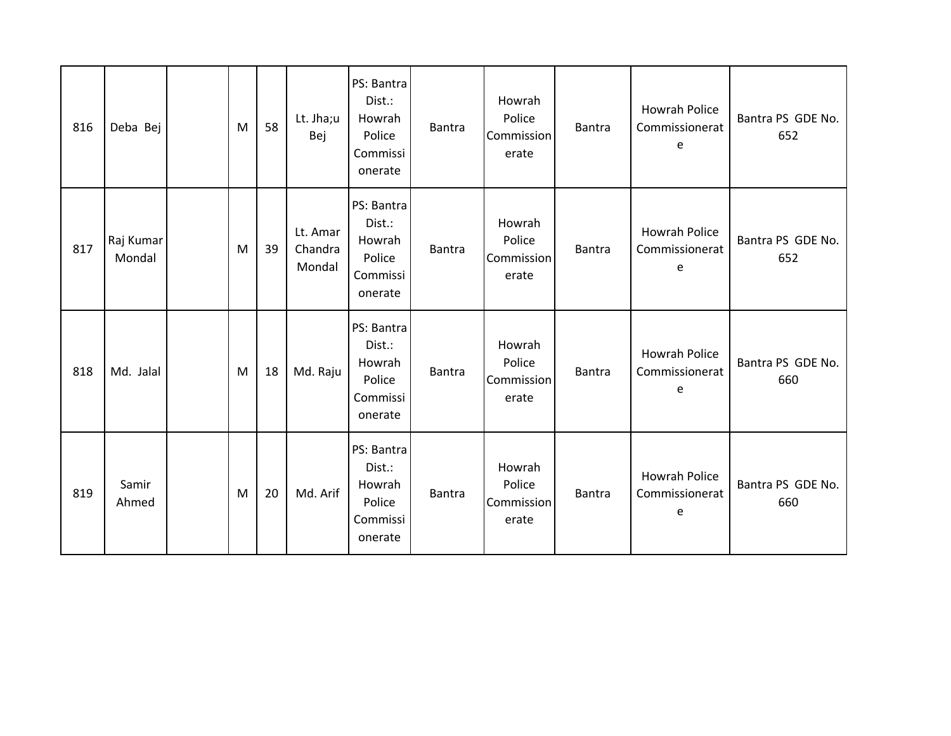| 816 | Deba Bej            | M | 58 | Lt. Jha;u<br>Bej              | PS: Bantra<br>Dist.:<br>Howrah<br>Police<br>Commissi<br>onerate | Bantra        | Howrah<br>Police<br>Commission<br>erate | <b>Bantra</b> | <b>Howrah Police</b><br>Commissionerat<br>e | Bantra PS GDE No.<br>652 |
|-----|---------------------|---|----|-------------------------------|-----------------------------------------------------------------|---------------|-----------------------------------------|---------------|---------------------------------------------|--------------------------|
| 817 | Raj Kumar<br>Mondal | M | 39 | Lt. Amar<br>Chandra<br>Mondal | PS: Bantra<br>Dist.:<br>Howrah<br>Police<br>Commissi<br>onerate | <b>Bantra</b> | Howrah<br>Police<br>Commission<br>erate | <b>Bantra</b> | <b>Howrah Police</b><br>Commissionerat<br>e | Bantra PS GDE No.<br>652 |
| 818 | Md. Jalal           | M | 18 | Md. Raju                      | PS: Bantra<br>Dist.:<br>Howrah<br>Police<br>Commissi<br>onerate | Bantra        | Howrah<br>Police<br>Commission<br>erate | <b>Bantra</b> | <b>Howrah Police</b><br>Commissionerat<br>e | Bantra PS GDE No.<br>660 |
| 819 | Samir<br>Ahmed      | M | 20 | Md. Arif                      | PS: Bantra<br>Dist.:<br>Howrah<br>Police<br>Commissi<br>onerate | <b>Bantra</b> | Howrah<br>Police<br>Commission<br>erate | <b>Bantra</b> | <b>Howrah Police</b><br>Commissionerat<br>e | Bantra PS GDE No.<br>660 |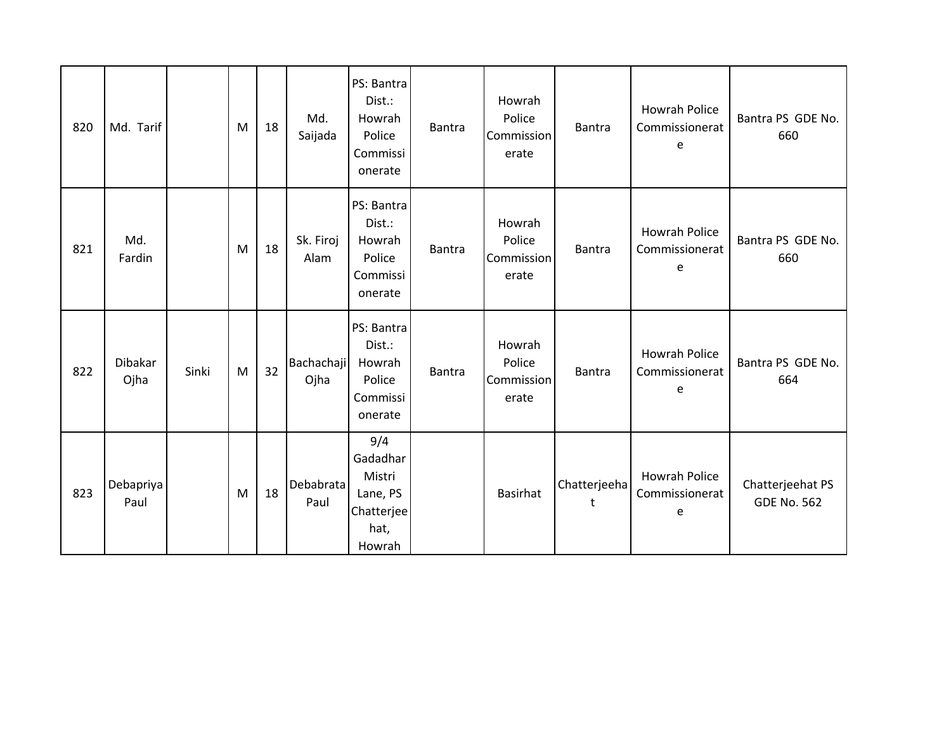| 820 | Md. Tarif         |       | M | 18 | Md.<br>Saijada            | PS: Bantra<br>Dist.:<br>Howrah<br>Police<br>Commissi<br>onerate       | Bantra | Howrah<br>Police<br>Commission<br>erate | <b>Bantra</b>     | <b>Howrah Police</b><br>Commissionerat<br>e | Bantra PS GDE No.<br>660               |
|-----|-------------------|-------|---|----|---------------------------|-----------------------------------------------------------------------|--------|-----------------------------------------|-------------------|---------------------------------------------|----------------------------------------|
| 821 | Md.<br>Fardin     |       | M | 18 | Sk. Firoj<br>Alam         | PS: Bantra<br>Dist.:<br>Howrah<br>Police<br>Commissi<br>onerate       | Bantra | Howrah<br>Police<br>Commission<br>erate | <b>Bantra</b>     | <b>Howrah Police</b><br>Commissionerat<br>e | Bantra PS GDE No.<br>660               |
| 822 | Dibakar<br>Ojha   | Sinki | M | 32 | <b>Bachachaji</b><br>Ojha | PS: Bantra<br>Dist.:<br>Howrah<br>Police<br>Commissi<br>onerate       | Bantra | Howrah<br>Police<br>Commission<br>erate | Bantra            | <b>Howrah Police</b><br>Commissionerat<br>e | Bantra PS GDE No.<br>664               |
| 823 | Debapriya<br>Paul |       | M | 18 | Debabrata<br>Paul         | 9/4<br>Gadadhar<br>Mistri<br>Lane, PS<br>Chatterjee<br>hat,<br>Howrah |        | <b>Basirhat</b>                         | Chatterjeeha<br>t | <b>Howrah Police</b><br>Commissionerat<br>e | Chatterjeehat PS<br><b>GDE No. 562</b> |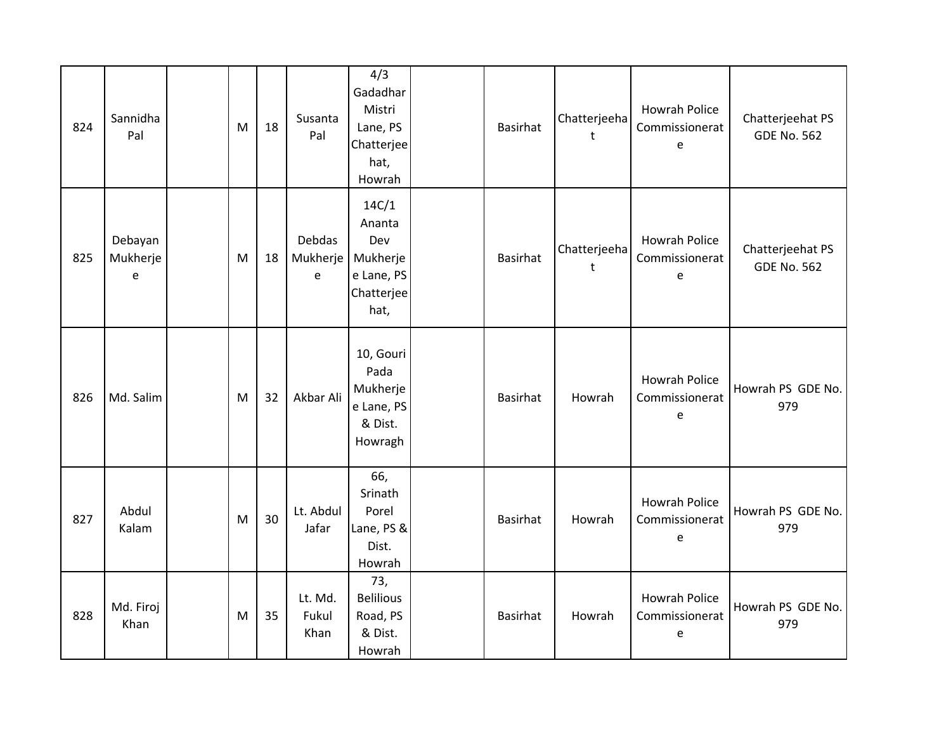| 824 | Sannidha<br>Pal                                          | M | 18 | Susanta<br>Pal                 | 4/3<br>Gadadhar<br>Mistri<br>Lane, PS<br>Chatterjee<br>hat,<br>Howrah  | <b>Basirhat</b> | Chatterjeeha<br>$\ddagger$ | <b>Howrah Police</b><br>Commissionerat<br>e | Chatterjeehat PS<br><b>GDE No. 562</b> |
|-----|----------------------------------------------------------|---|----|--------------------------------|------------------------------------------------------------------------|-----------------|----------------------------|---------------------------------------------|----------------------------------------|
| 825 | Debayan<br>Mukherje<br>$\mathsf{e}% _{t}\left( t\right)$ | M | 18 | <b>Debdas</b><br>Mukherje<br>e | 14C/1<br>Ananta<br>Dev<br>Mukherje<br>e Lane, PS<br>Chatterjee<br>hat, | <b>Basirhat</b> | Chatterjeeha<br>t          | <b>Howrah Police</b><br>Commissionerat<br>e | Chatterjeehat PS<br><b>GDE No. 562</b> |
| 826 | Md. Salim                                                | M | 32 | Akbar Ali                      | 10, Gouri<br>Pada<br>Mukherje<br>e Lane, PS<br>& Dist.<br>Howragh      | <b>Basirhat</b> | Howrah                     | <b>Howrah Police</b><br>Commissionerat<br>e | Howrah PS GDE No.<br>979               |
| 827 | Abdul<br>Kalam                                           | M | 30 | Lt. Abdul<br>Jafar             | 66,<br>Srinath<br>Porel<br>Lane, PS &<br>Dist.<br>Howrah               | <b>Basirhat</b> | Howrah                     | Howrah Police<br>Commissionerat<br>e        | Howrah PS GDE No.<br>979               |
| 828 | Md. Firoj<br>Khan                                        | M | 35 | Lt. Md.<br>Fukul<br>Khan       | 73,<br><b>Belilious</b><br>Road, PS<br>& Dist.<br>Howrah               | <b>Basirhat</b> | Howrah                     | Howrah Police<br>Commissionerat<br>e        | Howrah PS GDE No.<br>979               |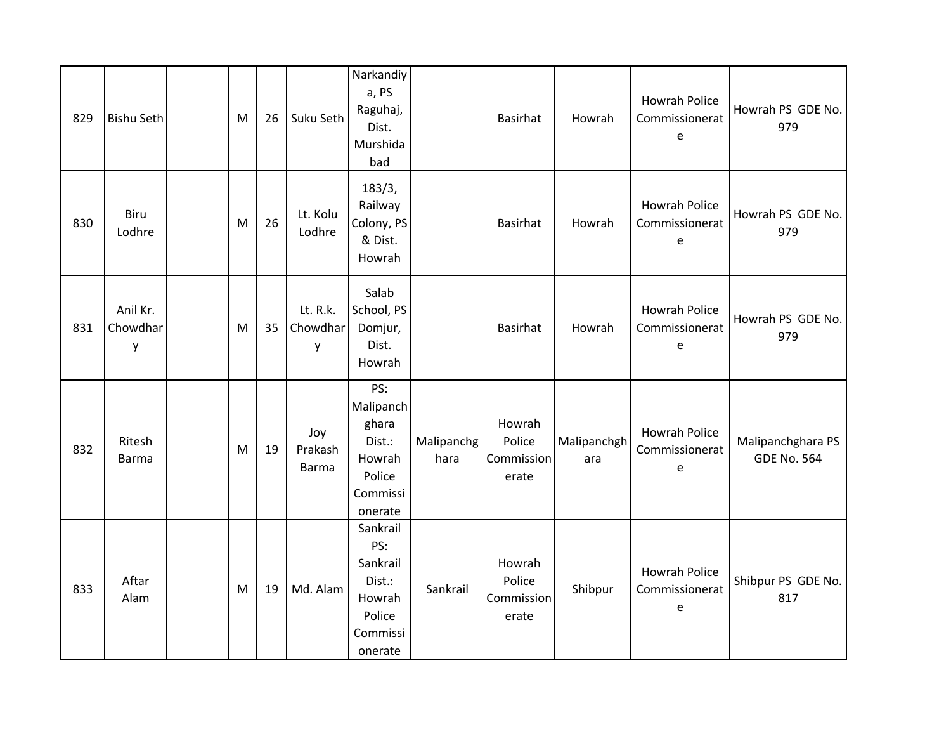| 829 | <b>Bishu Seth</b>         | M | 26 | Suku Seth                 | Narkandiy<br>a, PS<br>Raguhaj,<br>Dist.<br>Murshida<br>bad                       |                    | <b>Basirhat</b>                         | Howrah             | <b>Howrah Police</b><br>Commissionerat<br>e | Howrah PS GDE No.<br>979                |
|-----|---------------------------|---|----|---------------------------|----------------------------------------------------------------------------------|--------------------|-----------------------------------------|--------------------|---------------------------------------------|-----------------------------------------|
| 830 | Biru<br>Lodhre            | M | 26 | Lt. Kolu<br>Lodhre        | 183/3,<br>Railway<br>Colony, PS<br>& Dist.<br>Howrah                             |                    | <b>Basirhat</b>                         | Howrah             | <b>Howrah Police</b><br>Commissionerat<br>e | Howrah PS GDE No.<br>979                |
| 831 | Anil Kr.<br>Chowdhar<br>у | M | 35 | Lt. R.k.<br>Chowdhar<br>у | Salab<br>School, PS<br>Domjur,<br>Dist.<br>Howrah                                |                    | <b>Basirhat</b>                         | Howrah             | <b>Howrah Police</b><br>Commissionerat<br>e | Howrah PS GDE No.<br>979                |
| 832 | Ritesh<br><b>Barma</b>    | M | 19 | Joy<br>Prakash<br>Barma   | PS:<br>Malipanch<br>ghara<br>Dist.:<br>Howrah<br>Police<br>Commissi<br>onerate   | Malipanchg<br>hara | Howrah<br>Police<br>Commission<br>erate | Malipanchgh<br>ara | <b>Howrah Police</b><br>Commissionerat<br>e | Malipanchghara PS<br><b>GDE No. 564</b> |
| 833 | Aftar<br>Alam             | M | 19 | Md. Alam                  | Sankrail<br>PS:<br>Sankrail<br>Dist.:<br>Howrah<br>Police<br>Commissi<br>onerate | Sankrail           | Howrah<br>Police<br>Commission<br>erate | Shibpur            | <b>Howrah Police</b><br>Commissionerat<br>e | Shibpur PS GDE No.<br>817               |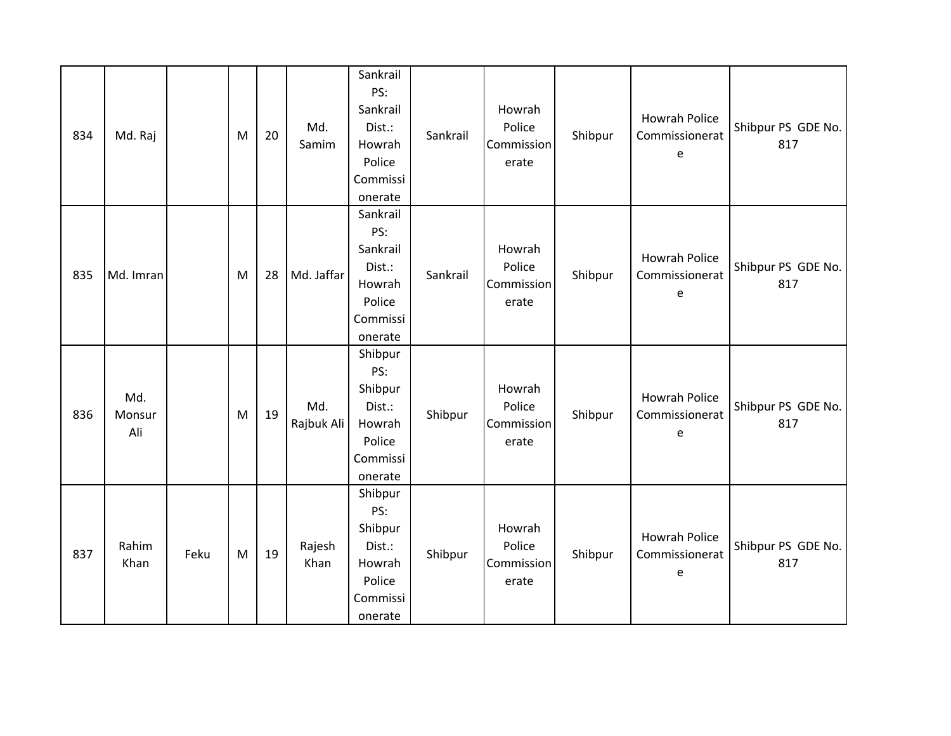| 834 | Md. Raj              |      | M | 20 | Md.<br>Samim      | Sankrail<br>PS:<br>Sankrail<br>Dist.:<br>Howrah<br>Police<br>Commissi<br>onerate | Sankrail | Howrah<br>Police<br>Commission<br>erate | Shibpur | Howrah Police<br>Commissionerat<br>e        | Shibpur PS GDE No.<br>817 |
|-----|----------------------|------|---|----|-------------------|----------------------------------------------------------------------------------|----------|-----------------------------------------|---------|---------------------------------------------|---------------------------|
| 835 | Md. Imran            |      | M | 28 | Md. Jaffar        | Sankrail<br>PS:<br>Sankrail<br>Dist.:<br>Howrah<br>Police<br>Commissi<br>onerate | Sankrail | Howrah<br>Police<br>Commission<br>erate | Shibpur | Howrah Police<br>Commissionerat<br>e        | Shibpur PS GDE No.<br>817 |
| 836 | Md.<br>Monsur<br>Ali |      | M | 19 | Md.<br>Rajbuk Ali | Shibpur<br>PS:<br>Shibpur<br>Dist.:<br>Howrah<br>Police<br>Commissi<br>onerate   | Shibpur  | Howrah<br>Police<br>Commission<br>erate | Shibpur | <b>Howrah Police</b><br>Commissionerat<br>e | Shibpur PS GDE No.<br>817 |
| 837 | Rahim<br>Khan        | Feku | M | 19 | Rajesh<br>Khan    | Shibpur<br>PS:<br>Shibpur<br>Dist.:<br>Howrah<br>Police<br>Commissi<br>onerate   | Shibpur  | Howrah<br>Police<br>Commission<br>erate | Shibpur | <b>Howrah Police</b><br>Commissionerat<br>е | Shibpur PS GDE No.<br>817 |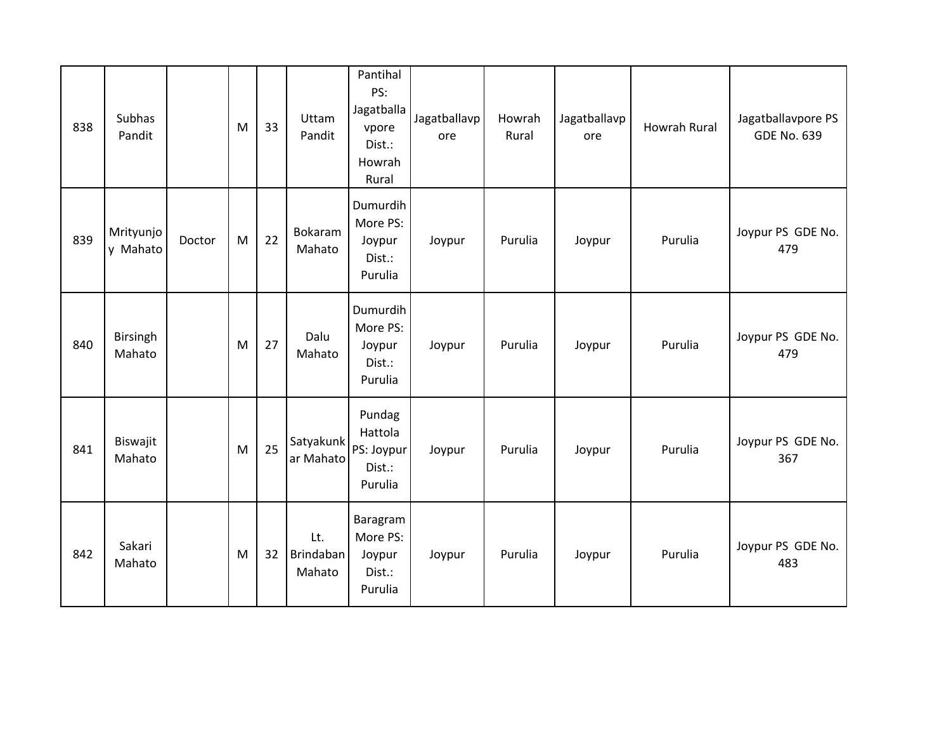| 838 | Subhas<br>Pandit      |        | M | 33 | Uttam<br>Pandit            | Pantihal<br>PS:<br>Jagatballa<br>vpore<br>Dist.:<br>Howrah<br>Rural | Jagatballavp<br>ore | Howrah<br>Rural | Jagatballavp<br>ore | <b>Howrah Rural</b> | Jagatballavpore PS<br><b>GDE No. 639</b> |
|-----|-----------------------|--------|---|----|----------------------------|---------------------------------------------------------------------|---------------------|-----------------|---------------------|---------------------|------------------------------------------|
| 839 | Mrityunjo<br>y Mahato | Doctor | M | 22 | Bokaram<br>Mahato          | Dumurdih<br>More PS:<br>Joypur<br>Dist.:<br>Purulia                 | Joypur              | Purulia         | Joypur              | Purulia             | Joypur PS GDE No.<br>479                 |
| 840 | Birsingh<br>Mahato    |        | M | 27 | Dalu<br>Mahato             | Dumurdih<br>More PS:<br>Joypur<br>Dist.:<br>Purulia                 | Joypur              | Purulia         | Joypur              | Purulia             | Joypur PS GDE No.<br>479                 |
| 841 | Biswajit<br>Mahato    |        | M | 25 | Satyakunk<br>ar Mahato     | Pundag<br>Hattola<br>PS: Joypur<br>Dist.:<br>Purulia                | Joypur              | Purulia         | Joypur              | Purulia             | Joypur PS GDE No.<br>367                 |
| 842 | Sakari<br>Mahato      |        | M | 32 | Lt.<br>Brindaban<br>Mahato | Baragram<br>More PS:<br>Joypur<br>Dist.:<br>Purulia                 | Joypur              | Purulia         | Joypur              | Purulia             | Joypur PS GDE No.<br>483                 |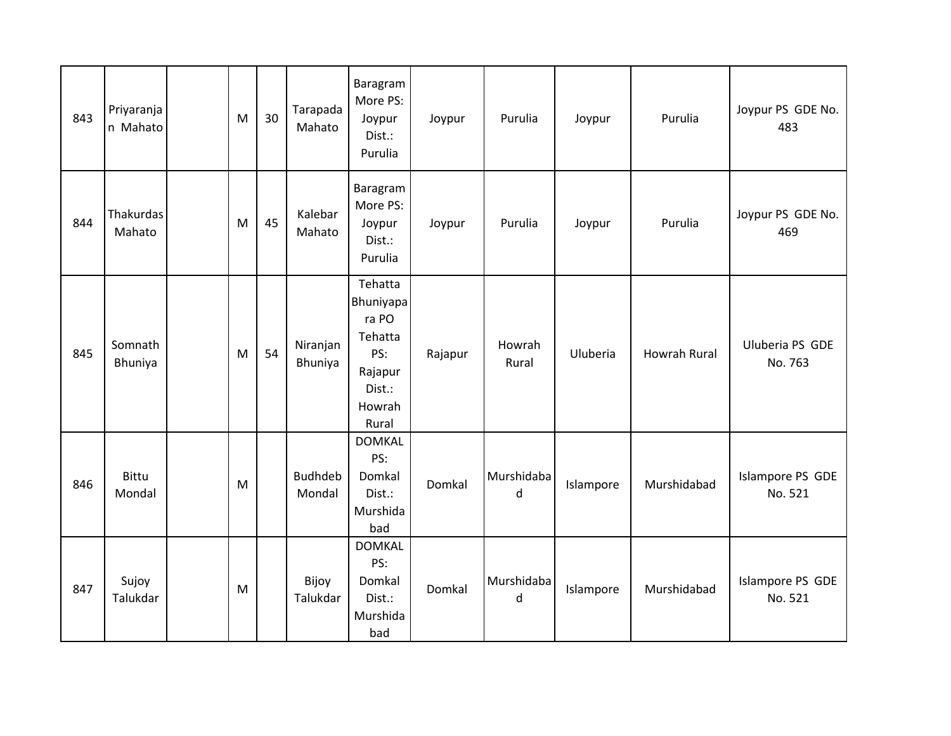| 843 | Priyaranja<br>n Mahato | M | 30 | Tarapada<br>Mahato       | Baragram<br>More PS:<br>Joypur<br>Dist.:<br>Purulia                                     | Joypur  | Purulia         | Joypur    | Purulia      | Joypur PS GDE No.<br>483    |
|-----|------------------------|---|----|--------------------------|-----------------------------------------------------------------------------------------|---------|-----------------|-----------|--------------|-----------------------------|
| 844 | Thakurdas<br>Mahato    | M | 45 | Kalebar<br>Mahato        | Baragram<br>More PS:<br>Joypur<br>Dist.:<br>Purulia                                     | Joypur  | Purulia         | Joypur    | Purulia      | Joypur PS GDE No.<br>469    |
| 845 | Somnath<br>Bhuniya     | M | 54 | Niranjan<br>Bhuniya      | Tehatta<br>Bhuniyapa<br>ra PO<br>Tehatta<br>PS:<br>Rajapur<br>Dist.:<br>Howrah<br>Rural | Rajapur | Howrah<br>Rural | Uluberia  | Howrah Rural | Uluberia PS GDE<br>No. 763  |
| 846 | <b>Bittu</b><br>Mondal | M |    | <b>Budhdeb</b><br>Mondal | <b>DOMKAL</b><br>PS:<br>Domkal<br>Dist.:<br>Murshida<br>bad                             | Domkal  | Murshidaba<br>d | Islampore | Murshidabad  | Islampore PS GDE<br>No. 521 |
| 847 | Sujoy<br>Talukdar      | M |    | Bijoy<br>Talukdar        | <b>DOMKAL</b><br>PS:<br>Domkal<br>Dist.:<br>Murshida<br>bad                             | Domkal  | Murshidaba<br>d | Islampore | Murshidabad  | Islampore PS GDE<br>No. 521 |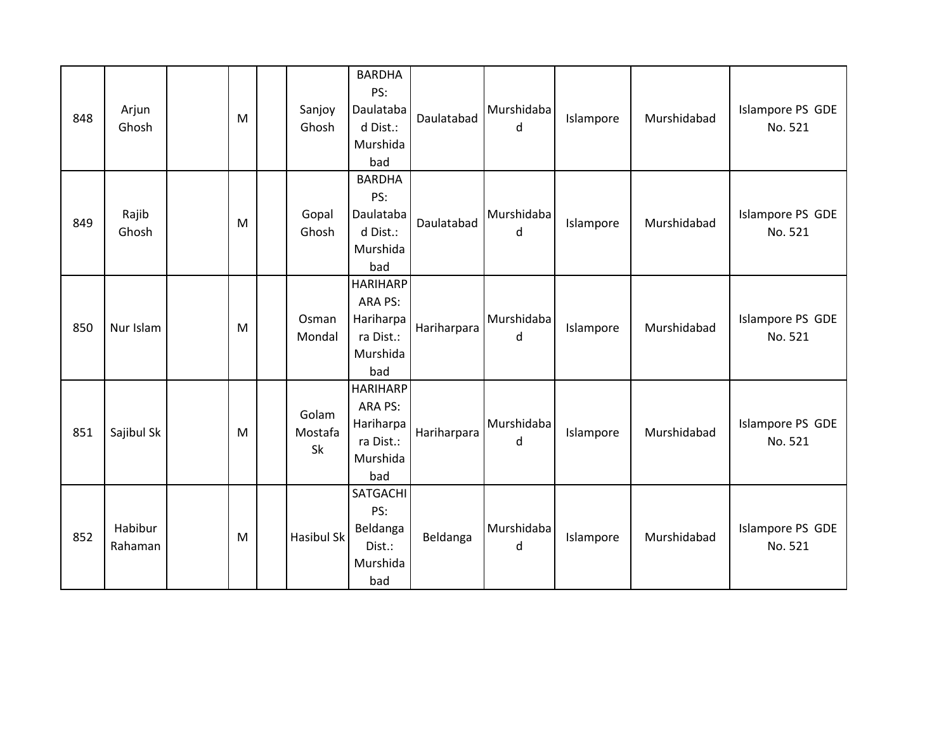| 848 | Arjun<br>Ghosh     | M | Sanjoy<br>Ghosh        | <b>BARDHA</b><br>PS:<br>Daulataba<br>d Dist.:<br>Murshida<br>bad        | Daulatabad  | Murshidaba<br>d | Islampore | Murshidabad | Islampore PS GDE<br>No. 521 |
|-----|--------------------|---|------------------------|-------------------------------------------------------------------------|-------------|-----------------|-----------|-------------|-----------------------------|
| 849 | Rajib<br>Ghosh     | M | Gopal<br>Ghosh         | <b>BARDHA</b><br>PS:<br>Daulataba<br>d Dist.:<br>Murshida<br>bad        | Daulatabad  | Murshidaba<br>d | Islampore | Murshidabad | Islampore PS GDE<br>No. 521 |
| 850 | Nur Islam          | M | Osman<br>Mondal        | <b>HARIHARP</b><br>ARA PS:<br>Hariharpa<br>ra Dist.:<br>Murshida<br>bad | Hariharpara | Murshidaba<br>d | Islampore | Murshidabad | Islampore PS GDE<br>No. 521 |
| 851 | Sajibul Sk         | M | Golam<br>Mostafa<br>Sk | <b>HARIHARP</b><br>ARA PS:<br>Hariharpa<br>ra Dist.:<br>Murshida<br>bad | Hariharpara | Murshidaba<br>d | Islampore | Murshidabad | Islampore PS GDE<br>No. 521 |
| 852 | Habibur<br>Rahaman | M | Hasibul Sk             | SATGACHI<br>PS:<br>Beldanga<br>Dist.:<br>Murshida<br>bad                | Beldanga    | Murshidaba<br>d | Islampore | Murshidabad | Islampore PS GDE<br>No. 521 |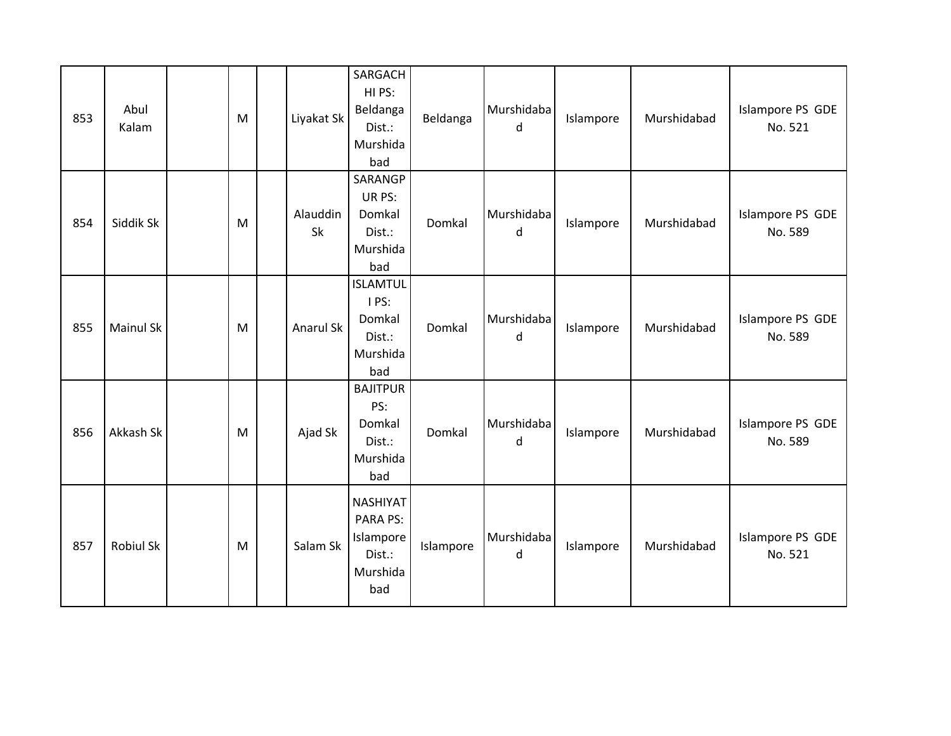| 853 | Abul<br>Kalam    | M | Liyakat Sk     | SARGACH<br>HI PS:<br>Beldanga<br>Dist.:<br>Murshida<br>bad            | Beldanga  | Murshidaba<br>d | Islampore | Murshidabad | Islampore PS GDE<br>No. 521 |
|-----|------------------|---|----------------|-----------------------------------------------------------------------|-----------|-----------------|-----------|-------------|-----------------------------|
| 854 | Siddik Sk        | M | Alauddin<br>Sk | SARANGP<br>UR PS:<br>Domkal<br>Dist.:<br>Murshida<br>bad              | Domkal    | Murshidaba<br>d | Islampore | Murshidabad | Islampore PS GDE<br>No. 589 |
| 855 | <b>Mainul Sk</b> | M | Anarul Sk      | <b>ISLAMTUL</b><br>I PS:<br>Domkal<br>Dist.:<br>Murshida<br>bad       | Domkal    | Murshidaba<br>d | Islampore | Murshidabad | Islampore PS GDE<br>No. 589 |
| 856 | Akkash Sk        | M | Ajad Sk        | <b>BAJITPUR</b><br>PS:<br>Domkal<br>Dist.:<br>Murshida<br>bad         | Domkal    | Murshidaba<br>d | Islampore | Murshidabad | Islampore PS GDE<br>No. 589 |
| 857 | <b>Robiul Sk</b> | M | Salam Sk       | <b>NASHIYAT</b><br>PARA PS:<br>Islampore<br>Dist.:<br>Murshida<br>bad | Islampore | Murshidaba<br>d | Islampore | Murshidabad | Islampore PS GDE<br>No. 521 |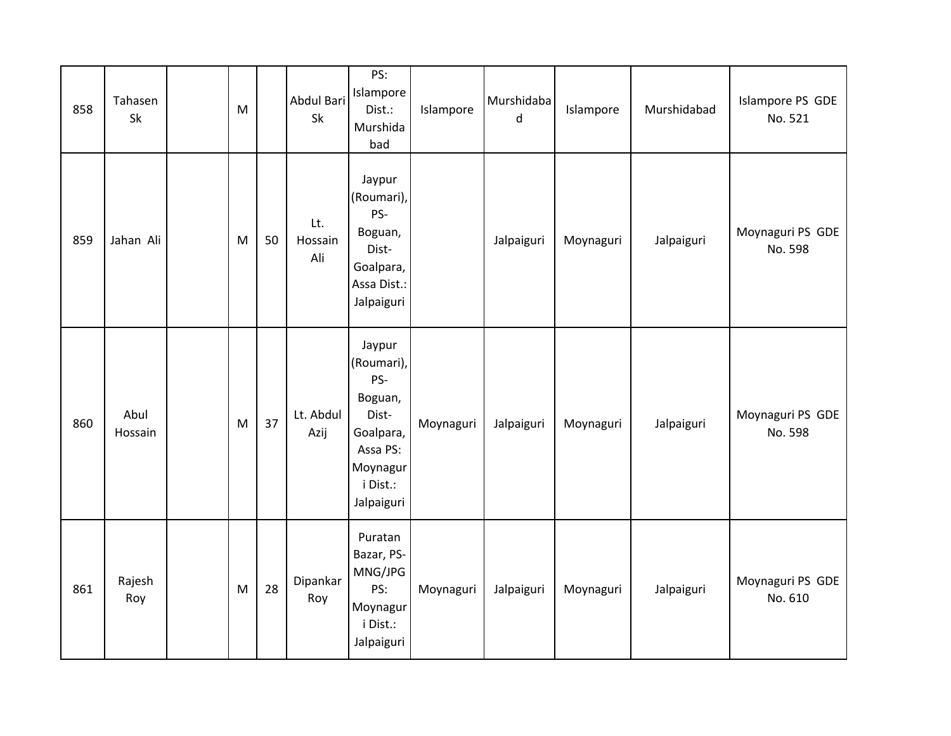| 858 | Tahasen<br>Sk   | M                                                                                     |    | Abdul Bari<br>Sk      | PS:<br>Islampore<br>Dist.:<br>Murshida<br>bad                                                                  | Islampore | Murshidaba<br>d | Islampore | Murshidabad | Islampore PS GDE<br>No. 521 |
|-----|-----------------|---------------------------------------------------------------------------------------|----|-----------------------|----------------------------------------------------------------------------------------------------------------|-----------|-----------------|-----------|-------------|-----------------------------|
| 859 | Jahan Ali       | M                                                                                     | 50 | Lt.<br>Hossain<br>Ali | Jaypur<br>(Roumari),<br>PS-<br>Boguan,<br>Dist-<br>Goalpara,<br>Assa Dist.:<br>Jalpaiguri                      |           | Jalpaiguri      | Moynaguri | Jalpaiguri  | Moynaguri PS GDE<br>No. 598 |
| 860 | Abul<br>Hossain | $\mathsf{M}% _{T}=\mathsf{M}_{T}\!\left( a,b\right) ,\ \mathsf{M}_{T}=\mathsf{M}_{T}$ | 37 | Lt. Abdul<br>Azij     | Jaypur<br>(Roumari),<br>PS-<br>Boguan,<br>Dist-<br>Goalpara,<br>Assa PS:<br>Moynagur<br>i Dist.:<br>Jalpaiguri | Moynaguri | Jalpaiguri      | Moynaguri | Jalpaiguri  | Moynaguri PS GDE<br>No. 598 |
| 861 | Rajesh<br>Roy   | M                                                                                     | 28 | Dipankar<br>Roy       | Puratan<br>Bazar, PS-<br>MNG/JPG<br>PS:<br>Moynagur<br>i Dist.:<br>Jalpaiguri                                  | Moynaguri | Jalpaiguri      | Moynaguri | Jalpaiguri  | Moynaguri PS GDE<br>No. 610 |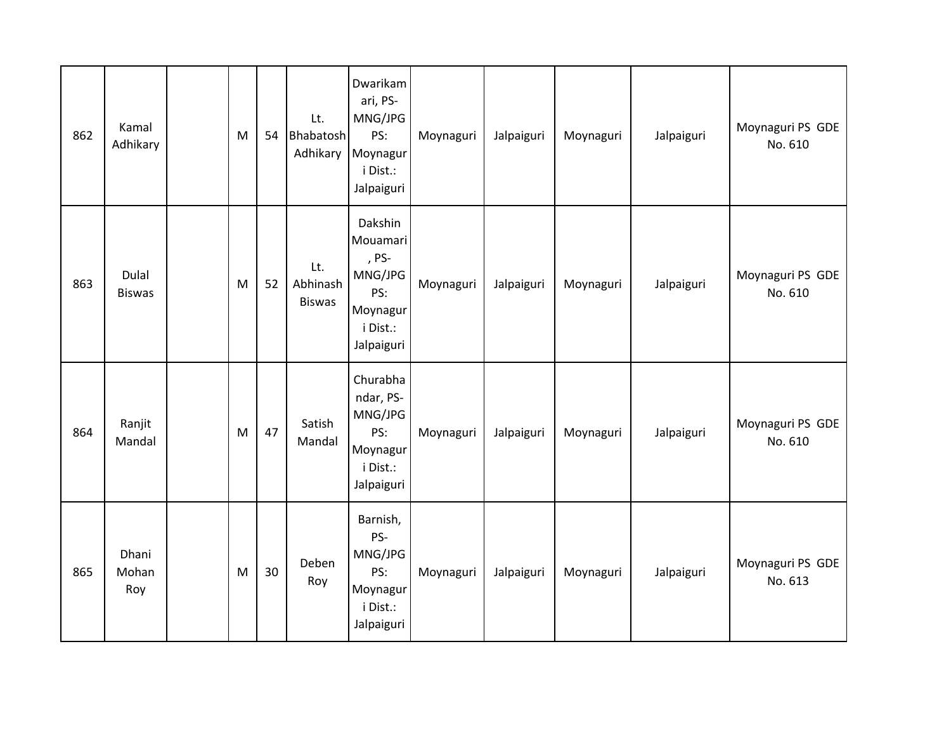| 862 | Kamal<br>Adhikary      | M         | 54 | Lt.<br>Bhabatosh<br>Adhikary     | Dwarikam<br>ari, PS-<br>MNG/JPG<br>PS:<br>Moynagur<br>i Dist.:<br>Jalpaiguri         | Moynaguri | Jalpaiguri | Moynaguri | Jalpaiguri | Moynaguri PS GDE<br>No. 610 |
|-----|------------------------|-----------|----|----------------------------------|--------------------------------------------------------------------------------------|-----------|------------|-----------|------------|-----------------------------|
| 863 | Dulal<br><b>Biswas</b> | M         | 52 | Lt.<br>Abhinash<br><b>Biswas</b> | Dakshin<br>Mouamari<br>, PS-<br>MNG/JPG<br>PS:<br>Moynagur<br>i Dist.:<br>Jalpaiguri | Moynaguri | Jalpaiguri | Moynaguri | Jalpaiguri | Moynaguri PS GDE<br>No. 610 |
| 864 | Ranjit<br>Mandal       | ${\sf M}$ | 47 | Satish<br>Mandal                 | Churabha<br>ndar, PS-<br>MNG/JPG<br>PS:<br>Moynagur<br>i Dist.:<br>Jalpaiguri        | Moynaguri | Jalpaiguri | Moynaguri | Jalpaiguri | Moynaguri PS GDE<br>No. 610 |
| 865 | Dhani<br>Mohan<br>Roy  | M         | 30 | Deben<br>Roy                     | Barnish,<br>PS-<br>MNG/JPG<br>PS:<br>Moynagur<br>i Dist.:<br>Jalpaiguri              | Moynaguri | Jalpaiguri | Moynaguri | Jalpaiguri | Moynaguri PS GDE<br>No. 613 |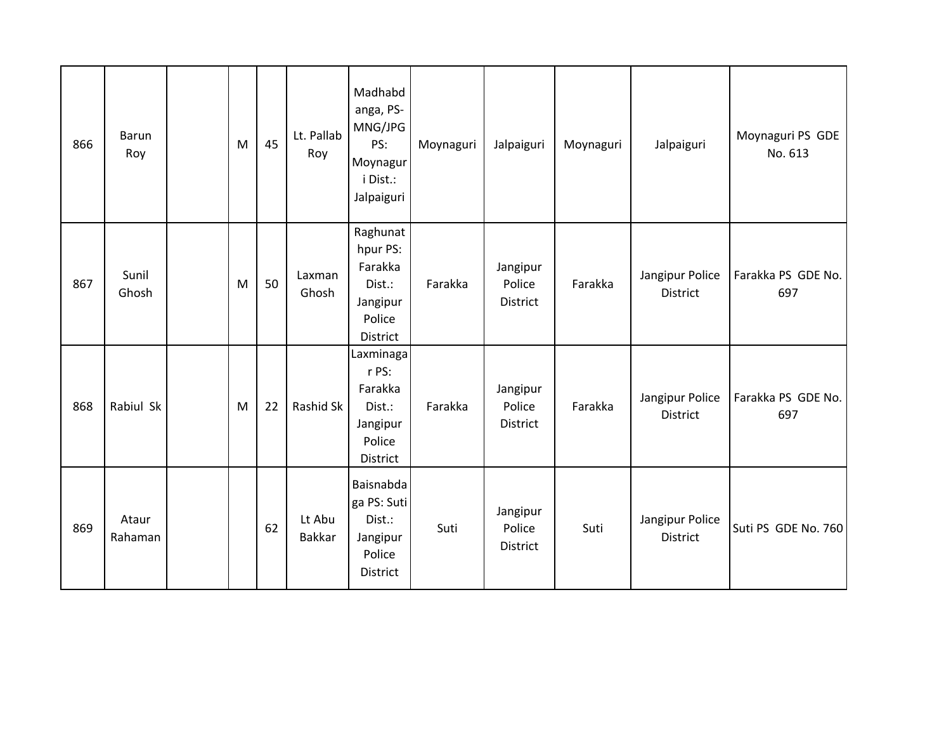| 866 | <b>Barun</b><br>Roy | M | 45 | Lt. Pallab<br>Roy       | Madhabd<br>anga, PS-<br>MNG/JPG<br>PS:<br>Moynagur<br>i Dist.:<br>Jalpaiguri | Moynaguri | Jalpaiguri                     | Moynaguri | Jalpaiguri                  | Moynaguri PS GDE<br>No. 613 |
|-----|---------------------|---|----|-------------------------|------------------------------------------------------------------------------|-----------|--------------------------------|-----------|-----------------------------|-----------------------------|
| 867 | Sunil<br>Ghosh      | M | 50 | Laxman<br>Ghosh         | Raghunat<br>hpur PS:<br>Farakka<br>Dist.:<br>Jangipur<br>Police<br>District  | Farakka   | Jangipur<br>Police<br>District | Farakka   | Jangipur Police<br>District | Farakka PS GDE No.<br>697   |
| 868 | Rabiul Sk           | M | 22 | Rashid Sk               | Laxminaga<br>r PS:<br>Farakka<br>Dist.:<br>Jangipur<br>Police<br>District    | Farakka   | Jangipur<br>Police<br>District | Farakka   | Jangipur Police<br>District | Farakka PS GDE No.<br>697   |
| 869 | Ataur<br>Rahaman    |   | 62 | Lt Abu<br><b>Bakkar</b> | Baisnabda<br>ga PS: Suti<br>Dist.:<br>Jangipur<br>Police<br>District         | Suti      | Jangipur<br>Police<br>District | Suti      | Jangipur Police<br>District | Suti PS GDE No. 760         |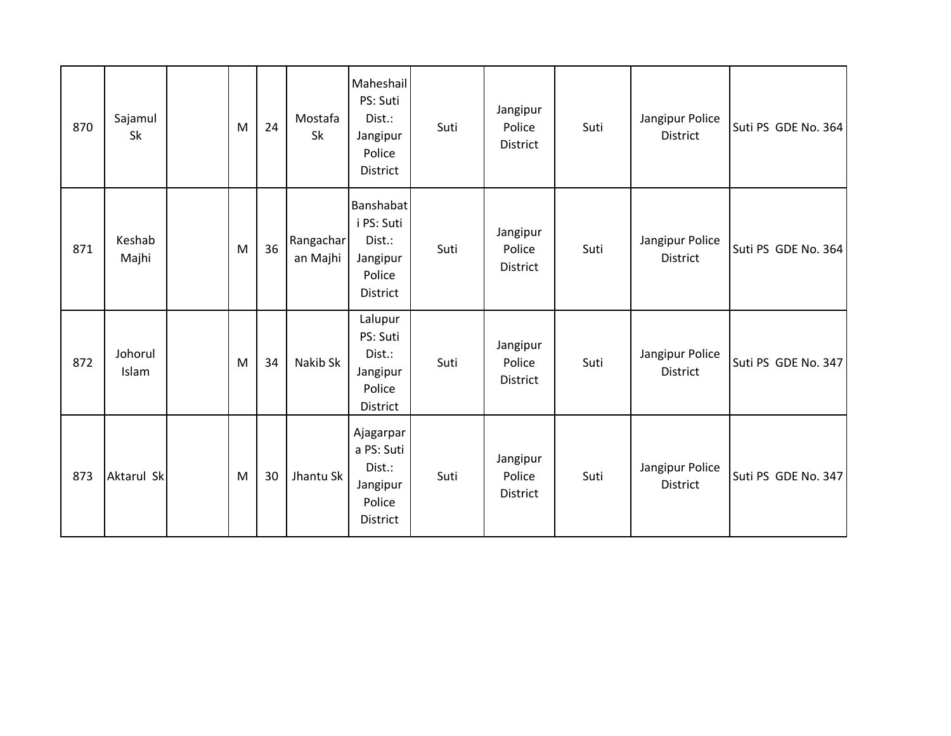| 870 | Sajamul<br>Sk    | M | 24 | Mostafa<br>Sk         | Maheshail<br>PS: Suti<br>Dist.:<br>Jangipur<br>Police<br>District   | Suti | Jangipur<br>Police<br>District | Suti | Jangipur Police<br><b>District</b> | Suti PS GDE No. 364 |
|-----|------------------|---|----|-----------------------|---------------------------------------------------------------------|------|--------------------------------|------|------------------------------------|---------------------|
| 871 | Keshab<br>Majhi  | M | 36 | Rangachar<br>an Majhi | Banshabat<br>i PS: Suti<br>Dist.:<br>Jangipur<br>Police<br>District | Suti | Jangipur<br>Police<br>District | Suti | Jangipur Police<br><b>District</b> | Suti PS GDE No. 364 |
| 872 | Johorul<br>Islam | M | 34 | Nakib Sk              | Lalupur<br>PS: Suti<br>Dist.:<br>Jangipur<br>Police<br>District     | Suti | Jangipur<br>Police<br>District | Suti | Jangipur Police<br><b>District</b> | Suti PS GDE No. 347 |
| 873 | Aktarul Sk       | M | 30 | Jhantu Sk             | Ajagarpar<br>a PS: Suti<br>Dist.:<br>Jangipur<br>Police<br>District | Suti | Jangipur<br>Police<br>District | Suti | Jangipur Police<br><b>District</b> | Suti PS GDE No. 347 |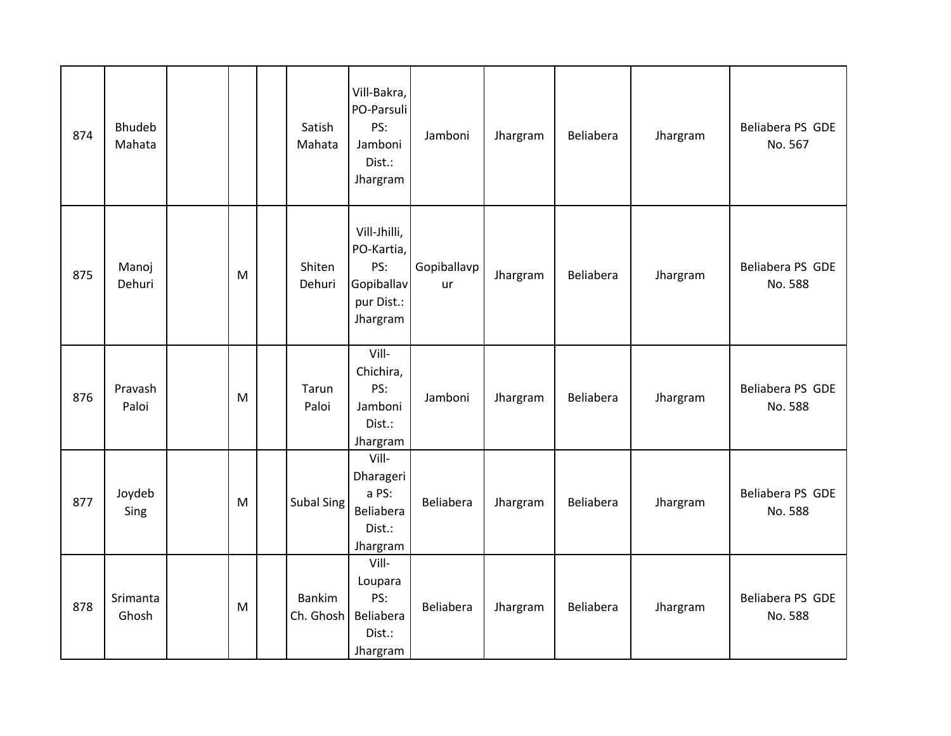| 874 | <b>Bhudeb</b><br>Mahata |   | Satish<br>Mahata           | Vill-Bakra,<br>PO-Parsuli<br>PS:<br>Jamboni<br>Dist.:<br>Jhargram         | Jamboni           | Jhargram | Beliabera | Jhargram | Beliabera PS GDE<br>No. 567 |
|-----|-------------------------|---|----------------------------|---------------------------------------------------------------------------|-------------------|----------|-----------|----------|-----------------------------|
| 875 | Manoj<br>Dehuri         | M | Shiten<br>Dehuri           | Vill-Jhilli,<br>PO-Kartia,<br>PS:<br>Gopiballav<br>pur Dist.:<br>Jhargram | Gopiballavp<br>ur | Jhargram | Beliabera | Jhargram | Beliabera PS GDE<br>No. 588 |
| 876 | Pravash<br>Paloi        | M | Tarun<br>Paloi             | Vill-<br>Chichira,<br>PS:<br>Jamboni<br>Dist.:<br>Jhargram                | Jamboni           | Jhargram | Beliabera | Jhargram | Beliabera PS GDE<br>No. 588 |
| 877 | Joydeb<br>Sing          | M | <b>Subal Sing</b>          | Vill-<br>Dharageri<br>a PS:<br>Beliabera<br>Dist.:<br>Jhargram            | Beliabera         | Jhargram | Beliabera | Jhargram | Beliabera PS GDE<br>No. 588 |
| 878 | Srimanta<br>Ghosh       | M | <b>Bankim</b><br>Ch. Ghosh | Vill-<br>Loupara<br>PS:<br>Beliabera<br>Dist.:<br>Jhargram                | Beliabera         | Jhargram | Beliabera | Jhargram | Beliabera PS GDE<br>No. 588 |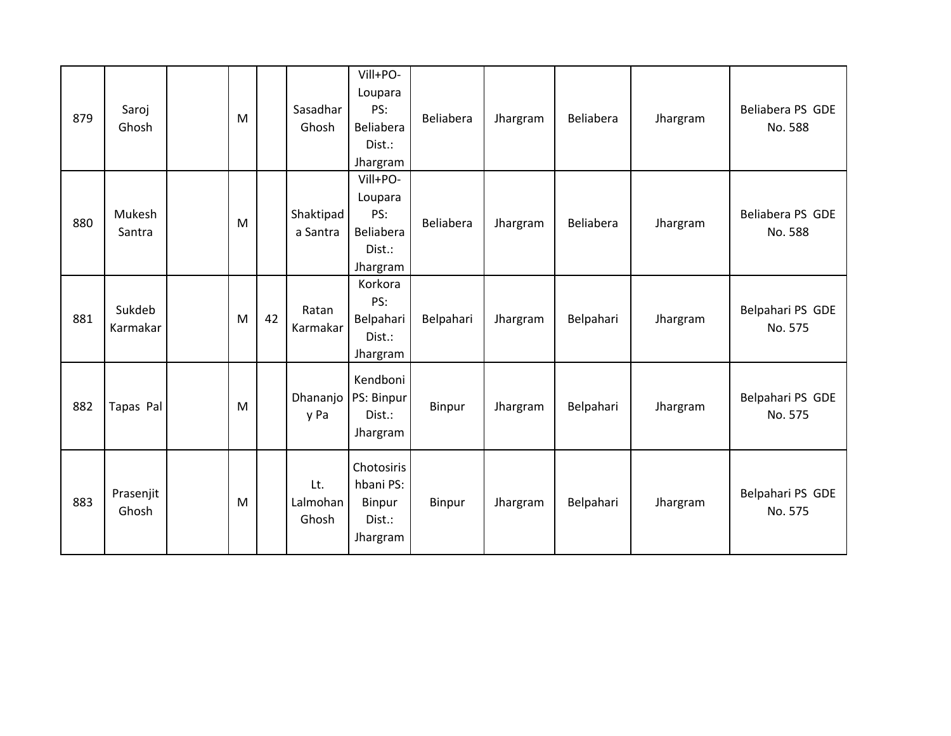| 879 | Saroj<br>Ghosh     | M |    | Sasadhar<br>Ghosh        | Vill+PO-<br>Loupara<br>PS:<br>Beliabera<br>Dist.:<br>Jhargram | Beliabera | Jhargram | Beliabera | Jhargram | Beliabera PS GDE<br>No. 588 |
|-----|--------------------|---|----|--------------------------|---------------------------------------------------------------|-----------|----------|-----------|----------|-----------------------------|
| 880 | Mukesh<br>Santra   | M |    | Shaktipad<br>a Santra    | Vill+PO-<br>Loupara<br>PS:<br>Beliabera<br>Dist.:<br>Jhargram | Beliabera | Jhargram | Beliabera | Jhargram | Beliabera PS GDE<br>No. 588 |
| 881 | Sukdeb<br>Karmakar | M | 42 | Ratan<br>Karmakar        | Korkora<br>PS:<br>Belpahari<br>Dist.:<br>Jhargram             | Belpahari | Jhargram | Belpahari | Jhargram | Belpahari PS GDE<br>No. 575 |
| 882 | Tapas Pal          | M |    | Dhananjo<br>y Pa         | Kendboni<br>PS: Binpur<br>Dist.:<br>Jhargram                  | Binpur    | Jhargram | Belpahari | Jhargram | Belpahari PS GDE<br>No. 575 |
| 883 | Prasenjit<br>Ghosh | M |    | Lt.<br>Lalmohan<br>Ghosh | Chotosiris<br>hbani PS:<br>Binpur<br>Dist.:<br>Jhargram       | Binpur    | Jhargram | Belpahari | Jhargram | Belpahari PS GDE<br>No. 575 |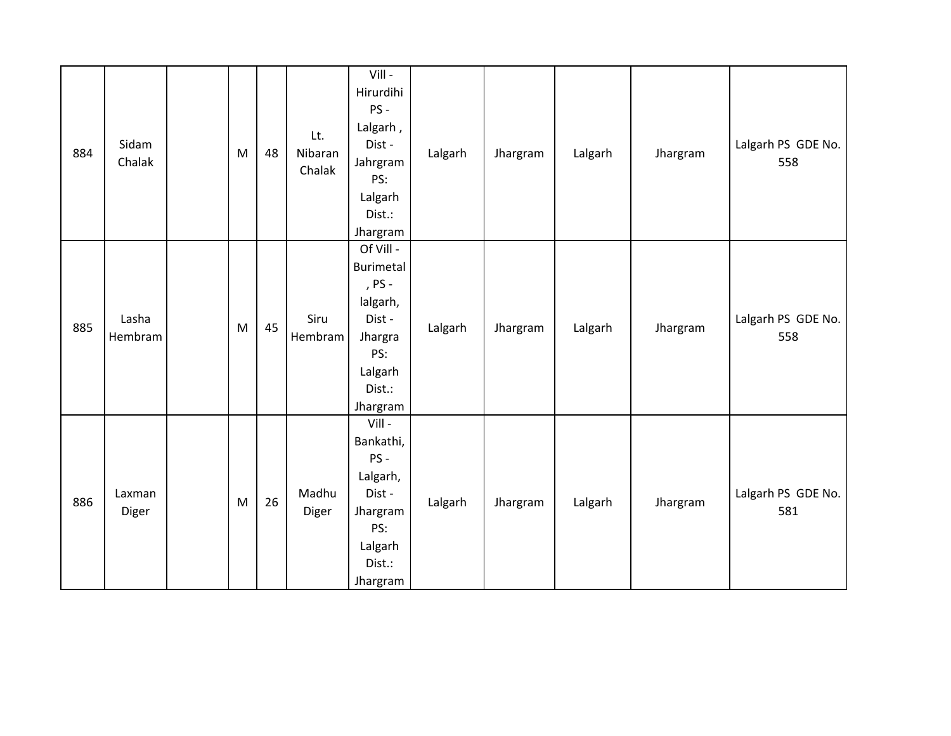| 884 | Sidam<br>Chalak  | M | 48 | Lt.<br>Nibaran<br>Chalak | Vill -<br>Hirurdihi<br>PS-<br>Lalgarh,<br>Dist-<br>Jahrgram<br>PS:<br>Lalgarh<br>Dist.:<br>Jhargram       | Lalgarh | Jhargram | Lalgarh | Jhargram | Lalgarh PS GDE No.<br>558 |
|-----|------------------|---|----|--------------------------|-----------------------------------------------------------------------------------------------------------|---------|----------|---------|----------|---------------------------|
| 885 | Lasha<br>Hembram | M | 45 | Siru<br>Hembram          | Of Vill -<br>Burimetal<br>, PS -<br>lalgarh,<br>Dist -<br>Jhargra<br>PS:<br>Lalgarh<br>Dist.:<br>Jhargram | Lalgarh | Jhargram | Lalgarh | Jhargram | Lalgarh PS GDE No.<br>558 |
| 886 | Laxman<br>Diger  | M | 26 | Madhu<br>Diger           | Vill -<br>Bankathi,<br>PS-<br>Lalgarh,<br>Dist -<br>Jhargram<br>PS:<br>Lalgarh<br>Dist.:<br>Jhargram      | Lalgarh | Jhargram | Lalgarh | Jhargram | Lalgarh PS GDE No.<br>581 |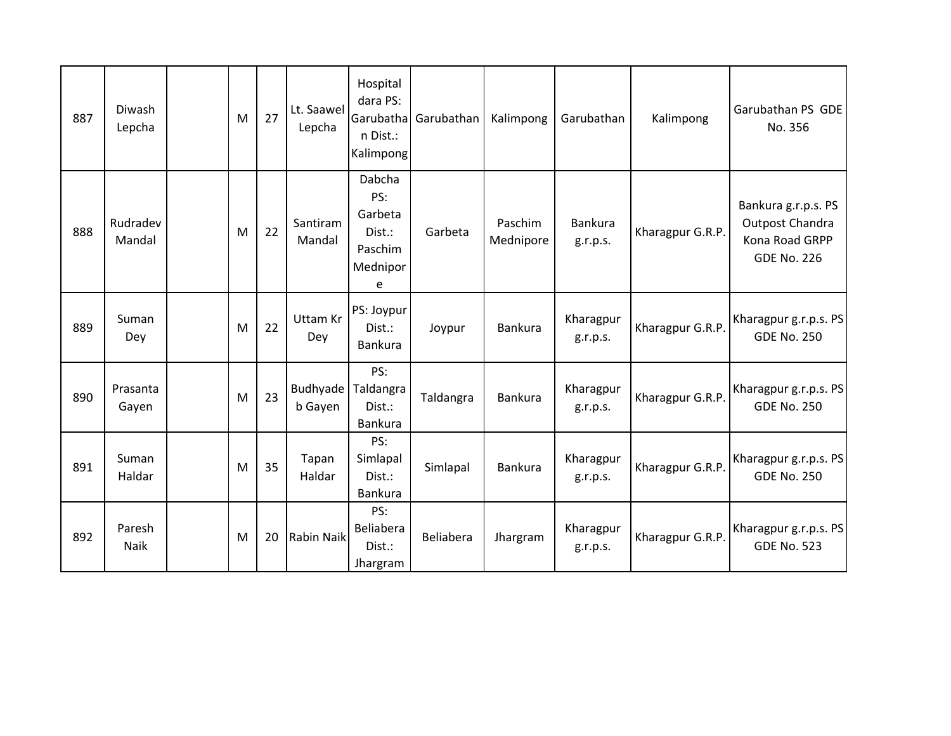| 887 | Diwash<br>Lepcha   | M | 27 | Lt. Saawel<br>Lepcha   | Hospital<br>dara PS:<br>Garubatha<br>n Dist.:<br>Kalimpong     | Garubathan | Kalimpong            | Garubathan            | Kalimpong        | Garubathan PS GDE<br>No. 356                                                   |
|-----|--------------------|---|----|------------------------|----------------------------------------------------------------|------------|----------------------|-----------------------|------------------|--------------------------------------------------------------------------------|
| 888 | Rudradev<br>Mandal | M | 22 | Santiram<br>Mandal     | Dabcha<br>PS:<br>Garbeta<br>Dist.:<br>Paschim<br>Mednipor<br>e | Garbeta    | Paschim<br>Mednipore | Bankura<br>g.r.p.s.   | Kharagpur G.R.P. | Bankura g.r.p.s. PS<br>Outpost Chandra<br>Kona Road GRPP<br><b>GDE No. 226</b> |
| 889 | Suman<br>Dey       | M | 22 | <b>Uttam Kr</b><br>Dey | PS: Joypur<br>Dist.:<br>Bankura                                | Joypur     | <b>Bankura</b>       | Kharagpur<br>g.r.p.s. | Kharagpur G.R.P. | Kharagpur g.r.p.s. PS<br><b>GDE No. 250</b>                                    |
| 890 | Prasanta<br>Gayen  | M | 23 | Budhyade<br>b Gayen    | PS:<br>Taldangra<br>Dist.:<br>Bankura                          | Taldangra  | Bankura              | Kharagpur<br>g.r.p.s. | Kharagpur G.R.P. | Kharagpur g.r.p.s. PS<br><b>GDE No. 250</b>                                    |
| 891 | Suman<br>Haldar    | M | 35 | Tapan<br>Haldar        | PS:<br>Simlapal<br>Dist.:<br>Bankura                           | Simlapal   | Bankura              | Kharagpur<br>g.r.p.s. | Kharagpur G.R.P. | Kharagpur g.r.p.s. PS<br><b>GDE No. 250</b>                                    |
| 892 | Paresh<br>Naik     | M | 20 | <b>Rabin Naik</b>      | PS:<br>Beliabera<br>Dist.:<br>Jhargram                         | Beliabera  | Jhargram             | Kharagpur<br>g.r.p.s. | Kharagpur G.R.P. | Kharagpur g.r.p.s. PS<br><b>GDE No. 523</b>                                    |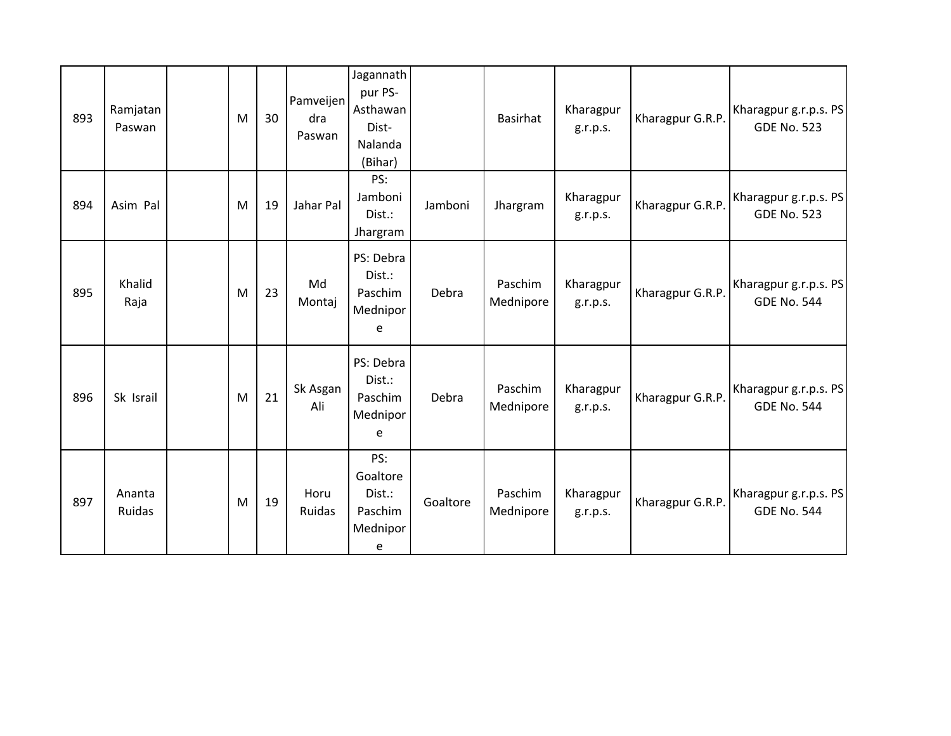| 893 | Ramjatan<br>Paswan | M | 30 | Pamveijen<br>dra<br>Paswan | Jagannath<br>pur PS-<br>Asthawan<br>Dist-<br>Nalanda<br>(Bihar) |          | <b>Basirhat</b>      | Kharagpur<br>g.r.p.s. | Kharagpur G.R.P. | Kharagpur g.r.p.s. PS<br><b>GDE No. 523</b> |
|-----|--------------------|---|----|----------------------------|-----------------------------------------------------------------|----------|----------------------|-----------------------|------------------|---------------------------------------------|
| 894 | Asim Pal           | M | 19 | Jahar Pal                  | PS:<br>Jamboni<br>Dist.:<br>Jhargram                            | Jamboni  | Jhargram             | Kharagpur<br>g.r.p.s. | Kharagpur G.R.P. | Kharagpur g.r.p.s. PS<br><b>GDE No. 523</b> |
| 895 | Khalid<br>Raja     | M | 23 | Md<br>Montaj               | PS: Debra<br>Dist.:<br>Paschim<br>Mednipor<br>e                 | Debra    | Paschim<br>Mednipore | Kharagpur<br>g.r.p.s. | Kharagpur G.R.P. | Kharagpur g.r.p.s. PS<br><b>GDE No. 544</b> |
| 896 | Sk Israil          | M | 21 | Sk Asgan<br>Ali            | PS: Debra<br>Dist.:<br>Paschim<br>Mednipor<br>e                 | Debra    | Paschim<br>Mednipore | Kharagpur<br>g.r.p.s. | Kharagpur G.R.P. | Kharagpur g.r.p.s. PS<br><b>GDE No. 544</b> |
| 897 | Ananta<br>Ruidas   | M | 19 | Horu<br>Ruidas             | PS:<br>Goaltore<br>Dist.:<br>Paschim<br>Mednipor<br>e           | Goaltore | Paschim<br>Mednipore | Kharagpur<br>g.r.p.s. | Kharagpur G.R.P. | Kharagpur g.r.p.s. PS<br><b>GDE No. 544</b> |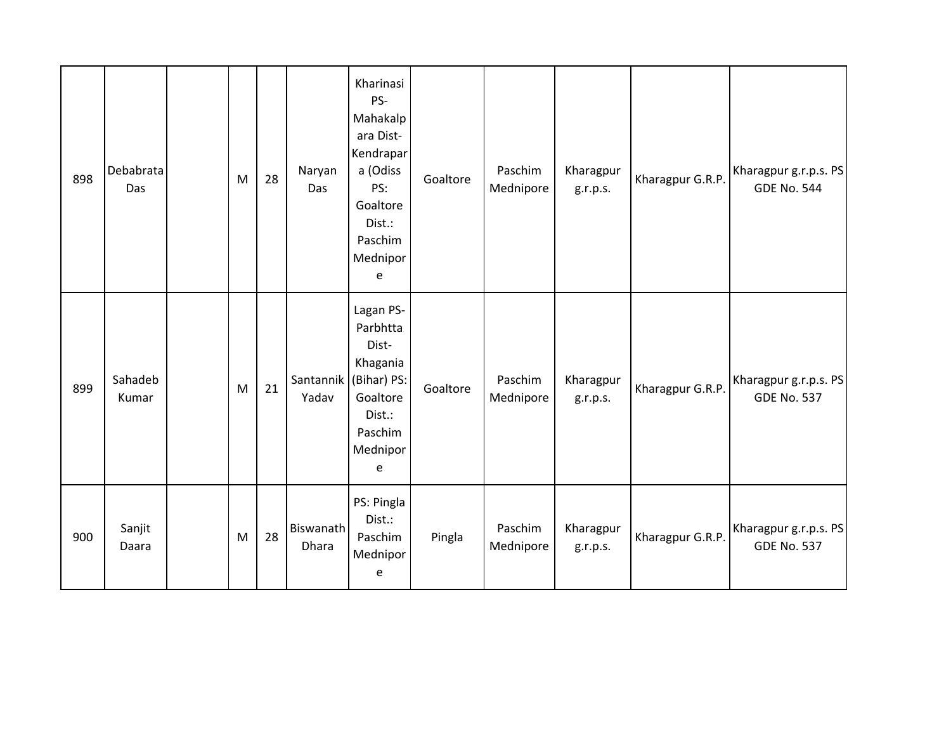| 898 | Debabrata<br>Das | M         | 28 | Naryan<br>Das      | Kharinasi<br>PS-<br>Mahakalp<br>ara Dist-<br>Kendrapar<br>a (Odiss<br>PS:<br>Goaltore<br>Dist.:<br>Paschim<br>Mednipor<br>e | Goaltore | Paschim<br>Mednipore | Kharagpur<br>g.r.p.s. | Kharagpur G.R.P. | Kharagpur g.r.p.s. PS<br><b>GDE No. 544</b> |
|-----|------------------|-----------|----|--------------------|-----------------------------------------------------------------------------------------------------------------------------|----------|----------------------|-----------------------|------------------|---------------------------------------------|
| 899 | Sahadeb<br>Kumar | M         | 21 | Santannik<br>Yadav | Lagan PS-<br>Parbhtta<br>Dist-<br>Khagania<br>(Bihar) PS:<br>Goaltore<br>Dist.:<br>Paschim<br>Mednipor<br>e                 | Goaltore | Paschim<br>Mednipore | Kharagpur<br>g.r.p.s. | Kharagpur G.R.P. | Kharagpur g.r.p.s. PS<br><b>GDE No. 537</b> |
| 900 | Sanjit<br>Daara  | ${\sf M}$ | 28 | Biswanath<br>Dhara | PS: Pingla<br>Dist.:<br>Paschim<br>Mednipor<br>e                                                                            | Pingla   | Paschim<br>Mednipore | Kharagpur<br>g.r.p.s. | Kharagpur G.R.P. | Kharagpur g.r.p.s. PS<br><b>GDE No. 537</b> |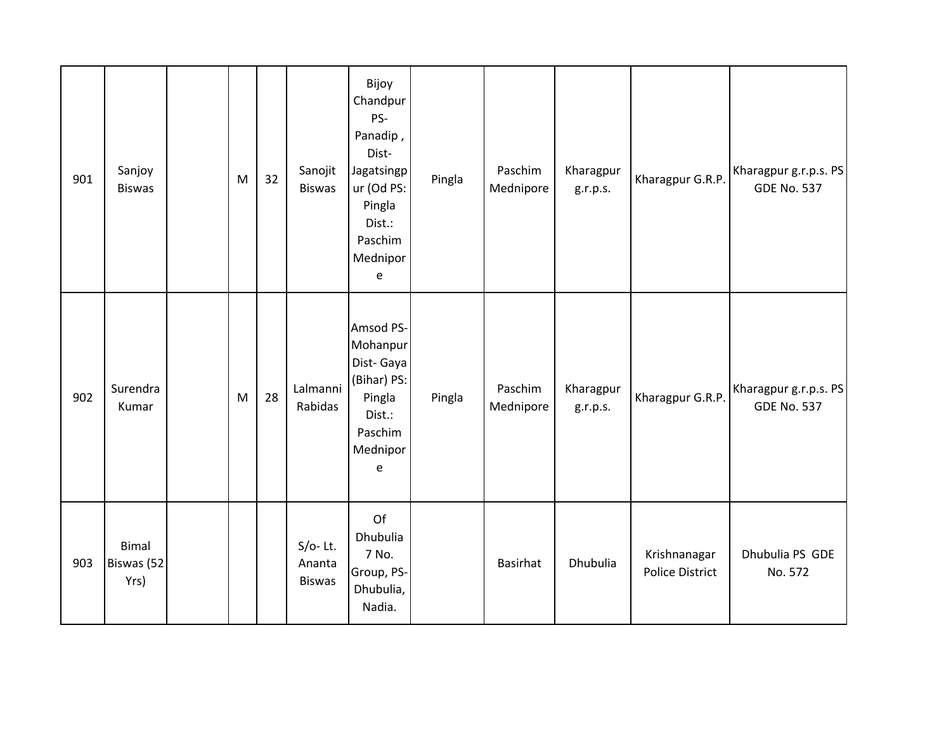| 901 | Sanjoy<br><b>Biswas</b>     | M | 32 | Sanojit<br><b>Biswas</b>              | Bijoy<br>Chandpur<br>PS-<br>Panadip,<br>Dist-<br>Jagatsingp<br>ur (Od PS:<br>Pingla<br>Dist.:<br>Paschim<br>Mednipor<br>e | Pingla | Paschim<br>Mednipore | Kharagpur<br>g.r.p.s. | Kharagpur G.R.P.                       | Kharagpur g.r.p.s. PS<br><b>GDE No. 537</b> |
|-----|-----------------------------|---|----|---------------------------------------|---------------------------------------------------------------------------------------------------------------------------|--------|----------------------|-----------------------|----------------------------------------|---------------------------------------------|
| 902 | Surendra<br>Kumar           | M | 28 | Lalmanni<br>Rabidas                   | Amsod PS-<br>Mohanpur<br>Dist-Gaya<br>(Bihar) PS:<br>Pingla<br>Dist.:<br>Paschim<br>Mednipor<br>$\mathsf e$               | Pingla | Paschim<br>Mednipore | Kharagpur<br>g.r.p.s. | Kharagpur G.R.P.                       | Kharagpur g.r.p.s. PS<br><b>GDE No. 537</b> |
| 903 | Bimal<br>Biswas (52<br>Yrs) |   |    | $S/O-$ Lt.<br>Ananta<br><b>Biswas</b> | Of<br>Dhubulia<br>7 No.<br>Group, PS-<br>Dhubulia,<br>Nadia.                                                              |        | <b>Basirhat</b>      | Dhubulia              | Krishnanagar<br><b>Police District</b> | Dhubulia PS GDE<br>No. 572                  |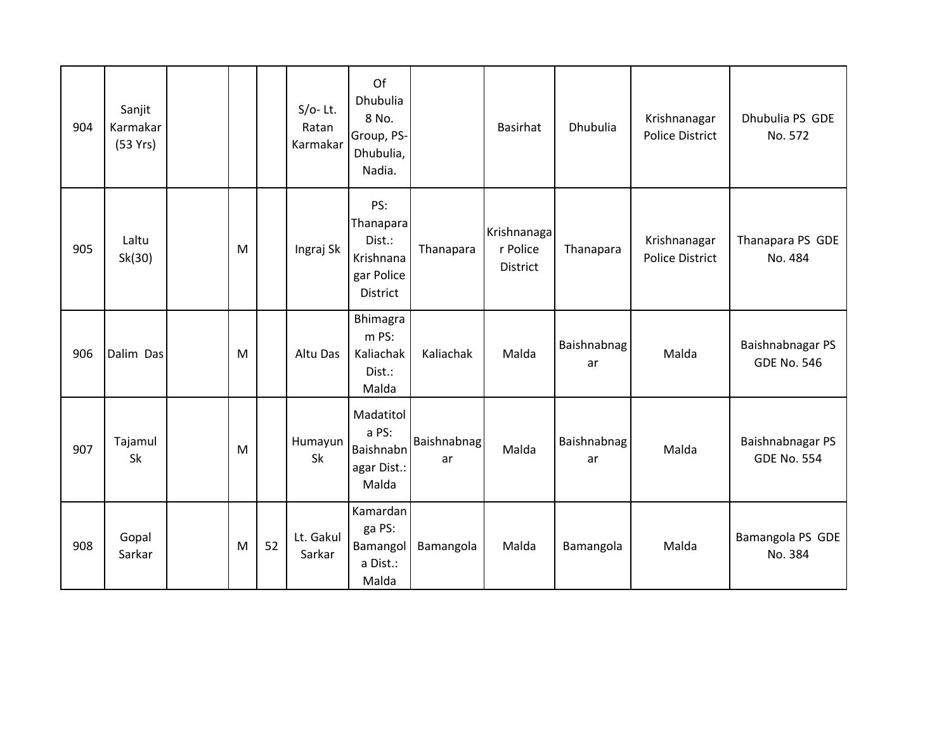| 904 | Sanjit<br>Karmakar<br>(53 Yrs) |   |    | $S/O-$ Lt.<br>Ratan<br>Karmakar | Of<br>Dhubulia<br>8 No.<br>Group, PS-<br>Dhubulia,<br>Nadia.             |                          | <b>Basirhat</b>                            | Dhubulia          | Krishnanagar<br><b>Police District</b> | Dhubulia PS GDE<br>No. 572             |
|-----|--------------------------------|---|----|---------------------------------|--------------------------------------------------------------------------|--------------------------|--------------------------------------------|-------------------|----------------------------------------|----------------------------------------|
| 905 | Laltu<br>Sk(30)                | M |    | Ingraj Sk                       | PS:<br>Thanapara<br>Dist.:<br>Krishnana<br>gar Police<br><b>District</b> | Thanapara                | Krishnanaga<br>r Police<br><b>District</b> | Thanapara         | Krishnanagar<br><b>Police District</b> | Thanapara PS GDE<br>No. 484            |
| 906 | Dalim Das                      | M |    | Altu Das                        | Bhimagra<br>m PS:<br>Kaliachak<br>Dist.:<br>Malda                        | Kaliachak                | Malda                                      | Baishnabnag<br>ar | Malda                                  | Baishnabnagar PS<br><b>GDE No. 546</b> |
| 907 | Tajamul<br>Sk                  | M |    | Humayun<br>Sk                   | Madatitol<br>a PS:<br>Baishnabn<br>agar Dist.:<br>Malda                  | <b>Baishnabnag</b><br>ar | Malda                                      | Baishnabnag<br>ar | Malda                                  | Baishnabnagar PS<br><b>GDE No. 554</b> |
| 908 | Gopal<br>Sarkar                | M | 52 | Lt. Gakul<br>Sarkar             | Kamardan<br>ga PS:<br>Bamangol<br>a Dist.:<br>Malda                      | Bamangola                | Malda                                      | Bamangola         | Malda                                  | Bamangola PS GDE<br>No. 384            |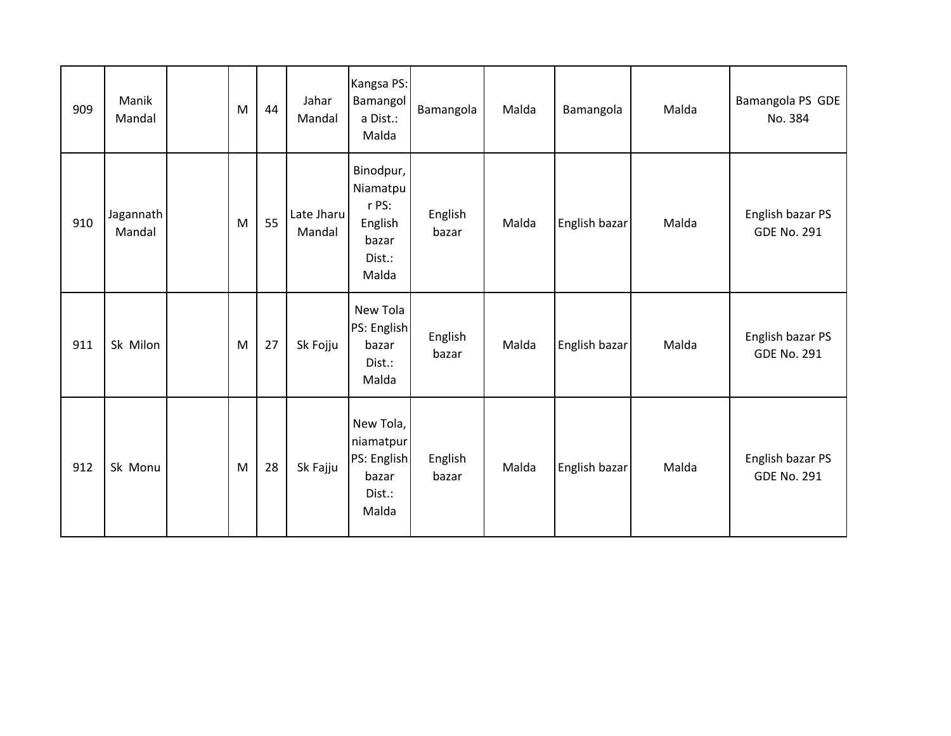| 909 | Manik<br>Mandal     | M | 44 | Jahar<br>Mandal      | Kangsa PS:<br>Bamangol<br>a Dist.:<br>Malda                           | Bamangola        | Malda | Bamangola     | Malda | Bamangola PS GDE<br>No. 384            |
|-----|---------------------|---|----|----------------------|-----------------------------------------------------------------------|------------------|-------|---------------|-------|----------------------------------------|
| 910 | Jagannath<br>Mandal | M | 55 | Late Jharu<br>Mandal | Binodpur,<br>Niamatpu<br>r PS:<br>English<br>bazar<br>Dist.:<br>Malda | English<br>bazar | Malda | English bazar | Malda | English bazar PS<br><b>GDE No. 291</b> |
| 911 | Sk Milon            | M | 27 | Sk Fojju             | New Tola<br>PS: English<br>bazar<br>Dist.:<br>Malda                   | English<br>bazar | Malda | English bazar | Malda | English bazar PS<br><b>GDE No. 291</b> |
| 912 | Sk Monu             | M | 28 | Sk Fajju             | New Tola,<br>niamatpur<br>PS: English<br>bazar<br>Dist.:<br>Malda     | English<br>bazar | Malda | English bazar | Malda | English bazar PS<br><b>GDE No. 291</b> |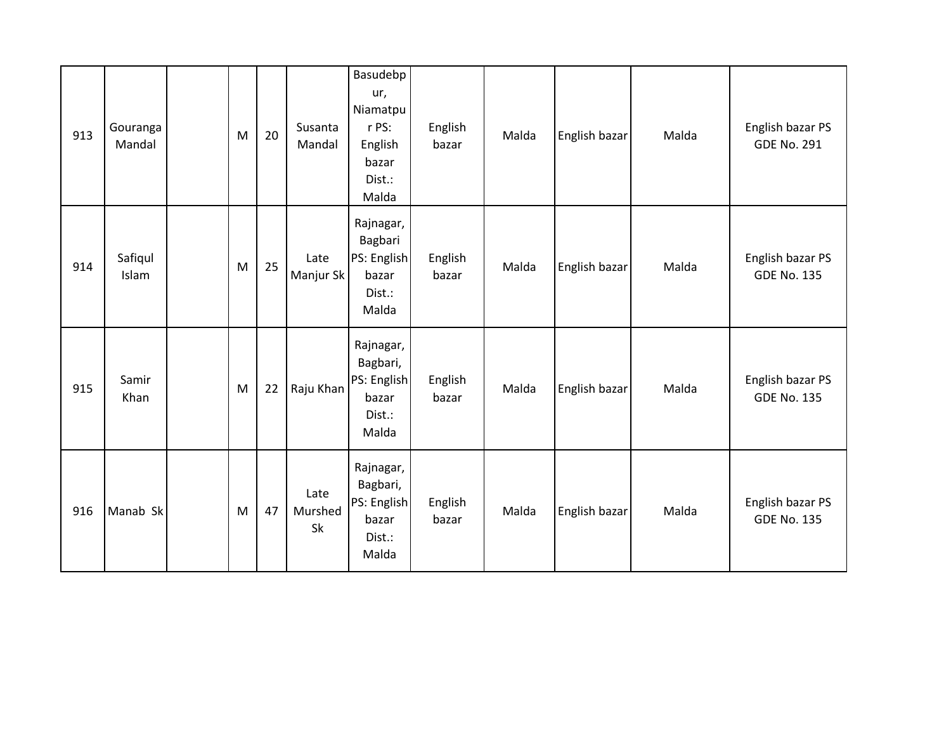| 913 | Gouranga<br>Mandal | M | 20 | Susanta<br>Mandal     | Basudebp<br>ur,<br>Niamatpu<br>r PS:<br>English<br>bazar<br>Dist.:<br>Malda | English<br>bazar | Malda | English bazar | Malda | English bazar PS<br><b>GDE No. 291</b> |
|-----|--------------------|---|----|-----------------------|-----------------------------------------------------------------------------|------------------|-------|---------------|-------|----------------------------------------|
| 914 | Safiqul<br>Islam   | M | 25 | Late<br>Manjur Sk     | Rajnagar,<br>Bagbari<br>PS: English<br>bazar<br>Dist.:<br>Malda             | English<br>bazar | Malda | English bazar | Malda | English bazar PS<br><b>GDE No. 135</b> |
| 915 | Samir<br>Khan      | M | 22 | Raju Khan             | Rajnagar,<br>Bagbari,<br>PS: English<br>bazar<br>Dist.:<br>Malda            | English<br>bazar | Malda | English bazar | Malda | English bazar PS<br><b>GDE No. 135</b> |
| 916 | Manab Sk           | M | 47 | Late<br>Murshed<br>Sk | Rajnagar,<br>Bagbari,<br>PS: English<br>bazar<br>Dist.:<br>Malda            | English<br>bazar | Malda | English bazar | Malda | English bazar PS<br><b>GDE No. 135</b> |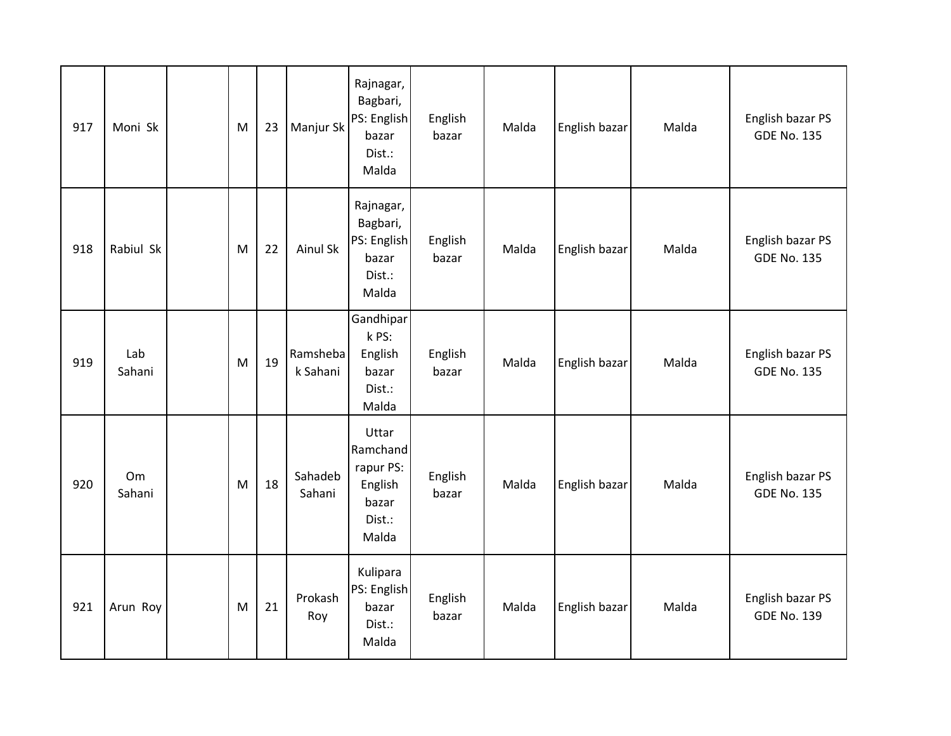| 917 | Moni Sk       | M | 23 | Manjur Sk            | Rajnagar,<br>Bagbari,<br>PS: English<br>bazar<br>Dist.:<br>Malda      | English<br>bazar | Malda | English bazar | Malda | English bazar PS<br><b>GDE No. 135</b> |
|-----|---------------|---|----|----------------------|-----------------------------------------------------------------------|------------------|-------|---------------|-------|----------------------------------------|
| 918 | Rabiul Sk     | M | 22 | <b>Ainul Sk</b>      | Rajnagar,<br>Bagbari,<br>PS: English<br>bazar<br>Dist.:<br>Malda      | English<br>bazar | Malda | English bazar | Malda | English bazar PS<br><b>GDE No. 135</b> |
| 919 | Lab<br>Sahani | M | 19 | Ramsheba<br>k Sahani | Gandhipar<br>k PS:<br>English<br>bazar<br>Dist.:<br>Malda             | English<br>bazar | Malda | English bazar | Malda | English bazar PS<br><b>GDE No. 135</b> |
| 920 | Om<br>Sahani  | M | 18 | Sahadeb<br>Sahani    | Uttar<br>Ramchand<br>rapur PS:<br>English<br>bazar<br>Dist.:<br>Malda | English<br>bazar | Malda | English bazar | Malda | English bazar PS<br><b>GDE No. 135</b> |
| 921 | Arun Roy      | M | 21 | Prokash<br>Roy       | Kulipara<br>PS: English<br>bazar<br>Dist.:<br>Malda                   | English<br>bazar | Malda | English bazar | Malda | English bazar PS<br><b>GDE No. 139</b> |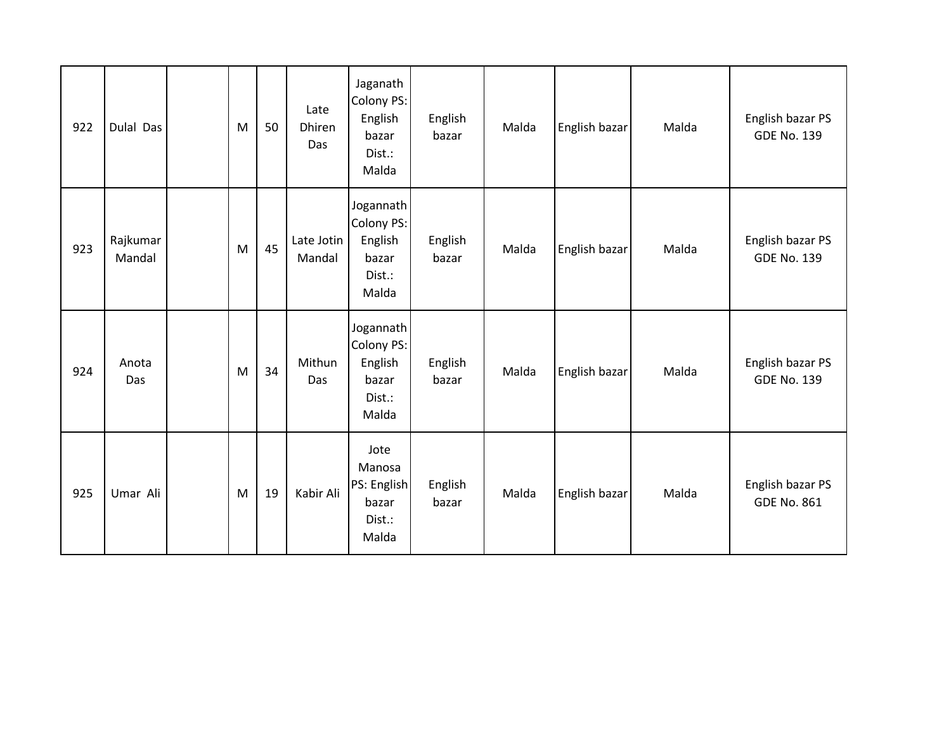| 922 | Dulal Das          | M | 50 | Late<br><b>Dhiren</b><br>Das | Jaganath<br>Colony PS:<br>English<br>bazar<br>Dist.:<br>Malda  | English<br>bazar | Malda | English bazar | Malda | English bazar PS<br><b>GDE No. 139</b> |
|-----|--------------------|---|----|------------------------------|----------------------------------------------------------------|------------------|-------|---------------|-------|----------------------------------------|
| 923 | Rajkumar<br>Mandal | M | 45 | Late Jotin<br>Mandal         | Jogannath<br>Colony PS:<br>English<br>bazar<br>Dist.:<br>Malda | English<br>bazar | Malda | English bazar | Malda | English bazar PS<br><b>GDE No. 139</b> |
| 924 | Anota<br>Das       | M | 34 | Mithun<br>Das                | Jogannath<br>Colony PS:<br>English<br>bazar<br>Dist.:<br>Malda | English<br>bazar | Malda | English bazar | Malda | English bazar PS<br><b>GDE No. 139</b> |
| 925 | Umar Ali           | M | 19 | Kabir Ali                    | Jote<br>Manosa<br>PS: English<br>bazar<br>Dist.:<br>Malda      | English<br>bazar | Malda | English bazar | Malda | English bazar PS<br><b>GDE No. 861</b> |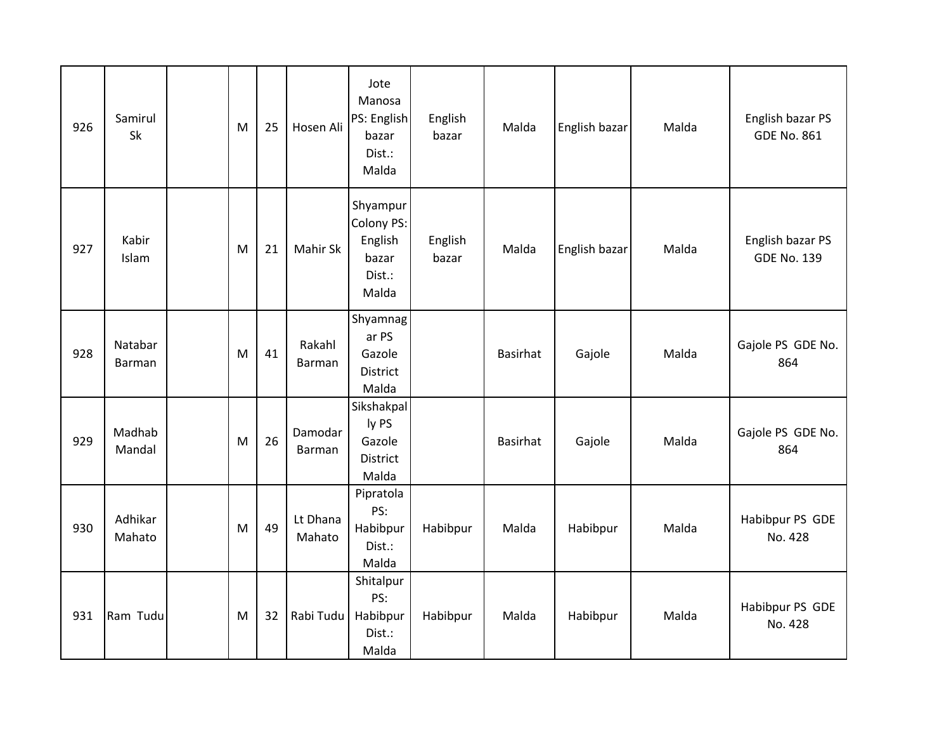| 926 | Samirul<br>Sk     | M | 25 | Hosen Ali          | Jote<br>Manosa<br>PS: English<br>bazar<br>Dist.:<br>Malda     | English<br>bazar | Malda           | English bazar | Malda | English bazar PS<br><b>GDE No. 861</b> |
|-----|-------------------|---|----|--------------------|---------------------------------------------------------------|------------------|-----------------|---------------|-------|----------------------------------------|
| 927 | Kabir<br>Islam    | M | 21 | Mahir Sk           | Shyampur<br>Colony PS:<br>English<br>bazar<br>Dist.:<br>Malda | English<br>bazar | Malda           | English bazar | Malda | English bazar PS<br><b>GDE No. 139</b> |
| 928 | Natabar<br>Barman | M | 41 | Rakahl<br>Barman   | Shyamnag<br>ar PS<br>Gazole<br><b>District</b><br>Malda       |                  | <b>Basirhat</b> | Gajole        | Malda | Gajole PS GDE No.<br>864               |
| 929 | Madhab<br>Mandal  | M | 26 | Damodar<br>Barman  | Sikshakpal<br>ly PS<br>Gazole<br><b>District</b><br>Malda     |                  | <b>Basirhat</b> | Gajole        | Malda | Gajole PS GDE No.<br>864               |
| 930 | Adhikar<br>Mahato | M | 49 | Lt Dhana<br>Mahato | Pipratola<br>PS:<br>Habibpur<br>Dist.:<br>Malda               | Habibpur         | Malda           | Habibpur      | Malda | Habibpur PS GDE<br>No. 428             |
| 931 | Ram Tudu          | M | 32 | Rabi Tudu          | Shitalpur<br>PS:<br>Habibpur<br>Dist.:<br>Malda               | Habibpur         | Malda           | Habibpur      | Malda | Habibpur PS GDE<br>No. 428             |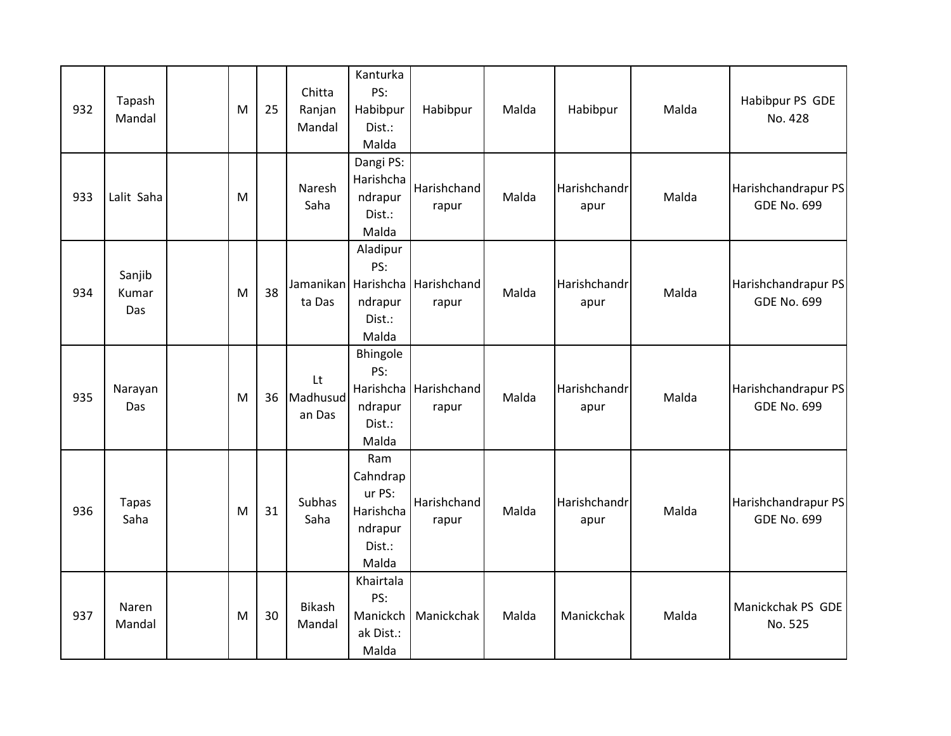| 932 | Tapash<br>Mandal       | M | 25 | Chitta<br>Ranjan<br>Mandal | Kanturka<br>PS:<br>Habibpur<br>Dist.:<br>Malda                       | Habibpur                                 | Malda | Habibpur             | Malda | Habibpur PS GDE<br>No. 428                |
|-----|------------------------|---|----|----------------------------|----------------------------------------------------------------------|------------------------------------------|-------|----------------------|-------|-------------------------------------------|
| 933 | Lalit Saha             | M |    | Naresh<br>Saha             | Dangi PS:<br>Harishcha<br>ndrapur<br>Dist.:<br>Malda                 | Harishchand<br>rapur                     | Malda | Harishchandr<br>apur | Malda | Harishchandrapur PS<br><b>GDE No. 699</b> |
| 934 | Sanjib<br>Kumar<br>Das | M | 38 | ta Das                     | Aladipur<br>PS:<br>ndrapur<br>Dist.:<br>Malda                        | Jamanikan Harishcha Harishchand<br>rapur | Malda | Harishchandr<br>apur | Malda | Harishchandrapur PS<br><b>GDE No. 699</b> |
| 935 | Narayan<br>Das         | M | 36 | Lt<br>Madhusud<br>an Das   | Bhingole<br>PS:<br>ndrapur<br>Dist.:<br>Malda                        | Harishcha Harishchand<br>rapur           | Malda | Harishchandr<br>apur | Malda | Harishchandrapur PS<br><b>GDE No. 699</b> |
| 936 | <b>Tapas</b><br>Saha   | M | 31 | Subhas<br>Saha             | Ram<br>Cahndrap<br>ur PS:<br>Harishcha<br>ndrapur<br>Dist.:<br>Malda | Harishchand<br>rapur                     | Malda | Harishchandr<br>apur | Malda | Harishchandrapur PS<br><b>GDE No. 699</b> |
| 937 | Naren<br>Mandal        | M | 30 | <b>Bikash</b><br>Mandal    | Khairtala<br>PS:<br>Manickch<br>ak Dist.:<br>Malda                   | Manickchak                               | Malda | Manickchak           | Malda | Manickchak PS GDE<br>No. 525              |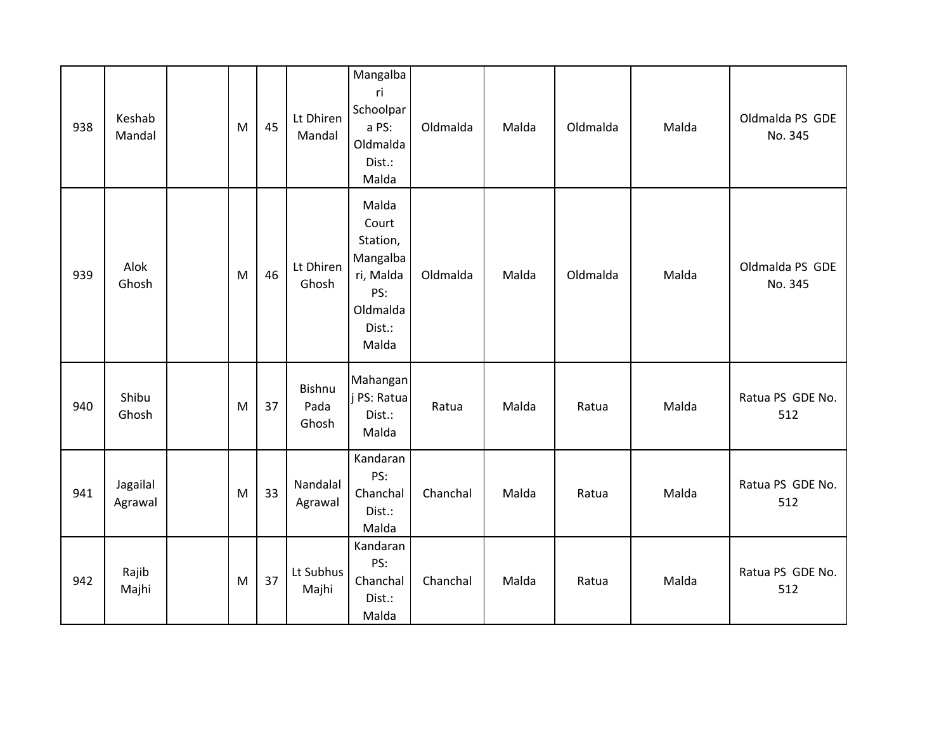| 938 | Keshab<br>Mandal    | M | 45 | Lt Dhiren<br>Mandal     | Mangalba<br>ri<br>Schoolpar<br>a PS:<br>Oldmalda<br>Dist.:<br>Malda                       | Oldmalda | Malda | Oldmalda | Malda | Oldmalda PS GDE<br>No. 345 |
|-----|---------------------|---|----|-------------------------|-------------------------------------------------------------------------------------------|----------|-------|----------|-------|----------------------------|
| 939 | Alok<br>Ghosh       | M | 46 | Lt Dhiren<br>Ghosh      | Malda<br>Court<br>Station,<br>Mangalba<br>ri, Malda<br>PS:<br>Oldmalda<br>Dist.:<br>Malda | Oldmalda | Malda | Oldmalda | Malda | Oldmalda PS GDE<br>No. 345 |
| 940 | Shibu<br>Ghosh      | M | 37 | Bishnu<br>Pada<br>Ghosh | Mahangan<br>j PS: Ratua<br>Dist.:<br>Malda                                                | Ratua    | Malda | Ratua    | Malda | Ratua PS GDE No.<br>512    |
| 941 | Jagailal<br>Agrawal | M | 33 | Nandalal<br>Agrawal     | Kandaran<br>PS:<br>Chanchal<br>Dist.:<br>Malda                                            | Chanchal | Malda | Ratua    | Malda | Ratua PS GDE No.<br>512    |
| 942 | Rajib<br>Majhi      | M | 37 | Lt Subhus<br>Majhi      | Kandaran<br>PS:<br>Chanchal<br>Dist.:<br>Malda                                            | Chanchal | Malda | Ratua    | Malda | Ratua PS GDE No.<br>512    |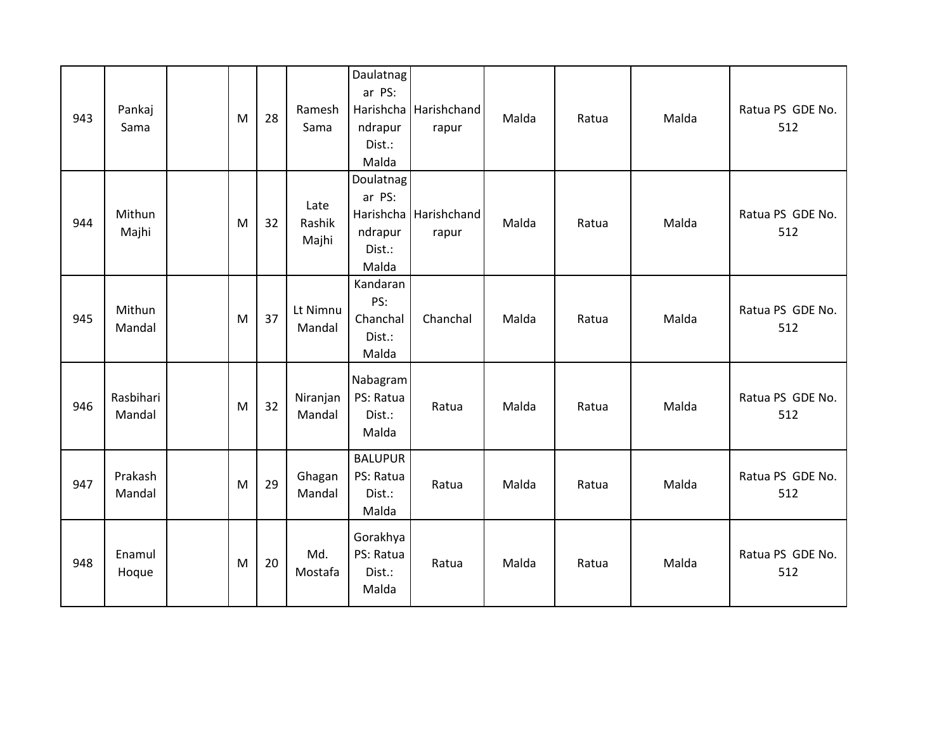| 943 | Pankaj<br>Sama      | M | 28 | Ramesh<br>Sama          | Daulatnag<br>ar PS:<br>ndrapur<br>Dist.:<br>Malda | Harishcha Harishchand<br>rapur | Malda | Ratua | Malda | Ratua PS GDE No.<br>512 |
|-----|---------------------|---|----|-------------------------|---------------------------------------------------|--------------------------------|-------|-------|-------|-------------------------|
| 944 | Mithun<br>Majhi     | M | 32 | Late<br>Rashik<br>Majhi | Doulatnag<br>ar PS:<br>ndrapur<br>Dist.:<br>Malda | Harishcha Harishchand<br>rapur | Malda | Ratua | Malda | Ratua PS GDE No.<br>512 |
| 945 | Mithun<br>Mandal    | M | 37 | Lt Nimnu<br>Mandal      | Kandaran<br>PS:<br>Chanchal<br>Dist.:<br>Malda    | Chanchal                       | Malda | Ratua | Malda | Ratua PS GDE No.<br>512 |
| 946 | Rasbihari<br>Mandal | M | 32 | Niranjan<br>Mandal      | Nabagram<br>PS: Ratua<br>Dist.:<br>Malda          | Ratua                          | Malda | Ratua | Malda | Ratua PS GDE No.<br>512 |
| 947 | Prakash<br>Mandal   | M | 29 | Ghagan<br>Mandal        | <b>BALUPUR</b><br>PS: Ratua<br>Dist.:<br>Malda    | Ratua                          | Malda | Ratua | Malda | Ratua PS GDE No.<br>512 |
| 948 | Enamul<br>Hoque     | M | 20 | Md.<br>Mostafa          | Gorakhya<br>PS: Ratua<br>Dist.:<br>Malda          | Ratua                          | Malda | Ratua | Malda | Ratua PS GDE No.<br>512 |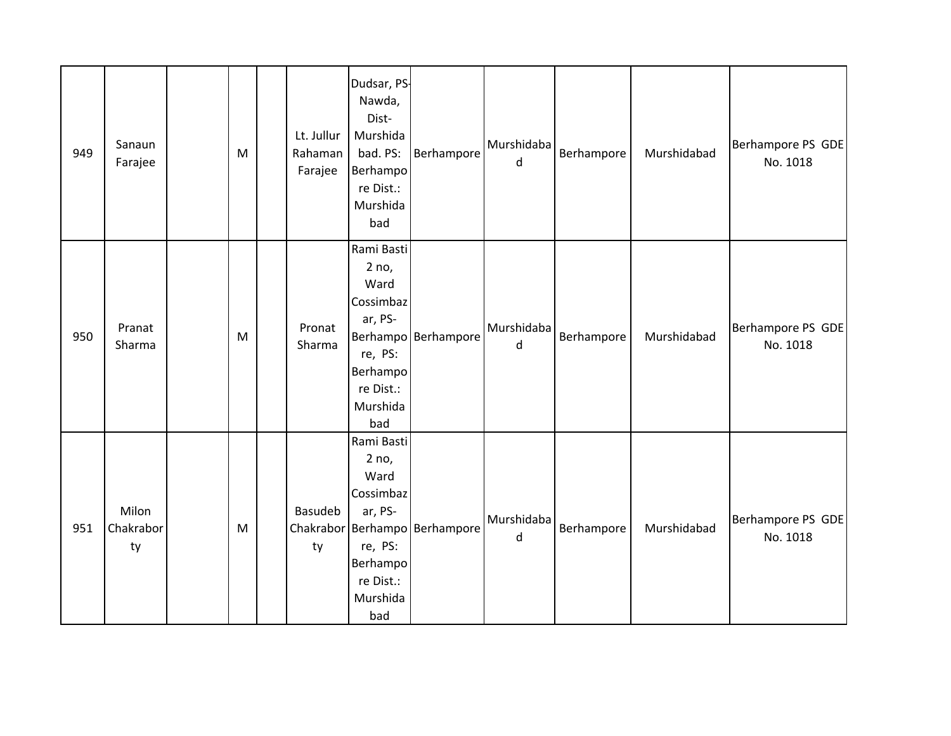| 949 | Sanaun<br>Farajee        | M | Lt. Jullur<br>Rahaman<br>Farajee | Dudsar, PS-<br>Nawda,<br>Dist-<br>Murshida<br>bad. PS:<br>Berhampo<br>re Dist.:<br>Murshida<br>bad         | Berhampore                    | Murshidaba<br>d            | Berhampore | Murshidabad | Berhampore PS GDE<br>No. 1018 |
|-----|--------------------------|---|----------------------------------|------------------------------------------------------------------------------------------------------------|-------------------------------|----------------------------|------------|-------------|-------------------------------|
| 950 | Pranat<br>Sharma         | M | Pronat<br>Sharma                 | Rami Basti<br>2 no,<br>Ward<br>Cossimbaz<br>ar, PS-<br>re, PS:<br>Berhampo<br>re Dist.:<br>Murshida<br>bad | Berhampo Berhampore           | Murshidaba<br>d            | Berhampore | Murshidabad | Berhampore PS GDE<br>No. 1018 |
| 951 | Milon<br>Chakrabor<br>ty | M | Basudeb<br>ty                    | Rami Basti<br>2 no,<br>Ward<br>Cossimbaz<br>ar, PS-<br>re, PS:<br>Berhampo<br>re Dist.:<br>Murshida<br>bad | Chakrabor Berhampo Berhampore | Murshidaba<br>$\mathsf{d}$ | Berhampore | Murshidabad | Berhampore PS GDE<br>No. 1018 |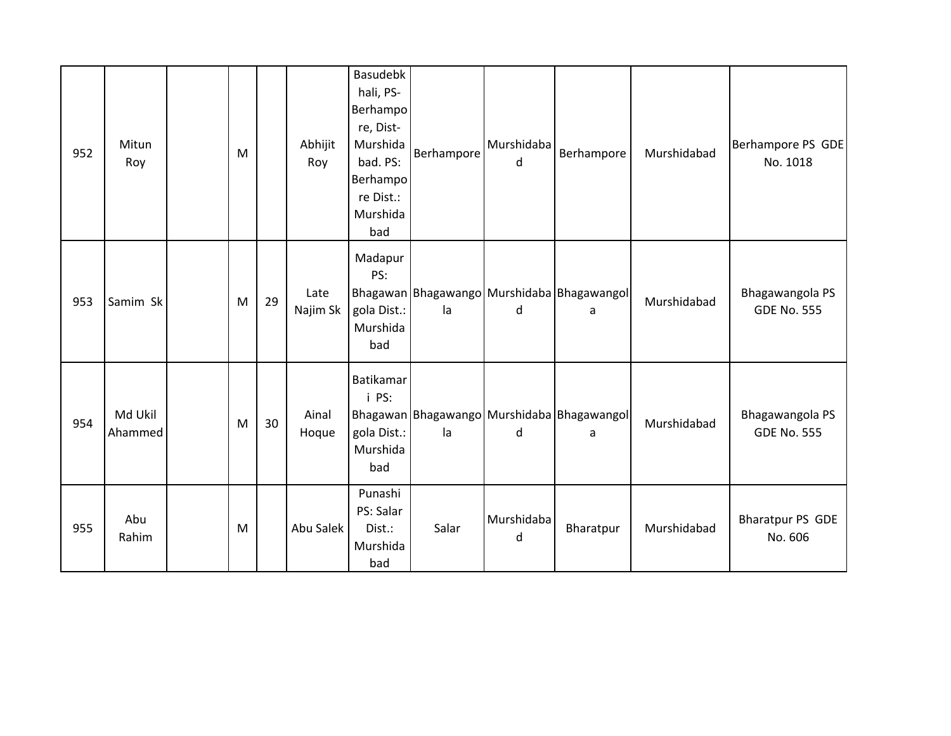| 952 | Mitun<br>Roy       | M |    | Abhijit<br>Roy   | <b>Basudebk</b><br>hali, PS-<br>Berhampo<br>re, Dist-<br>Murshida<br>bad. PS:<br>Berhampo<br>re Dist.:<br>Murshida<br>bad | Berhampore | Murshidaba<br>d | Berhampore                                      | Murshidabad | Berhampore PS GDE<br>No. 1018         |
|-----|--------------------|---|----|------------------|---------------------------------------------------------------------------------------------------------------------------|------------|-----------------|-------------------------------------------------|-------------|---------------------------------------|
| 953 | Samim Sk           | M | 29 | Late<br>Najim Sk | Madapur<br>PS:<br>gola Dist.:<br>Murshida<br>bad                                                                          | la         | d               | Bhagawan Bhagawango Murshidaba Bhagawangol<br>a | Murshidabad | Bhagawangola PS<br><b>GDE No. 555</b> |
| 954 | Md Ukil<br>Ahammed | M | 30 | Ainal<br>Hoque   | Batikamar<br>i PS:<br>gola Dist.:<br>Murshida<br>bad                                                                      | la         | d               | Bhagawan Bhagawango Murshidaba Bhagawangol<br>a | Murshidabad | Bhagawangola PS<br><b>GDE No. 555</b> |
| 955 | Abu<br>Rahim       | M |    | Abu Salek        | Punashi<br>PS: Salar<br>Dist.:<br>Murshida<br>bad                                                                         | Salar      | Murshidaba<br>d | Bharatpur                                       | Murshidabad | <b>Bharatpur PS GDE</b><br>No. 606    |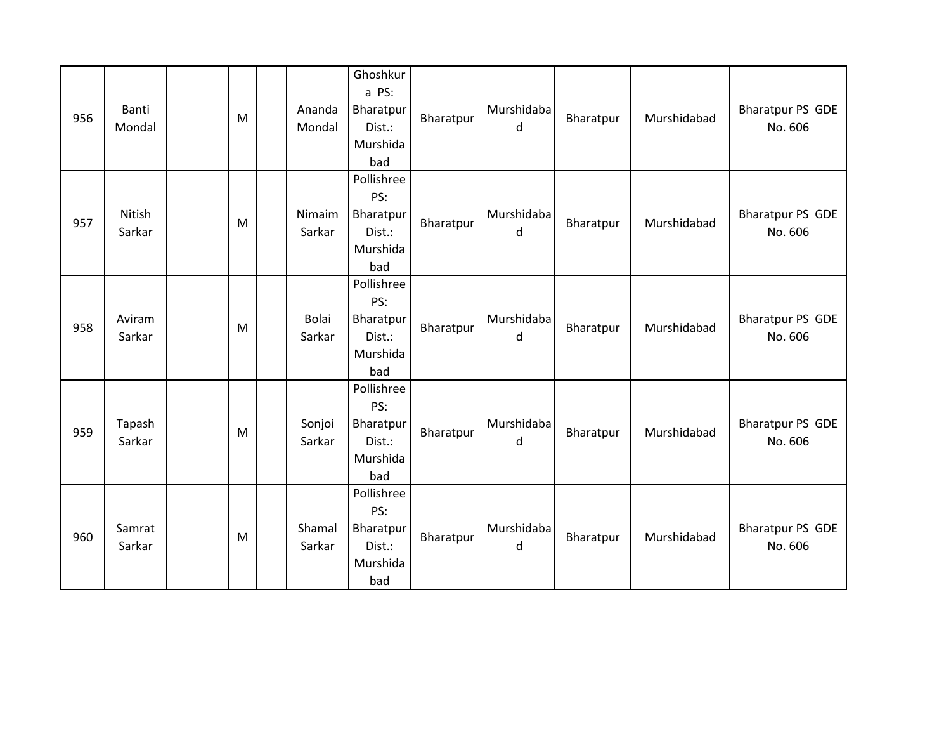| 956 | Banti<br>Mondal  | M         | Ananda<br>Mondal | Ghoshkur<br>a PS:<br>Bharatpur<br>Dist.:<br>Murshida<br>bad | Bharatpur | Murshidaba<br>d | Bharatpur | Murshidabad | <b>Bharatpur PS GDE</b><br>No. 606 |
|-----|------------------|-----------|------------------|-------------------------------------------------------------|-----------|-----------------|-----------|-------------|------------------------------------|
| 957 | Nitish<br>Sarkar | M         | Nimaim<br>Sarkar | Pollishree<br>PS:<br>Bharatpur<br>Dist.:<br>Murshida<br>bad | Bharatpur | Murshidaba<br>d | Bharatpur | Murshidabad | <b>Bharatpur PS GDE</b><br>No. 606 |
| 958 | Aviram<br>Sarkar | ${\sf M}$ | Bolai<br>Sarkar  | Pollishree<br>PS:<br>Bharatpur<br>Dist.:<br>Murshida<br>bad | Bharatpur | Murshidaba<br>d | Bharatpur | Murshidabad | <b>Bharatpur PS GDE</b><br>No. 606 |
| 959 | Tapash<br>Sarkar | M         | Sonjoi<br>Sarkar | Pollishree<br>PS:<br>Bharatpur<br>Dist.:<br>Murshida<br>bad | Bharatpur | Murshidaba<br>d | Bharatpur | Murshidabad | <b>Bharatpur PS GDE</b><br>No. 606 |
| 960 | Samrat<br>Sarkar | M         | Shamal<br>Sarkar | Pollishree<br>PS:<br>Bharatpur<br>Dist.:<br>Murshida<br>bad | Bharatpur | Murshidaba<br>d | Bharatpur | Murshidabad | <b>Bharatpur PS GDE</b><br>No. 606 |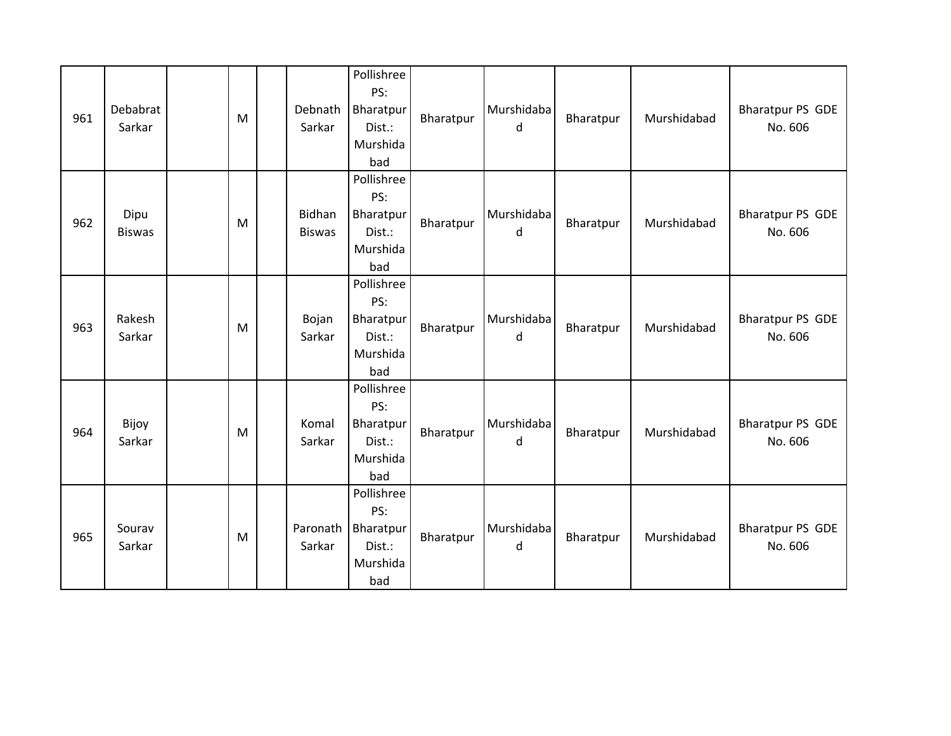| 961 | Debabrat<br>Sarkar    | M         | Debnath<br>Sarkar       | Pollishree<br>PS:<br>Bharatpur<br>Dist.:<br>Murshida<br>bad | Bharatpur | Murshidaba<br>d | Bharatpur | Murshidabad | <b>Bharatpur PS GDE</b><br>No. 606 |
|-----|-----------------------|-----------|-------------------------|-------------------------------------------------------------|-----------|-----------------|-----------|-------------|------------------------------------|
| 962 | Dipu<br><b>Biswas</b> | M         | Bidhan<br><b>Biswas</b> | Pollishree<br>PS:<br>Bharatpur<br>Dist.:<br>Murshida<br>bad | Bharatpur | Murshidaba<br>d | Bharatpur | Murshidabad | <b>Bharatpur PS GDE</b><br>No. 606 |
| 963 | Rakesh<br>Sarkar      | ${\sf M}$ | Bojan<br>Sarkar         | Pollishree<br>PS:<br>Bharatpur<br>Dist.:<br>Murshida<br>bad | Bharatpur | Murshidaba<br>d | Bharatpur | Murshidabad | <b>Bharatpur PS GDE</b><br>No. 606 |
| 964 | Bijoy<br>Sarkar       | M         | Komal<br>Sarkar         | Pollishree<br>PS:<br>Bharatpur<br>Dist.:<br>Murshida<br>bad | Bharatpur | Murshidaba<br>d | Bharatpur | Murshidabad | <b>Bharatpur PS GDE</b><br>No. 606 |
| 965 | Sourav<br>Sarkar      | M         | Paronath<br>Sarkar      | Pollishree<br>PS:<br>Bharatpur<br>Dist.:<br>Murshida<br>bad | Bharatpur | Murshidaba<br>d | Bharatpur | Murshidabad | <b>Bharatpur PS GDE</b><br>No. 606 |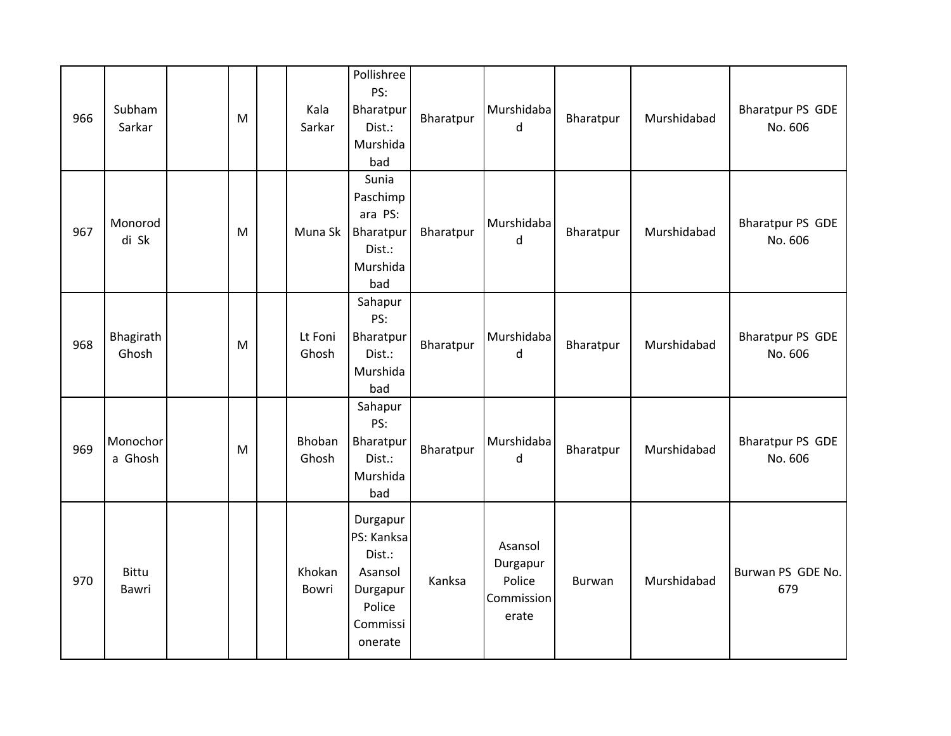| 966 | Subham<br>Sarkar      | M         | Kala<br>Sarkar   | Pollishree<br>PS:<br>Bharatpur<br>Dist.:<br>Murshida<br>bad                              | Bharatpur | Murshidaba<br>d                                      | Bharatpur | Murshidabad | <b>Bharatpur PS GDE</b><br>No. 606 |
|-----|-----------------------|-----------|------------------|------------------------------------------------------------------------------------------|-----------|------------------------------------------------------|-----------|-------------|------------------------------------|
| 967 | Monorod<br>di Sk      | M         | Muna Sk          | Sunia<br>Paschimp<br>ara PS:<br>Bharatpur<br>Dist.:<br>Murshida<br>bad                   | Bharatpur | Murshidaba<br>d                                      | Bharatpur | Murshidabad | <b>Bharatpur PS GDE</b><br>No. 606 |
| 968 | Bhagirath<br>Ghosh    | ${\sf M}$ | Lt Foni<br>Ghosh | Sahapur<br>PS:<br>Bharatpur<br>Dist.:<br>Murshida<br>bad                                 | Bharatpur | Murshidaba<br>d                                      | Bharatpur | Murshidabad | <b>Bharatpur PS GDE</b><br>No. 606 |
| 969 | Monochor<br>a Ghosh   | M         | Bhoban<br>Ghosh  | Sahapur<br>PS:<br>Bharatpur<br>Dist.:<br>Murshida<br>bad                                 | Bharatpur | Murshidaba<br>d                                      | Bharatpur | Murshidabad | <b>Bharatpur PS GDE</b><br>No. 606 |
| 970 | <b>Bittu</b><br>Bawri |           | Khokan<br>Bowri  | Durgapur<br>PS: Kanksa<br>Dist.:<br>Asansol<br>Durgapur<br>Police<br>Commissi<br>onerate | Kanksa    | Asansol<br>Durgapur<br>Police<br>Commission<br>erate | Burwan    | Murshidabad | Burwan PS GDE No.<br>679           |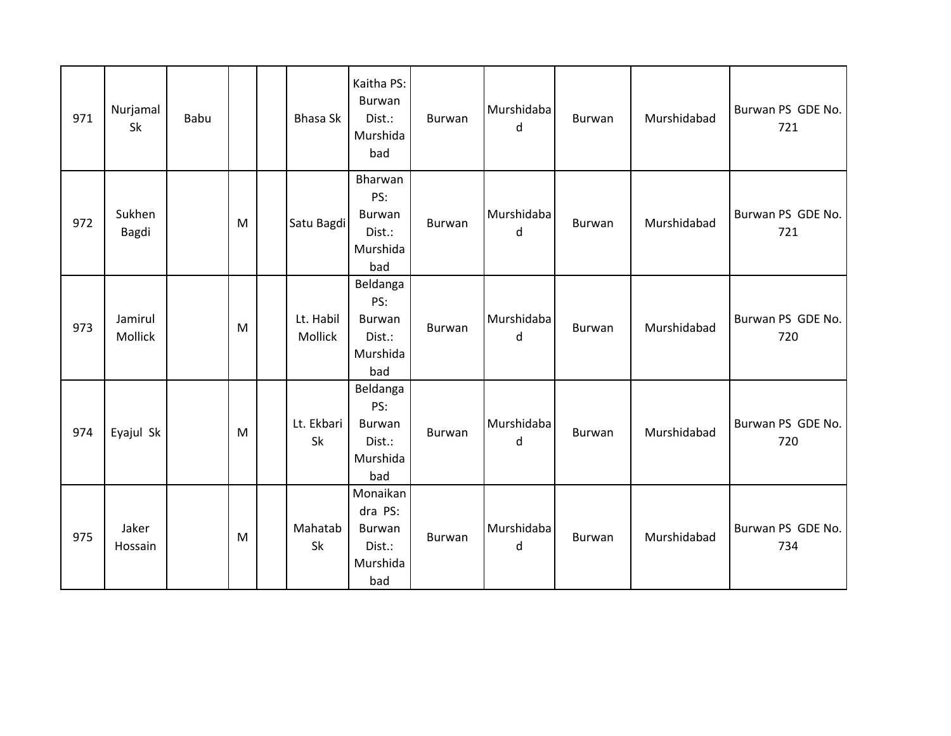| 971 | Nurjamal<br>Sk     | Babu |   | Bhasa Sk             | Kaitha PS:<br>Burwan<br>Dist.:<br>Murshida<br>bad          | <b>Burwan</b> | Murshidaba<br>d | Burwan | Murshidabad | Burwan PS GDE No.<br>721 |
|-----|--------------------|------|---|----------------------|------------------------------------------------------------|---------------|-----------------|--------|-------------|--------------------------|
| 972 | Sukhen<br>Bagdi    |      | M | Satu Bagdi           | Bharwan<br>PS:<br>Burwan<br>Dist.:<br>Murshida<br>bad      | Burwan        | Murshidaba<br>d | Burwan | Murshidabad | Burwan PS GDE No.<br>721 |
| 973 | Jamirul<br>Mollick |      | M | Lt. Habil<br>Mollick | Beldanga<br>PS:<br>Burwan<br>Dist.:<br>Murshida<br>bad     | Burwan        | Murshidaba<br>d | Burwan | Murshidabad | Burwan PS GDE No.<br>720 |
| 974 | Eyajul Sk          |      | M | Lt. Ekbari<br>Sk     | Beldanga<br>PS:<br>Burwan<br>Dist.:<br>Murshida<br>bad     | Burwan        | Murshidaba<br>d | Burwan | Murshidabad | Burwan PS GDE No.<br>720 |
| 975 | Jaker<br>Hossain   |      | M | Mahatab<br>Sk        | Monaikan<br>dra PS:<br>Burwan<br>Dist.:<br>Murshida<br>bad | Burwan        | Murshidaba<br>d | Burwan | Murshidabad | Burwan PS GDE No.<br>734 |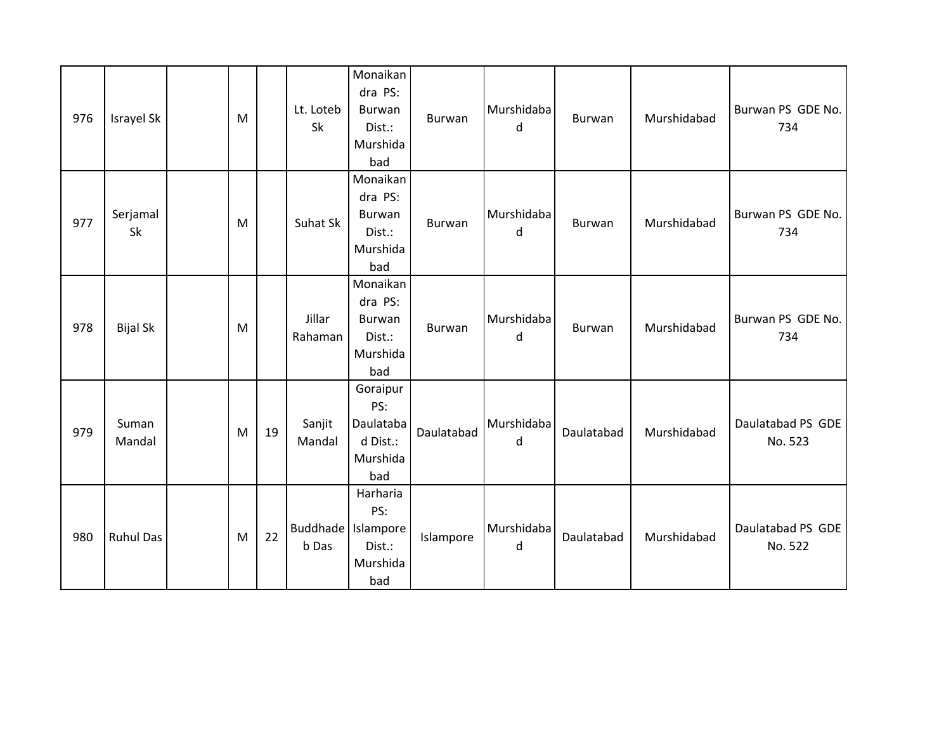| 976 | Israyel Sk       | M |    | Lt. Loteb<br>Sk               | Monaikan<br>dra PS:<br>Burwan<br>Dist.:<br>Murshida<br>bad  | Burwan     | Murshidaba<br>d | Burwan     | Murshidabad | Burwan PS GDE No.<br>734     |
|-----|------------------|---|----|-------------------------------|-------------------------------------------------------------|------------|-----------------|------------|-------------|------------------------------|
| 977 | Serjamal<br>Sk   | M |    | Suhat Sk                      | Monaikan<br>dra PS:<br>Burwan<br>Dist.:<br>Murshida<br>bad  | Burwan     | Murshidaba<br>d | Burwan     | Murshidabad | Burwan PS GDE No.<br>734     |
| 978 | <b>Bijal Sk</b>  | M |    | Jillar<br>Rahaman             | Monaikan<br>dra PS:<br>Burwan<br>Dist.:<br>Murshida<br>bad  | Burwan     | Murshidaba<br>d | Burwan     | Murshidabad | Burwan PS GDE No.<br>734     |
| 979 | Suman<br>Mandal  | M | 19 | Sanjit<br>Mandal              | Goraipur<br>PS:<br>Daulataba<br>d Dist.:<br>Murshida<br>bad | Daulatabad | Murshidaba<br>d | Daulatabad | Murshidabad | Daulatabad PS GDE<br>No. 523 |
| 980 | <b>Ruhul Das</b> | M | 22 | Buddhade   Islampore<br>b Das | Harharia<br>PS:<br>Dist.:<br>Murshida<br>bad                | Islampore  | Murshidaba<br>d | Daulatabad | Murshidabad | Daulatabad PS GDE<br>No. 522 |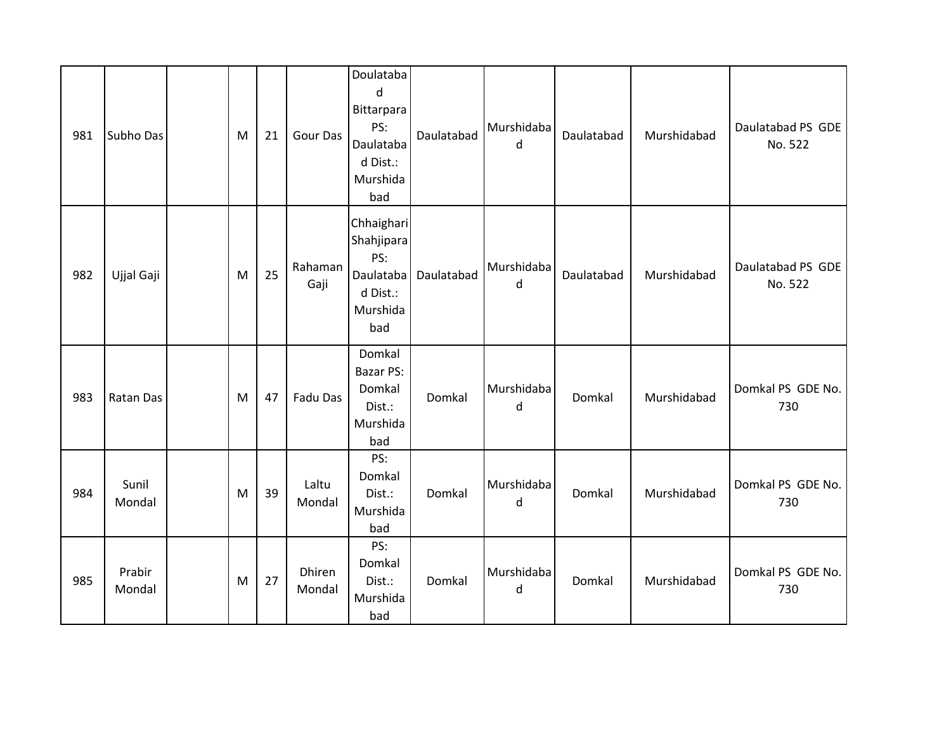| 981 | Subho Das        | M         | 21 | Gour Das         | Doulataba<br>${\sf d}$<br>Bittarpara<br>PS:<br>Daulataba<br>d Dist.:<br>Murshida<br>bad | Daulatabad | Murshidaba<br>d | Daulatabad | Murshidabad | Daulatabad PS GDE<br>No. 522 |
|-----|------------------|-----------|----|------------------|-----------------------------------------------------------------------------------------|------------|-----------------|------------|-------------|------------------------------|
| 982 | Ujjal Gaji       | M         | 25 | Rahaman<br>Gaji  | Chhaighari<br>Shahjipara<br>PS:<br>Daulataba<br>d Dist.:<br>Murshida<br>bad             | Daulatabad | Murshidaba<br>d | Daulatabad | Murshidabad | Daulatabad PS GDE<br>No. 522 |
| 983 | Ratan Das        | M         | 47 | Fadu Das         | Domkal<br>Bazar PS:<br>Domkal<br>Dist.:<br>Murshida<br>bad                              | Domkal     | Murshidaba<br>d | Domkal     | Murshidabad | Domkal PS GDE No.<br>730     |
| 984 | Sunil<br>Mondal  | ${\sf M}$ | 39 | Laltu<br>Mondal  | PS:<br>Domkal<br>Dist.:<br>Murshida<br>bad                                              | Domkal     | Murshidaba<br>d | Domkal     | Murshidabad | Domkal PS GDE No.<br>730     |
| 985 | Prabir<br>Mondal | M         | 27 | Dhiren<br>Mondal | PS:<br>Domkal<br>Dist.:<br>Murshida<br>bad                                              | Domkal     | Murshidaba<br>d | Domkal     | Murshidabad | Domkal PS GDE No.<br>730     |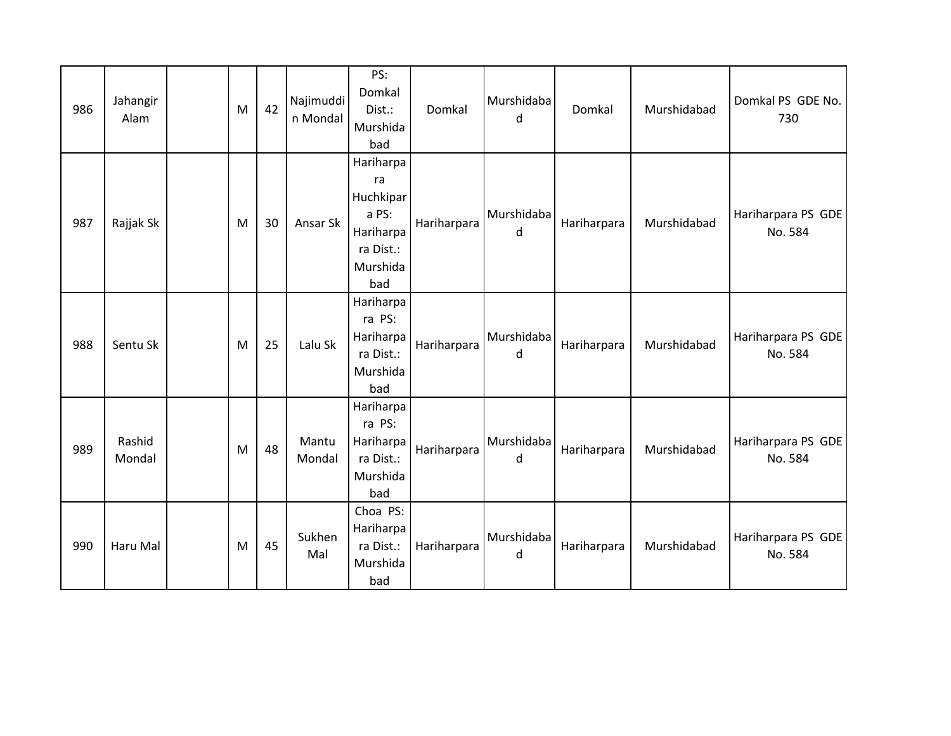| 986 | Jahangir<br>Alam | M | 42 | Najimuddi<br>n Mondal | PS:<br>Domkal<br>Dist.:<br>Murshida<br>bad                                         | Domkal      | Murshidaba<br>d | Domkal      | Murshidabad | Domkal PS GDE No.<br>730      |
|-----|------------------|---|----|-----------------------|------------------------------------------------------------------------------------|-------------|-----------------|-------------|-------------|-------------------------------|
| 987 | Rajjak Sk        | M | 30 | Ansar Sk              | Hariharpa<br>ra<br>Huchkipar<br>a PS:<br>Hariharpa<br>ra Dist.:<br>Murshida<br>bad | Hariharpara | Murshidaba<br>d | Hariharpara | Murshidabad | Hariharpara PS GDE<br>No. 584 |
| 988 | Sentu Sk         | M | 25 | Lalu Sk               | Hariharpa<br>ra PS:<br>Hariharpa<br>ra Dist.:<br>Murshida<br>bad                   | Hariharpara | Murshidaba<br>d | Hariharpara | Murshidabad | Hariharpara PS GDE<br>No. 584 |
| 989 | Rashid<br>Mondal | M | 48 | Mantu<br>Mondal       | Hariharpa<br>ra PS:<br>Hariharpa<br>ra Dist.:<br>Murshida<br>bad                   | Hariharpara | Murshidaba<br>d | Hariharpara | Murshidabad | Hariharpara PS GDE<br>No. 584 |
| 990 | Haru Mal         | M | 45 | Sukhen<br>Mal         | Choa PS:<br>Hariharpa<br>ra Dist.:<br>Murshida<br>bad                              | Hariharpara | Murshidaba<br>d | Hariharpara | Murshidabad | Hariharpara PS GDE<br>No. 584 |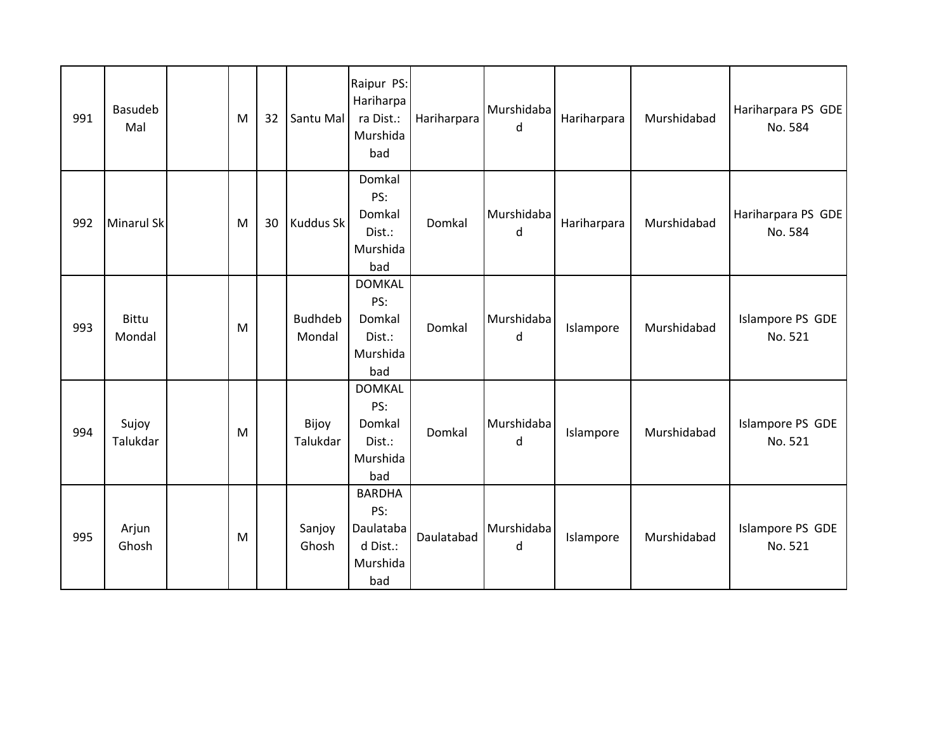| 991 | Basudeb<br>Mal         | M | 32 | Santu Mal                | Raipur PS:<br>Hariharpa<br>ra Dist.:<br>Murshida<br>bad          | Hariharpara | Murshidaba<br>d | Hariharpara | Murshidabad | Hariharpara PS GDE<br>No. 584 |
|-----|------------------------|---|----|--------------------------|------------------------------------------------------------------|-------------|-----------------|-------------|-------------|-------------------------------|
| 992 | <b>Minarul Sk</b>      | M | 30 | <b>Kuddus Sk</b>         | Domkal<br>PS:<br>Domkal<br>Dist.:<br>Murshida<br>bad             | Domkal      | Murshidaba<br>d | Hariharpara | Murshidabad | Hariharpara PS GDE<br>No. 584 |
| 993 | <b>Bittu</b><br>Mondal | M |    | <b>Budhdeb</b><br>Mondal | <b>DOMKAL</b><br>PS:<br>Domkal<br>Dist.:<br>Murshida<br>bad      | Domkal      | Murshidaba<br>d | Islampore   | Murshidabad | Islampore PS GDE<br>No. 521   |
| 994 | Sujoy<br>Talukdar      | M |    | Bijoy<br>Talukdar        | <b>DOMKAL</b><br>PS:<br>Domkal<br>Dist.:<br>Murshida<br>bad      | Domkal      | Murshidaba<br>d | Islampore   | Murshidabad | Islampore PS GDE<br>No. 521   |
| 995 | Arjun<br>Ghosh         | M |    | Sanjoy<br>Ghosh          | <b>BARDHA</b><br>PS:<br>Daulataba<br>d Dist.:<br>Murshida<br>bad | Daulatabad  | Murshidaba<br>d | Islampore   | Murshidabad | Islampore PS GDE<br>No. 521   |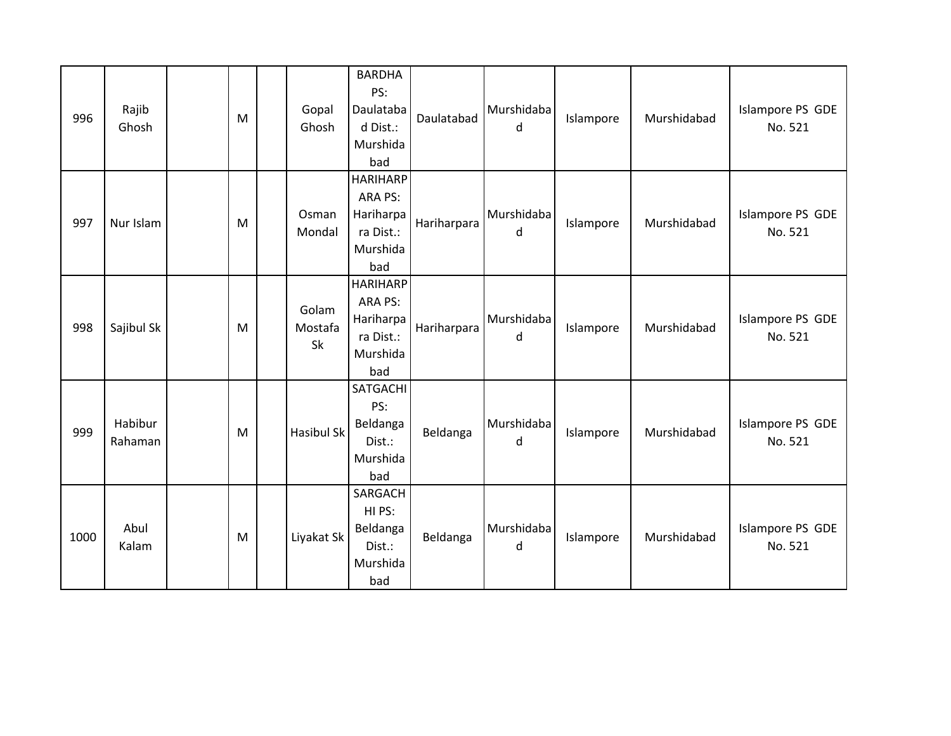| 996  | Rajib<br>Ghosh     | M | Gopal<br>Ghosh         | <b>BARDHA</b><br>PS:<br>Daulataba<br>d Dist.:<br>Murshida<br>bad        | Daulatabad  | Murshidaba<br>d | Islampore | Murshidabad | Islampore PS GDE<br>No. 521 |
|------|--------------------|---|------------------------|-------------------------------------------------------------------------|-------------|-----------------|-----------|-------------|-----------------------------|
| 997  | Nur Islam          | M | Osman<br>Mondal        | <b>HARIHARP</b><br>ARA PS:<br>Hariharpa<br>ra Dist.:<br>Murshida<br>bad | Hariharpara | Murshidaba<br>d | Islampore | Murshidabad | Islampore PS GDE<br>No. 521 |
| 998  | Sajibul Sk         | M | Golam<br>Mostafa<br>Sk | <b>HARIHARP</b><br>ARA PS:<br>Hariharpa<br>ra Dist.:<br>Murshida<br>bad | Hariharpara | Murshidaba<br>d | Islampore | Murshidabad | Islampore PS GDE<br>No. 521 |
| 999  | Habibur<br>Rahaman | M | <b>Hasibul Sk</b>      | <b>SATGACHI</b><br>PS:<br>Beldanga<br>Dist.:<br>Murshida<br>bad         | Beldanga    | Murshidaba<br>d | Islampore | Murshidabad | Islampore PS GDE<br>No. 521 |
| 1000 | Abul<br>Kalam      | M | Liyakat Sk             | SARGACH<br>HI PS:<br>Beldanga<br>Dist.:<br>Murshida<br>bad              | Beldanga    | Murshidaba<br>d | Islampore | Murshidabad | Islampore PS GDE<br>No. 521 |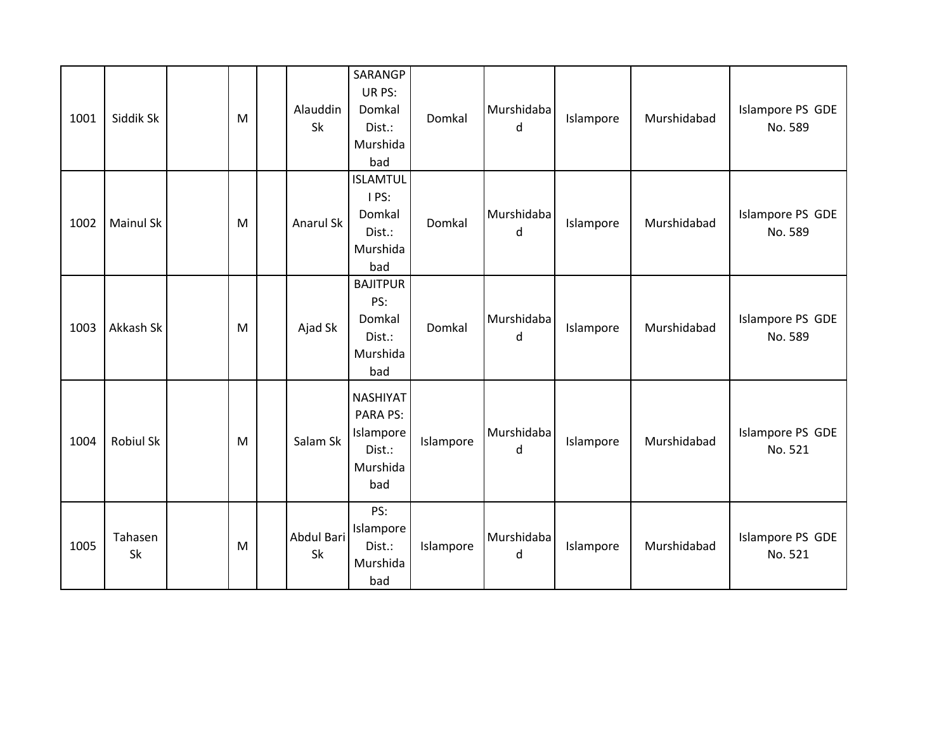| 1001 | Siddik Sk        | M | Alauddin<br>Sk   | SARANGP<br>UR PS:<br>Domkal<br>Dist.:<br>Murshida<br>bad              | Domkal    | Murshidaba<br>d | Islampore | Murshidabad | Islampore PS GDE<br>No. 589 |
|------|------------------|---|------------------|-----------------------------------------------------------------------|-----------|-----------------|-----------|-------------|-----------------------------|
| 1002 | <b>Mainul Sk</b> | M | Anarul Sk        | <b>ISLAMTUL</b><br>I PS:<br>Domkal<br>Dist.:<br>Murshida<br>bad       | Domkal    | Murshidaba<br>d | Islampore | Murshidabad | Islampore PS GDE<br>No. 589 |
| 1003 | Akkash Sk        | M | Ajad Sk          | <b>BAJITPUR</b><br>PS:<br>Domkal<br>Dist.:<br>Murshida<br>bad         | Domkal    | Murshidaba<br>d | Islampore | Murshidabad | Islampore PS GDE<br>No. 589 |
| 1004 | <b>Robiul Sk</b> | M | Salam Sk         | <b>NASHIYAT</b><br>PARA PS:<br>Islampore<br>Dist.:<br>Murshida<br>bad | Islampore | Murshidaba<br>d | Islampore | Murshidabad | Islampore PS GDE<br>No. 521 |
| 1005 | Tahasen<br>Sk    | M | Abdul Bari<br>Sk | PS:<br>Islampore<br>Dist.:<br>Murshida<br>bad                         | Islampore | Murshidaba<br>d | Islampore | Murshidabad | Islampore PS GDE<br>No. 521 |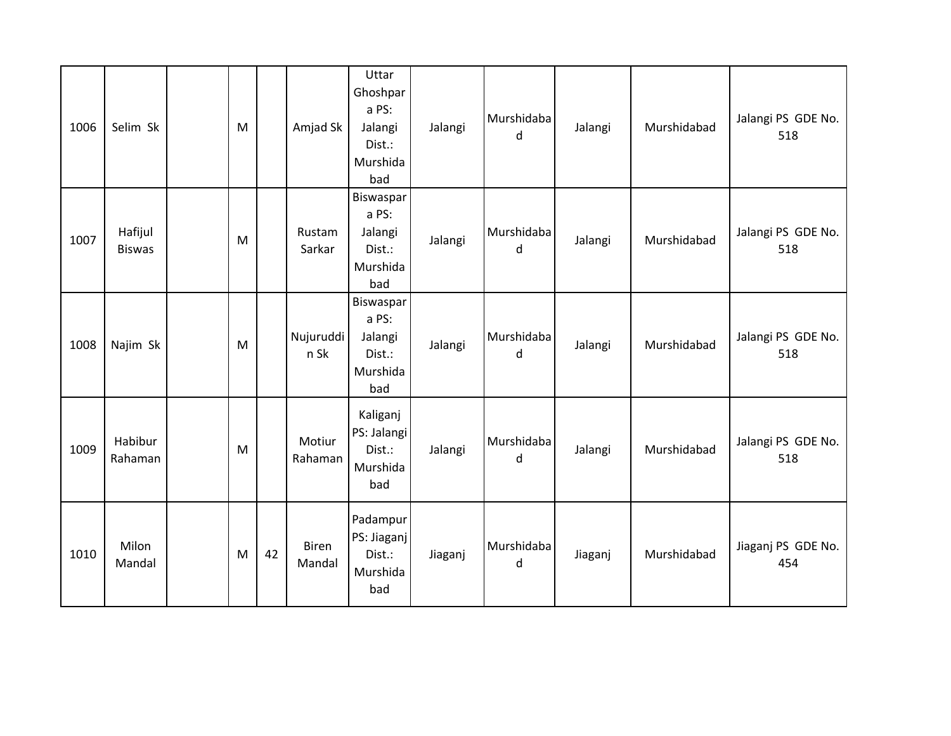| 1006 | Selim Sk                 | M |    | Amjad Sk               | Uttar<br>Ghoshpar<br>a PS:<br>Jalangi<br>Dist.:<br>Murshida<br>bad | Jalangi | Murshidaba<br>d | Jalangi | Murshidabad | Jalangi PS GDE No.<br>518 |
|------|--------------------------|---|----|------------------------|--------------------------------------------------------------------|---------|-----------------|---------|-------------|---------------------------|
| 1007 | Hafijul<br><b>Biswas</b> | M |    | Rustam<br>Sarkar       | Biswaspar<br>a PS:<br>Jalangi<br>Dist.:<br>Murshida<br>bad         | Jalangi | Murshidaba<br>d | Jalangi | Murshidabad | Jalangi PS GDE No.<br>518 |
| 1008 | Najim Sk                 | M |    | Nujuruddi<br>n Sk      | Biswaspar<br>a PS:<br>Jalangi<br>Dist.:<br>Murshida<br>bad         | Jalangi | Murshidaba<br>d | Jalangi | Murshidabad | Jalangi PS GDE No.<br>518 |
| 1009 | Habibur<br>Rahaman       | M |    | Motiur<br>Rahaman      | Kaliganj<br>PS: Jalangi<br>Dist.:<br>Murshida<br>bad               | Jalangi | Murshidaba<br>d | Jalangi | Murshidabad | Jalangi PS GDE No.<br>518 |
| 1010 | Milon<br>Mandal          | M | 42 | <b>Biren</b><br>Mandal | Padampur<br>PS: Jiaganj<br>Dist.:<br>Murshida<br>bad               | Jiaganj | Murshidaba<br>d | Jiaganj | Murshidabad | Jiaganj PS GDE No.<br>454 |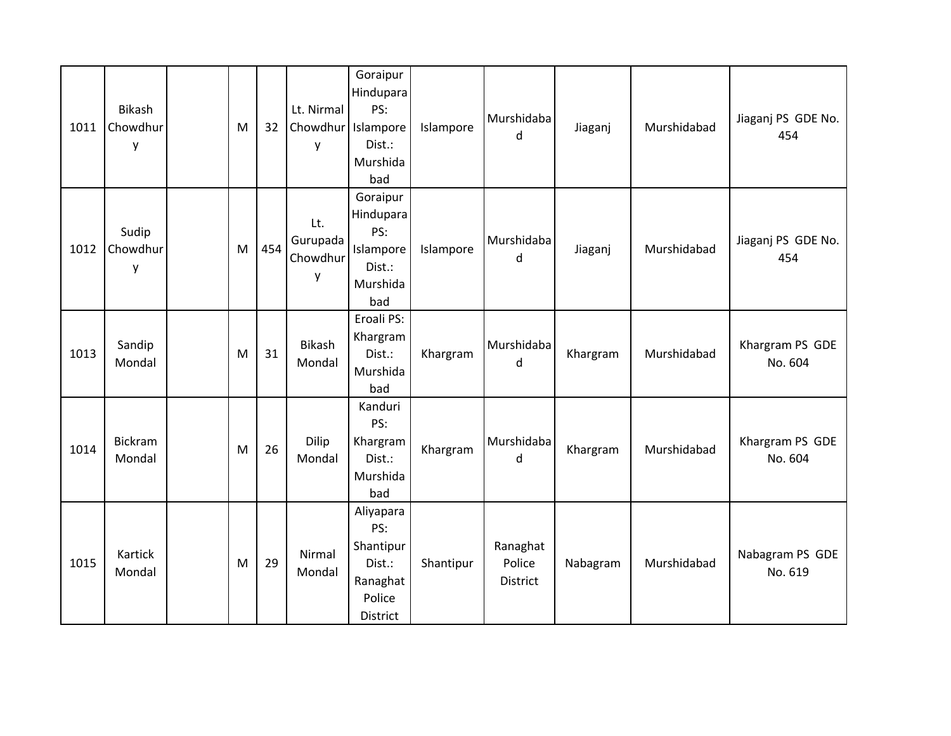| 1011 | Bikash<br>Chowdhur<br>y | M | 32  | Lt. Nirmal<br>y                  | Goraipur<br>Hindupara<br>PS:<br>Chowdhur Islampore<br>Dist.:<br>Murshida<br>bad | Islampore | Murshidaba<br>d                | Jiaganj  | Murshidabad | Jiaganj PS GDE No.<br>454  |
|------|-------------------------|---|-----|----------------------------------|---------------------------------------------------------------------------------|-----------|--------------------------------|----------|-------------|----------------------------|
| 1012 | Sudip<br>Chowdhur<br>y  | M | 454 | Lt.<br>Gurupada<br>Chowdhur<br>y | Goraipur<br>Hindupara<br>PS:<br>Islampore<br>Dist.:<br>Murshida<br>bad          | Islampore | Murshidaba<br>d                | Jiaganj  | Murshidabad | Jiaganj PS GDE No.<br>454  |
| 1013 | Sandip<br>Mondal        | M | 31  | Bikash<br>Mondal                 | Eroali PS:<br>Khargram<br>Dist.:<br>Murshida<br>bad                             | Khargram  | Murshidaba<br>d                | Khargram | Murshidabad | Khargram PS GDE<br>No. 604 |
| 1014 | Bickram<br>Mondal       | M | 26  | <b>Dilip</b><br>Mondal           | Kanduri<br>PS:<br>Khargram<br>Dist.:<br>Murshida<br>bad                         | Khargram  | Murshidaba<br>d                | Khargram | Murshidabad | Khargram PS GDE<br>No. 604 |
| 1015 | Kartick<br>Mondal       | M | 29  | Nirmal<br>Mondal                 | Aliyapara<br>PS:<br>Shantipur<br>Dist.:<br>Ranaghat<br>Police<br>District       | Shantipur | Ranaghat<br>Police<br>District | Nabagram | Murshidabad | Nabagram PS GDE<br>No. 619 |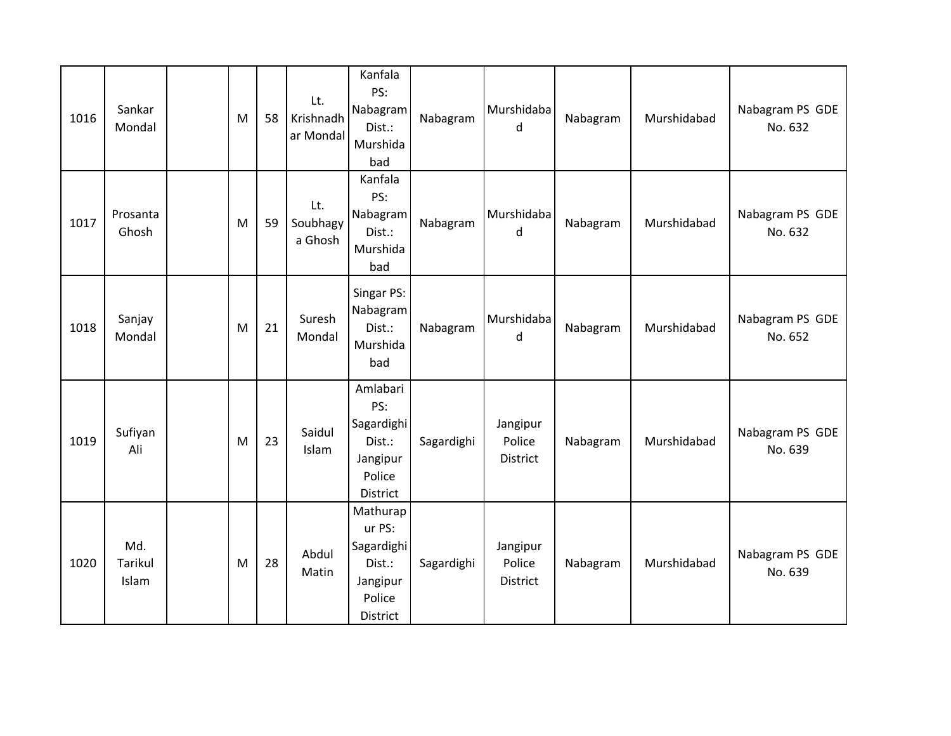| 1016 | Sankar<br>Mondal        | M | 58 | Lt.<br>Krishnadh<br>ar Mondal | Kanfala<br>PS:<br>Nabagram<br>Dist.:<br>Murshida<br>bad                      | Nabagram   | Murshidaba<br>d                       | Nabagram | Murshidabad | Nabagram PS GDE<br>No. 632 |
|------|-------------------------|---|----|-------------------------------|------------------------------------------------------------------------------|------------|---------------------------------------|----------|-------------|----------------------------|
| 1017 | Prosanta<br>Ghosh       | M | 59 | Lt.<br>Soubhagy<br>a Ghosh    | Kanfala<br>PS:<br>Nabagram<br>Dist.:<br>Murshida<br>bad                      | Nabagram   | Murshidaba<br>d                       | Nabagram | Murshidabad | Nabagram PS GDE<br>No. 632 |
| 1018 | Sanjay<br>Mondal        | M | 21 | Suresh<br>Mondal              | Singar PS:<br>Nabagram<br>Dist.:<br>Murshida<br>bad                          | Nabagram   | Murshidaba<br>d                       | Nabagram | Murshidabad | Nabagram PS GDE<br>No. 652 |
| 1019 | Sufiyan<br>Ali          | M | 23 | Saidul<br>Islam               | Amlabari<br>PS:<br>Sagardighi<br>Dist.:<br>Jangipur<br>Police<br>District    | Sagardighi | Jangipur<br>Police<br><b>District</b> | Nabagram | Murshidabad | Nabagram PS GDE<br>No. 639 |
| 1020 | Md.<br>Tarikul<br>Islam | M | 28 | Abdul<br>Matin                | Mathurap<br>ur PS:<br>Sagardighi<br>Dist.:<br>Jangipur<br>Police<br>District | Sagardighi | Jangipur<br>Police<br>District        | Nabagram | Murshidabad | Nabagram PS GDE<br>No. 639 |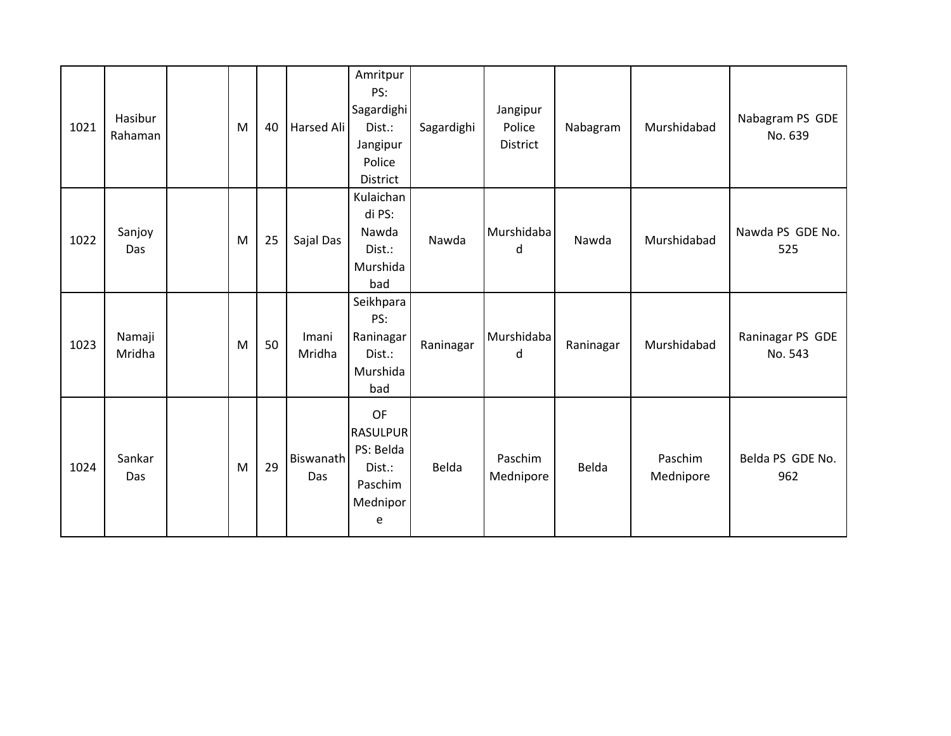| 1021 | Hasibur<br>Rahaman | M | 40 | Harsed Ali                     | Amritpur<br>PS:<br>Sagardighi<br>Dist.:<br>Jangipur<br>Police<br>District | Sagardighi | Jangipur<br>Police<br>District | Nabagram  | Murshidabad          | Nabagram PS GDE<br>No. 639  |
|------|--------------------|---|----|--------------------------------|---------------------------------------------------------------------------|------------|--------------------------------|-----------|----------------------|-----------------------------|
| 1022 | Sanjoy<br>Das      | M | 25 | Sajal Das                      | Kulaichan<br>di PS:<br>Nawda<br>Dist.:<br>Murshida<br>bad                 | Nawda      | Murshidaba<br>d                | Nawda     | Murshidabad          | Nawda PS GDE No.<br>525     |
| 1023 | Namaji<br>Mridha   | M | 50 | Imani<br>Mridha                | Seikhpara<br>PS:<br>Raninagar<br>Dist.:<br>Murshida<br>bad                | Raninagar  | Murshidaba<br>d                | Raninagar | Murshidabad          | Raninagar PS GDE<br>No. 543 |
| 1024 | Sankar<br>Das      | M | 29 | <b>Biswanath</b><br><b>Das</b> | OF<br><b>RASULPUR</b><br>PS: Belda<br>Dist.:<br>Paschim<br>Mednipor<br>e  | Belda      | Paschim<br>Mednipore           | Belda     | Paschim<br>Mednipore | Belda PS GDE No.<br>962     |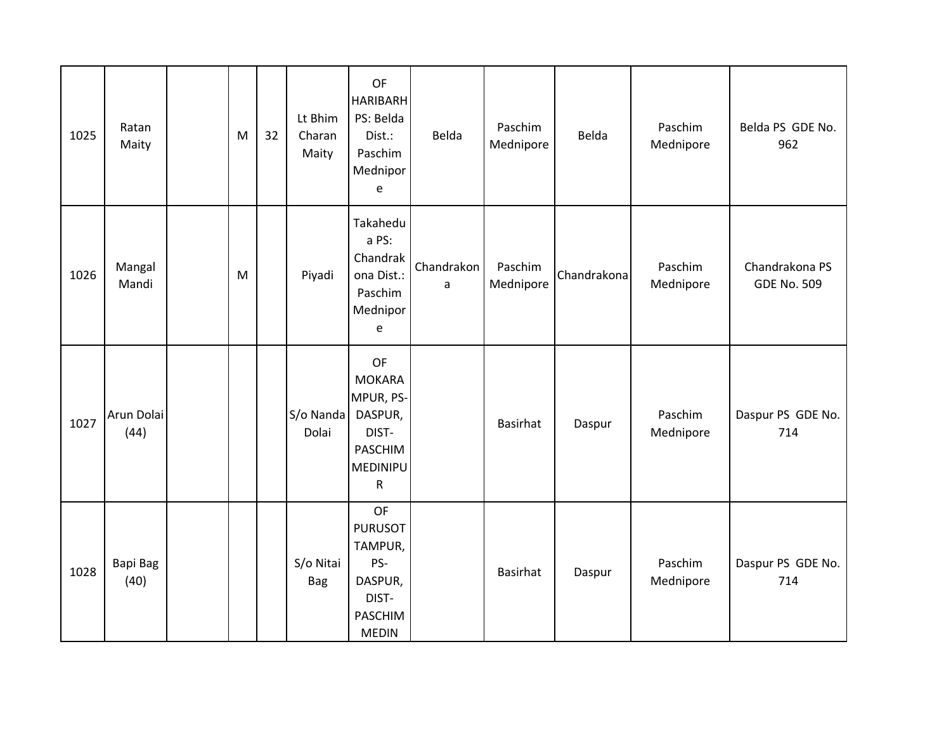| 1025 | Ratan<br>Maity     | M | 32 | Lt Bhim<br>Charan<br>Maity | OF<br><b>HARIBARH</b><br>PS: Belda<br>Dist.:<br>Paschim<br>Mednipor<br>e                                  | Belda           | Paschim<br>Mednipore | Belda       | Paschim<br>Mednipore | Belda PS GDE No.<br>962              |
|------|--------------------|---|----|----------------------------|-----------------------------------------------------------------------------------------------------------|-----------------|----------------------|-------------|----------------------|--------------------------------------|
| 1026 | Mangal<br>Mandi    | M |    | Piyadi                     | Takahedu<br>a PS:<br>Chandrak<br>ona Dist.:<br>Paschim<br>Mednipor<br>e                                   | Chandrakon<br>a | Paschim<br>Mednipore | Chandrakona | Paschim<br>Mednipore | Chandrakona PS<br><b>GDE No. 509</b> |
| 1027 | Arun Dolai<br>(44) |   |    | S/o Nanda<br>Dolai         | OF<br><b>MOKARA</b><br>MPUR, PS-<br>DASPUR,<br>DIST-<br><b>PASCHIM</b><br><b>MEDINIPU</b><br>$\mathsf{R}$ |                 | Basirhat             | Daspur      | Paschim<br>Mednipore | Daspur PS GDE No.<br>714             |
| 1028 | Bapi Bag<br>(40)   |   |    | S/o Nitai<br><b>Bag</b>    | <b>OF</b><br><b>PURUSOT</b><br>TAMPUR,<br>PS-<br>DASPUR,<br>DIST-<br><b>PASCHIM</b><br><b>MEDIN</b>       |                 | Basirhat             | Daspur      | Paschim<br>Mednipore | Daspur PS GDE No.<br>714             |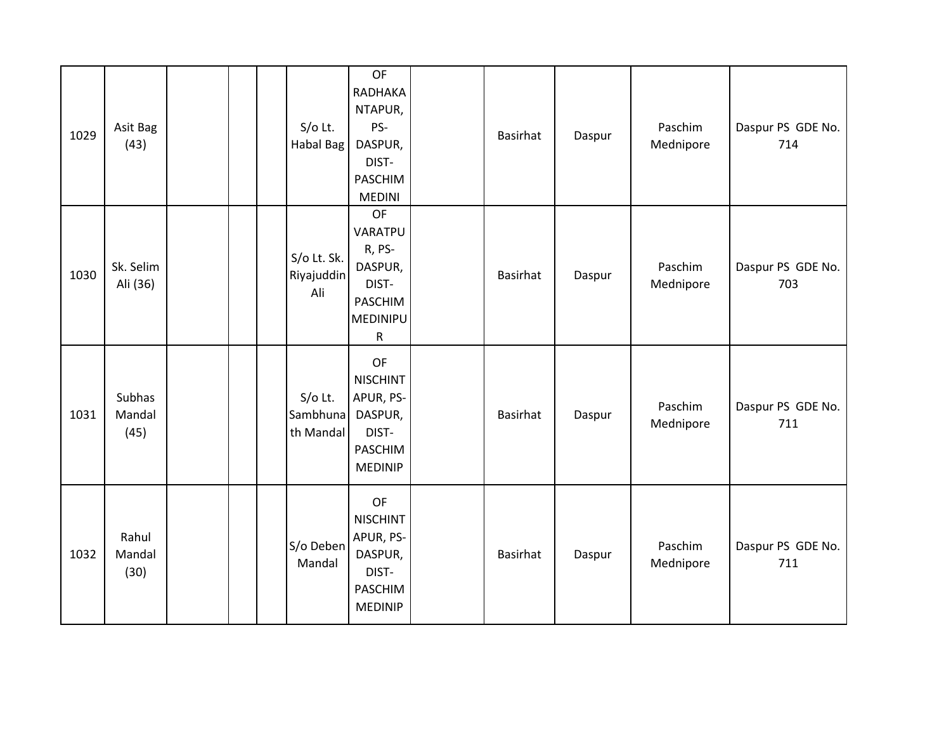| 1029 | Asit Bag<br>(43)         |  | $S/O$ Lt.<br>Habal Bag             | OF<br>RADHAKA<br>NTAPUR,<br>PS-<br>DASPUR,<br>DIST-<br>PASCHIM<br><b>MEDINI</b>        | Basirhat | Daspur | Paschim<br>Mednipore | Daspur PS GDE No.<br>714 |
|------|--------------------------|--|------------------------------------|----------------------------------------------------------------------------------------|----------|--------|----------------------|--------------------------|
| 1030 | Sk. Selim<br>Ali (36)    |  | S/o Lt. Sk.<br>Riyajuddin<br>Ali   | OF<br>VARATPU<br>R, PS-<br>DASPUR,<br>DIST-<br>PASCHIM<br><b>MEDINIPU</b><br>${\sf R}$ | Basirhat | Daspur | Paschim<br>Mednipore | Daspur PS GDE No.<br>703 |
| 1031 | Subhas<br>Mandal<br>(45) |  | $S/O$ Lt.<br>Sambhuna<br>th Mandal | OF<br><b>NISCHINT</b><br>APUR, PS-<br>DASPUR,<br>DIST-<br>PASCHIM<br><b>MEDINIP</b>    | Basirhat | Daspur | Paschim<br>Mednipore | Daspur PS GDE No.<br>711 |
| 1032 | Rahul<br>Mandal<br>(30)  |  | S/o Deben<br>Mandal                | OF<br><b>NISCHINT</b><br>APUR, PS-<br>DASPUR,<br>DIST-<br>PASCHIM<br><b>MEDINIP</b>    | Basirhat | Daspur | Paschim<br>Mednipore | Daspur PS GDE No.<br>711 |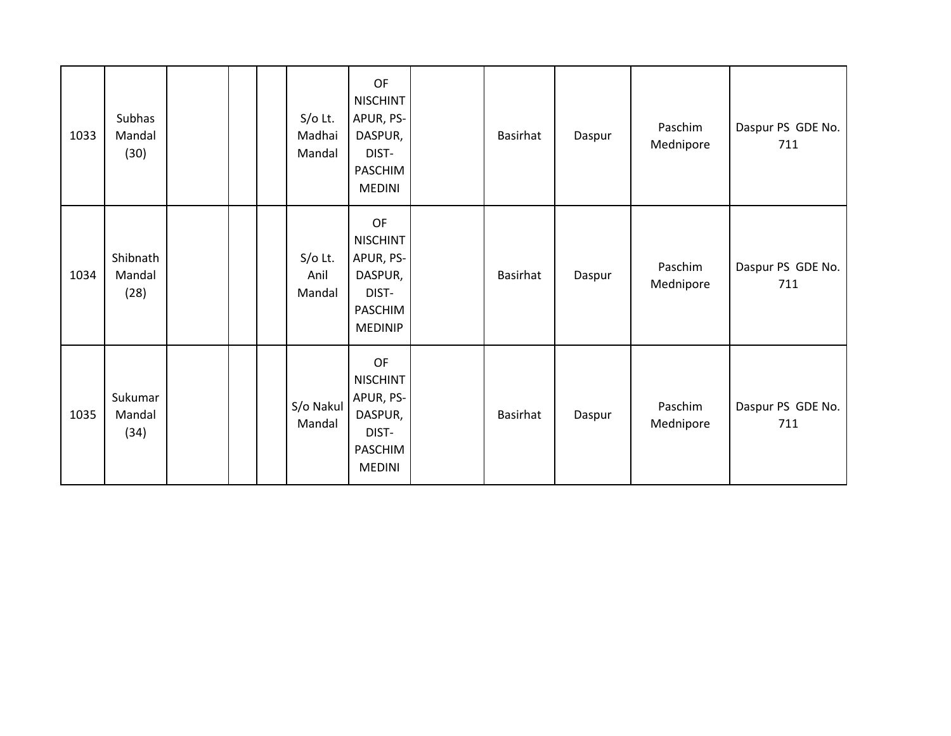| 1033 | Subhas<br>Mandal<br>(30)   |  | $S/O$ Lt.<br>Madhai<br>Mandal | OF<br><b>NISCHINT</b><br>APUR, PS-<br>DASPUR,<br>DIST-<br>PASCHIM<br><b>MEDINI</b>         | Basirhat        | Daspur | Paschim<br>Mednipore | Daspur PS GDE No.<br>711 |
|------|----------------------------|--|-------------------------------|--------------------------------------------------------------------------------------------|-----------------|--------|----------------------|--------------------------|
| 1034 | Shibnath<br>Mandal<br>(28) |  | $S/O$ Lt.<br>Anil<br>Mandal   | OF<br><b>NISCHINT</b><br>APUR, PS-<br>DASPUR,<br>DIST-<br><b>PASCHIM</b><br><b>MEDINIP</b> | Basirhat        | Daspur | Paschim<br>Mednipore | Daspur PS GDE No.<br>711 |
| 1035 | Sukumar<br>Mandal<br>(34)  |  | S/o Nakul<br>Mandal           | OF<br><b>NISCHINT</b><br>APUR, PS-<br>DASPUR,<br>DIST-<br><b>PASCHIM</b><br><b>MEDINI</b>  | <b>Basirhat</b> | Daspur | Paschim<br>Mednipore | Daspur PS GDE No.<br>711 |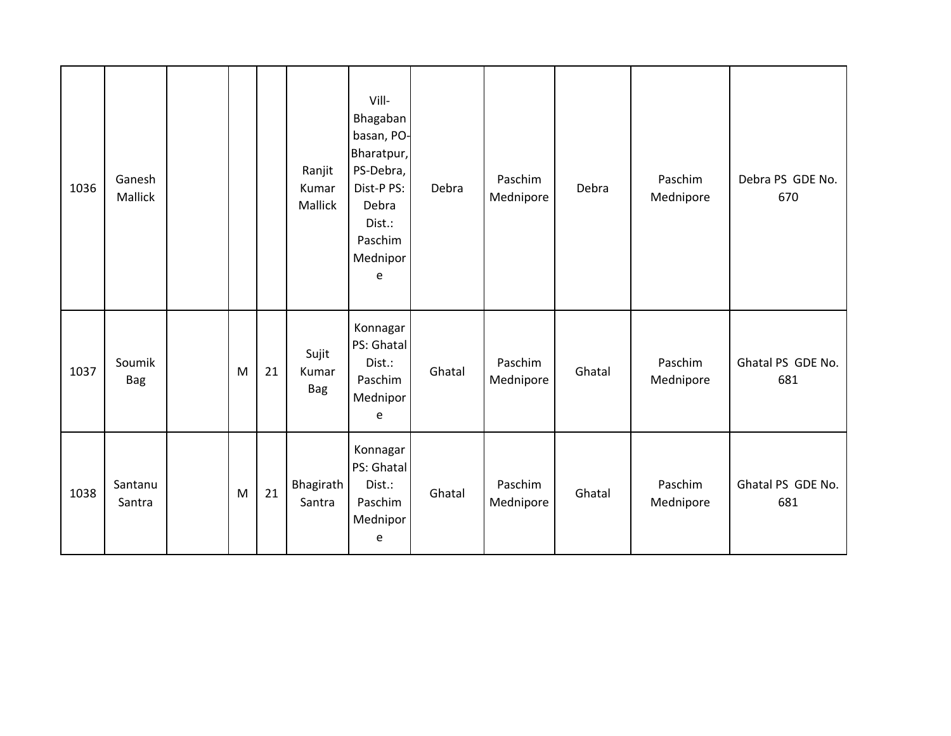| 1036 | Ganesh<br>Mallick    |   |    | Ranjit<br>Kumar<br>Mallick   | Vill-<br>Bhagaban<br>basan, PO-<br>Bharatpur,<br>PS-Debra,<br>Dist-P PS:<br>Debra<br>Dist.:<br>Paschim<br>Mednipor<br>e | Debra  | Paschim<br>Mednipore | Debra  | Paschim<br>Mednipore | Debra PS GDE No.<br>670  |
|------|----------------------|---|----|------------------------------|-------------------------------------------------------------------------------------------------------------------------|--------|----------------------|--------|----------------------|--------------------------|
| 1037 | Soumik<br><b>Bag</b> | M | 21 | Sujit<br>Kumar<br><b>Bag</b> | Konnagar<br>PS: Ghatal<br>Dist.:<br>Paschim<br>Mednipor<br>e                                                            | Ghatal | Paschim<br>Mednipore | Ghatal | Paschim<br>Mednipore | Ghatal PS GDE No.<br>681 |
| 1038 | Santanu<br>Santra    | M | 21 | Bhagirath<br>Santra          | Konnagar<br>PS: Ghatal<br>Dist.:<br>Paschim<br>Mednipor<br>e                                                            | Ghatal | Paschim<br>Mednipore | Ghatal | Paschim<br>Mednipore | Ghatal PS GDE No.<br>681 |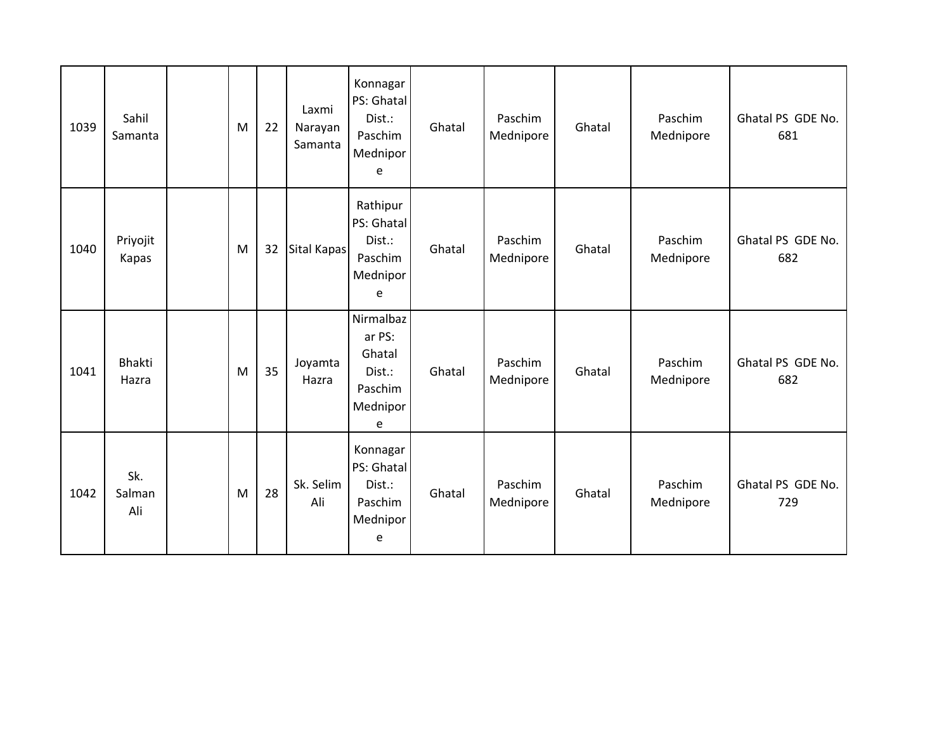| 1039 | Sahil<br>Samanta       | M | 22 | Laxmi<br>Narayan<br>Samanta | Konnagar<br>PS: Ghatal<br>Dist.:<br>Paschim<br>Mednipor<br>e        | Ghatal | Paschim<br>Mednipore | Ghatal | Paschim<br>Mednipore | Ghatal PS GDE No.<br>681 |
|------|------------------------|---|----|-----------------------------|---------------------------------------------------------------------|--------|----------------------|--------|----------------------|--------------------------|
| 1040 | Priyojit<br>Kapas      | M | 32 | Sital Kapas                 | Rathipur<br>PS: Ghatal<br>Dist.:<br>Paschim<br>Mednipor<br>e        | Ghatal | Paschim<br>Mednipore | Ghatal | Paschim<br>Mednipore | Ghatal PS GDE No.<br>682 |
| 1041 | <b>Bhakti</b><br>Hazra | M | 35 | Joyamta<br>Hazra            | Nirmalbaz<br>ar PS:<br>Ghatal<br>Dist.:<br>Paschim<br>Mednipor<br>e | Ghatal | Paschim<br>Mednipore | Ghatal | Paschim<br>Mednipore | Ghatal PS GDE No.<br>682 |
| 1042 | Sk.<br>Salman<br>Ali   | M | 28 | Sk. Selim<br>Ali            | Konnagar<br>PS: Ghatal<br>Dist.:<br>Paschim<br>Mednipor<br>e        | Ghatal | Paschim<br>Mednipore | Ghatal | Paschim<br>Mednipore | Ghatal PS GDE No.<br>729 |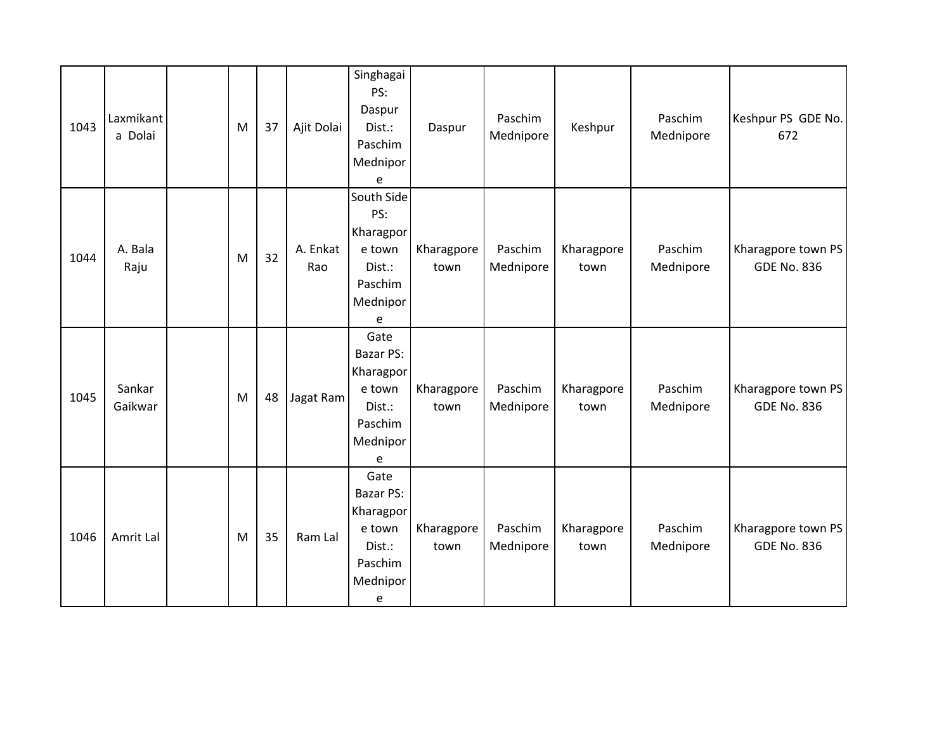| 1043 | Laxmikant<br>a Dolai | M | 37 | Ajit Dolai      | Singhagai<br>PS:<br>Daspur<br>Dist.:<br>Paschim<br>Mednipor<br>e               | Daspur             | Paschim<br>Mednipore | Keshpur            | Paschim<br>Mednipore | Keshpur PS GDE No.<br>672                |
|------|----------------------|---|----|-----------------|--------------------------------------------------------------------------------|--------------------|----------------------|--------------------|----------------------|------------------------------------------|
| 1044 | A. Bala<br>Raju      | M | 32 | A. Enkat<br>Rao | South Side<br>PS:<br>Kharagpor<br>e town<br>Dist.:<br>Paschim<br>Mednipor<br>e | Kharagpore<br>town | Paschim<br>Mednipore | Kharagpore<br>town | Paschim<br>Mednipore | Kharagpore town PS<br><b>GDE No. 836</b> |
| 1045 | Sankar<br>Gaikwar    | M | 48 | Jagat Ram       | Gate<br>Bazar PS:<br>Kharagpor<br>e town<br>Dist.:<br>Paschim<br>Mednipor<br>e | Kharagpore<br>town | Paschim<br>Mednipore | Kharagpore<br>town | Paschim<br>Mednipore | Kharagpore town PS<br><b>GDE No. 836</b> |
| 1046 | Amrit Lal            | M | 35 | Ram Lal         | Gate<br>Bazar PS:<br>Kharagpor<br>e town<br>Dist.:<br>Paschim<br>Mednipor<br>e | Kharagpore<br>town | Paschim<br>Mednipore | Kharagpore<br>town | Paschim<br>Mednipore | Kharagpore town PS<br><b>GDE No. 836</b> |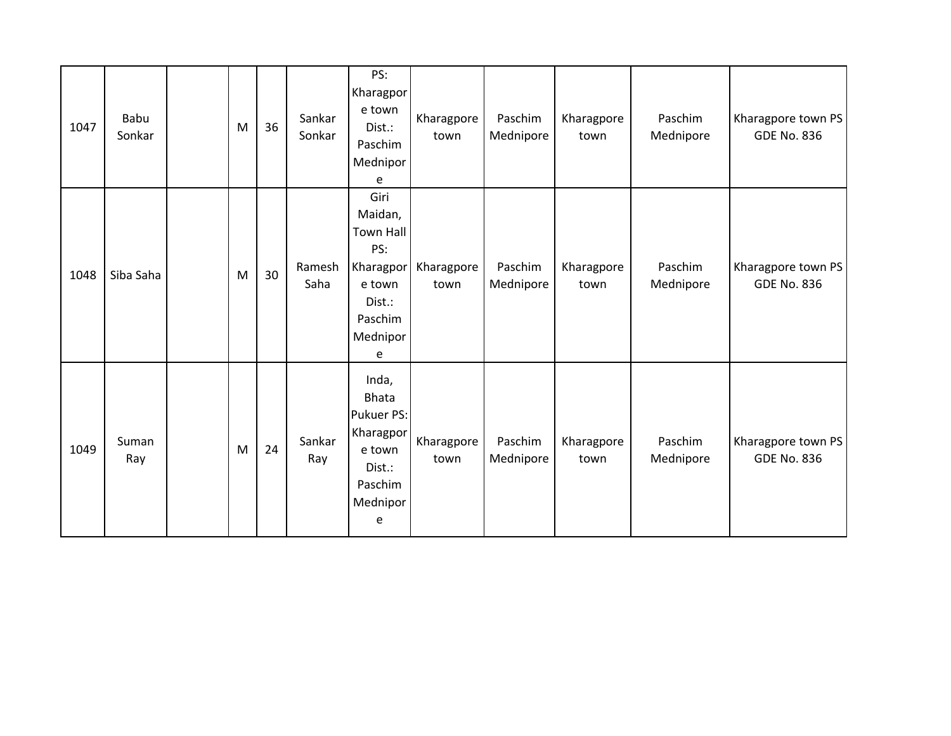| 1047 | Babu<br>Sonkar | M | 36 | Sankar<br>Sonkar | PS:<br>Kharagpor<br>e town<br>Dist.:<br>Paschim<br>Mednipor<br>e                                        | Kharagpore<br>town | Paschim<br>Mednipore | Kharagpore<br>town | Paschim<br>Mednipore | Kharagpore town PS<br><b>GDE No. 836</b> |
|------|----------------|---|----|------------------|---------------------------------------------------------------------------------------------------------|--------------------|----------------------|--------------------|----------------------|------------------------------------------|
| 1048 | Siba Saha      | M | 30 | Ramesh<br>Saha   | Giri<br>Maidan,<br><b>Town Hall</b><br>PS:<br>Kharagpor<br>e town<br>Dist.:<br>Paschim<br>Mednipor<br>e | Kharagpore<br>town | Paschim<br>Mednipore | Kharagpore<br>town | Paschim<br>Mednipore | Kharagpore town PS<br><b>GDE No. 836</b> |
| 1049 | Suman<br>Ray   | M | 24 | Sankar<br>Ray    | Inda,<br><b>Bhata</b><br>Pukuer PS:<br>Kharagpor<br>e town<br>Dist.:<br>Paschim<br>Mednipor<br>e        | Kharagpore<br>town | Paschim<br>Mednipore | Kharagpore<br>town | Paschim<br>Mednipore | Kharagpore town PS<br><b>GDE No. 836</b> |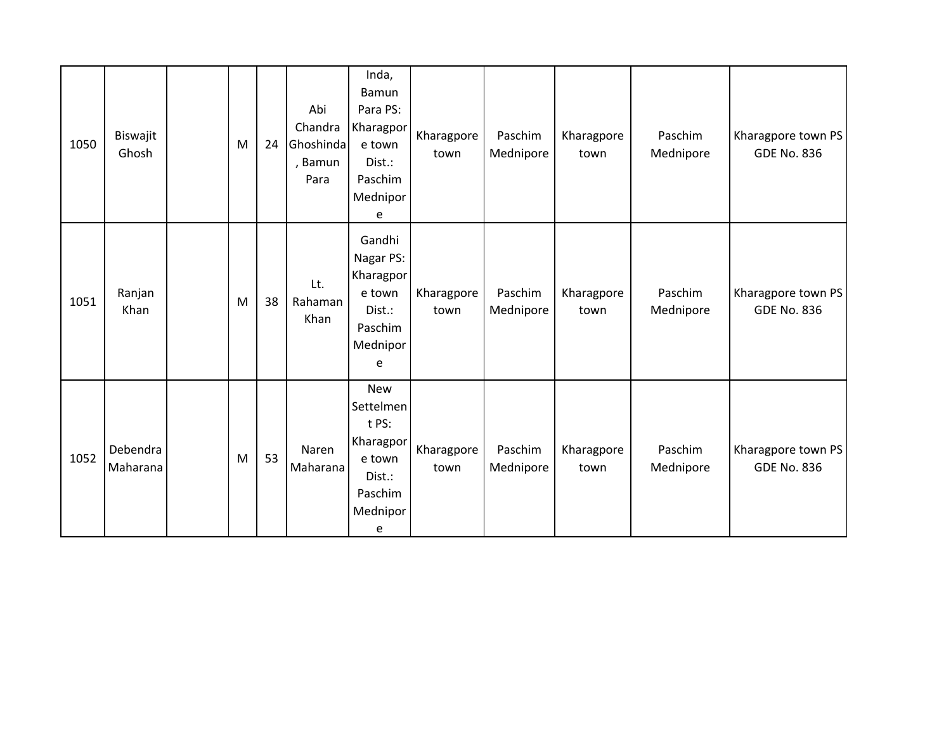| 1050 | Biswajit<br>Ghosh    | M | 24 | Abi<br>Chandra<br>Ghoshinda<br>, Bamun<br>Para | Inda,<br>Bamun<br>Para PS:<br>Kharagpor<br>e town<br>Dist.:<br>Paschim<br>Mednipor<br>e       | Kharagpore<br>town | Paschim<br>Mednipore | Kharagpore<br>town | Paschim<br>Mednipore | Kharagpore town PS<br><b>GDE No. 836</b> |
|------|----------------------|---|----|------------------------------------------------|-----------------------------------------------------------------------------------------------|--------------------|----------------------|--------------------|----------------------|------------------------------------------|
| 1051 | Ranjan<br>Khan       | M | 38 | Lt.<br>Rahaman<br>Khan                         | Gandhi<br>Nagar PS:<br>Kharagpor<br>e town<br>Dist.:<br>Paschim<br>Mednipor<br>e              | Kharagpore<br>town | Paschim<br>Mednipore | Kharagpore<br>town | Paschim<br>Mednipore | Kharagpore town PS<br><b>GDE No. 836</b> |
| 1052 | Debendra<br>Maharana | M | 53 | Naren<br>Maharana                              | <b>New</b><br>Settelmen<br>t PS:<br>Kharagpor<br>e town<br>Dist.:<br>Paschim<br>Mednipor<br>e | Kharagpore<br>town | Paschim<br>Mednipore | Kharagpore<br>town | Paschim<br>Mednipore | Kharagpore town PS<br><b>GDE No. 836</b> |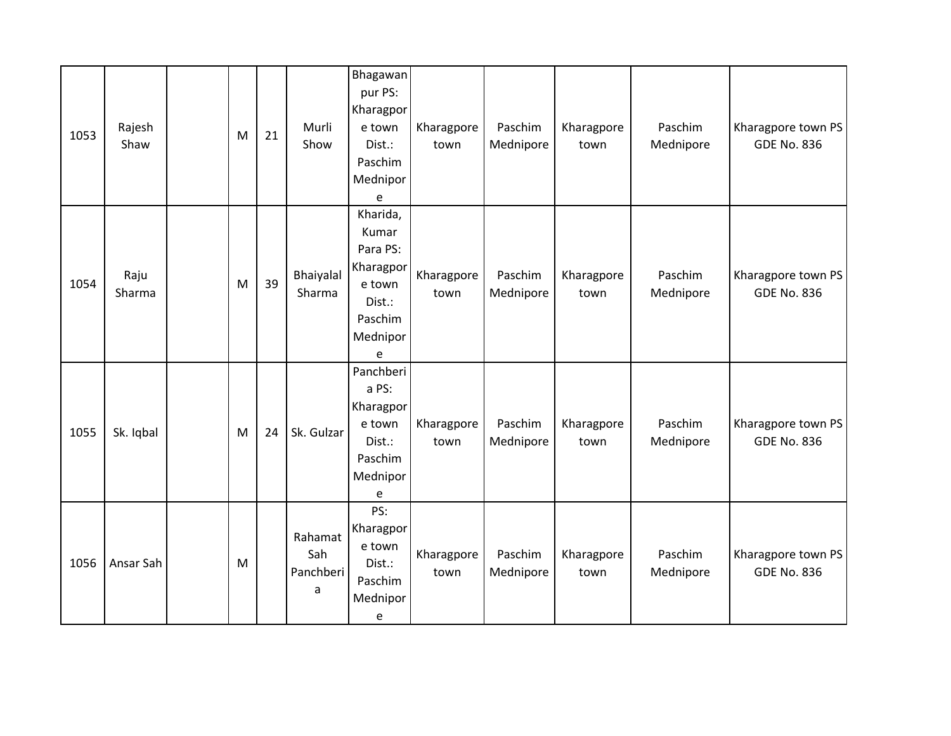| 1053 | Rajesh<br>Shaw | M | 21 | Murli<br>Show                    | Bhagawan<br>pur PS:<br>Kharagpor<br>e town<br>Dist.:<br>Paschim<br>Mednipor<br>e           | Kharagpore<br>town | Paschim<br>Mednipore | Kharagpore<br>town | Paschim<br>Mednipore | Kharagpore town PS<br><b>GDE No. 836</b> |
|------|----------------|---|----|----------------------------------|--------------------------------------------------------------------------------------------|--------------------|----------------------|--------------------|----------------------|------------------------------------------|
| 1054 | Raju<br>Sharma | M | 39 | Bhaiyalal<br>Sharma              | Kharida,<br>Kumar<br>Para PS:<br>Kharagpor<br>e town<br>Dist.:<br>Paschim<br>Mednipor<br>e | Kharagpore<br>town | Paschim<br>Mednipore | Kharagpore<br>town | Paschim<br>Mednipore | Kharagpore town PS<br><b>GDE No. 836</b> |
| 1055 | Sk. Iqbal      | M | 24 | Sk. Gulzar                       | Panchberi<br>a PS:<br>Kharagpor<br>e town<br>Dist.:<br>Paschim<br>Mednipor<br>e            | Kharagpore<br>town | Paschim<br>Mednipore | Kharagpore<br>town | Paschim<br>Mednipore | Kharagpore town PS<br><b>GDE No. 836</b> |
| 1056 | Ansar Sah      | M |    | Rahamat<br>Sah<br>Panchberi<br>a | PS:<br>Kharagpor<br>e town<br>Dist.:<br>Paschim<br>Mednipor<br>e                           | Kharagpore<br>town | Paschim<br>Mednipore | Kharagpore<br>town | Paschim<br>Mednipore | Kharagpore town PS<br><b>GDE No. 836</b> |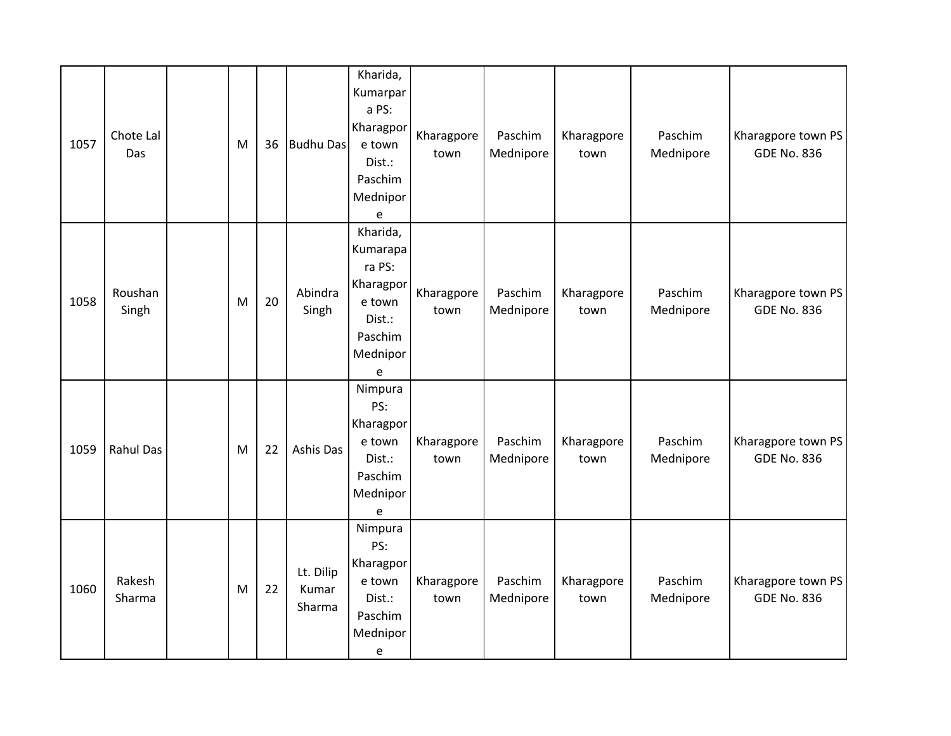| 1057 | Chote Lal<br>Das | M | 36 | <b>Budhu Das</b>             | Kharida,<br>Kumarpar<br>a PS:<br>Kharagpor<br>e town<br>Dist.:<br>Paschim<br>Mednipor<br>e                                  | Kharagpore<br>town | Paschim<br>Mednipore | Kharagpore<br>town | Paschim<br>Mednipore | Kharagpore town PS<br><b>GDE No. 836</b> |
|------|------------------|---|----|------------------------------|-----------------------------------------------------------------------------------------------------------------------------|--------------------|----------------------|--------------------|----------------------|------------------------------------------|
| 1058 | Roushan<br>Singh | M | 20 | Abindra<br>Singh             | Kharida,<br>Kumarapa<br>ra PS:<br>Kharagpor<br>e town<br>Dist.:<br>Paschim<br>Mednipor<br>$\mathsf{e}% _{t}\left( t\right)$ | Kharagpore<br>town | Paschim<br>Mednipore | Kharagpore<br>town | Paschim<br>Mednipore | Kharagpore town PS<br><b>GDE No. 836</b> |
| 1059 | <b>Rahul Das</b> | M | 22 | Ashis Das                    | Nimpura<br>PS:<br>Kharagpor<br>e town<br>Dist.:<br>Paschim<br>Mednipor<br>e                                                 | Kharagpore<br>town | Paschim<br>Mednipore | Kharagpore<br>town | Paschim<br>Mednipore | Kharagpore town PS<br><b>GDE No. 836</b> |
| 1060 | Rakesh<br>Sharma | M | 22 | Lt. Dilip<br>Kumar<br>Sharma | Nimpura<br>PS:<br>Kharagpor<br>e town<br>Dist.:<br>Paschim<br>Mednipor<br>$\mathsf{e}% _{t}\left( t\right)$                 | Kharagpore<br>town | Paschim<br>Mednipore | Kharagpore<br>town | Paschim<br>Mednipore | Kharagpore town PS<br><b>GDE No. 836</b> |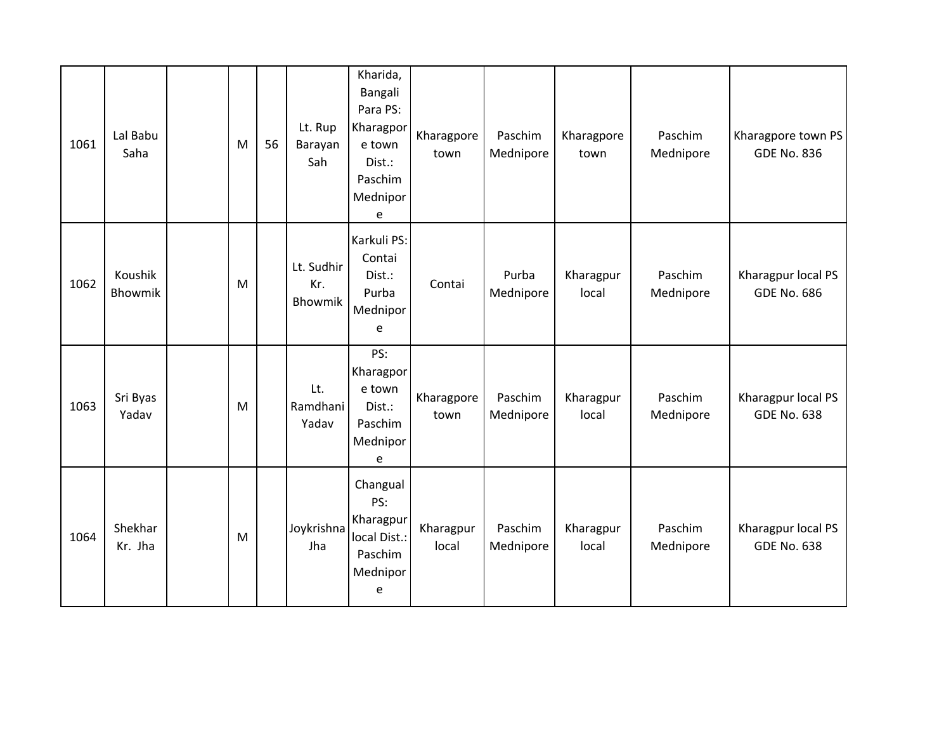| 1061 | Lal Babu<br>Saha   | M         | 56 | Lt. Rup<br>Barayan<br>Sah    | Kharida,<br>Bangali<br>Para PS:<br>Kharagpor<br>e town<br>Dist.:<br>Paschim<br>Mednipor<br>e | Kharagpore<br>town | Paschim<br>Mednipore | Kharagpore<br>town | Paschim<br>Mednipore | Kharagpore town PS<br><b>GDE No. 836</b> |
|------|--------------------|-----------|----|------------------------------|----------------------------------------------------------------------------------------------|--------------------|----------------------|--------------------|----------------------|------------------------------------------|
| 1062 | Koushik<br>Bhowmik | M         |    | Lt. Sudhir<br>Kr.<br>Bhowmik | Karkuli PS:<br>Contai<br>Dist.:<br>Purba<br>Mednipor<br>e                                    | Contai             | Purba<br>Mednipore   | Kharagpur<br>local | Paschim<br>Mednipore | Kharagpur local PS<br><b>GDE No. 686</b> |
| 1063 | Sri Byas<br>Yadav  | M         |    | Lt.<br>Ramdhani<br>Yadav     | PS:<br>Kharagpor<br>e town<br>Dist.:<br>Paschim<br>Mednipor<br>e                             | Kharagpore<br>town | Paschim<br>Mednipore | Kharagpur<br>local | Paschim<br>Mednipore | Kharagpur local PS<br><b>GDE No. 638</b> |
| 1064 | Shekhar<br>Kr. Jha | ${\sf M}$ |    | Joykrishna<br>Jha            | Changual<br>PS:<br>Kharagpur<br>local Dist.:<br>Paschim<br>Mednipor<br>e                     | Kharagpur<br>local | Paschim<br>Mednipore | Kharagpur<br>local | Paschim<br>Mednipore | Kharagpur local PS<br><b>GDE No. 638</b> |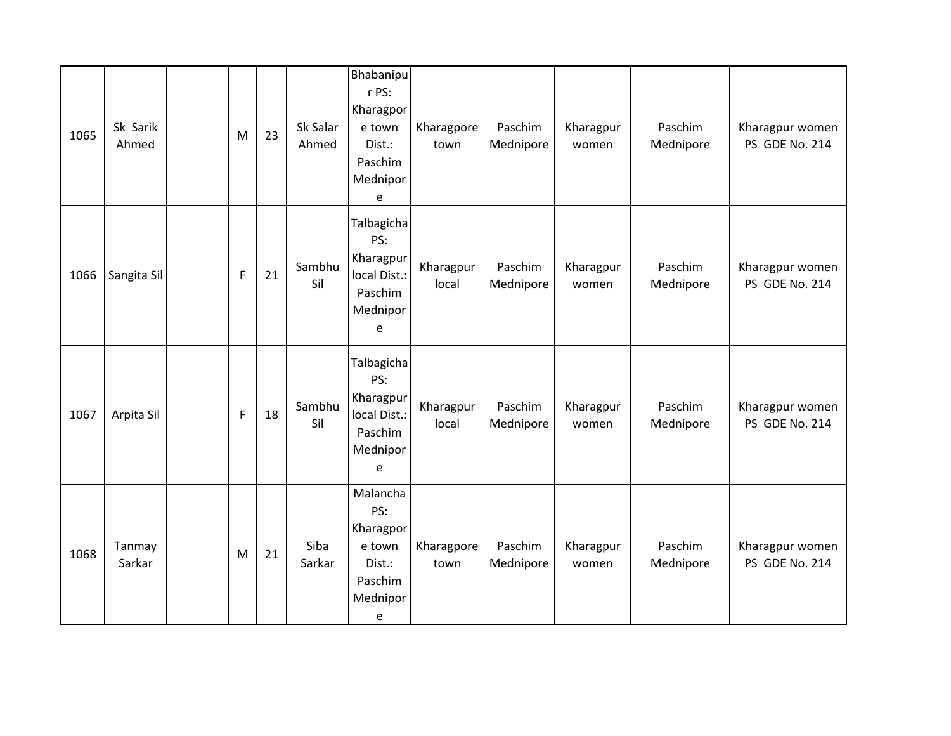| 1065 | Sk Sarik<br>Ahmed | M           | 23 | Sk Salar<br>Ahmed | Bhabanipu<br>r PS:<br>Kharagpor<br>e town<br>Dist.:<br>Paschim<br>Mednipor<br>e | Kharagpore<br>town | Paschim<br>Mednipore | Kharagpur<br>women | Paschim<br>Mednipore | Kharagpur women<br>PS GDE No. 214 |
|------|-------------------|-------------|----|-------------------|---------------------------------------------------------------------------------|--------------------|----------------------|--------------------|----------------------|-----------------------------------|
| 1066 | Sangita Sil       | $\mathsf F$ | 21 | Sambhu<br>Sil     | Talbagicha<br>PS:<br>Kharagpur<br>local Dist.:<br>Paschim<br>Mednipor<br>e      | Kharagpur<br>local | Paschim<br>Mednipore | Kharagpur<br>women | Paschim<br>Mednipore | Kharagpur women<br>PS GDE No. 214 |
| 1067 | Arpita Sil        | $\mathsf F$ | 18 | Sambhu<br>Sil     | Talbagicha<br>PS:<br>Kharagpur<br>local Dist.:<br>Paschim<br>Mednipor<br>e      | Kharagpur<br>local | Paschim<br>Mednipore | Kharagpur<br>women | Paschim<br>Mednipore | Kharagpur women<br>PS GDE No. 214 |
| 1068 | Tanmay<br>Sarkar  | M           | 21 | Siba<br>Sarkar    | Malancha<br>PS:<br>Kharagpor<br>e town<br>Dist.:<br>Paschim<br>Mednipor<br>e    | Kharagpore<br>town | Paschim<br>Mednipore | Kharagpur<br>women | Paschim<br>Mednipore | Kharagpur women<br>PS GDE No. 214 |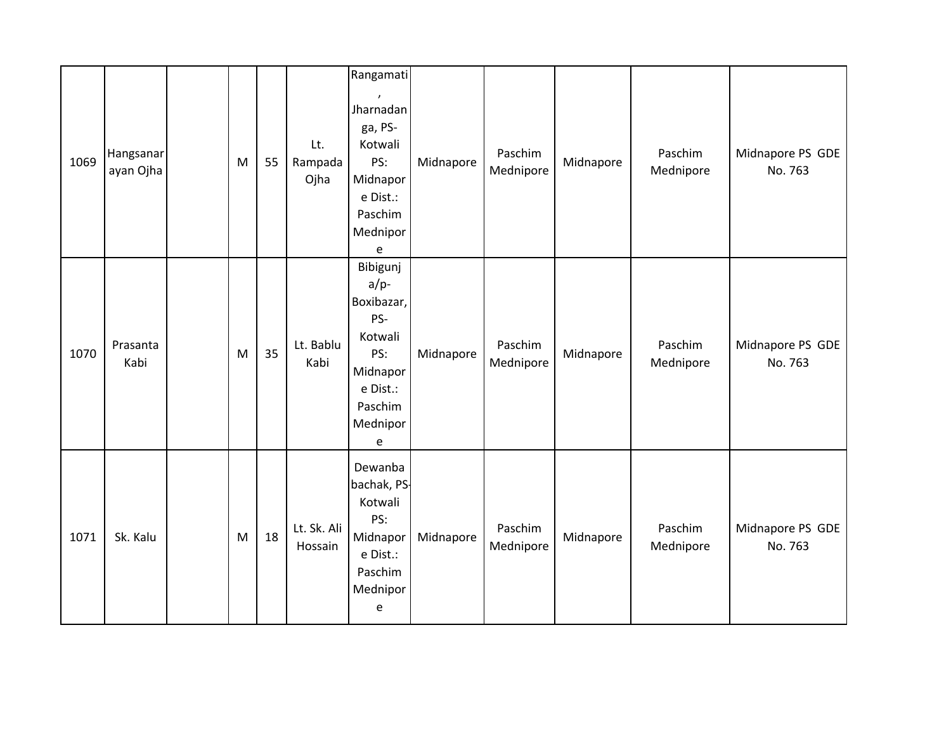| 1069 | Hangsanar<br>ayan Ojha | M | 55 | Lt.<br>Rampada<br>Ojha | Rangamati<br>$\pmb{\prime}$<br>Jharnadan<br>ga, PS-<br>Kotwali<br>PS:<br>Midnapor<br>e Dist.:<br>Paschim<br>Mednipor                                                 | Midnapore | Paschim<br>Mednipore | Midnapore | Paschim<br>Mednipore | Midnapore PS GDE<br>No. 763 |
|------|------------------------|---|----|------------------------|----------------------------------------------------------------------------------------------------------------------------------------------------------------------|-----------|----------------------|-----------|----------------------|-----------------------------|
| 1070 | Prasanta<br>Kabi       | M | 35 | Lt. Bablu<br>Kabi      | $\mathsf{e}% _{0}\left( \mathsf{e}\right)$<br>Bibigunj<br>$a/p$ -<br>Boxibazar,<br>PS-<br>Kotwali<br>PS:<br>Midnapor<br>e Dist.:<br>Paschim<br>Mednipor<br>${\bf e}$ | Midnapore | Paschim<br>Mednipore | Midnapore | Paschim<br>Mednipore | Midnapore PS GDE<br>No. 763 |
| 1071 | Sk. Kalu               | M | 18 | Lt. Sk. Ali<br>Hossain | Dewanba<br>bachak, PS-<br>Kotwali<br>PS:<br>Midnapor<br>e Dist.:<br>Paschim<br>Mednipor<br>$\mathsf{e}% _{t}\left( t\right)$                                         | Midnapore | Paschim<br>Mednipore | Midnapore | Paschim<br>Mednipore | Midnapore PS GDE<br>No. 763 |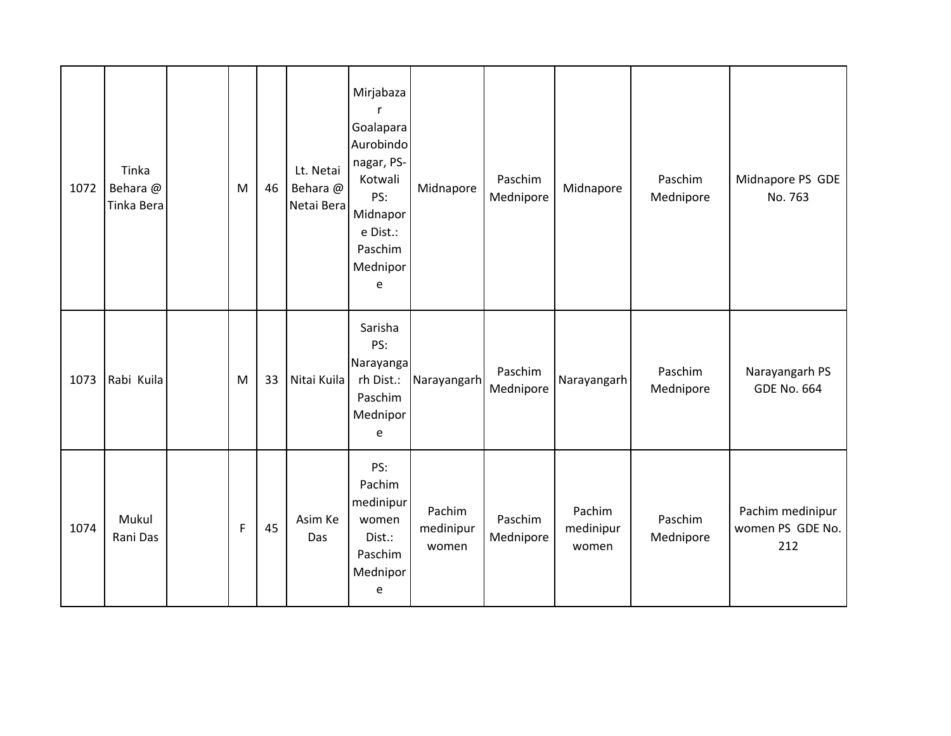| 1072 | Tinka<br>Behara @<br>Tinka Bera | M | 46 | Lt. Netai<br>Behara @<br>Netai Bera | Mirjabaza<br>r<br>Goalapara<br>Aurobindo<br>nagar, PS-<br>Kotwali<br>PS:<br>Midnapor<br>e Dist.:<br>Paschim<br>Mednipor<br>e | Midnapore                    | Paschim<br>Mednipore | Midnapore                    | Paschim<br>Mednipore | Midnapore PS GDE<br>No. 763                 |
|------|---------------------------------|---|----|-------------------------------------|------------------------------------------------------------------------------------------------------------------------------|------------------------------|----------------------|------------------------------|----------------------|---------------------------------------------|
| 1073 | Rabi Kuila                      | M | 33 | Nitai Kuila                         | Sarisha<br>PS:<br>Narayanga<br>rh Dist.:<br>Paschim<br>Mednipor<br>e                                                         | Narayangarh                  | Paschim<br>Mednipore | Narayangarh                  | Paschim<br>Mednipore | Narayangarh PS<br><b>GDE No. 664</b>        |
| 1074 | Mukul<br>Rani Das               | F | 45 | Asim Ke<br>Das                      | PS:<br>Pachim<br>medinipur<br>women<br>Dist.:<br>Paschim<br>Mednipor<br>e                                                    | Pachim<br>medinipur<br>women | Paschim<br>Mednipore | Pachim<br>medinipur<br>women | Paschim<br>Mednipore | Pachim medinipur<br>women PS GDE No.<br>212 |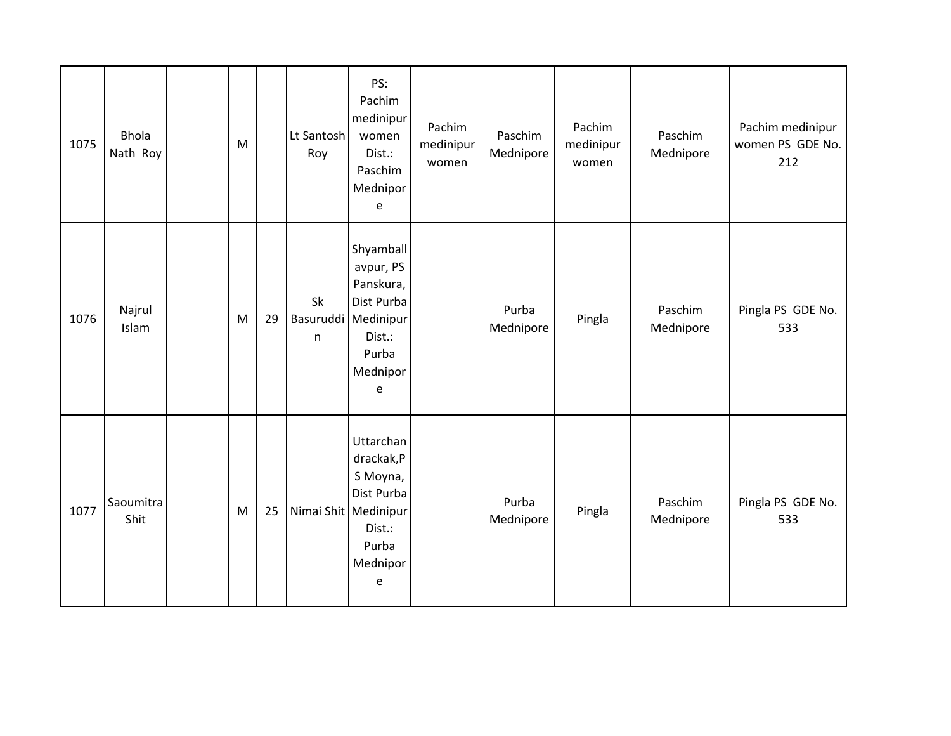| 1075 | <b>Bhola</b><br>Nath Roy | M |    | Lt Santosh<br>Roy | PS:<br>Pachim<br>medinipur<br>women<br>Dist.:<br>Paschim<br>Mednipor<br>e                                    | Pachim<br>medinipur<br>women | Paschim<br>Mednipore | Pachim<br>medinipur<br>women | Paschim<br>Mednipore | Pachim medinipur<br>women PS GDE No.<br>212 |
|------|--------------------------|---|----|-------------------|--------------------------------------------------------------------------------------------------------------|------------------------------|----------------------|------------------------------|----------------------|---------------------------------------------|
| 1076 | Najrul<br>Islam          | M | 29 | Sk<br>n           | Shyamball<br>avpur, PS<br>Panskura,<br>Dist Purba<br>Basuruddi Medinipur<br>Dist.:<br>Purba<br>Mednipor<br>e |                              | Purba<br>Mednipore   | Pingla                       | Paschim<br>Mednipore | Pingla PS GDE No.<br>533                    |
| 1077 | Saoumitra<br>Shit        | M | 25 |                   | Uttarchan<br>drackak,P<br>S Moyna,<br>Dist Purba<br>Nimai Shit Medinipur<br>Dist.:<br>Purba<br>Mednipor<br>e |                              | Purba<br>Mednipore   | Pingla                       | Paschim<br>Mednipore | Pingla PS GDE No.<br>533                    |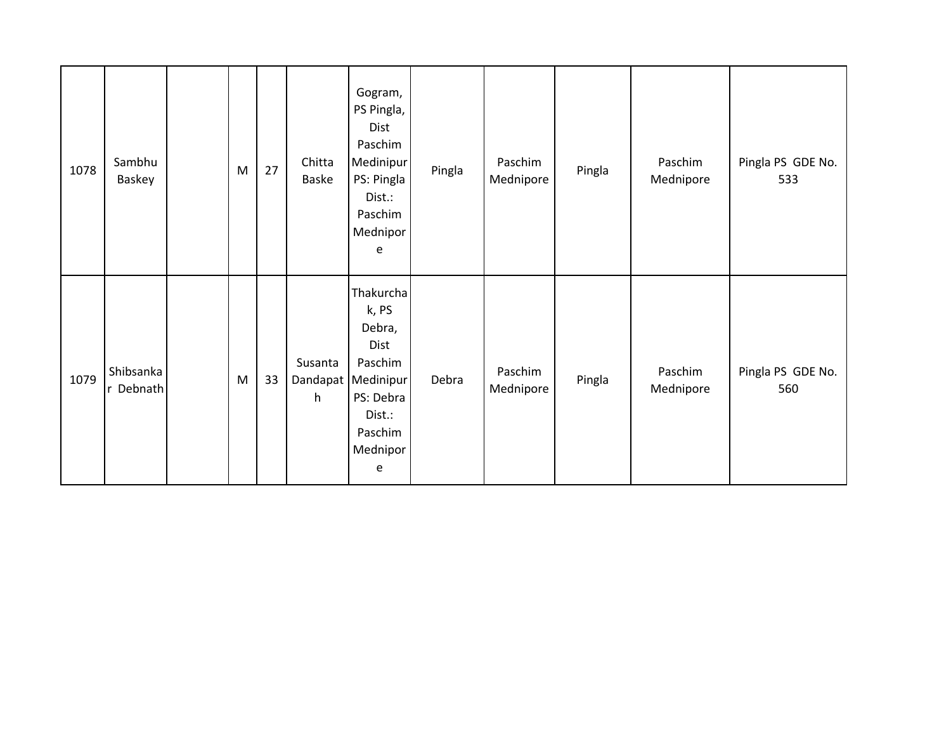| 1078 | Sambhu<br>Baskey       | M | 27 | Chitta<br>Baske          | Gogram,<br>PS Pingla,<br>Dist<br>Paschim<br>Medinipur<br>PS: Pingla<br>Dist.:<br>Paschim<br>Mednipor<br>e       | Pingla | Paschim<br>Mednipore | Pingla | Paschim<br>Mednipore | Pingla PS GDE No.<br>533 |
|------|------------------------|---|----|--------------------------|-----------------------------------------------------------------------------------------------------------------|--------|----------------------|--------|----------------------|--------------------------|
| 1079 | Shibsanka<br>r Debnath | M | 33 | Susanta<br>Dandapat<br>h | Thakurcha<br>k, PS<br>Debra,<br>Dist<br>Paschim<br>Medinipur<br>PS: Debra<br>Dist.:<br>Paschim<br>Mednipor<br>e | Debra  | Paschim<br>Mednipore | Pingla | Paschim<br>Mednipore | Pingla PS GDE No.<br>560 |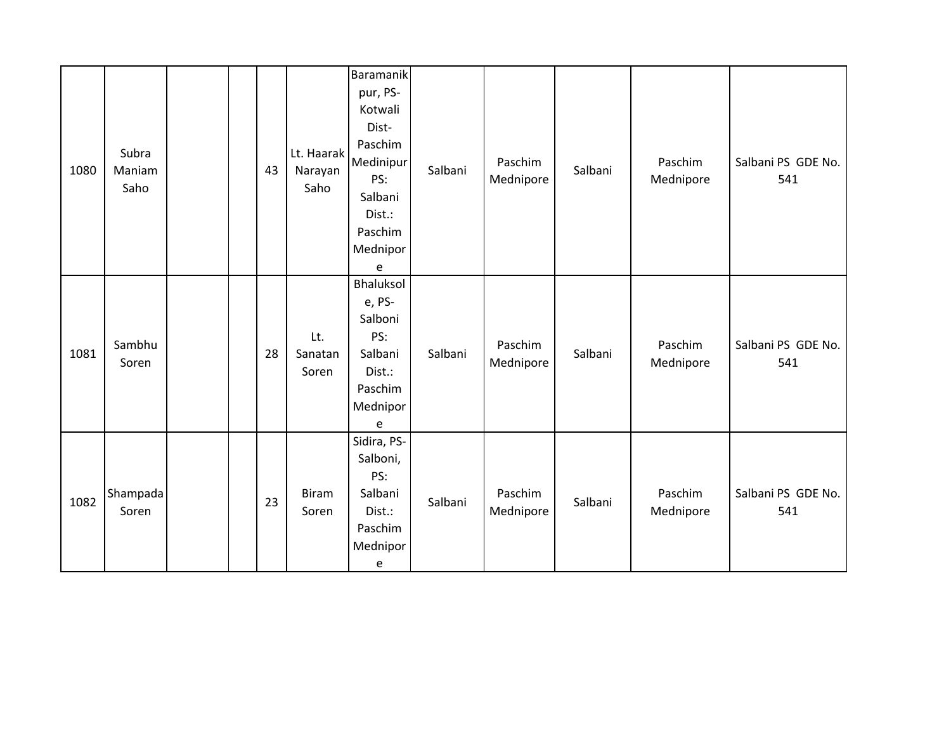| 1080 | Subra<br>Maniam<br>Saho |  | 43 | Lt. Haarak<br>Narayan<br>Saho | Baramanik<br>pur, PS-<br>Kotwali<br>Dist-<br>Paschim<br>Medinipur<br>PS:<br>Salbani<br>Dist.:<br>Paschim<br>Mednipor<br>e | Salbani | Paschim<br>Mednipore | Salbani | Paschim<br>Mednipore | Salbani PS GDE No.<br>541 |
|------|-------------------------|--|----|-------------------------------|---------------------------------------------------------------------------------------------------------------------------|---------|----------------------|---------|----------------------|---------------------------|
| 1081 | Sambhu<br>Soren         |  | 28 | Lt.<br>Sanatan<br>Soren       | Bhaluksol<br>e, PS-<br>Salboni<br>PS:<br>Salbani<br>Dist.:<br>Paschim<br>Mednipor<br>e                                    | Salbani | Paschim<br>Mednipore | Salbani | Paschim<br>Mednipore | Salbani PS GDE No.<br>541 |
| 1082 | Shampada<br>Soren       |  | 23 | <b>Biram</b><br>Soren         | Sidira, PS-<br>Salboni,<br>PS:<br>Salbani<br>Dist.:<br>Paschim<br>Mednipor<br>e                                           | Salbani | Paschim<br>Mednipore | Salbani | Paschim<br>Mednipore | Salbani PS GDE No.<br>541 |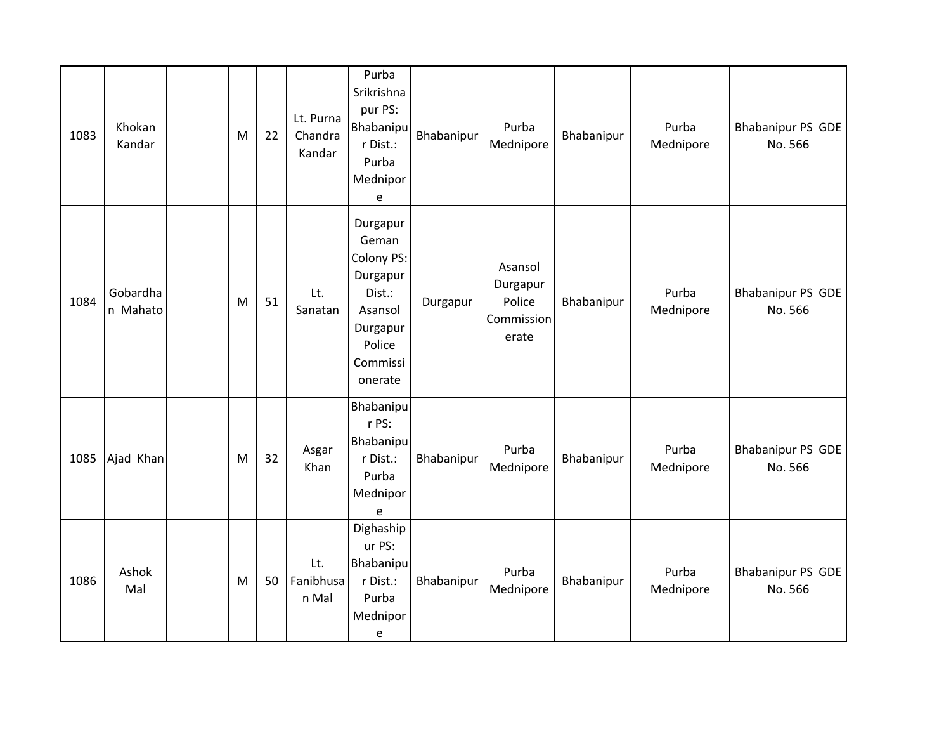| 1083 | Khokan<br>Kandar     | M | 22 | Lt. Purna<br>Chandra<br>Kandar | Purba<br>Srikrishna<br>pur PS:<br>Bhabanipu<br>r Dist.:<br>Purba<br>Mednipor<br>e                             | Bhabanipur | Purba<br>Mednipore                                   | Bhabanipur | Purba<br>Mednipore | Bhabanipur PS GDE<br>No. 566        |
|------|----------------------|---|----|--------------------------------|---------------------------------------------------------------------------------------------------------------|------------|------------------------------------------------------|------------|--------------------|-------------------------------------|
| 1084 | Gobardha<br>n Mahato | M | 51 | Lt.<br>Sanatan                 | Durgapur<br>Geman<br>Colony PS:<br>Durgapur<br>Dist.:<br>Asansol<br>Durgapur<br>Police<br>Commissi<br>onerate | Durgapur   | Asansol<br>Durgapur<br>Police<br>Commission<br>erate | Bhabanipur | Purba<br>Mednipore | Bhabanipur PS GDE<br>No. 566        |
| 1085 | Ajad Khan            | M | 32 | Asgar<br>Khan                  | Bhabanipu<br>r PS:<br>Bhabanipu<br>r Dist.:<br>Purba<br>Mednipor<br>e                                         | Bhabanipur | Purba<br>Mednipore                                   | Bhabanipur | Purba<br>Mednipore | <b>Bhabanipur PS GDE</b><br>No. 566 |
| 1086 | Ashok<br>Mal         | M | 50 | Lt.<br>Fanibhusa<br>n Mal      | Dighaship<br>ur PS:<br>Bhabanipu<br>r Dist.:<br>Purba<br>Mednipor<br>e                                        | Bhabanipur | Purba<br>Mednipore                                   | Bhabanipur | Purba<br>Mednipore | Bhabanipur PS GDE<br>No. 566        |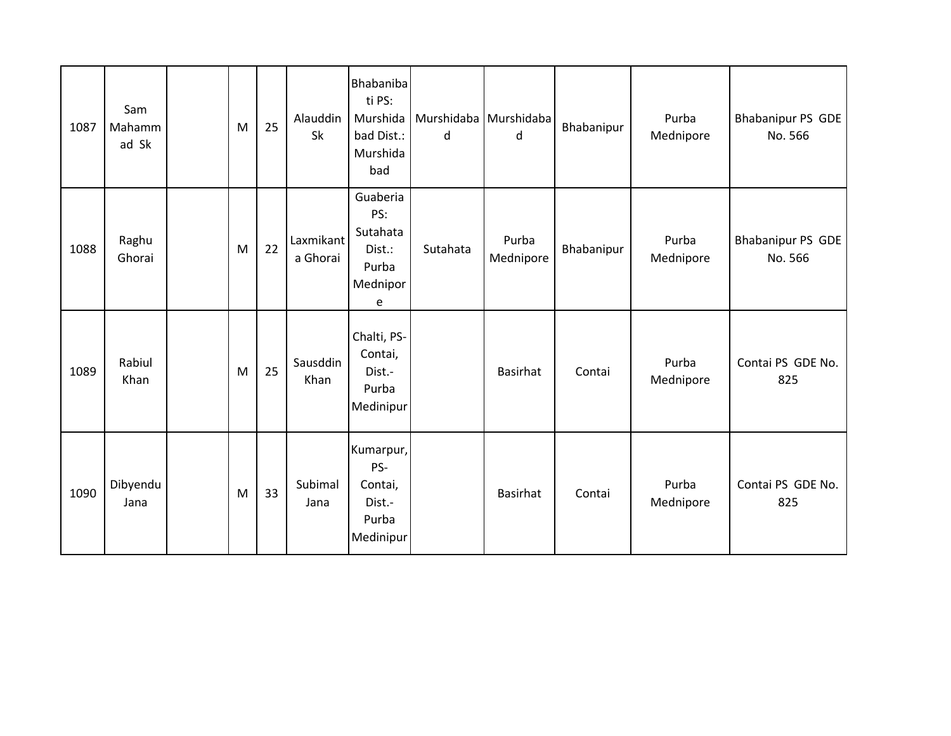| 1087 | Sam<br>Mahamm<br>ad Sk | M | 25 | Alauddin<br>Sk        | Bhabaniba<br>ti PS:<br>Murshida<br>bad Dist.:<br>Murshida<br>bad | d        | Murshidaba Murshidaba<br>d | Bhabanipur | Purba<br>Mednipore | Bhabanipur PS GDE<br>No. 566        |
|------|------------------------|---|----|-----------------------|------------------------------------------------------------------|----------|----------------------------|------------|--------------------|-------------------------------------|
| 1088 | Raghu<br>Ghorai        | M | 22 | Laxmikant<br>a Ghorai | Guaberia<br>PS:<br>Sutahata<br>Dist.:<br>Purba<br>Mednipor<br>e  | Sutahata | Purba<br>Mednipore         | Bhabanipur | Purba<br>Mednipore | <b>Bhabanipur PS GDE</b><br>No. 566 |
| 1089 | Rabiul<br>Khan         | M | 25 | Sausddin<br>Khan      | Chalti, PS-<br>Contai,<br>Dist.-<br>Purba<br>Medinipur           |          | Basirhat                   | Contai     | Purba<br>Mednipore | Contai PS GDE No.<br>825            |
| 1090 | Dibyendu<br>Jana       | M | 33 | Subimal<br>Jana       | Kumarpur,<br>PS-<br>Contai,<br>Dist.-<br>Purba<br>Medinipur      |          | <b>Basirhat</b>            | Contai     | Purba<br>Mednipore | Contai PS GDE No.<br>825            |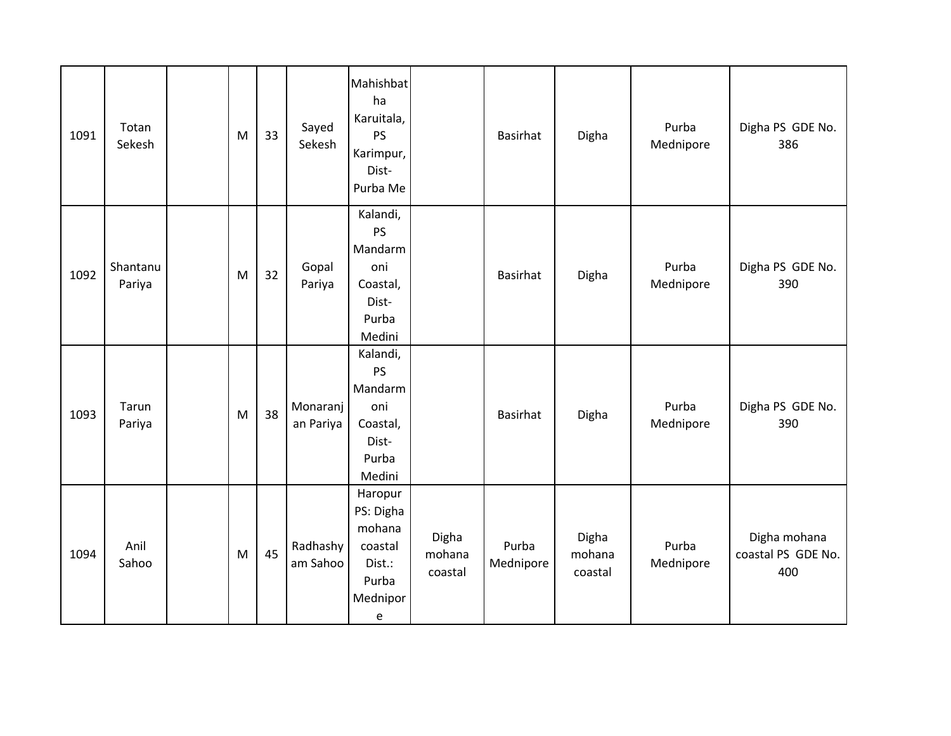| 1091 | Totan<br>Sekesh    | M         | 33 | Sayed<br>Sekesh       | Mahishbat<br>ha<br>Karuitala,<br><b>PS</b><br>Karimpur,<br>Dist-<br>Purba Me                                  |                            | Basirhat           | Digha                      | Purba<br>Mednipore | Digha PS GDE No.<br>386                   |
|------|--------------------|-----------|----|-----------------------|---------------------------------------------------------------------------------------------------------------|----------------------------|--------------------|----------------------------|--------------------|-------------------------------------------|
| 1092 | Shantanu<br>Pariya | M         | 32 | Gopal<br>Pariya       | Kalandi,<br>PS<br>Mandarm<br>oni<br>Coastal,<br>Dist-<br>Purba<br>Medini                                      |                            | Basirhat           | Digha                      | Purba<br>Mednipore | Digha PS GDE No.<br>390                   |
| 1093 | Tarun<br>Pariya    | ${\sf M}$ | 38 | Monaranj<br>an Pariya | Kalandi,<br>PS<br>Mandarm<br>oni<br>Coastal,<br>Dist-<br>Purba<br>Medini                                      |                            | Basirhat           | Digha                      | Purba<br>Mednipore | Digha PS GDE No.<br>390                   |
| 1094 | Anil<br>Sahoo      | M         | 45 | Radhashy<br>am Sahoo  | Haropur<br>PS: Digha<br>mohana<br>coastal<br>Dist.:<br>Purba<br>Mednipor<br>$\mathsf{e}% _{t}\left( t\right)$ | Digha<br>mohana<br>coastal | Purba<br>Mednipore | Digha<br>mohana<br>coastal | Purba<br>Mednipore | Digha mohana<br>coastal PS GDE No.<br>400 |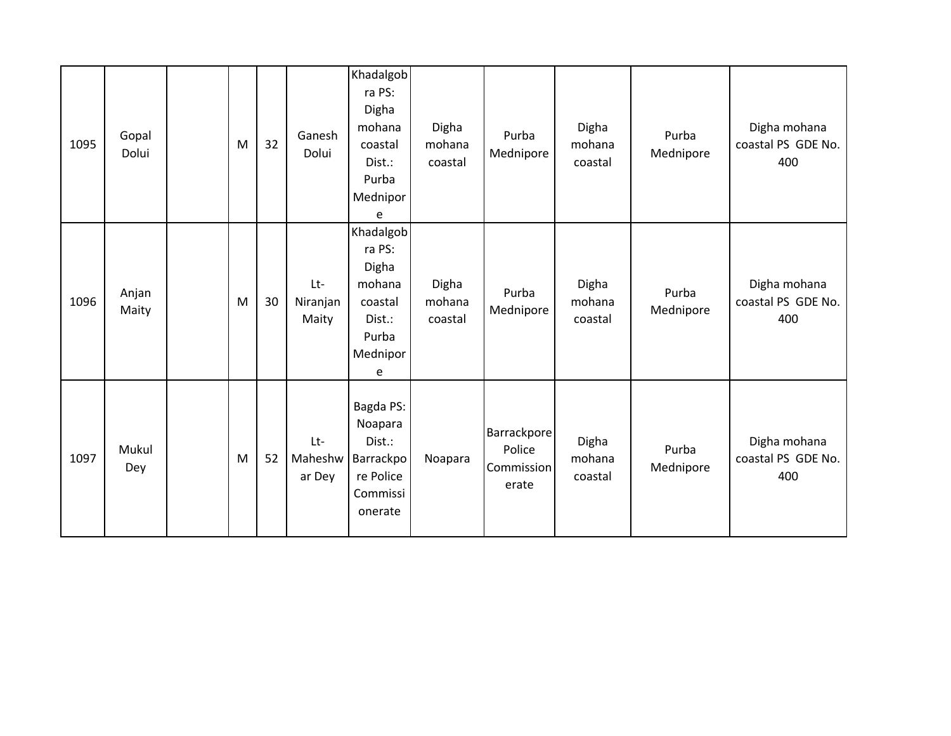| 1095 | Gopal<br>Dolui | M | 32 | Ganesh<br>Dolui          | Khadalgob<br>ra PS:<br>Digha<br>mohana<br>coastal<br>Dist.:<br>Purba<br>Mednipor<br>e | Digha<br>mohana<br>coastal | Purba<br>Mednipore                           | Digha<br>mohana<br>coastal | Purba<br>Mednipore | Digha mohana<br>coastal PS GDE No.<br>400 |
|------|----------------|---|----|--------------------------|---------------------------------------------------------------------------------------|----------------------------|----------------------------------------------|----------------------------|--------------------|-------------------------------------------|
| 1096 | Anjan<br>Maity | M | 30 | Lt-<br>Niranjan<br>Maity | Khadalgob<br>ra PS:<br>Digha<br>mohana<br>coastal<br>Dist.:<br>Purba<br>Mednipor<br>e | Digha<br>mohana<br>coastal | Purba<br>Mednipore                           | Digha<br>mohana<br>coastal | Purba<br>Mednipore | Digha mohana<br>coastal PS GDE No.<br>400 |
| 1097 | Mukul<br>Dey   | M | 52 | Lt-<br>Maheshw<br>ar Dey | Bagda PS:<br>Noapara<br>Dist.:<br>Barrackpo<br>re Police<br>Commissi<br>onerate       | Noapara                    | Barrackpore<br>Police<br>Commission<br>erate | Digha<br>mohana<br>coastal | Purba<br>Mednipore | Digha mohana<br>coastal PS GDE No.<br>400 |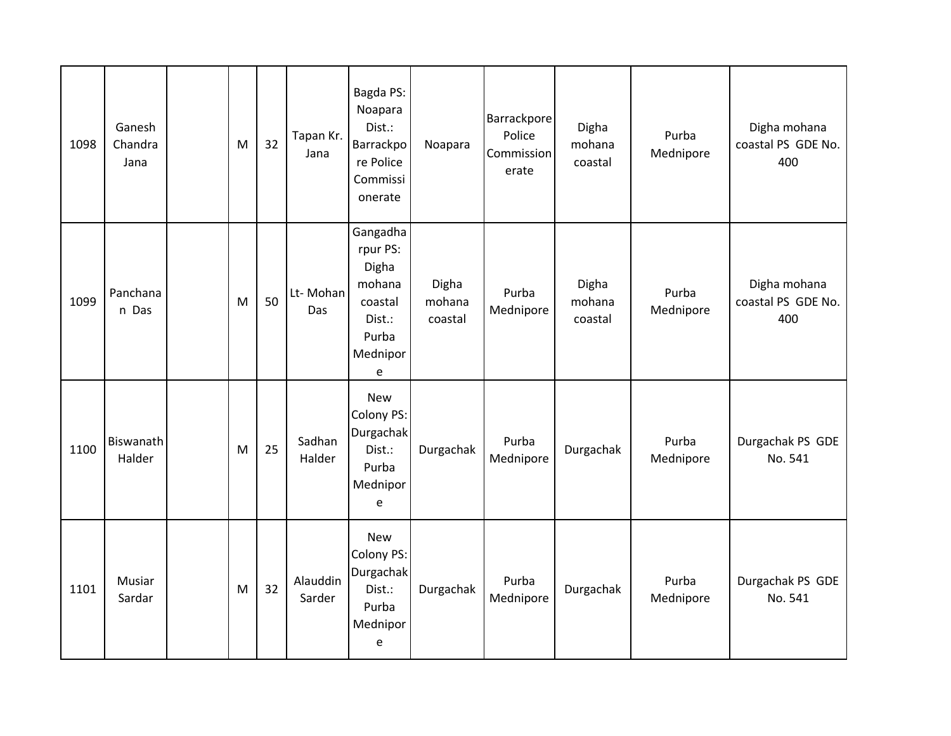| 1098 | Ganesh<br>Chandra<br>Jana | M | 32 | Tapan Kr.<br>Jana  | Bagda PS:<br>Noapara<br>Dist.:<br>Barrackpo<br>re Police<br>Commissi<br>onerate        | Noapara                    | <b>Barrackpore</b><br>Police<br><b>Commission</b><br>erate | Digha<br>mohana<br>coastal | Purba<br>Mednipore | Digha mohana<br>coastal PS GDE No.<br>400 |
|------|---------------------------|---|----|--------------------|----------------------------------------------------------------------------------------|----------------------------|------------------------------------------------------------|----------------------------|--------------------|-------------------------------------------|
| 1099 | Panchana<br>n Das         | M | 50 | Lt-Mohan<br>Das    | Gangadha<br>rpur PS:<br>Digha<br>mohana<br>coastal<br>Dist.:<br>Purba<br>Mednipor<br>е | Digha<br>mohana<br>coastal | Purba<br>Mednipore                                         | Digha<br>mohana<br>coastal | Purba<br>Mednipore | Digha mohana<br>coastal PS GDE No.<br>400 |
| 1100 | Biswanath<br>Halder       | M | 25 | Sadhan<br>Halder   | <b>New</b><br><b>Colony PS:</b><br>Durgachak<br>Dist.:<br>Purba<br>Mednipor<br>e       | Durgachak                  | Purba<br>Mednipore                                         | Durgachak                  | Purba<br>Mednipore | Durgachak PS GDE<br>No. 541               |
| 1101 | Musiar<br>Sardar          | M | 32 | Alauddin<br>Sarder | <b>New</b><br><b>Colony PS:</b><br>Durgachak<br>Dist.:<br>Purba<br>Mednipor<br>e       | Durgachak                  | Purba<br>Mednipore                                         | Durgachak                  | Purba<br>Mednipore | Durgachak PS GDE<br>No. 541               |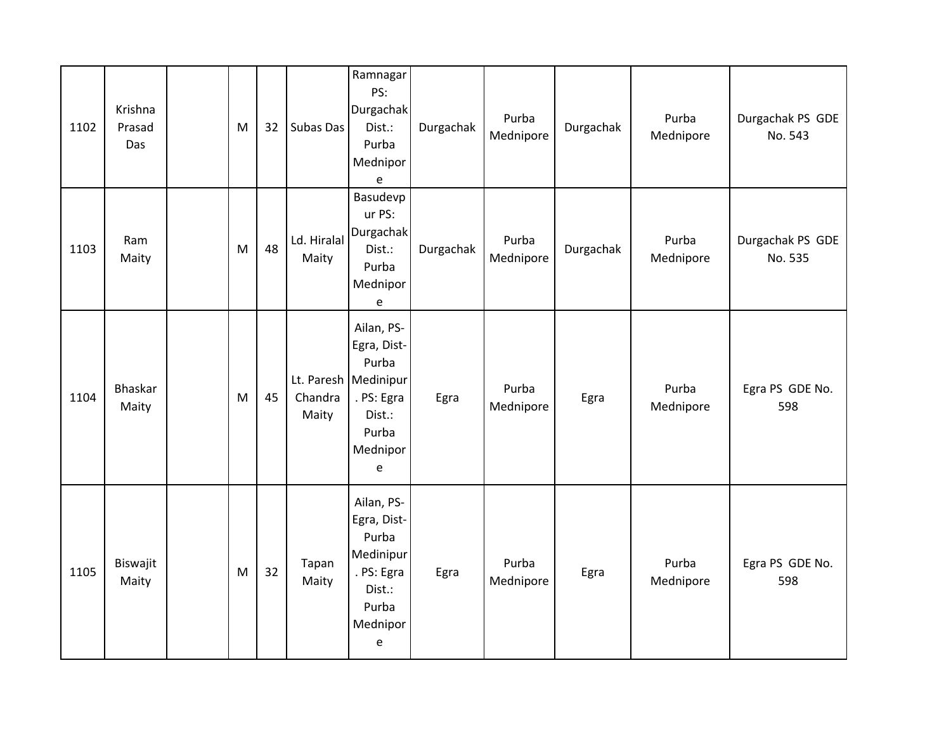| 1102 | Krishna<br>Prasad<br>Das | M | 32 | Subas Das            | Ramnagar<br>PS:<br>Durgachak<br>Dist.:<br>Purba<br>Mednipor<br>$\mathsf{e}% _{t}\left( t\right)$               | Durgachak | Purba<br>Mednipore | Durgachak | Purba<br>Mednipore | Durgachak PS GDE<br>No. 543 |
|------|--------------------------|---|----|----------------------|----------------------------------------------------------------------------------------------------------------|-----------|--------------------|-----------|--------------------|-----------------------------|
| 1103 | Ram<br>Maity             | M | 48 | Ld. Hiralal<br>Maity | Basudevp<br>ur PS:<br>Durgachak<br>Dist.:<br>Purba<br>Mednipor<br>e                                            | Durgachak | Purba<br>Mednipore | Durgachak | Purba<br>Mednipore | Durgachak PS GDE<br>No. 535 |
| 1104 | <b>Bhaskar</b><br>Maity  | M | 45 | Chandra<br>Maity     | Ailan, PS-<br>Egra, Dist-<br>Purba<br>Lt. Paresh   Medinipur<br>. PS: Egra<br>Dist.:<br>Purba<br>Mednipor<br>e | Egra      | Purba<br>Mednipore | Egra      | Purba<br>Mednipore | Egra PS GDE No.<br>598      |
| 1105 | Biswajit<br>Maity        | M | 32 | Tapan<br>Maity       | Ailan, PS-<br>Egra, Dist-<br>Purba<br>Medinipur<br>. PS: Egra<br>Dist.:<br>Purba<br>Mednipor<br>e              | Egra      | Purba<br>Mednipore | Egra      | Purba<br>Mednipore | Egra PS GDE No.<br>598      |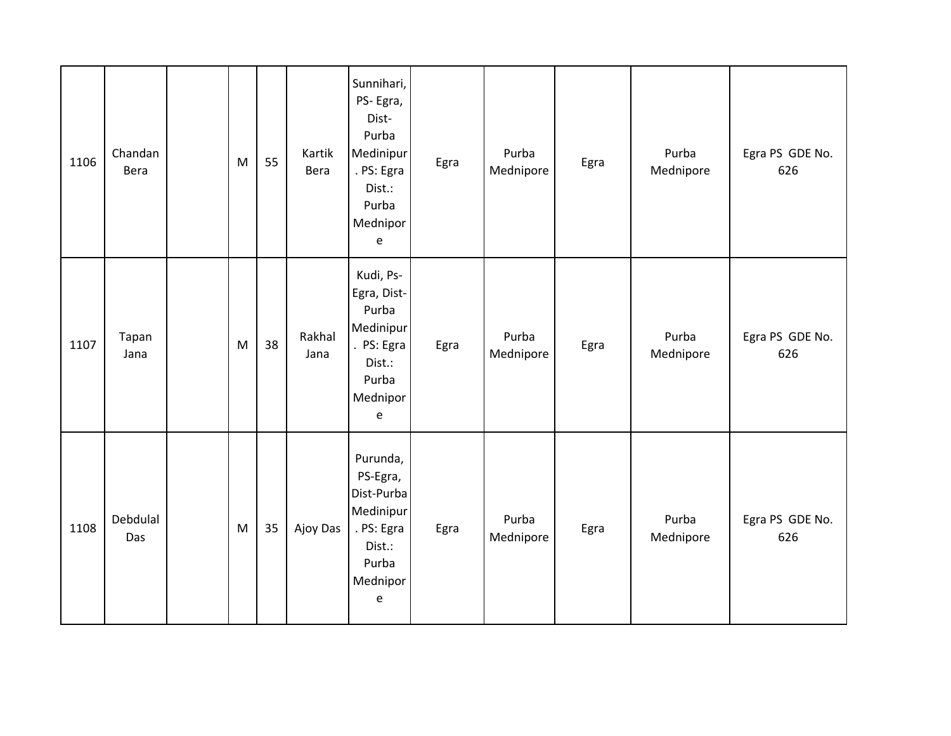| 1106 | Chandan<br>Bera | M | 55 | Kartik<br>Bera | Sunnihari,<br>PS-Egra,<br>Dist-<br>Purba<br>Medinipur<br>. PS: Egra<br>Dist.:<br>Purba<br>Mednipor<br>$\mathsf{e}% _{0}\left( \mathsf{e}\right)$ | Egra | Purba<br>Mednipore | Egra | Purba<br>Mednipore | Egra PS GDE No.<br>626 |
|------|-----------------|---|----|----------------|--------------------------------------------------------------------------------------------------------------------------------------------------|------|--------------------|------|--------------------|------------------------|
| 1107 | Tapan<br>Jana   | M | 38 | Rakhal<br>Jana | Kudi, Ps-<br>Egra, Dist-<br>Purba<br>Medinipur<br>. PS: Egra<br>Dist.:<br>Purba<br>Mednipor<br>$\mathsf{e}% _{t}\left( t\right)$                 | Egra | Purba<br>Mednipore | Egra | Purba<br>Mednipore | Egra PS GDE No.<br>626 |
| 1108 | Debdulal<br>Das | M | 35 | Ajoy Das       | Purunda,<br>PS-Egra,<br>Dist-Purba<br>Medinipur<br>. PS: Egra<br>Dist.:<br>Purba<br>Mednipor<br>$\mathsf{e}% _{t}\left( t\right)$                | Egra | Purba<br>Mednipore | Egra | Purba<br>Mednipore | Egra PS GDE No.<br>626 |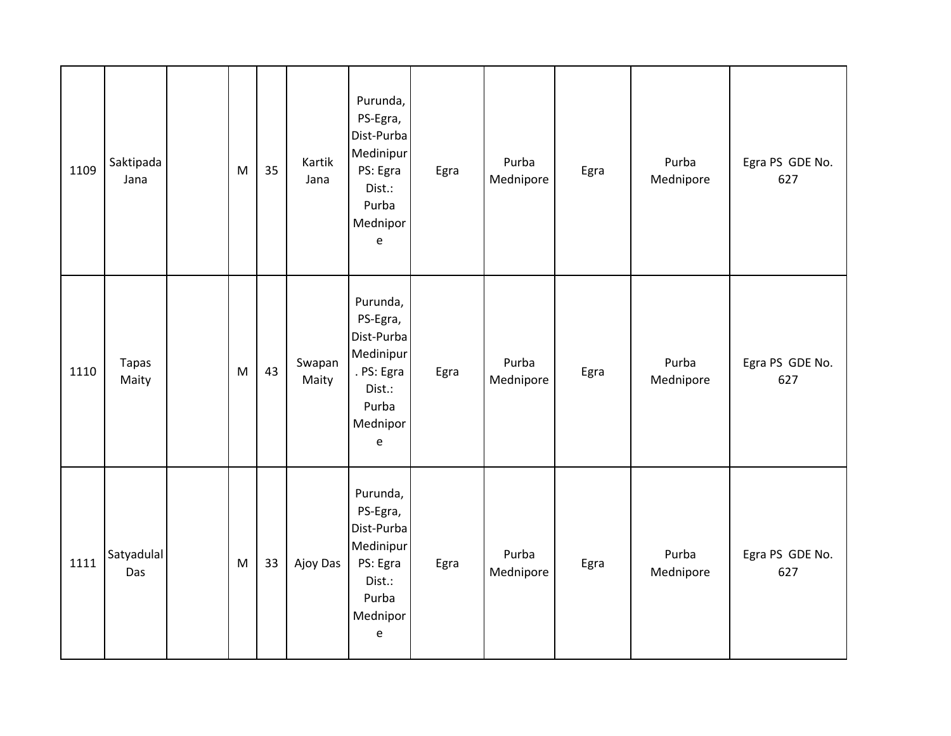| 1109 | Saktipada<br>Jana     | ${\sf M}$ | 35 | Kartik<br>Jana  | Purunda,<br>PS-Egra,<br>Dist-Purba<br>Medinipur<br>PS: Egra<br>Dist.:<br>Purba<br>Mednipor<br>$\mathsf{e}% _{0}\left( \mathsf{e}\right)$ | Egra | Purba<br>Mednipore | Egra | Purba<br>Mednipore | Egra PS GDE No.<br>627 |
|------|-----------------------|-----------|----|-----------------|------------------------------------------------------------------------------------------------------------------------------------------|------|--------------------|------|--------------------|------------------------|
| 1110 | <b>Tapas</b><br>Maity | M         | 43 | Swapan<br>Maity | Purunda,<br>PS-Egra,<br>Dist-Purba<br>Medinipur<br>. PS: Egra<br>Dist.:<br>Purba<br>Mednipor<br>$\mathsf{e}% _{t}\left( t\right)$        | Egra | Purba<br>Mednipore | Egra | Purba<br>Mednipore | Egra PS GDE No.<br>627 |
| 1111 | Satyadulal<br>Das     | M         | 33 | Ajoy Das        | Purunda,<br>PS-Egra,<br>Dist-Purba<br>Medinipur<br>PS: Egra<br>Dist.:<br>Purba<br>Mednipor<br>$\mathsf{e}% _{t}\left( t\right)$          | Egra | Purba<br>Mednipore | Egra | Purba<br>Mednipore | Egra PS GDE No.<br>627 |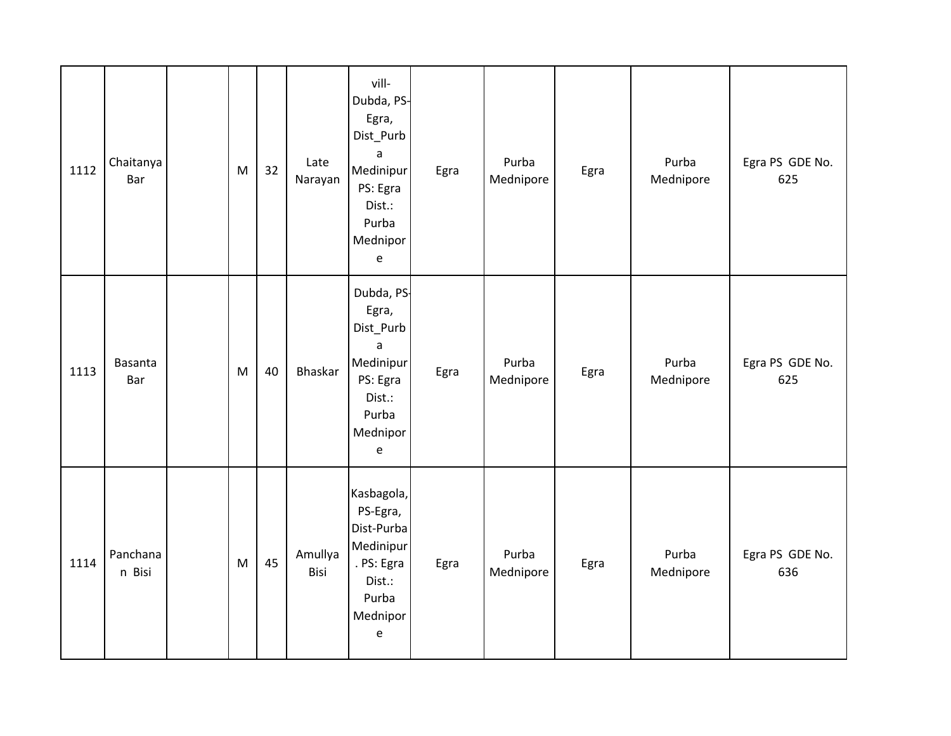| 1112 | Chaitanya<br>Bar      | M | 32 | Late<br>Narayan | vill-<br>Dubda, PS-<br>Egra,<br>Dist_Purb<br>a<br>Medinipur<br>PS: Egra<br>Dist.:<br>Purba<br>Mednipor<br>$\mathsf{e}% _{0}\left( \mathsf{e}\right)$ | Egra | Purba<br>Mednipore | Egra | Purba<br>Mednipore | Egra PS GDE No.<br>625 |
|------|-----------------------|---|----|-----------------|------------------------------------------------------------------------------------------------------------------------------------------------------|------|--------------------|------|--------------------|------------------------|
| 1113 | <b>Basanta</b><br>Bar | M | 40 | Bhaskar         | Dubda, PS-<br>Egra,<br>Dist_Purb<br>a<br>Medinipur<br>PS: Egra<br>Dist.:<br>Purba<br>Mednipor<br>$\mathsf{e}% _{0}\left( \mathsf{e}\right)$          | Egra | Purba<br>Mednipore | Egra | Purba<br>Mednipore | Egra PS GDE No.<br>625 |
| 1114 | Panchana<br>n Bisi    | M | 45 | Amullya<br>Bisi | Kasbagola,<br>PS-Egra,<br>Dist-Purba<br>Medinipur<br>. PS: Egra<br>Dist.:<br>Purba<br>Mednipor<br>$\mathsf{e}% _{t}\left( t\right)$                  | Egra | Purba<br>Mednipore | Egra | Purba<br>Mednipore | Egra PS GDE No.<br>636 |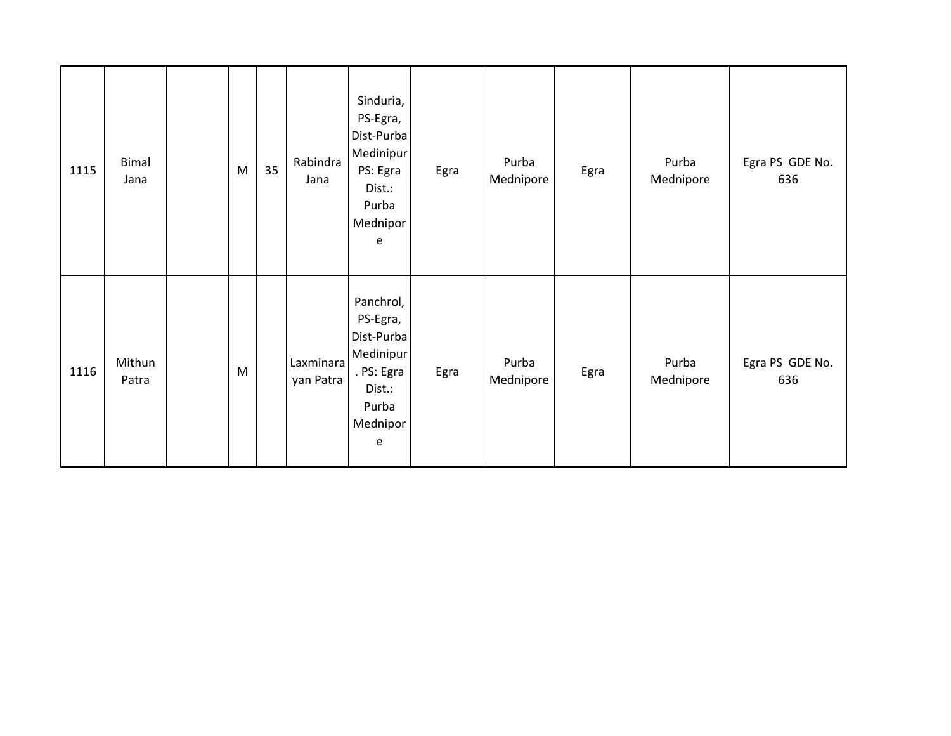| 1115 | <b>Bimal</b><br>Jana | M         | 35 | Rabindra<br>Jana       | Sinduria,<br>PS-Egra,<br>Dist-Purba<br>Medinipur<br>PS: Egra<br>Dist.:<br>Purba<br>Mednipor<br>e   | Egra | Purba<br>Mednipore | Egra | Purba<br>Mednipore | Egra PS GDE No.<br>636 |
|------|----------------------|-----------|----|------------------------|----------------------------------------------------------------------------------------------------|------|--------------------|------|--------------------|------------------------|
| 1116 | Mithun<br>Patra      | ${\sf M}$ |    | Laxminara<br>yan Patra | Panchrol,<br>PS-Egra,<br>Dist-Purba<br>Medinipur<br>. PS: Egra<br>Dist.:<br>Purba<br>Mednipor<br>e | Egra | Purba<br>Mednipore | Egra | Purba<br>Mednipore | Egra PS GDE No.<br>636 |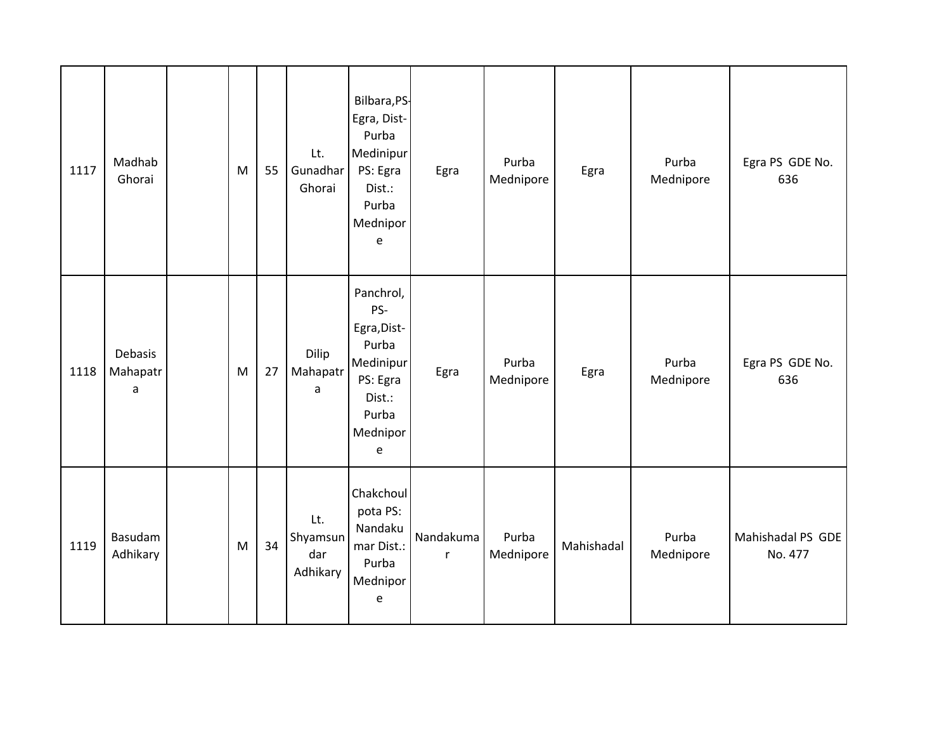| 1117 | Madhab<br>Ghorai                    | ${\sf M}$ | 55 | Lt.<br>Gunadhar<br>Ghorai          | Bilbara, PS-<br>Egra, Dist-<br>Purba<br>Medinipur<br>PS: Egra<br>Dist.:<br>Purba<br>Mednipor<br>e        | Egra                      | Purba<br>Mednipore | Egra       | Purba<br>Mednipore | Egra PS GDE No.<br>636       |
|------|-------------------------------------|-----------|----|------------------------------------|----------------------------------------------------------------------------------------------------------|---------------------------|--------------------|------------|--------------------|------------------------------|
| 1118 | Debasis<br>Mahapatr<br>$\mathsf{a}$ | ${\sf M}$ | 27 | Dilip<br>Mahapatr<br>a             | Panchrol,<br>PS-<br>Egra, Dist-<br>Purba<br>Medinipur<br>PS: Egra<br>Dist.:<br>Purba<br>Mednipor<br>e    | Egra                      | Purba<br>Mednipore | Egra       | Purba<br>Mednipore | Egra PS GDE No.<br>636       |
| 1119 | Basudam<br>Adhikary                 | ${\sf M}$ | 34 | Lt.<br>Shyamsun<br>dar<br>Adhikary | Chakchoul<br>pota PS:<br>Nandaku<br>mar Dist.:<br>Purba<br>Mednipor<br>$\mathsf{e}% _{t}\left( t\right)$ | Nandakuma<br>$\mathsf{r}$ | Purba<br>Mednipore | Mahishadal | Purba<br>Mednipore | Mahishadal PS GDE<br>No. 477 |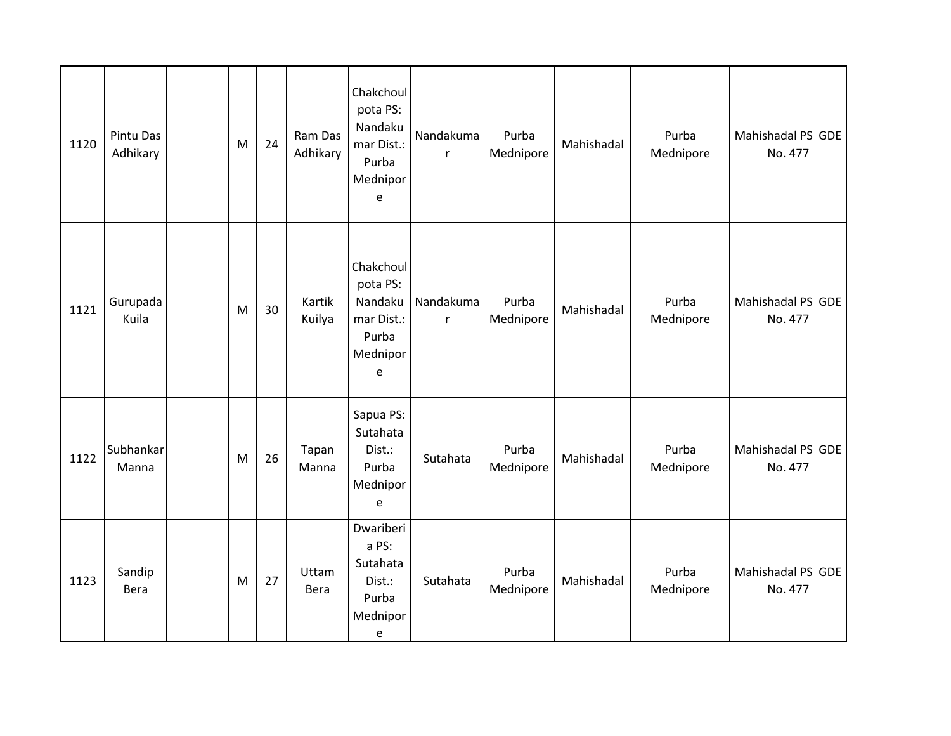| 1120 | Pintu Das<br>Adhikary | M         | 24 | Ram Das<br>Adhikary | Chakchoul<br>pota PS:<br>Nandaku<br>mar Dist.:<br>Purba<br>Mednipor<br>$\mathsf{e}$                | Nandakuma<br>r            | Purba<br>Mednipore | Mahishadal | Purba<br>Mednipore | Mahishadal PS GDE<br>No. 477 |
|------|-----------------------|-----------|----|---------------------|----------------------------------------------------------------------------------------------------|---------------------------|--------------------|------------|--------------------|------------------------------|
| 1121 | Gurupada<br>Kuila     | ${\sf M}$ | 30 | Kartik<br>Kuilya    | Chakchoul<br>pota PS:<br>Nandaku<br>mar Dist.:<br>Purba<br>Mednipor<br>e                           | Nandakuma<br>$\mathsf{r}$ | Purba<br>Mednipore | Mahishadal | Purba<br>Mednipore | Mahishadal PS GDE<br>No. 477 |
| 1122 | Subhankar<br>Manna    | M         | 26 | Tapan<br>Manna      | Sapua PS:<br>Sutahata<br>Dist.:<br>Purba<br>Mednipor<br>$\mathsf{e}% _{t}\left( t\right)$          | Sutahata                  | Purba<br>Mednipore | Mahishadal | Purba<br>Mednipore | Mahishadal PS GDE<br>No. 477 |
| 1123 | Sandip<br>Bera        | M         | 27 | Uttam<br>Bera       | Dwariberi<br>a PS:<br>Sutahata<br>Dist.:<br>Purba<br>Mednipor<br>$\mathsf{e}% _{t}\left( t\right)$ | Sutahata                  | Purba<br>Mednipore | Mahishadal | Purba<br>Mednipore | Mahishadal PS GDE<br>No. 477 |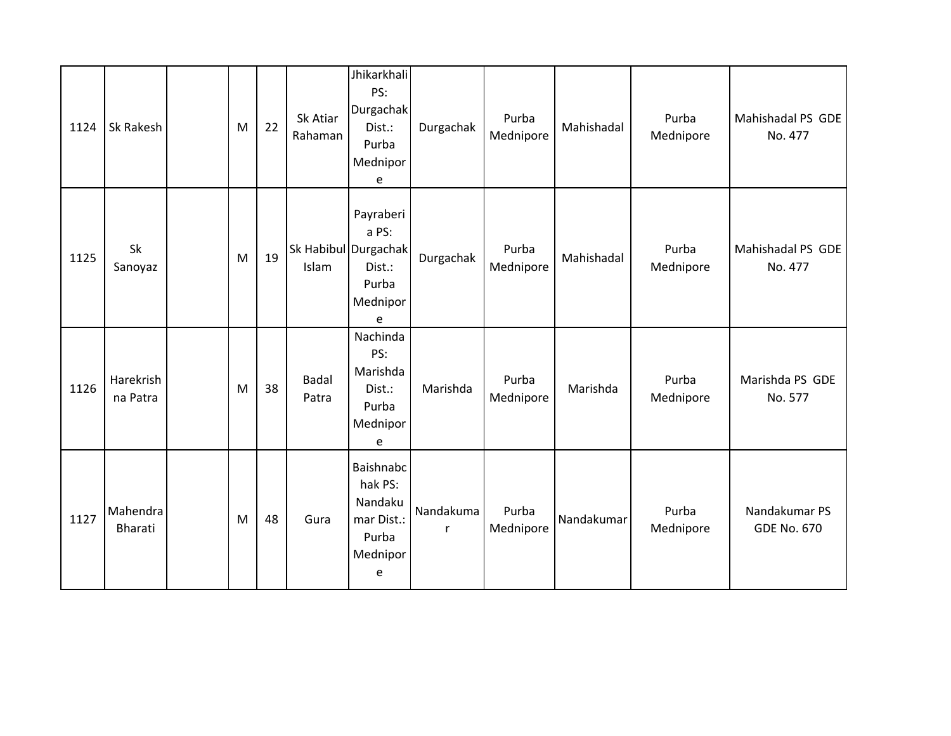| 1124 | Sk Rakesh             | M | 22 | Sk Atiar<br>Rahaman   | Jhikarkhali<br>PS:<br>Durgachak<br>Dist.:<br>Purba<br>Mednipor<br>e            | Durgachak      | Purba<br>Mednipore | Mahishadal | Purba<br>Mednipore | Mahishadal PS GDE<br>No. 477        |
|------|-----------------------|---|----|-----------------------|--------------------------------------------------------------------------------|----------------|--------------------|------------|--------------------|-------------------------------------|
| 1125 | Sk<br>Sanoyaz         | M | 19 | Islam                 | Payraberi<br>a PS:<br>Sk Habibul Durgachak<br>Dist.:<br>Purba<br>Mednipor<br>e | Durgachak      | Purba<br>Mednipore | Mahishadal | Purba<br>Mednipore | Mahishadal PS GDE<br>No. 477        |
| 1126 | Harekrish<br>na Patra | M | 38 | <b>Badal</b><br>Patra | Nachinda<br>PS:<br>Marishda<br>Dist.:<br>Purba<br>Mednipor<br>e                | Marishda       | Purba<br>Mednipore | Marishda   | Purba<br>Mednipore | Marishda PS GDE<br>No. 577          |
| 1127 | Mahendra<br>Bharati   | M | 48 | Gura                  | Baishnabc<br>hak PS:<br>Nandaku<br>mar Dist.:<br>Purba<br>Mednipor<br>e        | Nandakuma<br>r | Purba<br>Mednipore | Nandakumar | Purba<br>Mednipore | Nandakumar PS<br><b>GDE No. 670</b> |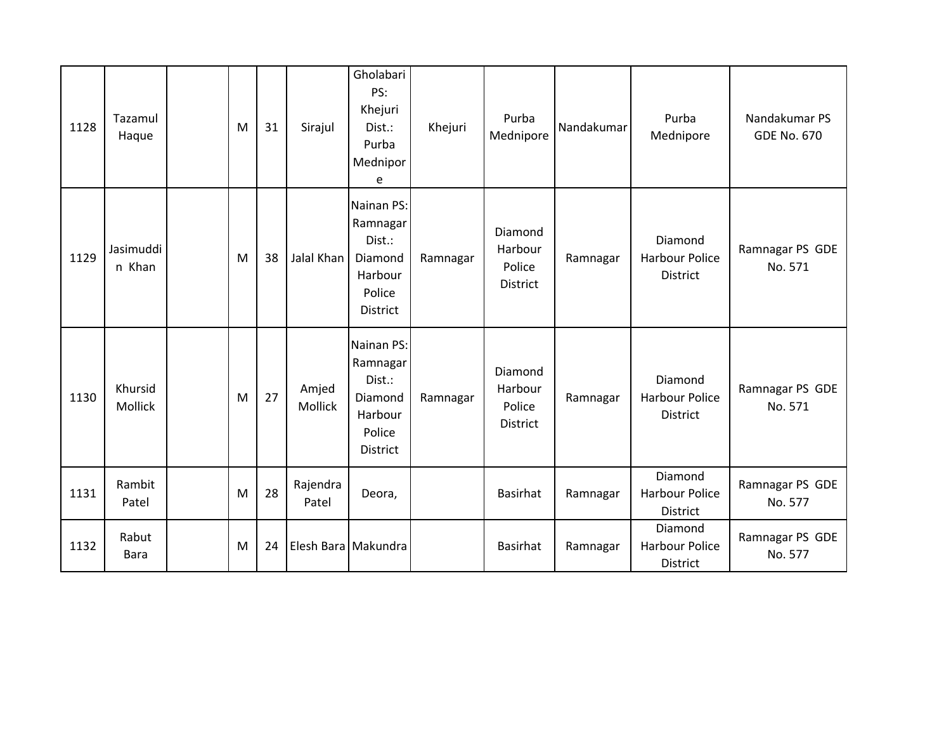| 1128 | Tazamul<br>Haque    | M | 31 | Sirajul           | Gholabari<br>PS:<br>Khejuri<br>Dist.:<br>Purba<br>Mednipor<br>e              | Khejuri  | Purba<br>Mednipore                       | Nandakumar | Purba<br>Mednipore                                  | Nandakumar PS<br><b>GDE No. 670</b> |
|------|---------------------|---|----|-------------------|------------------------------------------------------------------------------|----------|------------------------------------------|------------|-----------------------------------------------------|-------------------------------------|
| 1129 | Jasimuddi<br>n Khan | M | 38 | Jalal Khan        | Nainan PS:<br>Ramnagar<br>Dist.:<br>Diamond<br>Harbour<br>Police<br>District | Ramnagar | Diamond<br>Harbour<br>Police<br>District | Ramnagar   | Diamond<br><b>Harbour Police</b><br><b>District</b> | Ramnagar PS GDE<br>No. 571          |
| 1130 | Khursid<br>Mollick  | M | 27 | Amjed<br>Mollick  | Nainan PS:<br>Ramnagar<br>Dist.:<br>Diamond<br>Harbour<br>Police<br>District | Ramnagar | Diamond<br>Harbour<br>Police<br>District | Ramnagar   | Diamond<br><b>Harbour Police</b><br><b>District</b> | Ramnagar PS GDE<br>No. 571          |
| 1131 | Rambit<br>Patel     | M | 28 | Rajendra<br>Patel | Deora,                                                                       |          | <b>Basirhat</b>                          | Ramnagar   | Diamond<br><b>Harbour Police</b><br>District        | Ramnagar PS GDE<br>No. 577          |
| 1132 | Rabut<br>Bara       | M | 24 |                   | Elesh Bara   Makundra                                                        |          | <b>Basirhat</b>                          | Ramnagar   | Diamond<br><b>Harbour Police</b><br>District        | Ramnagar PS GDE<br>No. 577          |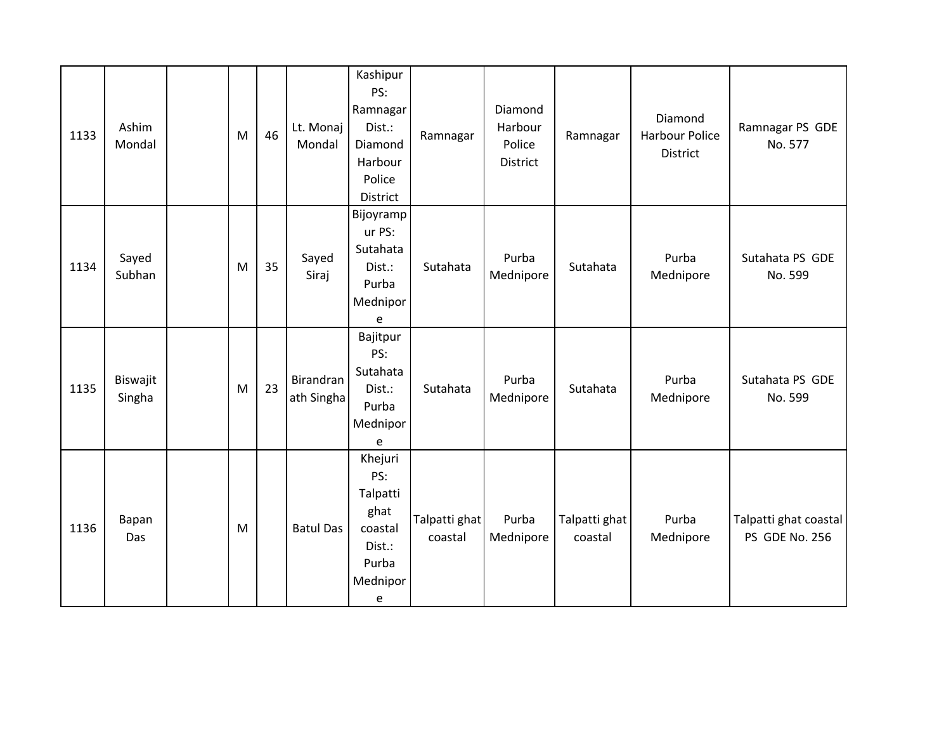| 1133 | Ashim<br>Mondal    | M | 46 | Lt. Monaj<br>Mondal     | Kashipur<br>PS:<br>Ramnagar<br>Dist.:<br>Diamond<br>Harbour<br>Police<br>District | Ramnagar                 | Diamond<br>Harbour<br>Police<br>District | Ramnagar                 | Diamond<br><b>Harbour Police</b><br><b>District</b> | Ramnagar PS GDE<br>No. 577              |
|------|--------------------|---|----|-------------------------|-----------------------------------------------------------------------------------|--------------------------|------------------------------------------|--------------------------|-----------------------------------------------------|-----------------------------------------|
| 1134 | Sayed<br>Subhan    | M | 35 | Sayed<br>Siraj          | Bijoyramp<br>ur PS:<br>Sutahata<br>Dist.:<br>Purba<br>Mednipor<br>e               | Sutahata                 | Purba<br>Mednipore                       | Sutahata                 | Purba<br>Mednipore                                  | Sutahata PS GDE<br>No. 599              |
| 1135 | Biswajit<br>Singha | M | 23 | Birandran<br>ath Singha | Bajitpur<br>PS:<br>Sutahata<br>Dist.:<br>Purba<br>Mednipor<br>e                   | Sutahata                 | Purba<br>Mednipore                       | Sutahata                 | Purba<br>Mednipore                                  | Sutahata PS GDE<br>No. 599              |
| 1136 | Bapan<br>Das       | M |    | <b>Batul Das</b>        | Khejuri<br>PS:<br>Talpatti<br>ghat<br>coastal<br>Dist.:<br>Purba<br>Mednipor<br>e | Talpatti ghat<br>coastal | Purba<br>Mednipore                       | Talpatti ghat<br>coastal | Purba<br>Mednipore                                  | Talpatti ghat coastal<br>PS GDE No. 256 |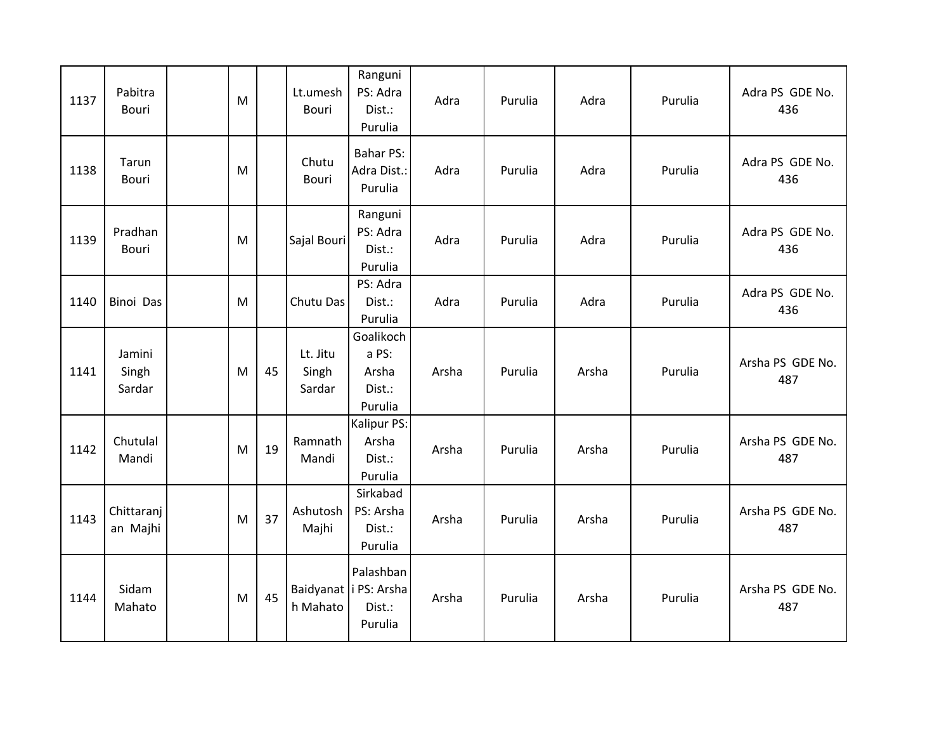| 1137 | Pabitra<br>Bouri          | M |    | Lt.umesh<br>Bouri           | Ranguni<br>PS: Adra<br>Dist.:<br>Purulia                  | Adra  | Purulia | Adra  | Purulia | Adra PS GDE No.<br>436  |
|------|---------------------------|---|----|-----------------------------|-----------------------------------------------------------|-------|---------|-------|---------|-------------------------|
| 1138 | Tarun<br>Bouri            | M |    | Chutu<br>Bouri              | <b>Bahar PS:</b><br>Adra Dist.:<br>Purulia                | Adra  | Purulia | Adra  | Purulia | Adra PS GDE No.<br>436  |
| 1139 | Pradhan<br>Bouri          | M |    | Sajal Bouri                 | Ranguni<br>PS: Adra<br>Dist.:<br>Purulia                  | Adra  | Purulia | Adra  | Purulia | Adra PS GDE No.<br>436  |
| 1140 | <b>Binoi Das</b>          | M |    | Chutu Das                   | PS: Adra<br>Dist.:<br>Purulia                             | Adra  | Purulia | Adra  | Purulia | Adra PS GDE No.<br>436  |
| 1141 | Jamini<br>Singh<br>Sardar | M | 45 | Lt. Jitu<br>Singh<br>Sardar | Goalikoch<br>a PS:<br>Arsha<br>Dist.:<br>Purulia          | Arsha | Purulia | Arsha | Purulia | Arsha PS GDE No.<br>487 |
| 1142 | Chutulal<br>Mandi         | M | 19 | Ramnath<br>Mandi            | Kalipur PS:<br>Arsha<br>Dist.:<br>Purulia                 | Arsha | Purulia | Arsha | Purulia | Arsha PS GDE No.<br>487 |
| 1143 | Chittaranj<br>an Majhi    | M | 37 | Ashutosh<br>Majhi           | Sirkabad<br>PS: Arsha<br>Dist.:<br>Purulia                | Arsha | Purulia | Arsha | Purulia | Arsha PS GDE No.<br>487 |
| 1144 | Sidam<br>Mahato           | M | 45 | h Mahato                    | Palashban<br>Baidyanat   i PS: Arsha<br>Dist.:<br>Purulia | Arsha | Purulia | Arsha | Purulia | Arsha PS GDE No.<br>487 |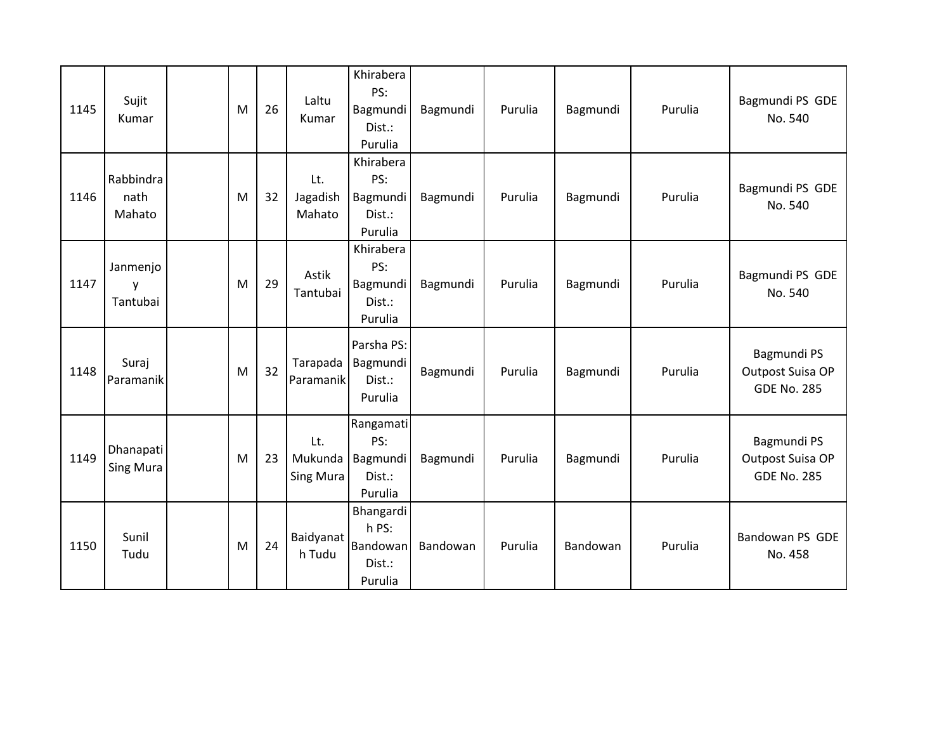| 1145 | Sujit<br>Kumar                | M | 26 | Laltu<br>Kumar              | Khirabera<br>PS:<br>Bagmundi<br>Dist.:<br>Purulia   | Bagmundi | Purulia | Bagmundi | Purulia | Bagmundi PS GDE<br>No. 540                            |
|------|-------------------------------|---|----|-----------------------------|-----------------------------------------------------|----------|---------|----------|---------|-------------------------------------------------------|
| 1146 | Rabbindra<br>nath<br>Mahato   | M | 32 | Lt.<br>Jagadish<br>Mahato   | Khirabera<br>PS:<br>Bagmundi<br>Dist.:<br>Purulia   | Bagmundi | Purulia | Bagmundi | Purulia | Bagmundi PS GDE<br>No. 540                            |
| 1147 | Janmenjo<br>V<br>Tantubai     | M | 29 | Astik<br>Tantubai           | Khirabera<br>PS:<br>Bagmundi<br>Dist.:<br>Purulia   | Bagmundi | Purulia | Bagmundi | Purulia | Bagmundi PS GDE<br>No. 540                            |
| 1148 | Suraj<br>Paramanik            | M | 32 | Tarapada<br>Paramanik       | Parsha PS:<br>Bagmundi<br>Dist.:<br>Purulia         | Bagmundi | Purulia | Bagmundi | Purulia | Bagmundi PS<br>Outpost Suisa OP<br><b>GDE No. 285</b> |
| 1149 | Dhanapati<br><b>Sing Mura</b> | M | 23 | Lt.<br>Mukunda<br>Sing Mura | Rangamati<br>PS:<br>Bagmundi<br>Dist.:<br>Purulia   | Bagmundi | Purulia | Bagmundi | Purulia | Bagmundi PS<br>Outpost Suisa OP<br><b>GDE No. 285</b> |
| 1150 | Sunil<br>Tudu                 | M | 24 | Baidyanat<br>h Tudu         | Bhangardi<br>h PS:<br>Bandowan<br>Dist.:<br>Purulia | Bandowan | Purulia | Bandowan | Purulia | Bandowan PS GDE<br>No. 458                            |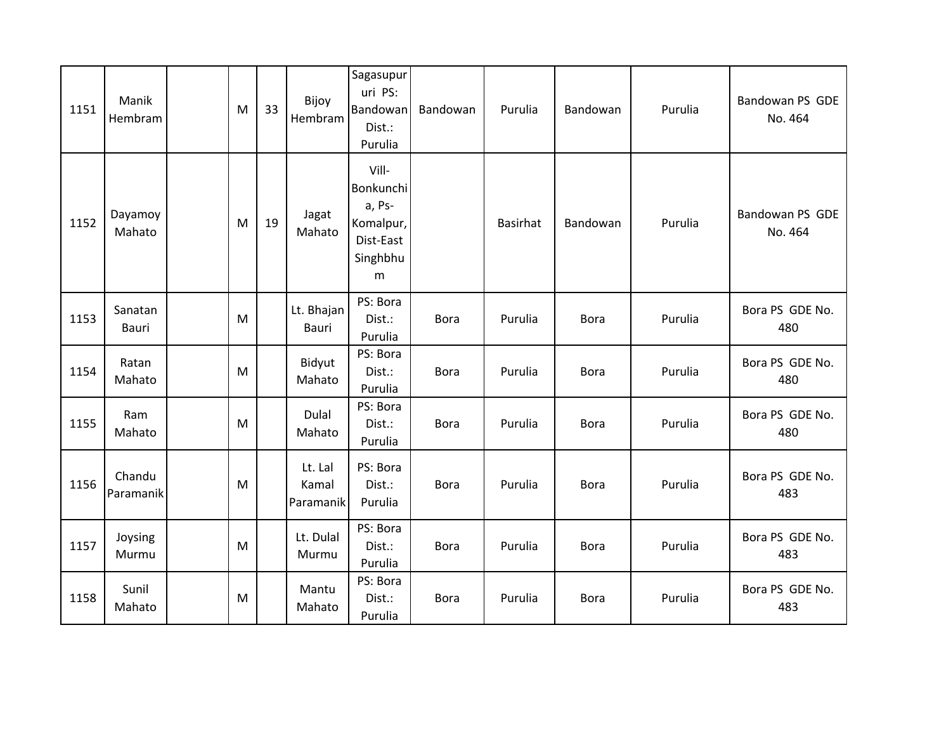| 1151 | Manik<br>Hembram    | M | 33 | Bijoy<br>Hembram              | Sagasupur<br>uri PS:<br>Bandowan<br>Dist.:<br>Purulia                   | Bandowan    | Purulia         | Bandowan    | Purulia | Bandowan PS GDE<br>No. 464 |
|------|---------------------|---|----|-------------------------------|-------------------------------------------------------------------------|-------------|-----------------|-------------|---------|----------------------------|
| 1152 | Dayamoy<br>Mahato   | M | 19 | Jagat<br>Mahato               | Vill-<br>Bonkunchi<br>a, Ps-<br>Komalpur,<br>Dist-East<br>Singhbhu<br>m |             | <b>Basirhat</b> | Bandowan    | Purulia | Bandowan PS GDE<br>No. 464 |
| 1153 | Sanatan<br>Bauri    | M |    | Lt. Bhajan<br><b>Bauri</b>    | PS: Bora<br>Dist.:<br>Purulia                                           | <b>Bora</b> | Purulia         | <b>Bora</b> | Purulia | Bora PS GDE No.<br>480     |
| 1154 | Ratan<br>Mahato     | M |    | Bidyut<br>Mahato              | PS: Bora<br>Dist.:<br>Purulia                                           | <b>Bora</b> | Purulia         | <b>Bora</b> | Purulia | Bora PS GDE No.<br>480     |
| 1155 | Ram<br>Mahato       | M |    | <b>Dulal</b><br>Mahato        | PS: Bora<br>Dist.:<br>Purulia                                           | <b>Bora</b> | Purulia         | <b>Bora</b> | Purulia | Bora PS GDE No.<br>480     |
| 1156 | Chandu<br>Paramanik | M |    | Lt. Lal<br>Kamal<br>Paramanik | PS: Bora<br>Dist.:<br>Purulia                                           | <b>Bora</b> | Purulia         | <b>Bora</b> | Purulia | Bora PS GDE No.<br>483     |
| 1157 | Joysing<br>Murmu    | M |    | Lt. Dulal<br>Murmu            | PS: Bora<br>Dist.:<br>Purulia                                           | <b>Bora</b> | Purulia         | <b>Bora</b> | Purulia | Bora PS GDE No.<br>483     |
| 1158 | Sunil<br>Mahato     | M |    | Mantu<br>Mahato               | PS: Bora<br>Dist.:<br>Purulia                                           | <b>Bora</b> | Purulia         | <b>Bora</b> | Purulia | Bora PS GDE No.<br>483     |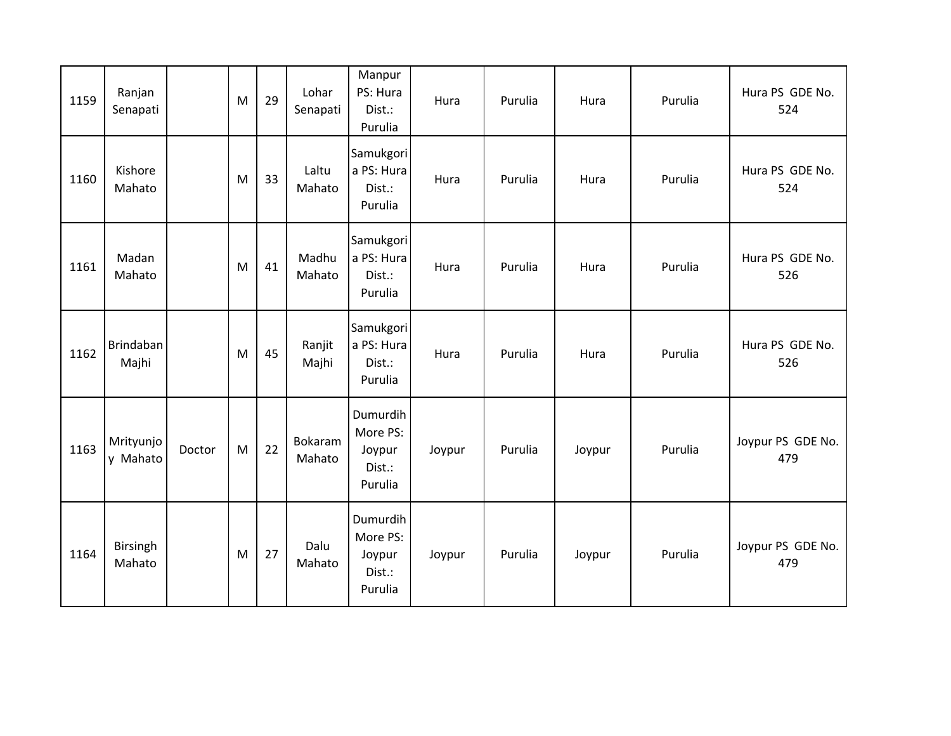| 1159 | Ranjan<br>Senapati    |        | M | 29 | Lohar<br>Senapati | Manpur<br>PS: Hura<br>Dist.:<br>Purulia             | Hura   | Purulia | Hura   | Purulia | Hura PS GDE No.<br>524   |
|------|-----------------------|--------|---|----|-------------------|-----------------------------------------------------|--------|---------|--------|---------|--------------------------|
| 1160 | Kishore<br>Mahato     |        | M | 33 | Laltu<br>Mahato   | Samukgori<br>a PS: Hura<br>Dist.:<br>Purulia        | Hura   | Purulia | Hura   | Purulia | Hura PS GDE No.<br>524   |
| 1161 | Madan<br>Mahato       |        | M | 41 | Madhu<br>Mahato   | Samukgori<br>a PS: Hura<br>Dist.:<br>Purulia        | Hura   | Purulia | Hura   | Purulia | Hura PS GDE No.<br>526   |
| 1162 | Brindaban<br>Majhi    |        | M | 45 | Ranjit<br>Majhi   | Samukgori<br>a PS: Hura<br>Dist.:<br>Purulia        | Hura   | Purulia | Hura   | Purulia | Hura PS GDE No.<br>526   |
| 1163 | Mrityunjo<br>y Mahato | Doctor | M | 22 | Bokaram<br>Mahato | Dumurdih<br>More PS:<br>Joypur<br>Dist.:<br>Purulia | Joypur | Purulia | Joypur | Purulia | Joypur PS GDE No.<br>479 |
| 1164 | Birsingh<br>Mahato    |        | M | 27 | Dalu<br>Mahato    | Dumurdih<br>More PS:<br>Joypur<br>Dist.:<br>Purulia | Joypur | Purulia | Joypur | Purulia | Joypur PS GDE No.<br>479 |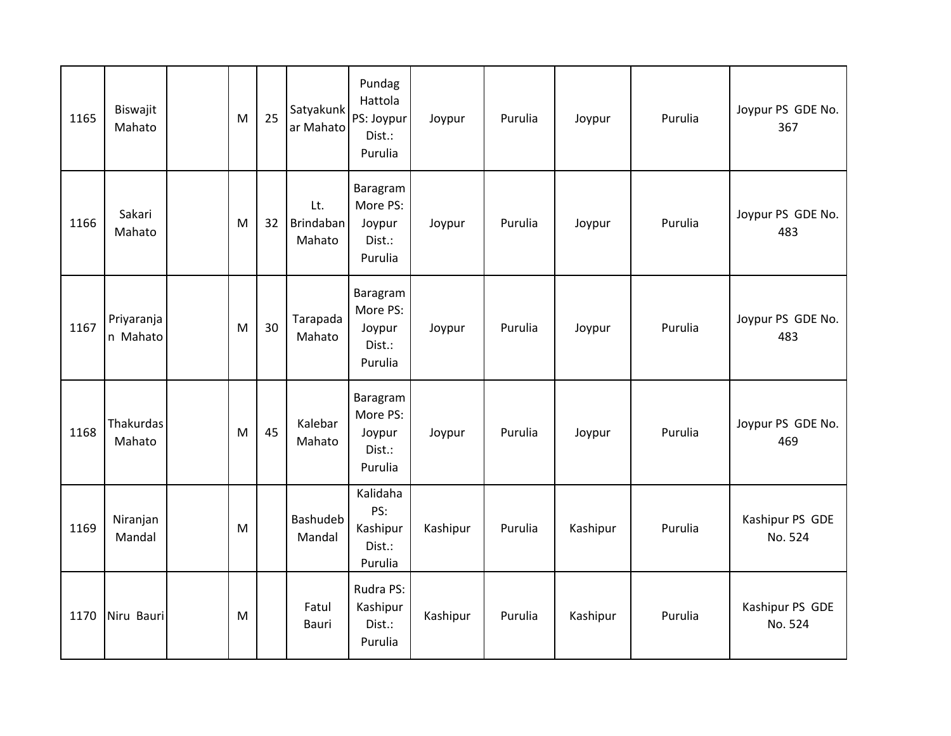| 1165 | Biswajit<br>Mahato     | M | 25 | Satyakunk<br>ar Mahato     | Pundag<br>Hattola<br>PS: Joypur<br>Dist.:<br>Purulia | Joypur   | Purulia | Joypur   | Purulia | Joypur PS GDE No.<br>367   |
|------|------------------------|---|----|----------------------------|------------------------------------------------------|----------|---------|----------|---------|----------------------------|
| 1166 | Sakari<br>Mahato       | M | 32 | Lt.<br>Brindaban<br>Mahato | Baragram<br>More PS:<br>Joypur<br>Dist.:<br>Purulia  | Joypur   | Purulia | Joypur   | Purulia | Joypur PS GDE No.<br>483   |
| 1167 | Priyaranja<br>n Mahato | M | 30 | Tarapada<br>Mahato         | Baragram<br>More PS:<br>Joypur<br>Dist.:<br>Purulia  | Joypur   | Purulia | Joypur   | Purulia | Joypur PS GDE No.<br>483   |
| 1168 | Thakurdas<br>Mahato    | M | 45 | Kalebar<br>Mahato          | Baragram<br>More PS:<br>Joypur<br>Dist.:<br>Purulia  | Joypur   | Purulia | Joypur   | Purulia | Joypur PS GDE No.<br>469   |
| 1169 | Niranjan<br>Mandal     | M |    | <b>Bashudeb</b><br>Mandal  | Kalidaha<br>PS:<br>Kashipur<br>Dist.:<br>Purulia     | Kashipur | Purulia | Kashipur | Purulia | Kashipur PS GDE<br>No. 524 |
| 1170 | Niru Bauri             | M |    | Fatul<br>Bauri             | Rudra PS:<br>Kashipur<br>Dist.:<br>Purulia           | Kashipur | Purulia | Kashipur | Purulia | Kashipur PS GDE<br>No. 524 |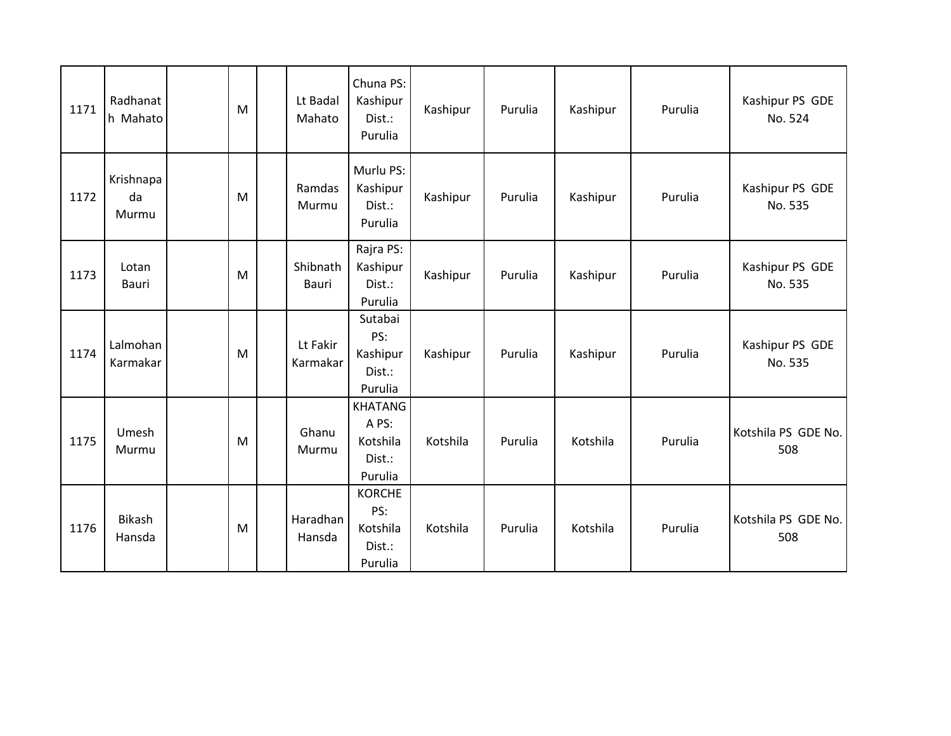| 1171 | Radhanat<br>h Mahato     | M | Lt Badal<br>Mahato        | Chuna PS:<br>Kashipur<br>Dist.:<br>Purulia               | Kashipur | Purulia | Kashipur | Purulia | Kashipur PS GDE<br>No. 524 |
|------|--------------------------|---|---------------------------|----------------------------------------------------------|----------|---------|----------|---------|----------------------------|
| 1172 | Krishnapa<br>da<br>Murmu | M | Ramdas<br>Murmu           | Murlu PS:<br>Kashipur<br>Dist.:<br>Purulia               | Kashipur | Purulia | Kashipur | Purulia | Kashipur PS GDE<br>No. 535 |
| 1173 | Lotan<br>Bauri           | M | Shibnath<br>Bauri         | Rajra PS:<br>Kashipur<br>Dist.:<br>Purulia               | Kashipur | Purulia | Kashipur | Purulia | Kashipur PS GDE<br>No. 535 |
| 1174 | Lalmohan<br>Karmakar     | M | Lt Fakir<br>Karmakar      | Sutabai<br>PS:<br>Kashipur<br>Dist.:<br>Purulia          | Kashipur | Purulia | Kashipur | Purulia | Kashipur PS GDE<br>No. 535 |
| 1175 | Umesh<br>Murmu           | M | Ghanu<br>Murmu            | <b>KHATANG</b><br>A PS:<br>Kotshila<br>Dist.:<br>Purulia | Kotshila | Purulia | Kotshila | Purulia | Kotshila PS GDE No.<br>508 |
| 1176 | <b>Bikash</b><br>Hansda  | M | <b>Haradhan</b><br>Hansda | <b>KORCHE</b><br>PS:<br>Kotshila<br>Dist.:<br>Purulia    | Kotshila | Purulia | Kotshila | Purulia | Kotshila PS GDE No.<br>508 |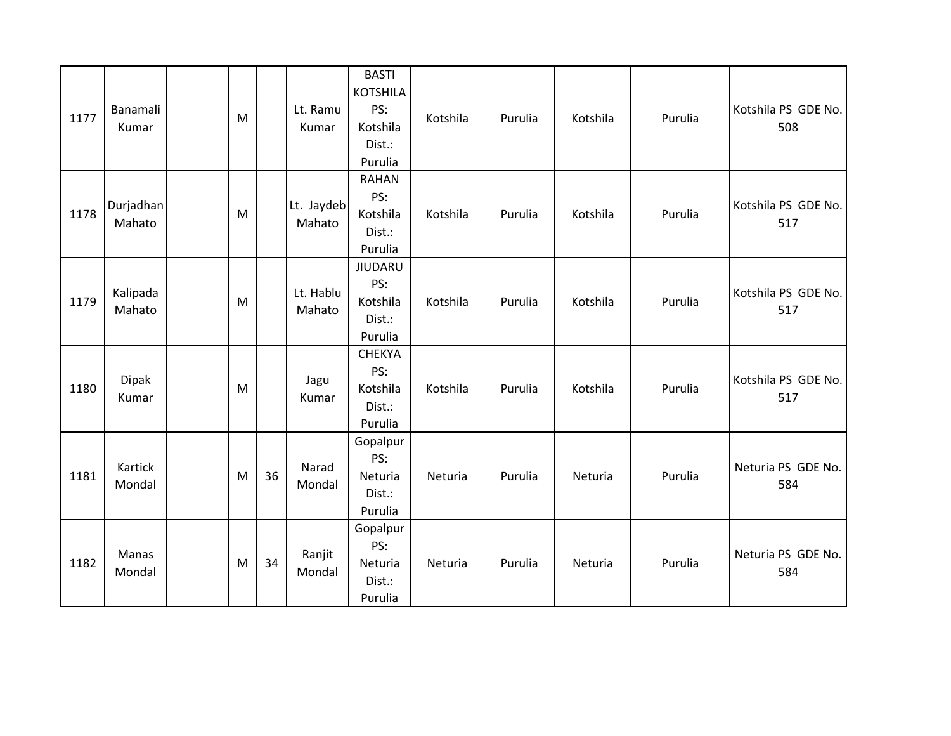| 1177 | Banamali<br>Kumar     | M         |    | Lt. Ramu<br>Kumar    | <b>BASTI</b><br><b>KOTSHILA</b><br>PS:<br>Kotshila<br>Dist.:<br>Purulia | Kotshila | Purulia | Kotshila | Purulia | Kotshila PS GDE No.<br>508 |
|------|-----------------------|-----------|----|----------------------|-------------------------------------------------------------------------|----------|---------|----------|---------|----------------------------|
| 1178 | Durjadhan<br>Mahato   | ${\sf M}$ |    | Lt. Jaydeb<br>Mahato | <b>RAHAN</b><br>PS:<br>Kotshila<br>Dist.:<br>Purulia                    | Kotshila | Purulia | Kotshila | Purulia | Kotshila PS GDE No.<br>517 |
| 1179 | Kalipada<br>Mahato    | M         |    | Lt. Hablu<br>Mahato  | <b>JIUDARU</b><br>PS:<br>Kotshila<br>Dist.:<br>Purulia                  | Kotshila | Purulia | Kotshila | Purulia | Kotshila PS GDE No.<br>517 |
| 1180 | <b>Dipak</b><br>Kumar | M         |    | Jagu<br>Kumar        | <b>CHEKYA</b><br>PS:<br>Kotshila<br>Dist.:<br>Purulia                   | Kotshila | Purulia | Kotshila | Purulia | Kotshila PS GDE No.<br>517 |
| 1181 | Kartick<br>Mondal     | M         | 36 | Narad<br>Mondal      | Gopalpur<br>PS:<br>Neturia<br>Dist.:<br>Purulia                         | Neturia  | Purulia | Neturia  | Purulia | Neturia PS GDE No.<br>584  |
| 1182 | Manas<br>Mondal       | ${\sf M}$ | 34 | Ranjit<br>Mondal     | Gopalpur<br>PS:<br>Neturia<br>Dist.:<br>Purulia                         | Neturia  | Purulia | Neturia  | Purulia | Neturia PS GDE No.<br>584  |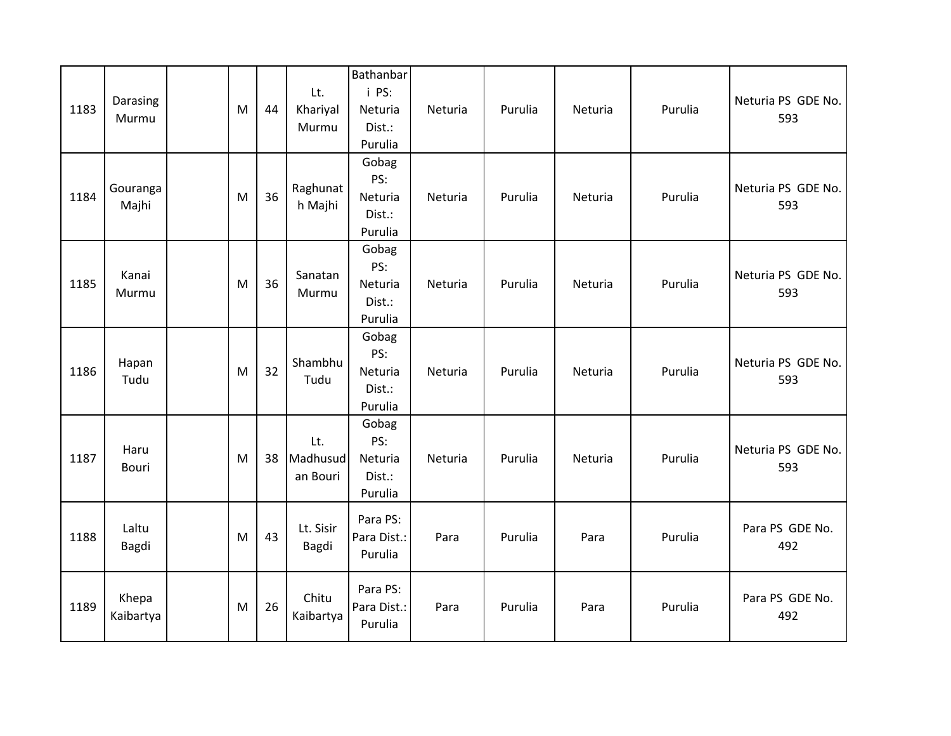| 1183 | Darasing<br>Murmu  | M | 44 | Lt.<br>Khariyal<br>Murmu    | Bathanbar<br>i PS:<br>Neturia<br>Dist.:<br>Purulia | Neturia | Purulia | Neturia | Purulia | Neturia PS GDE No.<br>593 |
|------|--------------------|---|----|-----------------------------|----------------------------------------------------|---------|---------|---------|---------|---------------------------|
| 1184 | Gouranga<br>Majhi  | M | 36 | Raghunat<br>h Majhi         | Gobag<br>PS:<br>Neturia<br>Dist.:<br>Purulia       | Neturia | Purulia | Neturia | Purulia | Neturia PS GDE No.<br>593 |
| 1185 | Kanai<br>Murmu     | M | 36 | Sanatan<br>Murmu            | Gobag<br>PS:<br>Neturia<br>Dist.:<br>Purulia       | Neturia | Purulia | Neturia | Purulia | Neturia PS GDE No.<br>593 |
| 1186 | Hapan<br>Tudu      | M | 32 | Shambhu<br>Tudu             | Gobag<br>PS:<br>Neturia<br>Dist.:<br>Purulia       | Neturia | Purulia | Neturia | Purulia | Neturia PS GDE No.<br>593 |
| 1187 | Haru<br>Bouri      | M | 38 | Lt.<br>Madhusud<br>an Bouri | Gobag<br>PS:<br>Neturia<br>Dist.:<br>Purulia       | Neturia | Purulia | Neturia | Purulia | Neturia PS GDE No.<br>593 |
| 1188 | Laltu<br>Bagdi     | M | 43 | Lt. Sisir<br><b>Bagdi</b>   | Para PS:<br>Para Dist.:<br>Purulia                 | Para    | Purulia | Para    | Purulia | Para PS GDE No.<br>492    |
| 1189 | Khepa<br>Kaibartya | M | 26 | Chitu<br>Kaibartya          | Para PS:<br>Para Dist.:<br>Purulia                 | Para    | Purulia | Para    | Purulia | Para PS GDE No.<br>492    |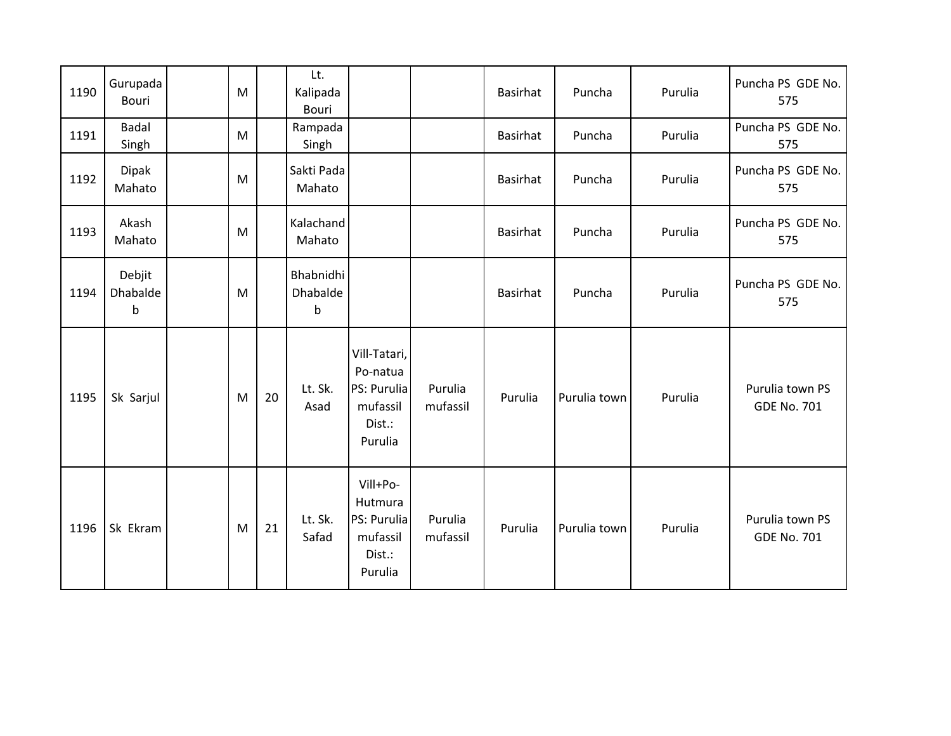| 1190 | Gurupada<br>Bouri                    | M |    | Lt.<br>Kalipada<br>Bouri                    |                                                                          |                     | <b>Basirhat</b> | Puncha       | Purulia | Puncha PS GDE No.<br>575              |
|------|--------------------------------------|---|----|---------------------------------------------|--------------------------------------------------------------------------|---------------------|-----------------|--------------|---------|---------------------------------------|
| 1191 | <b>Badal</b><br>Singh                | M |    | Rampada<br>Singh                            |                                                                          |                     | <b>Basirhat</b> | Puncha       | Purulia | Puncha PS GDE No.<br>575              |
| 1192 | <b>Dipak</b><br>Mahato               | M |    | Sakti Pada<br>Mahato                        |                                                                          |                     | <b>Basirhat</b> | Puncha       | Purulia | Puncha PS GDE No.<br>575              |
| 1193 | Akash<br>Mahato                      | M |    | Kalachand<br>Mahato                         |                                                                          |                     | <b>Basirhat</b> | Puncha       | Purulia | Puncha PS GDE No.<br>575              |
| 1194 | Debjit<br><b>Dhabalde</b><br>$\sf b$ | M |    | Bhabnidhi<br><b>Dhabalde</b><br>$\mathsf b$ |                                                                          |                     | <b>Basirhat</b> | Puncha       | Purulia | Puncha PS GDE No.<br>575              |
| 1195 | Sk Sarjul                            | M | 20 | Lt. Sk.<br>Asad                             | Vill-Tatari,<br>Po-natua<br>PS: Purulia<br>mufassil<br>Dist.:<br>Purulia | Purulia<br>mufassil | Purulia         | Purulia town | Purulia | Purulia town PS<br><b>GDE No. 701</b> |
| 1196 | Sk Ekram                             | M | 21 | Lt. Sk.<br>Safad                            | Vill+Po-<br>Hutmura<br>PS: Purulia<br>mufassil<br>Dist.:<br>Purulia      | Purulia<br>mufassil | Purulia         | Purulia town | Purulia | Purulia town PS<br><b>GDE No. 701</b> |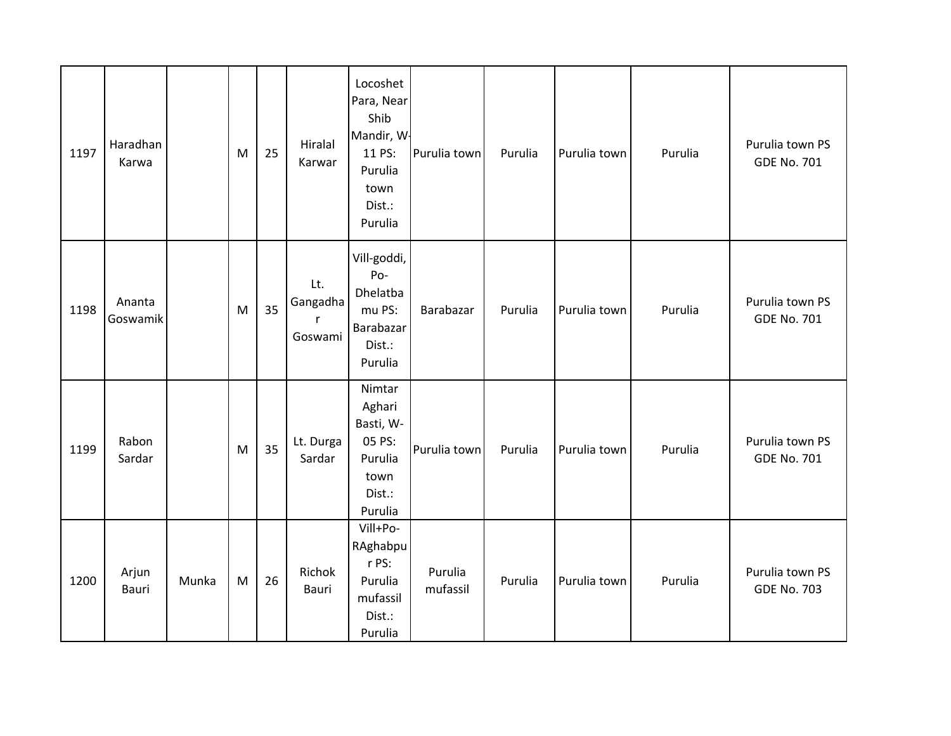| 1197 | Haradhan<br>Karwa  |       | M | 25 | Hiralal<br>Karwar               | Locoshet<br>Para, Near<br>Shib<br>Mandir, W-<br>11 PS:<br>Purulia<br>town<br>Dist.:<br>Purulia | Purulia town        | Purulia | Purulia town | Purulia | Purulia town PS<br><b>GDE No. 701</b> |
|------|--------------------|-------|---|----|---------------------------------|------------------------------------------------------------------------------------------------|---------------------|---------|--------------|---------|---------------------------------------|
| 1198 | Ananta<br>Goswamik |       | M | 35 | Lt.<br>Gangadha<br>r<br>Goswami | Vill-goddi,<br>Po-<br>Dhelatba<br>mu PS:<br>Barabazar<br>Dist.:<br>Purulia                     | Barabazar           | Purulia | Purulia town | Purulia | Purulia town PS<br><b>GDE No. 701</b> |
| 1199 | Rabon<br>Sardar    |       | M | 35 | Lt. Durga<br>Sardar             | Nimtar<br>Aghari<br>Basti, W-<br>05 PS:<br>Purulia<br>town<br>Dist.:<br>Purulia                | Purulia town        | Purulia | Purulia town | Purulia | Purulia town PS<br><b>GDE No. 701</b> |
| 1200 | Arjun<br>Bauri     | Munka | M | 26 | Richok<br>Bauri                 | Vill+Po-<br>RAghabpu<br>r PS:<br>Purulia<br>mufassil<br>Dist.:<br>Purulia                      | Purulia<br>mufassil | Purulia | Purulia town | Purulia | Purulia town PS<br><b>GDE No. 703</b> |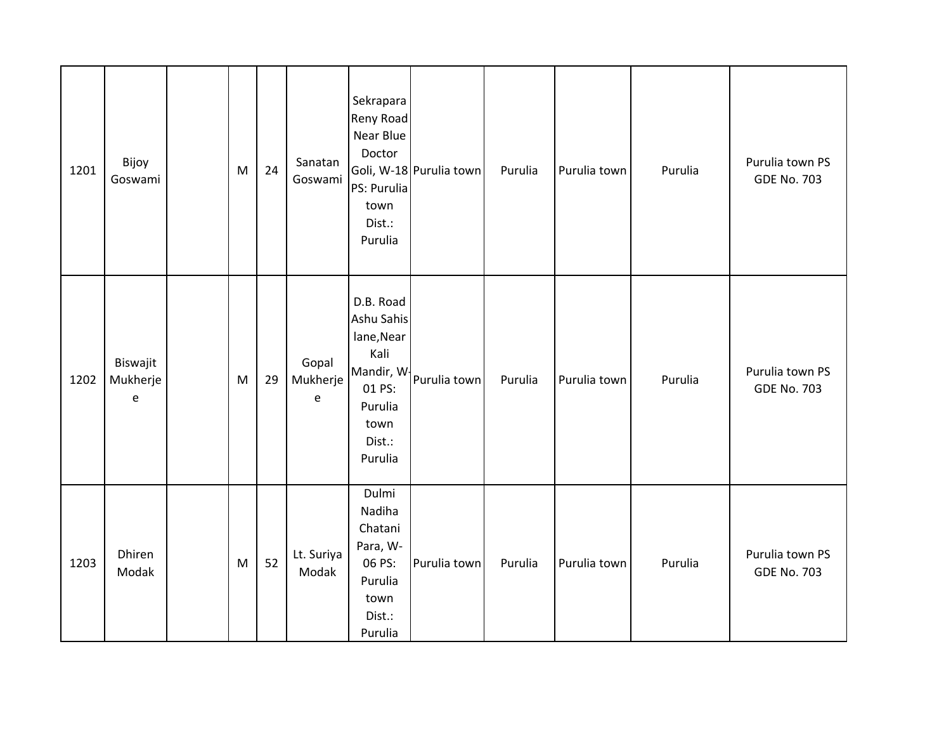| 1201 | Bijoy<br>Goswami                                          | ${\sf M}$ | 24 | Sanatan<br>Goswami     | Sekrapara<br>Reny Road<br><b>Near Blue</b><br>Doctor<br>PS: Purulia<br>town<br>Dist.:<br>Purulia | Goli, W-18 Purulia town | Purulia | Purulia town | Purulia | Purulia town PS<br><b>GDE No. 703</b> |
|------|-----------------------------------------------------------|-----------|----|------------------------|--------------------------------------------------------------------------------------------------|-------------------------|---------|--------------|---------|---------------------------------------|
| 1202 | Biswajit<br>Mukherje<br>$\mathsf{e}% _{t}\left( t\right)$ | M         | 29 | Gopal<br>Mukherje<br>e | D.B. Road<br>Ashu Sahis<br>lane, Near<br>Kali<br>01 PS:<br>Purulia<br>town<br>Dist.:<br>Purulia  | Mandir, W Purulia town  | Purulia | Purulia town | Purulia | Purulia town PS<br><b>GDE No. 703</b> |
| 1203 | Dhiren<br>Modak                                           | M         | 52 | Lt. Suriya<br>Modak    | Dulmi<br>Nadiha<br>Chatani<br>Para, W-<br>06 PS:<br>Purulia<br>town<br>Dist.:<br>Purulia         | Purulia town            | Purulia | Purulia town | Purulia | Purulia town PS<br><b>GDE No. 703</b> |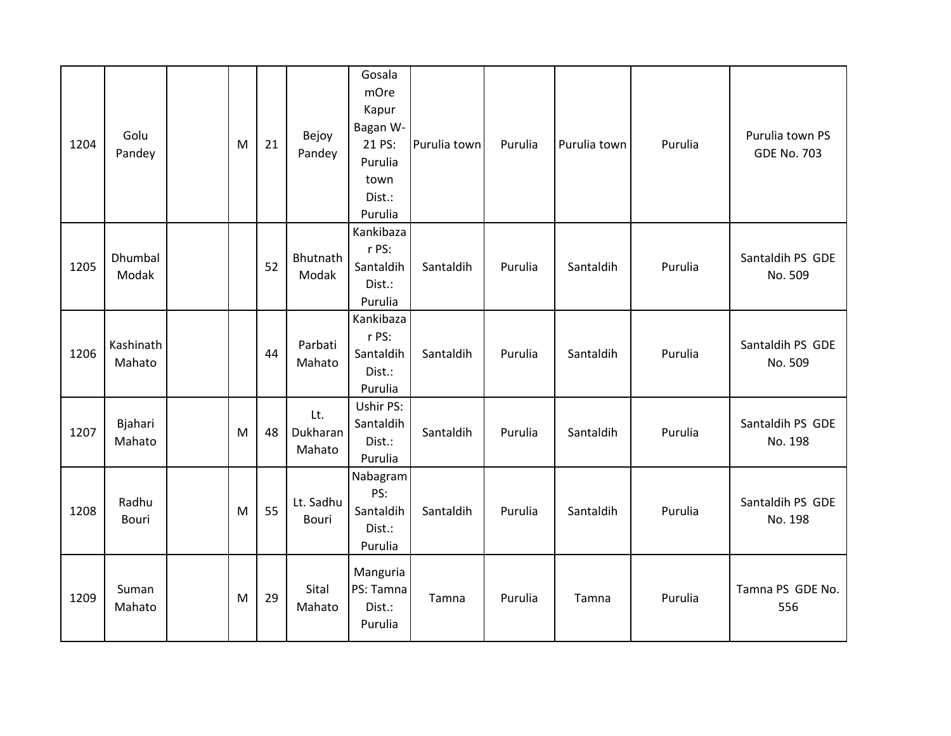| 1204 | Golu<br>Pandey      | M | 21 | Bejoy<br>Pandey           | Gosala<br>mOre<br>Kapur<br>Bagan W-<br>21 PS:<br>Purulia<br>town<br>Dist.:<br>Purulia | Purulia town | Purulia | Purulia town | Purulia | Purulia town PS<br><b>GDE No. 703</b> |
|------|---------------------|---|----|---------------------------|---------------------------------------------------------------------------------------|--------------|---------|--------------|---------|---------------------------------------|
| 1205 | Dhumbal<br>Modak    |   | 52 | Bhutnath<br>Modak         | Kankibaza<br>r PS:<br>Santaldih<br>Dist.:<br>Purulia                                  | Santaldih    | Purulia | Santaldih    | Purulia | Santaldih PS GDE<br>No. 509           |
| 1206 | Kashinath<br>Mahato |   | 44 | Parbati<br>Mahato         | Kankibaza<br>r PS:<br>Santaldih<br>Dist.:<br>Purulia                                  | Santaldih    | Purulia | Santaldih    | Purulia | Santaldih PS GDE<br>No. 509           |
| 1207 | Bjahari<br>Mahato   | M | 48 | Lt.<br>Dukharan<br>Mahato | Ushir PS:<br>Santaldih<br>Dist.:<br>Purulia                                           | Santaldih    | Purulia | Santaldih    | Purulia | Santaldih PS GDE<br>No. 198           |
| 1208 | Radhu<br>Bouri      | M | 55 | Lt. Sadhu<br><b>Bouri</b> | Nabagram<br>PS:<br>Santaldih<br>Dist.:<br>Purulia                                     | Santaldih    | Purulia | Santaldih    | Purulia | Santaldih PS GDE<br>No. 198           |
| 1209 | Suman<br>Mahato     | M | 29 | Sital<br>Mahato           | Manguria<br>PS: Tamna<br>Dist.:<br>Purulia                                            | Tamna        | Purulia | Tamna        | Purulia | Tamna PS GDE No.<br>556               |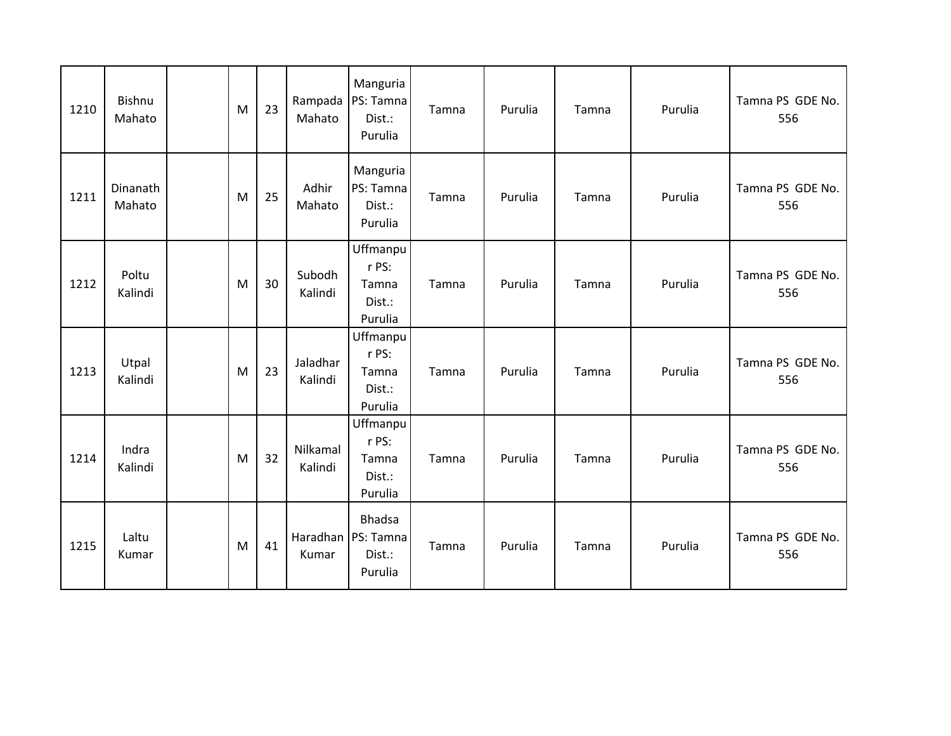| 1210 | <b>Bishnu</b><br>Mahato | M | 23 | Mahato              | Manguria<br>Rampada   PS: Tamna<br>Dist.:<br>Purulia       | Tamna | Purulia | Tamna | Purulia | Tamna PS GDE No.<br>556 |
|------|-------------------------|---|----|---------------------|------------------------------------------------------------|-------|---------|-------|---------|-------------------------|
| 1211 | Dinanath<br>Mahato      | M | 25 | Adhir<br>Mahato     | Manguria<br>PS: Tamna<br>Dist.:<br>Purulia                 | Tamna | Purulia | Tamna | Purulia | Tamna PS GDE No.<br>556 |
| 1212 | Poltu<br>Kalindi        | M | 30 | Subodh<br>Kalindi   | Uffmanpu<br>r PS:<br>Tamna<br>Dist.:<br>Purulia            | Tamna | Purulia | Tamna | Purulia | Tamna PS GDE No.<br>556 |
| 1213 | Utpal<br>Kalindi        | M | 23 | Jaladhar<br>Kalindi | Uffmanpu<br>r PS:<br>Tamna<br>Dist.:<br>Purulia            | Tamna | Purulia | Tamna | Purulia | Tamna PS GDE No.<br>556 |
| 1214 | Indra<br>Kalindi        | M | 32 | Nilkamal<br>Kalindi | Uffmanpu<br>r PS:<br>Tamna<br>Dist.:<br>Purulia            | Tamna | Purulia | Tamna | Purulia | Tamna PS GDE No.<br>556 |
| 1215 | Laltu<br>Kumar          | M | 41 | Kumar               | <b>Bhadsa</b><br>Haradhan   PS: Tamna<br>Dist.:<br>Purulia | Tamna | Purulia | Tamna | Purulia | Tamna PS GDE No.<br>556 |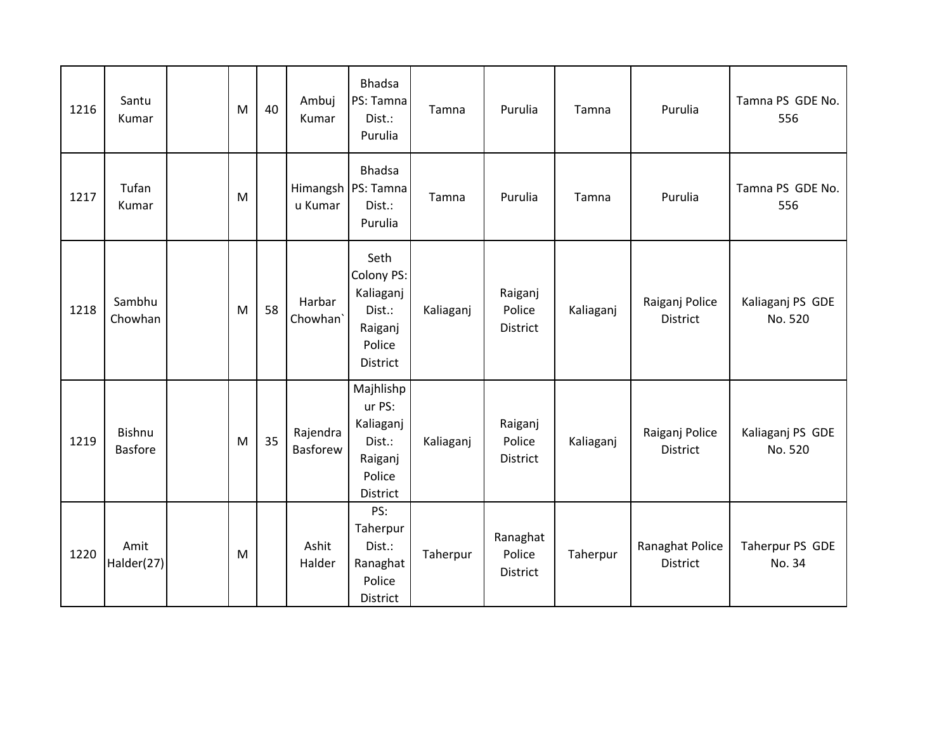| 1216 | Santu<br>Kumar           | M         | 40 | Ambuj<br>Kumar              | <b>Bhadsa</b><br>PS: Tamna<br>Dist.:<br>Purulia                             | Tamna     | Purulia                        | Tamna     | Purulia                           | Tamna PS GDE No.<br>556     |
|------|--------------------------|-----------|----|-----------------------------|-----------------------------------------------------------------------------|-----------|--------------------------------|-----------|-----------------------------------|-----------------------------|
| 1217 | Tufan<br>Kumar           | M         |    | u Kumar                     | <b>Bhadsa</b><br>Himangsh   PS: Tamna<br>Dist.:<br>Purulia                  | Tamna     | Purulia                        | Tamna     | Purulia                           | Tamna PS GDE No.<br>556     |
| 1218 | Sambhu<br>Chowhan        | ${\sf M}$ | 58 | Harbar<br>Chowhan'          | Seth<br>Colony PS:<br>Kaliaganj<br>Dist.:<br>Raiganj<br>Police<br>District  | Kaliaganj | Raiganj<br>Police<br>District  | Kaliaganj | Raiganj Police<br>District        | Kaliaganj PS GDE<br>No. 520 |
| 1219 | Bishnu<br><b>Basfore</b> | M         | 35 | Rajendra<br><b>Basforew</b> | Majhlishp<br>ur PS:<br>Kaliaganj<br>Dist.:<br>Raiganj<br>Police<br>District | Kaliaganj | Raiganj<br>Police<br>District  | Kaliaganj | Raiganj Police<br><b>District</b> | Kaliaganj PS GDE<br>No. 520 |
| 1220 | Amit<br>Halder(27)       | M         |    | Ashit<br>Halder             | PS:<br>Taherpur<br>Dist.:<br>Ranaghat<br>Police<br>District                 | Taherpur  | Ranaghat<br>Police<br>District | Taherpur  | Ranaghat Police<br>District       | Taherpur PS GDE<br>No. 34   |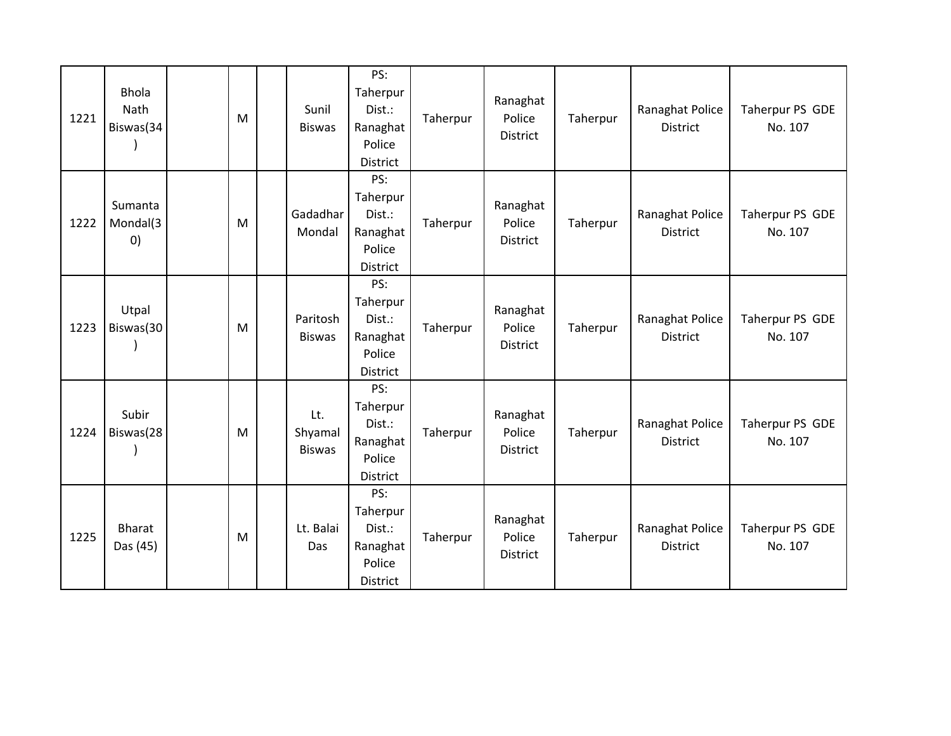| 1221 | <b>Bhola</b><br>Nath<br>Biswas(34        | M         | Sunil<br><b>Biswas</b>          | PS:<br>Taherpur<br>Dist.:<br>Ranaghat<br>Police<br>District | Taherpur | Ranaghat<br>Police<br>District        | Taherpur | Ranaghat Police<br>District        | Taherpur PS GDE<br>No. 107 |
|------|------------------------------------------|-----------|---------------------------------|-------------------------------------------------------------|----------|---------------------------------------|----------|------------------------------------|----------------------------|
| 1222 | Sumanta<br>Mondal(3<br>$\left( 0\right)$ | M         | Gadadhar<br>Mondal              | PS:<br>Taherpur<br>Dist.:<br>Ranaghat<br>Police<br>District | Taherpur | Ranaghat<br>Police<br><b>District</b> | Taherpur | Ranaghat Police<br>District        | Taherpur PS GDE<br>No. 107 |
| 1223 | Utpal<br>Biswas(30                       | ${\sf M}$ | Paritosh<br><b>Biswas</b>       | PS:<br>Taherpur<br>Dist.:<br>Ranaghat<br>Police<br>District | Taherpur | Ranaghat<br>Police<br>District        | Taherpur | Ranaghat Police<br><b>District</b> | Taherpur PS GDE<br>No. 107 |
| 1224 | Subir<br>Biswas(28                       | M         | Lt.<br>Shyamal<br><b>Biswas</b> | PS:<br>Taherpur<br>Dist.:<br>Ranaghat<br>Police<br>District | Taherpur | Ranaghat<br>Police<br>District        | Taherpur | Ranaghat Police<br><b>District</b> | Taherpur PS GDE<br>No. 107 |
| 1225 | <b>Bharat</b><br>Das (45)                | M         | Lt. Balai<br>Das                | PS:<br>Taherpur<br>Dist.:<br>Ranaghat<br>Police<br>District | Taherpur | Ranaghat<br>Police<br>District        | Taherpur | Ranaghat Police<br>District        | Taherpur PS GDE<br>No. 107 |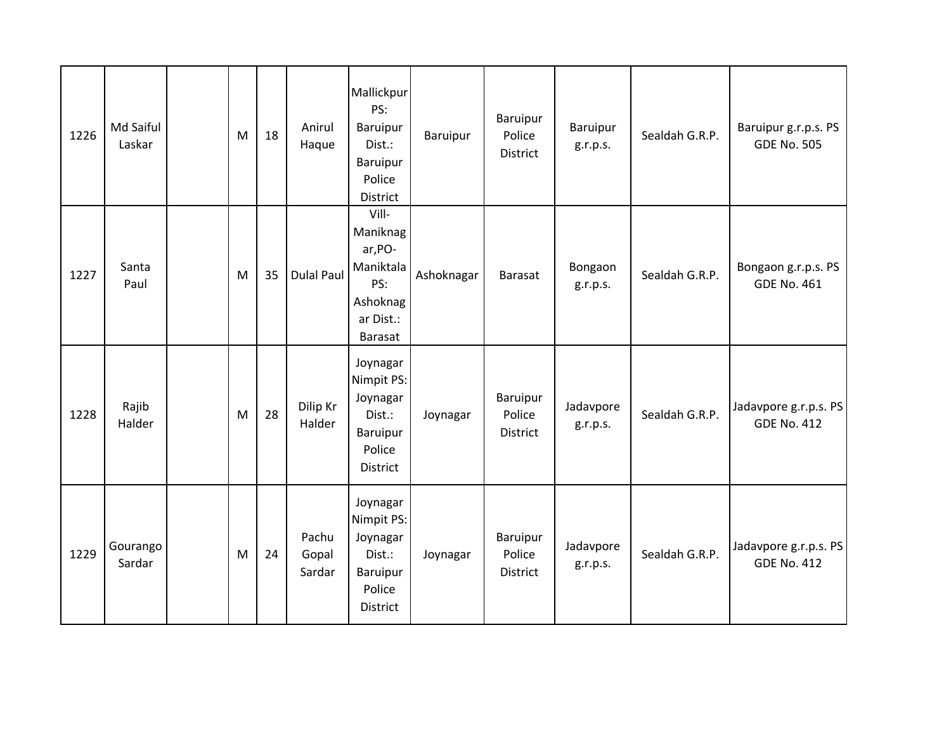| 1226 | Md Saiful<br>Laskar | M | 18 | Anirul<br>Haque          | Mallickpur<br>PS:<br>Baruipur<br>Dist.:<br>Baruipur<br>Police<br>District                   | Baruipur   | Baruipur<br>Police<br>District        | Baruipur<br>g.r.p.s.  | Sealdah G.R.P. | Baruipur g.r.p.s. PS<br><b>GDE No. 505</b>  |
|------|---------------------|---|----|--------------------------|---------------------------------------------------------------------------------------------|------------|---------------------------------------|-----------------------|----------------|---------------------------------------------|
| 1227 | Santa<br>Paul       | M | 35 | <b>Dulal Paul</b>        | Vill-<br>Maniknag<br>ar, PO-<br>Maniktala<br>PS:<br>Ashoknag<br>ar Dist.:<br><b>Barasat</b> | Ashoknagar | <b>Barasat</b>                        | Bongaon<br>g.r.p.s.   | Sealdah G.R.P. | Bongaon g.r.p.s. PS<br><b>GDE No. 461</b>   |
| 1228 | Rajib<br>Halder     | M | 28 | Dilip Kr<br>Halder       | Joynagar<br>Nimpit PS:<br>Joynagar<br>Dist.:<br>Baruipur<br>Police<br><b>District</b>       | Joynagar   | Baruipur<br>Police<br><b>District</b> | Jadavpore<br>g.r.p.s. | Sealdah G.R.P. | Jadavpore g.r.p.s. PS<br><b>GDE No. 412</b> |
| 1229 | Gourango<br>Sardar  | M | 24 | Pachu<br>Gopal<br>Sardar | Joynagar<br>Nimpit PS:<br>Joynagar<br>Dist.:<br>Baruipur<br>Police<br>District              | Joynagar   | Baruipur<br>Police<br>District        | Jadavpore<br>g.r.p.s. | Sealdah G.R.P. | Jadavpore g.r.p.s. PS<br><b>GDE No. 412</b> |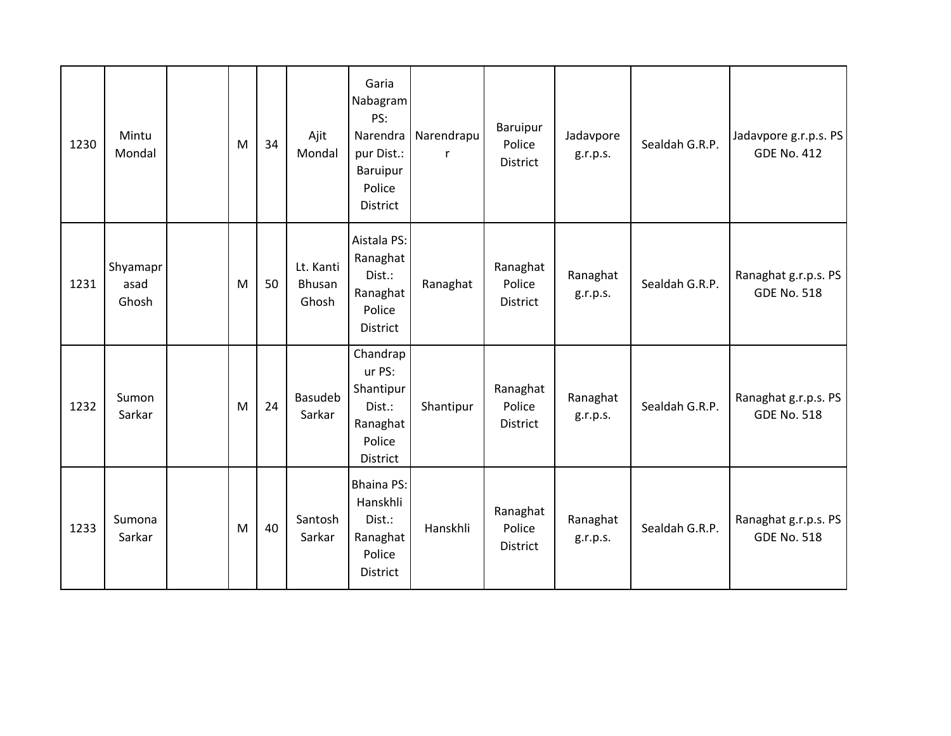| 1230 | Mintu<br>Mondal           | M | 34 | Ajit<br>Mondal               | Garia<br>Nabagram<br>PS:<br>Narendra<br>pur Dist.:<br>Baruipur<br>Police<br><b>District</b> | Narendrapu<br>r | Baruipur<br>Police<br>District | Jadavpore<br>g.r.p.s. | Sealdah G.R.P. | Jadavpore g.r.p.s. PS<br><b>GDE No. 412</b> |
|------|---------------------------|---|----|------------------------------|---------------------------------------------------------------------------------------------|-----------------|--------------------------------|-----------------------|----------------|---------------------------------------------|
| 1231 | Shyamapr<br>asad<br>Ghosh | M | 50 | Lt. Kanti<br>Bhusan<br>Ghosh | Aistala PS:<br>Ranaghat<br>Dist.:<br>Ranaghat<br>Police<br>District                         | Ranaghat        | Ranaghat<br>Police<br>District | Ranaghat<br>g.r.p.s.  | Sealdah G.R.P. | Ranaghat g.r.p.s. PS<br><b>GDE No. 518</b>  |
| 1232 | Sumon<br>Sarkar           | M | 24 | <b>Basudeb</b><br>Sarkar     | Chandrap<br>ur PS:<br>Shantipur<br>Dist.:<br>Ranaghat<br>Police<br>District                 | Shantipur       | Ranaghat<br>Police<br>District | Ranaghat<br>g.r.p.s.  | Sealdah G.R.P. | Ranaghat g.r.p.s. PS<br><b>GDE No. 518</b>  |
| 1233 | Sumona<br>Sarkar          | M | 40 | Santosh<br>Sarkar            | <b>Bhaina PS:</b><br>Hanskhli<br>Dist.:<br>Ranaghat<br>Police<br>District                   | Hanskhli        | Ranaghat<br>Police<br>District | Ranaghat<br>g.r.p.s.  | Sealdah G.R.P. | Ranaghat g.r.p.s. PS<br><b>GDE No. 518</b>  |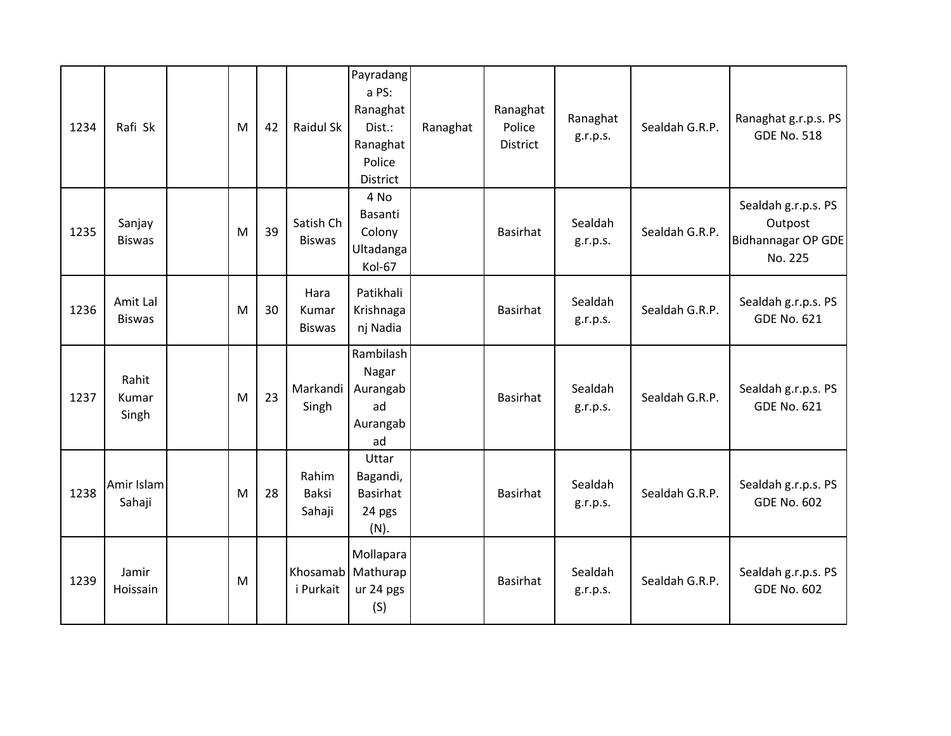| 1234 | Rafi Sk                   | M | 42 | Raidul Sk                      | Payradang<br>a PS:<br>Ranaghat<br>Dist.:<br>Ranaghat<br>Police<br>District | Ranaghat | Ranaghat<br>Police<br>District | Ranaghat<br>g.r.p.s. | Sealdah G.R.P. | Ranaghat g.r.p.s. PS<br><b>GDE No. 518</b>                             |
|------|---------------------------|---|----|--------------------------------|----------------------------------------------------------------------------|----------|--------------------------------|----------------------|----------------|------------------------------------------------------------------------|
| 1235 | Sanjay<br><b>Biswas</b>   | M | 39 | Satish Ch<br><b>Biswas</b>     | 4 No<br>Basanti<br>Colony<br>Ultadanga<br>Kol-67                           |          | <b>Basirhat</b>                | Sealdah<br>g.r.p.s.  | Sealdah G.R.P. | Sealdah g.r.p.s. PS<br>Outpost<br><b>Bidhannagar OP GDE</b><br>No. 225 |
| 1236 | Amit Lal<br><b>Biswas</b> | M | 30 | Hara<br>Kumar<br><b>Biswas</b> | Patikhali<br>Krishnaga<br>nj Nadia                                         |          | <b>Basirhat</b>                | Sealdah<br>g.r.p.s.  | Sealdah G.R.P. | Sealdah g.r.p.s. PS<br><b>GDE No. 621</b>                              |
| 1237 | Rahit<br>Kumar<br>Singh   | M | 23 | Markandi<br>Singh              | Rambilash<br>Nagar<br>Aurangab<br>ad<br>Aurangab<br>ad                     |          | <b>Basirhat</b>                | Sealdah<br>g.r.p.s.  | Sealdah G.R.P. | Sealdah g.r.p.s. PS<br><b>GDE No. 621</b>                              |
| 1238 | Amir Islam<br>Sahaji      | M | 28 | Rahim<br>Baksi<br>Sahaji       | Uttar<br>Bagandi,<br><b>Basirhat</b><br>24 pgs<br>(N).                     |          | <b>Basirhat</b>                | Sealdah<br>g.r.p.s.  | Sealdah G.R.P. | Sealdah g.r.p.s. PS<br><b>GDE No. 602</b>                              |
| 1239 | Jamir<br>Hoissain         | M |    | Khosamab<br>i Purkait          | Mollapara<br>Mathurap<br>ur 24 pgs<br>(S)                                  |          | <b>Basirhat</b>                | Sealdah<br>g.r.p.s.  | Sealdah G.R.P. | Sealdah g.r.p.s. PS<br><b>GDE No. 602</b>                              |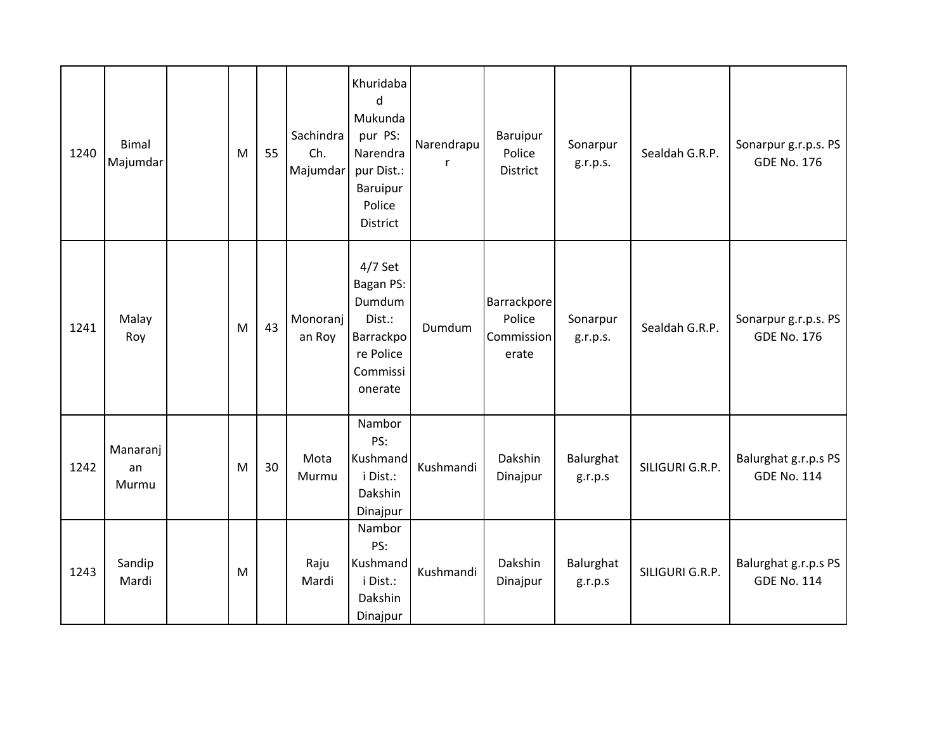| 1240 | <b>Bimal</b><br>Majumdar | M | 55 | Sachindra<br>Ch.<br>Majumdar | Khuridaba<br>d<br>Mukunda<br>pur PS:<br>Narendra<br>pur Dist.:<br>Baruipur<br>Police<br><b>District</b> | Narendrapu | Baruipur<br>Police<br><b>District</b>        | Sonarpur<br>g.r.p.s. | Sealdah G.R.P.  | Sonarpur g.r.p.s. PS<br><b>GDE No. 176</b> |
|------|--------------------------|---|----|------------------------------|---------------------------------------------------------------------------------------------------------|------------|----------------------------------------------|----------------------|-----------------|--------------------------------------------|
| 1241 | Malay<br>Roy             | M | 43 | Monoranj<br>an Roy           | $4/7$ Set<br>Bagan PS:<br>Dumdum<br>Dist.:<br>Barrackpo<br>re Police<br>Commissi<br>onerate             | Dumdum     | Barrackpore<br>Police<br>Commission<br>erate | Sonarpur<br>g.r.p.s. | Sealdah G.R.P.  | Sonarpur g.r.p.s. PS<br><b>GDE No. 176</b> |
| 1242 | Manaranj<br>an<br>Murmu  | M | 30 | Mota<br>Murmu                | Nambor<br>PS:<br>Kushmand<br>i Dist.:<br>Dakshin<br>Dinajpur                                            | Kushmandi  | Dakshin<br>Dinajpur                          | Balurghat<br>g.r.p.s | SILIGURI G.R.P. | Balurghat g.r.p.s PS<br><b>GDE No. 114</b> |
| 1243 | Sandip<br>Mardi          | M |    | Raju<br>Mardi                | Nambor<br>PS:<br>Kushmand<br>i Dist.:<br>Dakshin<br>Dinajpur                                            | Kushmandi  | Dakshin<br>Dinajpur                          | Balurghat<br>g.r.p.s | SILIGURI G.R.P. | Balurghat g.r.p.s PS<br><b>GDE No. 114</b> |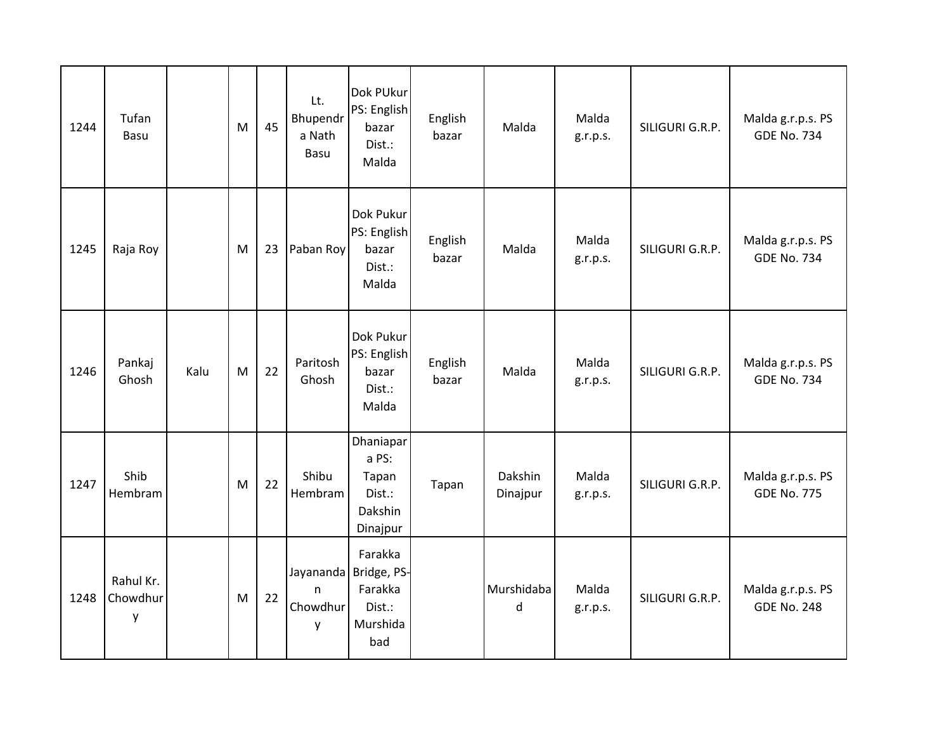| 1244 | Tufan<br>Basu              |      | M | 45 | Lt.<br>Bhupendr<br>a Nath<br>Basu | Dok PUkur<br>PS: English<br>bazar<br>Dist.:<br>Malda                     | English<br>bazar | Malda               | Malda<br>g.r.p.s. | SILIGURI G.R.P. | Malda g.r.p.s. PS<br><b>GDE No. 734</b> |
|------|----------------------------|------|---|----|-----------------------------------|--------------------------------------------------------------------------|------------------|---------------------|-------------------|-----------------|-----------------------------------------|
| 1245 | Raja Roy                   |      | M | 23 | Paban Roy                         | Dok Pukur<br>PS: English<br>bazar<br>Dist.:<br>Malda                     | English<br>bazar | Malda               | Malda<br>g.r.p.s. | SILIGURI G.R.P. | Malda g.r.p.s. PS<br><b>GDE No. 734</b> |
| 1246 | Pankaj<br>Ghosh            | Kalu | M | 22 | Paritosh<br>Ghosh                 | Dok Pukur<br>PS: English<br>bazar<br>Dist.:<br>Malda                     | English<br>bazar | Malda               | Malda<br>g.r.p.s. | SILIGURI G.R.P. | Malda g.r.p.s. PS<br><b>GDE No. 734</b> |
| 1247 | Shib<br>Hembram            |      | M | 22 | Shibu<br>Hembram                  | Dhaniapar<br>a PS:<br>Tapan<br>Dist.:<br>Dakshin<br>Dinajpur             | Tapan            | Dakshin<br>Dinajpur | Malda<br>g.r.p.s. | SILIGURI G.R.P. | Malda g.r.p.s. PS<br><b>GDE No. 775</b> |
| 1248 | Rahul Kr.<br>Chowdhur<br>у |      | M | 22 | $\mathsf{n}$<br>Chowdhur<br>y     | Farakka<br>Jayananda Bridge, PS-<br>Farakka<br>Dist.:<br>Murshida<br>bad |                  | Murshidaba<br>d     | Malda<br>g.r.p.s. | SILIGURI G.R.P. | Malda g.r.p.s. PS<br><b>GDE No. 248</b> |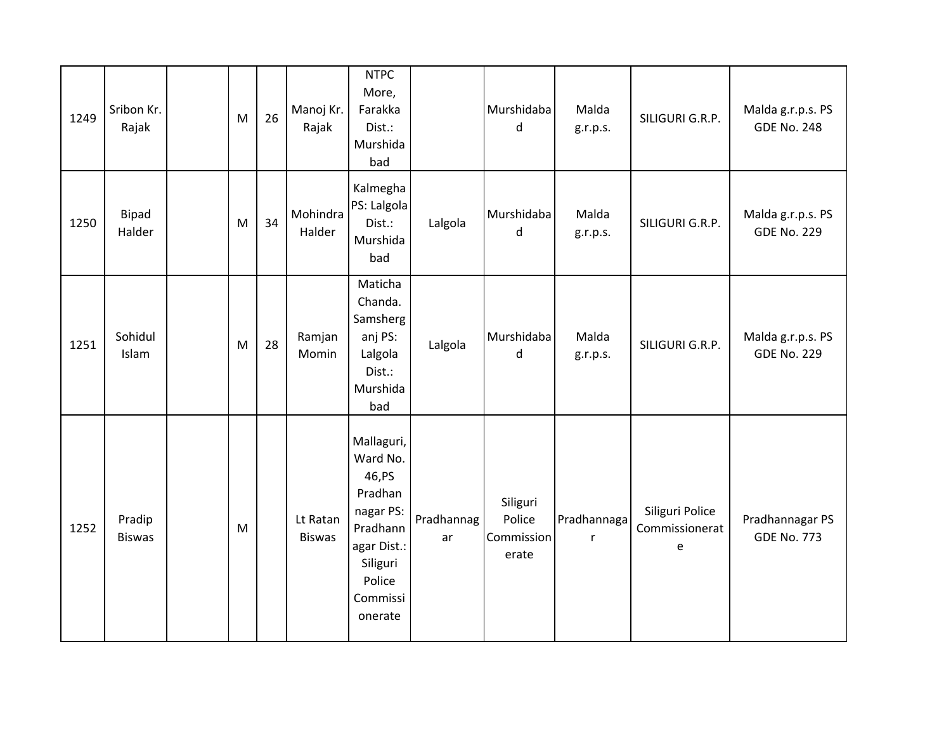| 1249 | Sribon Kr.<br>Rajak     | M | 26 | Manoj Kr.<br>Rajak        | <b>NTPC</b><br>More,<br>Farakka<br>Dist.:<br>Murshida<br>bad                                                                     |                  | Murshidaba<br>d                           | Malda<br>g.r.p.s. | SILIGURI G.R.P.                        | Malda g.r.p.s. PS<br><b>GDE No. 248</b> |
|------|-------------------------|---|----|---------------------------|----------------------------------------------------------------------------------------------------------------------------------|------------------|-------------------------------------------|-------------------|----------------------------------------|-----------------------------------------|
| 1250 | Bipad<br>Halder         | M | 34 | Mohindra<br>Halder        | Kalmegha<br>PS: Lalgola<br>Dist.:<br>Murshida<br>bad                                                                             | Lalgola          | Murshidaba<br>d                           | Malda<br>g.r.p.s. | SILIGURI G.R.P.                        | Malda g.r.p.s. PS<br><b>GDE No. 229</b> |
| 1251 | Sohidul<br>Islam        | M | 28 | Ramjan<br>Momin           | Maticha<br>Chanda.<br>Samsherg<br>anj PS:<br>Lalgola<br>Dist.:<br>Murshida<br>bad                                                | Lalgola          | Murshidaba<br>d                           | Malda<br>g.r.p.s. | SILIGURI G.R.P.                        | Malda g.r.p.s. PS<br><b>GDE No. 229</b> |
| 1252 | Pradip<br><b>Biswas</b> | M |    | Lt Ratan<br><b>Biswas</b> | Mallaguri,<br>Ward No.<br>46, PS<br>Pradhan<br>nagar PS:<br>Pradhann<br>agar Dist.:<br>Siliguri<br>Police<br>Commissi<br>onerate | Pradhannag<br>ar | Siliguri<br>Police<br>Commission<br>erate | Pradhannaga<br>r  | Siliguri Police<br>Commissionerat<br>e | Pradhannagar PS<br><b>GDE No. 773</b>   |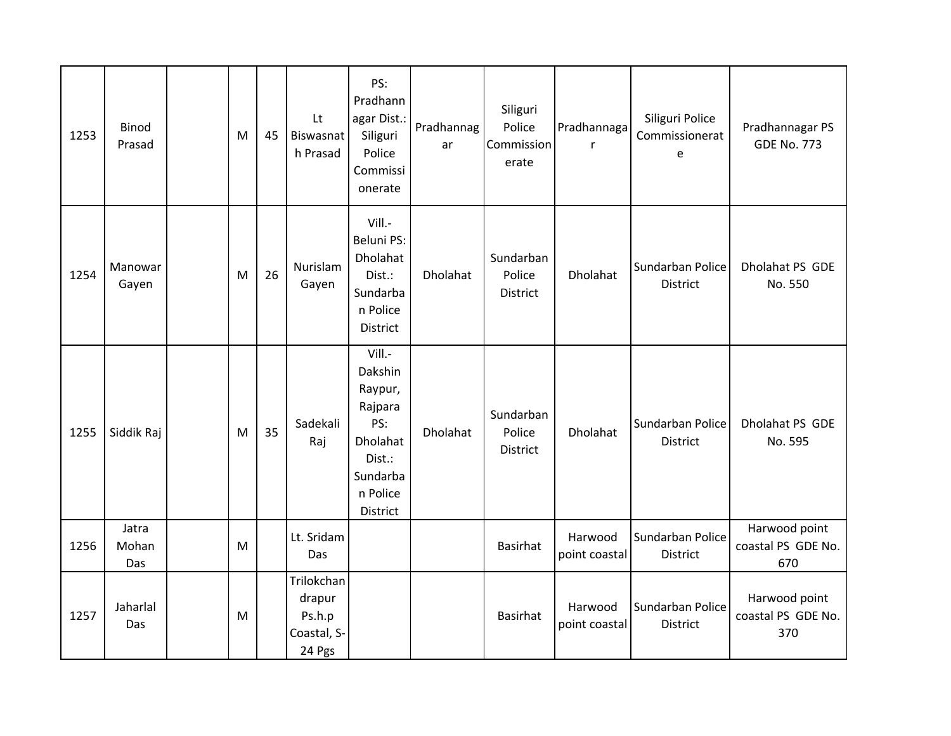| 1253 | Binod<br>Prasad       | M | 45 | Lt<br>Biswasnat<br>h Prasad                             | PS:<br>Pradhann<br>agar Dist.:<br>Siliguri<br>Police<br>Commissi<br>onerate                              | Pradhannag<br>ar | Siliguri<br>Police<br>Commission<br>erate | Pradhannaga<br>$\mathsf{r}$ | Siliguri Police<br>Commissionerat<br>e | Pradhannagar PS<br><b>GDE No. 773</b>      |
|------|-----------------------|---|----|---------------------------------------------------------|----------------------------------------------------------------------------------------------------------|------------------|-------------------------------------------|-----------------------------|----------------------------------------|--------------------------------------------|
| 1254 | Manowar<br>Gayen      | M | 26 | Nurislam<br>Gayen                                       | Vill.-<br><b>Beluni PS:</b><br>Dholahat<br>Dist.:<br>Sundarba<br>n Police<br>District                    | Dholahat         | Sundarban<br>Police<br>District           | Dholahat                    | Sundarban Police<br><b>District</b>    | Dholahat PS GDE<br>No. 550                 |
| 1255 | Siddik Raj            | M | 35 | Sadekali<br>Raj                                         | Vill.-<br>Dakshin<br>Raypur,<br>Rajpara<br>PS:<br>Dholahat<br>Dist.:<br>Sundarba<br>n Police<br>District | Dholahat         | Sundarban<br>Police<br>District           | Dholahat                    | Sundarban Police<br>District           | Dholahat PS GDE<br>No. 595                 |
| 1256 | Jatra<br>Mohan<br>Das | M |    | Lt. Sridam<br>Das                                       |                                                                                                          |                  | <b>Basirhat</b>                           | Harwood<br>point coastal    | Sundarban Police<br>District           | Harwood point<br>coastal PS GDE No.<br>670 |
| 1257 | Jaharlal<br>Das       | M |    | Trilokchan<br>drapur<br>Ps.h.p<br>Coastal, S-<br>24 Pgs |                                                                                                          |                  | <b>Basirhat</b>                           | Harwood<br>point coastal    | Sundarban Police<br><b>District</b>    | Harwood point<br>coastal PS GDE No.<br>370 |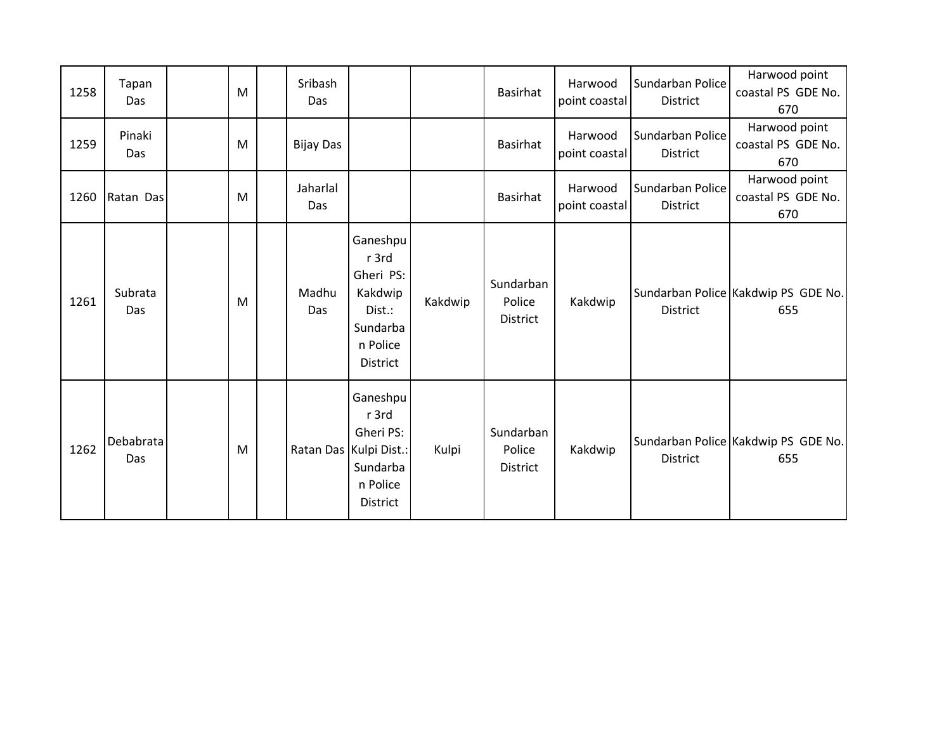| 1258 | Tapan<br>Das     | M | Sribash<br>Das   |                                                                                                     |         | <b>Basirhat</b>                        | Harwood<br>point coastal | Sundarban Police<br><b>District</b> | Harwood point<br>coastal PS GDE No.<br>670 |
|------|------------------|---|------------------|-----------------------------------------------------------------------------------------------------|---------|----------------------------------------|--------------------------|-------------------------------------|--------------------------------------------|
| 1259 | Pinaki<br>Das    | M | <b>Bijay Das</b> |                                                                                                     |         | <b>Basirhat</b>                        | Harwood<br>point coastal | Sundarban Police<br>District        | Harwood point<br>coastal PS GDE No.<br>670 |
| 1260 | Ratan Das        | M | Jaharlal<br>Das  |                                                                                                     |         | <b>Basirhat</b>                        | Harwood<br>point coastal | Sundarban Police<br>District        | Harwood point<br>coastal PS GDE No.<br>670 |
| 1261 | Subrata<br>Das   | M | Madhu<br>Das     | Ganeshpu<br>r 3rd<br>Gheri PS:<br>Kakdwip<br>Dist.:<br>Sundarba<br>n Police<br><b>District</b>      | Kakdwip | Sundarban<br>Police<br><b>District</b> | Kakdwip                  | <b>District</b>                     | Sundarban Police Kakdwip PS GDE No.<br>655 |
| 1262 | Debabrata<br>Das | M |                  | Ganeshpu<br>r 3rd<br>Gheri PS:<br>Ratan Das Kulpi Dist.:<br>Sundarba<br>n Police<br><b>District</b> | Kulpi   | Sundarban<br>Police<br>District        | Kakdwip                  | <b>District</b>                     | Sundarban Police Kakdwip PS GDE No.<br>655 |